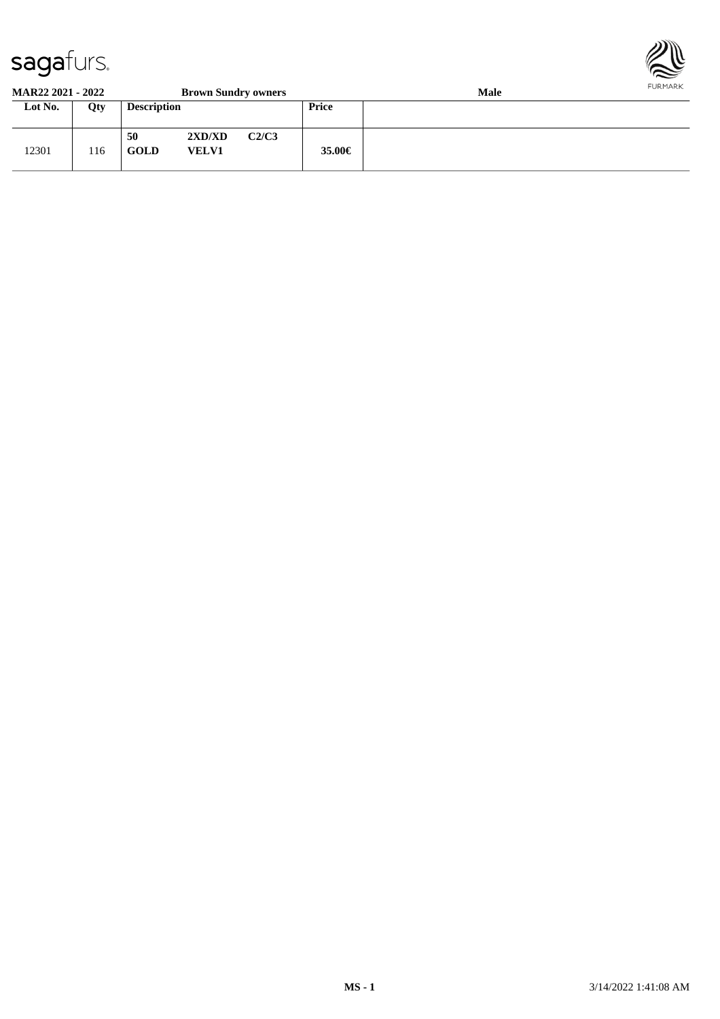

#### **MAR22 2021 - 2022 Brown Sundry owners Male**

| Lot No. | Qty | <b>Description</b> |                        |       | <b>Price</b> |  |
|---------|-----|--------------------|------------------------|-------|--------------|--|
| 12301   | 116 | 50<br><b>GOLD</b>  | 2XD/XD<br><b>VELV1</b> | C2/C3 | 35.00€       |  |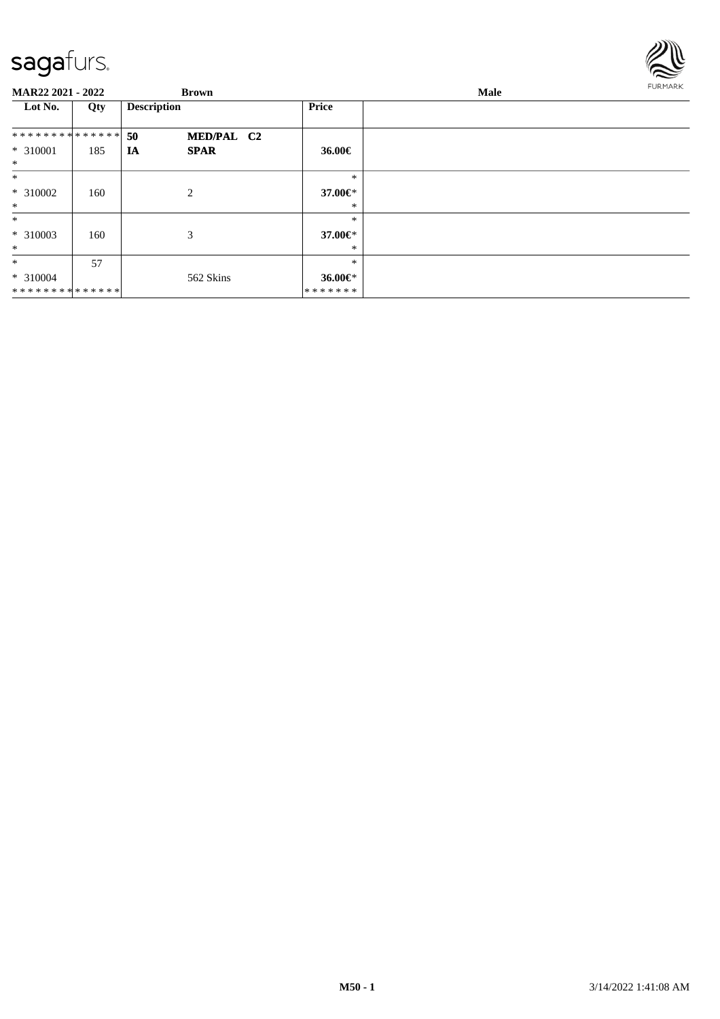

| MAR22 2021 - 2022  |     | <b>Brown</b>       |               | Male | FURMARK |
|--------------------|-----|--------------------|---------------|------|---------|
| Lot No.            | Qty | <b>Description</b> | Price         |      |         |
| **************     |     | 50<br>MED/PAL C2   |               |      |         |
| * 310001<br>$\ast$ | 185 | IA<br><b>SPAR</b>  | 36.00€        |      |         |
| $\ast$             |     |                    | $\ast$        |      |         |
| * 310002           | 160 | 2                  | 37.00€*       |      |         |
| $\ast$             |     |                    | *             |      |         |
| $\ast$             |     |                    | $\ast$        |      |         |
| * 310003           | 160 | 3                  | 37.00€*       |      |         |
| $\ast$             |     |                    | *             |      |         |
| $\ast$             | 57  |                    | $\ast$        |      |         |
| $* 310004$         |     | 562 Skins          | 36.00 $\in$ * |      |         |
| **************     |     |                    | *******       |      |         |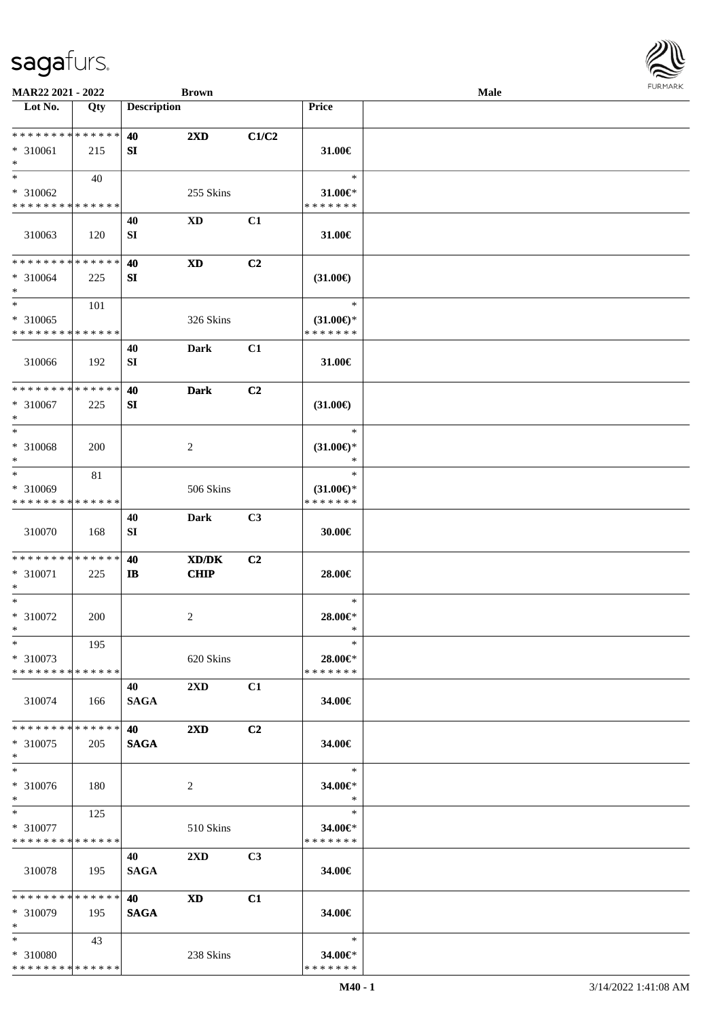

| MAR22 2021 - 2022                                                     |        |                    | <b>Brown</b>            |       |                                                | <b>Male</b> | <b>FURMARK</b> |
|-----------------------------------------------------------------------|--------|--------------------|-------------------------|-------|------------------------------------------------|-------------|----------------|
| Lot No.                                                               | Qty    | <b>Description</b> |                         |       | Price                                          |             |                |
| **************<br>* 310061<br>$\ast$                                  | 215    | 40<br>SI           | $2\mathbf{X}\mathbf{D}$ | C1/C2 | 31.00€                                         |             |                |
| $\ast$<br>* 310062<br>* * * * * * * * * * * * * *                     | 40     |                    | 255 Skins               |       | $\ast$<br>31.00€*<br>* * * * * * *             |             |                |
| 310063                                                                | 120    | 40<br>SI           | XD                      | C1    | 31.00€                                         |             |                |
| * * * * * * * * * * * * * *<br>$* 310064$<br>$\ast$                   | 225    | 40<br>SI           | $\mathbf{X}\mathbf{D}$  | C2    | $(31.00\epsilon)$                              |             |                |
| $\ast$<br>* 310065<br>* * * * * * * * * * * * * *                     | 101    |                    | 326 Skins               |       | $\ast$<br>$(31.00\epsilon)$ *<br>* * * * * * * |             |                |
| 310066                                                                | 192    | 40<br>SI           | <b>Dark</b>             | C1    | 31.00€                                         |             |                |
| * * * * * * * * * * * * * *<br>* 310067<br>$\ast$                     | 225    | 40<br>SI           | <b>Dark</b>             | C2    | $(31.00\epsilon)$                              |             |                |
| $\ast$<br>* 310068<br>$\ast$                                          | 200    |                    | $\overline{c}$          |       | $\ast$<br>$(31.00\epsilon)$ *<br>∗             |             |                |
| $\overline{\phantom{a}^*}$<br>* 310069<br>* * * * * * * * * * * * * * | $81\,$ |                    | 506 Skins               |       | $\ast$<br>$(31.00\epsilon)$ *<br>* * * * * * * |             |                |
| 310070                                                                | 168    | 40<br>SI           | <b>Dark</b>             | C3    | 30.00€                                         |             |                |
| **************<br>$* 310071$<br>$\ast$                                | 225    | 40<br>IB           | XD/DK<br><b>CHIP</b>    | C2    | 28.00€                                         |             |                |
| $\ast$<br>$* 310072$<br>$\ast$                                        | 200    |                    | $\overline{c}$          |       | $\ast$<br>28.00€*<br>∗                         |             |                |
| $\ast$<br>* 310073<br>* * * * * * * * * * * * * *                     | 195    |                    | 620 Skins               |       | $\ast$<br>28.00€*<br>* * * * * * *             |             |                |
| 310074                                                                | 166    | 40<br><b>SAGA</b>  | 2XD                     | C1    | 34.00€                                         |             |                |
| * * * * * * * * * * * * * *<br>$*310075$<br>$\ast$                    | 205    | 40<br><b>SAGA</b>  | $2\mathbf{X}\mathbf{D}$ | C2    | 34.00€                                         |             |                |
| $\ast$<br>$* 310076$<br>$\ast$                                        | 180    |                    | $\overline{c}$          |       | $\ast$<br>34.00€*<br>$\ast$                    |             |                |
| $\ast$<br>* 310077<br>* * * * * * * * * * * * * *                     | 125    |                    | 510 Skins               |       | $\ast$<br>34.00€*<br>* * * * * * *             |             |                |
| 310078                                                                | 195    | 40<br><b>SAGA</b>  | 2XD                     | C3    | 34.00€                                         |             |                |
| * * * * * * * * * * * * * *<br>$* 310079$<br>$\ast$                   | 195    | 40<br><b>SAGA</b>  | $\mathbf{X}\mathbf{D}$  | C1    | 34.00€                                         |             |                |
| $\ast$<br>* 310080<br>**************                                  | 43     |                    | 238 Skins               |       | $\ast$<br>34.00€*<br>* * * * * * *             |             |                |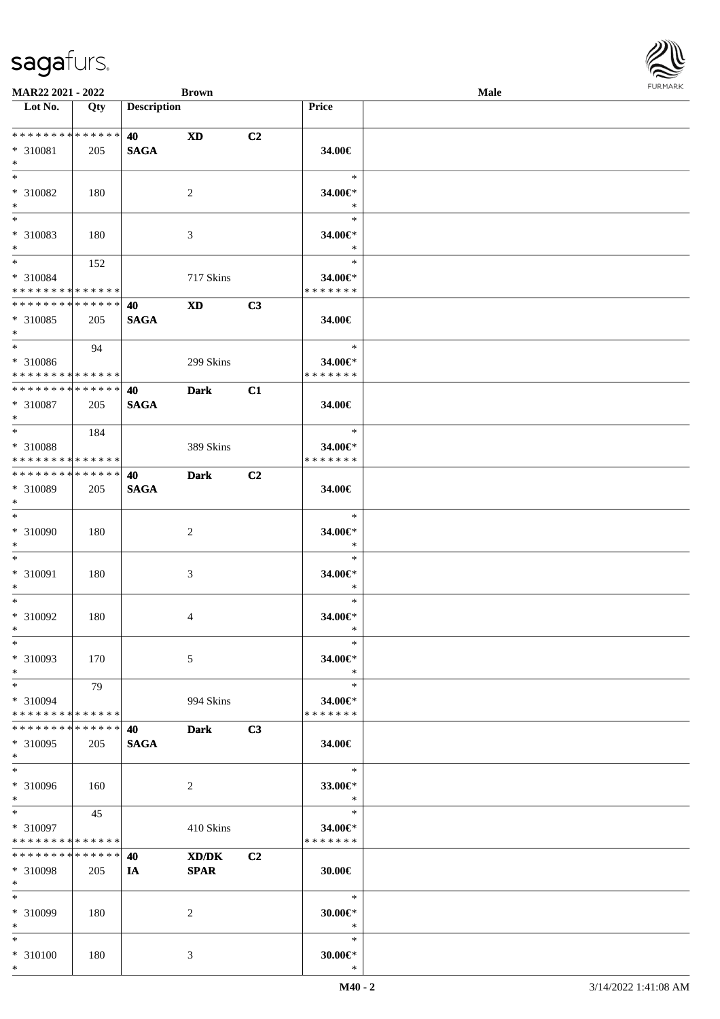\*

| <b>MAR22 2021 - 2022</b>                                       |             |                          | <b>Brown</b>   |                |                         | Male |  |
|----------------------------------------------------------------|-------------|--------------------------|----------------|----------------|-------------------------|------|--|
| Lot No.                                                        | Qty         | <b>Description</b>       |                |                | Price                   |      |  |
| ******** <mark>******</mark>                                   |             |                          |                |                |                         |      |  |
| * 310081                                                       | 205         | <b>40</b><br><b>SAGA</b> | <b>XD</b>      | C <sub>2</sub> | 34.00€                  |      |  |
| $\ast$                                                         |             |                          |                |                |                         |      |  |
| $*$                                                            |             |                          |                |                | $\ast$                  |      |  |
| * 310082                                                       | 180         |                          | $\overline{2}$ |                | 34.00€*                 |      |  |
| $*$                                                            |             |                          |                |                | $\ast$                  |      |  |
|                                                                |             |                          |                |                | $\ast$                  |      |  |
| * 310083                                                       | 180         |                          | 3              |                | 34.00€*                 |      |  |
| $*$<br>$*$                                                     |             |                          |                |                | $\ast$<br>$\ast$        |      |  |
| * 310084                                                       | 152         |                          | 717 Skins      |                | 34.00€*                 |      |  |
| * * * * * * * * * * * * * *                                    |             |                          |                |                | * * * * * * *           |      |  |
| * * * * * * * * <mark>* * * * * * *</mark>                     |             | 40                       | <b>XD</b>      | C3             |                         |      |  |
| * 310085                                                       | 205         | <b>SAGA</b>              |                |                | 34.00€                  |      |  |
| $*$                                                            |             |                          |                |                |                         |      |  |
| $*$                                                            | 94          |                          |                |                | $\ast$                  |      |  |
| * 310086                                                       |             |                          | 299 Skins      |                | 34.00€*                 |      |  |
| * * * * * * * * * * * * * * *<br>* * * * * * * * * * * * * * * |             |                          |                |                | * * * * * * *           |      |  |
|                                                                |             | 40                       | <b>Dark</b>    | C1             |                         |      |  |
| * 310087<br>$\ast$                                             | 205         | <b>SAGA</b>              |                |                | 34.00€                  |      |  |
| $*$ $*$                                                        | 184         |                          |                |                | $\ast$                  |      |  |
| * 310088                                                       |             |                          | 389 Skins      |                | 34.00€*                 |      |  |
| * * * * * * * * * * * * * *                                    |             |                          |                |                | * * * * * * *           |      |  |
| * * * * * * * * * * * * * * *                                  |             | 40                       | <b>Dark</b>    | C2             |                         |      |  |
| * 310089                                                       | 205         | <b>SAGA</b>              |                |                | 34.00€                  |      |  |
| $*$                                                            |             |                          |                |                |                         |      |  |
| $*$                                                            |             |                          |                |                | $\ast$                  |      |  |
| * 310090<br>$*$                                                | 180         |                          | $\overline{2}$ |                | 34.00€*<br>$\ast$       |      |  |
| $*$                                                            |             |                          |                |                | $\ast$                  |      |  |
| * 310091                                                       | 180         |                          | 3              |                | 34.00€*                 |      |  |
| $\ast$                                                         |             |                          |                |                | $\ast$                  |      |  |
| $*$                                                            |             |                          |                |                | $\ast$                  |      |  |
| * 310092                                                       | 180         |                          | $\overline{4}$ |                | 34.00€*                 |      |  |
| $*$                                                            |             |                          |                |                | $\ast$                  |      |  |
| $\ast$<br>* 310093                                             | 170         |                          |                |                | ∗<br>34.00€*            |      |  |
| $*$                                                            |             |                          | 5              |                | $\ast$                  |      |  |
| $*$                                                            | 79          |                          |                |                | $\ast$                  |      |  |
| * 310094                                                       |             |                          | 994 Skins      |                | 34.00€*                 |      |  |
| * * * * * * * * * * * * * *                                    |             |                          |                |                | * * * * * * *           |      |  |
| * * * * * * * *                                                | * * * * * * | 40                       | <b>Dark</b>    | C3             |                         |      |  |
| * 310095                                                       | 205         | <b>SAGA</b>              |                |                | 34.00€                  |      |  |
| $*$<br>$\ast$                                                  |             |                          |                |                | $\ast$                  |      |  |
| * 310096                                                       |             |                          |                |                |                         |      |  |
| $*$                                                            | 160         |                          | 2              |                | 33.00€*<br>$\ast$       |      |  |
| $*$                                                            | 45          |                          |                |                | $\ast$                  |      |  |
| * 310097                                                       |             |                          | 410 Skins      |                | 34.00€*                 |      |  |
| * * * * * * * * * * * * * *                                    |             |                          |                |                | * * * * * * *           |      |  |
| * * * * * * * *                                                | * * * * * * | 40                       | XD/DK          | C <sub>2</sub> |                         |      |  |
| * 310098                                                       | 205         | IA                       | <b>SPAR</b>    |                | 30.00€                  |      |  |
| $*$                                                            |             |                          |                |                | $\ast$                  |      |  |
| $*$<br>* 310099                                                |             |                          |                |                |                         |      |  |
| $*$                                                            | 180         |                          | 2              |                | $30.00 \in$ *<br>$\ast$ |      |  |
| $*$                                                            |             |                          |                |                | $\ast$                  |      |  |
| * 310100                                                       | 180         |                          | 3              |                | $30.00 \in$ *           |      |  |
| $\ast$                                                         |             |                          |                |                | $\ast$                  |      |  |

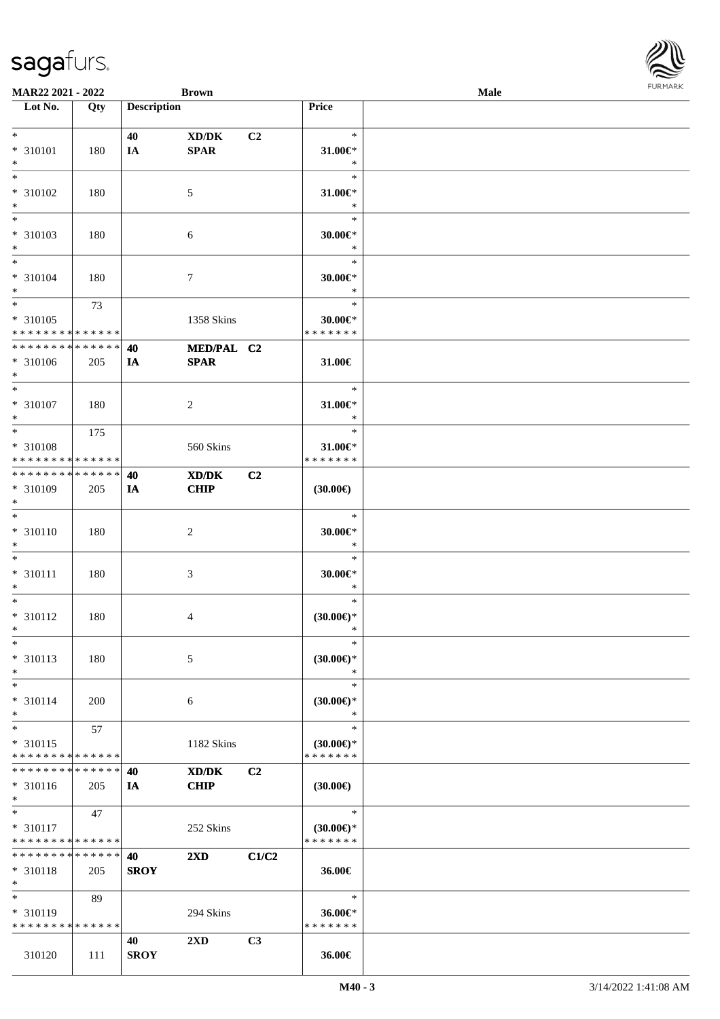| <b>MAR22 2021 - 2022</b>                   |     |                    | <b>Brown</b>            |                |                        | Male |  |
|--------------------------------------------|-----|--------------------|-------------------------|----------------|------------------------|------|--|
| Lot No.                                    | Qty | <b>Description</b> |                         |                | Price                  |      |  |
|                                            |     |                    |                         |                |                        |      |  |
| $*$                                        |     | 40                 | XD/DK                   | C <sub>2</sub> | $\ast$                 |      |  |
| * 310101                                   | 180 | IA                 | <b>SPAR</b>             |                | $31.00 \in$ *          |      |  |
| $*$                                        |     |                    |                         |                | $\ast$                 |      |  |
|                                            |     |                    |                         |                | $\ast$                 |      |  |
|                                            |     |                    |                         |                |                        |      |  |
| * 310102                                   | 180 |                    | 5                       |                | $31.00 \in$ *          |      |  |
| $*$                                        |     |                    |                         |                | $\ast$                 |      |  |
|                                            |     |                    |                         |                | $\ast$                 |      |  |
| * 310103                                   | 180 |                    | 6                       |                | $30.00 \in$ *          |      |  |
| $*$                                        |     |                    |                         |                | $\ast$                 |      |  |
| $\ddot{x}$                                 |     |                    |                         |                | $\ast$                 |      |  |
| * 310104                                   | 180 |                    |                         |                | $30.00 \in$ *          |      |  |
| $*$                                        |     |                    | 7                       |                | $\ast$                 |      |  |
| $*$                                        |     |                    |                         |                | $\ast$                 |      |  |
|                                            | 73  |                    |                         |                |                        |      |  |
| * 310105                                   |     |                    | 1358 Skins              |                | $30.00 \in$ *          |      |  |
| * * * * * * * * * * * * * *                |     |                    |                         |                | * * * * * * *          |      |  |
| * * * * * * * * <mark>* * * * * * *</mark> |     | 40                 | MED/PAL C2              |                |                        |      |  |
| * 310106                                   | 205 | IA                 | <b>SPAR</b>             |                | 31.00€                 |      |  |
| $*$                                        |     |                    |                         |                |                        |      |  |
| $*$                                        |     |                    |                         |                | $\ast$                 |      |  |
| * 310107                                   |     |                    |                         |                | $31.00 \in$ *          |      |  |
|                                            | 180 |                    | 2                       |                | $\ast$                 |      |  |
| $*$                                        |     |                    |                         |                |                        |      |  |
| $*$                                        | 175 |                    |                         |                | $\ast$                 |      |  |
| * 310108                                   |     |                    | 560 Skins               |                | $31.00 \in$ *          |      |  |
| * * * * * * * * * * * * * *                |     |                    |                         |                | * * * * * * *          |      |  |
| * * * * * * * * <mark>* * * * * *</mark>   |     | 40                 | XD/DK                   | C <sub>2</sub> |                        |      |  |
| * 310109                                   | 205 | IA                 | <b>CHIP</b>             |                | (30.00)                |      |  |
| $*$                                        |     |                    |                         |                |                        |      |  |
| $\overline{\ }$                            |     |                    |                         |                | $\ast$                 |      |  |
| * 310110                                   | 180 |                    |                         |                | $30.00 \in$ *          |      |  |
|                                            |     |                    | $\overline{c}$          |                | $\ast$                 |      |  |
| $*$                                        |     |                    |                         |                |                        |      |  |
| $*$                                        |     |                    |                         |                | $\ast$                 |      |  |
| * 310111                                   | 180 |                    | 3                       |                | $30.00 \in$ *          |      |  |
| $*$                                        |     |                    |                         |                | $\ast$                 |      |  |
| $*$                                        |     |                    |                         |                | $\ast$                 |      |  |
| * 310112                                   | 180 |                    | 4                       |                | $(30.00\epsilon)$ *    |      |  |
| $*$                                        |     |                    |                         |                | $\ast$                 |      |  |
| $\ast$                                     |     |                    |                         |                | $\ast$                 |      |  |
| * 310113                                   | 180 |                    | 5                       |                | $(30.00\epsilon)$ *    |      |  |
|                                            |     |                    |                         |                |                        |      |  |
| $*$                                        |     |                    |                         |                | $\ast$                 |      |  |
| $*$                                        |     |                    |                         |                | $\ast$                 |      |  |
| * 310114                                   | 200 |                    | 6                       |                | $(30.00\varepsilon)$ * |      |  |
| $\ast$                                     |     |                    |                         |                | $\ast$                 |      |  |
| $*$                                        | 57  |                    |                         |                | $\ast$                 |      |  |
| * 310115                                   |     |                    | 1182 Skins              |                | $(30.00\epsilon)$ *    |      |  |
| * * * * * * * * * * * * * *                |     |                    |                         |                | * * * * * * *          |      |  |
| * * * * * * * * * * * * * * *              |     | 40                 | XD/DK                   | C2             |                        |      |  |
| * 310116                                   |     |                    | <b>CHIP</b>             |                | (30.00)                |      |  |
|                                            | 205 | IA                 |                         |                |                        |      |  |
| $*$                                        |     |                    |                         |                |                        |      |  |
| $*$                                        | 47  |                    |                         |                | $\ast$                 |      |  |
| * 310117                                   |     |                    | 252 Skins               |                | $(30.00\epsilon)$ *    |      |  |
| * * * * * * * * <mark>* * * * * * *</mark> |     |                    |                         |                | * * * * * * *          |      |  |
| * * * * * * * * * * * * * * *              |     | 40                 | $2\mathbf{X}\mathbf{D}$ | C1/C2          |                        |      |  |
| * 310118                                   | 205 | <b>SROY</b>        |                         |                | 36.00€                 |      |  |
| $\ast$                                     |     |                    |                         |                |                        |      |  |
| $*$                                        | 89  |                    |                         |                | $\ast$                 |      |  |
| $* 310119$                                 |     |                    | 294 Skins               |                | 36.00€*                |      |  |
| * * * * * * * * * * * * * *                |     |                    |                         |                | * * * * * * *          |      |  |
|                                            |     |                    |                         |                |                        |      |  |
|                                            |     | 40                 | $2\mathbf{X}\mathbf{D}$ | C3             |                        |      |  |
| 310120                                     | 111 | <b>SROY</b>        |                         |                | 36.00€                 |      |  |

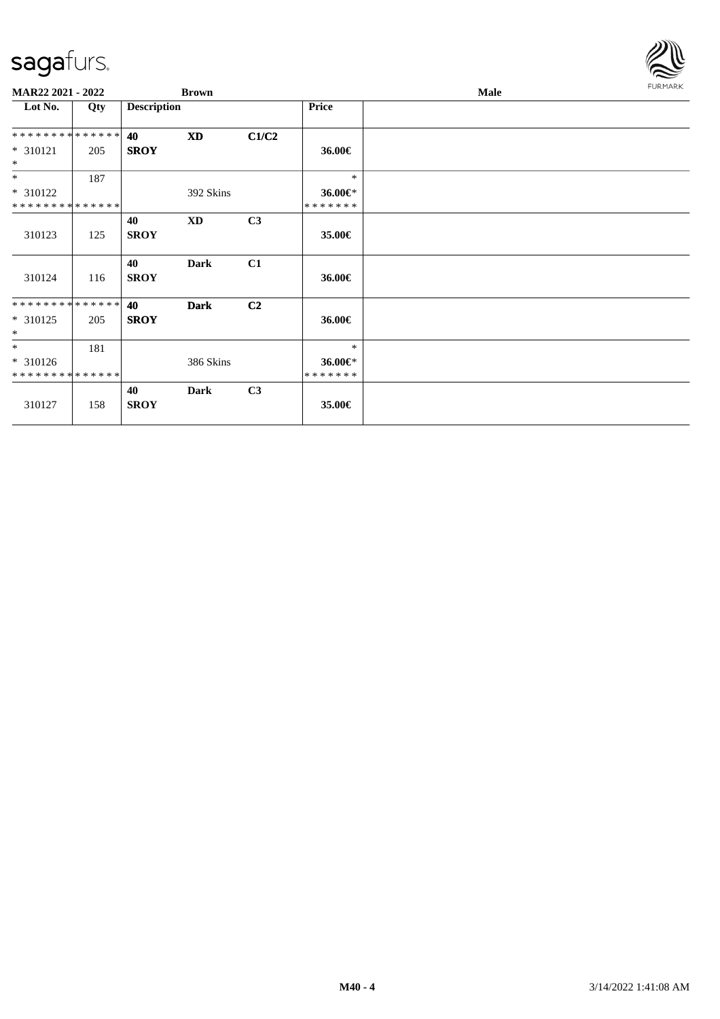

| MAR22 2021 - 2022            |     |                    | <b>Brown</b> |                |                    | Male | <b>FURMARK</b> |
|------------------------------|-----|--------------------|--------------|----------------|--------------------|------|----------------|
| Lot No.                      | Qty | <b>Description</b> |              |                | <b>Price</b>       |      |                |
| **************               |     | 40                 | <b>XD</b>    | C1/C2          |                    |      |                |
| $* 310121$<br>$\ast$         | 205 | <b>SROY</b>        |              |                | 36.00€             |      |                |
| $*$                          | 187 |                    |              |                | $*$                |      |                |
| $* 310122$<br>************** |     |                    | 392 Skins    |                | 36.00€*<br>******* |      |                |
| 310123                       | 125 | 40<br><b>SROY</b>  | <b>XD</b>    | C3             | 35.00€             |      |                |
| 310124                       | 116 | 40<br><b>SROY</b>  | <b>Dark</b>  | C1             | 36.00€             |      |                |
| **************               |     | 40                 | <b>Dark</b>  | C <sub>2</sub> |                    |      |                |
| $* 310125$<br>$\ast$         | 205 | <b>SROY</b>        |              |                | 36.00€             |      |                |
| $*$                          | 181 |                    |              |                | $\ast$             |      |                |
| $* 310126$<br>************** |     |                    | 386 Skins    |                | 36.00€*<br>******* |      |                |
| 310127                       | 158 | 40<br><b>SROY</b>  | Dark         | C3             | 35.00€             |      |                |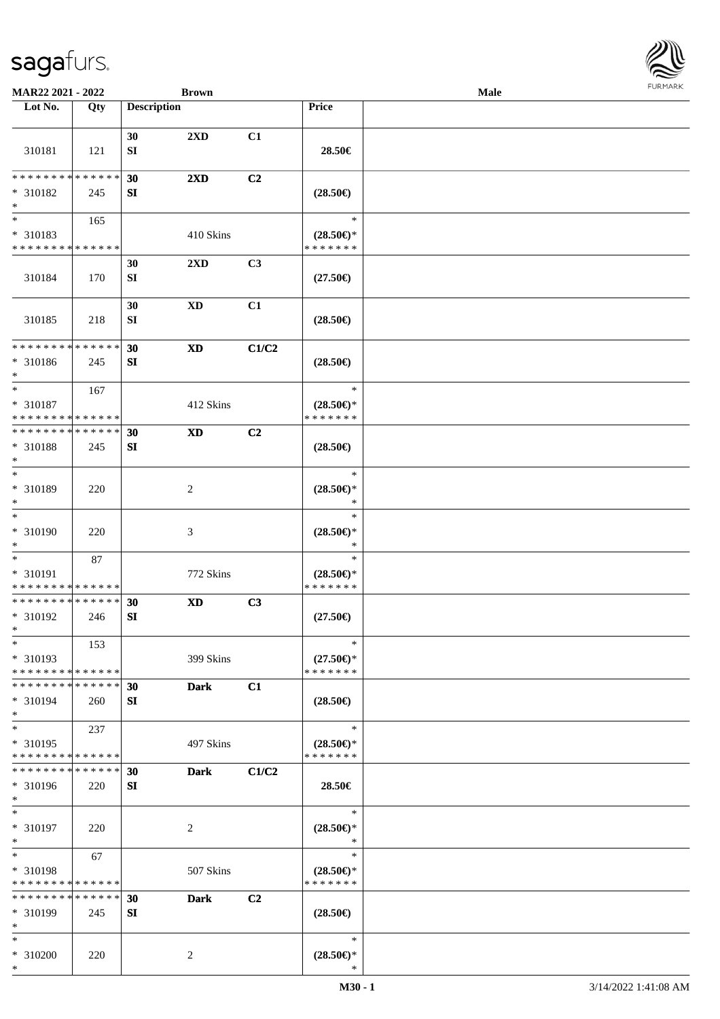

| MAR22 2021 - 2022                                                     |     |                    | <b>Brown</b>               |       |                                                                              | Male | <b>FURMARK</b> |
|-----------------------------------------------------------------------|-----|--------------------|----------------------------|-------|------------------------------------------------------------------------------|------|----------------|
| $\overline{\phantom{1}}$ Lot No.                                      | Qty | <b>Description</b> |                            |       | Price                                                                        |      |                |
| 310181                                                                | 121 | 30<br>SI           | 2XD                        | C1    | 28.50€                                                                       |      |                |
| * * * * * * * * * * * * * *<br>* 310182<br>$\ast$                     | 245 | 30<br>SI           | $2\mathbf{X}\mathbf{D}$    | C2    | $(28.50\epsilon)$                                                            |      |                |
| $\overline{\phantom{0}}$<br>* 310183<br>* * * * * * * * * * * * * *   | 165 |                    | 410 Skins                  |       | $\ast$<br>$(28.50\epsilon)$ *<br>* * * * * * *                               |      |                |
| 310184                                                                | 170 | 30<br>SI           | 2XD                        | C3    | $(27.50\epsilon)$                                                            |      |                |
| 310185                                                                | 218 | 30<br>SI           | $\mathbf{X}\mathbf{D}$     | C1    | $(28.50\epsilon)$                                                            |      |                |
| ******** <mark>******</mark><br>* 310186<br>$\ast$                    | 245 | 30<br>SI           | $\mathbf{X}\mathbf{D}$     | C1/C2 | $(28.50\epsilon)$                                                            |      |                |
| $*$<br>* 310187<br>* * * * * * * * * * * * * *                        | 167 |                    | 412 Skins                  |       | $\ast$<br>$(28.50\epsilon)$ *<br>* * * * * * *                               |      |                |
| **************<br>* 310188<br>$\ast$                                  | 245 | 30<br>SI           | $\mathbf{X}\mathbf{D}$     | C2    | $(28.50\epsilon)$                                                            |      |                |
| $\overline{\ast}$<br>$* 310189$<br>$\ast$                             | 220 |                    | $\overline{c}$             |       | $\ast$<br>$(28.50\epsilon)$ *<br>$\ast$                                      |      |                |
| $\ast$<br>$* 310190$<br>$\ast$                                        | 220 |                    | $\mathfrak{Z}$             |       | $\ast$<br>$(28.50\epsilon)$ *<br>$\ast$                                      |      |                |
| $*$<br>* 310191<br>******** <mark>******</mark>                       | 87  |                    | 772 Skins                  |       | $\ast$<br>$(28.50\mathnormal{\in}\mathcal{)^{\! \! \circ}}$<br>* * * * * * * |      |                |
| ******** <mark>******</mark><br>* 310192<br>$\ast$                    | 246 | 30<br>${\bf SI}$   | $\boldsymbol{\mathrm{XD}}$ | C3    | $(27.50\epsilon)$                                                            |      |                |
| $\ast$<br>* 310193<br>* * * * * * * * * * * * * *                     | 153 |                    | 399 Skins                  |       | $\ast$<br>$(27.50\epsilon)$ *<br>* * * * * * *                               |      |                |
| * * * * * * * * * * * * * *<br>* 310194<br>$\ast$                     | 260 | 30<br>SI           | <b>Dark</b>                | C1    | $(28.50\epsilon)$                                                            |      |                |
| $\overline{\phantom{a}^*}$<br>* 310195<br>* * * * * * * * * * * * * * | 237 |                    | 497 Skins                  |       | $\ast$<br>$(28.50\epsilon)$ *<br>* * * * * * *                               |      |                |
| * * * * * * * * * * * * * *<br>* 310196<br>$\ast$                     | 220 | 30<br>SI           | <b>Dark</b>                | C1/C2 | 28.50€                                                                       |      |                |
| $\ast$<br>$* 310197$<br>$\ast$                                        | 220 |                    | 2                          |       | $\ast$<br>$(28.50\mathnormal{\in}\mathcal{)^{\! \! \circ}}$<br>$\ast$        |      |                |
| $\ast$<br>* 310198<br>* * * * * * * * * * * * * *                     | 67  |                    | 507 Skins                  |       | $\ast$<br>$(28.50\epsilon)$ *<br>* * * * * * *                               |      |                |
| * * * * * * * * * * * * * * *<br>* 310199<br>$\ast$                   | 245 | 30<br>SI           | <b>Dark</b>                | C2    | $(28.50\epsilon)$                                                            |      |                |
| $\ast$<br>* 310200<br>$*$                                             | 220 |                    | $\overline{c}$             |       | $\ast$<br>$(28.50\mathnormal{\in}\mathcal{)^{\! \! \times}}$<br>$\ast$       |      |                |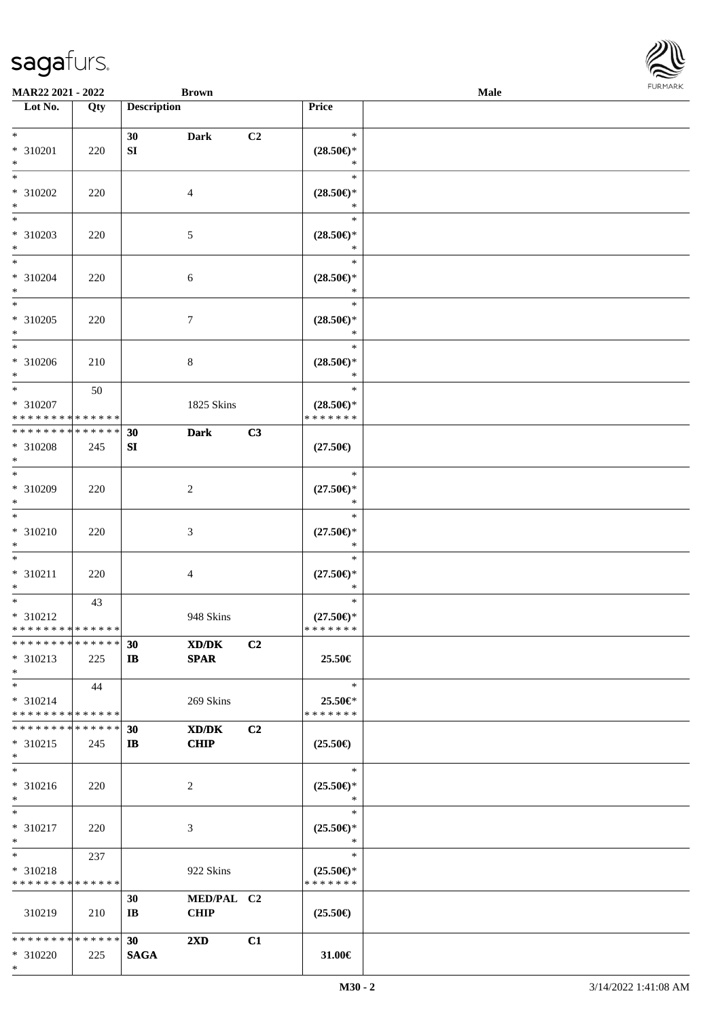| MAR22 2021 - 2022                                                         |     |                    | <b>Brown</b>              |    |                                                | Male | <b>FURMAR</b> |
|---------------------------------------------------------------------------|-----|--------------------|---------------------------|----|------------------------------------------------|------|---------------|
| $\overline{\phantom{1}}$ Lot No.                                          | Qty | <b>Description</b> |                           |    | Price                                          |      |               |
| $*$<br>$* 310201$<br>$\ast$                                               | 220 | 30<br>SI           | <b>Dark</b>               | C2 | $\ast$<br>$(28.50\epsilon)$ *<br>$\ast$        |      |               |
| $\ast$<br>* 310202<br>$\ast$                                              | 220 |                    | $\overline{4}$            |    | $\ast$<br>$(28.50\epsilon)$ *<br>$\ast$        |      |               |
| $\frac{1}{1}$<br>* 310203<br>$\ast$                                       | 220 |                    | $\sqrt{5}$                |    | $\ast$<br>$(28.50\epsilon)$ *<br>$\ast$        |      |               |
| $\ast$<br>* 310204<br>$\ast$                                              | 220 |                    | $\sqrt{6}$                |    | $\ast$<br>$(28.50\epsilon)$ *<br>$\ast$        |      |               |
| $\ast$<br>* 310205<br>$\ast$                                              | 220 |                    | $\boldsymbol{7}$          |    | $\ast$<br>$(28.50\epsilon)$ *<br>$\ast$        |      |               |
| $\ast$<br>* 310206<br>$\ast$                                              | 210 |                    | $8\,$                     |    | $\ast$<br>$(28.50\epsilon)$ *<br>$\ast$        |      |               |
| $\ast$<br>* 310207<br>**************                                      | 50  |                    | 1825 Skins                |    | $\ast$<br>$(28.50\epsilon)$ *<br>* * * * * * * |      |               |
| **************<br>* 310208<br>$\ast$<br>$_{*}$                            | 245 | 30<br>SI           | <b>Dark</b>               | C3 | $(27.50\epsilon)$                              |      |               |
| * 310209<br>$\ast$<br>$\overline{\phantom{0}}$                            | 220 |                    | $\sqrt{2}$                |    | $\ast$<br>$(27.50\epsilon)$ *<br>$\ast$        |      |               |
| * 310210<br>$\ast$                                                        | 220 |                    | $\sqrt{3}$                |    | $\ast$<br>$(27.50\epsilon)$ *<br>$\ast$        |      |               |
| $\ast$<br>$* 310211$<br>$\ast$                                            | 220 |                    | $\overline{4}$            |    | $\ast$<br>$(27.50\epsilon)$ *<br>$\ast$        |      |               |
| $\overline{\phantom{a}^*}$<br>$* 310212$<br>* * * * * * * * * * * * * * * | 43  |                    | 948 Skins                 |    | $\ast$<br>$(27.50\epsilon)$ *<br>* * * * * * * |      |               |
| **************<br>$* 310213$<br>$\ast$                                    | 225 | 30<br>$\mathbf{I}$ | XD/DK<br><b>SPAR</b>      | C2 | 25.50€                                         |      |               |
| $\ast$<br>$* 310214$<br>******** <mark>******</mark>                      | 44  |                    | 269 Skins                 |    | $\ast$<br>25.50€*<br>* * * * * * *             |      |               |
| ******** <mark>******</mark><br>$* 310215$<br>$\ast$                      | 245 | 30<br>$\mathbf{I}$ | XD/DK<br><b>CHIP</b>      | C2 | $(25.50\epsilon)$                              |      |               |
| $\overline{\phantom{1}}$<br>$* 310216$<br>$\ast$                          | 220 |                    | 2                         |    | $\ast$<br>$(25.50\epsilon)$ *<br>$\ast$        |      |               |
| $\ast$<br>* 310217<br>$\ast$                                              | 220 |                    | 3                         |    | $\ast$<br>$(25.50\epsilon)$ *<br>$\ast$        |      |               |
| $\ast$<br>* 310218<br>* * * * * * * * * * * * * *                         | 237 |                    | 922 Skins                 |    | $\ast$<br>$(25.50\epsilon)$ *<br>* * * * * * * |      |               |
| 310219                                                                    | 210 | 30<br>IB           | MED/PAL C2<br><b>CHIP</b> |    | $(25.50\epsilon)$                              |      |               |
| ******** <mark>******</mark><br>* 310220<br>$*$                           | 225 | 30<br><b>SAGA</b>  | $2\mathbf{X}\mathbf{D}$   | C1 | 31.00€                                         |      |               |

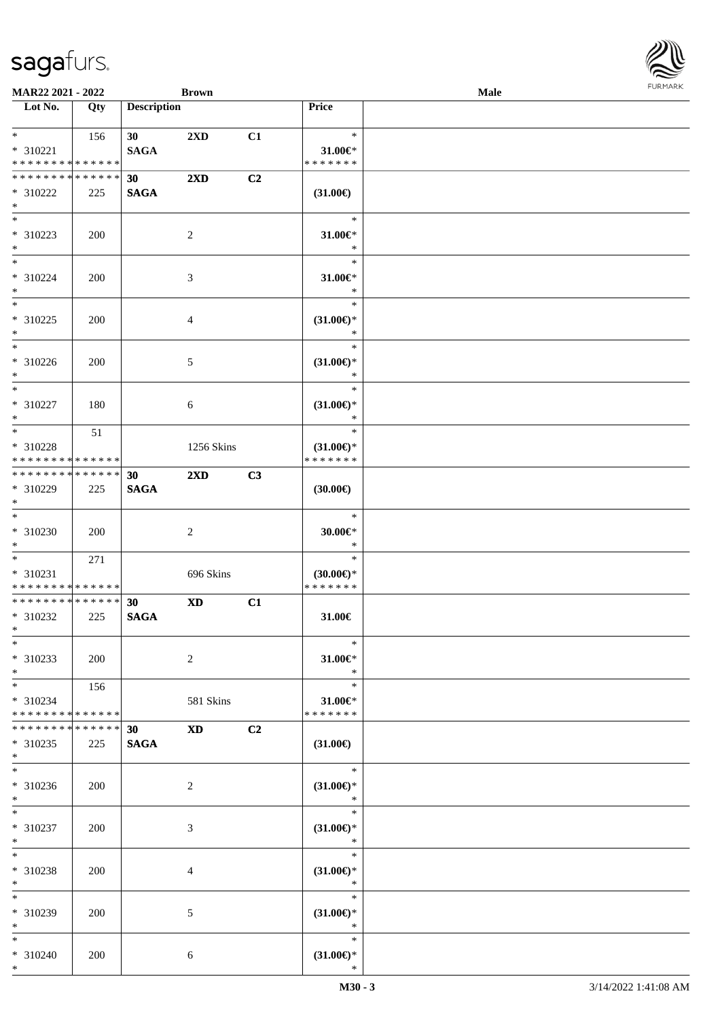| <b>MAR22 2021 - 2022</b>                                        |            |                                | <b>Brown</b>            |    |                                                | <b>Male</b> |  |
|-----------------------------------------------------------------|------------|--------------------------------|-------------------------|----|------------------------------------------------|-------------|--|
| Lot No.                                                         | Qty        | <b>Description</b>             |                         |    | Price                                          |             |  |
| $*$ $*$                                                         | 156        | 30 <sup>1</sup>                | $2\mathbf{X}\mathbf{D}$ | C1 | $\ast$                                         |             |  |
| * 310221<br>* * * * * * * * * * * * * *                         |            | <b>SAGA</b>                    |                         |    | 31.00€*<br>*******                             |             |  |
| * * * * * * * * <mark>* * * * * *</mark><br>* 310222<br>$\ast$  | 225        | 30 <sup>°</sup><br><b>SAGA</b> | $2\mathbf{X}\mathbf{D}$ | C2 | $(31.00\in)$                                   |             |  |
| $\overline{\ast}$<br>* 310223<br>$*$                            | 200        |                                | 2                       |    | $\ast$<br>$31.00 \in$ *<br>$\ast$              |             |  |
| $*$<br>* 310224<br>$*$                                          | 200        |                                | 3                       |    | $\ast$<br>$31.00 \in$<br>$\ast$                |             |  |
| $*$<br>* 310225<br>$\ast$                                       | 200        |                                | $\overline{4}$          |    | $\ast$<br>$(31.00\epsilon)$ *<br>$\ast$        |             |  |
| $\overline{\ast}$<br>* 310226<br>$*$                            | 200        |                                | 5                       |    | $\ast$<br>$(31.00\epsilon)$ *<br>$\ast$        |             |  |
| $*$<br>$* 310227$<br>$\ast$                                     | 180        |                                | 6                       |    | $\ast$<br>$(31.00\epsilon)$ *<br>$\ast$        |             |  |
| $*$<br>* 310228<br>* * * * * * * * <mark>* * * * * * *</mark>   | 51         |                                | 1256 Skins              |    | $\ast$<br>$(31.00\epsilon)$ *<br>* * * * * * * |             |  |
| * * * * * * * * * * * * * * *<br>* 310229<br>$*$                | 225        | 30<br><b>SAGA</b>              | $2\mathbf{X}\mathbf{D}$ | C3 | $(30.00\epsilon)$                              |             |  |
| $\overline{\ast}$<br>* 310230<br>$*$                            | <b>200</b> |                                | 2                       |    | $\ast$<br>$30.00 \in$ *<br>$\ast$              |             |  |
| $*$<br>* 310231<br>* * * * * * * * <mark>* * * * * * *</mark>   | 271        |                                | 696 Skins               |    | $\ast$<br>$(30.00\epsilon)$ *<br>*******       |             |  |
| * * * * * * * * <mark>* * * * * *</mark><br>* 310232<br>$*$ $-$ | 225        | 30<br><b>SAGA</b>              | <b>XD</b>               | C1 | 31.00€                                         |             |  |
| $\ast$<br>* 310233<br>$*$                                       | 200        |                                | $\overline{2}$          |    | $\ast$<br>$31.00 \in$ *<br>$\ast$              |             |  |
| $*$<br>* 310234<br>* * * * * * * * <mark>* * * * * * *</mark>   | 156        |                                | 581 Skins               |    | $\ast$<br>$31.00 \in$<br>* * * * * * *         |             |  |
| * * * * * * * * <mark>* * * * * *</mark><br>* 310235<br>$*$     | 225        | 30<br><b>SAGA</b>              | <b>XD</b>               | C2 | $(31.00\epsilon)$                              |             |  |
| $*$<br>* 310236<br>$*$                                          | 200        |                                | 2                       |    | $\ast$<br>$(31.00\epsilon)$ *<br>$\ast$        |             |  |
| $*$ $-$<br>* 310237<br>$*$                                      | 200        |                                | 3                       |    | $\ast$<br>$(31.00\epsilon)$ *<br>$\ast$        |             |  |
| $*$<br>* 310238<br>$*$                                          | 200        |                                | 4                       |    | $\ast$<br>$(31.00\epsilon)$ *<br>$\ast$        |             |  |
| $*$<br>* 310239<br>$*$                                          | 200        |                                | 5                       |    | $\ast$<br>$(31.00\epsilon)$ *<br>$\ast$        |             |  |
| $*$<br>* 310240<br>$*$                                          | 200        |                                | 6                       |    | $\ast$<br>$(31.00\epsilon)$ *<br>$\ast$        |             |  |

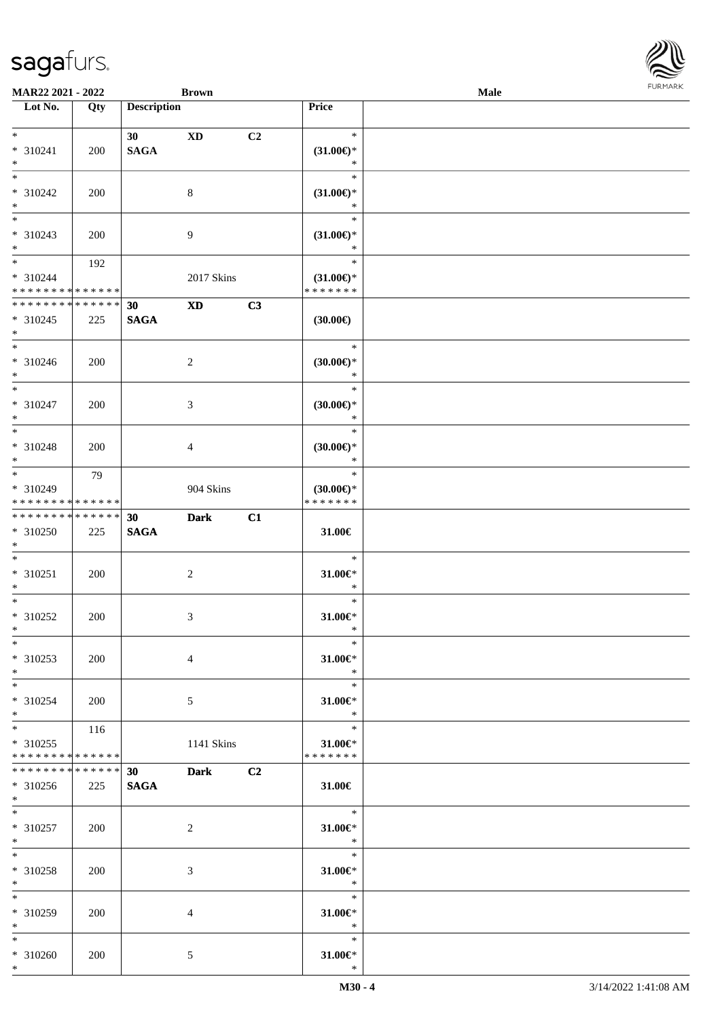**Lot No. Qty Description** 

| $\ast$                      |            | 30          | $\mathbf{X}\mathbf{D}$ | C2 | $\ast$                  |  |
|-----------------------------|------------|-------------|------------------------|----|-------------------------|--|
| $* 310241$                  | 200        | <b>SAGA</b> |                        |    | $(31.00\epsilon)$ *     |  |
| $*$                         |            |             |                        |    | $\ast$                  |  |
| $*$                         |            |             |                        |    | $\ast$                  |  |
|                             |            |             |                        |    |                         |  |
| * 310242                    | <b>200</b> |             | 8                      |    | $(31.00\epsilon)$ *     |  |
| $*$                         |            |             |                        |    | $\ast$                  |  |
| $\ast$                      |            |             |                        |    | $\ast$                  |  |
| $* 310243$                  | 200        |             | 9                      |    | $(31.00\epsilon)$ *     |  |
| $*$                         |            |             |                        |    | $\ast$                  |  |
| $\ast$                      | 192        |             |                        |    | $\ast$                  |  |
| $*310244$                   |            |             |                        |    |                         |  |
|                             |            |             | 2017 Skins             |    | $(31.00\epsilon)$ *     |  |
| * * * * * * * * * * * * * * |            |             |                        |    | * * * * * * *           |  |
| **************              |            | 30          | $\mathbf{X}\mathbf{D}$ | C3 |                         |  |
| $* 310245$                  | 225        | <b>SAGA</b> |                        |    | $(30.00\epsilon)$       |  |
| $\ast$                      |            |             |                        |    |                         |  |
| $\overline{\phantom{0}}$    |            |             |                        |    | $\ast$                  |  |
| $* 310246$                  | 200        |             | $\overline{c}$         |    | $(30.00\epsilon)$ *     |  |
| $*$                         |            |             |                        |    | $\ast$                  |  |
| $\overline{\ast}$           |            |             |                        |    |                         |  |
|                             |            |             |                        |    | $\ast$                  |  |
| $* 310247$                  | 200        |             | 3                      |    | $(30.00\epsilon)$ *     |  |
| $\ast$                      |            |             |                        |    | $\ast$                  |  |
| $\overline{\phantom{1}}$    |            |             |                        |    | $\ast$                  |  |
| $* 310248$                  | 200        |             | $\overline{4}$         |    | $(30.00\epsilon)$ *     |  |
| $*$                         |            |             |                        |    | $\ast$                  |  |
| $\overline{\phantom{a}^*}$  |            |             |                        |    | $\ast$                  |  |
|                             | 79         |             |                        |    |                         |  |
| * 310249                    |            |             | 904 Skins              |    | (30.00)                 |  |
| * * * * * * * * * * * * * * |            |             |                        |    | *******                 |  |
| **************              |            | 30          | <b>Dark</b>            | C1 |                         |  |
| $* 310250$                  | 225        | <b>SAGA</b> |                        |    | 31.00€                  |  |
| $\ast$                      |            |             |                        |    |                         |  |
| $*$                         |            |             |                        |    | $\ast$                  |  |
|                             |            |             |                        |    |                         |  |
| $* 310251$                  | 200        |             | $\overline{c}$         |    | $31.00 \in$ *           |  |
| $\ast$                      |            |             |                        |    | $\ast$                  |  |
| $\ast$                      |            |             |                        |    | $\ast$                  |  |
| * 310252                    | 200        |             | $\mathfrak{Z}$         |    | $31.00 \in$ *           |  |
| $*$                         |            |             |                        |    | $\ast$                  |  |
| $*$                         |            |             |                        |    | $\ast$                  |  |
|                             |            |             |                        |    |                         |  |
| $* 310253$                  | 200        |             | $\overline{4}$         |    | $31.00 \in$ *           |  |
| $\ast$                      |            |             |                        |    | $\ast$                  |  |
| $\overline{\phantom{0}}$    |            |             |                        |    | $\ast$                  |  |
| $* 310254$                  | 200        |             | 5                      |    | $31.00 \in$             |  |
| $*$                         |            |             |                        |    | $*$                     |  |
| $\ast$                      | 116        |             |                        |    | $\ast$                  |  |
| $*310255$                   |            |             | 1141 Skins             |    | $31.00 \in$             |  |
| **************              |            |             |                        |    | * * * * * * *           |  |
|                             |            |             |                        |    |                         |  |
| **************              |            | 30          | Dark C2                |    |                         |  |
|                             |            |             |                        |    | 31.00€                  |  |
| $*310256$                   | 225        | <b>SAGA</b> |                        |    |                         |  |
| $*$                         |            |             |                        |    |                         |  |
| $*$                         |            |             |                        |    | $\ast$                  |  |
|                             |            |             |                        |    |                         |  |
| $*310257$                   | 200        |             | $\overline{2}$         |    | 31.00€*                 |  |
| $\ast$                      |            |             |                        |    | $*$                     |  |
| $\ast$                      |            |             |                        |    | $\ast$                  |  |
|                             | 200        |             | $\mathfrak{Z}$         |    | $31.00 \in$ *           |  |
| $*$                         |            |             |                        |    | $\ast$                  |  |
| $* 310258$<br>$\ast$        |            |             |                        |    | $\ast$                  |  |
|                             |            |             |                        |    |                         |  |
| * 310259<br>$*$             | 200        |             | $\overline{4}$         |    | $31.00 \in$ *<br>$\ast$ |  |
| $\ast$                      |            |             |                        |    |                         |  |
|                             |            |             |                        |    | $*$                     |  |
| $* 310260$<br>$*$           | 200        |             | 5                      |    | 31.00€*<br>$\ast$       |  |

 $\top$ 

**MAR22 2021 - 2022 Brown**<br> **Description Price Price Male** 

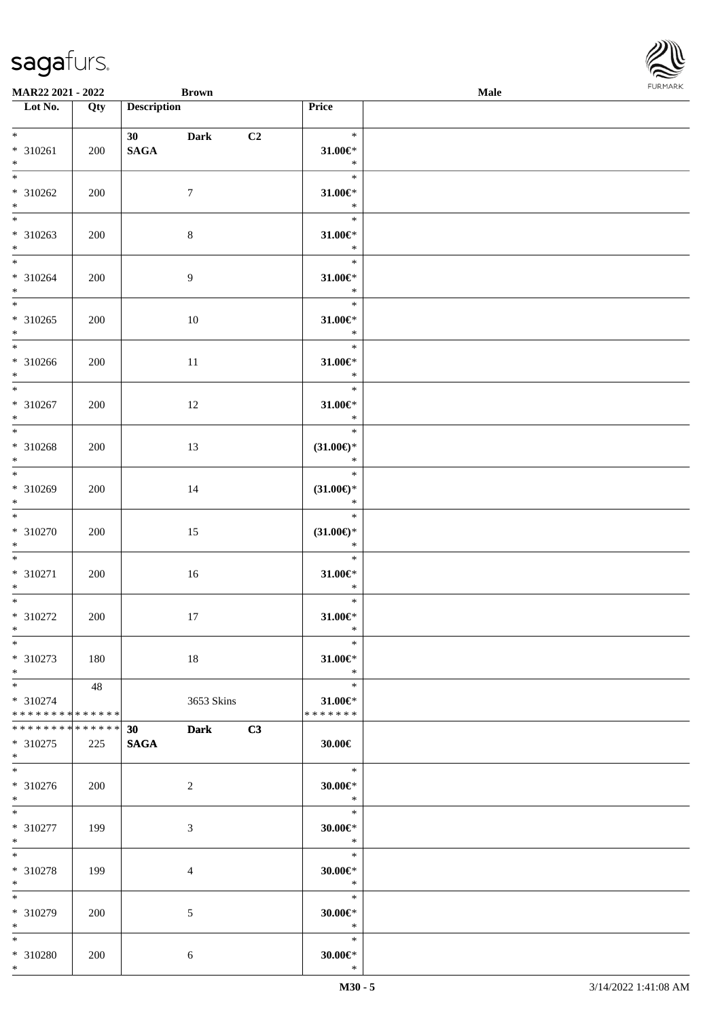| <b>MAR22 2021 - 2022</b>                           |                    | <b>Brown</b>          |             |                |                                         | Male |  |
|----------------------------------------------------|--------------------|-----------------------|-------------|----------------|-----------------------------------------|------|--|
| Lot No.                                            | Qty                | <b>Description</b>    |             |                | Price                                   |      |  |
| $*$<br>* 310261<br>$*$                             | 200                | 30<br>$\mathbf{SAGA}$ | <b>Dark</b> | C <sub>2</sub> | $\ast$<br>$31.00 \in$<br>$\ast$         |      |  |
| $\overline{\mathbf{r}}$<br>* 310262<br>$*$         | 200                | $\tau$                |             |                | $\ast$<br>$31.00 \in$ *<br>$\ast$       |      |  |
| $\overline{\phantom{0}}$<br>* 310263<br>$*$        | 200                | $\,8\,$               |             |                | $\ast$<br>$31.00 \in$ *<br>$\ast$       |      |  |
| $*$<br>$* 310264$<br>$*$                           | 200                | 9                     |             |                | $\ast$<br>$31.00 \in$ *<br>$\ast$       |      |  |
| $\overline{\ast}$<br>* 310265<br>$*$               | 200                | 10                    |             |                | $\ast$<br>$31.00 \in$ *<br>$\ast$       |      |  |
| * 310266<br>$*$<br>$\overline{\phantom{0}}$        | 200                | 11                    |             |                | $\ast$<br>$31.00 \in$ *<br>$\ast$       |      |  |
| * 310267<br>$*$<br>$*$                             | 200                | 12                    |             |                | $\ast$<br>$31.00 \in$ *<br>$\ast$       |      |  |
| * 310268<br>$*$<br>$*$                             | 200                | 13                    |             |                | $\ast$<br>$(31.00\epsilon)$ *<br>$\ast$ |      |  |
| * 310269<br>$*$                                    | 200                | 14                    |             |                | $\ast$<br>$(31.00\epsilon)$ *<br>$\ast$ |      |  |
| $*$<br>* 310270<br>$*$                             | 200                | 15                    |             |                | $\ast$<br>$(31.00\epsilon)$ *<br>$\ast$ |      |  |
| $*$<br>* 310271<br>$*$                             | 200                | 16                    |             |                | $\ast$<br>$31.00 \in$ *<br>$\ast$       |      |  |
| $\ast$<br>* 310272<br>$*$                          | 200                | 17                    |             |                | $\ast$<br>$31.00 \in$ *<br>$\ast$       |      |  |
| $\ddot{x}$<br>* 310273<br>$*$                      | 180                | 18                    |             |                | $\ast$<br>$31.00 \in$ *<br>$\ast$       |      |  |
| $*$<br>$* 310274$<br>* * * * * * * * * * * * * * * | 48                 |                       | 3653 Skins  |                | $\ast$<br>$31.00 \in$<br>* * * * * * *  |      |  |
| * * * * * * * *<br>* 310275<br>$*$                 | * * * * * *<br>225 | 30<br><b>SAGA</b>     | <b>Dark</b> | C3             | $30.00 \in$                             |      |  |
| * 310276<br>$*$                                    | 200                | 2                     |             |                | $-$<br>$30.00 \in$ *<br>$\ast$          |      |  |
| $\overline{\mathbf{r}^*}$<br>* 310277<br>$*$       | 199                | 3                     |             |                | $\ast$<br>$30.00 \in$ *<br>$\ast$       |      |  |
| $*$<br>* 310278<br>$*$                             | 199                | 4                     |             |                | $\ast$<br>$30.00 \in$ *<br>$\ast$       |      |  |
| $\overline{\mathbf{r}}$<br>* 310279<br>$*$         | 200                | 5                     |             |                | $\ast$<br>$30.00 \in$ *<br>$\ast$       |      |  |
| $\ast$<br>* 310280<br>$\ast$                       | 200                | $\sqrt{6}$            |             |                | $\ast$<br>$30.00 \in$ *<br>$\ast$       |      |  |

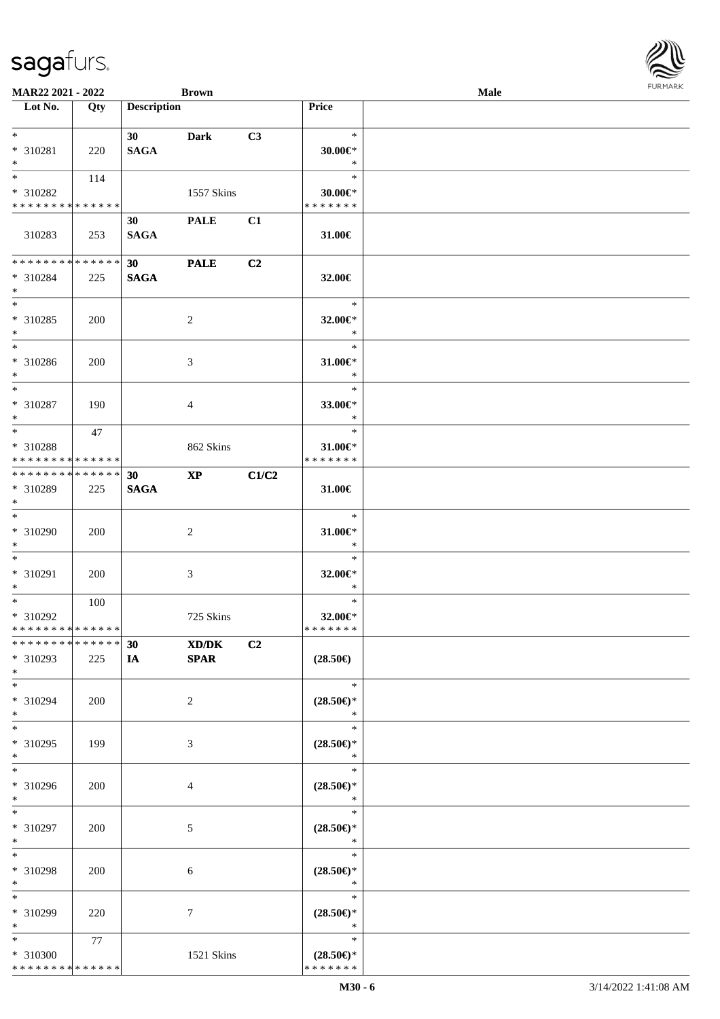| MAR22 2021 - 2022             |     |                    | <b>Brown</b>           |       |                               | Male |  |
|-------------------------------|-----|--------------------|------------------------|-------|-------------------------------|------|--|
| Lot No.                       | Qty | <b>Description</b> |                        |       | Price                         |      |  |
| $*$                           |     |                    |                        |       | $\ast$                        |      |  |
| * 310281                      |     | 30<br><b>SAGA</b>  | <b>Dark</b>            | C3    | $30.00 \in$ *                 |      |  |
| $*$                           | 220 |                    |                        |       | $\ast$                        |      |  |
| $*$                           | 114 |                    |                        |       | $\ast$                        |      |  |
| * 310282                      |     |                    | 1557 Skins             |       | $30.00 \in$ *                 |      |  |
| * * * * * * * * * * * * * *   |     |                    |                        |       | * * * * * * *                 |      |  |
|                               |     | 30                 | <b>PALE</b>            | C1    |                               |      |  |
| 310283                        | 253 | <b>SAGA</b>        |                        |       |                               |      |  |
|                               |     |                    |                        |       | 31.00€                        |      |  |
| * * * * * * * * * * * * * *   |     | 30                 | <b>PALE</b>            | C2    |                               |      |  |
| * 310284                      | 225 | <b>SAGA</b>        |                        |       | 32.00€                        |      |  |
| $*$                           |     |                    |                        |       |                               |      |  |
| $*$                           |     |                    |                        |       | $\ast$                        |      |  |
| * 310285                      | 200 |                    | $\overline{c}$         |       | 32.00€*                       |      |  |
| $*$                           |     |                    |                        |       | $\ast$                        |      |  |
| $\overline{\phantom{0}}$      |     |                    |                        |       | $\ast$                        |      |  |
| $* 310286$                    | 200 |                    | 3                      |       | $31.00 \in$ *                 |      |  |
| $*$                           |     |                    |                        |       | $\ast$                        |      |  |
| $\overline{\phantom{0}}$      |     |                    |                        |       | $\ast$                        |      |  |
| $* 310287$                    | 190 |                    | 4                      |       | 33.00€*                       |      |  |
| $*$                           |     |                    |                        |       | $\ast$                        |      |  |
| $*$                           | 47  |                    |                        |       | $\ast$                        |      |  |
| * 310288                      |     |                    | 862 Skins              |       | $31.00 \in$                   |      |  |
| * * * * * * * * * * * * * *   |     |                    |                        |       | * * * * * * *                 |      |  |
| * * * * * * * * * * * * * * * |     | 30                 | $\mathbf{X}\mathbf{P}$ | C1/C2 |                               |      |  |
| * 310289                      | 225 | <b>SAGA</b>        |                        |       | 31.00€                        |      |  |
| $*$                           |     |                    |                        |       |                               |      |  |
| $*$                           |     |                    |                        |       | $\ast$                        |      |  |
| $* 310290$                    | 200 |                    | 2                      |       | $31.00 \in$ *                 |      |  |
| $*$                           |     |                    |                        |       | $\ast$                        |      |  |
| $*$                           |     |                    |                        |       | $\ast$                        |      |  |
| * 310291                      | 200 |                    | 3                      |       | 32.00€*                       |      |  |
| $*$                           |     |                    |                        |       | $\ast$                        |      |  |
| $*$                           | 100 |                    |                        |       | $\ast$                        |      |  |
| $* 310292$                    |     |                    | 725 Skins              |       | 32.00€*                       |      |  |
| * * * * * * * * * * * * * *   |     |                    |                        |       | * * * * * * *                 |      |  |
| * * * * * * * * * * * * * * * |     | 30                 | XD/DK                  | C2    |                               |      |  |
| * 310293                      | 225 | IA                 | <b>SPAR</b>            |       | $(28.50\epsilon)$             |      |  |
| $*$                           |     |                    |                        |       |                               |      |  |
| $*$                           |     |                    |                        |       | $\ast$                        |      |  |
| * 310294                      | 200 |                    | 2                      |       | $(28.50\epsilon)$ *           |      |  |
| $*$<br>$*$                    |     |                    |                        |       | $\ast$                        |      |  |
|                               |     |                    |                        |       | $\ast$                        |      |  |
| * 310295<br>$*$               | 199 |                    | 3                      |       | $(28.50\epsilon)$ *<br>$\ast$ |      |  |
| $*$                           |     |                    |                        |       | $\ast$                        |      |  |
|                               |     |                    |                        |       |                               |      |  |
| * 310296<br>$*$               | 200 |                    | 4                      |       | $(28.50\epsilon)$ *<br>$\ast$ |      |  |
| $*$                           |     |                    |                        |       | $\ast$                        |      |  |
| * 310297                      | 200 |                    | 5                      |       | $(28.50\epsilon)$ *           |      |  |
| $*$                           |     |                    |                        |       | $\ast$                        |      |  |
| $*$                           |     |                    |                        |       | $\ast$                        |      |  |
| * 310298                      | 200 |                    | 6                      |       | $(28.50\epsilon)$ *           |      |  |
| $*$                           |     |                    |                        |       | $\ast$                        |      |  |
| $*$                           |     |                    |                        |       | $\ast$                        |      |  |
| * 310299                      | 220 |                    | $\tau$                 |       | $(28.50\epsilon)$ *           |      |  |
| $*$                           |     |                    |                        |       | $\ast$                        |      |  |
| $*$                           | 77  |                    |                        |       | $\ast$                        |      |  |
| * 310300                      |     |                    | 1521 Skins             |       | $(28.50\epsilon)$ *           |      |  |
| * * * * * * * * * * * * * *   |     |                    |                        |       | * * * * * * *                 |      |  |
|                               |     |                    |                        |       |                               |      |  |

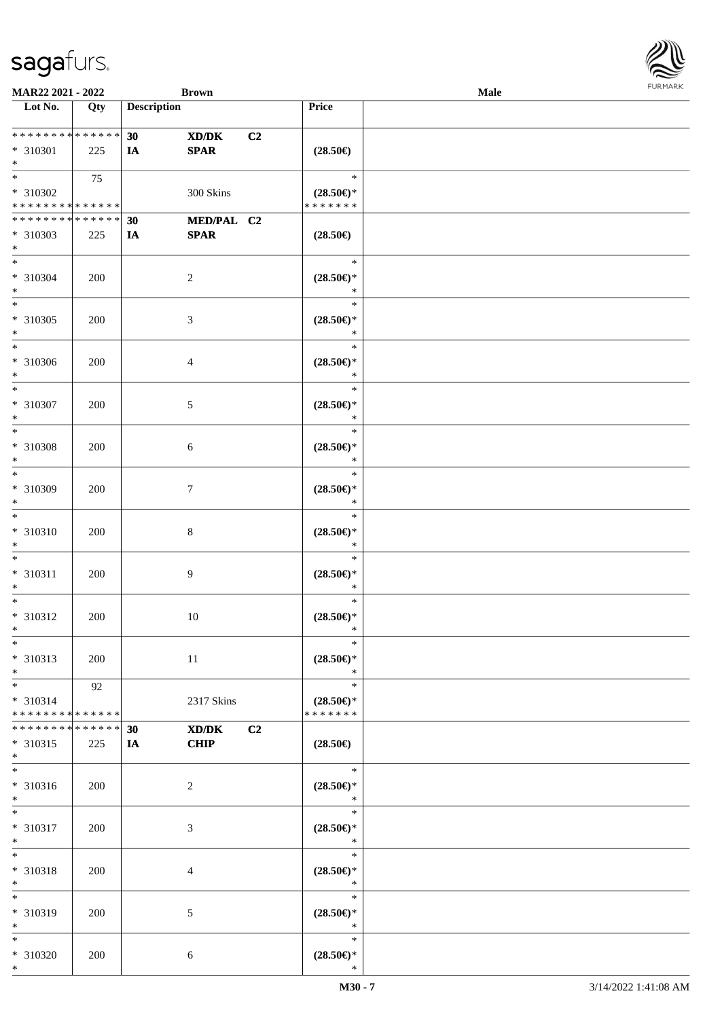

| MAR22 2021 - 2022             |     |                    | <b>Brown</b>   |                |                                                    | Male |
|-------------------------------|-----|--------------------|----------------|----------------|----------------------------------------------------|------|
| Lot No.                       | Qty | <b>Description</b> |                |                | Price                                              |      |
|                               |     |                    |                |                |                                                    |      |
|                               |     | 30                 | XD/DK          | C <sub>2</sub> |                                                    |      |
| * 310301                      | 225 | IA                 | <b>SPAR</b>    |                | $(28.50\in)$                                       |      |
| $\ast$                        |     |                    |                |                |                                                    |      |
| $*$                           | 75  |                    |                |                | $\ast$                                             |      |
|                               |     |                    |                |                |                                                    |      |
| * 310302                      |     |                    | 300 Skins      |                | $(28.50\epsilon)$ *                                |      |
| * * * * * * * * * * * * * *   |     |                    |                |                | * * * * * * *                                      |      |
| * * * * * * * * * * * * * *   |     | 30                 | MED/PAL C2     |                |                                                    |      |
| * 310303                      | 225 | IA                 | <b>SPAR</b>    |                | $(28.50\epsilon)$                                  |      |
| $*$                           |     |                    |                |                |                                                    |      |
| $*$                           |     |                    |                |                | $\ast$                                             |      |
| * 310304                      | 200 |                    | $\overline{c}$ |                | $(28.50\mathnormal{\in}\mathcal{)^{\! \! \times}}$ |      |
| $\ast$                        |     |                    |                |                | $\ast$                                             |      |
| $\ast$                        |     |                    |                |                | $\ast$                                             |      |
| $* 310305$                    | 200 |                    | $\mathfrak{Z}$ |                | $(28.50\mathnormal{\in}\mathcal{)^{\! \! \times}}$ |      |
| $\ast$                        |     |                    |                |                | $\ast$                                             |      |
| $\overline{\phantom{a}^*}$    |     |                    |                |                | $\ast$                                             |      |
|                               |     |                    |                |                |                                                    |      |
| $* 310306$                    | 200 |                    | $\overline{4}$ |                | $(28.50\mathnormal{\in}\mathcal{)^{\! \! \times}}$ |      |
| $\ast$                        |     |                    |                |                | $\ast$                                             |      |
| $\ast$                        |     |                    |                |                | $\ast$                                             |      |
| $* 310307$                    | 200 |                    | 5              |                | $(28.50\epsilon)$ *                                |      |
| $\ast$                        |     |                    |                |                | $\ast$                                             |      |
| $\ast$                        |     |                    |                |                | $\ast$                                             |      |
| * 310308                      | 200 |                    | 6              |                | $(28.50\epsilon)$ *                                |      |
| $\ast$                        |     |                    |                |                | $\ast$                                             |      |
| $\ast$                        |     |                    |                |                | $\ast$                                             |      |
| * 310309                      | 200 |                    | 7              |                | $(28.50\in)\!\!^*$                                 |      |
| $\ast$                        |     |                    |                |                | $\ast$                                             |      |
| $\ast$                        |     |                    |                |                | $\ast$                                             |      |
| * 310310                      | 200 |                    | $\,8\,$        |                | $(28.50\mathnormal{\in}\mathcal{)^{\! \! \times}}$ |      |
| $\ast$                        |     |                    |                |                | $\ast$                                             |      |
| $\ast$                        |     |                    |                |                | $\ast$                                             |      |
|                               |     |                    |                |                |                                                    |      |
| * 310311                      | 200 |                    | 9              |                | $(28.50\mathnormal{\in}\mathcal{)^{\! \! \times}}$ |      |
| $\ast$                        |     |                    |                |                | $\ast$                                             |      |
| $\ast$                        |     |                    |                |                | $\ast$                                             |      |
| * 310312                      | 200 |                    | $10\,$         |                | $(28.50\epsilon)$ *                                |      |
| $*$                           |     |                    |                |                | $\ast$                                             |      |
| $*$                           |     |                    |                |                | $\ast$                                             |      |
| $* 310313$                    | 200 |                    | 11             |                | $(28.50\epsilon)$ *                                |      |
| $\ast$                        |     |                    |                |                | $\ast$                                             |      |
| $*$                           | 92  |                    |                |                | $\ast$                                             |      |
| * 310314                      |     |                    | 2317 Skins     |                | $(28.50\epsilon)$ *                                |      |
| * * * * * * * * * * * * * *   |     |                    |                |                | * * * * * * *                                      |      |
| * * * * * * * * * * * * * * * |     | 30                 | XD/DK          | C2             |                                                    |      |
| * 310315                      | 225 | IA                 | <b>CHIP</b>    |                | $(28.50\epsilon)$                                  |      |
| $*$                           |     |                    |                |                |                                                    |      |
| $\overline{\phantom{0}}$      |     |                    |                |                | $\ast$                                             |      |
| * 310316                      | 200 |                    |                |                | $(28.50\mathnormal{\in}\mathcal{)^{\! \! \circ}}$  |      |
| $*$                           |     |                    | $\overline{c}$ |                | $\ast$                                             |      |
| $*$                           |     |                    |                |                | $\ast$                                             |      |
|                               |     |                    |                |                |                                                    |      |
| * 310317                      | 200 |                    | 3              |                | $(28.50\mathnormal{\in}\mathcal{)^{\! \! \circ}}$  |      |
| $*$                           |     |                    |                |                | $\ast$                                             |      |
| $\ast$                        |     |                    |                |                | $\ast$                                             |      |
| * 310318                      | 200 |                    | 4              |                | $(28.50\mathnormal{\in}\mathcal{)^{\! \! \circ}}$  |      |
| $\ast$                        |     |                    |                |                | $\ast$                                             |      |
| $\ast$                        |     |                    |                |                | $\ast$                                             |      |
| * 310319                      | 200 |                    | 5              |                | $(28.50\epsilon)$ *                                |      |
| $\ast$                        |     |                    |                |                | $\ast$                                             |      |
| $*$                           |     |                    |                |                | $\ast$                                             |      |
| * 310320                      | 200 |                    | 6              |                | $(28.50\mathnormal{\in}\mathcal{)^{\! \! \times}}$ |      |
| $*$                           |     |                    |                |                | $\ast$                                             |      |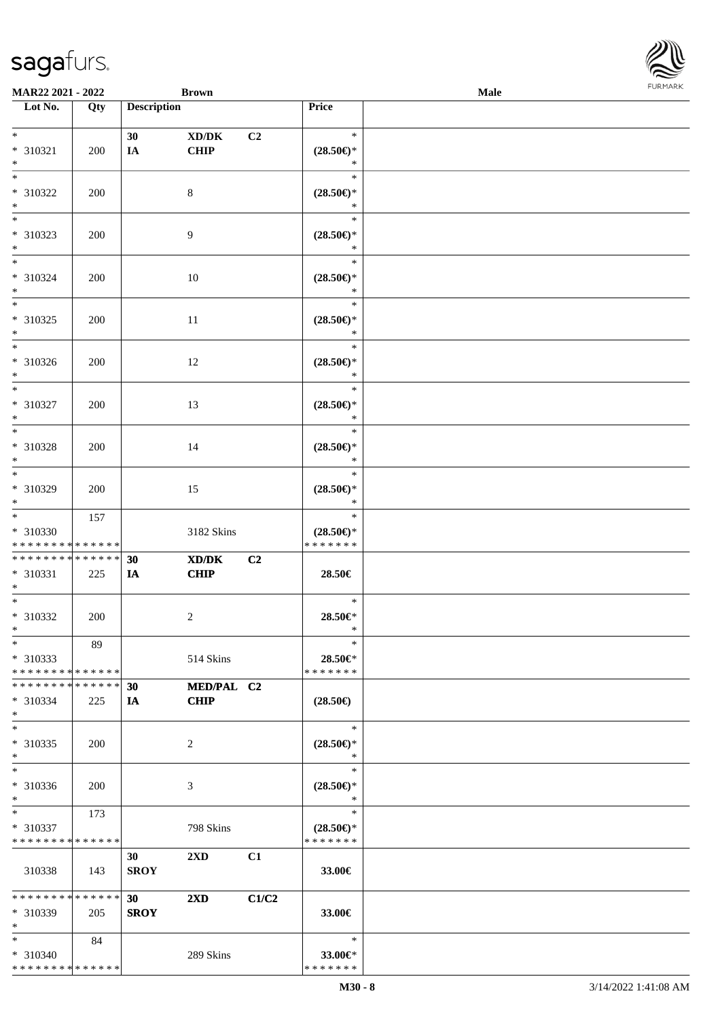| MAR22 2021 - 2022                       |     |                    | <b>Brown</b>                        |                |                                      | <b>Male</b> |  |
|-----------------------------------------|-----|--------------------|-------------------------------------|----------------|--------------------------------------|-------------|--|
| Lot No.                                 | Qty | <b>Description</b> |                                     |                | Price                                |             |  |
|                                         |     |                    |                                     |                |                                      |             |  |
| $*$                                     |     | 30                 | $\bold{X}\bold{D}/\bold{D}\bold{K}$ | C2             | $\ast$                               |             |  |
| $* 310321$                              | 200 | IA                 | CHIP                                |                | $(28.50\epsilon)$ *                  |             |  |
| $*$                                     |     |                    |                                     |                | $\ast$                               |             |  |
| $*$                                     |     |                    |                                     |                | $\ast$                               |             |  |
| * 310322                                |     |                    |                                     |                | $(28.50\epsilon)$ *                  |             |  |
| $*$                                     | 200 |                    | 8                                   |                | $\ast$                               |             |  |
| $\overline{\phantom{0}}$                |     |                    |                                     |                |                                      |             |  |
|                                         |     |                    |                                     |                | $\ast$                               |             |  |
| * 310323                                | 200 |                    | 9                                   |                | $(28.50\epsilon)$ *                  |             |  |
| $*$                                     |     |                    |                                     |                | $\ast$                               |             |  |
| $*$                                     |     |                    |                                     |                | $\ast$                               |             |  |
| $* 310324$                              | 200 |                    | 10                                  |                | $(28.50\epsilon)$ *                  |             |  |
| $*$                                     |     |                    |                                     |                | $\ast$                               |             |  |
| $*$                                     |     |                    |                                     |                | $\ast$                               |             |  |
| $* 310325$                              | 200 |                    | 11                                  |                | $(28.50\epsilon)$ *                  |             |  |
| $*$                                     |     |                    |                                     |                | $\ast$                               |             |  |
| $*$                                     |     |                    |                                     |                | $\ast$                               |             |  |
| $* 310326$                              | 200 |                    | 12                                  |                | $(28.50\epsilon)$ *                  |             |  |
| $*$                                     |     |                    |                                     |                | $\ast$                               |             |  |
| $*$                                     |     |                    |                                     |                | $\ast$                               |             |  |
|                                         |     |                    |                                     |                |                                      |             |  |
| $* 310327$                              | 200 |                    | 13                                  |                | $(28.50\epsilon)$ *                  |             |  |
| $*$                                     |     |                    |                                     |                | $\ast$                               |             |  |
| $*$                                     |     |                    |                                     |                | $\ast$                               |             |  |
| * 310328                                | 200 |                    | 14                                  |                | $(28.50\epsilon)$ *                  |             |  |
| $*$                                     |     |                    |                                     |                | $\ast$                               |             |  |
| $*$                                     |     |                    |                                     |                | $\ast$                               |             |  |
| * 310329                                | 200 |                    | 15                                  |                | $(28.50\epsilon)$ *                  |             |  |
| $*$                                     |     |                    |                                     |                | $\ast$                               |             |  |
| $\overline{\ast}$                       | 157 |                    |                                     |                | $\ast$                               |             |  |
| $* 310330$                              |     |                    | 3182 Skins                          |                | $(28.50\epsilon)$ *                  |             |  |
| * * * * * * * * * * * * * *             |     |                    |                                     |                | * * * * * * *                        |             |  |
| * * * * * * * * * * * * * * *           |     | 30                 | XD/DK                               | C <sub>2</sub> |                                      |             |  |
| * 310331                                | 225 | IA                 | <b>CHIP</b>                         |                | 28.50€                               |             |  |
| $*$                                     |     |                    |                                     |                |                                      |             |  |
| $*$                                     |     |                    |                                     |                | $\ast$                               |             |  |
|                                         |     |                    |                                     |                |                                      |             |  |
| $* 310332$                              | 200 |                    | $\overline{c}$                      |                | 28.50€*                              |             |  |
| $*$                                     |     |                    |                                     |                | $\ast$                               |             |  |
| $*$                                     | 89  |                    |                                     |                | $\ast$                               |             |  |
| $*310333$                               |     |                    | 514 Skins                           |                | 28.50€*                              |             |  |
| * * * * * * * * * * * * * *             |     |                    |                                     |                | * * * * * * *                        |             |  |
| * * * * * * * * * * * * * * *           |     | 30                 | MED/PAL C2                          |                |                                      |             |  |
| $* 310334$                              | 225 | IA                 | <b>CHIP</b>                         |                | $(28.50\epsilon)$                    |             |  |
| $*$                                     |     |                    |                                     |                |                                      |             |  |
| $*$                                     |     |                    |                                     |                | $\ast$                               |             |  |
| $* 310335$                              | 200 |                    | 2                                   |                | $(28.50\epsilon)$ *                  |             |  |
| $*$                                     |     |                    |                                     |                | $\ast$                               |             |  |
| $*$                                     |     |                    |                                     |                | $\ast$                               |             |  |
| * 310336                                | 200 |                    | 3                                   |                | $(28.50\epsilon)$ *                  |             |  |
| $*$                                     |     |                    |                                     |                | $\ast$                               |             |  |
| $*$                                     | 173 |                    |                                     |                | $\ast$                               |             |  |
|                                         |     |                    |                                     |                |                                      |             |  |
| * 310337<br>* * * * * * * * * * * * * * |     |                    | 798 Skins                           |                | $(28.50\epsilon)$ *<br>* * * * * * * |             |  |
|                                         |     |                    |                                     |                |                                      |             |  |
|                                         |     | 30                 | $2\mathbf{X}\mathbf{D}$             | C1             |                                      |             |  |
| 310338                                  | 143 | <b>SROY</b>        |                                     |                | 33.00€                               |             |  |
|                                         |     |                    |                                     |                |                                      |             |  |
| * * * * * * * * * * * * * *             |     | 30                 | $2\mathbf{X}\mathbf{D}$             | C1/C2          |                                      |             |  |
| * 310339                                | 205 | <b>SROY</b>        |                                     |                | 33.00€                               |             |  |
| $*$                                     |     |                    |                                     |                |                                      |             |  |
| $*$                                     | 84  |                    |                                     |                | $\ast$                               |             |  |
| * 310340                                |     |                    | 289 Skins                           |                | 33.00€*                              |             |  |
| * * * * * * * * * * * * * *             |     |                    |                                     |                | * * * * * * *                        |             |  |

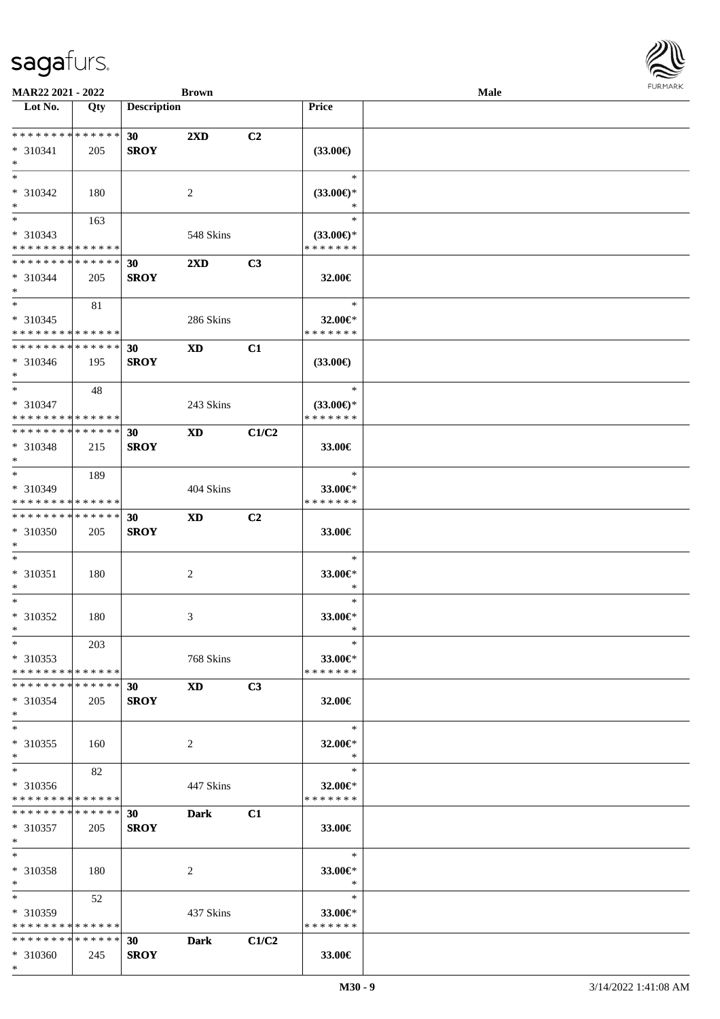

| MAR22 2021 - 2022                         |       |                    | <b>Brown</b>            |                |                     | <b>Male</b> |  |
|-------------------------------------------|-------|--------------------|-------------------------|----------------|---------------------|-------------|--|
| Lot No.                                   | Qty   | <b>Description</b> |                         |                | Price               |             |  |
|                                           |       |                    |                         |                |                     |             |  |
| * * * * * * * * * * * * * *               |       | 30                 | $2\mathbf{X}\mathbf{D}$ | C2             |                     |             |  |
| $* 310341$                                | 205   | <b>SROY</b>        |                         |                | $(33.00\epsilon)$   |             |  |
| $*$                                       |       |                    |                         |                |                     |             |  |
| $*$                                       |       |                    |                         |                | $\ast$              |             |  |
| * 310342                                  | 180   |                    | 2                       |                | $(33.00\epsilon)$ * |             |  |
| $*$                                       |       |                    |                         |                | ∗                   |             |  |
| $\overline{\ast}$                         |       |                    |                         |                | $\ast$              |             |  |
|                                           | 163   |                    |                         |                |                     |             |  |
| $* 310343$<br>* * * * * * * * * * * * * * |       |                    | 548 Skins               |                | $(33.00\epsilon)$ * |             |  |
|                                           |       |                    |                         |                | * * * * * * *       |             |  |
| * * * * * * * * * * * * * *               |       | 30                 | $2\mathbf{X}\mathbf{D}$ | C3             |                     |             |  |
| $* 310344$                                | 205   | <b>SROY</b>        |                         |                | 32.00€              |             |  |
| $*$                                       |       |                    |                         |                |                     |             |  |
| $*$                                       | 81    |                    |                         |                | $\ast$              |             |  |
| $* 310345$                                |       |                    | 286 Skins               |                | 32.00€*             |             |  |
| * * * * * * * * * * * * * *               |       |                    |                         |                | * * * * * * *       |             |  |
| * * * * * * * * * * * * * *               |       | 30                 | <b>XD</b>               | C1             |                     |             |  |
| $* 310346$                                | 195   | <b>SROY</b>        |                         |                | $(33.00\epsilon)$   |             |  |
| $*$                                       |       |                    |                         |                |                     |             |  |
| $\ast$                                    | 48    |                    |                         |                | $\ast$              |             |  |
| $* 310347$                                |       |                    | 243 Skins               |                | $(33.00\epsilon)$ * |             |  |
| * * * * * * * * * * * * * *               |       |                    |                         |                | * * * * * * *       |             |  |
| * * * * * * * * * * * * * *               |       | 30                 | <b>XD</b>               |                |                     |             |  |
|                                           |       |                    |                         | C1/C2          |                     |             |  |
| * 310348                                  | 215   | <b>SROY</b>        |                         |                | 33.00€              |             |  |
| $*$                                       |       |                    |                         |                |                     |             |  |
| $*$                                       | 189   |                    |                         |                | $\ast$              |             |  |
| * 310349                                  |       |                    | 404 Skins               |                | 33.00€*             |             |  |
| * * * * * * * * * * * * * *               |       |                    |                         |                | * * * * * * *       |             |  |
| * * * * * * * * * * * * * *               |       | 30                 | <b>XD</b>               | C <sub>2</sub> |                     |             |  |
| * 310350                                  | 205   | <b>SROY</b>        |                         |                | 33.00€              |             |  |
| $*$                                       |       |                    |                         |                |                     |             |  |
| $\ast$                                    |       |                    |                         |                | $\ast$              |             |  |
| $* 310351$                                | 180   |                    | $\overline{c}$          |                | 33.00€*             |             |  |
| $*$                                       |       |                    |                         |                | $\ast$              |             |  |
| $*$                                       |       |                    |                         |                | $\ast$              |             |  |
| * 310352                                  | 180   |                    | 3                       |                | 33.00€*             |             |  |
| $*$                                       |       |                    |                         |                | $\ast$              |             |  |
| $*$                                       | 203   |                    |                         |                | $\ast$              |             |  |
|                                           |       |                    |                         |                | 33.00€*             |             |  |
| $*310353$<br>* * * * * * * * * * * * * *  |       |                    | 768 Skins               |                |                     |             |  |
|                                           |       |                    |                         |                | * * * * * * *       |             |  |
| * * * * * * * * * * * * * * *             |       | 30                 | <b>XD</b>               | C3             |                     |             |  |
| * 310354                                  | 205   | <b>SROY</b>        |                         |                | 32.00€              |             |  |
| $*$                                       |       |                    |                         |                |                     |             |  |
| $*$                                       |       |                    |                         |                | $\ast$              |             |  |
| * 310355                                  | - 160 |                    | 2                       |                | 32.00€*             |             |  |
| $*$                                       |       |                    |                         |                | $\ast$              |             |  |
| $*$                                       | 82    |                    |                         |                | $\ast$              |             |  |
| * 310356                                  |       |                    | 447 Skins               |                | 32.00€*             |             |  |
| * * * * * * * * * * * * * *               |       |                    |                         |                | * * * * * * *       |             |  |
| * * * * * * * * * * * * * * *             |       | 30 <sub>o</sub>    | Dark                    | C1             |                     |             |  |
| * 310357                                  | 205   | <b>SROY</b>        |                         |                | 33.00€              |             |  |
| $*$                                       |       |                    |                         |                |                     |             |  |
| $*$                                       |       |                    |                         |                | $\ast$              |             |  |
| * 310358                                  | 180   |                    | 2                       |                | 33.00€*             |             |  |
| $*$                                       |       |                    |                         |                | $\ast$              |             |  |
| $*$ and $*$                               |       |                    |                         |                |                     |             |  |
|                                           | 52    |                    |                         |                | $\ast$              |             |  |
| * 310359                                  |       |                    | 437 Skins               |                | 33.00 $\in$ *       |             |  |
| * * * * * * * * * * * * * *               |       |                    |                         |                | * * * * * * *       |             |  |
| * * * * * * * * * * * * * * *             |       | 30                 | <b>Dark</b>             | C1/C2          |                     |             |  |
| * 310360                                  | 245   | <b>SROY</b>        |                         |                | 33.00€              |             |  |
| $*$                                       |       |                    |                         |                |                     |             |  |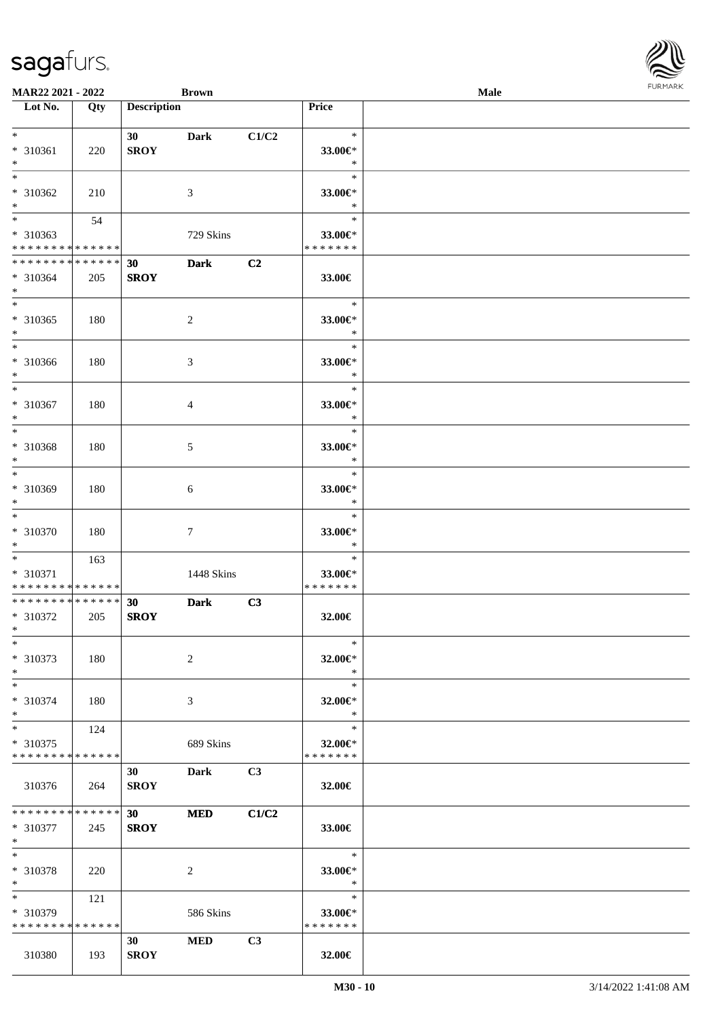| MAR22 2021 - 2022                          |             |                    | <b>Brown</b> |       |                   | Male | $1 \times 1$ |
|--------------------------------------------|-------------|--------------------|--------------|-------|-------------------|------|--------------|
| Lot No.                                    | Qty         | <b>Description</b> |              |       | Price             |      |              |
| $*$ $-$                                    |             |                    |              |       |                   |      |              |
|                                            |             | 30                 | <b>Dark</b>  | C1/C2 | $\ast$            |      |              |
| * 310361<br>$*$                            | 220         | <b>SROY</b>        |              |       | 33.00€*<br>$\ast$ |      |              |
| $\overline{\ast}$                          |             |                    |              |       | $\ast$            |      |              |
| * 310362                                   | 210         |                    | 3            |       | 33.00€*           |      |              |
| $*$                                        |             |                    |              |       | $\ast$            |      |              |
|                                            | 54          |                    |              |       | $\ast$            |      |              |
| * 310363                                   |             |                    | 729 Skins    |       | 33.00€*           |      |              |
| * * * * * * * * * * * * * *                |             |                    |              |       | * * * * * * *     |      |              |
| * * * * * * * * <mark>* * * * * * *</mark> |             | 30                 | <b>Dark</b>  | C2    |                   |      |              |
| * 310364                                   | 205         | <b>SROY</b>        |              |       | 33.00€            |      |              |
| $*$                                        |             |                    |              |       |                   |      |              |
|                                            |             |                    |              |       | $\ast$            |      |              |
| * 310365                                   | 180         |                    | 2            |       | 33.00€*           |      |              |
| $*$                                        |             |                    |              |       | $\ast$            |      |              |
| $*$                                        |             |                    |              |       | $\ast$            |      |              |
| * 310366                                   | 180         |                    | 3            |       | 33.00€*           |      |              |
| $*$                                        |             |                    |              |       | $\ast$            |      |              |
| $*$                                        |             |                    |              |       | $\ast$            |      |              |
| * 310367                                   | 180         |                    | 4            |       | 33.00€*           |      |              |
| $*$                                        |             |                    |              |       | $\ast$            |      |              |
| $\ast$                                     |             |                    |              |       | $\ast$            |      |              |
| * 310368                                   | 180         |                    | 5            |       | 33.00€*           |      |              |
| $*$                                        |             |                    |              |       | $\ast$            |      |              |
| $*$                                        |             |                    |              |       | $\ast$            |      |              |
| * 310369<br>$*$                            | 180         |                    | 6            |       | 33.00€*<br>$\ast$ |      |              |
|                                            |             |                    |              |       | $\ast$            |      |              |
| * 310370                                   | 180         |                    | $\tau$       |       | 33.00€*           |      |              |
| $*$                                        |             |                    |              |       | $\ast$            |      |              |
|                                            | 163         |                    |              |       | $\ast$            |      |              |
| * 310371                                   |             |                    | 1448 Skins   |       | 33.00€*           |      |              |
| * * * * * * * * <mark>* * * * * *</mark>   |             |                    |              |       | * * * * * * *     |      |              |
| * * * * * * * * <mark>* * * * * * *</mark> |             | 30                 | <b>Dark</b>  | C3    |                   |      |              |
| * 310372                                   | 205         | <b>SROY</b>        |              |       | 32.00€            |      |              |
| $*$ $-$                                    |             |                    |              |       |                   |      |              |
| $*$                                        |             |                    |              |       | $\ast$            |      |              |
| * 310373                                   | 180         |                    | 2            |       | 32.00€*           |      |              |
| $*$                                        |             |                    |              |       | $\ast$            |      |              |
| $*$                                        |             |                    |              |       | $\ast$            |      |              |
| * 310374                                   | 180         |                    | 3            |       | 32.00 $\in$ *     |      |              |
| $\ast$                                     |             |                    |              |       | $\ast$            |      |              |
| $*$                                        | 124         |                    |              |       | $\ast$<br>32.00€* |      |              |
| * 310375<br>* * * * * * * * * * * * * * *  |             |                    | 689 Skins    |       | * * * * * * *     |      |              |
|                                            |             | 30                 | Dark         | C3    |                   |      |              |
| 310376                                     | 264         | <b>SROY</b>        |              |       | 32.00€            |      |              |
|                                            |             |                    |              |       |                   |      |              |
| * * * * * * * *                            | * * * * * * | 30                 | <b>MED</b>   | C1/C2 |                   |      |              |
| * 310377                                   | 245         | <b>SROY</b>        |              |       | 33.00€            |      |              |
| $*$                                        |             |                    |              |       |                   |      |              |
| $*$                                        |             |                    |              |       | $\ast$            |      |              |
| * 310378                                   | 220         |                    | 2            |       | 33.00€*           |      |              |
| $*$                                        |             |                    |              |       | $\ast$            |      |              |
| $*$ $-$                                    | 121         |                    |              |       | $\ast$            |      |              |
| * 310379                                   |             |                    | 586 Skins    |       | 33.00€*           |      |              |
| * * * * * * * * <mark>* * * * * *</mark>   |             |                    |              |       | * * * * * * *     |      |              |
|                                            |             | 30 <sub>1</sub>    | <b>MED</b>   | C3    |                   |      |              |
| 310380                                     | 193         | <b>SROY</b>        |              |       | 32.00€            |      |              |

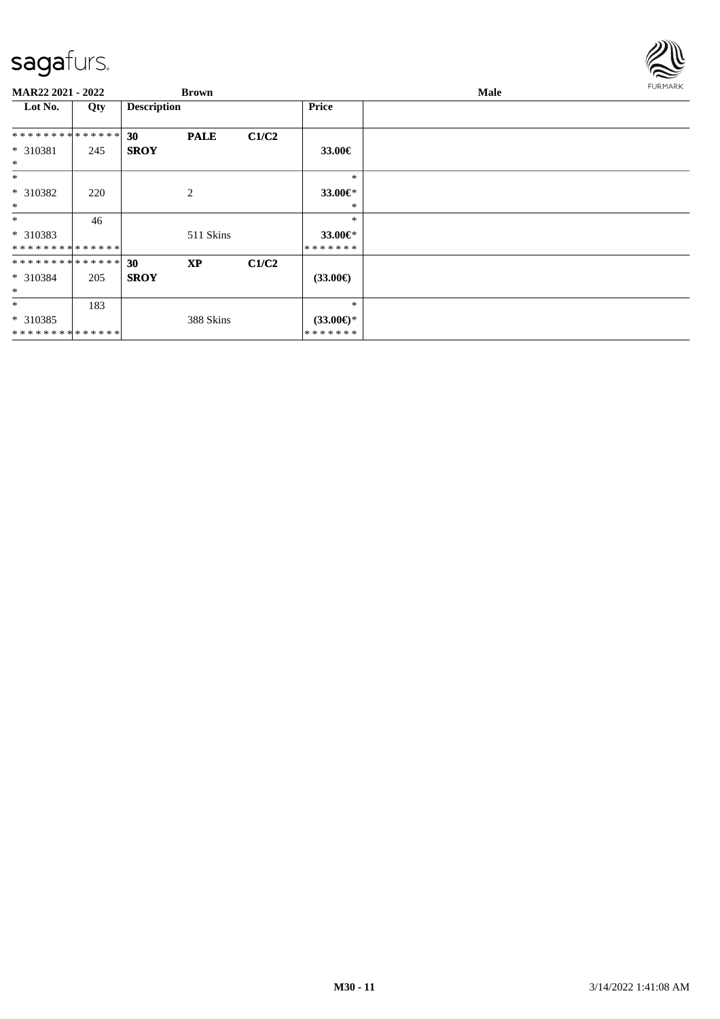

| MAR22 2021 - 2022 |     |                    | <b>Brown</b> |       |                   | Male |  |  |  |
|-------------------|-----|--------------------|--------------|-------|-------------------|------|--|--|--|
| Lot No.           | Qty | <b>Description</b> |              |       | <b>Price</b>      |      |  |  |  |
| **************    |     | 30                 | <b>PALE</b>  | C1/C2 |                   |      |  |  |  |
| * 310381<br>$*$   | 245 | <b>SROY</b>        |              |       | 33.00€            |      |  |  |  |
| $*$               |     |                    |              |       | $\ast$            |      |  |  |  |
| * 310382          | 220 |                    | 2            |       | 33.00€*           |      |  |  |  |
| $\ast$            |     |                    |              |       | *                 |      |  |  |  |
| $\ast$            | 46  |                    |              |       | $\ast$            |      |  |  |  |
| * 310383          |     |                    | 511 Skins    |       | 33.00€*           |      |  |  |  |
| **************    |     |                    |              |       | * * * * * * *     |      |  |  |  |
| **************    |     | 30                 | <b>XP</b>    | C1/C2 |                   |      |  |  |  |
| $* 310384$        | 205 | <b>SROY</b>        |              |       | $(33.00\epsilon)$ |      |  |  |  |
| $\ast$            |     |                    |              |       |                   |      |  |  |  |
| $\ast$            | 183 |                    |              |       | $\ast$            |      |  |  |  |
| * 310385          |     |                    | 388 Skins    |       | $(33.00€)$ *      |      |  |  |  |
| **************    |     |                    |              |       | * * * * * * *     |      |  |  |  |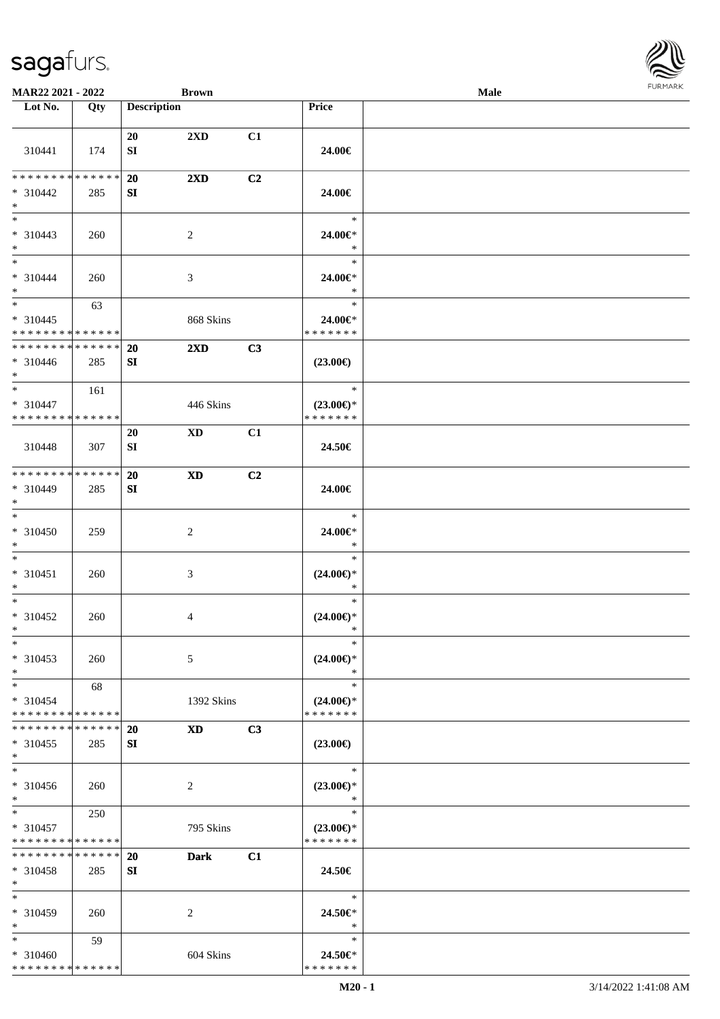| MAR22 2021 - 2022                                   |     |                    | <b>Brown</b>               |    |                                                   | Male | <b>FURMAR</b> |
|-----------------------------------------------------|-----|--------------------|----------------------------|----|---------------------------------------------------|------|---------------|
| Lot No.                                             | Qty | <b>Description</b> |                            |    | Price                                             |      |               |
| 310441                                              | 174 | 20<br>SI           | 2XD                        | C1 | 24.00€                                            |      |               |
| ******** <mark>******</mark>                        |     | 20                 | $2\mathbf{X}\mathbf{D}$    | C2 |                                                   |      |               |
| $* 310442$<br>$*$ $*$                               | 285 | SI                 |                            |    | 24.00€                                            |      |               |
| $*$<br>$* 310443$<br>$*$ $-$                        | 260 |                    | 2                          |    | $\ast$<br>24.00€*<br>$\ast$                       |      |               |
| $*$<br>$* 310444$<br>$*$                            | 260 |                    | $\mathfrak{Z}$             |    | $\ast$<br>24.00€*<br>$\ast$                       |      |               |
| $*$<br>$* 310445$<br>* * * * * * * * * * * * * *    | 63  |                    | 868 Skins                  |    | $\ast$<br>$24.00 \in$<br>* * * * * * *            |      |               |
| * * * * * * * * * * * * * *<br>$* 310446$<br>$*$    | 285 | 20<br>SI           | $2\mathbf{X}\mathbf{D}$    | C3 | $(23.00\epsilon)$                                 |      |               |
| $*$<br>$* 310447$<br>* * * * * * * * * * * * * *    | 161 |                    | 446 Skins                  |    | $\ast$<br>$(23.00\epsilon)$ *<br>* * * * * * *    |      |               |
| 310448                                              | 307 | 20<br>${\bf SI}$   | $\mathbf{X}\mathbf{D}$     | C1 | 24.50€                                            |      |               |
| ******** <mark>******</mark><br>$* 310449$<br>$*$   | 285 | 20<br>SI           | $\boldsymbol{\mathrm{XD}}$ | C2 | 24.00€                                            |      |               |
| $\ast$<br>* 310450<br>$*$                           | 259 |                    | $\overline{2}$             |    | $\ast$<br>24.00€*<br>$\ast$                       |      |               |
| $*$<br>$* 310451$<br>$\ast$<br>$*$                  | 260 |                    | $\mathfrak{Z}$             |    | $\ast$<br>$(24.00\epsilon)$ *<br>$\ast$<br>$\ast$ |      |               |
| $* 310452$<br>$*$<br>$\overline{\phantom{a}}$       | 260 |                    | $\overline{4}$             |    | $(24.00\epsilon)$ *<br>∗<br>$\ast$                |      |               |
| $*310453$<br>$*$                                    | 260 |                    | 5                          |    | $(24.00\epsilon)$ *<br>$\ast$                     |      |               |
| $\ast$<br>$* 310454$<br>* * * * * * * * * * * * * * | 68  |                    | 1392 Skins                 |    | $\ast$<br>$(24.00\epsilon)$ *<br>* * * * * * *    |      |               |
| **************<br>$* 310455$<br>$\ast$              | 285 | 20<br>SI           | <b>XD</b>                  | C3 | $(23.00\epsilon)$                                 |      |               |
| $\ast$<br>$* 310456$<br>$*$                         | 260 |                    | 2                          |    | $\ast$<br>$(23.00\epsilon)$ *<br>$\ast$           |      |               |
| $\ast$<br>$* 310457$<br>* * * * * * * * * * * * * * | 250 |                    | 795 Skins                  |    | $\ast$<br>$(23.00\epsilon)$ *<br>* * * * * * *    |      |               |
| * * * * * * * * * * * * * * *<br>$* 310458$<br>$*$  | 285 | 20<br>SI           | <b>Dark</b>                | C1 | 24.50€                                            |      |               |
| $\ast$<br>$* 310459$<br>$*$                         | 260 |                    | 2                          |    | $\ast$<br>24.50€*<br>$\ast$                       |      |               |
| $\ast$<br>$* 310460$<br>* * * * * * * * * * * * * * | 59  |                    | 604 Skins                  |    | $\ast$<br>24.50€*<br>* * * * * * *                |      |               |

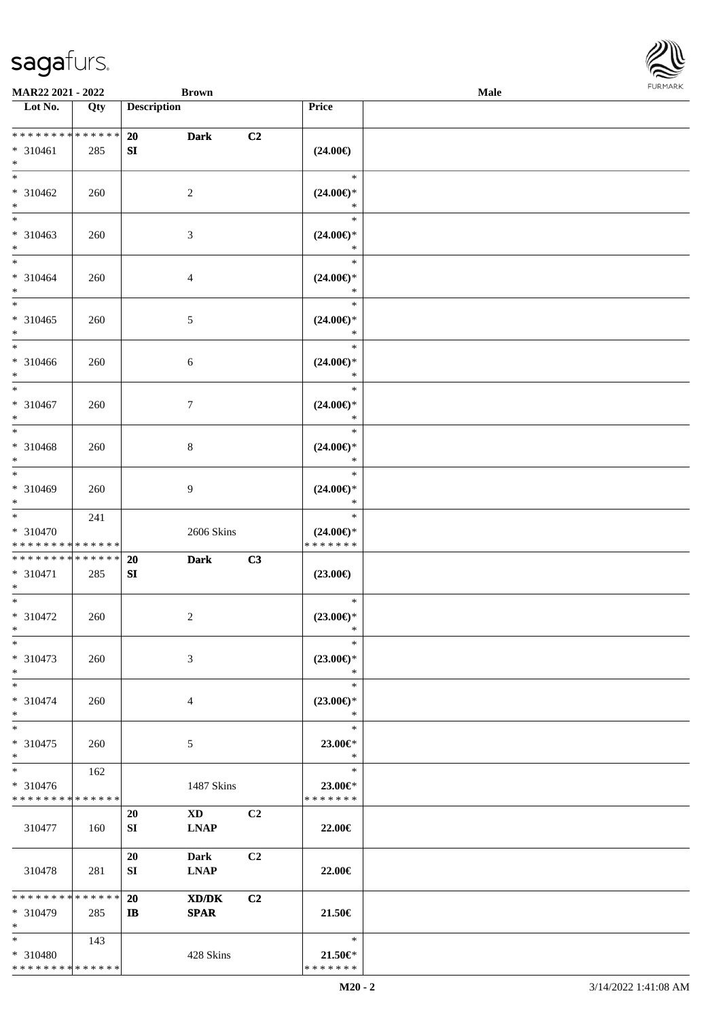

| MAR22 2021 - 2022                                                   |     |                    | <b>Brown</b>                                               |                |                                                | Male | <b>FURMARK</b> |
|---------------------------------------------------------------------|-----|--------------------|------------------------------------------------------------|----------------|------------------------------------------------|------|----------------|
| $\overline{\phantom{1}}$ Lot No.                                    | Qty | <b>Description</b> |                                                            |                | Price                                          |      |                |
| * * * * * * * * * * * * * *<br>$* 310461$<br>$\ast$                 | 285 | 20<br>SI           | <b>Dark</b>                                                | C2             | $(24.00\epsilon)$                              |      |                |
| $\ast$<br>$* 310462$<br>$\ast$                                      | 260 |                    | $\sqrt{2}$                                                 |                | $\ast$<br>$(24.00\epsilon)$ *<br>$\ast$        |      |                |
| $\overline{\phantom{a}}$<br>$* 310463$<br>$*$                       | 260 |                    | $\mathfrak{Z}$                                             |                | $\ast$<br>$(24.00\in)^\ast$<br>$\ast$          |      |                |
| $*$<br>$* 310464$<br>$\ast$                                         | 260 |                    | 4                                                          |                | $\ast$<br>$(24.00\epsilon)$ *<br>$\ast$        |      |                |
| $\ast$<br>$* 310465$<br>$\ast$                                      | 260 |                    | $\sqrt{5}$                                                 |                | $\ast$<br>$(24.00\epsilon)$ *<br>$\ast$        |      |                |
| $\overline{\phantom{0}}$<br>* 310466<br>$*$                         | 260 |                    | 6                                                          |                | $\ast$<br>$(24.00\epsilon)$ *<br>$\ast$        |      |                |
| $*$<br>$* 310467$<br>$\ast$                                         | 260 |                    | $\tau$                                                     |                | $\ast$<br>$(24.00\epsilon)$ *<br>$\ast$        |      |                |
| $\ast$<br>* 310468<br>$\ast$                                        | 260 |                    | $\,8\,$                                                    |                | $\ast$<br>$(24.00\epsilon)$ *<br>$\ast$        |      |                |
| $\overline{\phantom{0}}$<br>$* 310469$<br>$\ast$                    | 260 |                    | $\overline{9}$                                             |                | $\ast$<br>$(24.00\epsilon)$ *<br>$\ast$        |      |                |
| $\ast$<br>* 310470<br>* * * * * * * * * * * * * *                   | 241 |                    | 2606 Skins                                                 |                | $\ast$<br>$(24.00\epsilon)$ *<br>* * * * * * * |      |                |
| **************<br>$* 310471$<br>$\ast$                              | 285 | 20<br>SI           | <b>Dark</b>                                                | C3             | $(23.00\epsilon)$                              |      |                |
| $\overline{\phantom{0}}$<br>$* 310472$<br>$\ast$                    | 260 |                    | $\overline{c}$                                             |                | $\ast$<br>$(23.00\epsilon)$ *<br>$\ast$        |      |                |
| $\ast$<br>* 310473<br>$\ast$                                        | 260 |                    | 3                                                          |                | $\ast$<br>$(23.00\epsilon)$ *<br>$\ast$        |      |                |
| $\ast$<br>$* 310474$<br>$\ast$                                      | 260 |                    | 4                                                          |                | $\ast$<br>$(23.00\epsilon)$ *<br>$\ast$        |      |                |
| $\overline{\phantom{a}^*}$<br>$* 310475$<br>$\ast$                  | 260 |                    | 5                                                          |                | $\ast$<br>23.00€*<br>$\ast$                    |      |                |
| $\overline{\phantom{a}}$<br>* 310476<br>* * * * * * * * * * * * * * | 162 |                    | 1487 Skins                                                 |                | $\ast$<br>23.00€*<br>* * * * * * *             |      |                |
| 310477                                                              | 160 | 20<br>SI           | $\mathbf{X}\mathbf{D}$<br><b>LNAP</b>                      | C2             | 22.00€                                         |      |                |
| 310478                                                              | 281 | 20<br>SI           | <b>Dark</b><br><b>LNAP</b>                                 | C <sub>2</sub> | 22.00€                                         |      |                |
| * * * * * * * * * * * * * *<br>* 310479<br>$\ast$                   | 285 | 20<br>$\mathbf{I}$ | $\mathbf{X}\mathbf{D}/\mathbf{D}\mathbf{K}$<br><b>SPAR</b> | C <sub>2</sub> | 21.50€                                         |      |                |
| $\ast$<br>* 310480<br>* * * * * * * * * * * * * *                   | 143 |                    | 428 Skins                                                  |                | $\ast$<br>21.50€*<br>* * * * * * *             |      |                |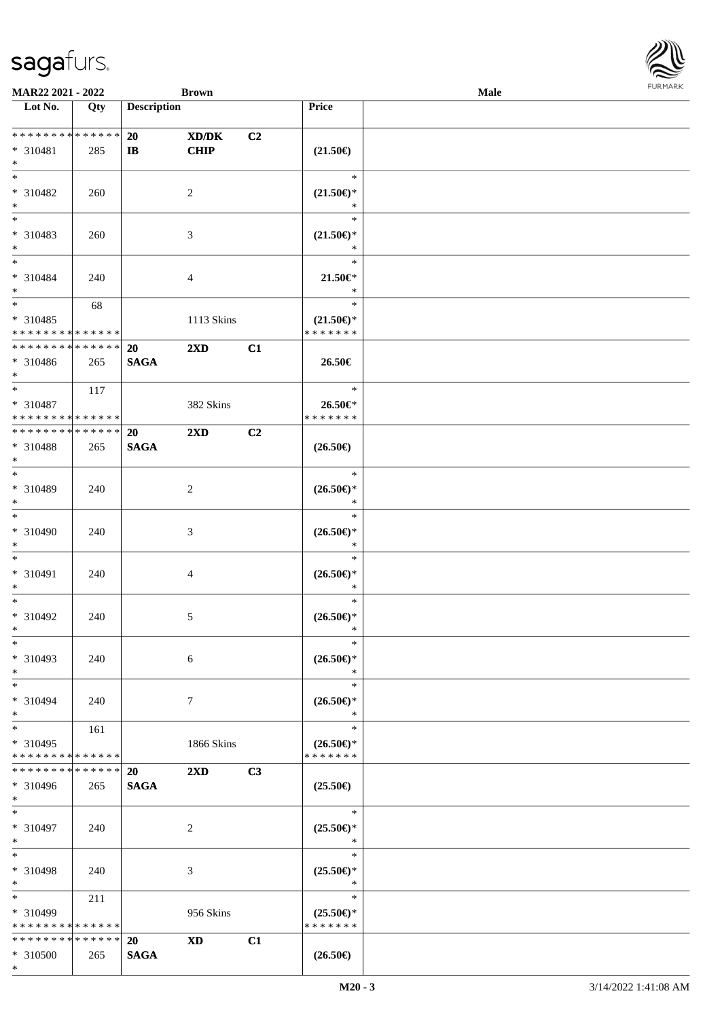\*

| <b>MAR22 2021 - 2022</b>                         |             |                    | <b>Brown</b>            |    |                               | Male |  |
|--------------------------------------------------|-------------|--------------------|-------------------------|----|-------------------------------|------|--|
| Lot No.                                          | Qty         | <b>Description</b> |                         |    | <b>Price</b>                  |      |  |
|                                                  |             |                    |                         |    |                               |      |  |
| * * * * * * * * * * * * * * *                    |             | 20                 | XD/DK                   | C2 |                               |      |  |
| * 310481<br>$\ast$                               | 285         | $\mathbf{I}$       | CHIP                    |    | $(21.50\epsilon)$             |      |  |
| $\overline{\ast}$                                |             |                    |                         |    | $\ast$                        |      |  |
| * 310482                                         | 260         |                    | 2                       |    | $(21.50\epsilon)$ *           |      |  |
| $*$                                              |             |                    |                         |    | $\ast$                        |      |  |
|                                                  |             |                    |                         |    | $\ast$                        |      |  |
| * 310483                                         | 260         |                    | 3                       |    | $(21.50\epsilon)$ *           |      |  |
| $*$                                              |             |                    |                         |    | $\ast$                        |      |  |
| $*$                                              |             |                    |                         |    | $\ast$                        |      |  |
| * 310484                                         | 240         |                    | 4                       |    | $21.50 \in$                   |      |  |
| $*$                                              |             |                    |                         |    | $\ast$                        |      |  |
| $\overline{\ast}$                                | 68          |                    |                         |    | $\ast$                        |      |  |
| * 310485                                         |             |                    | 1113 Skins              |    | $(21.50\epsilon)$ *           |      |  |
| * * * * * * * * * * * * * *                      |             |                    |                         |    | * * * * * * *                 |      |  |
| * * * * * * * * * * * * * *                      |             | 20                 | $2\mathbf{X}\mathbf{D}$ | C1 |                               |      |  |
| * 310486<br>$*$                                  | 265         | <b>SAGA</b>        |                         |    | 26.50€                        |      |  |
| $\overline{\ast}$                                | 117         |                    |                         |    | $\ast$                        |      |  |
| * 310487                                         |             |                    | 382 Skins               |    | 26.50€*                       |      |  |
| * * * * * * * * * * * * * *                      |             |                    |                         |    | * * * * * * *                 |      |  |
| * * * * * * * * * * * * * * *                    |             | 20                 | $2\mathbf{X}\mathbf{D}$ | C2 |                               |      |  |
| * 310488                                         | 265         | <b>SAGA</b>        |                         |    | $(26.50\epsilon)$             |      |  |
| $*$                                              |             |                    |                         |    |                               |      |  |
| $\overline{\ast}$                                |             |                    |                         |    | $\ast$                        |      |  |
| * 310489                                         | 240         |                    | $\overline{2}$          |    | $(26.50\epsilon)$ *           |      |  |
| $\ast$                                           |             |                    |                         |    | $\ast$                        |      |  |
| $\overline{\ast}$                                |             |                    |                         |    | $\ast$                        |      |  |
| * 310490                                         | 240         |                    | 3                       |    | $(26.50\epsilon)$ *           |      |  |
| $*$                                              |             |                    |                         |    | $\ast$                        |      |  |
| $*$                                              |             |                    |                         |    | $\ast$                        |      |  |
| * 310491<br>$\ast$                               | 240         |                    | 4                       |    | $(26.50\epsilon)$ *<br>$\ast$ |      |  |
| $*$                                              |             |                    |                         |    | $\ast$                        |      |  |
| * 310492                                         | 240         |                    | 5                       |    | $(26.50\epsilon)$ *           |      |  |
| $*$                                              |             |                    |                         |    | $\ast$                        |      |  |
| $\ast$                                           |             |                    |                         |    | $\ast$                        |      |  |
| * 310493                                         | 240         |                    | 6                       |    | $(26.50\epsilon)$ *           |      |  |
| $*$                                              |             |                    |                         |    | $\ast$                        |      |  |
| $*$                                              |             |                    |                         |    | $\ast$                        |      |  |
| * 310494                                         | 240         |                    | $7\phantom{.0}$         |    | $(26.50\epsilon)$ *           |      |  |
| $*$                                              |             |                    |                         |    | $\ast$                        |      |  |
| $*$ $-$                                          | 161         |                    |                         |    | $\ast$                        |      |  |
| * 310495                                         |             |                    | 1866 Skins              |    | $(26.50\epsilon)$ *           |      |  |
| * * * * * * * * * * * * * * *<br>* * * * * * * * | * * * * * * |                    |                         |    | * * * * * * *                 |      |  |
|                                                  |             | <b>20</b>          | 2XD                     | C3 |                               |      |  |
| * 310496<br>$*$                                  | 265         | <b>SAGA</b>        |                         |    | $(25.50\epsilon)$             |      |  |
| $*$ $-$                                          |             |                    |                         |    | $\ast$                        |      |  |
| * 310497                                         | 240         |                    | 2                       |    | $(25.50\epsilon)$ *           |      |  |
| $*$                                              |             |                    |                         |    | $\ast$                        |      |  |
| $*$                                              |             |                    |                         |    | $\ast$                        |      |  |
| * 310498                                         | 240         |                    | 3                       |    | $(25.50\epsilon)$ *           |      |  |
| $*$                                              |             |                    |                         |    | $\ast$                        |      |  |
| $*$                                              | 211         |                    |                         |    | $\ast$                        |      |  |
| * 310499                                         |             |                    | 956 Skins               |    | $(25.50\epsilon)$ *           |      |  |
| * * * * * * * * * * * * * *                      |             |                    |                         |    | * * * * * * *                 |      |  |
| * * * * * * * * <mark>* * * * * * *</mark>       |             | 20                 | <b>XD</b>               | C1 |                               |      |  |
| * 310500                                         | 265         | <b>SAGA</b>        |                         |    | $(26.50\epsilon)$             |      |  |

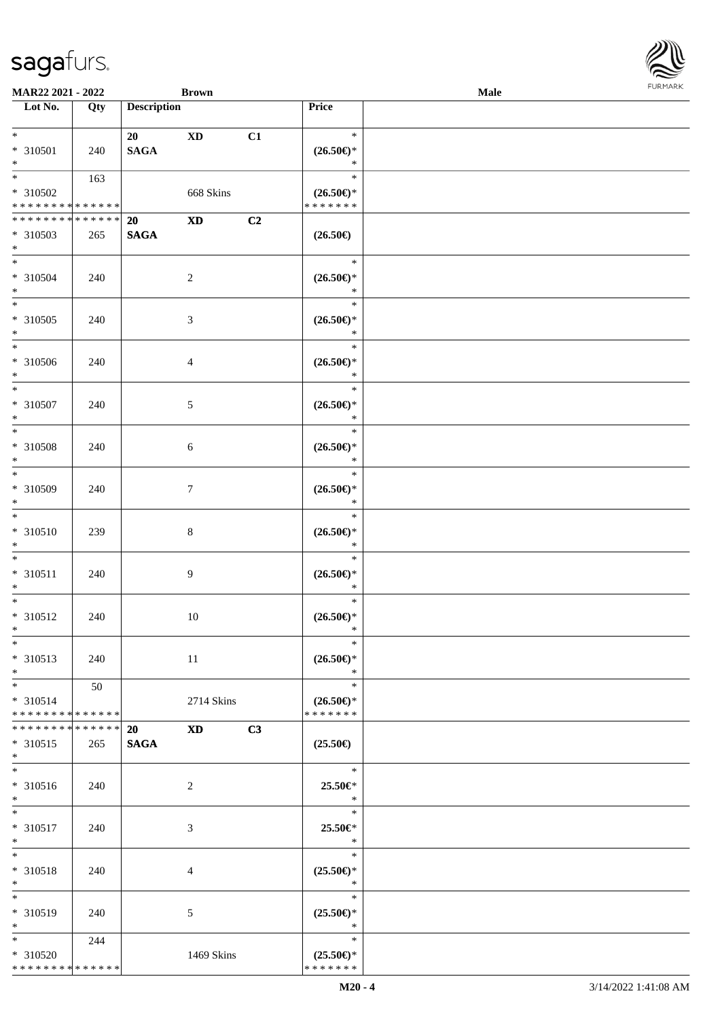| MAR22 2021 - 2022                    |     |                       | <b>Brown</b>   |    |                               | <b>Male</b> | <b>FURMARK</b> |
|--------------------------------------|-----|-----------------------|----------------|----|-------------------------------|-------------|----------------|
| $\overline{\phantom{1}}$ Lot No.     | Qty | <b>Description</b>    |                |    | Price                         |             |                |
| $\ast$                               |     |                       |                |    | $\ast$                        |             |                |
| $* 310501$                           | 240 | 20<br>$\mathbf{SAGA}$ | <b>XD</b>      | C1 | $(26.50\epsilon)$ *           |             |                |
| $\ast$                               |     |                       |                |    | $\ast$                        |             |                |
| $\overline{\phantom{0}}$             | 163 |                       |                |    | $\ast$                        |             |                |
| * 310502                             |     |                       | 668 Skins      |    | $(26.50\epsilon)$ *           |             |                |
| ******** <mark>******</mark>         |     |                       |                |    | * * * * * * *                 |             |                |
| **************                       |     | 20                    | <b>XD</b>      | C2 |                               |             |                |
| $*310503$                            | 265 | $\mathbf{SAGA}$       |                |    | $(26.50\epsilon)$             |             |                |
| $*$                                  |     |                       |                |    |                               |             |                |
| $\overline{\phantom{a}^*}$           |     |                       |                |    | $\ast$                        |             |                |
| $* 310504$                           | 240 |                       | $\overline{2}$ |    | $(26.50\epsilon)$ *           |             |                |
| $*$                                  |     |                       |                |    | $\ast$                        |             |                |
| $\overline{\phantom{0}}$             |     |                       |                |    | $\ast$                        |             |                |
| $* 310505$                           | 240 |                       | $\sqrt{3}$     |    | $(26.50\epsilon)$ *           |             |                |
| $*$                                  |     |                       |                |    | $\ast$                        |             |                |
| $\ast$                               |     |                       |                |    | $\ast$                        |             |                |
| * 310506                             | 240 |                       | $\overline{4}$ |    | $(26.50\epsilon)$ *           |             |                |
| $*$                                  |     |                       |                |    | $\ast$                        |             |                |
| $\ast$                               |     |                       |                |    | $\ast$                        |             |                |
| * 310507                             | 240 |                       | 5              |    | $(26.50\epsilon)$ *           |             |                |
| $\ast$                               |     |                       |                |    | $\ast$                        |             |                |
| $\ast$                               |     |                       |                |    | $\ast$                        |             |                |
| * 310508                             | 240 |                       | 6              |    | $(26.50\epsilon)$ *           |             |                |
| $\ast$<br>$\overline{\phantom{0}}$   |     |                       |                |    | $\ast$                        |             |                |
|                                      |     |                       |                |    | $\ast$                        |             |                |
| * 310509                             | 240 |                       | $\tau$         |    | $(26.50\epsilon)$ *           |             |                |
| $\ast$<br>$\overline{\phantom{a}^*}$ |     |                       |                |    | $\ast$<br>$\ast$              |             |                |
|                                      |     |                       |                |    |                               |             |                |
| $* 310510$<br>$\ast$                 | 239 |                       | $8\,$          |    | $(26.50\epsilon)$ *<br>$\ast$ |             |                |
| $\overline{\phantom{0}}$             |     |                       |                |    | $\ast$                        |             |                |
|                                      |     |                       |                |    | $(26.50\epsilon)$ *           |             |                |
| $* 310511$<br>$\ast$                 | 240 |                       | 9              |    | $\ast$                        |             |                |
| $\overline{\phantom{a}^*}$           |     |                       |                |    | $\ast$                        |             |                |
| * 310512                             | 240 |                       | $10\,$         |    | $(26.50\epsilon)$ *           |             |                |
| $\ast$                               |     |                       |                |    | $\ast$                        |             |                |
| $\ast$                               |     |                       |                |    | $\ast$                        |             |                |
| * 310513                             | 240 |                       | 11             |    | $(26.50\epsilon)$ *           |             |                |
| $*$                                  |     |                       |                |    | $\ast$                        |             |                |
| $\ast$                               | 50  |                       |                |    | $\ast$                        |             |                |
| * 310514                             |     |                       | 2714 Skins     |    | $(26.50\epsilon)$ *           |             |                |
| **************                       |     |                       |                |    | * * * * * * *                 |             |                |
| ******** <mark>******</mark>         |     | <b>20</b>             | <b>XD</b>      | C3 |                               |             |                |
| $* 310515$                           | 265 | <b>SAGA</b>           |                |    | $(25.50\epsilon)$             |             |                |
| $\ast$                               |     |                       |                |    |                               |             |                |
| $\overline{\phantom{a}^*}$           |     |                       |                |    | $\ast$                        |             |                |
| * 310516                             | 240 |                       | $\overline{2}$ |    | 25.50€*                       |             |                |
| $\ast$                               |     |                       |                |    | $\ast$                        |             |                |
| $\ast$                               |     |                       |                |    | $\ast$                        |             |                |
| $* 310517$                           | 240 |                       | 3              |    | 25.50€*                       |             |                |
| $\ast$                               |     |                       |                |    | $\ast$                        |             |                |
| $\overline{\phantom{a}^*}$           |     |                       |                |    | $\ast$                        |             |                |
| * 310518                             | 240 |                       | 4              |    | $(25.50\epsilon)$ *           |             |                |
| $\ast$                               |     |                       |                |    | $\ast$                        |             |                |
| $\ast$                               |     |                       |                |    | $\ast$                        |             |                |
| * 310519                             | 240 |                       | 5              |    | $(25.50\epsilon)$ *           |             |                |
| $\ast$                               |     |                       |                |    | $\ast$                        |             |                |
| $\ast$                               | 244 |                       |                |    | $\ast$                        |             |                |
| * 310520                             |     |                       | 1469 Skins     |    | $(25.50\epsilon)$ *           |             |                |
| **************                       |     |                       |                |    | * * * * * * *                 |             |                |

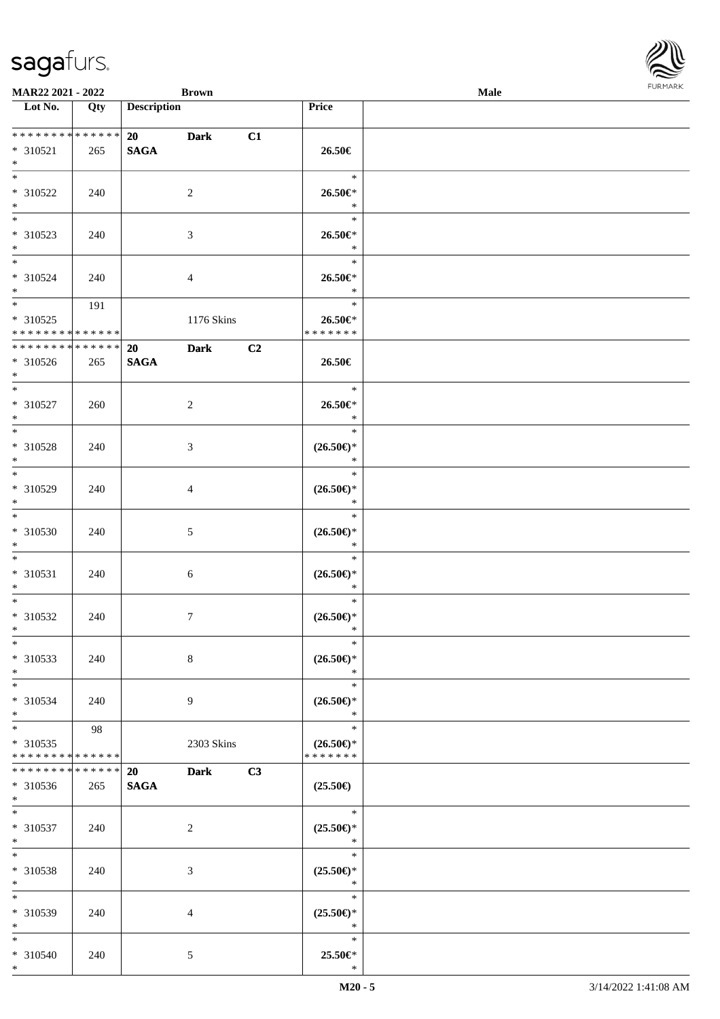| <b>MAR22 2021 - 2022</b>                   |             |                    | <b>Brown</b>     |    |                                      | Male |  |
|--------------------------------------------|-------------|--------------------|------------------|----|--------------------------------------|------|--|
| Lot No.                                    | Qty         | <b>Description</b> |                  |    | Price                                |      |  |
|                                            |             |                    |                  |    |                                      |      |  |
|                                            |             | 20                 | <b>Dark</b>      | C1 |                                      |      |  |
| * 310521                                   | 265         | <b>SAGA</b>        |                  |    | 26.50€                               |      |  |
| $*$<br>$\ddot{x}$                          |             |                    |                  |    |                                      |      |  |
|                                            |             |                    |                  |    | $*$                                  |      |  |
| * 310522                                   | 240         |                    | 2                |    | 26.50€*                              |      |  |
| $*$                                        |             |                    |                  |    | $\ast$                               |      |  |
| $\overline{\phantom{0}}$                   |             |                    |                  |    | $\ast$                               |      |  |
| * 310523                                   | 240         |                    | 3                |    | $26.50 \in$                          |      |  |
| $\ast$<br>$*$                              |             |                    |                  |    | $\ast$                               |      |  |
|                                            |             |                    |                  |    | $\ast$                               |      |  |
| * 310524                                   | 240         |                    | $\overline{4}$   |    | 26.50€*                              |      |  |
| $*$<br>$\overline{\mathbf{r}}$             |             |                    |                  |    | $\ast$                               |      |  |
|                                            | 191         |                    |                  |    | $\ast$                               |      |  |
| * 310525                                   |             |                    | 1176 Skins       |    | 26.50€*                              |      |  |
| * * * * * * * * <mark>* * * * * * *</mark> |             |                    |                  |    | * * * * * * *                        |      |  |
| * * * * * * * *                            | * * * * * * | 20                 | <b>Dark</b>      | C2 |                                      |      |  |
| * 310526                                   | 265         | <b>SAGA</b>        |                  |    | 26.50€                               |      |  |
| $*$                                        |             |                    |                  |    |                                      |      |  |
|                                            |             |                    |                  |    | $\ast$                               |      |  |
| * 310527                                   | 260         |                    | 2                |    | 26.50€*                              |      |  |
| $*$                                        |             |                    |                  |    | $\ast$                               |      |  |
|                                            |             |                    |                  |    | $\ast$                               |      |  |
| * 310528                                   | 240         |                    | 3                |    | $(26.50\epsilon)$ *                  |      |  |
| $\ast$<br>$*$                              |             |                    |                  |    | $\ast$                               |      |  |
|                                            |             |                    |                  |    | $\ast$                               |      |  |
| * 310529                                   | 240         |                    | 4                |    | $(26.50\epsilon)$ *                  |      |  |
| $\ast$<br>$*$                              |             |                    |                  |    | $\ast$                               |      |  |
|                                            |             |                    |                  |    | $\ast$                               |      |  |
| * 310530                                   | 240         |                    | $\mathfrak{S}$   |    | $(26.50\epsilon)$ *                  |      |  |
| $*$                                        |             |                    |                  |    | $\ast$                               |      |  |
| $*$                                        |             |                    |                  |    | $\ast$                               |      |  |
| * 310531                                   | 240         |                    | 6                |    | $(26.50\epsilon)$ *                  |      |  |
| $\ast$                                     |             |                    |                  |    | $\ast$                               |      |  |
| $*$                                        |             |                    |                  |    | $\ast$                               |      |  |
| * 310532                                   | 240         |                    | $\boldsymbol{7}$ |    | $(26.50\epsilon)$ *                  |      |  |
| $*$<br>$*$                                 |             |                    |                  |    | $\ast$<br>$\ast$                     |      |  |
|                                            |             |                    |                  |    |                                      |      |  |
| * 310533                                   | 240         |                    | 8                |    | $(26.50\epsilon)$ *                  |      |  |
| $*$                                        |             |                    |                  |    | $*$                                  |      |  |
| $*$ $-$                                    |             |                    |                  |    | $\ast$                               |      |  |
| * 310534                                   | 240         |                    | 9                |    | $(26.50\epsilon)$ *                  |      |  |
| $\ast$<br>$\ddot{x}$                       |             |                    |                  |    | $\ast$<br>$\ast$                     |      |  |
|                                            | 98          |                    |                  |    |                                      |      |  |
| * 310535<br>* * * * * * * * <mark>*</mark> | * * * * * * |                    | 2303 Skins       |    | $(26.50\epsilon)$ *<br>* * * * * * * |      |  |
| * * * * * * * *                            | * * * * * * |                    |                  |    |                                      |      |  |
|                                            |             | 20                 | <b>Dark</b>      | C3 | $(25.50\epsilon)$                    |      |  |
| * 310536<br>$*$ $\qquad$                   | 265         | <b>SAGA</b>        |                  |    |                                      |      |  |
| $\overline{\mathbf{r}^*}$                  |             |                    |                  |    | $-$ *                                |      |  |
| * 310537                                   | 240         |                    | 2                |    | $(25.50\epsilon)$ *                  |      |  |
| $*$                                        |             |                    |                  |    | $\mathbb{R}^n$                       |      |  |
| $*$                                        |             |                    |                  |    | $\ast$                               |      |  |
| * 310538                                   | 240         |                    | 3                |    | $(25.50\epsilon)$ *                  |      |  |
| $\ddot{x}$                                 |             |                    |                  |    | $*$                                  |      |  |
| $*$                                        |             |                    |                  |    | $\ast$                               |      |  |
|                                            |             |                    |                  |    | $(25.50\epsilon)$ *                  |      |  |
| * 310539<br>$*$                            | 240         |                    | 4                |    | $\ast$                               |      |  |
| $\ddot{x}$                                 |             |                    |                  |    | $\ast$                               |      |  |
|                                            |             |                    |                  |    | 25.50€*                              |      |  |
| * 310540<br>$\ast$                         | 240         |                    | 5                |    | $\ast$                               |      |  |
|                                            |             |                    |                  |    |                                      |      |  |

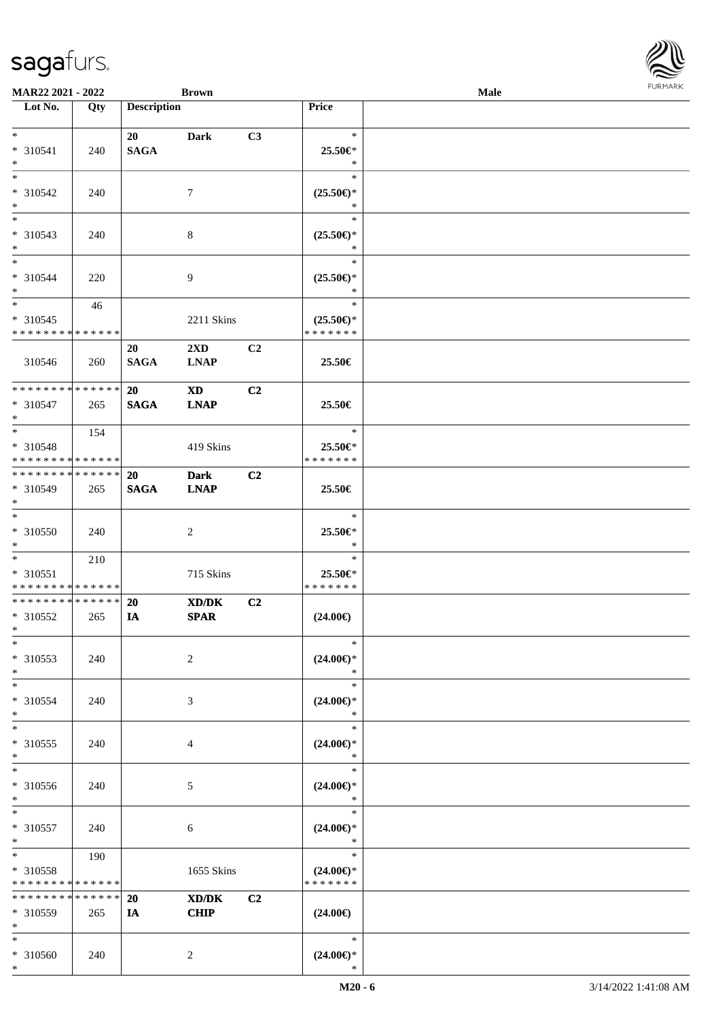| <b>MAR22 2021 - 2022</b>                   |             |                    | <b>Brown</b>            |                |                                      | Male |  |
|--------------------------------------------|-------------|--------------------|-------------------------|----------------|--------------------------------------|------|--|
| Lot No.                                    | Qty         | <b>Description</b> |                         |                | <b>Price</b>                         |      |  |
|                                            |             |                    |                         |                |                                      |      |  |
| $\ast$                                     |             | 20                 | <b>Dark</b>             | C3             | $\ast$                               |      |  |
| * 310541                                   | 240         | <b>SAGA</b>        |                         |                | 25.50€*                              |      |  |
| $*$                                        |             |                    |                         |                | $\ast$                               |      |  |
| $*$                                        |             |                    |                         |                | $\ast$                               |      |  |
| * 310542                                   | 240         |                    | $\tau$                  |                | $(25.50\epsilon)$ *                  |      |  |
| $*$                                        |             |                    |                         |                | $\ast$                               |      |  |
|                                            |             |                    |                         |                | $\ast$                               |      |  |
| * 310543                                   | 240         |                    | 8                       |                | $(25.50\epsilon)$ *                  |      |  |
| $\ast$                                     |             |                    |                         |                | $\ast$                               |      |  |
| $\ddot{x}$                                 |             |                    |                         |                | $\ast$                               |      |  |
| * 310544                                   | 220         |                    | 9                       |                | $(25.50\epsilon)$ *                  |      |  |
| $*$                                        |             |                    |                         |                | $\ast$                               |      |  |
| $\ddot{x}$                                 | 46          |                    |                         |                | $\ast$                               |      |  |
| * 310545                                   |             |                    | 2211 Skins              |                | $(25.50\epsilon)$ *                  |      |  |
| * * * * * * * * <mark>* * * * * *</mark>   |             |                    |                         |                | * * * * * * *                        |      |  |
|                                            |             |                    |                         |                |                                      |      |  |
|                                            |             | 20                 | $2\mathbf{X}\mathbf{D}$ | C2             |                                      |      |  |
| 310546                                     | 260         | <b>SAGA</b>        | <b>LNAP</b>             |                | 25.50€                               |      |  |
| * * * * * * * * <mark>* * * * * * *</mark> |             |                    |                         |                |                                      |      |  |
|                                            |             | 20                 | <b>XD</b>               | C <sub>2</sub> |                                      |      |  |
| * 310547                                   | 265         | <b>SAGA</b>        | <b>LNAP</b>             |                | 25.50€                               |      |  |
| $*$                                        |             |                    |                         |                |                                      |      |  |
| $\ast$                                     | 154         |                    |                         |                | $\ast$                               |      |  |
| * 310548                                   |             |                    | 419 Skins               |                | 25.50€*                              |      |  |
| * * * * * * * * <mark>* * * * * *</mark>   |             |                    |                         |                | * * * * * * *                        |      |  |
| * * * * * * * * <mark>* * * * * *</mark>   |             | 20                 | <b>Dark</b>             | C2             |                                      |      |  |
| * 310549                                   | 265         | <b>SAGA</b>        | <b>LNAP</b>             |                | 25.50€                               |      |  |
| $\ast$                                     |             |                    |                         |                |                                      |      |  |
| $\ddot{x}$                                 |             |                    |                         |                | $\ast$                               |      |  |
| * 310550                                   | 240         |                    | 2                       |                | 25.50€*                              |      |  |
| $*$                                        |             |                    |                         |                | $\ast$                               |      |  |
| $\ddot{x}$                                 | 210         |                    |                         |                | $\ast$                               |      |  |
| * 310551                                   |             |                    | 715 Skins               |                | 25.50€*                              |      |  |
| * * * * * * * * <mark>* * * * * *</mark>   |             |                    |                         |                | * * * * * * *                        |      |  |
| * * * * * * * * <mark>* * * * * *</mark>   |             | 20                 | XD/DK                   | C <sub>2</sub> |                                      |      |  |
| * 310552                                   | 265         | IA                 | <b>SPAR</b>             |                | $(24.00\epsilon)$                    |      |  |
| $*$ $-$                                    |             |                    |                         |                |                                      |      |  |
| $\ast$                                     |             |                    |                         |                | $\ast$                               |      |  |
| * 310553                                   | 240         |                    | 2                       |                | $(24.00\epsilon)$ *                  |      |  |
| $\ast$                                     |             |                    |                         |                | $\ast$                               |      |  |
| $\ast$                                     |             |                    |                         |                | $\ast$                               |      |  |
| * 310554                                   | 240         |                    | 3                       |                | $(24.00\epsilon)$ *                  |      |  |
| $\ast$                                     |             |                    |                         |                | $\ast$                               |      |  |
| $*$                                        |             |                    |                         |                | $\ast$                               |      |  |
| * 310555                                   | 240         |                    | 4                       |                | $(24.00\epsilon)$ *                  |      |  |
| $\ast$                                     |             |                    |                         |                | *                                    |      |  |
| $\overline{\ast}$                          |             |                    |                         |                | $\ast$                               |      |  |
| * 310556                                   | 240         |                    | 5                       |                | $(24.00\epsilon)$ *                  |      |  |
| $*$                                        |             |                    |                         |                | $*$                                  |      |  |
| $\ast$                                     |             |                    |                         |                | $\ast$                               |      |  |
| * 310557                                   | 240         |                    | 6                       |                | $(24.00\epsilon)$ *                  |      |  |
| $\ast$                                     |             |                    |                         |                | $\ast$                               |      |  |
| $*$                                        |             |                    |                         |                | $\ast$                               |      |  |
|                                            | 190         |                    |                         |                |                                      |      |  |
| * 310558<br>* * * * * * * *                | * * * * * * |                    | 1655 Skins              |                | $(24.00\epsilon)$ *<br>* * * * * * * |      |  |
| * * * * * * * *                            | * * * * * * |                    |                         |                |                                      |      |  |
|                                            |             | 20                 | XD/DK                   | C2             |                                      |      |  |
| * 310559                                   | 265         | IA                 | <b>CHIP</b>             |                | $(24.00\epsilon)$                    |      |  |
| $*$                                        |             |                    |                         |                |                                      |      |  |
| $\ast$                                     |             |                    |                         |                | $\ast$                               |      |  |
| * 310560                                   | 240         |                    | 2                       |                | $(24.00\epsilon)$ *                  |      |  |
| $\ast$                                     |             |                    |                         |                | $\ast$                               |      |  |

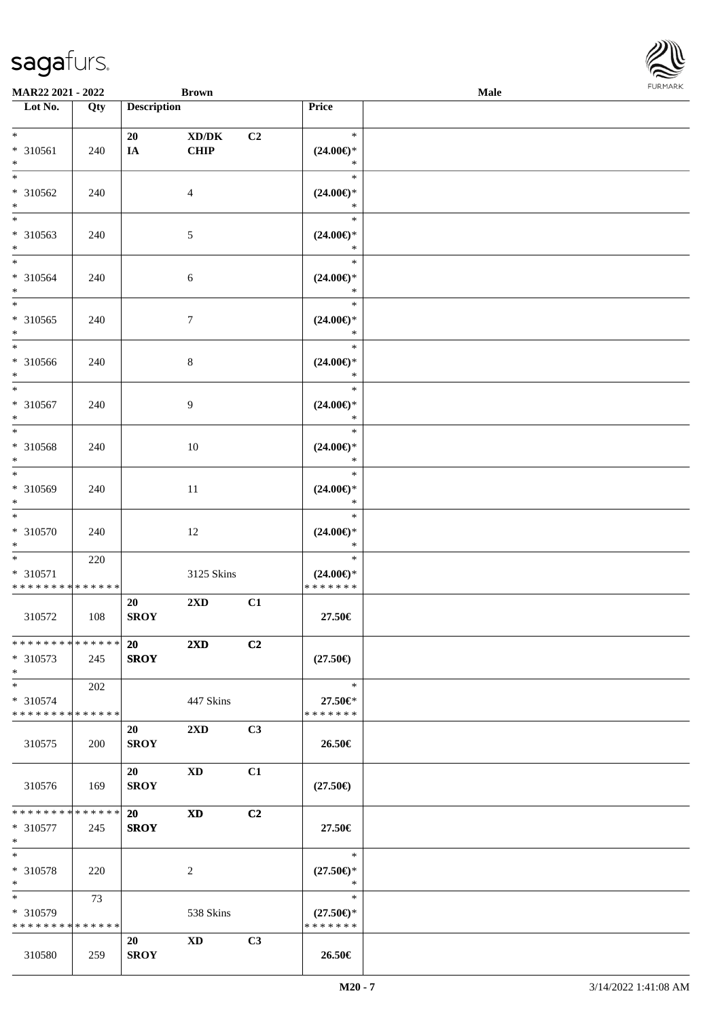

| MAR22 2021 - 2022                                    |                      |                          | <b>Brown</b>            |                |                                                   | Male | $1 \cup 1$ , $1 \cup 1$ |
|------------------------------------------------------|----------------------|--------------------------|-------------------------|----------------|---------------------------------------------------|------|-------------------------|
| Lot No.                                              | Qty                  | <b>Description</b>       |                         |                | Price                                             |      |                         |
| $*$<br>* 310561<br>$*$                               | 240                  | 20<br>IA                 | XD/DK<br><b>CHIP</b>    | C <sub>2</sub> | $\ast$<br>$(24.00\epsilon)$ *<br>$\ast$           |      |                         |
| * 310562<br>$*$                                      | 240                  |                          | $\overline{4}$          |                | $\ast$<br>$(24.00\epsilon)$ *<br>$\ast$           |      |                         |
| $*$<br>* 310563<br>$*$                               | 240                  |                          | 5                       |                | $\ast$<br>$(24.00\epsilon)$ *<br>$\ast$           |      |                         |
| * 310564<br>$\ast$<br>$\overline{\phantom{0}}$       | 240                  |                          | $\sqrt{6}$              |                | $\ast$<br>$(24.00\epsilon)$ *<br>$\ast$           |      |                         |
| * 310565<br>$*$<br>$*$                               | 240                  |                          | 7                       |                | $\ast$<br>$(24.00\epsilon)$ *<br>$\ast$           |      |                         |
| * 310566<br>$*$<br>$*$                               | 240                  |                          | $\,8\,$                 |                | $\ast$<br>$(24.00\epsilon)$ *<br>$\ast$           |      |                         |
| * 310567<br>$*$<br>$\overline{\phantom{0}}$          | 240                  |                          | 9                       |                | $\ast$<br>$(24.00\epsilon)$ *<br>$\ast$<br>$\ast$ |      |                         |
| * 310568<br>$*$                                      | 240                  |                          | 10                      |                | $(24.00\epsilon)$ *<br>$\ast$                     |      |                         |
| $*$<br>* 310569<br>$\ast$<br>$*$                     | 240                  |                          | 11                      |                | $\ast$<br>$(24.00\epsilon)$ *<br>$\ast$<br>$\ast$ |      |                         |
| $* 310570$<br>$\ast$                                 | 240                  |                          | 12                      |                | $(24.00\epsilon)$ *<br>$\ast$<br>$\ast$           |      |                         |
| * 310571<br>* * * * * * * * * * * * * *              | 220                  |                          | 3125 Skins              |                | $(24.00\epsilon)$ *<br>* * * * * * *              |      |                         |
| 310572                                               | 108                  | 20<br><b>SROY</b>        | $2\mathbf{X}\mathbf{D}$ | C1             | 27.50€                                            |      |                         |
| ******** <mark>******</mark><br>$* 310573$<br>$*$    | 245                  | <b>20</b><br><b>SROY</b> | $2\mathbf{X}\mathbf{D}$ | C2             | $(27.50\epsilon)$                                 |      |                         |
| $*$<br>* 310574<br>* * * * * * * * * * * * * * *     | 202                  |                          | 447 Skins               |                | $\ast$<br>27.50€*<br>* * * * * * *                |      |                         |
| 310575                                               | 200                  | 20<br><b>SROY</b>        | 2XD                     | C3             | 26.50€                                            |      |                         |
| 310576                                               | 169                  | 20<br><b>SROY</b>        | XD                      | C1             | $(27.50\epsilon)$                                 |      |                         |
| * * * * * * * *<br>* 310577<br>$*$                   | * * * * * *  <br>245 | 20<br><b>SROY</b>        | <b>XD</b>               | C2             | 27.50€                                            |      |                         |
| $*$<br>* 310578<br>$*$                               | 220                  |                          | $\overline{c}$          |                | $\ast$<br>$(27.50\epsilon)$ *<br>$\ast$           |      |                         |
| $*$ $*$<br>* 310579<br>* * * * * * * * * * * * * * * | 73                   |                          | 538 Skins               |                | $\ast$<br>$(27.50\epsilon)$ *<br>* * * * * * *    |      |                         |
| 310580                                               | 259                  | 20<br><b>SROY</b>        | <b>XD</b>               | C3             | 26.50€                                            |      |                         |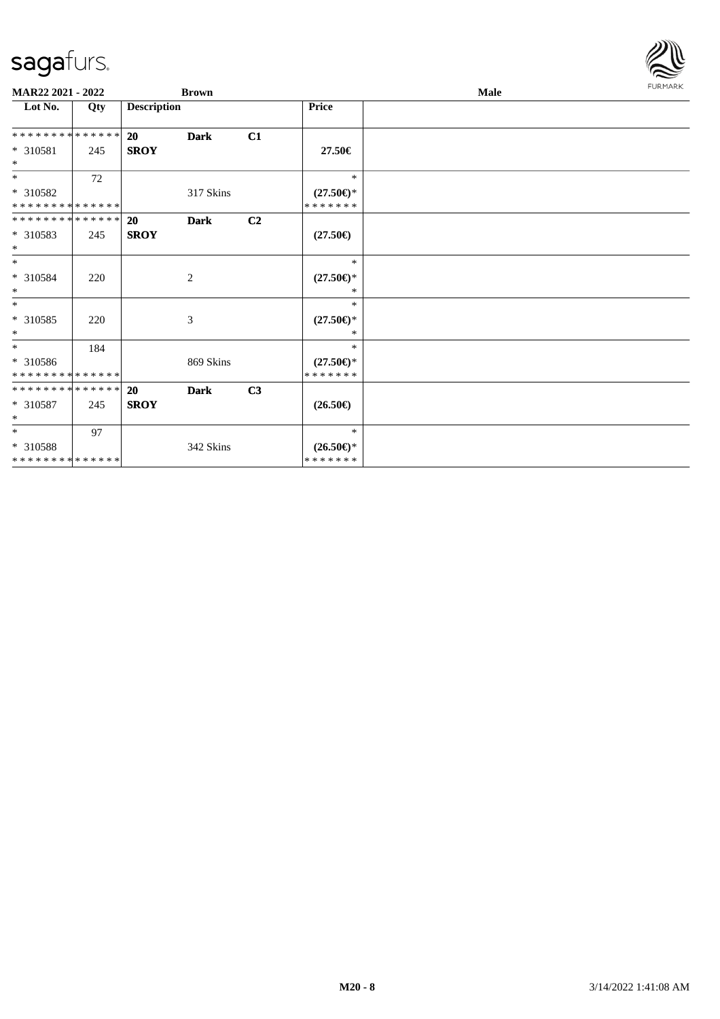

| MAR22 2021 - 2022                         |     |                    | <b>Brown</b> |    |                                      | <b>Male</b> | <b>FURMARK</b> |
|-------------------------------------------|-----|--------------------|--------------|----|--------------------------------------|-------------|----------------|
| Lot No.                                   | Qty | <b>Description</b> |              |    | <b>Price</b>                         |             |                |
| **************                            |     | <b>20</b>          | <b>Dark</b>  | C1 |                                      |             |                |
| * 310581<br>$\ast$                        | 245 | <b>SROY</b>        |              |    | 27.50€                               |             |                |
| $*$                                       | 72  |                    |              |    | $\ast$                               |             |                |
| * 310582<br>**************                |     |                    | 317 Skins    |    | $(27.50\epsilon)$ *<br>* * * * * * * |             |                |
| **************                            |     | <b>20</b>          | <b>Dark</b>  | C2 |                                      |             |                |
| $*310583$<br>$\ast$                       | 245 | <b>SROY</b>        |              |    | $(27.50\epsilon)$                    |             |                |
| $\ast$                                    |     |                    |              |    | $\ast$                               |             |                |
| * 310584<br>$\ast$                        | 220 |                    | 2            |    | $(27.50\epsilon)$ *<br>$*$           |             |                |
| $*$                                       |     |                    |              |    | $\ast$                               |             |                |
| * 310585<br>$\ast$                        | 220 |                    | 3            |    | $(27.50\epsilon)$ *<br>$\ast$        |             |                |
| $*$                                       | 184 |                    |              |    | $*$                                  |             |                |
| * 310586<br>**************                |     |                    | 869 Skins    |    | $(27.50\epsilon)$ *<br>* * * * * * * |             |                |
| **************                            |     | 20                 | <b>Dark</b>  | C3 |                                      |             |                |
| $*310587$<br>$\ast$                       | 245 | <b>SROY</b>        |              |    | $(26.50\epsilon)$                    |             |                |
| $*$                                       | 97  |                    |              |    | $\ast$                               |             |                |
| * 310588<br>******** <mark>*****</mark> * |     |                    | 342 Skins    |    | $(26.50\epsilon)$ *<br>* * * * * * * |             |                |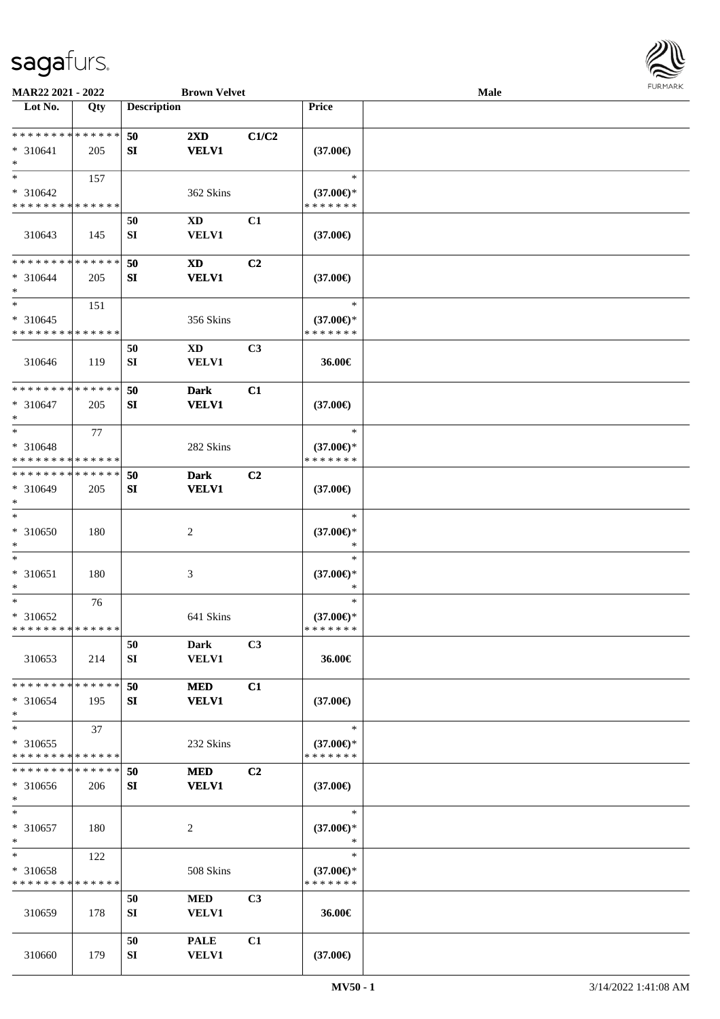

| MAR22 2021 - 2022                          |     |                    | <b>Brown Velvet</b>         |                |                     | Male |  |
|--------------------------------------------|-----|--------------------|-----------------------------|----------------|---------------------|------|--|
| Lot No.                                    | Qty | <b>Description</b> |                             |                | Price               |      |  |
|                                            |     |                    |                             |                |                     |      |  |
| **************                             |     | 50                 | $2\mathbf{X}\mathbf{D}$     | C1/C2          |                     |      |  |
| $* 310641$<br>$\ast$                       | 205 | SI                 | <b>VELV1</b>                |                | $(37.00\epsilon)$   |      |  |
| $\ast$                                     | 157 |                    |                             |                | $\ast$              |      |  |
| $* 310642$                                 |     |                    | 362 Skins                   |                | $(37.00\epsilon)$ * |      |  |
| * * * * * * * * * * * * * *                |     |                    |                             |                | * * * * * * *       |      |  |
|                                            |     | 50                 | <b>XD</b>                   | C1             |                     |      |  |
| 310643                                     | 145 | SI                 | VELV1                       |                | $(37.00\epsilon)$   |      |  |
|                                            |     |                    |                             |                |                     |      |  |
| * * * * * * * * * * * * * *                |     | 50                 | $\boldsymbol{\mathrm{XD}}$  | C2             |                     |      |  |
| $* 310644$<br>$\ast$                       | 205 | ${\bf S}{\bf I}$   | <b>VELV1</b>                |                | $(37.00\epsilon)$   |      |  |
| $\ast$                                     | 151 |                    |                             |                | $\ast$              |      |  |
| $* 310645$                                 |     |                    | 356 Skins                   |                | $(37.00\epsilon)$ * |      |  |
| * * * * * * * * * * * * * *                |     |                    |                             |                | * * * * * * *       |      |  |
|                                            |     | 50                 | $\mathbf{X}\mathbf{D}$      | C3             |                     |      |  |
| 310646                                     | 119 | SI                 | VELV1                       |                | 36.00€              |      |  |
|                                            |     |                    |                             |                |                     |      |  |
| * * * * * * * * * * * * * *                |     | 50                 | <b>Dark</b>                 | C1             |                     |      |  |
| $* 310647$<br>$\ast$                       | 205 | SI                 | <b>VELV1</b>                |                | $(37.00\epsilon)$   |      |  |
| $\ast$                                     | 77  |                    |                             |                | $\ast$              |      |  |
| $* 310648$                                 |     |                    | 282 Skins                   |                | $(37.00\epsilon)$ * |      |  |
| * * * * * * * * <mark>* * * * * * *</mark> |     |                    |                             |                | * * * * * * *       |      |  |
| * * * * * * * * * * * * * *                |     | 50                 | <b>Dark</b>                 | C <sub>2</sub> |                     |      |  |
| * 310649                                   | 205 | SI                 | <b>VELV1</b>                |                | $(37.00\epsilon)$   |      |  |
| $\ast$                                     |     |                    |                             |                |                     |      |  |
| $\ast$                                     |     |                    |                             |                | $\ast$              |      |  |
| * 310650                                   | 180 |                    | $\boldsymbol{2}$            |                | $(37.00\epsilon)$ * |      |  |
| $\ast$<br>$\ast$                           |     |                    |                             |                | $\ast$<br>$\ast$    |      |  |
| $* 310651$                                 | 180 |                    | $\mathfrak{Z}$              |                | $(37.00\epsilon)$ * |      |  |
| $\ast$                                     |     |                    |                             |                | $\ast$              |      |  |
| $\ast$                                     | 76  |                    |                             |                | $\ast$              |      |  |
| * 310652                                   |     |                    | 641 Skins                   |                | $(37.00\epsilon)$ * |      |  |
| **************                             |     |                    |                             |                | * * * * * * *       |      |  |
|                                            |     | 50                 | Dark                        | C3             |                     |      |  |
| 310653                                     | 214 | SI                 | <b>VELV1</b>                |                | 36.00€              |      |  |
| * * * * * * * * * * * * * *                |     |                    |                             |                |                     |      |  |
| * 310654                                   | 195 | 50<br>SI           | <b>MED</b><br><b>VELV1</b>  | C1             | $(37.00\epsilon)$   |      |  |
| $\ast$                                     |     |                    |                             |                |                     |      |  |
| $\ast$                                     | 37  |                    |                             |                | $\ast$              |      |  |
| $* 310655$                                 |     |                    | 232 Skins                   |                | $(37.00\epsilon)$ * |      |  |
| * * * * * * * * * * * * * *                |     |                    |                             |                | * * * * * * *       |      |  |
| * * * * * * * * * * * * * *                |     | 50                 | <b>MED</b>                  | C2             |                     |      |  |
| $* 310656$                                 | 206 | SI                 | <b>VELV1</b>                |                | $(37.00\epsilon)$   |      |  |
| $\ast$<br>$\ast$                           |     |                    |                             |                | $\ast$              |      |  |
| $* 310657$                                 | 180 |                    | $\overline{c}$              |                | $(37.00\epsilon)$ * |      |  |
| $\ast$                                     |     |                    |                             |                | $\ast$              |      |  |
| $\ast$                                     | 122 |                    |                             |                | $\ast$              |      |  |
| * 310658                                   |     |                    | 508 Skins                   |                | $(37.00\epsilon)$ * |      |  |
| * * * * * * * * * * * * * *                |     |                    |                             |                | * * * * * * *       |      |  |
|                                            |     | 50                 | <b>MED</b>                  | C3             |                     |      |  |
| 310659                                     | 178 | ${\bf SI}$         | <b>VELV1</b>                |                | 36.00€              |      |  |
|                                            |     |                    |                             |                |                     |      |  |
| 310660                                     | 179 | 50<br>SI           | <b>PALE</b><br><b>VELV1</b> | C1             | $(37.00\epsilon)$   |      |  |
|                                            |     |                    |                             |                |                     |      |  |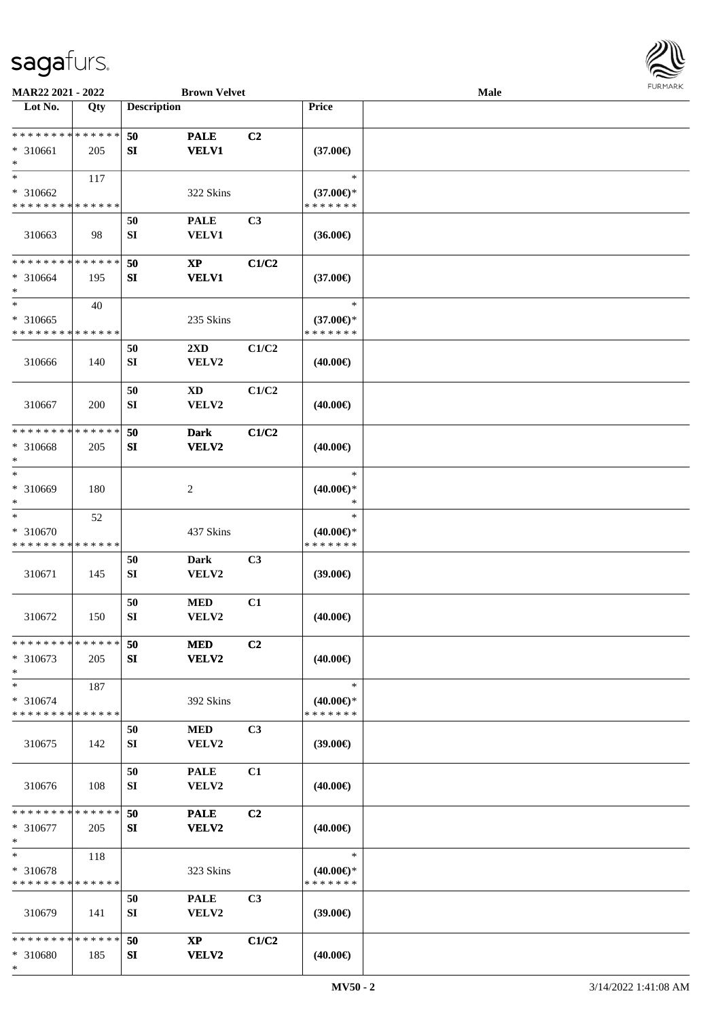

| MAR22 2021 - 2022                                   |                    |                        | <b>Brown Velvet</b>              |                |                                                | Male |  |
|-----------------------------------------------------|--------------------|------------------------|----------------------------------|----------------|------------------------------------------------|------|--|
| Lot No.                                             | Qty                | <b>Description</b>     |                                  |                | Price                                          |      |  |
| **************<br>* 310661<br>$\ast$                | 205                | 50<br>SI               | <b>PALE</b><br><b>VELV1</b>      | C2             | $(37.00\epsilon)$                              |      |  |
| $\ast$<br>* 310662<br>* * * * * * * * * * * * * *   | 117                |                        | 322 Skins                        |                | $\ast$<br>$(37.00€)$ *<br>* * * * * * *        |      |  |
| 310663                                              | 98                 | 50<br>SI               | <b>PALE</b><br>VELV1             | C <sub>3</sub> | $(36.00\epsilon)$                              |      |  |
| * * * * * * * * * * * * * *<br>* 310664<br>$\ast$   | 195                | 50<br>${\bf S}{\bf I}$ | $\mathbf{XP}$<br><b>VELV1</b>    | C1/C2          | $(37.00\epsilon)$                              |      |  |
| $\ast$<br>* 310665<br>* * * * * * * * * * * * * *   | 40                 |                        | 235 Skins                        |                | $\ast$<br>$(37.00\epsilon)$ *<br>* * * * * * * |      |  |
| 310666                                              | 140                | 50<br>SI               | $2\mathbf{X}\mathbf{D}$<br>VELV2 | C1/C2          | $(40.00\epsilon)$                              |      |  |
| 310667                                              | 200                | 50<br>${\bf SI}$       | <b>XD</b><br>VELV2               | C1/C2          | $(40.00\epsilon)$                              |      |  |
| * * * * * * * *<br>* 310668<br>$\ast$               | * * * * * *<br>205 | 50<br>SI               | <b>Dark</b><br>VELV2             | C1/C2          | $(40.00\epsilon)$                              |      |  |
| $\ast$<br>* 310669<br>$\ast$                        | 180                |                        | $\sqrt{2}$                       |                | $\ast$<br>$(40.00\epsilon)$ *<br>$\ast$        |      |  |
| $\ast$<br>* 310670<br>* * * * * * * * * * * * * *   | 52                 |                        | 437 Skins                        |                | $\ast$<br>$(40.00\epsilon)$ *<br>* * * * * * * |      |  |
| 310671                                              | 145                | 50<br>SI               | <b>Dark</b><br>VELV2             | C3             | (39.00)                                        |      |  |
| 310672                                              | 150                | 50<br>${\bf SI}$       | $\bf MED$<br>VELV2               | C1             | $(40.00\epsilon)$                              |      |  |
| * * * * * * * * * * * * * *<br>$* 310673$<br>$\ast$ | 205                | 50<br>SI               | <b>MED</b><br><b>VELV2</b>       | C2             | $(40.00\epsilon)$                              |      |  |
| $\ast$<br>* 310674<br>* * * * * * * * * * * * * *   | 187                |                        | 392 Skins                        |                | $\ast$<br>$(40.00\epsilon)$ *<br>* * * * * * * |      |  |
| 310675                                              | 142                | 50<br>SI               | <b>MED</b><br>VELV2              | C3             | (39.00)                                        |      |  |
| 310676                                              | 108                | 50<br>SI               | <b>PALE</b><br>VELV2             | C1             | $(40.00\epsilon)$                              |      |  |
| * * * * * * * * * * * * * *<br>* 310677<br>$\ast$   | 205                | 50<br>SI               | <b>PALE</b><br>VELV2             | C2             | $(40.00\epsilon)$                              |      |  |
| $\ast$<br>* 310678<br>* * * * * * * * * * * * * *   | 118                |                        | 323 Skins                        |                | $\ast$<br>$(40.00\epsilon)$ *<br>* * * * * * * |      |  |
| 310679                                              | 141                | 50<br>SI               | <b>PALE</b><br>VELV2             | C3             | $(39.00\epsilon)$                              |      |  |
| * * * * * * * * * * * * * *<br>* 310680<br>$\ast$   | 185                | 50<br>SI               | <b>XP</b><br>VELV2               | C1/C2          | $(40.00\epsilon)$                              |      |  |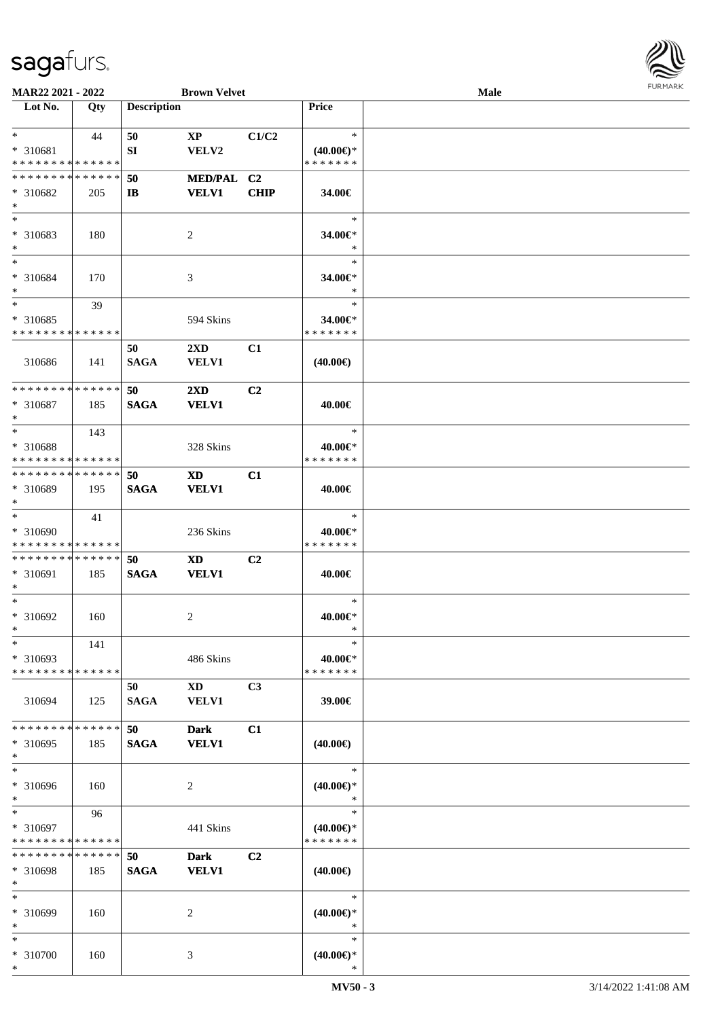

| MAR22 2021 - 2022                       |     |                    | <b>Brown Velvet</b>             |             |                                         | <b>Male</b> |  |
|-----------------------------------------|-----|--------------------|---------------------------------|-------------|-----------------------------------------|-------------|--|
| Lot No.                                 | Qty | <b>Description</b> |                                 |             | Price                                   |             |  |
| $*$<br>* 310681                         | 44  | 50<br>SI           | $\mathbf{X}\mathbf{P}$<br>VELV2 | C1/C2       | $\ast$<br>$(40.00\epsilon)$ *           |             |  |
| * * * * * * * * * * * * * *             |     |                    |                                 |             | * * * * * * *                           |             |  |
| * * * * * * * * * * * * * *             |     |                    |                                 |             |                                         |             |  |
| * 310682<br>$*$                         | 205 | 50<br>IB           | MED/PAL C2<br><b>VELV1</b>      | <b>CHIP</b> | 34.00€                                  |             |  |
| $*$<br>* 310683<br>$*$                  | 180 |                    | 2                               |             | $\ast$<br>34.00€*<br>$\ast$             |             |  |
| $*$<br>* 310684<br>$*$                  | 170 |                    | 3                               |             | $\ast$<br>34.00€*<br>$\ast$             |             |  |
| $*$                                     | 39  |                    |                                 |             | $\ast$                                  |             |  |
| * 310685<br>* * * * * * * * * * * * * * |     |                    | 594 Skins                       |             | 34.00€*<br>* * * * * * *                |             |  |
|                                         |     | 50                 | $2\mathbf{X}\mathbf{D}$         | C1          |                                         |             |  |
| 310686                                  | 141 | <b>SAGA</b>        | <b>VELV1</b>                    |             | $(40.00\epsilon)$                       |             |  |
| * * * * * * * * * * * * * *             |     | 50                 | $2\mathbf{X}\mathbf{D}$         | C2          |                                         |             |  |
| * 310687<br>$*$                         | 185 | <b>SAGA</b>        | <b>VELV1</b>                    |             | 40.00€                                  |             |  |
| $*$                                     | 143 |                    |                                 |             | $\ast$                                  |             |  |
| * 310688<br>* * * * * * * * * * * * * * |     |                    | 328 Skins                       |             | 40.00€*<br>* * * * * * *                |             |  |
| * * * * * * * * * * * * * *             |     | 50                 | <b>XD</b>                       | C1          |                                         |             |  |
| * 310689<br>$*$                         | 195 | <b>SAGA</b>        | <b>VELV1</b>                    |             | 40.00€                                  |             |  |
| $\ast$                                  | 41  |                    |                                 |             | $\ast$                                  |             |  |
| * 310690                                |     |                    | 236 Skins                       |             | 40.00€*                                 |             |  |
| * * * * * * * * * * * * * *             |     |                    |                                 |             | * * * * * * *                           |             |  |
| * * * * * * * * * * * * * *             |     | 50                 | <b>XD</b>                       | C2          |                                         |             |  |
| * 310691<br>$*$                         | 185 | <b>SAGA</b>        | <b>VELV1</b>                    |             | 40.00€                                  |             |  |
| $*$                                     |     |                    |                                 |             | $\ast$                                  |             |  |
| * 310692<br>$*$                         | 160 |                    | 2                               |             | 40.00€*<br>$\ast$                       |             |  |
| $*$                                     | 141 |                    |                                 |             | $\ast$                                  |             |  |
| * 310693<br>* * * * * * * * * * * * * * |     |                    | 486 Skins                       |             | 40.00€*<br>* * * * * * *                |             |  |
| 310694                                  | 125 | 50<br><b>SAGA</b>  | $\mathbf{X}\mathbf{D}$<br>VELV1 | C3          | 39.00€                                  |             |  |
| * * * * * * * * * * * * * *<br>* 310695 | 185 | 50<br><b>SAGA</b>  | <b>Dark</b><br><b>VELV1</b>     | C1          | $(40.00\epsilon)$                       |             |  |
| $*$                                     |     |                    |                                 |             |                                         |             |  |
| $\ast$<br>* 310696<br>$*$               | 160 |                    | 2                               |             | $\ast$<br>$(40.00\epsilon)$ *<br>$\ast$ |             |  |
| $*$                                     | 96  |                    |                                 |             | $\ast$                                  |             |  |
| * 310697<br>* * * * * * * * * * * * * * |     |                    | 441 Skins                       |             | $(40.00€)$ *<br>* * * * * * *           |             |  |
| * * * * * * * * * * * * * *             |     | 50                 | <b>Dark</b>                     | C2          |                                         |             |  |
| * 310698<br>$*$                         | 185 | <b>SAGA</b>        | <b>VELV1</b>                    |             | $(40.00\epsilon)$                       |             |  |
| $*$                                     |     |                    |                                 |             | $\ast$                                  |             |  |
| * 310699<br>$*$                         | 160 |                    | 2                               |             | $(40.00\epsilon)$ *<br>$\ast$           |             |  |
| $*$<br>* 310700                         | 160 |                    | 3                               |             | $\ast$<br>$(40.00\epsilon)$ *           |             |  |
| $*$                                     |     |                    |                                 |             | $\ast$                                  |             |  |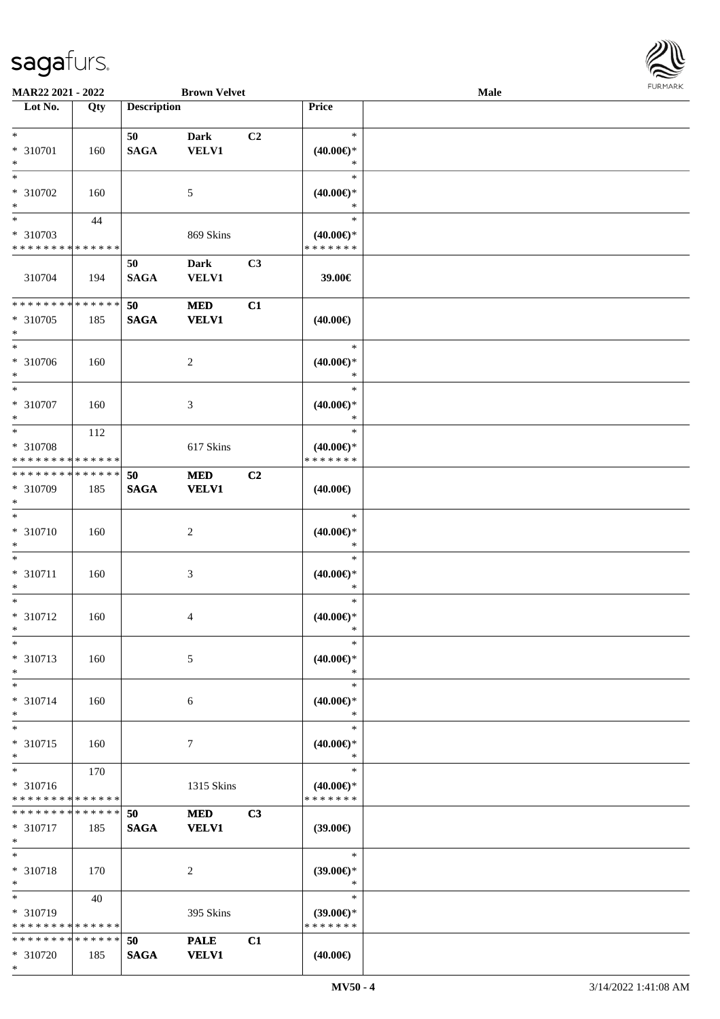

| MAR22 2021 - 2022             |             |                    | <b>Brown Velvet</b> |    |                                      | <b>Male</b> |  |
|-------------------------------|-------------|--------------------|---------------------|----|--------------------------------------|-------------|--|
| Lot No.                       | Qty         | <b>Description</b> |                     |    | Price                                |             |  |
|                               |             |                    |                     |    |                                      |             |  |
| $\ast$                        |             | 50                 | <b>Dark</b>         | C2 | $\ast$                               |             |  |
| * 310701                      | 160         | <b>SAGA</b>        | <b>VELV1</b>        |    | $(40.00\epsilon)$ *                  |             |  |
| $\ast$                        |             |                    |                     |    | $\ast$                               |             |  |
| $\ast$                        |             |                    |                     |    | $\ast$                               |             |  |
| * 310702                      | 160         |                    | 5                   |    | $(40.00\epsilon)$ *                  |             |  |
| $\ast$                        |             |                    |                     |    | $\ast$                               |             |  |
| $\overline{\phantom{1}}$      | 44          |                    |                     |    | $\ast$                               |             |  |
|                               |             |                    |                     |    |                                      |             |  |
| * 310703<br>********          |             |                    | 869 Skins           |    | $(40.00\epsilon)$ *<br>* * * * * * * |             |  |
|                               | * * * * * * |                    |                     |    |                                      |             |  |
|                               |             | 50                 | <b>Dark</b>         | C3 |                                      |             |  |
| 310704                        | 194         | <b>SAGA</b>        | <b>VELV1</b>        |    | 39.00€                               |             |  |
|                               |             |                    |                     |    |                                      |             |  |
| * * * * * * * * * * * * * *   |             | 50                 | <b>MED</b>          | C1 |                                      |             |  |
| * 310705                      | 185         | <b>SAGA</b>        | <b>VELV1</b>        |    | $(40.00\epsilon)$                    |             |  |
| $\ast$                        |             |                    |                     |    |                                      |             |  |
| $\ast$                        |             |                    |                     |    | $\ast$                               |             |  |
| * 310706                      | 160         |                    | $\sqrt{2}$          |    | $(40.00\epsilon)$ *                  |             |  |
| $\ast$                        |             |                    |                     |    | $\ast$                               |             |  |
| $\ast$                        |             |                    |                     |    | $\ast$                               |             |  |
|                               |             |                    |                     |    |                                      |             |  |
| $* 310707$<br>$\ast$          | 160         |                    | $\mathfrak{Z}$      |    | $(40.00\epsilon)$ *<br>$\ast$        |             |  |
|                               |             |                    |                     |    |                                      |             |  |
| $\ast$                        | 112         |                    |                     |    | $\ast$                               |             |  |
| * 310708                      |             |                    | 617 Skins           |    | $(40.00\epsilon)$ *                  |             |  |
| ******** <mark>******</mark>  |             |                    |                     |    | * * * * * * *                        |             |  |
| * * * * * * * * * * * * * * * |             | 50                 | <b>MED</b>          | C2 |                                      |             |  |
| * 310709                      | 185         | <b>SAGA</b>        | <b>VELV1</b>        |    | $(40.00\epsilon)$                    |             |  |
| $\ast$                        |             |                    |                     |    |                                      |             |  |
| $\ast$                        |             |                    |                     |    | $\ast$                               |             |  |
| $* 310710$                    | 160         |                    | $\sqrt{2}$          |    | $(40.00\epsilon)$ *                  |             |  |
| $\ast$                        |             |                    |                     |    | $\ast$                               |             |  |
| $\ast$                        |             |                    |                     |    | $\ast$                               |             |  |
|                               |             |                    |                     |    |                                      |             |  |
| $* 310711$                    | 160         |                    | $\mathfrak{Z}$      |    | $(40.00\epsilon)$ *                  |             |  |
| $\ast$                        |             |                    |                     |    | $\ast$                               |             |  |
| $\ast$                        |             |                    |                     |    | $\ast$                               |             |  |
| $* 310712$                    | 160         |                    | $\overline{4}$      |    | $(40.00ε)$ *                         |             |  |
| $*$                           |             |                    |                     |    | $\ast$                               |             |  |
| $\ast$                        |             |                    |                     |    | $\ast$                               |             |  |
| * 310713                      | 160         |                    | 5                   |    | $(40.00\epsilon)$ *                  |             |  |
| $\ast$                        |             |                    |                     |    | $\ast$                               |             |  |
| $\ast$                        |             |                    |                     |    | $\ast$                               |             |  |
| $* 310714$                    | 160         |                    | 6                   |    | $(40.00\epsilon)$ *                  |             |  |
| $\ast$                        |             |                    |                     |    | $\ast$                               |             |  |
| $\ast$                        |             |                    |                     |    | $\ast$                               |             |  |
|                               |             |                    |                     |    |                                      |             |  |
| * 310715                      | 160         |                    | $\tau$              |    | $(40.00\epsilon)$ *                  |             |  |
| $\ast$                        |             |                    |                     |    | $\ast$                               |             |  |
| $\ast$                        | 170         |                    |                     |    | $\ast$                               |             |  |
| * 310716                      |             |                    | 1315 Skins          |    | $(40.00\epsilon)$ *                  |             |  |
| * * * * * * * * * * * * * *   |             |                    |                     |    | * * * * * * *                        |             |  |
| * * * * * * * * * * * * * * * |             | 50                 | <b>MED</b>          | C3 |                                      |             |  |
| $* 310717$                    | 185         | <b>SAGA</b>        | <b>VELV1</b>        |    | $(39.00\epsilon)$                    |             |  |
| $\ast$                        |             |                    |                     |    |                                      |             |  |
| $\ast$                        |             |                    |                     |    | $\ast$                               |             |  |
| * 310718                      | 170         |                    | $\overline{c}$      |    | $(39.00\epsilon)$ *                  |             |  |
| $\ast$                        |             |                    |                     |    | $\ast$                               |             |  |
| $\ast$                        |             |                    |                     |    | $\ast$                               |             |  |
|                               | 40          |                    |                     |    |                                      |             |  |
| * 310719                      |             |                    | 395 Skins           |    | $(39.00\epsilon)$ *                  |             |  |
| * * * * * * * * * * * * * *   |             |                    |                     |    | * * * * * * *                        |             |  |
| * * * * * * * * * * * * * *   |             | 50                 | <b>PALE</b>         | C1 |                                      |             |  |
| * 310720                      | 185         | <b>SAGA</b>        | <b>VELV1</b>        |    | $(40.00\epsilon)$                    |             |  |
| $*$                           |             |                    |                     |    |                                      |             |  |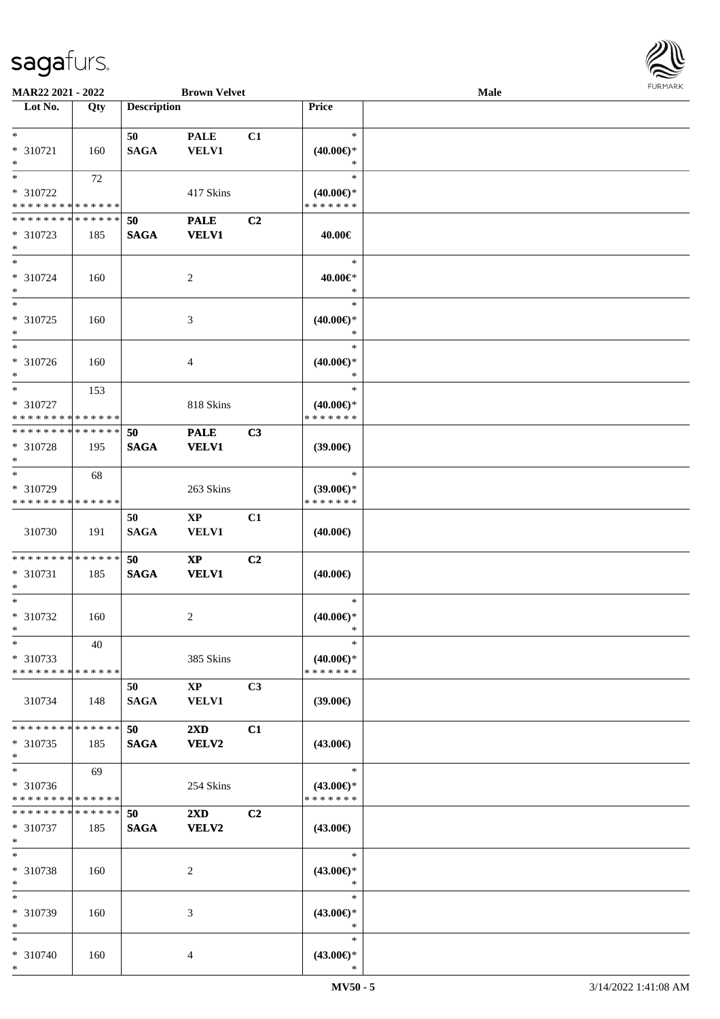

| <b>MAR22 2021 - 2022</b>                                     |     |                    | <b>Brown Velvet</b>     |                |                                      | Male |  |
|--------------------------------------------------------------|-----|--------------------|-------------------------|----------------|--------------------------------------|------|--|
| Lot No.                                                      | Qty | <b>Description</b> |                         |                | Price                                |      |  |
|                                                              |     |                    |                         |                |                                      |      |  |
| $*$                                                          |     | 50                 | <b>PALE</b>             | C1             | $\ast$                               |      |  |
| * 310721                                                     | 160 | <b>SAGA</b>        | <b>VELV1</b>            |                | $(40.00\epsilon)$ *                  |      |  |
| $*$                                                          |     |                    |                         |                | $\ast$                               |      |  |
|                                                              | 72  |                    |                         |                | $\ast$                               |      |  |
| * 310722                                                     |     |                    | 417 Skins               |                | $(40.00\epsilon)$ *                  |      |  |
| * * * * * * * * <mark>* * * * * * *</mark>                   |     |                    |                         |                | * * * * * * *                        |      |  |
| * * * * * * * * * * * * * *                                  |     | 50                 | <b>PALE</b>             | C2             |                                      |      |  |
| * 310723                                                     | 185 | <b>SAGA</b>        | <b>VELV1</b>            |                | 40.00€                               |      |  |
| $*$                                                          |     |                    |                         |                |                                      |      |  |
| $*$                                                          |     |                    |                         |                | $\ast$                               |      |  |
| * 310724                                                     | 160 |                    | 2                       |                | 40.00€*                              |      |  |
| $*$                                                          |     |                    |                         |                | $\ast$                               |      |  |
|                                                              |     |                    |                         |                | $\ast$                               |      |  |
| * 310725                                                     | 160 |                    | 3                       |                | $(40.00\epsilon)$ *                  |      |  |
| $*$<br>$\overline{\phantom{0}}$                              |     |                    |                         |                | $\ast$                               |      |  |
|                                                              |     |                    |                         |                | $\ast$                               |      |  |
| * 310726                                                     | 160 |                    | $\overline{4}$          |                | $(40.00\epsilon)$ *                  |      |  |
| $*$<br>$*$                                                   |     |                    |                         |                | $\ast$<br>$\ast$                     |      |  |
|                                                              | 153 |                    |                         |                |                                      |      |  |
| * 310727                                                     |     |                    | 818 Skins               |                | $(40.00\epsilon)$ *<br>* * * * * * * |      |  |
| * * * * * * * * * * * * * *<br>* * * * * * * * * * * * * * * |     |                    |                         |                |                                      |      |  |
|                                                              |     | 50                 | <b>PALE</b>             | C3             |                                      |      |  |
| * 310728                                                     | 195 | <b>SAGA</b>        | <b>VELV1</b>            |                | $(39.00\epsilon)$                    |      |  |
| $*$<br>$\overline{\ast}$                                     |     |                    |                         |                | $\ast$                               |      |  |
| * 310729                                                     | 68  |                    |                         |                |                                      |      |  |
| * * * * * * * * * * * * * *                                  |     |                    | 263 Skins               |                | $(39.00\epsilon)$ *<br>* * * * * * * |      |  |
|                                                              |     | 50                 | $\mathbf{X}\mathbf{P}$  |                |                                      |      |  |
| 310730                                                       |     | <b>SAGA</b>        | <b>VELV1</b>            | C1             |                                      |      |  |
|                                                              | 191 |                    |                         |                | $(40.00\epsilon)$                    |      |  |
| * * * * * * * * <mark>* * * * * * *</mark>                   |     | 50                 | $\mathbf{XP}$           | C2             |                                      |      |  |
| * 310731                                                     | 185 | <b>SAGA</b>        | <b>VELV1</b>            |                | $(40.00\epsilon)$                    |      |  |
| $\ast$                                                       |     |                    |                         |                |                                      |      |  |
| $*$                                                          |     |                    |                         |                | $\ast$                               |      |  |
| * 310732                                                     | 160 |                    | 2                       |                | $(40.00\epsilon)$ *                  |      |  |
| $*$                                                          |     |                    |                         |                | *                                    |      |  |
| $\ast$                                                       | 40  |                    |                         |                | $\ast$                               |      |  |
| * 310733                                                     |     |                    | 385 Skins               |                | $(40.00\epsilon)$ *                  |      |  |
| * * * * * * * * <mark>* * * * * *</mark> *                   |     |                    |                         |                | * * * * * * *                        |      |  |
|                                                              |     | 50                 | $\mathbf{XP}$           | C3             |                                      |      |  |
| 310734                                                       | 148 | <b>SAGA</b>        | <b>VELV1</b>            |                | $(39.00\epsilon)$                    |      |  |
|                                                              |     |                    |                         |                |                                      |      |  |
| * * * * * * * * * * * * * *                                  |     | 50                 | $2\mathbf{X}\mathbf{D}$ | C1             |                                      |      |  |
| * 310735                                                     | 185 | <b>SAGA</b>        | VELV2                   |                | $(43.00\epsilon)$                    |      |  |
| $\ast$                                                       |     |                    |                         |                |                                      |      |  |
| $\overline{\ast}$                                            | 69  |                    |                         |                | $\ast$                               |      |  |
| * 310736                                                     |     |                    | 254 Skins               |                | $(43.00\epsilon)$ *                  |      |  |
| * * * * * * * * * * * * * *                                  |     |                    |                         |                | * * * * * * *                        |      |  |
| * * * * * * * * * * * * * * *                                |     | 50                 | $2\mathbf{X}\mathbf{D}$ | C <sub>2</sub> |                                      |      |  |
| * 310737                                                     | 185 | <b>SAGA</b>        | <b>VELV2</b>            |                | $(43.00\epsilon)$                    |      |  |
| $*$                                                          |     |                    |                         |                |                                      |      |  |
| $*$                                                          |     |                    |                         |                | $\ast$                               |      |  |
| * 310738                                                     | 160 |                    | 2                       |                | $(43.00\epsilon)$ *                  |      |  |
| $*$                                                          |     |                    |                         |                | $\ast$                               |      |  |
| $*$                                                          |     |                    |                         |                | $\ast$                               |      |  |
| * 310739                                                     | 160 |                    | 3                       |                | $(43.00\epsilon)$ *                  |      |  |
| $*$                                                          |     |                    |                         |                | $\ast$                               |      |  |
| $*$                                                          |     |                    |                         |                | $\ast$                               |      |  |
| * 310740                                                     | 160 |                    | 4                       |                | $(43.00\epsilon)$ *                  |      |  |
| $*$                                                          |     |                    |                         |                | $\ast$                               |      |  |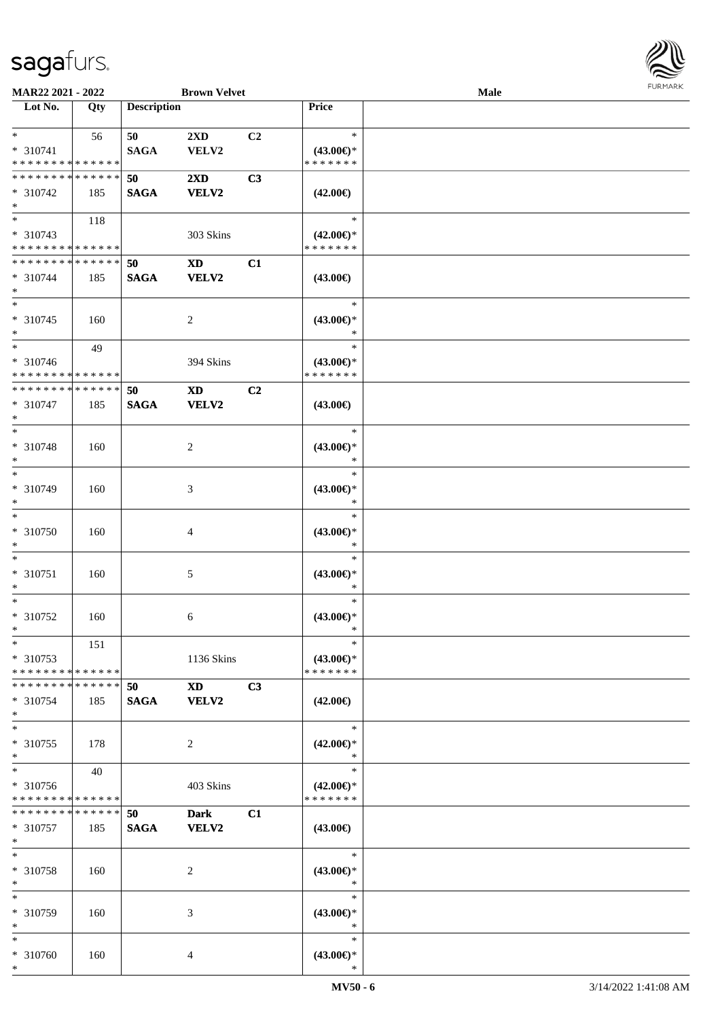

| MAR22 2021 - 2022                                                   |     |                       | <b>Brown Velvet</b>                                                                                                                                                                                                                            |    |                                                | Male |  |
|---------------------------------------------------------------------|-----|-----------------------|------------------------------------------------------------------------------------------------------------------------------------------------------------------------------------------------------------------------------------------------|----|------------------------------------------------|------|--|
| Lot No.                                                             | Qty | <b>Description</b>    |                                                                                                                                                                                                                                                |    | Price                                          |      |  |
| $\ast$<br>* 310741                                                  | 56  | 50<br><b>SAGA</b>     | 2XD<br>VELV2                                                                                                                                                                                                                                   | C2 | $\ast$<br>$(43.00\epsilon)$ *                  |      |  |
| * * * * * * * * * * * * * *                                         |     |                       |                                                                                                                                                                                                                                                |    | * * * * * * *                                  |      |  |
| * * * * * * * * * * * * * *<br>$* 310742$<br>$\ast$                 | 185 | 50<br><b>SAGA</b>     | $2\mathbf{X}\mathbf{D}$<br><b>VELV2</b>                                                                                                                                                                                                        | C3 | $(42.00\epsilon)$                              |      |  |
| $\overline{\phantom{0}}$<br>* 310743<br>* * * * * * * * * * * * * * | 118 |                       | 303 Skins                                                                                                                                                                                                                                      |    | $\ast$<br>$(42.00\epsilon)$ *<br>* * * * * * * |      |  |
| **************<br>$* 310744$<br>$\ast$                              | 185 | 50<br>$\mathbf{SAGA}$ | $\mathbf{X}\mathbf{D}$<br><b>VELV2</b>                                                                                                                                                                                                         | C1 | $(43.00\epsilon)$                              |      |  |
| $\ast$<br>$* 310745$<br>$\ast$                                      | 160 |                       | $\overline{c}$                                                                                                                                                                                                                                 |    | $\ast$<br>$(43.00\epsilon)$ *<br>*             |      |  |
| $\ast$<br>* 310746<br>* * * * * * * * * * * * * *                   | 49  |                       | 394 Skins                                                                                                                                                                                                                                      |    | $\ast$<br>$(43.00\epsilon)$ *<br>* * * * * * * |      |  |
| * * * * * * * * * * * * * *<br>* 310747<br>$\ast$                   | 185 | 50<br><b>SAGA</b>     | <b>XD</b><br><b>VELV2</b>                                                                                                                                                                                                                      | C2 | $(43.00\epsilon)$                              |      |  |
| $\ast$<br>* 310748<br>$\ast$                                        | 160 |                       | $\overline{c}$                                                                                                                                                                                                                                 |    | $\ast$<br>$(43.00\epsilon)$ *<br>∗             |      |  |
| $\ast$<br>* 310749<br>$\ast$                                        | 160 |                       | 3                                                                                                                                                                                                                                              |    | $\ast$<br>$(43.00\epsilon)$ *<br>*             |      |  |
| $\ast$<br>$* 310750$<br>$\ast$                                      | 160 |                       | 4                                                                                                                                                                                                                                              |    | $\ast$<br>$(43.00\epsilon)$ *<br>$\ast$        |      |  |
| $\ast$<br>$* 310751$<br>$\ast$                                      | 160 |                       | 5                                                                                                                                                                                                                                              |    | $\ast$<br>$(43.00\epsilon)$ *<br>$\ast$        |      |  |
| $\ast$<br>$* 310752$<br>$*$                                         | 160 |                       | 6                                                                                                                                                                                                                                              |    | $\ast$<br>$(43.00\epsilon)$ *<br>$\ast$        |      |  |
| $*$<br>* 310753<br>* * * * * * * * * * * * * * *                    | 151 |                       | 1136 Skins                                                                                                                                                                                                                                     |    | $\ast$<br>$(43.00\epsilon)$ *<br>* * * * * * * |      |  |
| * * * * * * * * * * * * * * *<br>* 310754<br>$*$                    | 185 | 50<br><b>SAGA</b>     | XD and the set of the set of the set of the set of the set of the set of the set of the set of the set of the set of the set of the set of the set of the set of the set of the set of the set of the set of the set of the se<br><b>VELV2</b> | C3 | $(42.00\epsilon)$                              |      |  |
| $\ast$<br>$* 310755$<br>$\ast$                                      | 178 |                       | 2                                                                                                                                                                                                                                              |    | $\ast$<br>$(42.00\epsilon)$ *<br>$\ast$        |      |  |
| $\ast$<br>* 310756<br>* * * * * * * * * * * * * *                   | 40  |                       | 403 Skins                                                                                                                                                                                                                                      |    | $\ast$<br>$(42.00\epsilon)$ *<br>* * * * * * * |      |  |
| * * * * * * * * * * * * * * *<br>* 310757<br>$*$                    | 185 | 50<br><b>SAGA</b>     | <b>Dark</b><br><b>VELV2</b>                                                                                                                                                                                                                    | C1 | $(43.00\epsilon)$                              |      |  |
| $\ast$<br>* 310758<br>$\ast$                                        | 160 |                       | 2                                                                                                                                                                                                                                              |    | $\ast$<br>$(43.00\epsilon)$ *<br>$\ast$        |      |  |
| $\ast$<br>* 310759<br>$\ast$                                        | 160 |                       | 3                                                                                                                                                                                                                                              |    | $\ast$<br>$(43.00\epsilon)$ *<br>$\ast$        |      |  |
| $\ast$<br>* 310760<br>$*$                                           | 160 |                       | 4                                                                                                                                                                                                                                              |    | $\ast$<br>$(43.00\epsilon)$ *<br>$\ast$        |      |  |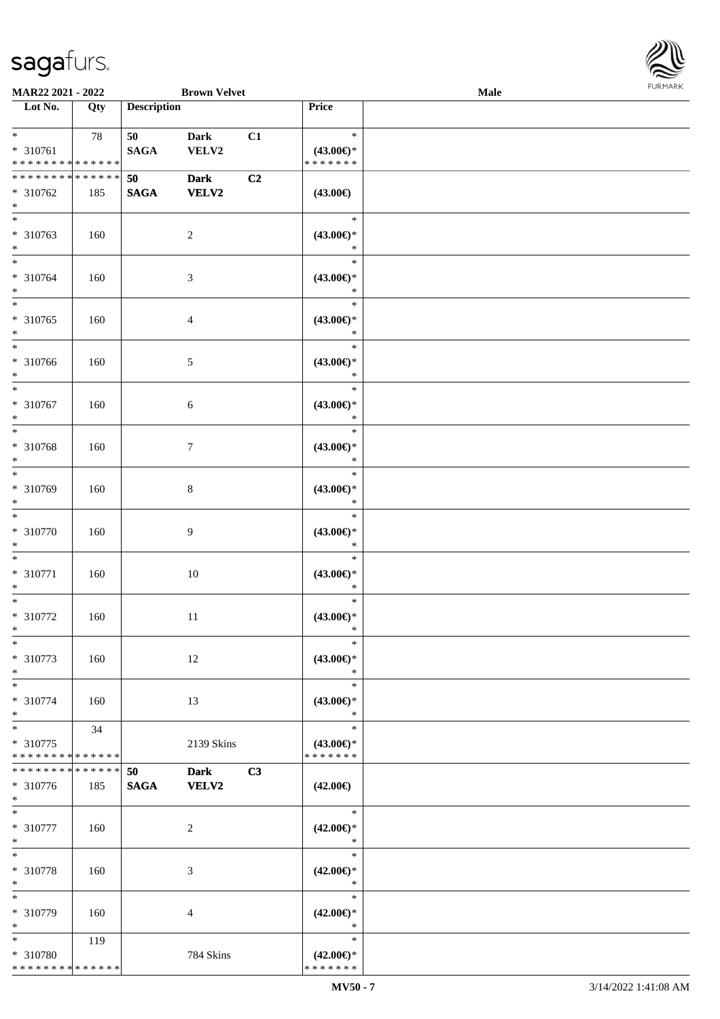

| MAR22 2021 - 2022                                           |     |                    | <b>Brown Velvet</b>         |    |                                                | <b>Male</b> |  |
|-------------------------------------------------------------|-----|--------------------|-----------------------------|----|------------------------------------------------|-------------|--|
| Lot No.                                                     | Qty | <b>Description</b> |                             |    | Price                                          |             |  |
| $*$<br>* 310761<br>* * * * * * * * * * * * * *              | 78  | 50<br><b>SAGA</b>  | <b>Dark</b><br>VELV2        | C1 | $\ast$<br>$(43.00\epsilon)$ *<br>* * * * * * * |             |  |
| * * * * * * * * * * * * * *<br>* 310762<br>$\ast$           | 185 | 50<br><b>SAGA</b>  | <b>Dark</b><br><b>VELV2</b> | C2 | $(43.00\epsilon)$                              |             |  |
| $\overline{\phantom{0}}$<br>* 310763<br>$\ast$              | 160 |                    | $\sqrt{2}$                  |    | $\ast$<br>$(43.00ε)$ *<br>$\ast$               |             |  |
| $\overline{\ast}$<br>* 310764<br>$\ast$                     | 160 |                    | $\sqrt{3}$                  |    | $\ast$<br>$(43.00\epsilon)$ *<br>$\ast$        |             |  |
| $\ast$<br>$*310765$<br>$\ast$<br>$\overline{\phantom{a}^*}$ | 160 |                    | $\overline{4}$              |    | $\ast$<br>$(43.00\epsilon)$ *<br>$\ast$        |             |  |
| * 310766<br>$\ast$                                          | 160 |                    | $\mathfrak{S}$              |    | $\ast$<br>$(43.00\epsilon)$ *<br>$\ast$        |             |  |
| $\ast$<br>$* 310767$<br>$\ast$                              | 160 |                    | $6\,$                       |    | $\ast$<br>$(43.00\epsilon)$ *<br>$\ast$        |             |  |
| $\ast$<br>* 310768<br>$\ast$                                | 160 |                    | $7\phantom{.0}$             |    | $\ast$<br>$(43.00\epsilon)$ *<br>$\ast$        |             |  |
| $\ast$<br>* 310769<br>$\ast$                                | 160 |                    | $8\,$                       |    | $\ast$<br>$(43.00\epsilon)$ *<br>$\ast$        |             |  |
| $\ast$<br>$* 310770$<br>$\ast$                              | 160 |                    | $\boldsymbol{9}$            |    | $\ast$<br>$(43.00\epsilon)$ *<br>$\ast$        |             |  |
| $\ast$<br>$* 310771$<br>$\ast$                              | 160 |                    | $10\,$                      |    | $\ast$<br>$(43.00\epsilon)$ *<br>$\ast$        |             |  |
| $\ast$<br>* 310772<br>$*$                                   | 160 |                    | $11\,$                      |    | $\ast$<br>$(43.00\epsilon)$ *<br>$\ast$        |             |  |
| $\ast$<br>* 310773<br>$\ast$                                | 160 |                    | 12                          |    | $\ast$<br>$(43.00\epsilon)$ *<br>$\ast$        |             |  |
| $\ast$<br>$* 310774$<br>$\ast$                              | 160 |                    | 13                          |    | $\ast$<br>$(43.00\epsilon)$ *<br>$\ast$        |             |  |
| $\ast$<br>* 310775<br>* * * * * * * * * * * * * *           | 34  |                    | 2139 Skins                  |    | $\ast$<br>$(43.00\epsilon)$ *<br>* * * * * * * |             |  |
| * * * * * * * * * * * * * *<br>$* 310776$<br>$*$            | 185 | 50<br><b>SAGA</b>  | <b>Dark</b><br>VELV2        | C3 | $(42.00\epsilon)$                              |             |  |
| $*$<br>* 310777<br>$\ast$                                   | 160 |                    | $\sqrt{2}$                  |    | $\ast$<br>$(42.00\epsilon)$ *<br>$\ast$        |             |  |
| $\ast$<br>* 310778<br>$\ast$                                | 160 |                    | $\mathfrak{Z}$              |    | $\ast$<br>$(42.00\epsilon)$ *<br>$\ast$        |             |  |
| $\ast$<br>* 310779<br>$\ast$                                | 160 |                    | 4                           |    | $\ast$<br>$(42.00\epsilon)$ *<br>$\ast$        |             |  |
| $*$<br>* 310780<br>* * * * * * * * * * * * * *              | 119 |                    | 784 Skins                   |    | $\ast$<br>$(42.00\epsilon)$ *<br>* * * * * * * |             |  |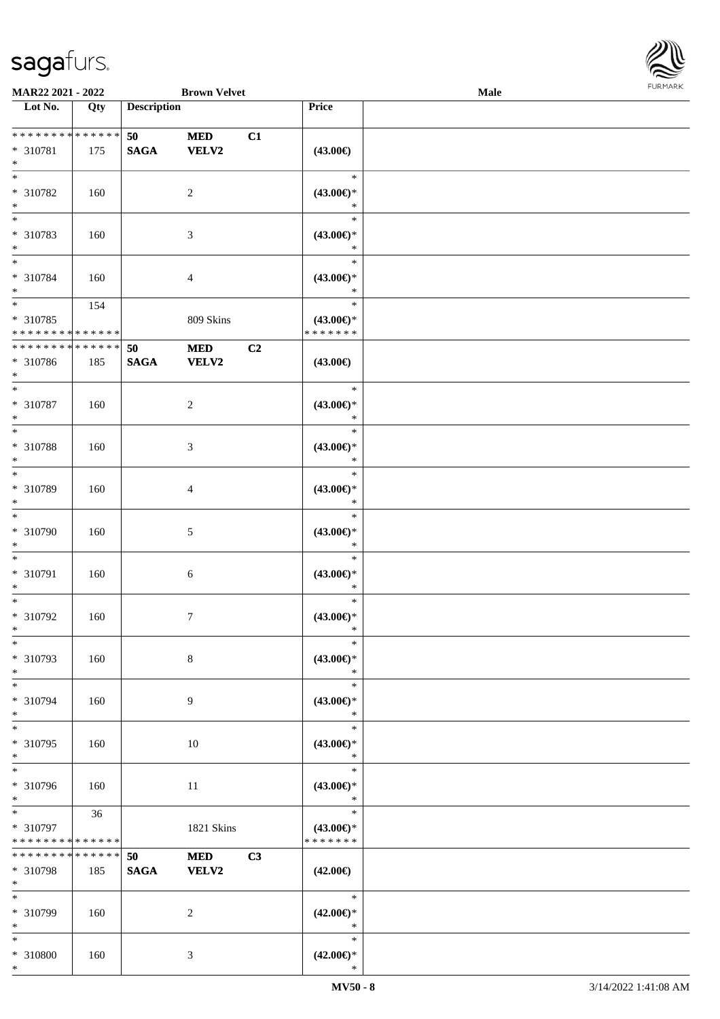\*



| MAR22 2021 - 2022                                        |                    |                       | <b>Brown Velvet</b>        |    |                                                | Male |  |
|----------------------------------------------------------|--------------------|-----------------------|----------------------------|----|------------------------------------------------|------|--|
| Lot No.                                                  | Qty                | <b>Description</b>    |                            |    | Price                                          |      |  |
| * * * * * * * * * * * * * *<br>* 310781<br>$\ast$        | 175                | 50<br><b>SAGA</b>     | $\bf MED$<br><b>VELV2</b>  | C1 | $(43.00\epsilon)$                              |      |  |
| $\ast$<br>* 310782<br>$\ast$                             | 160                |                       | $\overline{c}$             |    | $\ast$<br>$(43.00\epsilon)$ *<br>$\ast$        |      |  |
| $\overline{\phantom{0}}$<br>* 310783<br>$*$              | 160                |                       | $\mathfrak{Z}$             |    | $\ast$<br>$(43.00\epsilon)$ *<br>$\ast$        |      |  |
| $*$<br>* 310784<br>$\ast$                                | 160                |                       | $\overline{4}$             |    | $\ast$<br>$(43.00\epsilon)$ *<br>$\ast$        |      |  |
| $*$<br>$* 310785$<br>* * * * * * * * * * * * * *         | 154                |                       | 809 Skins                  |    | $\ast$<br>$(43.00\epsilon)$ *<br>* * * * * * * |      |  |
| ********<br>$* 310786$<br>$*$                            | * * * * * *<br>185 | 50<br>$\mathbf{SAGA}$ | $\bf MED$<br><b>VELV2</b>  | C2 | $(43.00\epsilon)$                              |      |  |
| $*$<br>$* 310787$<br>$\ast$                              | 160                |                       | $\sqrt{2}$                 |    | $\ast$<br>$(43.00\epsilon)$ *<br>$\ast$        |      |  |
| $*$<br>* 310788<br>$\ast$                                | 160                |                       | $\mathfrak{Z}$             |    | $\ast$<br>$(43.00\epsilon)$ *<br>$\ast$        |      |  |
| $\ast$<br>$* 310789$<br>$\ast$                           | 160                |                       | 4                          |    | $\ast$<br>$(43.00\epsilon)$ *<br>$\ast$        |      |  |
| $\ast$<br>$* 310790$<br>$*$                              | 160                |                       | 5                          |    | $\ast$<br>$(43.00\epsilon)$ *<br>$\ast$        |      |  |
| $\ast$<br>$* 310791$<br>$\ast$                           | 160                |                       | $6\,$                      |    | $\ast$<br>$(43.00ε)$ *<br>$\ast$               |      |  |
| $\ast$<br>$* 310792$<br>$*$                              | 160                |                       | $\boldsymbol{7}$           |    | $\ast$<br>$(43.00\epsilon)$ *<br>$\ast$        |      |  |
| $\ast$<br>* 310793<br>$\ast$                             | 160                |                       | $\,8\,$                    |    | $\ast$<br>$(43.00\epsilon)$ *<br>$\ast$        |      |  |
| $*$<br>* 310794<br>$*$                                   | 160                |                       | 9                          |    | $\ast$<br>$(43.00\epsilon)$ *<br>$\ast$        |      |  |
| $\ast$<br>* 310795<br>$*$                                | 160                |                       | $10\,$                     |    | $\ast$<br>$(43.00\epsilon)$ *<br>$\ast$        |      |  |
| $\ast$<br>* 310796<br>$*$                                | 160                |                       | 11                         |    | $\ast$<br>$(43.00\epsilon)$ *<br>$\ast$        |      |  |
| $*$ and $*$<br>$* 310797$<br>* * * * * * * * * * * * * * | 36                 |                       | 1821 Skins                 |    | $\ast$<br>$(43.00\epsilon)$ *<br>* * * * * * * |      |  |
| * * * * * * * *<br>* 310798<br>$*$                       | * * * * * *<br>185 | 50<br>$\mathbf{SAGA}$ | <b>MED</b><br><b>VELV2</b> | C3 | $(42.00\epsilon)$                              |      |  |
| $*$<br>* 310799<br>$*$                                   | 160                |                       | $\overline{c}$             |    | $\ast$<br>$(42.00\epsilon)$ *<br>$\ast$        |      |  |
| $*$<br>* 310800<br>$*$                                   | 160                |                       | 3                          |    | $\ast$<br>$(42.00\epsilon)$ *<br>$\ast$        |      |  |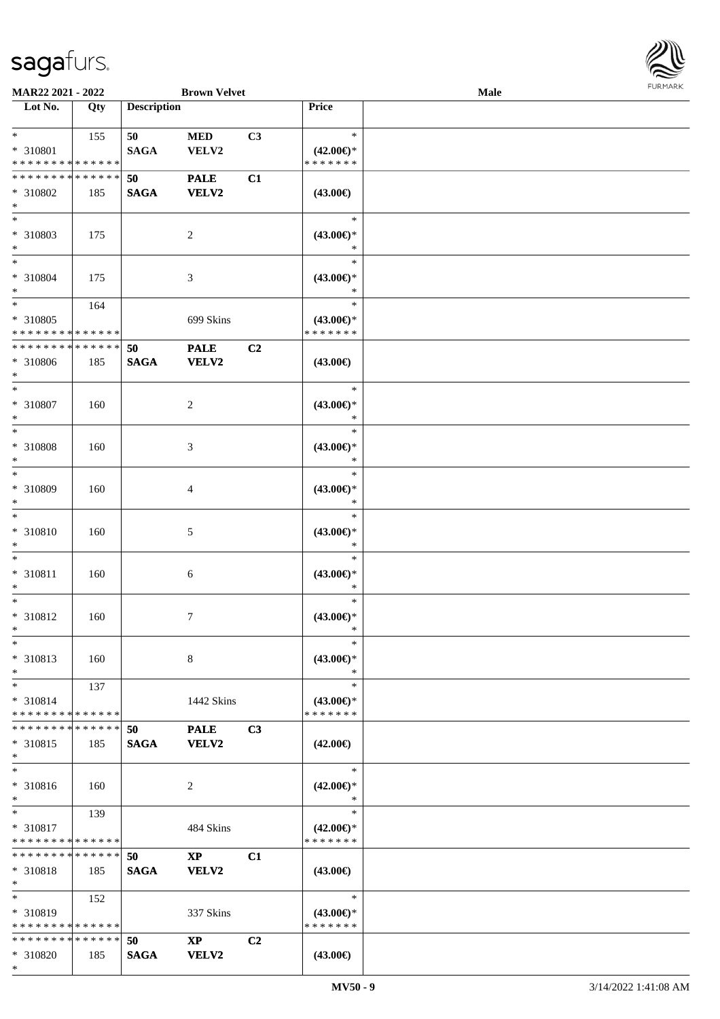\*



| MAR22 2021 - 2022                       |             |                    | <b>Brown Velvet</b>    |                |                                         | Male |  |
|-----------------------------------------|-------------|--------------------|------------------------|----------------|-----------------------------------------|------|--|
| Lot No.                                 | Qty         | <b>Description</b> |                        |                | <b>Price</b>                            |      |  |
| $*$                                     | 155         | 50                 | <b>MED</b>             | C3             | $\ast$                                  |      |  |
| * 310801<br>* * * * * * * * * * * * * * |             | <b>SAGA</b>        | VELV2                  |                | $(42.00\epsilon)$ *<br>* * * * * * *    |      |  |
| * * * * * * * * * * * * * *             |             | 50                 | <b>PALE</b>            | C1             |                                         |      |  |
| * 310802<br>$\ast$                      | 185         | <b>SAGA</b>        | <b>VELV2</b>           |                | $(43.00\epsilon)$                       |      |  |
| $\overline{\ast}$<br>* 310803           | 175         |                    | $\sqrt{2}$             |                | $\ast$<br>$(43.00\epsilon)$ *           |      |  |
| $\ast$<br>$\ast$                        |             |                    |                        |                |                                         |      |  |
| * 310804<br>$\ast$                      | 175         |                    | $\mathfrak{Z}$         |                | $\ast$<br>$(43.00\epsilon)$ *<br>$\ast$ |      |  |
| $\ast$                                  | 164         |                    |                        |                | $\ast$                                  |      |  |
| * 310805<br>* * * * * * * * * * * * * * |             |                    | 699 Skins              |                | $(43.00\epsilon)$ *<br>* * * * * * *    |      |  |
| ********                                | * * * * * * | 50                 | <b>PALE</b>            | C2             |                                         |      |  |
| * 310806<br>$\ast$                      | 185         | <b>SAGA</b>        | <b>VELV2</b>           |                | $(43.00\epsilon)$                       |      |  |
| $\ast$<br>* 310807<br>$\ast$            | 160         |                    | $\overline{c}$         |                | $\ast$<br>$(43.00\epsilon)$ *<br>$\ast$ |      |  |
| $\ast$                                  |             |                    |                        |                | $\ast$                                  |      |  |
| * 310808<br>$\ast$                      | 160         |                    | 3                      |                | $(43.00\epsilon)$ *<br>$\ast$           |      |  |
| $\ast$<br>* 310809                      | 160         |                    | 4                      |                | $\ast$<br>$(43.00\epsilon)$ *           |      |  |
| $\ast$<br>$\ast$                        |             |                    |                        |                | $\ast$<br>$\ast$                        |      |  |
| * 310810<br>$\ast$                      | 160         |                    | $5\,$                  |                | $(43.00\epsilon)$ *<br>$\ast$           |      |  |
| $\ast$<br>$* 310811$                    | 160         |                    | $\sqrt{6}$             |                | $\ast$<br>$(43.00\epsilon)$ *           |      |  |
| $\ast$                                  |             |                    |                        |                | $\ast$                                  |      |  |
| $\ast$<br>* 310812<br>$*$               | 160         |                    | $\tau$                 |                | $\ast$<br>$(43.00ε)$ *<br>$\ast$        |      |  |
| $\ast$<br>* 310813                      | 160         |                    | 8                      |                | $\ast$<br>$(43.00\epsilon)$ *           |      |  |
| $\ast$<br>$*$                           | 137         |                    |                        |                | $\ast$<br>$\ast$                        |      |  |
| * 310814<br>* * * * * * * * * * * * * * |             |                    | 1442 Skins             |                | $(43.00\epsilon)$ *<br>* * * * * * *    |      |  |
| * * * * * * * * * * * * * *             |             | 50                 | <b>PALE</b>            | C3             |                                         |      |  |
| * 310815<br>$*$                         | 185         | <b>SAGA</b>        | <b>VELV2</b>           |                | $(42.00\epsilon)$                       |      |  |
| $\ast$<br>* 310816                      | 160         |                    | 2                      |                | $\ast$<br>$(42.00\epsilon)$ *           |      |  |
| $*$<br>$*$                              |             |                    |                        |                | $\ast$                                  |      |  |
| * 310817                                | 139         |                    | 484 Skins              |                | $\ast$<br>$(42.00\epsilon)$ *           |      |  |
| * * * * * * * * * * * * * *             |             |                    |                        |                | * * * * * * *                           |      |  |
| * * * * * * * * * * * * * *             |             | 50                 | $\mathbf{XP}$          | C1             |                                         |      |  |
| $* 310818$<br>$*$                       | 185         | <b>SAGA</b>        | <b>VELV2</b>           |                | $(43.00\epsilon)$                       |      |  |
| $*$                                     | 152         |                    |                        |                | $\ast$                                  |      |  |
| * 310819<br>* * * * * * * * * * * * * * |             |                    | 337 Skins              |                | $(43.00\epsilon)$ *<br>* * * * * * *    |      |  |
| * * * * * * * * * * * * * *             |             | 50                 | $\mathbf{X}\mathbf{P}$ | C <sub>2</sub> |                                         |      |  |
| * 310820                                | 185         | <b>SAGA</b>        | <b>VELV2</b>           |                | $(43.00\epsilon)$                       |      |  |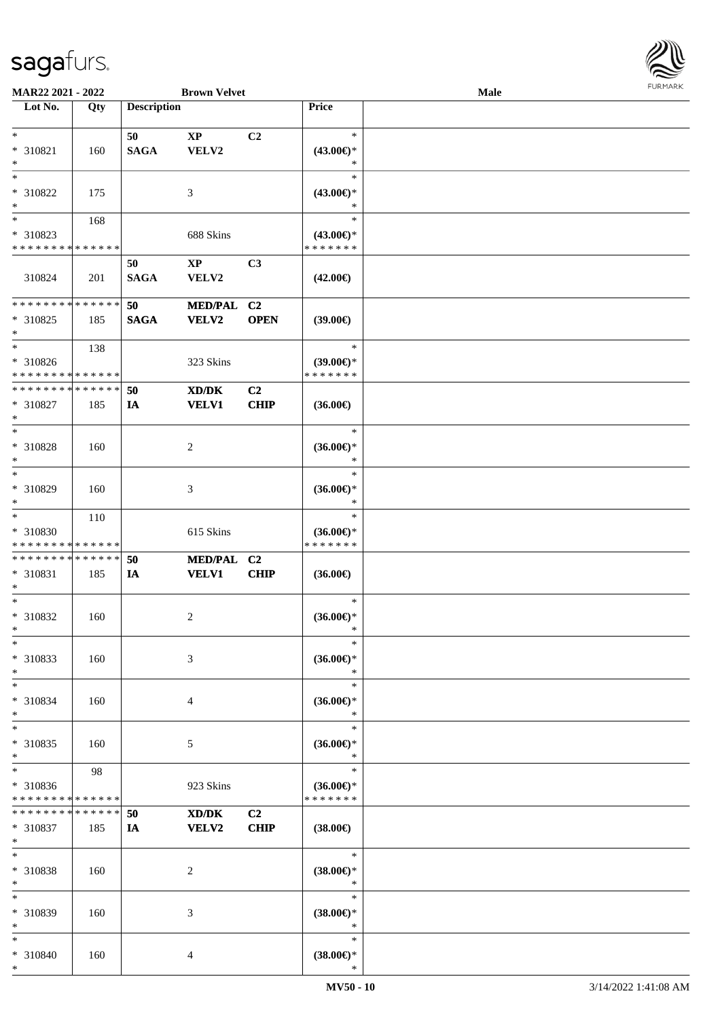

| MAR22 2021 - 2022           |     |                    | <b>Brown Velvet</b>    |                |                     | <b>Male</b> |  |
|-----------------------------|-----|--------------------|------------------------|----------------|---------------------|-------------|--|
| Lot No.                     | Qty | <b>Description</b> |                        |                | Price               |             |  |
|                             |     |                    |                        |                |                     |             |  |
| $\ast$                      |     | 50                 | $\mathbf{X}\mathbf{P}$ | C2             | $\ast$              |             |  |
| * 310821                    | 160 | <b>SAGA</b>        | VELV2                  |                | $(43.00\epsilon)$ * |             |  |
| $\ast$                      |     |                    |                        |                | $\ast$              |             |  |
|                             |     |                    |                        |                |                     |             |  |
| $\ast$                      |     |                    |                        |                | $\ast$              |             |  |
| * 310822                    | 175 |                    | $\mathfrak{Z}$         |                | $(43.00\epsilon)$ * |             |  |
| $\ast$                      |     |                    |                        |                | ∗                   |             |  |
| $\overline{\phantom{0}}$    | 168 |                    |                        |                | $\ast$              |             |  |
| * 310823                    |     |                    | 688 Skins              |                | $(43.00\epsilon)$ * |             |  |
| * * * * * * * * * * * * * * |     |                    |                        |                | * * * * * * *       |             |  |
|                             |     |                    |                        |                |                     |             |  |
|                             |     | 50                 | $\mathbf{X}\mathbf{P}$ | C3             |                     |             |  |
| 310824                      | 201 | <b>SAGA</b>        | VELV2                  |                | $(42.00\epsilon)$   |             |  |
|                             |     |                    |                        |                |                     |             |  |
| **************              |     | 50                 | MED/PAL C2             |                |                     |             |  |
| $*310825$                   | 185 | <b>SAGA</b>        | <b>VELV2</b>           | <b>OPEN</b>    | (39.00)             |             |  |
| $\ast$                      |     |                    |                        |                |                     |             |  |
| $_{\ast}$                   | 138 |                    |                        |                | $\ast$              |             |  |
| * 310826                    |     |                    | 323 Skins              |                | $(39.00\epsilon)$ * |             |  |
| * * * * * * * * * * * * * * |     |                    |                        |                | * * * * * * *       |             |  |
|                             |     |                    |                        |                |                     |             |  |
| * * * * * * * * * * * * * * |     | 50                 | XD/DK                  | C <sub>2</sub> |                     |             |  |
| $* 310827$                  | 185 | IA                 | <b>VELV1</b>           | CHIP           | $(36.00\epsilon)$   |             |  |
| $\ast$                      |     |                    |                        |                |                     |             |  |
| $\ast$                      |     |                    |                        |                | $\ast$              |             |  |
| * 310828                    | 160 |                    | $\sqrt{2}$             |                | $(36.00\epsilon)$ * |             |  |
| $\ast$                      |     |                    |                        |                | $\ast$              |             |  |
| $\ast$                      |     |                    |                        |                |                     |             |  |
|                             |     |                    |                        |                | $\ast$              |             |  |
| * 310829                    | 160 |                    | 3                      |                | $(36.00\epsilon)$ * |             |  |
| $\ast$                      |     |                    |                        |                | *                   |             |  |
| $\ast$                      | 110 |                    |                        |                | $\ast$              |             |  |
| * 310830                    |     |                    | 615 Skins              |                | $(36.00\epsilon)$ * |             |  |
| * * * * * * * * * * * * * * |     |                    |                        |                | * * * * * * *       |             |  |
| * * * * * * * * * * * * * * |     | 50                 | MED/PAL C2             |                |                     |             |  |
|                             |     |                    |                        |                |                     |             |  |
| * 310831                    | 185 | IA                 | <b>VELV1</b>           | CHIP           | $(36.00\epsilon)$   |             |  |
| $\ast$                      |     |                    |                        |                |                     |             |  |
| $\ast$                      |     |                    |                        |                | $\ast$              |             |  |
| $* 310832$                  | 160 |                    | $\sqrt{2}$             |                | $(36.00\epsilon)$ * |             |  |
| $*$                         |     |                    |                        |                | $\ast$              |             |  |
| $\ast$                      |     |                    |                        |                | $\ast$              |             |  |
| * 310833                    | 160 |                    | 3                      |                | $(36.00\epsilon)$ * |             |  |
| $\ast$                      |     |                    |                        |                | $\ast$              |             |  |
|                             |     |                    |                        |                |                     |             |  |
| $\ast$                      |     |                    |                        |                | $\ast$              |             |  |
| * 310834                    | 160 |                    | $\overline{4}$         |                | $(36.00\epsilon)$ * |             |  |
| $\ast$                      |     |                    |                        |                | $\ast$              |             |  |
| $\ast$                      |     |                    |                        |                | $\ast$              |             |  |
| * 310835                    | 160 |                    | 5                      |                | $(36.00\epsilon)$ * |             |  |
| $\ast$                      |     |                    |                        |                | $\ast$              |             |  |
| $\ast$                      |     |                    |                        |                | $\ast$              |             |  |
|                             | 98  |                    |                        |                |                     |             |  |
| * 310836                    |     |                    | 923 Skins              |                | $(36.00\epsilon)$ * |             |  |
| * * * * * * * * * * * * * * |     |                    |                        |                | * * * * * * *       |             |  |
| * * * * * * * * * * * * * * |     | 50                 | XD/DK                  | C <sub>2</sub> |                     |             |  |
| * 310837                    | 185 | <b>IA</b>          | <b>VELV2</b>           | CHIP           | $(38.00\epsilon)$   |             |  |
| $\ast$                      |     |                    |                        |                |                     |             |  |
| $\ast$                      |     |                    |                        |                | $\ast$              |             |  |
|                             |     |                    |                        |                |                     |             |  |
| * 310838                    | 160 |                    | $\sqrt{2}$             |                | $(38.00\epsilon)$ * |             |  |
| $\ast$                      |     |                    |                        |                | $\ast$              |             |  |
| $\ast$                      |     |                    |                        |                | $\ast$              |             |  |
| * 310839                    | 160 |                    | 3                      |                | $(38.00\epsilon)$ * |             |  |
| $\ast$                      |     |                    |                        |                | $\ast$              |             |  |
| $\ast$                      |     |                    |                        |                | $\ast$              |             |  |
| * 310840                    | 160 |                    | $\overline{4}$         |                | $(38.00\epsilon)$ * |             |  |
| $*$                         |     |                    |                        |                | $\ast$              |             |  |
|                             |     |                    |                        |                |                     |             |  |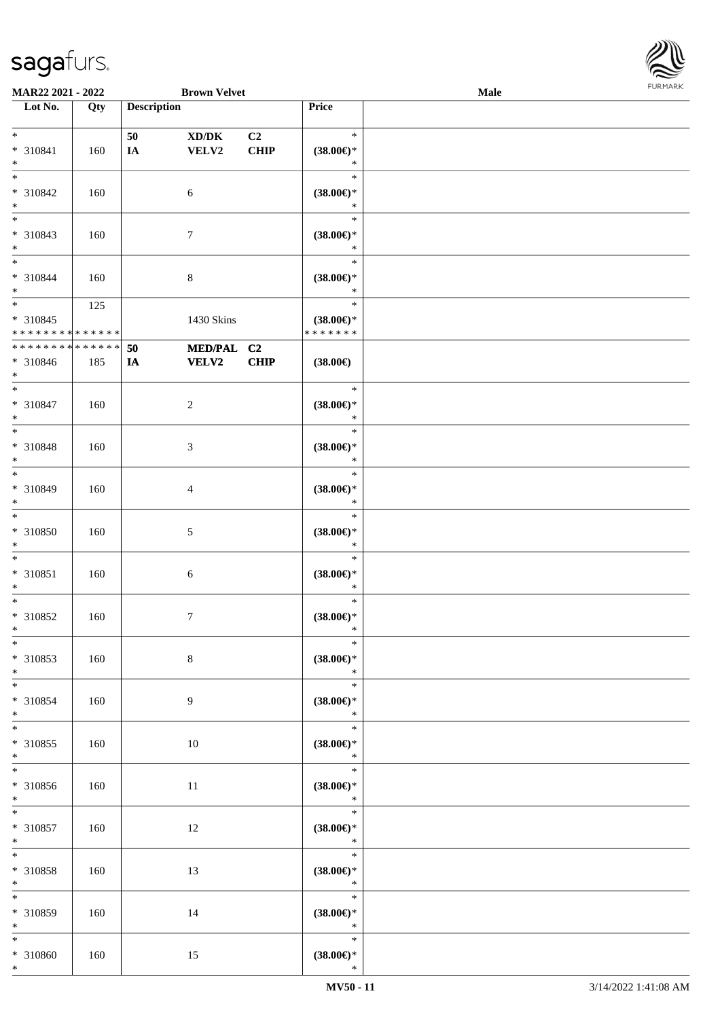

| MAR22 2021 - 2022           |             |                    | <b>Brown Velvet</b>                 |             |                               | Male |  |
|-----------------------------|-------------|--------------------|-------------------------------------|-------------|-------------------------------|------|--|
| Lot No.                     | Qty         | <b>Description</b> |                                     |             | <b>Price</b>                  |      |  |
|                             |             |                    |                                     |             |                               |      |  |
| $*$                         |             | 50                 | $\bold{X}\bold{D}/\bold{D}\bold{K}$ | C2          | $\ast$                        |      |  |
| * 310841                    | 160         | IA                 | VELV2                               | <b>CHIP</b> | $(38.00\epsilon)$ *           |      |  |
| $\ast$                      |             |                    |                                     |             | $\ast$                        |      |  |
| $\ast$                      |             |                    |                                     |             | $\ast$                        |      |  |
| * 310842                    | 160         |                    | $\sqrt{6}$                          |             | $(38.00\epsilon)$ *           |      |  |
| $\ast$                      |             |                    |                                     |             | $\ast$                        |      |  |
| $\overline{\phantom{0}}$    |             |                    |                                     |             | $\ast$                        |      |  |
| * 310843                    | 160         |                    | $\boldsymbol{7}$                    |             | $(38.00\epsilon)$ *           |      |  |
| $*$                         |             |                    |                                     |             | $\ast$                        |      |  |
| $*$                         |             |                    |                                     |             | $\ast$                        |      |  |
| * 310844                    | 160         |                    | $\,8\,$                             |             | $(38.00\epsilon)$ *           |      |  |
| $*$                         |             |                    |                                     |             | $\ast$                        |      |  |
| $*$                         | 125         |                    |                                     |             | $\ast$                        |      |  |
| $* 310845$                  |             |                    | 1430 Skins                          |             | $(38.00\epsilon)$ *           |      |  |
| * * * * * * * * * * * * * * |             |                    |                                     |             | * * * * * * *                 |      |  |
| * * * * * * * *             | * * * * * * | 50                 | MED/PAL C2                          |             |                               |      |  |
| * 310846                    | 185         | IA                 | <b>VELV2</b>                        | CHIP        | $(38.00\epsilon)$             |      |  |
| $*$                         |             |                    |                                     |             |                               |      |  |
| $\ast$                      |             |                    |                                     |             | $\ast$                        |      |  |
| * 310847                    | 160         |                    | $\sqrt{2}$                          |             | $(38.00\epsilon)$ *           |      |  |
| $\ast$<br>$\ast$            |             |                    |                                     |             | $\ast$<br>$\ast$              |      |  |
|                             |             |                    |                                     |             |                               |      |  |
| * 310848                    | 160         |                    | 3                                   |             | $(38.00\epsilon)$ *           |      |  |
| $\ast$<br>$*$               |             |                    |                                     |             | $\ast$<br>$\ast$              |      |  |
| * 310849                    |             |                    |                                     |             |                               |      |  |
| $*$                         | 160         |                    | 4                                   |             | $(38.00\epsilon)$ *<br>$\ast$ |      |  |
| $*$                         |             |                    |                                     |             | $\ast$                        |      |  |
| $* 310850$                  | 160         |                    | $\mathfrak{S}$                      |             | $(38.00\epsilon)$ *           |      |  |
| $*$                         |             |                    |                                     |             | $\ast$                        |      |  |
| $*$                         |             |                    |                                     |             | $\ast$                        |      |  |
| * 310851                    | 160         |                    | $6\,$                               |             | $(38.00\epsilon)$ *           |      |  |
| $*$                         |             |                    |                                     |             | $\ast$                        |      |  |
| $\ast$                      |             |                    |                                     |             | $\ast$                        |      |  |
| $* 310852$                  | 160         |                    | $\tau$                              |             | $(38.00\epsilon)$ *           |      |  |
| $*$                         |             |                    |                                     |             | $\ast$                        |      |  |
| $\ast$                      |             |                    |                                     |             | $\ast$                        |      |  |
| $* 310853$                  | 160         |                    | $\,8\,$                             |             | $(38.00\epsilon)$ *           |      |  |
| $*$                         |             |                    |                                     |             | $\ast$                        |      |  |
| $*$                         |             |                    |                                     |             | $\ast$                        |      |  |
| * 310854                    | 160         |                    | 9                                   |             | $(38.00\epsilon)$ *           |      |  |
| $*$                         |             |                    |                                     |             | $\ast$                        |      |  |
| $*$                         |             |                    |                                     |             | $\ast$                        |      |  |
| $* 310855$                  | 160         |                    | 10                                  |             | $(38.00\epsilon)$ *           |      |  |
| $*$                         |             |                    |                                     |             | $\ast$                        |      |  |
|                             |             |                    |                                     |             | $\ast$                        |      |  |
| $* 310856$                  | 160         |                    | 11                                  |             | $(38.00\in)^\ast$             |      |  |
| $*$                         |             |                    |                                     |             | $\ast$                        |      |  |
| $*$                         |             |                    |                                     |             | $\ast$                        |      |  |
| $* 310857$                  | 160         |                    | 12                                  |             | $(38.00\epsilon)$ *<br>$\ast$ |      |  |
| $*$<br>$*$                  |             |                    |                                     |             | $\ast$                        |      |  |
|                             |             |                    |                                     |             |                               |      |  |
| * 310858<br>$*$             | 160         |                    | 13                                  |             | $(38.00\epsilon)$ *<br>$\ast$ |      |  |
| $\ast$                      |             |                    |                                     |             | $\ast$                        |      |  |
| * 310859                    | 160         |                    | 14                                  |             | $(38.00\epsilon)$ *           |      |  |
| $*$                         |             |                    |                                     |             | $\ast$                        |      |  |
| $*$                         |             |                    |                                     |             | $\ast$                        |      |  |
| $* 310860$                  | 160         |                    | 15                                  |             | $(38.00\in)^\ast$             |      |  |
| $*$                         |             |                    |                                     |             | $\ast$                        |      |  |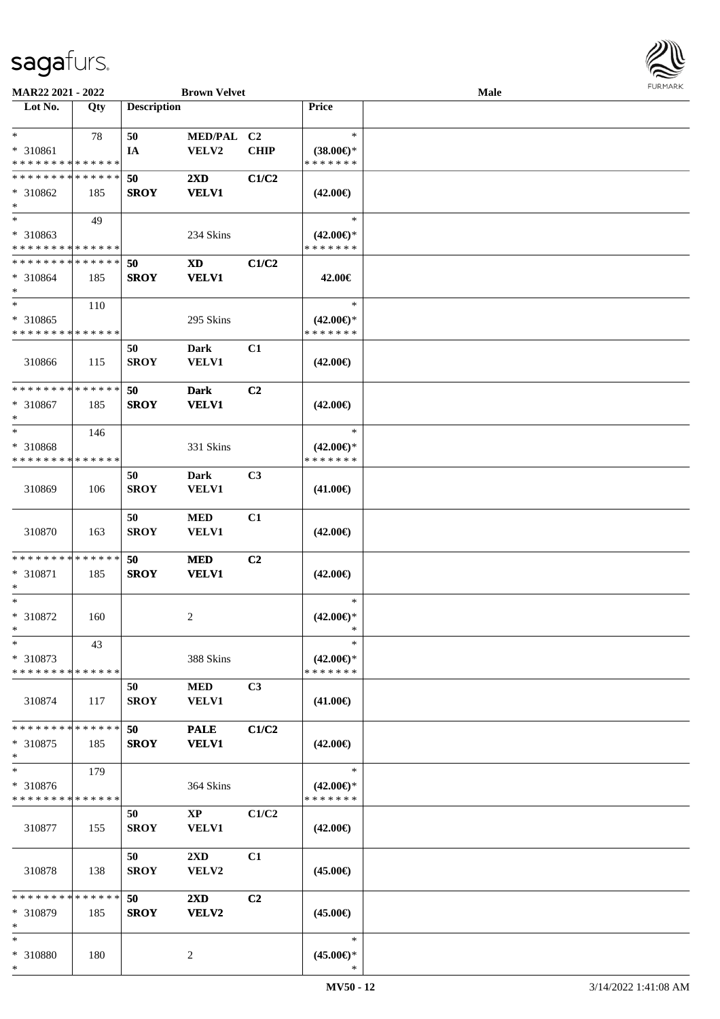

| MAR22 2021 - 2022                    |     |                    | <b>Brown Velvet</b>     |             |                     | <b>Male</b> |  |
|--------------------------------------|-----|--------------------|-------------------------|-------------|---------------------|-------------|--|
| Lot No.                              | Qty | <b>Description</b> |                         |             | Price               |             |  |
|                                      |     |                    |                         |             |                     |             |  |
| $\ast$                               | 78  | 50                 | MED/PAL C2              |             | $\ast$              |             |  |
| * 310861                             |     | IA                 | VELV2                   | <b>CHIP</b> | $(38.00\epsilon)$ * |             |  |
| * * * * * * * * * * * * * *          |     |                    |                         |             | * * * * * * *       |             |  |
| * * * * * * * * * * * * * *          |     | 50                 | $2\mathbf{X}\mathbf{D}$ | C1/C2       |                     |             |  |
| $* 310862$                           | 185 | <b>SROY</b>        | <b>VELV1</b>            |             | $(42.00\epsilon)$   |             |  |
|                                      |     |                    |                         |             |                     |             |  |
| $\ast$<br>$\overline{\phantom{a}^*}$ |     |                    |                         |             |                     |             |  |
|                                      | 49  |                    |                         |             | $\ast$              |             |  |
| * 310863                             |     |                    | 234 Skins               |             | $(42.00\epsilon)$ * |             |  |
| * * * * * * * * * * * * * *          |     |                    |                         |             | * * * * * * *       |             |  |
| * * * * * * * * * * * * * *          |     | 50                 | <b>XD</b>               | C1/C2       |                     |             |  |
| $* 310864$                           | 185 | <b>SROY</b>        | <b>VELV1</b>            |             | 42.00€              |             |  |
| $\ast$                               |     |                    |                         |             |                     |             |  |
| $\ast$                               | 110 |                    |                         |             | $\ast$              |             |  |
| * 310865                             |     |                    | 295 Skins               |             | $(42.00\epsilon)$ * |             |  |
| * * * * * * * * * * * * * *          |     |                    |                         |             | * * * * * * *       |             |  |
|                                      |     | 50                 | Dark                    | C1          |                     |             |  |
| 310866                               | 115 | <b>SROY</b>        | VELV1                   |             | $(42.00\epsilon)$   |             |  |
|                                      |     |                    |                         |             |                     |             |  |
| * * * * * * * * * * * * * *          |     | 50                 | <b>Dark</b>             | C2          |                     |             |  |
|                                      |     |                    |                         |             |                     |             |  |
| * 310867                             | 185 | <b>SROY</b>        | <b>VELV1</b>            |             | $(42.00\epsilon)$   |             |  |
| $\ast$                               |     |                    |                         |             |                     |             |  |
| $\ast$                               | 146 |                    |                         |             | $\ast$              |             |  |
| * 310868                             |     |                    | 331 Skins               |             | $(42.00\epsilon)$ * |             |  |
| * * * * * * * * * * * * * *          |     |                    |                         |             | * * * * * * *       |             |  |
|                                      |     | 50                 | <b>Dark</b>             | C3          |                     |             |  |
| 310869                               | 106 | <b>SROY</b>        | VELV1                   |             | $(41.00\epsilon)$   |             |  |
|                                      |     |                    |                         |             |                     |             |  |
|                                      |     | 50                 | $\bf MED$               | C1          |                     |             |  |
| 310870                               | 163 | <b>SROY</b>        | <b>VELV1</b>            |             | $(42.00\epsilon)$   |             |  |
|                                      |     |                    |                         |             |                     |             |  |
| **************                       |     | 50                 | <b>MED</b>              | C2          |                     |             |  |
| * 310871                             | 185 | <b>SROY</b>        | <b>VELV1</b>            |             | $(42.00\epsilon)$   |             |  |
| ∗                                    |     |                    |                         |             |                     |             |  |
| $\ast$                               |     |                    |                         |             | $\ast$              |             |  |
|                                      |     |                    |                         |             |                     |             |  |
| * 310872                             | 160 |                    | $\overline{c}$          |             | $(42.00\epsilon)$ * |             |  |
| $*$                                  |     |                    |                         |             | *                   |             |  |
| $\ast$                               | 43  |                    |                         |             | $\ast$              |             |  |
| * 310873                             |     |                    | 388 Skins               |             | $(42.00\epsilon)$ * |             |  |
| * * * * * * * * * * * * * *          |     |                    |                         |             | * * * * * * *       |             |  |
|                                      |     | 50                 | <b>MED</b>              | C3          |                     |             |  |
| 310874                               | 117 | <b>SROY</b>        | <b>VELV1</b>            |             | $(41.00\epsilon)$   |             |  |
|                                      |     |                    |                         |             |                     |             |  |
| * * * * * * * * * * * * * *          |     | 50                 | <b>PALE</b>             | C1/C2       |                     |             |  |
| * 310875                             | 185 | <b>SROY</b>        | <b>VELV1</b>            |             | $(42.00\epsilon)$   |             |  |
| $\ast$                               |     |                    |                         |             |                     |             |  |
| $\ast$                               | 179 |                    |                         |             | $\ast$              |             |  |
| * 310876                             |     |                    |                         |             | $(42.00\epsilon)$ * |             |  |
| * * * * * * * * * * * * * *          |     |                    | 364 Skins               |             | * * * * * * *       |             |  |
|                                      |     |                    |                         |             |                     |             |  |
|                                      |     | 50                 | $\mathbf{X}\mathbf{P}$  | C1/C2       |                     |             |  |
| 310877                               | 155 | <b>SROY</b>        | <b>VELV1</b>            |             | $(42.00\epsilon)$   |             |  |
|                                      |     |                    |                         |             |                     |             |  |
|                                      |     | 50                 | $2\mathbf{X}\mathbf{D}$ | C1          |                     |             |  |
| 310878                               | 138 | <b>SROY</b>        | VELV2                   |             | $(45.00\epsilon)$   |             |  |
|                                      |     |                    |                         |             |                     |             |  |
| * * * * * * * * * * * * * *          |     | 50                 | $2\mathbf{X}\mathbf{D}$ | C2          |                     |             |  |
| $* 310879$                           | 185 | <b>SROY</b>        | VELV2                   |             | $(45.00\epsilon)$   |             |  |
| $\ast$                               |     |                    |                         |             |                     |             |  |
| $\ast$                               |     |                    |                         |             | $\ast$              |             |  |
| * 310880                             | 180 |                    | $\overline{c}$          |             | $(45.00\epsilon)$ * |             |  |
| $\ast$                               |     |                    |                         |             | ∗                   |             |  |
|                                      |     |                    |                         |             |                     |             |  |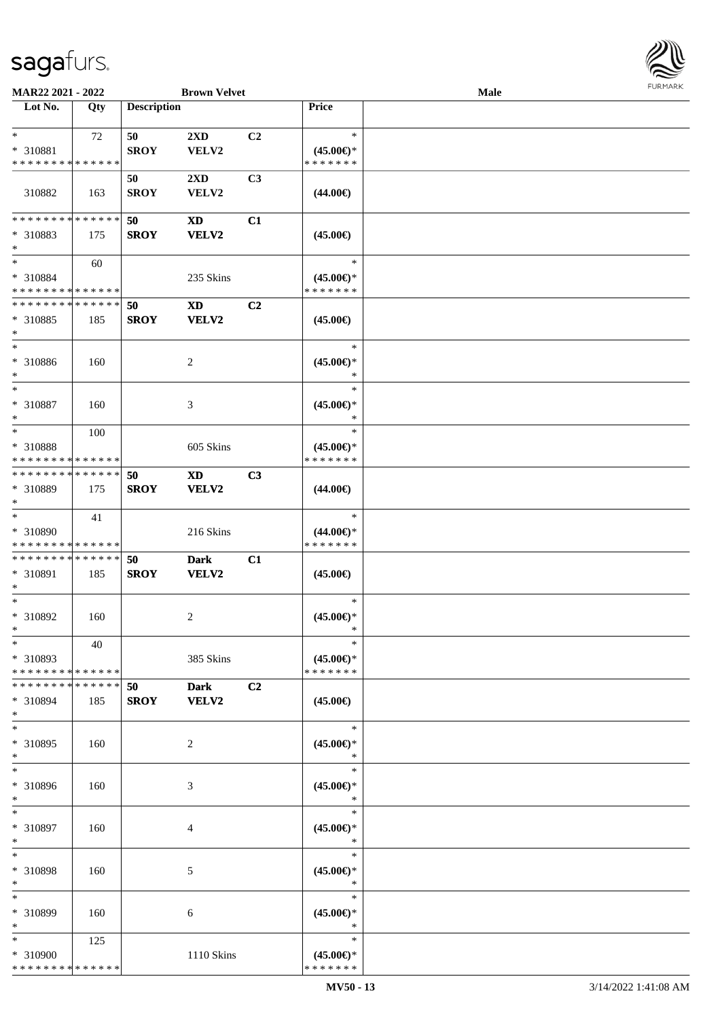

| MAR22 2021 - 2022           |     |                    | <b>Brown Velvet</b>    |                |                               | Male |  |
|-----------------------------|-----|--------------------|------------------------|----------------|-------------------------------|------|--|
| Lot No.                     | Qty | <b>Description</b> |                        |                | Price                         |      |  |
|                             |     |                    |                        |                |                               |      |  |
| $\ast$                      | 72  | 50                 | 2XD                    | C <sub>2</sub> | $\ast$                        |      |  |
| * 310881                    |     | <b>SROY</b>        | VELV2                  |                | $(45.00\epsilon)$ *           |      |  |
| * * * * * * * * * * * * * * |     |                    |                        |                | * * * * * * *                 |      |  |
|                             |     | 50                 | 2XD                    | C3             |                               |      |  |
| 310882                      | 163 | <b>SROY</b>        | VELV2                  |                | $(44.00\epsilon)$             |      |  |
|                             |     |                    |                        |                |                               |      |  |
| * * * * * * * * * * * * * * |     | 50                 | XD                     | C1             |                               |      |  |
| * 310883                    | 175 | <b>SROY</b>        | VELV2                  |                | $(45.00\epsilon)$             |      |  |
| $*$                         |     |                    |                        |                |                               |      |  |
| $\ast$                      | 60  |                    |                        |                | $\ast$                        |      |  |
| * 310884                    |     |                    | 235 Skins              |                | $(45.00\epsilon)$ *           |      |  |
| * * * * * * * * * * * * * * |     |                    |                        |                | * * * * * * *                 |      |  |
| * * * * * * * * * * * * * * |     | 50                 | <b>XD</b>              | C2             |                               |      |  |
|                             |     |                    |                        |                |                               |      |  |
| * 310885                    | 185 | <b>SROY</b>        | VELV2                  |                | $(45.00\epsilon)$             |      |  |
| $\ast$<br>$\ast$            |     |                    |                        |                |                               |      |  |
|                             |     |                    |                        |                | $\ast$                        |      |  |
| $* 310886$                  | 160 |                    | $\overline{c}$         |                | $(45.00\epsilon)$ *           |      |  |
| $\ast$                      |     |                    |                        |                | $\ast$                        |      |  |
| $\ast$                      |     |                    |                        |                | $\ast$                        |      |  |
| * 310887                    | 160 |                    | 3                      |                | $(45.00\epsilon)$ *           |      |  |
| $\ast$                      |     |                    |                        |                | $\ast$                        |      |  |
| $\ast$                      | 100 |                    |                        |                | $\ast$                        |      |  |
| * 310888                    |     |                    | 605 Skins              |                | $(45.00\epsilon)$ *           |      |  |
| * * * * * * * * * * * * * * |     |                    |                        |                | * * * * * * *                 |      |  |
| * * * * * * * * * * * * * * |     | 50                 | $\mathbf{X}\mathbf{D}$ | C3             |                               |      |  |
| * 310889                    | 175 | <b>SROY</b>        | VELV2                  |                | $(44.00\epsilon)$             |      |  |
| $\ast$                      |     |                    |                        |                |                               |      |  |
| $\ast$                      | 41  |                    |                        |                | $\ast$                        |      |  |
| * 310890                    |     |                    | 216 Skins              |                | $(44.00\epsilon)$ *           |      |  |
| * * * * * * * * * * * * * * |     |                    |                        |                | * * * * * * *                 |      |  |
| * * * * * * * * * * * * * * |     | 50                 | <b>Dark</b>            | C1             |                               |      |  |
|                             |     |                    |                        |                |                               |      |  |
| * 310891<br>$\ast$          | 185 | <b>SROY</b>        | VELV2                  |                | $(45.00\epsilon)$             |      |  |
| $\ast$                      |     |                    |                        |                |                               |      |  |
|                             |     |                    |                        |                | $\ast$                        |      |  |
| $* 310892$                  | 160 |                    | $\sqrt{2}$             |                | $(45.00\epsilon)$ *           |      |  |
| $*$                         |     |                    |                        |                | $\ast$                        |      |  |
| $*$                         | 40  |                    |                        |                | $\ast$                        |      |  |
| * 310893                    |     |                    | 385 Skins              |                | $(45.00\epsilon)$ *           |      |  |
| * * * * * * * * * * * * * * |     |                    |                        |                | * * * * * * *                 |      |  |
| * * * * * * * * * * * * * * |     | 50                 | <b>Dark</b>            | C2             |                               |      |  |
| * 310894                    | 185 | <b>SROY</b>        | VELV2                  |                | $(45.00\epsilon)$             |      |  |
| $\ast$                      |     |                    |                        |                |                               |      |  |
| $\ast$                      |     |                    |                        |                | $\ast$                        |      |  |
| * 310895                    | 160 |                    | 2                      |                | $(45.00\epsilon)$ *           |      |  |
| $*$                         |     |                    |                        |                | $\ast$                        |      |  |
| $\ast$                      |     |                    |                        |                | $\ast$                        |      |  |
| * 310896                    | 160 |                    | 3                      |                | $(45.00\epsilon)$ *           |      |  |
| $*$                         |     |                    |                        |                | $\ast$                        |      |  |
| $\ast$                      |     |                    |                        |                | $\ast$                        |      |  |
| * 310897                    |     |                    |                        |                |                               |      |  |
|                             | 160 |                    | 4                      |                | $(45.00\epsilon)$ *<br>$\ast$ |      |  |
| $\ast$<br>$\ast$            |     |                    |                        |                |                               |      |  |
|                             |     |                    |                        |                | $\ast$                        |      |  |
| * 310898                    | 160 |                    | $\mathfrak{S}$         |                | $(45.00\epsilon)$ *           |      |  |
| $\ast$                      |     |                    |                        |                | $\ast$                        |      |  |
| $\ast$                      |     |                    |                        |                | $\ast$                        |      |  |
| * 310899                    | 160 |                    | 6                      |                | $(45.00\epsilon)$ *           |      |  |
| $*$                         |     |                    |                        |                | $\ast$                        |      |  |
| $*$                         | 125 |                    |                        |                | $\ast$                        |      |  |
| * 310900                    |     |                    | 1110 Skins             |                | $(45.00\epsilon)$ *           |      |  |
| * * * * * * * * * * * * * * |     |                    |                        |                | * * * * * * *                 |      |  |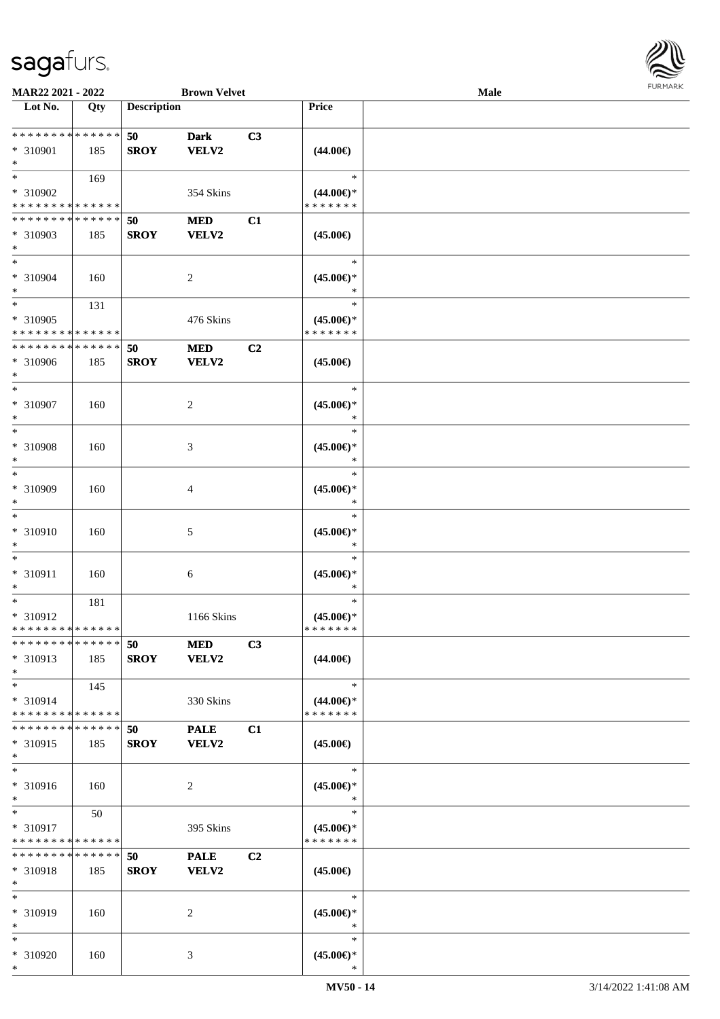

| MAR22 2021 - 2022                                   |     |                    | <b>Brown Velvet</b>         |    |                                                | Male |  |
|-----------------------------------------------------|-----|--------------------|-----------------------------|----|------------------------------------------------|------|--|
| Lot No.                                             | Qty | <b>Description</b> |                             |    | Price                                          |      |  |
| **************<br>* 310901<br>$\ast$                | 185 | 50<br><b>SROY</b>  | <b>Dark</b><br><b>VELV2</b> | C3 | $(44.00\epsilon)$                              |      |  |
| $\ast$<br>* 310902<br>* * * * * * * * * * * * * *   | 169 |                    | 354 Skins                   |    | $\ast$<br>$(44.00\epsilon)$ *<br>* * * * * * * |      |  |
| * * * * * * * * * * * * * *<br>* 310903<br>$\ast$   | 185 | 50<br><b>SROY</b>  | <b>MED</b><br><b>VELV2</b>  | C1 | $(45.00\epsilon)$                              |      |  |
| $\ast$<br>* 310904<br>$\ast$                        | 160 |                    | $\overline{c}$              |    | $\ast$<br>$(45.00ε)$ *<br>*                    |      |  |
| $\ast$<br>* 310905<br>* * * * * * * * * * * * * *   | 131 |                    | 476 Skins                   |    | $\ast$<br>$(45.00\epsilon)$ *<br>* * * * * * * |      |  |
| * * * * * * * * * * * * * *<br>$* 310906$<br>$\ast$ | 185 | 50<br><b>SROY</b>  | $\bf MED$<br><b>VELV2</b>   | C2 | $(45.00\epsilon)$                              |      |  |
| $\ast$<br>* 310907<br>$\ast$                        | 160 |                    | $\overline{c}$              |    | $\ast$<br>$(45.00\epsilon)$ *<br>$\ast$        |      |  |
| $\ast$<br>* 310908<br>$\ast$                        | 160 |                    | 3                           |    | $\ast$<br>$(45.00\epsilon)$ *<br>$\ast$        |      |  |
| $\ast$<br>* 310909<br>$\ast$                        | 160 |                    | 4                           |    | $\ast$<br>$(45.00\epsilon)$ *<br>$\ast$        |      |  |
| $\ast$<br>* 310910<br>$\ast$                        | 160 |                    | 5                           |    | $\ast$<br>$(45.00\epsilon)$ *<br>$\ast$        |      |  |
| $\ast$<br>$* 310911$<br>$\ast$                      | 160 |                    | $\sqrt{6}$                  |    | $\ast$<br>$(45.00\epsilon)$ *<br>$\ast$        |      |  |
| $\ast$<br>* 310912<br>**************                | 181 |                    | 1166 Skins                  |    | $\ast$<br>$(45.00\epsilon)$ *<br>* * * * * * * |      |  |
| * * * * * * * * * * * * * *<br>* 310913<br>$\ast$   | 185 | 50<br><b>SROY</b>  | <b>MED</b><br><b>VELV2</b>  | C3 | $(44.00\epsilon)$                              |      |  |
| $*$<br>* 310914<br>* * * * * * * * * * * * * *      | 145 |                    | 330 Skins                   |    | $\ast$<br>$(44.00\epsilon)$ *<br>* * * * * * * |      |  |
| * * * * * * * * * * * * * *<br>* 310915<br>$*$      | 185 | 50<br><b>SROY</b>  | <b>PALE</b><br><b>VELV2</b> | C1 | $(45.00\epsilon)$                              |      |  |
| $\ast$<br>* 310916<br>$*$                           | 160 |                    | $\overline{c}$              |    | $\ast$<br>$(45.00\epsilon)$ *<br>$\ast$        |      |  |
| $*$<br>* 310917<br>* * * * * * * * * * * * * *      | 50  |                    | 395 Skins                   |    | $\ast$<br>$(45.00\epsilon)$ *<br>* * * * * * * |      |  |
| * * * * * * * * * * * * * *<br>* 310918<br>$*$      | 185 | 50<br><b>SROY</b>  | <b>PALE</b><br><b>VELV2</b> | C2 | $(45.00\epsilon)$                              |      |  |
| $\ast$<br>* 310919<br>$\ast$                        | 160 |                    | 2                           |    | $\ast$<br>$(45.00\epsilon)$ *<br>$\ast$        |      |  |
| $*$<br>* 310920<br>$*$                              | 160 |                    | 3                           |    | $\ast$<br>$(45.00\epsilon)$ *<br>$\ast$        |      |  |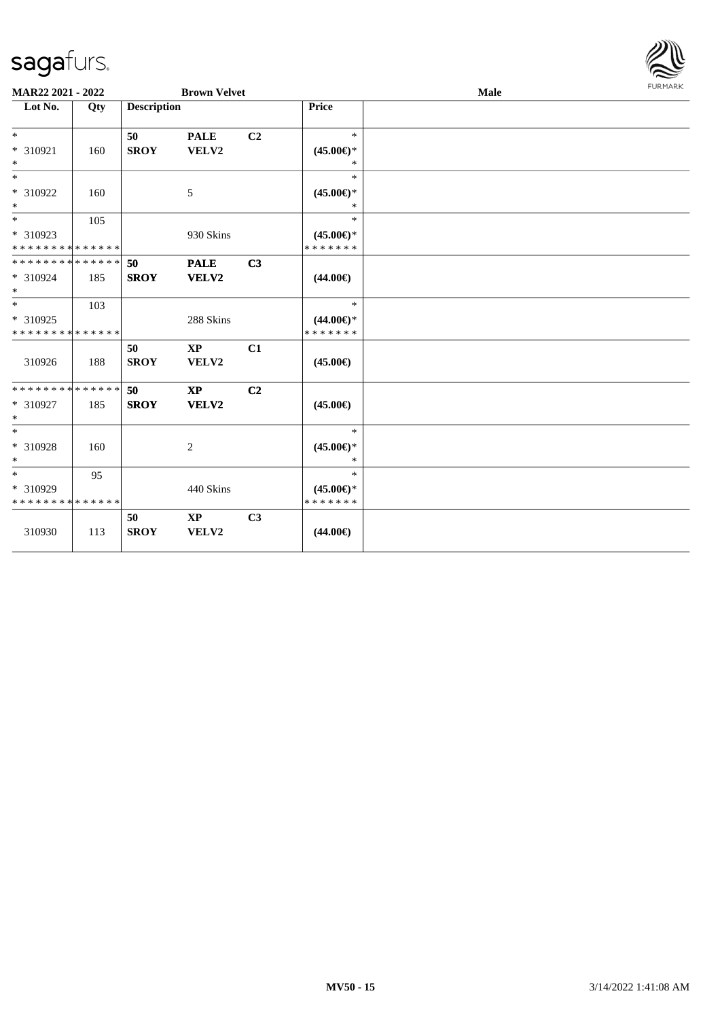

| MAR22 2021 - 2022                              |     |                    | <b>Brown Velvet</b>             |    |                                                | Male | <b>FURMARK</b> |
|------------------------------------------------|-----|--------------------|---------------------------------|----|------------------------------------------------|------|----------------|
| Lot No.                                        | Qty | <b>Description</b> |                                 |    | Price                                          |      |                |
| $*$<br>* 310921<br>$*$                         | 160 | 50<br><b>SROY</b>  | <b>PALE</b><br>VELV2            | C2 | $\ast$<br>$(45.00\epsilon)$ *<br>$\ast$        |      |                |
| $\ast$<br>$* 310922$<br>$*$                    | 160 |                    | 5                               |    | $\ast$<br>$(45.00\epsilon)$ *<br>$\ast$        |      |                |
| $*$<br>* 310923<br>* * * * * * * * * * * * * * | 105 |                    | 930 Skins                       |    | $\ast$<br>$(45.00\epsilon)$ *<br>* * * * * * * |      |                |
| * * * * * * * * * * * * * *<br>* 310924<br>$*$ | 185 | 50<br><b>SROY</b>  | <b>PALE</b><br>VELV2            | C3 | $(44.00\epsilon)$                              |      |                |
| $*$<br>* 310925<br>* * * * * * * * * * * * * * | 103 |                    | 288 Skins                       |    | $\ast$<br>$(44.00\epsilon)$ *<br>* * * * * * * |      |                |
| 310926                                         | 188 | 50<br><b>SROY</b>  | $\mathbf{X}\mathbf{P}$<br>VELV2 | C1 | $(45.00\epsilon)$                              |      |                |
| * * * * * * * * * * * * * *<br>* 310927<br>$*$ | 185 | 50<br><b>SROY</b>  | $\bold{XP}$<br>VELV2            | C2 | $(45.00\epsilon)$                              |      |                |
| $*$<br>* 310928<br>$*$                         | 160 |                    | $\overline{c}$                  |    | $\ast$<br>$(45.00\epsilon)$ *<br>$\ast$        |      |                |
| $*$<br>* 310929<br>* * * * * * * * * * * * * * | 95  |                    | 440 Skins                       |    | $\ast$<br>$(45.00\epsilon)$ *<br>* * * * * * * |      |                |
| 310930                                         | 113 | 50<br><b>SROY</b>  | $\mathbf{X}\mathbf{P}$<br>VELV2 | C3 | $(44.00\epsilon)$                              |      |                |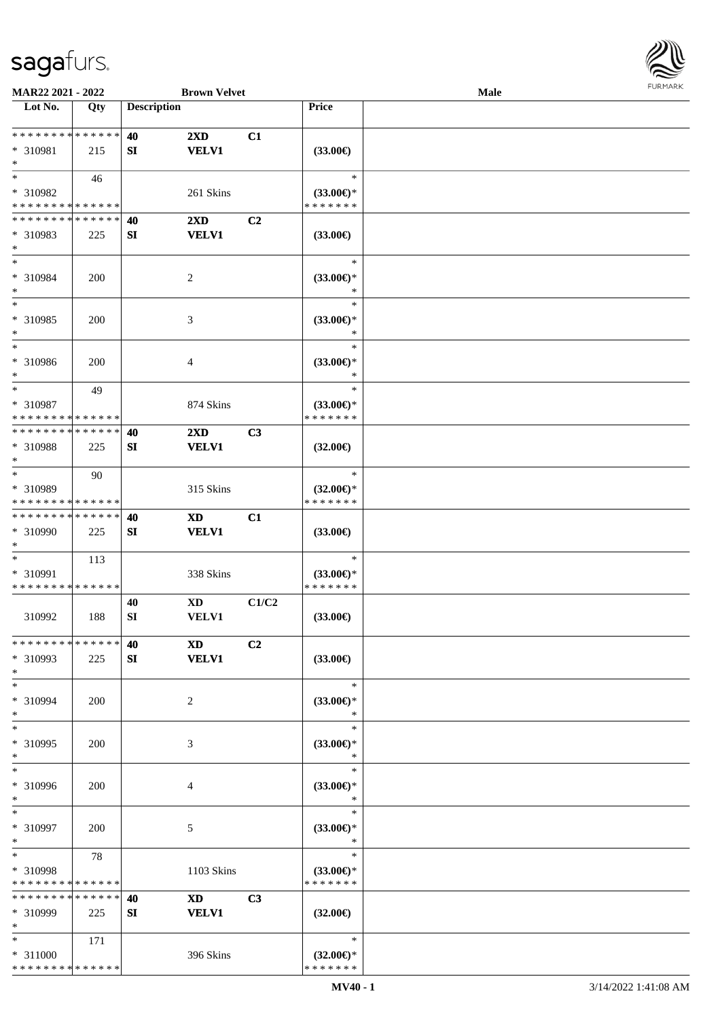

| MAR22 2021 - 2022                                   |                    |                    | <b>Brown Velvet</b>                     |       |                                                | Male |  |
|-----------------------------------------------------|--------------------|--------------------|-----------------------------------------|-------|------------------------------------------------|------|--|
| Lot No.                                             | Qty                | <b>Description</b> |                                         |       | Price                                          |      |  |
| **************<br>* 310981<br>$\ast$                | 215                | 40<br>SI           | $2\mathbf{X}\mathbf{D}$<br><b>VELV1</b> | C1    | $(33.00\epsilon)$                              |      |  |
| $\ast$<br>* 310982<br>* * * * * * * * * * * * * *   | 46                 |                    | 261 Skins                               |       | $\ast$<br>$(33.00\epsilon)$ *<br>* * * * * * * |      |  |
| * * * * * * * * * * * * * *<br>* 310983<br>$\ast$   | 225                | 40<br>${\bf SI}$   | 2XD<br><b>VELV1</b>                     | C2    | $(33.00\epsilon)$                              |      |  |
| $\ast$<br>* 310984<br>$\ast$                        | 200                |                    | $\boldsymbol{2}$                        |       | $\ast$<br>$(33.00\epsilon)$ *<br>$\ast$        |      |  |
| $\ast$<br>* 310985<br>$\ast$                        | 200                |                    | $\mathfrak{Z}$                          |       | $\ast$<br>$(33.00\epsilon)$ *<br>$\ast$        |      |  |
| $\ast$<br>* 310986<br>$\ast$                        | 200                |                    | $\overline{4}$                          |       | $\ast$<br>$(33.00\epsilon)$ *<br>$\ast$        |      |  |
| $\ast$<br>* 310987<br>* * * * * * * * * * * * * *   | 49                 |                    | 874 Skins                               |       | $\ast$<br>$(33.00\epsilon)$ *<br>* * * * * * * |      |  |
| * * * * * * * *<br>* 310988<br>$\ast$               | * * * * * *<br>225 | 40<br>SI           | $2\mathbf{X}\mathbf{D}$<br><b>VELV1</b> | C3    | $(32.00\epsilon)$                              |      |  |
| $\ast$<br>* 310989<br>* * * * * * * *               | 90<br>* * * * * *  |                    | 315 Skins                               |       | $\ast$<br>$(32.00\epsilon)$ *<br>* * * * * * * |      |  |
| * * * * * * * *<br>* 310990<br>$\ast$               | * * * * * *<br>225 | 40<br>SI           | <b>XD</b><br><b>VELV1</b>               | C1    | $(33.00\epsilon)$                              |      |  |
| $\ast$<br>* 310991<br>* * * * * * * * * * * * * *   | 113                |                    | 338 Skins                               |       | $\ast$<br>$(33.00\epsilon)$ *<br>* * * * * * * |      |  |
| 310992                                              | 188                | 40<br>SI           | <b>XD</b><br>VELV1                      | C1/C2 | $(33.00\epsilon)$                              |      |  |
| * * * * * * * * * * * * * *<br>* 310993<br>$\ast$   | 225                | 40<br>SI           | <b>XD</b><br><b>VELV1</b>               | C2    | $(33.00\epsilon)$                              |      |  |
| $\ast$<br>* 310994<br>$\ast$                        | 200                |                    | $\overline{c}$                          |       | $\ast$<br>$(33.00\epsilon)$ *<br>$\ast$        |      |  |
| $\ast$<br>* 310995<br>$\ast$                        | 200                |                    | 3                                       |       | $\ast$<br>$(33.00\epsilon)$ *<br>$\ast$        |      |  |
| $\ast$<br>* 310996<br>$\ast$                        | 200                |                    | 4                                       |       | $\ast$<br>$(33.00\epsilon)$ *<br>$\ast$        |      |  |
| $\ast$<br>* 310997<br>$\ast$                        | 200                |                    | $\mathfrak{S}$                          |       | $\ast$<br>$(33.00\epsilon)$ *<br>$\ast$        |      |  |
| $\ast$<br>* 310998<br>* * * * * * * *               | 78<br>* * * * * *  |                    | 1103 Skins                              |       | $\ast$<br>$(33.00\epsilon)$ *<br>* * * * * * * |      |  |
| * * * * * * * * * * * * * *<br>$* 310999$<br>$\ast$ | 225                | 40<br>SI           | <b>XD</b><br><b>VELV1</b>               | C3    | $(32.00\epsilon)$                              |      |  |
| $\ast$<br>* 311000<br>* * * * * * * * * * * * * *   | 171                |                    | 396 Skins                               |       | $\ast$<br>$(32.00\epsilon)$ *<br>* * * * * * * |      |  |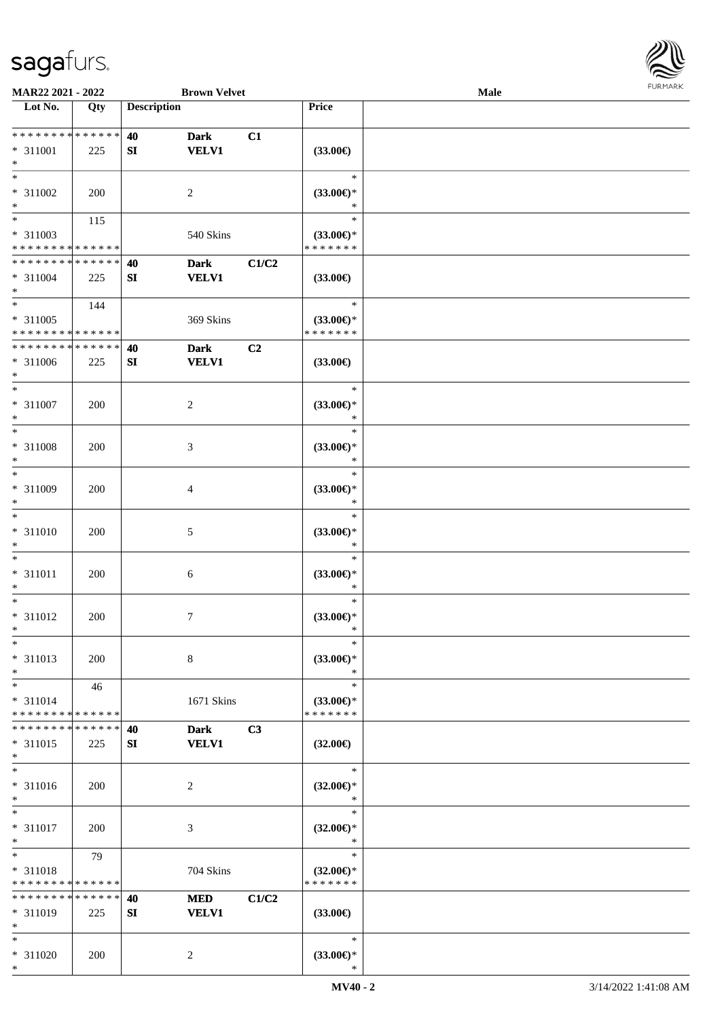

| MAR22 2021 - 2022             |             |                    | <b>Brown Velvet</b> |       |                                      | Male |  |
|-------------------------------|-------------|--------------------|---------------------|-------|--------------------------------------|------|--|
| Lot No.                       | Qty         | <b>Description</b> |                     |       | <b>Price</b>                         |      |  |
|                               |             |                    |                     |       |                                      |      |  |
| ******** <mark>******</mark>  |             | 40                 | <b>Dark</b>         | C1    |                                      |      |  |
| * 311001                      | 225         | SI                 | <b>VELV1</b>        |       | $(33.00\epsilon)$                    |      |  |
| $\ast$                        |             |                    |                     |       |                                      |      |  |
| $\ast$                        |             |                    |                     |       | $\ast$                               |      |  |
| $* 311002$                    | 200         |                    | $\overline{c}$      |       | $(33.00\epsilon)$ *                  |      |  |
| $\ast$                        |             |                    |                     |       | *                                    |      |  |
| $_{\ast}^{-}$                 | 115         |                    |                     |       | $\ast$                               |      |  |
| * 311003                      |             |                    | 540 Skins           |       | $(33.00\epsilon)$ *                  |      |  |
| * * * * * * * * * * * * * *   |             |                    |                     |       | * * * * * * *                        |      |  |
| * * * * * * * * * * * * * *   |             |                    |                     |       |                                      |      |  |
|                               |             | 40                 | <b>Dark</b>         | C1/C2 |                                      |      |  |
| $* 311004$                    | 225         | SI                 | <b>VELV1</b>        |       | $(33.00\epsilon)$                    |      |  |
| $\ast$<br>$\ast$              |             |                    |                     |       |                                      |      |  |
|                               | 144         |                    |                     |       | $\ast$                               |      |  |
| * 311005                      |             |                    | 369 Skins           |       | $(33.00\epsilon)$ *                  |      |  |
| * * * * * * * * * * * * * *   |             |                    |                     |       | * * * * * * *                        |      |  |
| ******** <mark>*****</mark> * |             | 40                 | <b>Dark</b>         | C2    |                                      |      |  |
| * 311006                      | 225         | ${\bf S}{\bf I}$   | <b>VELV1</b>        |       | $(33.00\epsilon)$                    |      |  |
| $\ast$                        |             |                    |                     |       |                                      |      |  |
| $\ast$                        |             |                    |                     |       | $\ast$                               |      |  |
| $* 311007$                    | 200         |                    | $\sqrt{2}$          |       | $(33.00\epsilon)$ *                  |      |  |
| $\ast$                        |             |                    |                     |       | $\ast$                               |      |  |
| $\ast$                        |             |                    |                     |       | $\ast$                               |      |  |
| $* 311008$                    | 200         |                    | 3                   |       | $(33.00\epsilon)$ *                  |      |  |
| $\ast$                        |             |                    |                     |       | $\ast$                               |      |  |
| $\ast$                        |             |                    |                     |       | $\ast$                               |      |  |
| * 311009                      | 200         |                    | $\overline{4}$      |       | $(33.00\epsilon)$ *                  |      |  |
| $\ast$                        |             |                    |                     |       | $\ast$                               |      |  |
| $\ast$                        |             |                    |                     |       | $\ast$                               |      |  |
| $* 311010$                    |             |                    |                     |       |                                      |      |  |
| $\ast$                        | 200         |                    | 5                   |       | $(33.00\epsilon)$ *<br>$\ast$        |      |  |
| $\ast$                        |             |                    |                     |       | $\ast$                               |      |  |
|                               |             |                    |                     |       |                                      |      |  |
| $* 311011$                    | 200         |                    | 6                   |       | $(33.00\epsilon)$ *                  |      |  |
| $\ast$                        |             |                    |                     |       | $\ast$                               |      |  |
| $\ast$                        |             |                    |                     |       | $\ast$                               |      |  |
| $* 311012$                    | 200         |                    | $\tau$              |       | $(33.00\epsilon)$ *                  |      |  |
| $*$                           |             |                    |                     |       | $\ast$                               |      |  |
| $\ast$                        |             |                    |                     |       | $\ast$                               |      |  |
| $* 311013$                    | 200         |                    | $8\,$               |       | (33.00)                              |      |  |
| $\ast$                        |             |                    |                     |       | $\ast$                               |      |  |
| $\ast$                        | 46          |                    |                     |       | $\ast$                               |      |  |
| $* 311014$                    |             |                    | 1671 Skins          |       | $(33.00\epsilon)$ *                  |      |  |
| * * * * * * * * * * * * * *   |             |                    |                     |       | * * * * * * *                        |      |  |
| * * * * * * * *               | * * * * * * | 40                 | <b>Dark</b>         | C3    |                                      |      |  |
| $* 311015$                    | 225         | SI                 | <b>VELV1</b>        |       | $(32.00\epsilon)$                    |      |  |
| $\ast$                        |             |                    |                     |       |                                      |      |  |
| $\ast$                        |             |                    |                     |       | $\ast$                               |      |  |
| * 311016                      | 200         |                    | $\sqrt{2}$          |       | $(32.00\epsilon)$ *                  |      |  |
| $\ast$                        |             |                    |                     |       | $\ast$                               |      |  |
| $\ast$                        |             |                    |                     |       | $\ast$                               |      |  |
| $* 311017$                    | 200         |                    | 3                   |       | $(32.00\epsilon)$ *                  |      |  |
| $\ast$                        |             |                    |                     |       | $\ast$                               |      |  |
| $\ast$                        | 79          |                    |                     |       | $\ast$                               |      |  |
|                               |             |                    |                     |       |                                      |      |  |
| * 311018<br>* * * * * * * *   | * * * * * * |                    | 704 Skins           |       | $(32.00\epsilon)$ *<br>* * * * * * * |      |  |
| * * * * * * * *               | * * * * * * |                    |                     |       |                                      |      |  |
|                               |             | 40                 | <b>MED</b>          | C1/C2 |                                      |      |  |
| * 311019                      | 225         | SI                 | <b>VELV1</b>        |       | $(33.00\epsilon)$                    |      |  |
| $\ast$                        |             |                    |                     |       |                                      |      |  |
| $\ast$                        |             |                    |                     |       | $\ast$                               |      |  |
| * 311020                      | 200         |                    | $\sqrt{2}$          |       | $(33.00\epsilon)$ *                  |      |  |
| $\ast$                        |             |                    |                     |       | $\ast$                               |      |  |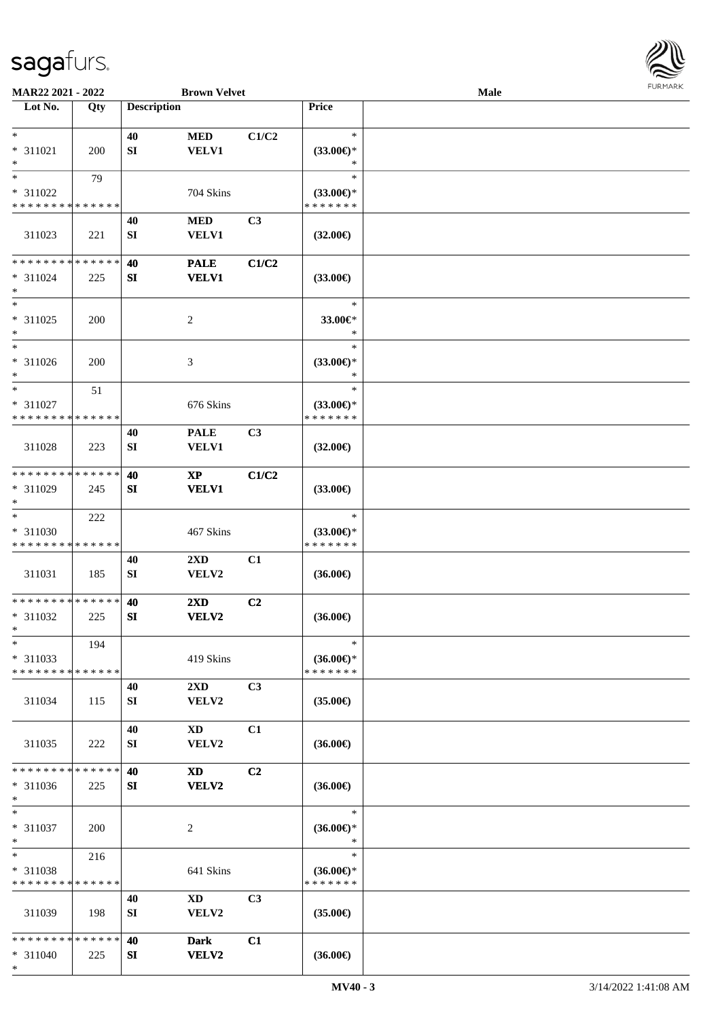

| MAR22 2021 - 2022                       |     |                    | <b>Brown Velvet</b>     |                |                                      | Male |  |
|-----------------------------------------|-----|--------------------|-------------------------|----------------|--------------------------------------|------|--|
| Lot No.                                 | Qty | <b>Description</b> |                         |                | Price                                |      |  |
|                                         |     |                    |                         |                |                                      |      |  |
| $*$                                     |     | 40                 | <b>MED</b>              | C1/C2          | $\ast$                               |      |  |
| * 311021<br>$\ast$                      | 200 | SI                 | <b>VELV1</b>            |                | $(33.00\epsilon)$ *<br>$\ast$        |      |  |
| $*$                                     | 79  |                    |                         |                | $\ast$                               |      |  |
| * 311022                                |     |                    | 704 Skins               |                | $(33.00\epsilon)$ *                  |      |  |
| * * * * * * * * * * * * * *             |     |                    |                         |                | * * * * * * *                        |      |  |
|                                         |     | 40                 | <b>MED</b>              | C <sub>3</sub> |                                      |      |  |
| 311023                                  | 221 | SI                 | <b>VELV1</b>            |                | $(32.00\epsilon)$                    |      |  |
|                                         |     |                    |                         |                |                                      |      |  |
| * * * * * * * * * * * * * *             |     | 40                 | <b>PALE</b>             | C1/C2          |                                      |      |  |
| $* 311024$                              | 225 | SI                 | <b>VELV1</b>            |                | $(33.00\epsilon)$                    |      |  |
| $*$<br>$*$                              |     |                    |                         |                | $\ast$                               |      |  |
| $* 311025$                              | 200 |                    | $\overline{c}$          |                | 33.00€*                              |      |  |
| $\ast$                                  |     |                    |                         |                | $\ast$                               |      |  |
| $\ast$                                  |     |                    |                         |                | $\ast$                               |      |  |
| * 311026                                | 200 |                    | 3                       |                | $(33.00\epsilon)$ *                  |      |  |
| $*$                                     |     |                    |                         |                | $\ast$                               |      |  |
| $\ast$                                  | 51  |                    |                         |                | $\ast$                               |      |  |
| * 311027                                |     |                    | 676 Skins               |                | $(33.00\epsilon)$ *                  |      |  |
| * * * * * * * * * * * * * *             |     |                    |                         |                | * * * * * * *                        |      |  |
|                                         |     | 40                 | <b>PALE</b>             | C3             |                                      |      |  |
| 311028                                  | 223 | SI                 | <b>VELV1</b>            |                | $(32.00\epsilon)$                    |      |  |
| * * * * * * * * * * * * * *             |     | 40                 | $\mathbf{X}\mathbf{P}$  | C1/C2          |                                      |      |  |
| * 311029                                | 245 | SI                 | <b>VELV1</b>            |                | $(33.00\epsilon)$                    |      |  |
| $*$                                     |     |                    |                         |                |                                      |      |  |
| $\ast$                                  | 222 |                    |                         |                | $\ast$                               |      |  |
| * 311030                                |     |                    | 467 Skins               |                | $(33.00\epsilon)$ *                  |      |  |
| * * * * * * * * * * * * * *             |     |                    |                         |                | * * * * * * *                        |      |  |
|                                         |     | 40                 | 2XD                     | C1             |                                      |      |  |
| 311031                                  | 185 | SI                 | VELV2                   |                | $(36.00\epsilon)$                    |      |  |
| * * * * * * * * * * * * * *             |     | 40                 | 2XD                     | C2             |                                      |      |  |
| * 311032                                | 225 | SI                 | VELV2                   |                | $(36.00\epsilon)$                    |      |  |
| $*$                                     |     |                    |                         |                |                                      |      |  |
| $\ast$                                  | 194 |                    |                         |                | $\ast$                               |      |  |
| $* 311033$                              |     |                    | 419 Skins               |                | $(36.00\epsilon)$ *                  |      |  |
| * * * * * * * * * * * * * *             |     |                    |                         |                | * * * * * * *                        |      |  |
|                                         |     | 40                 | $2\mathbf{X}\mathbf{D}$ | C3             |                                      |      |  |
| 311034                                  | 115 | SI                 | VELV2                   |                | $(35.00\epsilon)$                    |      |  |
|                                         |     |                    |                         |                |                                      |      |  |
| 311035                                  | 222 | 40<br>SI           | XD<br>VELV2             | C1             | $(36.00\epsilon)$                    |      |  |
|                                         |     |                    |                         |                |                                      |      |  |
| * * * * * * * * * * * * * *             |     | 40                 | $\mathbf{X}\mathbf{D}$  | C <sub>2</sub> |                                      |      |  |
| $* 311036$                              | 225 | SI                 | VELV2                   |                | $(36.00\epsilon)$                    |      |  |
| $*$                                     |     |                    |                         |                |                                      |      |  |
| $*$                                     |     |                    |                         |                | $\ast$                               |      |  |
| $* 311037$                              | 200 |                    | 2                       |                | $(36.00\epsilon)$ *                  |      |  |
| $*$<br>$*$                              |     |                    |                         |                | $\ast$<br>$\ast$                     |      |  |
|                                         | 216 |                    |                         |                |                                      |      |  |
| * 311038<br>* * * * * * * * * * * * * * |     |                    | 641 Skins               |                | $(36.00\epsilon)$ *<br>* * * * * * * |      |  |
|                                         |     | 40                 | $\mathbf{X}\mathbf{D}$  | C <sub>3</sub> |                                      |      |  |
| 311039                                  | 198 | SI                 | <b>VELV2</b>            |                | $(35.00\epsilon)$                    |      |  |
|                                         |     |                    |                         |                |                                      |      |  |
| * * * * * * * * * * * * * *             |     | 40                 | <b>Dark</b>             | C1             |                                      |      |  |
| * 311040                                | 225 | SI                 | <b>VELV2</b>            |                | $(36.00\epsilon)$                    |      |  |
| $*$                                     |     |                    |                         |                |                                      |      |  |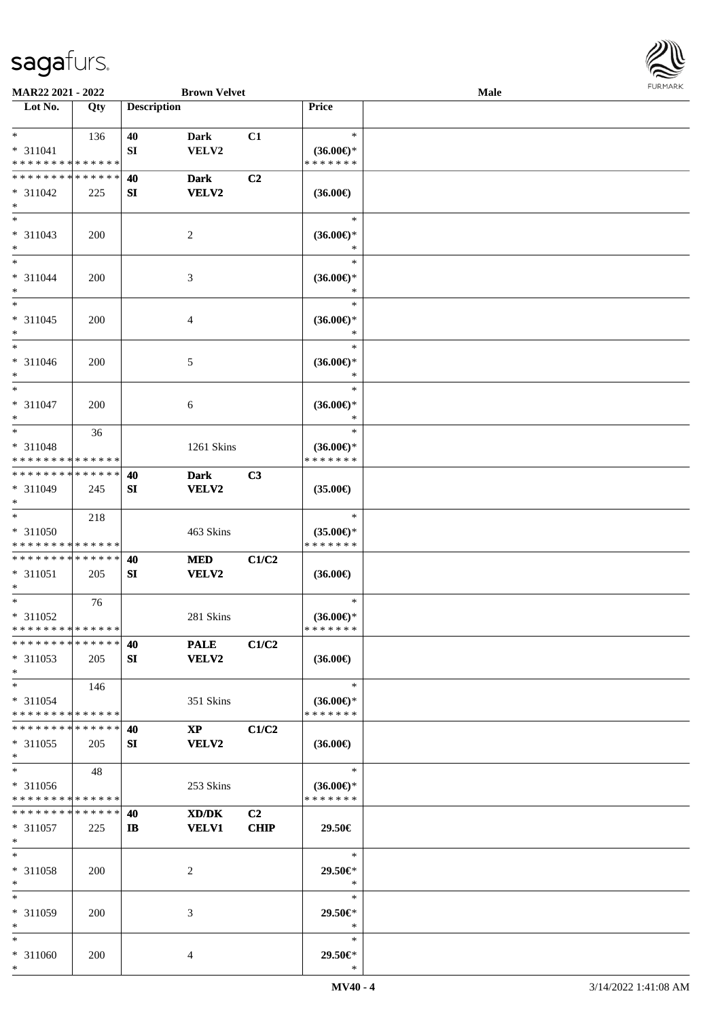

| MAR22 2021 - 2022                                  |     |                    | <b>Brown Velvet</b>             |                   |                                                | Male |  |
|----------------------------------------------------|-----|--------------------|---------------------------------|-------------------|------------------------------------------------|------|--|
| Lot No.                                            | Qty | <b>Description</b> |                                 |                   | Price                                          |      |  |
| $*$<br>* 311041<br>* * * * * * * * * * * * * *     | 136 | 40<br>SI           | Dark<br>VELV2                   | C1                | $\ast$<br>$(36.00€)$ *<br>* * * * * * *        |      |  |
| * * * * * * * * * * * * * *<br>* 311042<br>$*$     | 225 | 40<br>SI           | <b>Dark</b><br><b>VELV2</b>     | C <sub>2</sub>    | $(36.00\epsilon)$                              |      |  |
| $\overline{\ast}$<br>* 311043<br>$*$               | 200 |                    | 2                               |                   | $\ast$<br>$(36.00\epsilon)$ *                  |      |  |
| $*$<br>* 311044<br>$*$                             | 200 |                    | 3                               |                   | $\ast$<br>$(36.00\epsilon)$ *<br>$\ast$        |      |  |
| $*$<br>$* 311045$<br>$*$                           | 200 |                    | 4                               |                   | $\ast$<br>$(36.00\epsilon)$ *<br>$\ast$        |      |  |
| $*$<br>$* 311046$<br>$*$                           | 200 |                    | 5                               |                   | $\ast$<br>$(36.00\epsilon)$ *<br>$\ast$        |      |  |
| $*$<br>$* 311047$<br>$*$                           | 200 |                    | 6                               |                   | $\ast$<br>$(36.00\epsilon)$ *<br>$\ast$        |      |  |
| $*$<br>* 311048<br>* * * * * * * * * * * * * *     | 36  |                    | 1261 Skins                      |                   | $\ast$<br>$(36.00\epsilon)$ *<br>* * * * * * * |      |  |
| * * * * * * * * * * * * * * *<br>* 311049<br>$*$   | 245 | 40<br>SI           | <b>Dark</b><br>VELV2            | C3                | $(35.00\epsilon)$                              |      |  |
| $*$<br>$* 311050$<br>* * * * * * * * * * * * * *   | 218 |                    | 463 Skins                       |                   | $\ast$<br>$(35.00\epsilon)$ *<br>* * * * * * * |      |  |
| * * * * * * * * * * * * * *<br>* 311051<br>$*$     | 205 | 40<br>SI           | <b>MED</b><br>VELV2             | C1/C2             | $(36.00\epsilon)$                              |      |  |
| $*$<br>$* 311052$<br>* * * * * * * * * * * * * * * | 76  |                    | 281 Skins                       |                   | $\ast$<br>$(36.00\epsilon)$ *<br>*******       |      |  |
| * * * * * * * * * * * * * * *<br>* 311053<br>$*$   | 205 | 40<br>SI           | <b>PALE</b><br><b>VELV2</b>     | C1/C2             | $(36.00\epsilon)$                              |      |  |
| $*$<br>* 311054<br>* * * * * * * * * * * * * *     | 146 |                    | 351 Skins                       |                   | $\ast$<br>$(36.00\epsilon)$ *<br>* * * * * * * |      |  |
| * * * * * * * * * * * * * * *<br>* 311055<br>$*$   | 205 | 40<br>SI           | $\mathbf{X}\mathbf{P}$<br>VELV2 | C1/C2             | $(36.00\epsilon)$                              |      |  |
| $*$<br>* 311056<br>* * * * * * * * * * * * * *     | 48  |                    | 253 Skins                       |                   | $\ast$<br>$(36.00\epsilon)$ *<br>* * * * * * * |      |  |
| * * * * * * * * * * * * * *<br>* 311057<br>$*$     | 225 | 40<br>$\mathbf{I}$ | XD/DK<br><b>VELV1</b>           | C2<br><b>CHIP</b> | 29.50€                                         |      |  |
| $*$<br>$* 311058$<br>$*$                           | 200 |                    | 2                               |                   | $\ast$<br>29.50€*<br>$\ast$                    |      |  |
| $*$<br>* 311059<br>$*$                             | 200 |                    | 3                               |                   | $\ast$<br>29.50€*<br>$\ast$                    |      |  |
| $*$<br>* 311060<br>$*$                             | 200 |                    | 4                               |                   | $\ast$<br>29.50€*<br>$\ast$                    |      |  |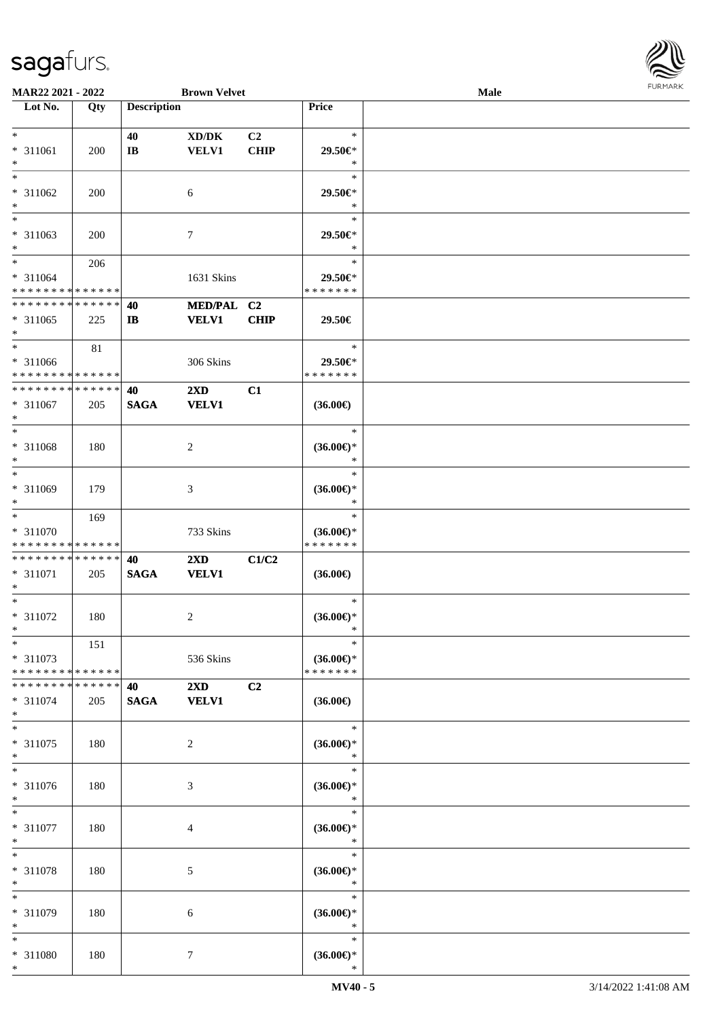

| <b>MAR22 2021 - 2022</b>                   |     |                    | <b>Brown Velvet</b>                 |                |                                          | Male |  |
|--------------------------------------------|-----|--------------------|-------------------------------------|----------------|------------------------------------------|------|--|
| Lot No.                                    | Qty | <b>Description</b> |                                     |                | Price                                    |      |  |
|                                            |     |                    |                                     |                |                                          |      |  |
| $*$                                        |     | 40                 | $\bold{X}\bold{D}/\bold{D}\bold{K}$ | C <sub>2</sub> | $\ast$                                   |      |  |
| * 311061                                   | 200 | $\bf{IB}$          | <b>VELV1</b>                        | <b>CHIP</b>    | 29.50€*                                  |      |  |
| $*$                                        |     |                    |                                     |                | $\ast$                                   |      |  |
| $\ast$                                     |     |                    |                                     |                | $\ast$                                   |      |  |
| * 311062                                   | 200 |                    | 6                                   |                | 29.50€*                                  |      |  |
| $\ast$                                     |     |                    |                                     |                | $\ast$                                   |      |  |
| $\overline{\phantom{0}}$                   |     |                    |                                     |                | $\ast$                                   |      |  |
| * 311063                                   | 200 |                    | $\tau$                              |                | 29.50€*                                  |      |  |
| $*$                                        |     |                    |                                     |                | $\ast$                                   |      |  |
| $*$                                        |     |                    |                                     |                | $\ast$                                   |      |  |
|                                            | 206 |                    |                                     |                |                                          |      |  |
| * 311064                                   |     |                    | 1631 Skins                          |                | 29.50€*                                  |      |  |
| * * * * * * * * <mark>* * * * * * *</mark> |     |                    |                                     |                | * * * * * * *                            |      |  |
| * * * * * * * * * * * * * *                |     | 40                 | MED/PAL C2                          |                |                                          |      |  |
| * 311065                                   | 225 | $\mathbf{I}$       | <b>VELV1</b>                        | <b>CHIP</b>    | 29.50€                                   |      |  |
| $\ast$                                     |     |                    |                                     |                |                                          |      |  |
| $\overline{\ast}$                          | 81  |                    |                                     |                | $\ast$                                   |      |  |
| * 311066                                   |     |                    | 306 Skins                           |                | 29.50€*                                  |      |  |
| * * * * * * * * <mark>* * * * * * *</mark> |     |                    |                                     |                | * * * * * * *                            |      |  |
| * * * * * * * * * * * * * * *              |     | 40                 | $2\mathbf{X}\mathbf{D}$             | C1             |                                          |      |  |
| * 311067                                   | 205 | <b>SAGA</b>        | <b>VELV1</b>                        |                | $(36.00\epsilon)$                        |      |  |
| $\ast$                                     |     |                    |                                     |                |                                          |      |  |
| $*$                                        |     |                    |                                     |                | $\ast$                                   |      |  |
| * 311068                                   | 180 |                    | 2                                   |                | $(36.00\epsilon)$ *                      |      |  |
| $\ast$                                     |     |                    |                                     |                | $\ast$                                   |      |  |
|                                            |     |                    |                                     |                | $\ast$                                   |      |  |
|                                            |     |                    |                                     |                |                                          |      |  |
| * 311069                                   | 179 |                    | 3                                   |                | $(36.00\epsilon)$ *<br>$\ast$            |      |  |
| $*$<br>$*$                                 |     |                    |                                     |                |                                          |      |  |
|                                            | 169 |                    |                                     |                | $\ast$                                   |      |  |
| * 311070                                   |     |                    | 733 Skins                           |                | $(36.00\epsilon)$ *                      |      |  |
| * * * * * * * * <mark>* * * * * * *</mark> |     |                    |                                     |                | * * * * * * *                            |      |  |
| * * * * * * * * * * * * * * *              |     | 40                 | $2\mathbf{X}\mathbf{D}$             | C1/C2          |                                          |      |  |
| * 311071                                   | 205 | <b>SAGA</b>        | <b>VELV1</b>                        |                | $(36.00\epsilon)$                        |      |  |
| $\ast$                                     |     |                    |                                     |                |                                          |      |  |
| $*$                                        |     |                    |                                     |                | $\ast$                                   |      |  |
| * 311072                                   | 180 |                    | 2                                   |                | $(36.00\epsilon)$ *                      |      |  |
| $*$                                        |     |                    |                                     |                | *                                        |      |  |
| $*$                                        | 151 |                    |                                     |                | $\ast$                                   |      |  |
| * 311073                                   |     |                    | 536 Skins                           |                | $(36.00\epsilon)$ *                      |      |  |
| * * * * * * * * <mark>* * * * * *</mark>   |     |                    |                                     |                | * * * * * * *                            |      |  |
| * * * * * * * * * * * * * * *              |     | 40                 | $2\mathbf{X}\mathbf{D}$             | C2             |                                          |      |  |
| * 311074                                   | 205 | <b>SAGA</b>        | <b>VELV1</b>                        |                | $(36.00\epsilon)$                        |      |  |
| $\ast$                                     |     |                    |                                     |                |                                          |      |  |
| $*$                                        |     |                    |                                     |                | $\ast$                                   |      |  |
|                                            |     |                    |                                     |                |                                          |      |  |
| * 311075<br>$\ast$                         | 180 |                    | $\overline{2}$                      |                | $(36.00\mathnormal{\infty})^*$<br>$\ast$ |      |  |
| $\ast$                                     |     |                    |                                     |                |                                          |      |  |
|                                            |     |                    |                                     |                | $\ast$                                   |      |  |
| * 311076                                   | 180 |                    | 3                                   |                | $(36.00\epsilon)$ *                      |      |  |
| $*$                                        |     |                    |                                     |                | $\ast$                                   |      |  |
| $*$                                        |     |                    |                                     |                | $\ast$                                   |      |  |
| * 311077                                   | 180 |                    | 4                                   |                | $(36.00\epsilon)$ *                      |      |  |
| $\ast$                                     |     |                    |                                     |                | $\ast$                                   |      |  |
| $*$                                        |     |                    |                                     |                | $\ast$                                   |      |  |
| * 311078                                   | 180 |                    | 5                                   |                | $(36.00\epsilon)$ *                      |      |  |
| $*$                                        |     |                    |                                     |                | $\ast$                                   |      |  |
| $*$                                        |     |                    |                                     |                | $\ast$                                   |      |  |
| * 311079                                   | 180 |                    | 6                                   |                | $(36.00\epsilon)$ *                      |      |  |
| $*$                                        |     |                    |                                     |                | $\ast$                                   |      |  |
| $*$                                        |     |                    |                                     |                | $\ast$                                   |      |  |
| * 311080                                   | 180 |                    | $\tau$                              |                | $(36.00\epsilon)$ *                      |      |  |
| $*$                                        |     |                    |                                     |                | $\ast$                                   |      |  |
|                                            |     |                    |                                     |                |                                          |      |  |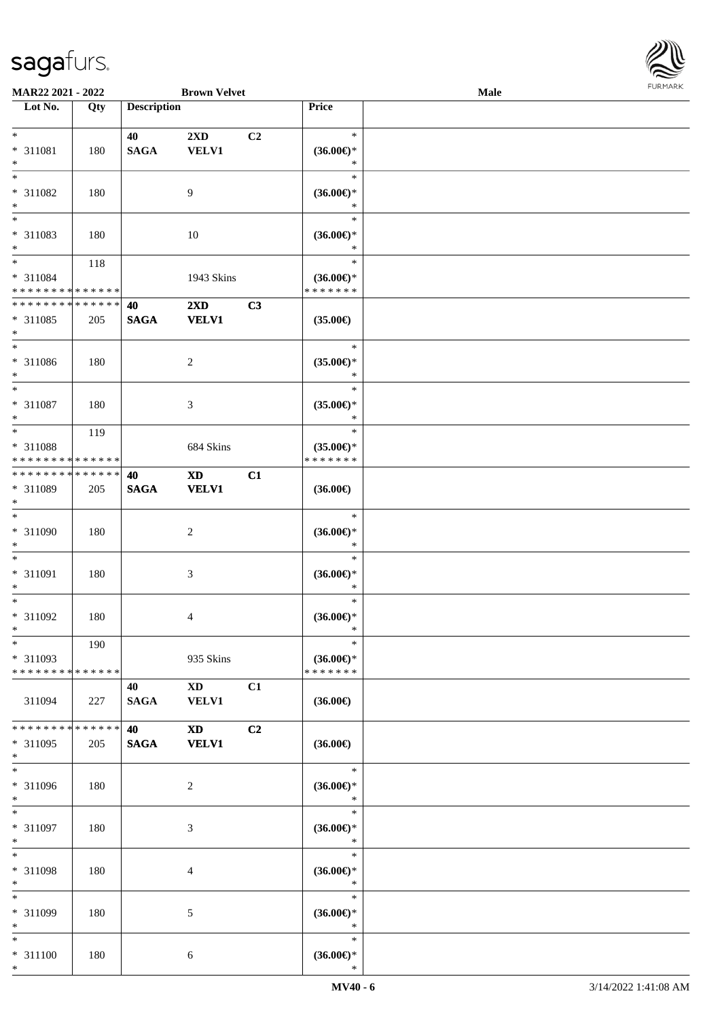

| MAR22 2021 - 2022           |             |                    | <b>Brown Velvet</b>     |                |                               | Male |  |
|-----------------------------|-------------|--------------------|-------------------------|----------------|-------------------------------|------|--|
| Lot No.                     | Qty         | <b>Description</b> |                         |                | Price                         |      |  |
|                             |             |                    |                         |                |                               |      |  |
| $*$                         |             | 40                 | 2XD                     | C2             | $\ast$                        |      |  |
| * 311081                    | 180         | <b>SAGA</b>        | <b>VELV1</b>            |                | $(36.00\epsilon)$ *           |      |  |
| $*$                         |             |                    |                         |                | $\ast$                        |      |  |
| $*$                         |             |                    |                         |                | $\ast$                        |      |  |
|                             |             |                    |                         |                |                               |      |  |
| * 311082                    | 180         |                    | 9                       |                | $(36.00\epsilon)$ *           |      |  |
| $\ast$                      |             |                    |                         |                | $\ast$                        |      |  |
| $\overline{\phantom{0}}$    |             |                    |                         |                | $\ast$                        |      |  |
| * 311083                    | 180         |                    | 10                      |                | $(36.00\epsilon)$ *           |      |  |
| $*$                         |             |                    |                         |                | $\ast$                        |      |  |
| $*$                         | 118         |                    |                         |                | $\ast$                        |      |  |
| * 311084                    |             |                    | 1943 Skins              |                | $(36.00\epsilon)$ *           |      |  |
| * * * * * * * * * * * * * * |             |                    |                         |                | * * * * * * *                 |      |  |
| * * * * * * * * * * * * * * |             | 40                 | $2\mathbf{X}\mathbf{D}$ | C3             |                               |      |  |
| * 311085                    |             |                    |                         |                |                               |      |  |
|                             | 205         | <b>SAGA</b>        | <b>VELV1</b>            |                | $(35.00\epsilon)$             |      |  |
| $*$                         |             |                    |                         |                |                               |      |  |
| $*$                         |             |                    |                         |                | $\ast$                        |      |  |
| * 311086                    | 180         |                    | $\overline{2}$          |                | $(35.00\epsilon)$ *           |      |  |
| $*$                         |             |                    |                         |                | $\ast$                        |      |  |
| $*$                         |             |                    |                         |                | $\ast$                        |      |  |
| $* 311087$                  | 180         |                    | 3                       |                | $(35.00\epsilon)$ *           |      |  |
| $*$                         |             |                    |                         |                | $\ast$                        |      |  |
| $*$                         | 119         |                    |                         |                | $\ast$                        |      |  |
| * 311088                    |             |                    | 684 Skins               |                | $(35.00\epsilon)$ *           |      |  |
| * * * * * * * * * * * * * * |             |                    |                         |                | * * * * * * *                 |      |  |
| * * * * * * * * * * * * * * |             |                    |                         |                |                               |      |  |
|                             |             | 40                 | <b>XD</b>               | C1             |                               |      |  |
| * 311089                    | 205         | $\mathbf{SAGA}$    | <b>VELV1</b>            |                | $(36.00\epsilon)$             |      |  |
| $*$                         |             |                    |                         |                |                               |      |  |
| $*$                         |             |                    |                         |                | $\ast$                        |      |  |
| $* 311090$                  | 180         |                    | $\overline{c}$          |                | $(36.00\epsilon)$ *           |      |  |
| $*$                         |             |                    |                         |                | $\ast$                        |      |  |
| $*$                         |             |                    |                         |                | $\ast$                        |      |  |
| * 311091                    | 180         |                    | $\mathfrak{Z}$          |                | $(36.00\epsilon)$ *           |      |  |
| $*$                         |             |                    |                         |                | $\ast$                        |      |  |
| $*$                         |             |                    |                         |                | $\ast$                        |      |  |
| $* 311092$                  | 180         |                    | 4                       |                | $(36.00\epsilon)$ *           |      |  |
| $*$                         |             |                    |                         |                | $\ast$                        |      |  |
| $\ast$                      |             |                    |                         |                | $\ast$                        |      |  |
|                             | 190         |                    |                         |                |                               |      |  |
| * 311093                    |             |                    | 935 Skins               |                | $(36.00\epsilon)$ *           |      |  |
| * * * * * * * * * * * * * * |             |                    |                         |                | * * * * * * *                 |      |  |
|                             |             | 40                 | XD 3                    | C1             |                               |      |  |
| 311094                      | 227         | <b>SAGA</b>        | <b>VELV1</b>            |                | $(36.00\epsilon)$             |      |  |
|                             |             |                    |                         |                |                               |      |  |
| * * * * * * * *             | * * * * * * | 40                 | <b>XD</b>               | C <sub>2</sub> |                               |      |  |
| * 311095                    | 205         | <b>SAGA</b>        | <b>VELV1</b>            |                | $(36.00\in)$                  |      |  |
| $*$                         |             |                    |                         |                |                               |      |  |
| $*$                         |             |                    |                         |                | $\ast$                        |      |  |
|                             |             |                    |                         |                |                               |      |  |
| * 311096                    | 180         |                    | $\overline{2}$          |                | $(36.00\epsilon)$ *<br>$\ast$ |      |  |
| $*$                         |             |                    |                         |                |                               |      |  |
| $*$                         |             |                    |                         |                | $\ast$                        |      |  |
| * 311097                    | 180         |                    | 3                       |                | $(36.00\epsilon)$ *           |      |  |
| $*$                         |             |                    |                         |                | $\ast$                        |      |  |
| $*$                         |             |                    |                         |                | $\ast$                        |      |  |
| * 311098                    | 180         |                    | 4                       |                | $(36.00\epsilon)$ *           |      |  |
| $*$                         |             |                    |                         |                | $\ast$                        |      |  |
| $*$                         |             |                    |                         |                | $\ast$                        |      |  |
| * 311099                    | 180         |                    | 5                       |                | $(36.00\epsilon)$ *           |      |  |
| $*$                         |             |                    |                         |                | $\ast$                        |      |  |
| $*$                         |             |                    |                         |                | $\ast$                        |      |  |
|                             |             |                    |                         |                |                               |      |  |
| $* 311100$                  | 180         |                    | 6                       |                | $(36.00\epsilon)$ *           |      |  |
| $*$                         |             |                    |                         |                | $\ast$                        |      |  |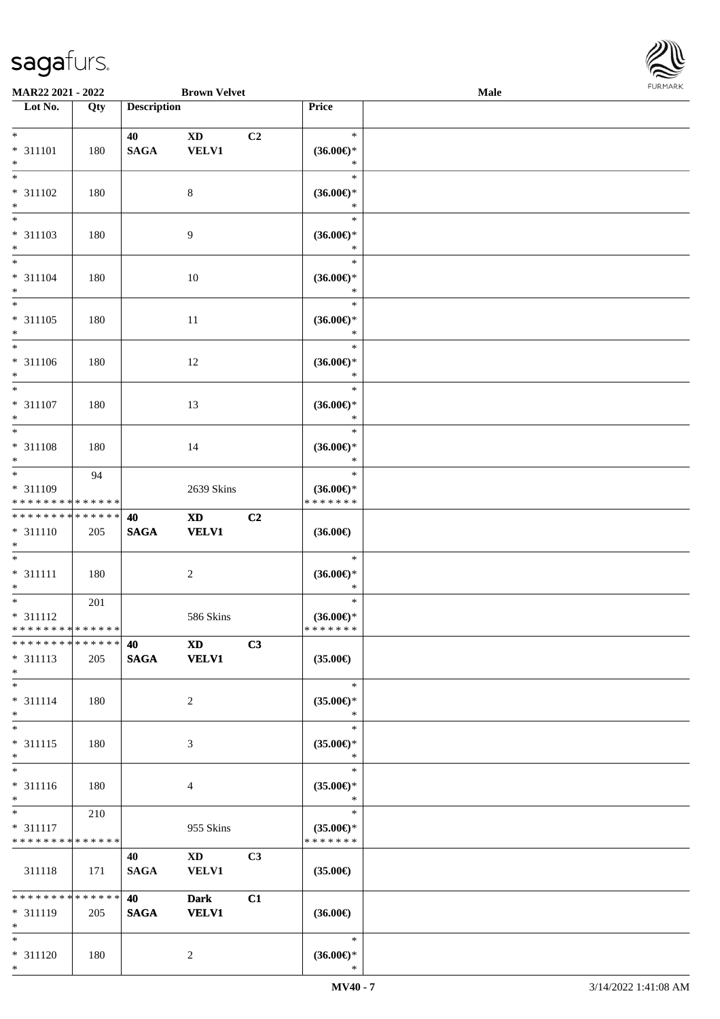

| MAR22 2021 - 2022                                    |     |                       | <b>Brown Velvet</b>                    |                |                                                   | Male |  |
|------------------------------------------------------|-----|-----------------------|----------------------------------------|----------------|---------------------------------------------------|------|--|
| Lot No.                                              | Qty | <b>Description</b>    |                                        |                | Price                                             |      |  |
| $*$<br>* 311101<br>$*$                               | 180 | 40<br><b>SAGA</b>     | $\mathbf{X}\mathbf{D}$<br><b>VELV1</b> | C2             | $\ast$<br>$(36.00\epsilon)$ *<br>$\ast$           |      |  |
| $*$<br>* 311102<br>$\ast$                            | 180 |                       | $\,8\,$                                |                | $\ast$<br>$(36.00\epsilon)$ *<br>$\ast$           |      |  |
| $\overline{\phantom{0}}$<br>* 311103<br>$*$          | 180 |                       | 9                                      |                | $\ast$<br>$(36.00\epsilon)$ *<br>$\ast$           |      |  |
| $\overline{\ast}$<br>* 311104<br>$*$                 | 180 |                       | 10                                     |                | $\ast$<br>$(36.00\epsilon)$ *<br>$\ast$           |      |  |
| $*$<br>$* 311105$<br>$*$<br>$\ast$                   | 180 |                       | $11\,$                                 |                | $\ast$<br>$(36.00\epsilon)$ *<br>$\ast$           |      |  |
| * 311106<br>$*$                                      | 180 |                       | 12                                     |                | $\ast$<br>$(36.00\epsilon)$ *<br>$\ast$           |      |  |
| $*$<br>* 311107<br>$*$                               | 180 |                       | 13                                     |                | $\ast$<br>$(36.00\epsilon)$ *<br>$\ast$           |      |  |
| $\overline{\ast}$<br>* 311108<br>$*$<br>$*$          | 180 |                       | 14                                     |                | $\ast$<br>$(36.00\epsilon)$ *<br>$\ast$           |      |  |
| * 311109<br>* * * * * * * * * * * * * *              | 94  |                       | 2639 Skins                             |                | $\ast$<br>$(36.00\epsilon)$ *<br>* * * * * * *    |      |  |
| * * * * * * * * * * * * * *<br>* 311110<br>$*$       | 205 | 40<br>$\mathbf{SAGA}$ | <b>XD</b><br><b>VELV1</b>              | C2             | $(36.00\epsilon)$                                 |      |  |
| $*$<br>$* 311111$<br>$*$                             | 180 |                       | $\overline{c}$                         |                | $\ast$<br>$(36.00\epsilon)$ *<br>$\ast$           |      |  |
| $*$<br>* 311112<br>* * * * * * * * * * * * * *       | 201 |                       | 586 Skins                              |                | $\ast$<br>$(36.00\epsilon)$ *<br>* * * * * * *    |      |  |
| * * * * * * * * * * * * * *<br>* 311113<br>$*$       | 205 | 40<br><b>SAGA</b>     | <b>XD</b><br><b>VELV1</b>              | C3             | $(35.00\epsilon)$                                 |      |  |
| $*$<br>$* 311114$<br>$*$                             | 180 |                       | $\overline{2}$                         |                | $\ast$<br>$(35.00\epsilon)$ *<br>$\ast$           |      |  |
| $*$<br>$* 311115$<br>$*$<br>$\overline{\phantom{0}}$ | 180 |                       | 3                                      |                | $\ast$<br>$(35.00\epsilon)$ *<br>$\ast$<br>$\ast$ |      |  |
| * 311116<br>$*$<br>$*$ and $*$                       | 180 |                       | 4                                      |                | $(35.00\epsilon)$ *<br>$\ast$<br>$\ast$           |      |  |
| * 311117<br>* * * * * * * * * * * * * *              | 210 |                       | 955 Skins                              |                | $(35.00\epsilon)$ *<br>* * * * * * *              |      |  |
| 311118                                               | 171 | 40<br><b>SAGA</b>     | $\mathbf{X}\mathbf{D}$<br><b>VELV1</b> | C <sub>3</sub> | $(35.00\epsilon)$                                 |      |  |
| * * * * * * * * * * * * * *<br>* 311119<br>$*$       | 205 | 40<br><b>SAGA</b>     | <b>Dark</b><br><b>VELV1</b>            | C1             | $(36.00\in)$                                      |      |  |
| $*$<br>* 311120<br>$*$                               | 180 |                       | $\overline{c}$                         |                | $\ast$<br>$(36.00\epsilon)$ *<br>$\ast$           |      |  |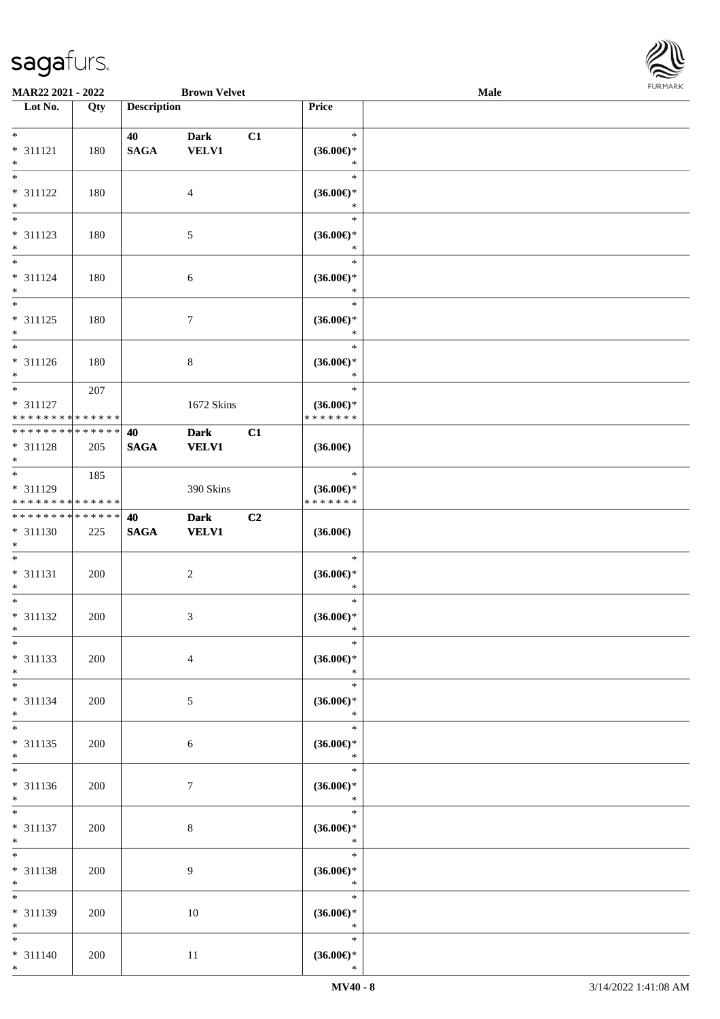

| MAR22 2021 - 2022                       |     |                    | <b>Brown Velvet</b> |    |                                      | Male |  |
|-----------------------------------------|-----|--------------------|---------------------|----|--------------------------------------|------|--|
| Lot No.                                 | Qty | <b>Description</b> |                     |    | Price                                |      |  |
|                                         |     |                    |                     |    |                                      |      |  |
| $*$                                     |     | 40                 | <b>Dark</b>         | C1 | $\ast$                               |      |  |
| * 311121                                | 180 | <b>SAGA</b>        | <b>VELV1</b>        |    | $(36.00\epsilon)$ *                  |      |  |
| $\ast$                                  |     |                    |                     |    | $\ast$                               |      |  |
| $\overline{\ast}$                       |     |                    |                     |    | $\ast$                               |      |  |
| * 311122                                | 180 |                    | 4                   |    | $(36.00\epsilon)$ *                  |      |  |
| $\ast$                                  |     |                    |                     |    | $\ast$                               |      |  |
| $\overline{\phantom{0}}$                |     |                    |                     |    | $\ast$                               |      |  |
| * 311123                                | 180 |                    | 5                   |    | $(36.00\epsilon)$ *                  |      |  |
| $*$                                     |     |                    |                     |    | $\ast$                               |      |  |
| $\overline{\ast}$                       |     |                    |                     |    | $\ast$                               |      |  |
| $* 311124$                              | 180 |                    | 6                   |    | $(36.00\epsilon)$ *                  |      |  |
| $*$                                     |     |                    |                     |    | $\ast$                               |      |  |
| $\overline{\ast}$                       |     |                    |                     |    | $\ast$                               |      |  |
| * 311125                                | 180 |                    | $\tau$              |    | $(36.00\epsilon)$ *                  |      |  |
| $*$<br>$*$                              |     |                    |                     |    | $\ast$                               |      |  |
|                                         |     |                    |                     |    | $\ast$                               |      |  |
| $* 311126$                              | 180 |                    | $\,8\,$             |    | $(36.00\epsilon)$ *<br>$\ast$        |      |  |
| $*$<br>$*$                              |     |                    |                     |    | $\ast$                               |      |  |
|                                         | 207 |                    |                     |    |                                      |      |  |
| * 311127<br>* * * * * * * * * * * * * * |     |                    | 1672 Skins          |    | $(36.00\epsilon)$ *<br>* * * * * * * |      |  |
| * * * * * * * * * * * * * *             |     | 40                 | <b>Dark</b>         | C1 |                                      |      |  |
| * 311128                                | 205 | <b>SAGA</b>        | <b>VELV1</b>        |    | $(36.00\epsilon)$                    |      |  |
| $*$                                     |     |                    |                     |    |                                      |      |  |
| $*$                                     | 185 |                    |                     |    | $\ast$                               |      |  |
| * 311129                                |     |                    | 390 Skins           |    | $(36.00\epsilon)$ *                  |      |  |
| * * * * * * * * * * * * * *             |     |                    |                     |    | * * * * * * *                        |      |  |
| * * * * * * * * * * * * * *             |     | 40                 | <b>Dark</b>         | C2 |                                      |      |  |
| * 311130                                | 225 | $\mathbf{SAGA}$    | <b>VELV1</b>        |    | $(36.00\epsilon)$                    |      |  |
| $*$                                     |     |                    |                     |    |                                      |      |  |
| $*$                                     |     |                    |                     |    | $\ast$                               |      |  |
| * 311131                                | 200 |                    | $\boldsymbol{2}$    |    | $(36.00\epsilon)$ *                  |      |  |
| $*$                                     |     |                    |                     |    | $\ast$                               |      |  |
| $*$                                     |     |                    |                     |    | $\ast$                               |      |  |
| $* 311132$                              | 200 |                    | 3                   |    | $(36.00\epsilon)$ *                  |      |  |
| $*$                                     |     |                    |                     |    | $\ast$                               |      |  |
| $*$                                     |     |                    |                     |    | $\ast$                               |      |  |
| * 311133                                | 200 |                    | $\overline{4}$      |    | (36.00)                              |      |  |
| $*$                                     |     |                    |                     |    | $\ast$                               |      |  |
| $*$                                     |     |                    |                     |    | $\ast$                               |      |  |
| $* 311134$                              | 200 |                    | 5                   |    | $(36.00\epsilon)$ *                  |      |  |
| $*$                                     |     |                    |                     |    | $\ast$                               |      |  |
| $*$                                     |     |                    |                     |    | $\ast$                               |      |  |
| $* 311135$<br>$*$                       | 200 |                    | 6                   |    | $(36.00\epsilon)$ *<br>$\ast$        |      |  |
|                                         |     |                    |                     |    | $\ast$                               |      |  |
| $* 311136$                              | 200 |                    | 7                   |    | $(36.00\epsilon)$ *                  |      |  |
| $*$                                     |     |                    |                     |    | $\ast$                               |      |  |
| $*$                                     |     |                    |                     |    | $\ast$                               |      |  |
| $* 311137$                              | 200 |                    | $\,8\,$             |    | $(36.00\epsilon)$ *                  |      |  |
| $*$                                     |     |                    |                     |    | $\ast$                               |      |  |
| $*$                                     |     |                    |                     |    | $\ast$                               |      |  |
| * 311138                                | 200 |                    | 9                   |    | $(36.00\epsilon)$ *                  |      |  |
| $*$                                     |     |                    |                     |    | $\ast$                               |      |  |
| $*$                                     |     |                    |                     |    | $\ast$                               |      |  |
| * 311139                                | 200 |                    | 10                  |    | $(36.00\epsilon)$ *                  |      |  |
| $*$                                     |     |                    |                     |    | $\ast$                               |      |  |
| $*$                                     |     |                    |                     |    | $\ast$                               |      |  |
| $* 311140$                              | 200 |                    | $11\,$              |    | $(36.00\epsilon)$ *                  |      |  |
| $*$                                     |     |                    |                     |    | $\ast$                               |      |  |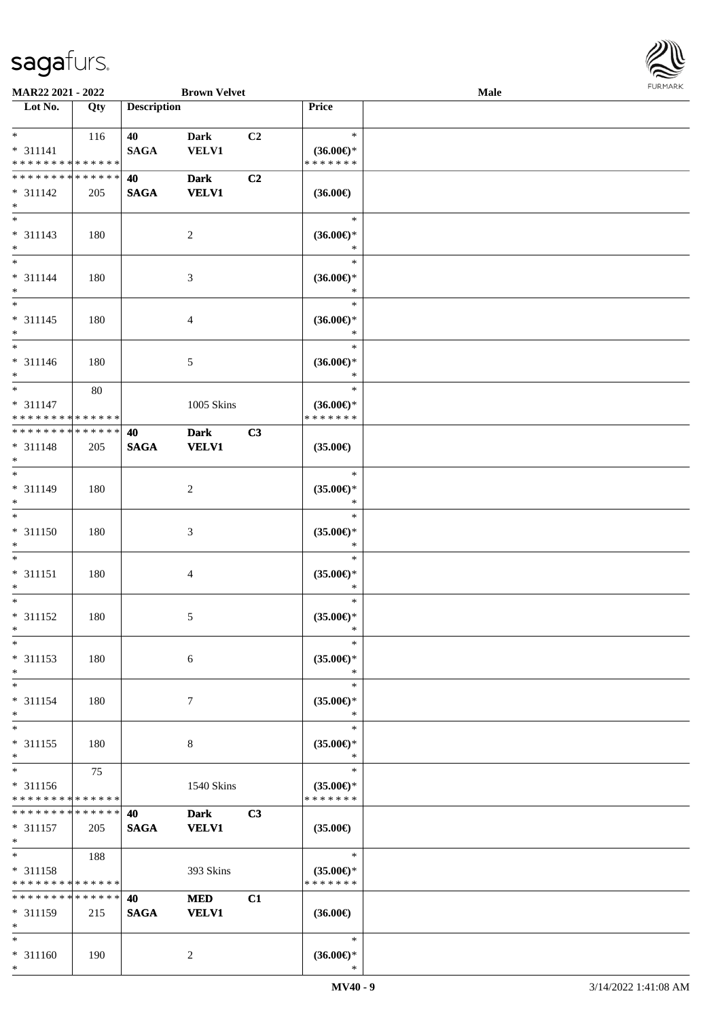

| MAR22 2021 - 2022                  |             |                    | <b>Brown Velvet</b> |    |                                      | <b>Male</b> |  |
|------------------------------------|-------------|--------------------|---------------------|----|--------------------------------------|-------------|--|
| Lot No.                            | Qty         | <b>Description</b> |                     |    | Price                                |             |  |
|                                    |             |                    |                     |    |                                      |             |  |
| $*$                                | 116         | 40                 | <b>Dark</b>         | C2 | $\ast$                               |             |  |
| $* 311141$                         |             | <b>SAGA</b>        | <b>VELV1</b>        |    | $(36.00\epsilon)$ *                  |             |  |
| * * * * * * * * * * * * * *        |             |                    |                     |    | * * * * * * *                        |             |  |
| * * * * * * * * * * * * * *        |             | 40                 | <b>Dark</b>         | C2 |                                      |             |  |
| $* 311142$                         | 205         | <b>SAGA</b>        | <b>VELV1</b>        |    | $(36.00\epsilon)$                    |             |  |
| $\ast$                             |             |                    |                     |    |                                      |             |  |
| $\overline{\phantom{a}^*}$         |             |                    |                     |    | $\ast$                               |             |  |
| $* 311143$                         | 180         |                    | $\overline{c}$      |    | $(36.00\epsilon)$ *                  |             |  |
| $\ast$                             |             |                    |                     |    | *                                    |             |  |
| $\overline{\ast}$                  |             |                    |                     |    | $\ast$                               |             |  |
| $* 311144$                         | 180         |                    | $\mathfrak{Z}$      |    | $(36.00\epsilon)$ *                  |             |  |
| $\ast$                             |             |                    |                     |    | $\ast$                               |             |  |
| $\overline{\ast}$                  |             |                    |                     |    | $\ast$                               |             |  |
| $* 311145$                         | 180         |                    | $\overline{4}$      |    | $(36.00\epsilon)$ *                  |             |  |
| $\ast$                             |             |                    |                     |    | $\ast$                               |             |  |
| $\overline{\phantom{1}}$           |             |                    |                     |    | $\ast$                               |             |  |
| $* 311146$                         |             |                    |                     |    | $(36.00\epsilon)$ *                  |             |  |
| $\ast$                             | 180         |                    | 5                   |    | $\ast$                               |             |  |
| $\ast$                             | 80          |                    |                     |    | $\ast$                               |             |  |
| $* 311147$                         |             |                    |                     |    |                                      |             |  |
| * * * * * * * * * * * * * *        |             |                    | 1005 Skins          |    | $(36.00\epsilon)$ *<br>* * * * * * * |             |  |
| * * * * * * * * * * * * * *        |             |                    |                     |    |                                      |             |  |
|                                    |             | 40                 | <b>Dark</b>         | C3 |                                      |             |  |
| $* 311148$                         | 205         | <b>SAGA</b>        | <b>VELV1</b>        |    | $(35.00\epsilon)$                    |             |  |
| $\ast$<br>$*$                      |             |                    |                     |    |                                      |             |  |
|                                    |             |                    |                     |    | $\ast$                               |             |  |
| * 311149                           | 180         |                    | $\boldsymbol{2}$    |    | $(35.00\epsilon)$ *                  |             |  |
| $\ast$<br>$\overline{\phantom{1}}$ |             |                    |                     |    | $\ast$                               |             |  |
|                                    |             |                    |                     |    | $\ast$                               |             |  |
| $* 311150$                         | 180         |                    | $\mathfrak{Z}$      |    | $(35.00\epsilon)$ *                  |             |  |
| $\ast$                             |             |                    |                     |    | $\ast$                               |             |  |
| $\ast$                             |             |                    |                     |    | $\ast$                               |             |  |
| $* 311151$                         | 180         |                    | $\overline{4}$      |    | $(35.00\epsilon)$ *                  |             |  |
| $\ast$                             |             |                    |                     |    | $\ast$                               |             |  |
| $\ast$                             |             |                    |                     |    | $\ast$                               |             |  |
| $* 311152$                         | 180         |                    | 5                   |    | $(35.00\epsilon)$ *                  |             |  |
| $*$                                |             |                    |                     |    | $\ast$                               |             |  |
| $\ast$                             |             |                    |                     |    | $\ast$                               |             |  |
| $* 311153$                         | 180         |                    | 6                   |    | $(35.00\epsilon)$ *                  |             |  |
| $\ast$                             |             |                    |                     |    | $\ast$                               |             |  |
| $\ast$                             |             |                    |                     |    | $\ast$                               |             |  |
| * 311154                           | 180         |                    | 7                   |    | $(35.00\epsilon)$ *                  |             |  |
| $\ast$                             |             |                    |                     |    | $\ast$                               |             |  |
| $\ast$                             |             |                    |                     |    | $\ast$                               |             |  |
| $* 311155$                         | 180         |                    | 8                   |    | $(35.00\epsilon)$ *                  |             |  |
| $\ast$                             |             |                    |                     |    | $\ast$                               |             |  |
| $\overline{\phantom{1}}$           | 75          |                    |                     |    | $\ast$                               |             |  |
| * 311156                           |             |                    | 1540 Skins          |    | $(35.00\epsilon)$ *                  |             |  |
| * * * * * * * * * * * * * *        |             |                    |                     |    | * * * * * * *                        |             |  |
| * * * * * * * * * * * * * *        |             | 40                 | <b>Dark</b>         | C3 |                                      |             |  |
| $* 311157$                         | 205         | <b>SAGA</b>        | <b>VELV1</b>        |    | $(35.00\epsilon)$                    |             |  |
| $\ast$                             |             |                    |                     |    |                                      |             |  |
| $\ast$                             | 188         |                    |                     |    | $\ast$                               |             |  |
| * 311158                           |             |                    | 393 Skins           |    | $(35.00\epsilon)$ *                  |             |  |
| * * * * * * * * * * * * * *        |             |                    |                     |    | * * * * * * *                        |             |  |
| * * * * * * * *                    | * * * * * * | 40                 | <b>MED</b>          | C1 |                                      |             |  |
| * 311159                           | 215         | <b>SAGA</b>        | <b>VELV1</b>        |    | $(36.00\epsilon)$                    |             |  |
| $\ast$                             |             |                    |                     |    |                                      |             |  |
| $*$                                |             |                    |                     |    | $\ast$                               |             |  |
| $* 311160$                         | 190         |                    | 2                   |    | $(36.00\mathnormal{\infty})^*$       |             |  |
| $\ast$                             |             |                    |                     |    | $\ast$                               |             |  |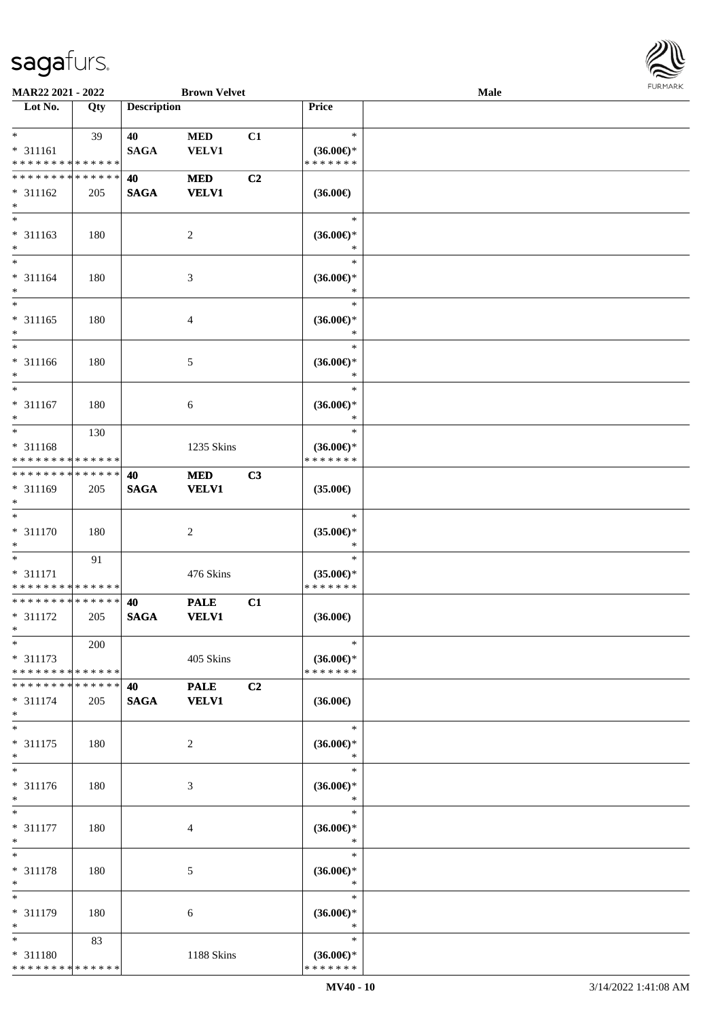

| MAR22 2021 - 2022                                             |     |                    | <b>Brown Velvet</b>         |    |                                                | <b>Male</b> |  |
|---------------------------------------------------------------|-----|--------------------|-----------------------------|----|------------------------------------------------|-------------|--|
| Lot No.                                                       | Qty | <b>Description</b> |                             |    | Price                                          |             |  |
| $\ast$                                                        |     |                    |                             |    | $\ast$                                         |             |  |
| $* 311161$                                                    | 39  | 40<br><b>SAGA</b>  | <b>MED</b><br><b>VELV1</b>  | C1 | $(36.00\epsilon)$ *                            |             |  |
| * * * * * * * * * * * * * *                                   |     |                    |                             |    | * * * * * * *                                  |             |  |
| * * * * * * * * * * * * * *                                   |     | 40                 | <b>MED</b>                  | C2 |                                                |             |  |
| $* 311162$<br>$\ast$                                          | 205 | <b>SAGA</b>        | <b>VELV1</b>                |    | $(36.00\epsilon)$                              |             |  |
| $\overline{\phantom{0}}$<br>$* 311163$<br>$\ast$              | 180 |                    | $\sqrt{2}$                  |    | $\ast$<br>$(36.00\epsilon)$ *<br>$\ast$        |             |  |
| $\overline{\ast}$<br>$* 311164$<br>$\ast$                     | 180 |                    | $\mathfrak{Z}$              |    | $\ast$<br>$(36.00\epsilon)$ *<br>$\ast$        |             |  |
| $\ast$<br>$* 311165$<br>$\ast$<br>$\overline{\phantom{1}}$    | 180 |                    | $\overline{4}$              |    | $\ast$<br>$(36.00\epsilon)$ *<br>$\ast$        |             |  |
| * 311166<br>$\ast$                                            | 180 |                    | $\sqrt{5}$                  |    | $\ast$<br>$(36.00\epsilon)$ *<br>$\ast$        |             |  |
| $\ast$<br>$* 311167$<br>$\ast$                                | 180 |                    | $\sqrt{6}$                  |    | $\ast$<br>$(36.00\epsilon)$ *<br>$\ast$        |             |  |
| $*$<br>* 311168<br>* * * * * * * * <mark>* * * * * * *</mark> | 130 |                    | 1235 Skins                  |    | $\ast$<br>$(36.00\epsilon)$ *<br>* * * * * * * |             |  |
| **************<br>* 311169<br>$\ast$                          | 205 | 40<br><b>SAGA</b>  | <b>MED</b><br><b>VELV1</b>  | C3 | $(35.00\epsilon)$                              |             |  |
| $\ast$<br>$* 311170$<br>$\ast$                                | 180 |                    | $\sqrt{2}$                  |    | $\ast$<br>$(35.00\epsilon)$ *<br>$\ast$        |             |  |
| $\ast$<br>$* 311171$<br>******** <mark>******</mark>          | 91  |                    | 476 Skins                   |    | $\ast$<br>$(35.00\epsilon)$ *<br>* * * * * * * |             |  |
| **************<br>* 311172<br>$*$                             | 205 | 40<br><b>SAGA</b>  | <b>PALE</b><br><b>VELV1</b> | C1 | $(36.00\epsilon)$                              |             |  |
| $*$<br>$* 311173$<br>* * * * * * * * * * * * * *              | 200 |                    | 405 Skins                   |    | $\ast$<br>$(36.00\epsilon)$ *<br>* * * * * * * |             |  |
| * * * * * * * * * * * * * * *<br>$* 311174$<br>$*$            | 205 | 40<br><b>SAGA</b>  | <b>PALE</b><br><b>VELV1</b> | C2 | $(36.00\epsilon)$                              |             |  |
| $\ast$<br>* 311175<br>$*$                                     | 180 |                    | $\overline{c}$              |    | $\ast$<br>$(36.00\epsilon)$ *<br>$\ast$        |             |  |
| $\overline{\ast}$<br>$* 311176$<br>$*$                        | 180 |                    | 3                           |    | $\ast$<br>$(36.00\epsilon)$ *<br>$\ast$        |             |  |
| $*$<br>* 311177<br>$\ast$                                     | 180 |                    | $\overline{4}$              |    | $\ast$<br>$(36.00\epsilon)$ *<br>$\ast$        |             |  |
| $\ast$<br>* 311178<br>$\ast$                                  | 180 |                    | $\mathfrak{S}$              |    | $\ast$<br>$(36.00\epsilon)$ *<br>$\ast$        |             |  |
| $\ast$<br>* 311179<br>$\ast$                                  | 180 |                    | 6                           |    | $\ast$<br>$(36.00\epsilon)$ *<br>$\ast$        |             |  |
| $*$<br>* 311180<br>* * * * * * * * * * * * * *                | 83  |                    | 1188 Skins                  |    | $\ast$<br>$(36.00\epsilon)$ *<br>* * * * * * * |             |  |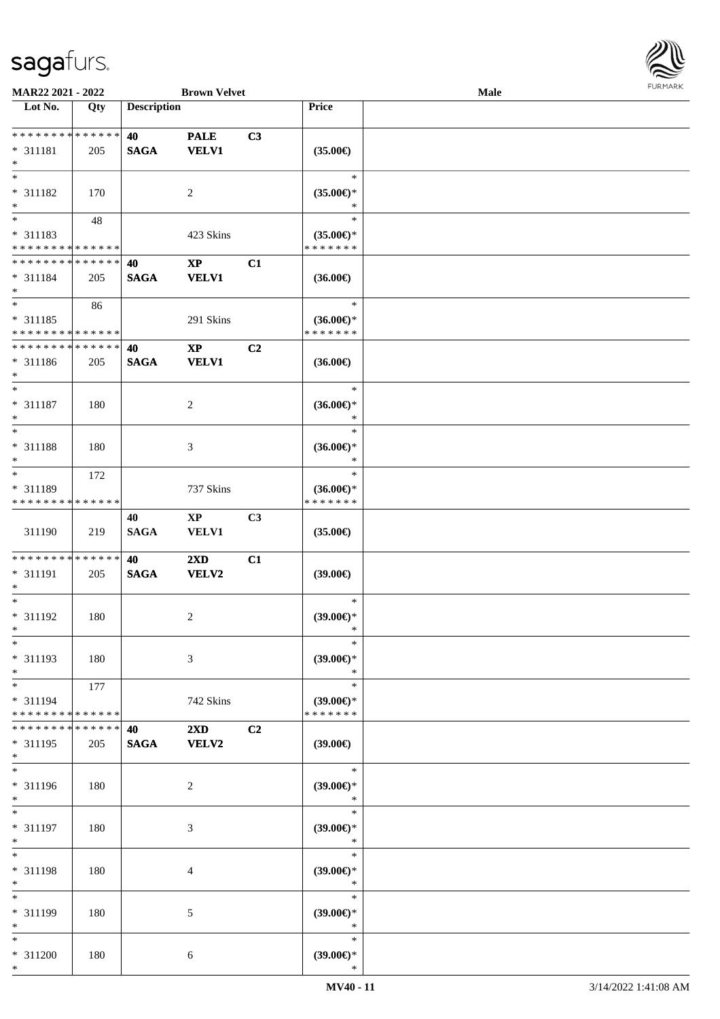

| MAR22 2021 - 2022             |     |                    | <b>Brown Velvet</b>    |                |                     | <b>Male</b> |  |
|-------------------------------|-----|--------------------|------------------------|----------------|---------------------|-------------|--|
| Lot No.                       | Qty | <b>Description</b> |                        |                | <b>Price</b>        |             |  |
|                               |     |                    |                        |                |                     |             |  |
| **************                |     | 40                 | <b>PALE</b>            | C3             |                     |             |  |
| $* 311181$                    | 205 | <b>SAGA</b>        | <b>VELV1</b>           |                | $(35.00\epsilon)$   |             |  |
| $\ast$                        |     |                    |                        |                |                     |             |  |
| $\ast$                        |     |                    |                        |                | $\ast$              |             |  |
| $* 311182$                    | 170 |                    | $\overline{c}$         |                | $(35.00\epsilon)$ * |             |  |
| $\ast$                        |     |                    |                        |                | $\ast$              |             |  |
| $\overline{\phantom{a}^*}$    | 48  |                    |                        |                | $\ast$              |             |  |
| * 311183                      |     |                    | 423 Skins              |                | $(35.00\epsilon)$ * |             |  |
| * * * * * * * * * * * * * *   |     |                    |                        |                | * * * * * * *       |             |  |
| **************                |     | 40                 | $\bold{XP}$            | C1             |                     |             |  |
| $* 311184$                    |     | <b>SAGA</b>        | <b>VELV1</b>           |                |                     |             |  |
| $\ast$                        | 205 |                    |                        |                | $(36.00\epsilon)$   |             |  |
| $\overline{\phantom{1}}$      |     |                    |                        |                | $\ast$              |             |  |
|                               | 86  |                    |                        |                |                     |             |  |
| $* 311185$                    |     |                    | 291 Skins              |                | $(36.00\epsilon)$ * |             |  |
| * * * * * * * * * * * * * *   |     |                    |                        |                | *******             |             |  |
| ******** <mark>*****</mark> * |     | 40                 | $\mathbf{XP}$          | C <sub>2</sub> |                     |             |  |
| $* 311186$                    | 205 | <b>SAGA</b>        | <b>VELV1</b>           |                | $(36.00\epsilon)$   |             |  |
| $\ast$                        |     |                    |                        |                |                     |             |  |
| $\ast$                        |     |                    |                        |                | $\ast$              |             |  |
| $* 311187$                    | 180 |                    | $\boldsymbol{2}$       |                | $(36.00\epsilon)$ * |             |  |
| $\ast$                        |     |                    |                        |                | $\ast$              |             |  |
| $\ast$                        |     |                    |                        |                | $\ast$              |             |  |
| * 311188                      | 180 |                    | 3                      |                | $(36.00\epsilon)$ * |             |  |
| $\ast$                        |     |                    |                        |                | $\ast$              |             |  |
| $\ast$                        | 172 |                    |                        |                | $\ast$              |             |  |
| * 311189                      |     |                    | 737 Skins              |                | $(36.00\epsilon)$ * |             |  |
| * * * * * * * * * * * * * *   |     |                    |                        |                | * * * * * * *       |             |  |
|                               |     |                    |                        |                |                     |             |  |
|                               |     | 40                 | $\mathbf{X}\mathbf{P}$ | C3             |                     |             |  |
| 311190                        | 219 | <b>SAGA</b>        | VELV1                  |                | $(35.00\epsilon)$   |             |  |
|                               |     |                    |                        |                |                     |             |  |
| **************                |     | 40                 | 2XD                    | C1             |                     |             |  |
| * 311191                      | 205 | <b>SAGA</b>        | VELV2                  |                | $(39.00\epsilon)$   |             |  |
| ∗                             |     |                    |                        |                |                     |             |  |
| $\ast$                        |     |                    |                        |                | $\ast$              |             |  |
| * 311192                      | 180 |                    | $\boldsymbol{2}$       |                | $(39.00\epsilon)$ * |             |  |
| $*$                           |     |                    |                        |                | $\ast$              |             |  |
| $*$                           |     |                    |                        |                | $\ast$              |             |  |
| * 311193                      | 180 |                    | 3                      |                | $(39.00\epsilon)$ * |             |  |
| $\ast$                        |     |                    |                        |                | $\ast$              |             |  |
| $\ast$                        | 177 |                    |                        |                | $\ast$              |             |  |
| * 311194                      |     |                    | 742 Skins              |                | $(39.00\epsilon)$ * |             |  |
| **************                |     |                    |                        |                | * * * * * * *       |             |  |
| * * * * * * * * * * * * * *   |     | 40                 | 2XD                    | C2             |                     |             |  |
| $* 311195$                    |     |                    | <b>VELV2</b>           |                |                     |             |  |
| $\ast$                        | 205 | <b>SAGA</b>        |                        |                | $(39.00\epsilon)$   |             |  |
| $\ast$                        |     |                    |                        |                | $\ast$              |             |  |
|                               |     |                    |                        |                |                     |             |  |
| * 311196                      | 180 |                    | $\overline{c}$         |                | (39.00)             |             |  |
| $*$                           |     |                    |                        |                | $\ast$              |             |  |
| $\ast$                        |     |                    |                        |                | $\ast$              |             |  |
| * 311197                      | 180 |                    | 3                      |                | (39.00)             |             |  |
| $\ast$                        |     |                    |                        |                | $\ast$              |             |  |
| $\ast$                        |     |                    |                        |                | $\ast$              |             |  |
| * 311198                      | 180 |                    | 4                      |                | $(39.00\epsilon)$ * |             |  |
| $\ast$                        |     |                    |                        |                | $\ast$              |             |  |
| $\overline{\ast}$             |     |                    |                        |                | $\ast$              |             |  |
| * 311199                      | 180 |                    | 5                      |                | $(39.00\epsilon)$ * |             |  |
| $\ast$                        |     |                    |                        |                | $\ast$              |             |  |
| $\ast$                        |     |                    |                        |                | $\ast$              |             |  |
|                               |     |                    |                        |                |                     |             |  |
| * 311200                      | 180 |                    | 6                      |                | $(39.00\epsilon)$ * |             |  |
| $*$                           |     |                    |                        |                | $\ast$              |             |  |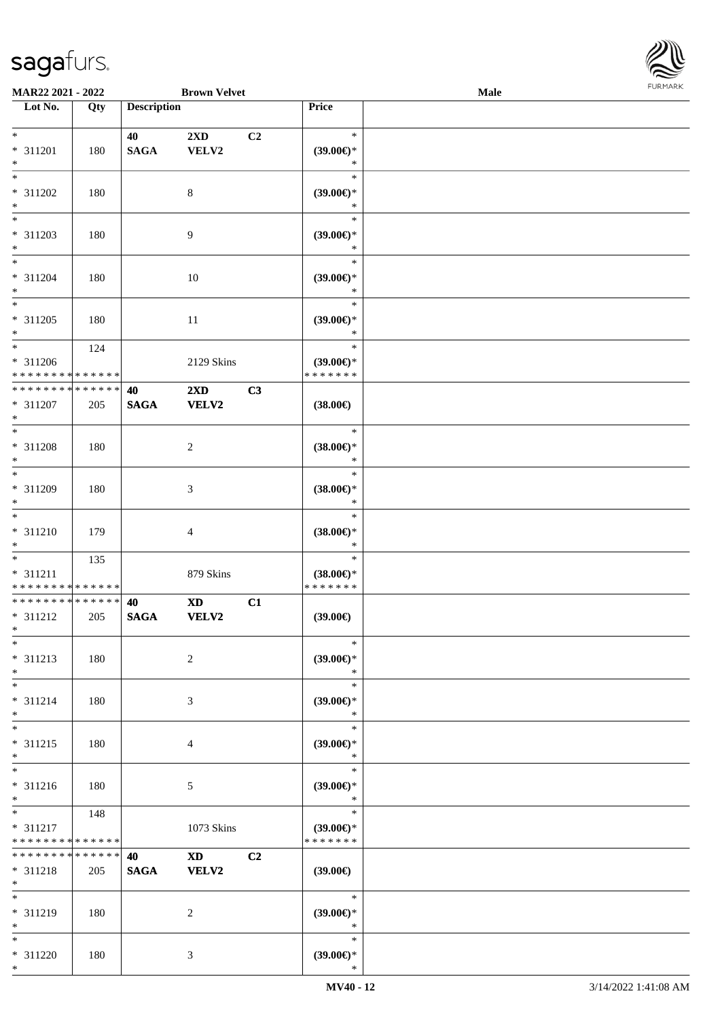

| MAR22 2021 - 2022           |             |                    | <b>Brown Velvet</b>                                                                                                                                                                                                            |    |                               | Male |  |
|-----------------------------|-------------|--------------------|--------------------------------------------------------------------------------------------------------------------------------------------------------------------------------------------------------------------------------|----|-------------------------------|------|--|
| Lot No.                     | Qty         | <b>Description</b> |                                                                                                                                                                                                                                |    | Price                         |      |  |
|                             |             |                    |                                                                                                                                                                                                                                |    |                               |      |  |
| $*$                         |             | 40                 | 2XD                                                                                                                                                                                                                            | C2 | $\ast$                        |      |  |
| * 311201                    | 180         | <b>SAGA</b>        | VELV2                                                                                                                                                                                                                          |    | $(39.00\epsilon)$ *           |      |  |
| $*$                         |             |                    |                                                                                                                                                                                                                                |    | $\ast$                        |      |  |
| $*$                         |             |                    |                                                                                                                                                                                                                                |    | $\ast$                        |      |  |
| * 311202                    | 180         |                    | $\,8\,$                                                                                                                                                                                                                        |    | $(39.00\epsilon)$ *           |      |  |
| $\ast$                      |             |                    |                                                                                                                                                                                                                                |    | $\ast$                        |      |  |
| $\overline{\phantom{0}}$    |             |                    |                                                                                                                                                                                                                                |    | $\ast$                        |      |  |
| * 311203                    | 180         |                    | 9                                                                                                                                                                                                                              |    | $(39.00\epsilon)$ *           |      |  |
| $*$                         |             |                    |                                                                                                                                                                                                                                |    | $\ast$                        |      |  |
| $*$                         |             |                    |                                                                                                                                                                                                                                |    | $\ast$                        |      |  |
| $* 311204$                  | 180         |                    | 10                                                                                                                                                                                                                             |    | $(39.00\epsilon)$ *           |      |  |
| $*$                         |             |                    |                                                                                                                                                                                                                                |    | $\ast$                        |      |  |
| $*$                         |             |                    |                                                                                                                                                                                                                                |    | $\ast$                        |      |  |
| * 311205                    | 180         |                    | $11\,$                                                                                                                                                                                                                         |    | $(39.00\epsilon)$ *           |      |  |
| $*$                         |             |                    |                                                                                                                                                                                                                                |    | $\ast$                        |      |  |
| $*$                         | 124         |                    |                                                                                                                                                                                                                                |    | $\ast$                        |      |  |
| $* 311206$                  |             |                    | 2129 Skins                                                                                                                                                                                                                     |    | $(39.00\epsilon)$ *           |      |  |
| * * * * * * * * * * * * * * |             |                    |                                                                                                                                                                                                                                |    | * * * * * * *                 |      |  |
| * * * * * * * * * * * * * * |             | 40                 | $2\mathbf{X}\mathbf{D}$                                                                                                                                                                                                        | C3 |                               |      |  |
| $* 311207$                  | 205         | <b>SAGA</b>        | <b>VELV2</b>                                                                                                                                                                                                                   |    | $(38.00\epsilon)$             |      |  |
| $*$                         |             |                    |                                                                                                                                                                                                                                |    |                               |      |  |
| $\overline{\ast}$           |             |                    |                                                                                                                                                                                                                                |    | $\ast$                        |      |  |
| * 311208                    | 180         |                    | $\sqrt{2}$                                                                                                                                                                                                                     |    | $(38.00\epsilon)$ *           |      |  |
| $*$                         |             |                    |                                                                                                                                                                                                                                |    | $\ast$                        |      |  |
| $\overline{\ast}$           |             |                    |                                                                                                                                                                                                                                |    | $\ast$                        |      |  |
| * 311209                    | 180         |                    | 3                                                                                                                                                                                                                              |    | $(38.00\in)^\ast$             |      |  |
| $*$                         |             |                    |                                                                                                                                                                                                                                |    | $\ast$                        |      |  |
| $*$                         |             |                    |                                                                                                                                                                                                                                |    | $\ast$                        |      |  |
| $* 311210$                  | 179         |                    | 4                                                                                                                                                                                                                              |    | $(38.00\in)^\ast$             |      |  |
| $*$                         |             |                    |                                                                                                                                                                                                                                |    | $\ast$                        |      |  |
| $*$                         | 135         |                    |                                                                                                                                                                                                                                |    | $\ast$                        |      |  |
| * 311211                    |             |                    | 879 Skins                                                                                                                                                                                                                      |    | $(38.00\epsilon)$ *           |      |  |
| * * * * * * * * * * * * * * |             |                    |                                                                                                                                                                                                                                |    | * * * * * * *                 |      |  |
| * * * * * * * * * * * * * * |             | 40                 | <b>XD</b>                                                                                                                                                                                                                      | C1 |                               |      |  |
| $* 311212$                  | 205         | <b>SAGA</b>        | VELV2                                                                                                                                                                                                                          |    | (39.00)                       |      |  |
| $*$                         |             |                    |                                                                                                                                                                                                                                |    |                               |      |  |
| $*$                         |             |                    |                                                                                                                                                                                                                                |    | $\ast$                        |      |  |
| $* 311213$                  | 180         |                    | $\overline{2}$                                                                                                                                                                                                                 |    | $(39.00\epsilon)$ *           |      |  |
| $*$                         |             |                    |                                                                                                                                                                                                                                |    | $\ast$                        |      |  |
| $*$                         |             |                    |                                                                                                                                                                                                                                |    | $\ast$                        |      |  |
| $* 311214$                  | 180         |                    | 3                                                                                                                                                                                                                              |    | $(39.00\epsilon)$ *           |      |  |
| $*$                         |             |                    |                                                                                                                                                                                                                                |    | $\ast$                        |      |  |
| $*$                         |             |                    |                                                                                                                                                                                                                                |    | $\ast$                        |      |  |
| * 311215<br>$*$             | 180         |                    | 4                                                                                                                                                                                                                              |    | $(39.00\epsilon)$ *<br>$\ast$ |      |  |
| $\ast$                      |             |                    |                                                                                                                                                                                                                                |    | $\ast$                        |      |  |
|                             |             |                    |                                                                                                                                                                                                                                |    |                               |      |  |
| * 311216<br>$*$             | 180         |                    | $5\phantom{.0}$                                                                                                                                                                                                                |    | (39.00)<br>$\ast$             |      |  |
| $*$ $*$                     | 148         |                    |                                                                                                                                                                                                                                |    | $\ast$                        |      |  |
| * 311217                    |             |                    | 1073 Skins                                                                                                                                                                                                                     |    | $(39.00\epsilon)$ *           |      |  |
| * * * * * * * * * * * * * * |             |                    |                                                                                                                                                                                                                                |    | * * * * * * *                 |      |  |
| * * * * * * * *             | * * * * * * | 40                 | XD and the set of the set of the set of the set of the set of the set of the set of the set of the set of the set of the set of the set of the set of the set of the set of the set of the set of the set of the set of the se | C2 |                               |      |  |
| * 311218                    | 205         | <b>SAGA</b>        | <b>VELV2</b>                                                                                                                                                                                                                   |    | $(39.00\epsilon)$             |      |  |
| $*$                         |             |                    |                                                                                                                                                                                                                                |    |                               |      |  |
| $*$                         |             |                    |                                                                                                                                                                                                                                |    | $\ast$                        |      |  |
| * 311219                    | 180         |                    | $\overline{2}$                                                                                                                                                                                                                 |    | $(39.00\epsilon)$ *           |      |  |
| $*$                         |             |                    |                                                                                                                                                                                                                                |    | $\ast$                        |      |  |
| $*$                         |             |                    |                                                                                                                                                                                                                                |    | $\ast$                        |      |  |
| * 311220                    | 180         |                    | 3                                                                                                                                                                                                                              |    | $(39.00\epsilon)$ *           |      |  |
| $*$                         |             |                    |                                                                                                                                                                                                                                |    | $\ast$                        |      |  |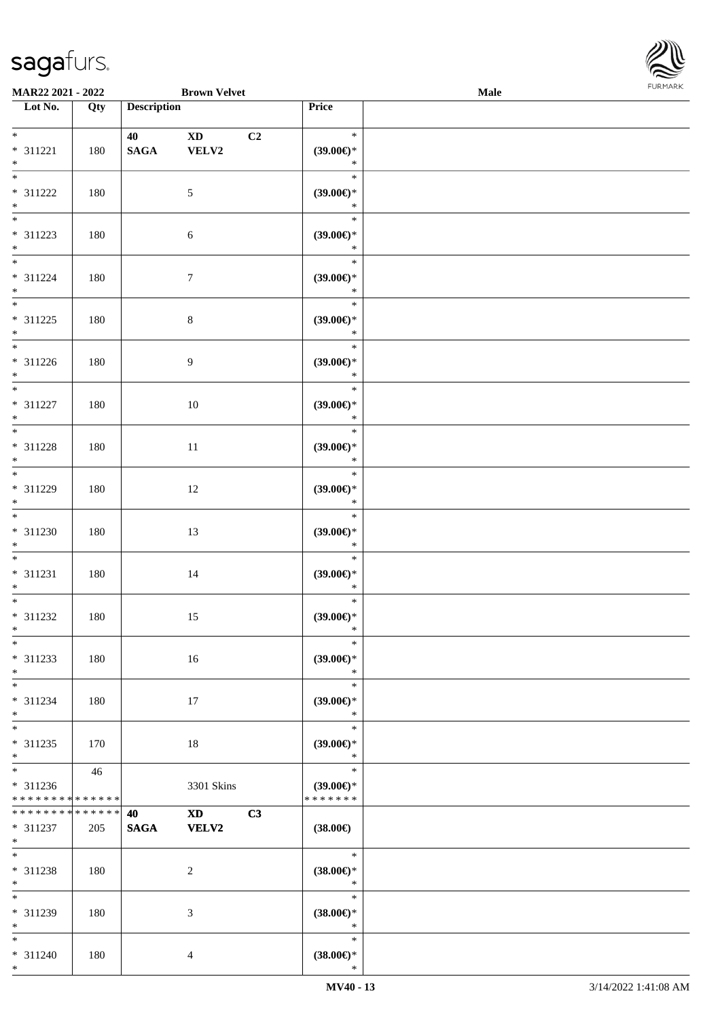

| MAR22 2021 - 2022                                                         |         |                    | <b>Brown Velvet</b>                                                                                                                                                                                                                            |    |                                                | <b>Male</b> |  |
|---------------------------------------------------------------------------|---------|--------------------|------------------------------------------------------------------------------------------------------------------------------------------------------------------------------------------------------------------------------------------------|----|------------------------------------------------|-------------|--|
| Lot No.                                                                   | Qty     | <b>Description</b> |                                                                                                                                                                                                                                                |    | Price                                          |             |  |
| $*$<br>* 311221<br>$\ast$                                                 | 180     | 40<br><b>SAGA</b>  | $\mathbf{X}\mathbf{D}$<br>VELV2                                                                                                                                                                                                                | C2 | $\ast$<br>$(39.00\epsilon)$ *<br>$\ast$        |             |  |
| $* 311222$<br>$\ast$                                                      | 180     |                    | $\sqrt{5}$                                                                                                                                                                                                                                     |    | $\ast$<br>$(39.00\epsilon)$ *<br>$\ast$        |             |  |
| $\overline{\phantom{0}}$<br>* 311223<br>$*$                               | 180     |                    | $\sqrt{6}$                                                                                                                                                                                                                                     |    | $\ast$<br>(39.00)<br>$\ast$                    |             |  |
| $\overline{\phantom{0}}$<br>$* 311224$<br>$*$<br>$\overline{\phantom{0}}$ | 180     |                    | $\tau$                                                                                                                                                                                                                                         |    | $\ast$<br>$(39.00\epsilon)$ *<br>$\ast$        |             |  |
| $* 311225$<br>$*$                                                         | 180     |                    | $\,8\,$                                                                                                                                                                                                                                        |    | $\ast$<br>$(39.00\epsilon)$ *<br>$\ast$        |             |  |
| $*$<br>$* 311226$<br>$*$<br>$\overline{\phantom{a}^*}$                    | 180     |                    | 9                                                                                                                                                                                                                                              |    | $\ast$<br>$(39.00\epsilon)$ *<br>$\ast$        |             |  |
| $* 311227$<br>$*$<br>$\overline{\phantom{0}}$                             | 180     |                    | 10                                                                                                                                                                                                                                             |    | $\ast$<br>$(39.00\epsilon)$ *<br>$\ast$        |             |  |
| $* 311228$<br>$*$                                                         | 180     |                    | 11                                                                                                                                                                                                                                             |    | $\ast$<br>$(39.00\epsilon)$ *<br>$\ast$        |             |  |
| $*$<br>* 311229<br>$*$                                                    | $180\,$ |                    | 12                                                                                                                                                                                                                                             |    | $\ast$<br>(39.00)<br>$\ast$                    |             |  |
| $\overline{\phantom{0}}$<br>$* 311230$<br>$*$                             | 180     |                    | 13                                                                                                                                                                                                                                             |    | $\ast$<br>$(39.00\epsilon)$ *<br>$\ast$        |             |  |
| $*$<br>$* 311231$<br>$*$                                                  | 180     |                    | 14                                                                                                                                                                                                                                             |    | $\ast$<br>$(39.00\epsilon)$ *<br>$\ast$        |             |  |
| $*$<br>$* 311232$<br>$*$                                                  | 180     |                    | 15                                                                                                                                                                                                                                             |    | $\ast$<br>$(39.00\epsilon)$ *<br>$\ast$        |             |  |
| $*$<br>* 311233<br>$*$                                                    | 180     |                    | 16                                                                                                                                                                                                                                             |    | $\ast$<br>$(39.00\epsilon)$ *<br>$\ast$        |             |  |
| $*$<br>$* 311234$<br>$*$                                                  | 180     |                    | 17                                                                                                                                                                                                                                             |    | $\ast$<br>$(39.00\epsilon)$ *<br>$\ast$        |             |  |
| $*$<br>$* 311235$<br>$*$                                                  | 170     |                    | 18                                                                                                                                                                                                                                             |    | $\ast$<br>$(39.00\epsilon)$ *<br>$\ast$        |             |  |
| * 311236<br>* * * * * * * * * * * * * *                                   | 46      |                    | 3301 Skins                                                                                                                                                                                                                                     |    | $\ast$<br>$(39.00\epsilon)$ *<br>* * * * * * * |             |  |
| * * * * * * * * * * * * * * *<br>* 311237<br>$*$ $-$                      | 205     | 40<br><b>SAGA</b>  | XD and the set of the set of the set of the set of the set of the set of the set of the set of the set of the set of the set of the set of the set of the set of the set of the set of the set of the set of the set of the se<br><b>VELV2</b> | C3 | $(38.00\epsilon)$                              |             |  |
| $*$<br>$* 311238$<br>$*$                                                  | 180     |                    | 2                                                                                                                                                                                                                                              |    | $\ast$<br>$(38.00\epsilon)$ *<br>$\ast$        |             |  |
| $*$<br>* 311239<br>$*$                                                    | 180     |                    | 3                                                                                                                                                                                                                                              |    | $\ast$<br>$(38.00\epsilon)$ *<br>$\ast$        |             |  |
| $*$<br>* 311240<br>$*$                                                    | 180     |                    | $\overline{4}$                                                                                                                                                                                                                                 |    | $\ast$<br>$(38.00\epsilon)$ *<br>$\ast$        |             |  |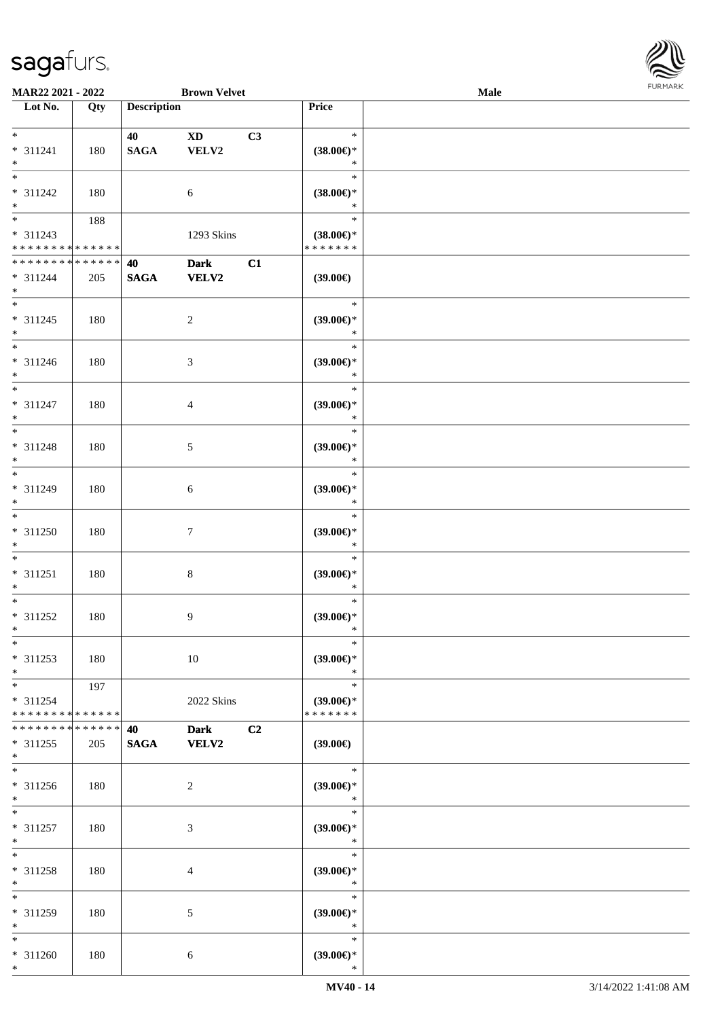

| MAR22 2021 - 2022                                         |                      |                       | <b>Brown Velvet</b>        |                                                | <b>Male</b> |  |
|-----------------------------------------------------------|----------------------|-----------------------|----------------------------|------------------------------------------------|-------------|--|
| Lot No.                                                   | Qty                  | <b>Description</b>    |                            | Price                                          |             |  |
| $\ast$<br>* 311241<br>$\ast$                              | 180                  | 40<br><b>SAGA</b>     | C3<br><b>XD</b><br>VELV2   | $\ast$<br>$(38.00\in)^\ast$<br>$\ast$          |             |  |
| $\ast$<br>* 311242<br>$\ast$                              | 180                  |                       | 6                          | $\ast$<br>$(38.00\epsilon)$ *<br>$\ast$        |             |  |
| $\overline{\phantom{a}^*}$<br>* 311243<br>* * * * * * * * | 188<br>* * * * * *   |                       | 1293 Skins                 | $\ast$<br>$(38.00\epsilon)$ *<br>* * * * * * * |             |  |
| * * * * * * * * * * * * * *<br>$* 311244$<br>$\ast$       | 205                  | 40<br>$\mathbf{SAGA}$ | <b>Dark</b><br>C1<br>VELV2 | $(39.00\in)$                                   |             |  |
| $\overline{\phantom{a}^*}$<br>$* 311245$<br>$\ast$        | 180                  |                       | $\sqrt{2}$                 | $\ast$<br>$(39.00\epsilon)$ *<br>$\ast$        |             |  |
| $\overline{\phantom{a}}$<br>$* 311246$<br>$\ast$          | 180                  |                       | $\mathfrak{Z}$             | $\ast$<br>(39.00)<br>$\ast$                    |             |  |
| $\overline{\ast}$<br>$* 311247$<br>$\ast$                 | 180                  |                       | $\overline{4}$             | $\ast$<br>$(39.00\epsilon)$ *<br>$\ast$        |             |  |
| $\ast$<br>* 311248<br>$\ast$                              | 180                  |                       | $\mathfrak{S}$             | $\ast$<br>(39.00)<br>$\ast$                    |             |  |
| $\overline{\phantom{1}}$<br>$* 311249$<br>$\ast$          | 180                  |                       | $\sqrt{6}$                 | $\ast$<br>(39.00)<br>$\ast$                    |             |  |
| $\overline{\phantom{a}^*}$<br>$* 311250$<br>$\ast$        | 180                  |                       | $\boldsymbol{7}$           | $\ast$<br>$(39.00\in)^\ast$<br>$\ast$          |             |  |
| $\ast$<br>$* 311251$<br>$\ast$                            | 180                  |                       | $\,8\,$                    | $\ast$<br>(39.00)<br>$\ast$                    |             |  |
| $\ast$<br>$* 311252$<br>$*$                               | 180                  |                       | 9                          | $\ast$<br>$(39.00\epsilon)$ *<br>$\ast$        |             |  |
| $*$<br>$* 311253$<br>$\ast$                               | 180                  |                       | 10                         | $\ast$<br>(39.00)<br>$\ast$                    |             |  |
| $\ast$<br>$* 311254$<br>* * * * * * * * * * * * * *       | 197                  |                       | 2022 Skins                 | $\ast$<br>$(39.00\epsilon)$ *<br>* * * * * * * |             |  |
| * * * * * * * *<br>$* 311255$<br>$*$                      | * * * * * *  <br>205 | 40<br><b>SAGA</b>     | <b>Dark</b><br>C2<br>VELV2 | $(39.00\epsilon)$                              |             |  |
| $\overline{\phantom{a}^*}$<br>* 311256<br>$*$             | 180                  |                       | $\overline{c}$             | $\ast$<br>(39.00)<br>$\ast$                    |             |  |
| $\ast$<br>$* 311257$<br>$\ast$                            | 180                  |                       | $\mathfrak{Z}$             | $\ast$<br>(39.00)<br>$\ast$                    |             |  |
| $\ast$<br>* 311258<br>$\ast$                              | 180                  |                       | 4                          | $\ast$<br>$(39.00\epsilon)$ *<br>$\ast$        |             |  |
| $\overline{\phantom{1}}$<br>* 311259<br>$*$               | 180                  |                       | $\sqrt{5}$                 | $\ast$<br>$(39.00\epsilon)$ *<br>$\ast$        |             |  |
| $*$<br>$* 311260$<br>$*$                                  | 180                  |                       | 6                          | $\ast$<br>$(39.00\epsilon)$ *<br>$\ast$        |             |  |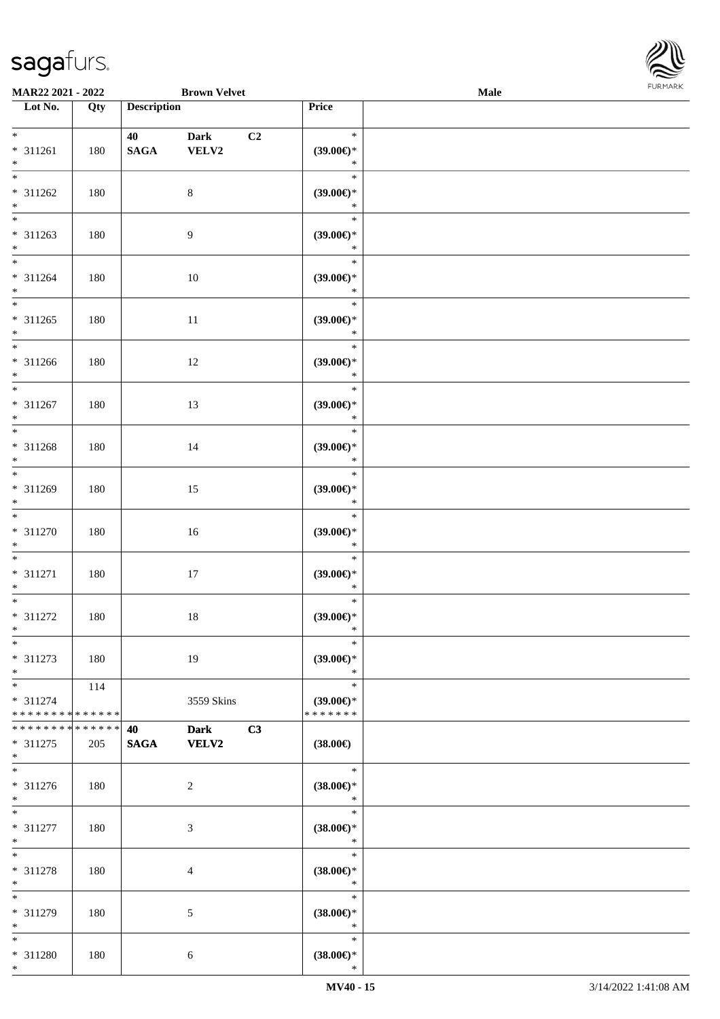

| MAR22 2021 - 2022                                                          |                    |                       | <b>Brown Velvet</b>  |    |                                         | <b>Male</b> |  |
|----------------------------------------------------------------------------|--------------------|-----------------------|----------------------|----|-----------------------------------------|-------------|--|
| Lot No.                                                                    | Qty                | <b>Description</b>    |                      |    | Price                                   |             |  |
| $*$<br>* 311261<br>$\ast$                                                  | 180                | 40<br>$\mathbf{SAGA}$ | Dark<br>VELV2        | C2 | $\ast$<br>(39.00)<br>$\ast$             |             |  |
| $\overline{\phantom{0}}$<br>* 311262<br>$\ast$<br>$\overline{\phantom{0}}$ | 180                |                       | $8\,$                |    | $\ast$<br>(39.00)<br>$\ast$             |             |  |
| $* 311263$<br>$\ast$<br>$\overline{\phantom{0}}$                           | 180                |                       | $\overline{9}$       |    | $\ast$<br>(39.00)<br>$\ast$             |             |  |
| $* 311264$<br>$\ast$<br>$\overline{\phantom{0}}$                           | 180                |                       | $10\,$               |    | $\ast$<br>(39.00)<br>$\ast$<br>$\ast$   |             |  |
| $* 311265$<br>$\ast$<br>$\overline{\phantom{1}}$                           | 180                |                       | $11\,$               |    | $(39.00\epsilon)$ *<br>$\ast$<br>$\ast$ |             |  |
| $* 311266$<br>$\ast$<br>$\overline{\ast}$                                  | 180                |                       | 12                   |    | $(39.00\epsilon)$ *<br>$\ast$<br>$\ast$ |             |  |
| $* 311267$<br>$\ast$<br>$\overline{\phantom{0}}$                           | 180                |                       | 13                   |    | $(39.00\epsilon)$ *<br>$\ast$<br>$\ast$ |             |  |
| * 311268<br>$\ast$<br>$\overline{\ast}$                                    | 180                |                       | 14                   |    | $(39.00\epsilon)$ *<br>$\ast$<br>$\ast$ |             |  |
| * 311269<br>$\ast$<br>$\overline{\ast}$                                    | 180                |                       | 15                   |    | (39.00)<br>$\ast$<br>$\ast$             |             |  |
| $* 311270$<br>$\ast$<br>$\ast$                                             | 180                |                       | 16                   |    | $(39.00\epsilon)$ *<br>$\ast$<br>$\ast$ |             |  |
| $* 311271$<br>$\ast$<br>$\ast$                                             | 180                |                       | $17\,$               |    | $(39.00\epsilon)$ *<br>$\ast$<br>$\ast$ |             |  |
| $* 311272$<br>$*$<br>$*$                                                   | 180                |                       | $18\,$               |    | $(39.00\epsilon)$ *<br>$*$<br>$\ast$    |             |  |
| $* 311273$<br>$\ast$<br>$\ast$                                             | 180                |                       | 19                   |    | $(39.00\epsilon)$ *<br>$\ast$<br>$\ast$ |             |  |
| * 311274<br>* * * * * * * * * * * * * *                                    | 114                |                       | 3559 Skins           |    | $(39.00\epsilon)$ *<br>* * * * * * *    |             |  |
| * * * * * * * *<br>$* 311275$<br>$*$<br>$\overline{\phantom{0}}$           | * * * * * *<br>205 | 40<br><b>SAGA</b>     | <b>Dark</b><br>VELV2 | C3 | $(38.00\epsilon)$<br>$\ast$             |             |  |
| * 311276<br>$*$                                                            | 180                |                       | $\overline{c}$       |    | $(38.00\epsilon)$ *<br>$\ast$           |             |  |
| $*$<br>* 311277<br>$*$                                                     | 180                |                       | $\mathfrak{Z}$       |    | $\ast$<br>$(38.00\epsilon)$ *<br>$\ast$ |             |  |
| $\ast$<br>* 311278<br>$\ast$<br>$\overline{\phantom{1}}$                   | 180                |                       | $\overline{4}$       |    | $\ast$<br>$(38.00\epsilon)$ *<br>$\ast$ |             |  |
| * 311279<br>$*$                                                            | 180                |                       | $\sqrt{5}$           |    | $\ast$<br>$(38.00\epsilon)$ *<br>$\ast$ |             |  |
| $*$<br>* 311280<br>$\ast$                                                  | 180                |                       | 6                    |    | $\ast$<br>$(38.00\epsilon)$ *<br>$\ast$ |             |  |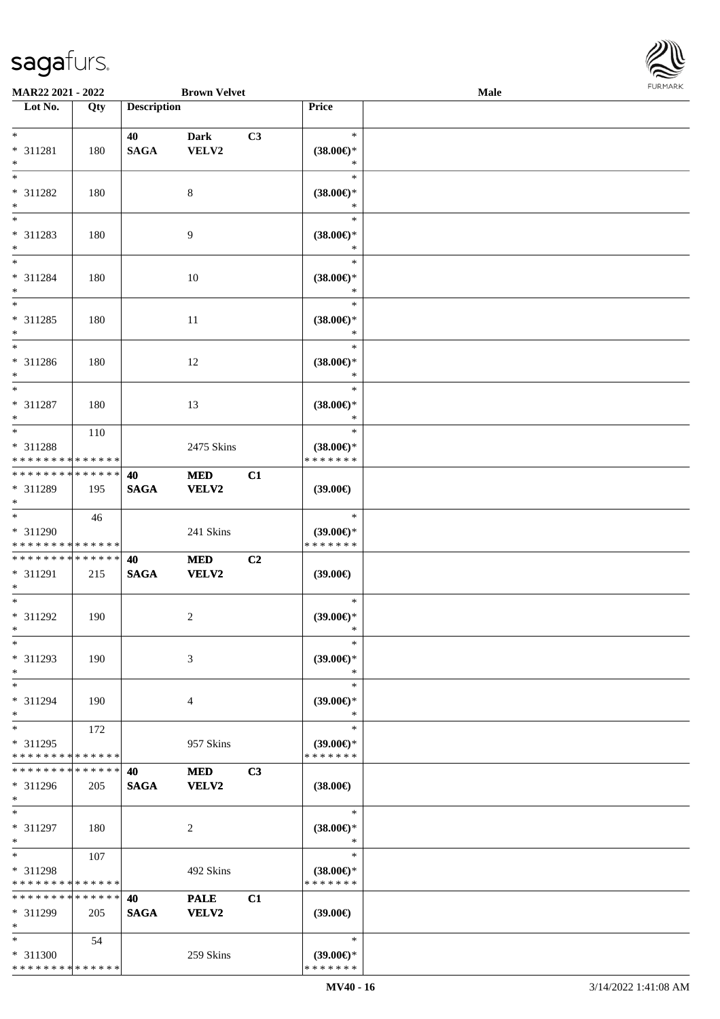

| MAR22 2021 - 2022                                          |             |                    | <b>Brown Velvet</b> |    |                                      | Male |  |
|------------------------------------------------------------|-------------|--------------------|---------------------|----|--------------------------------------|------|--|
| Lot No.                                                    | Qty         | <b>Description</b> |                     |    | Price                                |      |  |
|                                                            |             |                    |                     |    |                                      |      |  |
| $*$                                                        |             | 40                 | <b>Dark</b>         | C3 | $\ast$                               |      |  |
| * 311281                                                   | 180         | <b>SAGA</b>        | VELV2               |    | $(38.00\epsilon)$ *                  |      |  |
| $*$                                                        |             |                    |                     |    | $\ast$                               |      |  |
| $*$                                                        |             |                    |                     |    | $\ast$                               |      |  |
| * 311282                                                   | 180         |                    | 8                   |    | $(38.00\epsilon)$ *                  |      |  |
| $*$                                                        |             |                    |                     |    | $\ast$                               |      |  |
|                                                            |             |                    |                     |    | $\ast$                               |      |  |
| * 311283                                                   | 180         |                    | 9                   |    | $(38.00\epsilon)$ *                  |      |  |
| $*$                                                        |             |                    |                     |    | $\ast$                               |      |  |
| $*$                                                        |             |                    |                     |    | $\ast$                               |      |  |
| * 311284                                                   | 180         |                    | 10                  |    | $(38.00\in)^\ast$                    |      |  |
| $*$                                                        |             |                    |                     |    | $\ast$                               |      |  |
| $*$                                                        |             |                    |                     |    | $\ast$                               |      |  |
| $* 311285$                                                 | 180         |                    | 11                  |    | $(38.00\epsilon)$ *                  |      |  |
| $*$                                                        |             |                    |                     |    | $\ast$                               |      |  |
| $*$                                                        |             |                    |                     |    | $\ast$                               |      |  |
| $* 311286$                                                 | 180         |                    | 12                  |    | $(38.00\epsilon)$ *                  |      |  |
| $*$                                                        |             |                    |                     |    | $\ast$                               |      |  |
| $*$                                                        |             |                    |                     |    | $\ast$                               |      |  |
|                                                            |             |                    |                     |    |                                      |      |  |
| $* 311287$<br>$*$                                          | 180         |                    | 13                  |    | $(38.00\epsilon)$ *<br>$\ast$        |      |  |
|                                                            |             |                    |                     |    | $\ast$                               |      |  |
|                                                            | 110         |                    |                     |    |                                      |      |  |
| * 311288                                                   |             |                    | 2475 Skins          |    | $(38.00\epsilon)$ *<br>* * * * * * * |      |  |
| * * * * * * * * * * * * * *<br>* * * * * * * * * * * * * * |             |                    |                     |    |                                      |      |  |
|                                                            |             | 40                 | <b>MED</b>          | C1 |                                      |      |  |
| * 311289                                                   | 195         | <b>SAGA</b>        | VELV2               |    | (39.00)                              |      |  |
| $*$<br>$*$                                                 |             |                    |                     |    |                                      |      |  |
|                                                            | 46          |                    |                     |    | $\ast$                               |      |  |
| * 311290                                                   |             |                    | 241 Skins           |    | $(39.00\epsilon)$ *                  |      |  |
| * * * * * * * * * * * * * *                                |             |                    |                     |    | * * * * * * *                        |      |  |
| * * * * * * * * * * * * * *                                |             | 40                 | <b>MED</b>          | C2 |                                      |      |  |
| * 311291                                                   | 215         | <b>SAGA</b>        | <b>VELV2</b>        |    | $(39.00\epsilon)$                    |      |  |
| $*$                                                        |             |                    |                     |    |                                      |      |  |
| $*$                                                        |             |                    |                     |    | $\ast$                               |      |  |
| $* 311292$                                                 | 190         |                    | 2                   |    | $(39.00\epsilon)$ *                  |      |  |
| $*$                                                        |             |                    |                     |    | $\ast$                               |      |  |
| $*$                                                        |             |                    |                     |    | $\ast$                               |      |  |
| * 311293                                                   | 190         |                    | 3                   |    | $(39.00\epsilon)$ *                  |      |  |
| $*$                                                        |             |                    |                     |    | $\ast$                               |      |  |
| $*$                                                        |             |                    |                     |    | $\ast$                               |      |  |
| * 311294                                                   | 190         |                    | 4                   |    | $(39.00\epsilon)$ *                  |      |  |
| $*$                                                        |             |                    |                     |    | $\ast$                               |      |  |
| $*$                                                        | 172         |                    |                     |    | $\ast$                               |      |  |
| * 311295                                                   |             |                    | 957 Skins           |    | $(39.00\epsilon)$ *                  |      |  |
| * * * * * * * * * * * * * *                                |             |                    |                     |    | * * * * * * *                        |      |  |
| * * * * * * * *                                            | * * * * * * | 40                 | <b>MED</b>          | C3 |                                      |      |  |
| * 311296                                                   | 205         | <b>SAGA</b>        | <b>VELV2</b>        |    | $(38.00\epsilon)$                    |      |  |
| $*$                                                        |             |                    |                     |    |                                      |      |  |
| $*$                                                        |             |                    |                     |    | $\ast$                               |      |  |
| * 311297                                                   | 180         |                    | 2                   |    | $(38.00\epsilon)$ *                  |      |  |
| $*$                                                        |             |                    |                     |    | $\ast$                               |      |  |
| $*$                                                        | 107         |                    |                     |    | $\ast$                               |      |  |
| * 311298                                                   |             |                    | 492 Skins           |    | $(38.00\epsilon)$ *                  |      |  |
| * * * * * * * * * * * * * *                                |             |                    |                     |    | * * * * * * *                        |      |  |
| * * * * * * * * * * * * * *                                |             | 40                 | <b>PALE</b>         | C1 |                                      |      |  |
| * 311299                                                   | 205         | <b>SAGA</b>        | VELV2               |    | $(39.00\epsilon)$                    |      |  |
| $*$                                                        |             |                    |                     |    |                                      |      |  |
| $*$                                                        | 54          |                    |                     |    | $\ast$                               |      |  |
| * 311300                                                   |             |                    | 259 Skins           |    | $(39.00€)$ *                         |      |  |
| * * * * * * * * * * * * * *                                |             |                    |                     |    | * * * * * * *                        |      |  |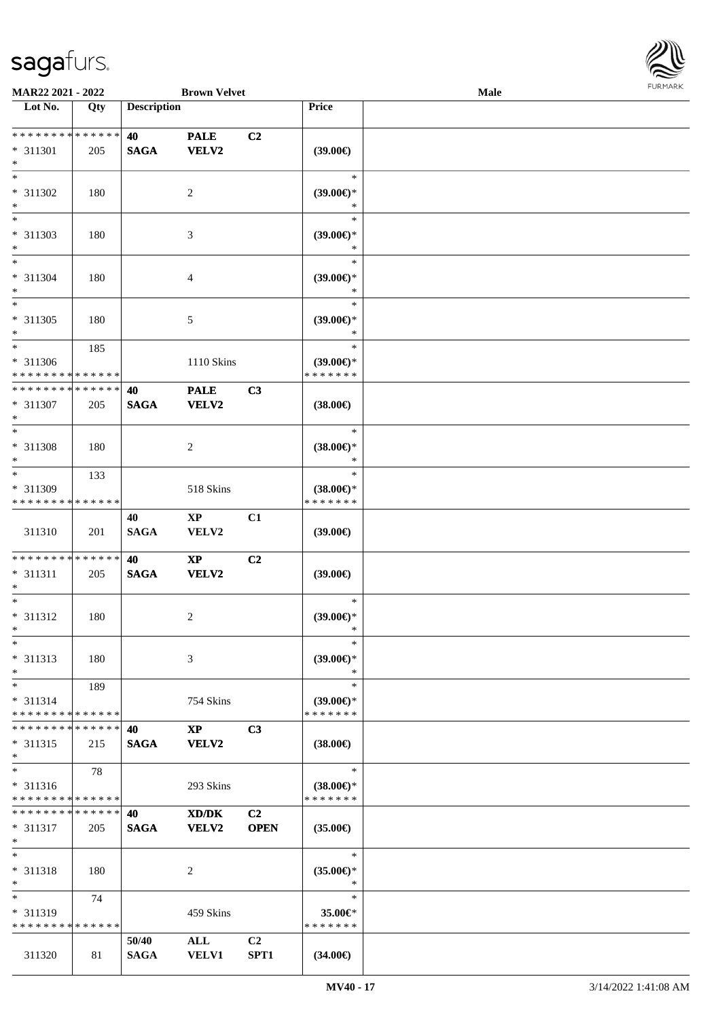

| MAR22 2021 - 2022                                  |                    |                      | <b>Brown Velvet</b>                    |                               |                                                | <b>Male</b> |  |
|----------------------------------------------------|--------------------|----------------------|----------------------------------------|-------------------------------|------------------------------------------------|-------------|--|
| Lot No.                                            | Qty                | <b>Description</b>   |                                        |                               | Price                                          |             |  |
|                                                    |                    |                      |                                        |                               |                                                |             |  |
| * * * * * * * * * * * * * *<br>* 311301<br>$*$     | 205                | 40<br><b>SAGA</b>    | <b>PALE</b><br><b>VELV2</b>            | C2                            | (39.00)                                        |             |  |
| $*$<br>* 311302<br>$*$                             | 180                |                      | $\overline{2}$                         |                               | $\ast$<br>$(39.00\epsilon)$ *<br>$\ast$        |             |  |
| * 311303<br>$*$                                    | 180                |                      | 3                                      |                               | $\ast$<br>$(39.00\epsilon)$ *<br>$\ast$        |             |  |
| $*$<br>* 311304<br>$*$                             | 180                |                      | 4                                      |                               | $\ast$<br>$(39.00\epsilon)$ *<br>$\ast$        |             |  |
| $*$<br>$* 311305$<br>$*$                           | 180                |                      | 5                                      |                               | $\ast$<br>$(39.00\epsilon)$ *<br>$\ast$        |             |  |
| $*$<br>* 311306<br>* * * * * * * * * * * * * *     | 185                |                      | 1110 Skins                             |                               | $\ast$<br>$(39.00\epsilon)$ *<br>* * * * * * * |             |  |
| * * * * * * * * * * * * * *<br>* 311307<br>$*$     | 205                | 40<br><b>SAGA</b>    | <b>PALE</b><br><b>VELV2</b>            | C3                            | $(38.00\epsilon)$                              |             |  |
| $*$<br>* 311308<br>$\ast$                          | 180                |                      | $\overline{c}$                         |                               | $\ast$<br>$(38.00\epsilon)$ *<br>$\ast$        |             |  |
| $*$<br>* 311309<br>* * * * * * * *                 | 133<br>* * * * * * |                      | 518 Skins                              |                               | $\ast$<br>$(38.00\epsilon)$ *<br>* * * * * * * |             |  |
| 311310                                             | 201                | 40<br><b>SAGA</b>    | $\mathbf{X}\mathbf{P}$<br>VELV2        | C1                            | $(39.00\epsilon)$                              |             |  |
| * * * * * * * * * * * * * *<br>* 311311<br>$*$     | 205                | 40<br><b>SAGA</b>    | $\mathbf{X}\mathbf{P}$<br><b>VELV2</b> | C2                            | (39.00)                                        |             |  |
| $*$<br>* 311312<br>$*$                             | 180                |                      | 2                                      |                               | $\ast$<br>$(39.00\epsilon)$ *<br>$\ast$        |             |  |
| $*$<br>* 311313<br>$*$                             | 180                |                      | 3                                      |                               | $\ast$<br>$(39.00\epsilon)$ *<br>$\ast$        |             |  |
| $*$<br>* 311314<br>* * * * * * * * * * * * * *     | 189                |                      | 754 Skins                              |                               | $\ast$<br>$(39.00€)$ *<br>* * * * * * *        |             |  |
| * * * * * * * *<br>$* 311315$<br>$*$               | ******<br>215      | 40<br><b>SAGA</b>    | $\mathbf{X}\mathbf{P}$<br>VELV2        | C3                            | $(38.00\epsilon)$                              |             |  |
| $*$<br>$* 311316$<br>* * * * * * * * * * * * * *   | 78                 |                      | 293 Skins                              |                               | $\ast$<br>$(38.00\epsilon)$ *<br>* * * * * * * |             |  |
| * * * * * * * * * * * * * * *<br>$* 311317$<br>$*$ | 205                | 40<br><b>SAGA</b>    | XD/DK<br><b>VELV2</b>                  | C <sub>2</sub><br><b>OPEN</b> | $(35.00\epsilon)$                              |             |  |
| $*$<br>* 311318<br>$*$                             | 180                |                      | 2                                      |                               | $\ast$<br>$(35.00\epsilon)$ *<br>$\ast$        |             |  |
| $*$<br>* 311319<br>* * * * * * * *                 | 74<br>* * * * * *  |                      | 459 Skins                              |                               | $\ast$<br>35.00€*<br>* * * * * * *             |             |  |
| 311320                                             | 81                 | 50/40<br><b>SAGA</b> | ALL<br><b>VELV1</b>                    | C2<br>SPT1                    | $(34.00\epsilon)$                              |             |  |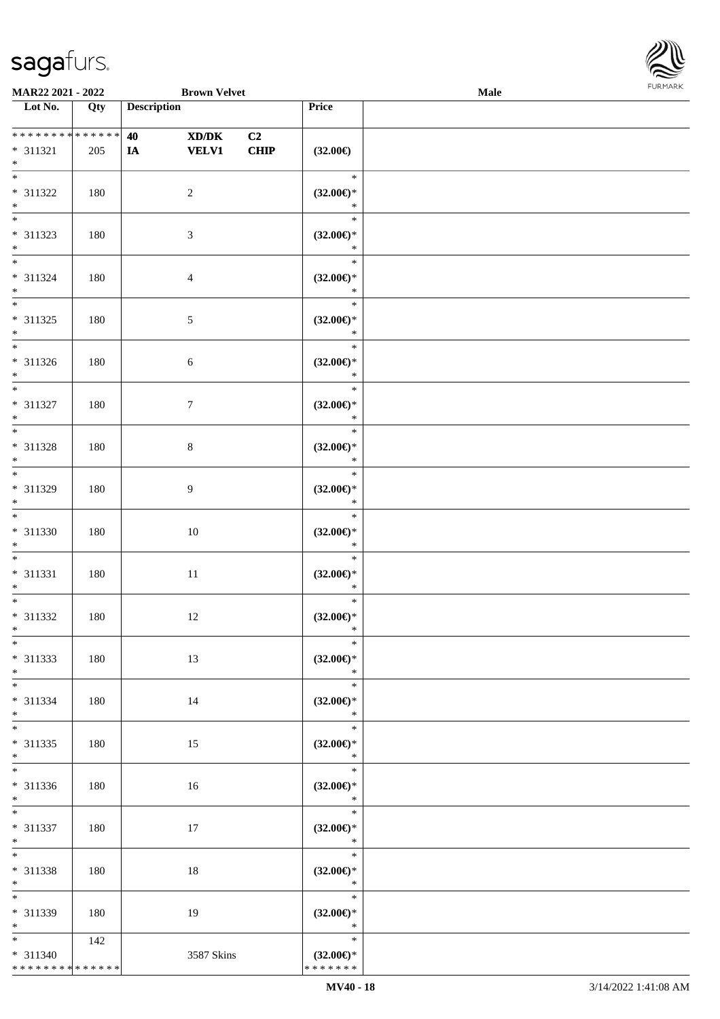

| MAR22 2021 - 2022                                                     |            | <b>Brown Velvet</b>               |            |                                                   | <b>Male</b> |  |
|-----------------------------------------------------------------------|------------|-----------------------------------|------------|---------------------------------------------------|-------------|--|
| Lot No.                                                               | Qty        | <b>Description</b>                |            | Price                                             |             |  |
| **************<br>$* 311321$<br>$\ast$                                | 205        | 40<br>XD/DK<br><b>VELV1</b><br>IA | C2<br>CHIP | $(32.00\epsilon)$                                 |             |  |
| $\overline{\phantom{0}}$<br>* 311322<br>$\ast$                        | 180        | $\overline{c}$                    |            | $\ast$<br>$(32.00\epsilon)$ *<br>$\ast$           |             |  |
| $\overline{\phantom{0}}$<br>* 311323<br>$*$                           | 180        | $\mathfrak{Z}$                    |            | $\ast$<br>$(32.00\epsilon)$ *<br>$\ast$           |             |  |
| $\overline{\ast}$<br>$* 311324$<br>$\ast$<br>$\overline{\phantom{0}}$ | 180        | $\overline{4}$                    |            | $\ast$<br>$(32.00\epsilon)$ *<br>$\ast$           |             |  |
| $* 311325$<br>$*$<br>$\overline{\ast}$                                | 180        | $\mathfrak{S}$                    |            | $\ast$<br>$(32.00\epsilon)$ *<br>$\ast$           |             |  |
| $* 311326$<br>$*$<br>$\overline{\ast}$                                | 180        | $6\,$                             |            | $\ast$<br>$(32.00\epsilon)$ *<br>$\ast$           |             |  |
| $* 311327$<br>$\ast$<br>$\overline{\phantom{a}^*}$                    | 180        | $\tau$                            |            | $\ast$<br>$(32.00\epsilon)$ *<br>$\ast$<br>$\ast$ |             |  |
| $* 311328$<br>$\ast$<br>$\ast$                                        | 180        | $8\,$                             |            | $(32.00\epsilon)$ *<br>$\ast$<br>$\ast$           |             |  |
| * 311329<br>$*$<br>$\overline{\phantom{1}}$                           | 180        | $\overline{9}$                    |            | $(32.00\epsilon)$ *<br>$\ast$<br>$\ast$           |             |  |
| $* 311330$<br>$*$<br>$\ast$                                           | 180        | $10\,$                            |            | $(32.00\epsilon)$ *<br>$\ast$<br>$\ast$           |             |  |
| $* 311331$<br>$*$<br>$\ast$                                           | 180        | $11\,$                            |            | $(32.00\epsilon)$ *<br>$\ast$<br>$\ast$           |             |  |
| $* 311332$<br>$*$<br>$*$                                              | 180        | 12                                |            | $(32.00\epsilon)$ *<br>$*$<br>$\ast$              |             |  |
| $* 311333$<br>$*$<br>$*$                                              | 180        | 13                                |            | $(32.00\epsilon)$ *<br>$\ast$<br>$\ast$           |             |  |
| $* 311334$<br>$*$<br>$\ast$                                           | 180        | 14                                |            | $(32.00\epsilon)$ *<br>$\ast$<br>$\ast$           |             |  |
| $* 311335$<br>$*$<br>$\overline{\phantom{0}}$                         | 180        | 15                                |            | $(32.00\epsilon)$ *<br>$\ast$<br>$\ast$           |             |  |
| $* 311336$<br>$*$<br>$*$                                              | 180        | 16                                |            | $(32.00\epsilon)$ *<br>$\ast$<br>$\ast$           |             |  |
| $* 311337$<br>$*$<br>$\ast$                                           | 180        | 17                                |            | $(32.00\epsilon)$ *<br>$\ast$<br>$\ast$           |             |  |
| * 311338<br>$*$<br>$\overline{\phantom{a}^*}$                         | 180        | 18                                |            | $(32.00\epsilon)$ *<br>$\ast$<br>$\ast$           |             |  |
| $* 311339$<br>$*$<br>$\overline{\ast}$                                | 180<br>142 | 19                                |            | $(32.00\epsilon)$ *<br>$\ast$<br>$\ast$           |             |  |
| $* 311340$<br>**************                                          |            | 3587 Skins                        |            | $(32.00\epsilon)$ *<br>* * * * * * *              |             |  |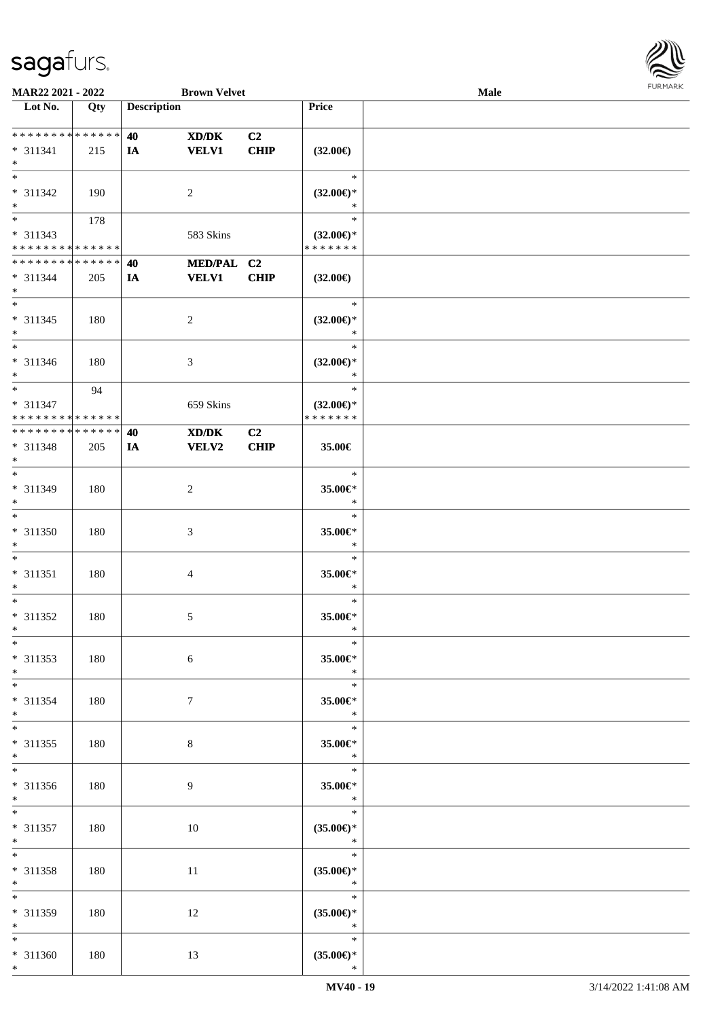

| MAR22 2021 - 2022                 |                   |                    | <b>Brown Velvet</b> |                |                     | Male |  |
|-----------------------------------|-------------------|--------------------|---------------------|----------------|---------------------|------|--|
| Lot No.                           | $\overline{Q}$ ty | <b>Description</b> |                     |                | Price               |      |  |
|                                   |                   |                    |                     |                |                     |      |  |
| ******** <mark>******</mark>      |                   | 40                 | XD/DK               | C2             |                     |      |  |
| $* 311341$                        | 215               | <b>IA</b>          | <b>VELV1</b>        | CHIP           | $(32.00\epsilon)$   |      |  |
| $\ast$                            |                   |                    |                     |                |                     |      |  |
| $\overline{\phantom{0}}$          |                   |                    |                     |                | $\ast$              |      |  |
| * 311342                          | 190               |                    | $\overline{2}$      |                | $(32.00\epsilon)$ * |      |  |
| $\ast$                            |                   |                    |                     |                | $\ast$              |      |  |
| $\overline{\phantom{0}}$          | 178               |                    |                     |                | $\ast$              |      |  |
| $* 311343$                        |                   |                    | 583 Skins           |                | $(32.00\epsilon)$ * |      |  |
| * * * * * * * * * * * * * *       |                   |                    |                     |                | * * * * * * *       |      |  |
| * * * * * * * * * * * * * *       |                   | 40                 | MED/PAL C2          |                |                     |      |  |
| $* 311344$                        | 205               | IA                 | <b>VELV1</b>        | <b>CHIP</b>    | $(32.00\epsilon)$   |      |  |
| $*$                               |                   |                    |                     |                |                     |      |  |
| $\overline{\phantom{0}}$          |                   |                    |                     |                | $\ast$              |      |  |
| $* 311345$                        | 180               |                    | $\sqrt{2}$          |                | $(32.00\epsilon)$ * |      |  |
| $\ast$                            |                   |                    |                     |                | $\ast$              |      |  |
| $\overline{\phantom{1}}$          |                   |                    |                     |                | $\ast$              |      |  |
| $* 311346$                        | 180               |                    | $\mathfrak{Z}$      |                | $(32.00\epsilon)$ * |      |  |
| $\ast$                            |                   |                    |                     |                | $\ast$              |      |  |
| $\ast$                            | 94                |                    |                     |                | $\ast$              |      |  |
| * 311347                          |                   |                    | 659 Skins           |                | $(32.00\epsilon)$ * |      |  |
| * * * * * * * * * * * * * *       |                   |                    |                     |                | * * * * * * *       |      |  |
| **************                    |                   | 40                 | XD/DK               | C <sub>2</sub> |                     |      |  |
| * 311348                          | 205               | <b>IA</b>          | <b>VELV2</b>        | CHIP           | 35.00€              |      |  |
| $\ast$                            |                   |                    |                     |                |                     |      |  |
| $*$                               |                   |                    |                     |                | $\ast$              |      |  |
| * 311349                          | 180               |                    | $\sqrt{2}$          |                | 35.00€*             |      |  |
| $\ast$                            |                   |                    |                     |                | $\ast$              |      |  |
| $\overline{\phantom{a}^*}$        |                   |                    |                     |                | $\ast$              |      |  |
| $* 311350$                        | 180               |                    | $\mathfrak{Z}$      |                | 35.00€*             |      |  |
| $\ast$                            |                   |                    |                     |                | $\ast$              |      |  |
| $\ast$                            |                   |                    |                     |                | $\ast$              |      |  |
| $* 311351$                        | 180               |                    | $\overline{4}$      |                | 35.00€*             |      |  |
| $\ast$                            |                   |                    |                     |                | $\ast$              |      |  |
| $\ast$                            |                   |                    |                     |                | $\ast$              |      |  |
| * 311352                          | 180               |                    | $\mathfrak{S}$      |                | 35.00€*             |      |  |
| $*$                               |                   |                    |                     |                | $\ast$              |      |  |
| $*$                               |                   |                    |                     |                | $\ast$              |      |  |
| $* 311353$                        | 180               |                    | 6                   |                | 35.00€*             |      |  |
| $*$                               |                   |                    |                     |                | $\ast$              |      |  |
| $*$                               |                   |                    |                     |                | $\ast$              |      |  |
| $* 311354$                        | 180               |                    | $7\phantom{.0}$     |                | 35.00€*             |      |  |
| $*$                               |                   |                    |                     |                | $\ast$              |      |  |
| $\ast$                            |                   |                    |                     |                | $\ast$              |      |  |
| $* 311355$                        | 180               |                    | $8\,$               |                | 35.00€*             |      |  |
| $*$<br>$\overline{\phantom{0}}$   |                   |                    |                     |                | $\ast$              |      |  |
|                                   |                   |                    |                     |                | $\ast$              |      |  |
| * 311356                          | 180               |                    | 9                   |                | 35.00€*             |      |  |
| $*$                               |                   |                    |                     |                | $\ast$              |      |  |
| $*$                               |                   |                    |                     |                | $\ast$              |      |  |
| $* 311357$                        | 180               |                    | $10\,$              |                | $(35.00\epsilon)$ * |      |  |
| $*$                               |                   |                    |                     |                | $\ast$              |      |  |
| $\ast$                            |                   |                    |                     |                | $\ast$              |      |  |
| * 311358                          | 180               |                    | 11                  |                | $(35.00\epsilon)$ * |      |  |
| $*$<br>$\overline{\phantom{a}^*}$ |                   |                    |                     |                | $\ast$              |      |  |
|                                   |                   |                    |                     |                | $\ast$              |      |  |
| * 311359                          | 180               |                    | 12                  |                | $(35.00\epsilon)$ * |      |  |
| $*$                               |                   |                    |                     |                | $\ast$              |      |  |
| $*$                               |                   |                    |                     |                | $\ast$              |      |  |
| $* 311360$                        | 180               |                    | 13                  |                | $(35.00\epsilon)$ * |      |  |
| $*$                               |                   |                    |                     |                | $\ast$              |      |  |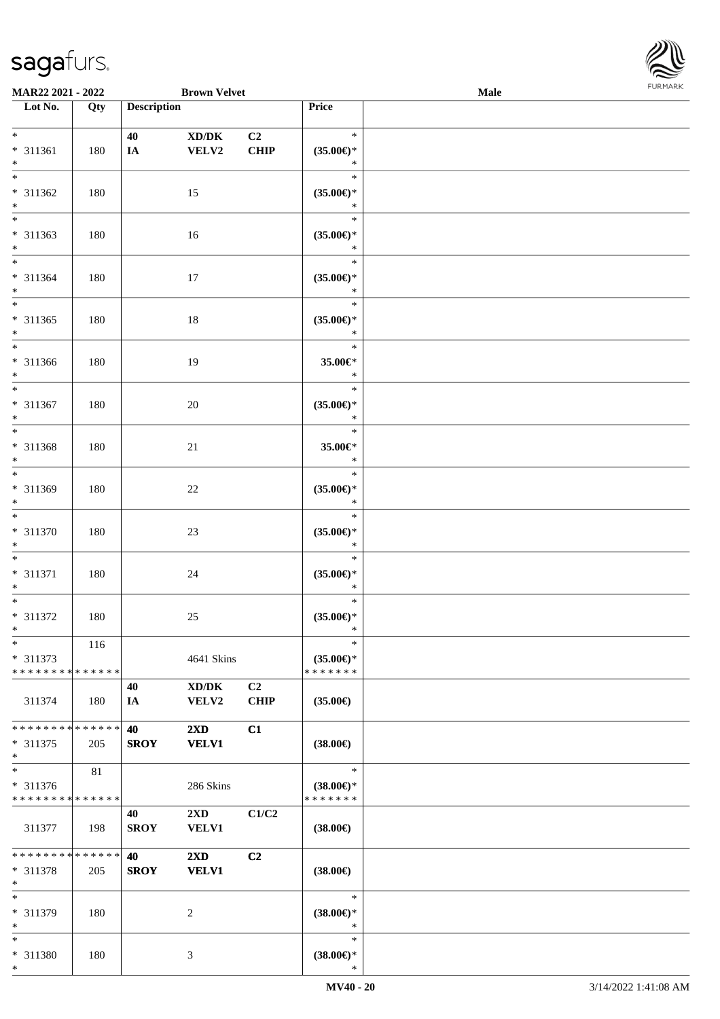

| MAR22 2021 - 2022             |     |                    | <b>Brown Velvet</b>                 |                |                               | Male |  |
|-------------------------------|-----|--------------------|-------------------------------------|----------------|-------------------------------|------|--|
| Lot No.                       | Qty | <b>Description</b> |                                     |                | Price                         |      |  |
|                               |     |                    |                                     |                |                               |      |  |
| $*$                           |     | 40                 | $\bold{X}\bold{D}/\bold{D}\bold{K}$ | C <sub>2</sub> | $\ast$                        |      |  |
| * 311361                      | 180 | $I\!\!A$           | VELV2                               | <b>CHIP</b>    | $(35.00\epsilon)$ *           |      |  |
| $*$                           |     |                    |                                     |                | $\ast$                        |      |  |
| $\overline{\ast}$             |     |                    |                                     |                | $\ast$                        |      |  |
| * 311362                      | 180 |                    | 15                                  |                | $(35.00\epsilon)$ *           |      |  |
| $\ast$                        |     |                    |                                     |                | $\ast$                        |      |  |
| $\overline{\phantom{0}}$      |     |                    |                                     |                | $\ast$                        |      |  |
| * 311363                      | 180 |                    | 16                                  |                | $(35.00\epsilon)$ *           |      |  |
| $*$                           |     |                    |                                     |                | $\ast$                        |      |  |
| $\overline{\ast}$             |     |                    |                                     |                | $\ast$                        |      |  |
|                               |     |                    |                                     |                |                               |      |  |
| $* 311364$                    | 180 |                    | 17                                  |                | $(35.00\epsilon)$ *<br>$\ast$ |      |  |
| $*$<br>$*$                    |     |                    |                                     |                | $\ast$                        |      |  |
|                               |     |                    |                                     |                |                               |      |  |
| * 311365                      | 180 |                    | 18                                  |                | $(35.00\epsilon)$ *           |      |  |
| $*$                           |     |                    |                                     |                | $\ast$                        |      |  |
| $*$                           |     |                    |                                     |                | $\ast$                        |      |  |
| $* 311366$                    | 180 |                    | 19                                  |                | 35.00€*                       |      |  |
| $*$                           |     |                    |                                     |                | $\ast$                        |      |  |
| $*$                           |     |                    |                                     |                | $\ast$                        |      |  |
| $* 311367$                    | 180 |                    | 20                                  |                | $(35.00\epsilon)$ *           |      |  |
| $*$                           |     |                    |                                     |                | $\ast$                        |      |  |
| $*$                           |     |                    |                                     |                | $\ast$                        |      |  |
| * 311368                      | 180 |                    | 21                                  |                | 35.00€*                       |      |  |
| $*$                           |     |                    |                                     |                | $\ast$                        |      |  |
| $*$                           |     |                    |                                     |                | $\ast$                        |      |  |
| * 311369                      | 180 |                    | 22                                  |                | $(35.00\epsilon)$ *           |      |  |
| $*$                           |     |                    |                                     |                | $\ast$                        |      |  |
| $\overline{\phantom{0}}$      |     |                    |                                     |                | $\ast$                        |      |  |
| $* 311370$                    | 180 |                    | 23                                  |                | $(35.00\epsilon)$ *           |      |  |
| $*$                           |     |                    |                                     |                | $\ast$                        |      |  |
| $*$                           |     |                    |                                     |                | $\ast$                        |      |  |
| $* 311371$                    | 180 |                    | 24                                  |                | $(35.00\epsilon)$ *           |      |  |
| $*$                           |     |                    |                                     |                | $\ast$                        |      |  |
| $*$                           |     |                    |                                     |                | $\ast$                        |      |  |
| $* 311372$                    | 180 |                    | $25\,$                              |                | $(35.00\epsilon)$ *           |      |  |
| $*$                           |     |                    |                                     |                | $\ast$                        |      |  |
| $*$                           | 116 |                    |                                     |                | $\ast$                        |      |  |
| $* 311373$                    |     |                    | 4641 Skins                          |                | $(35.00\epsilon)$ *           |      |  |
| * * * * * * * * * * * * * * * |     |                    |                                     |                | * * * * * * *                 |      |  |
|                               |     |                    |                                     | C2             |                               |      |  |
|                               |     | 40                 | XD/DK                               |                |                               |      |  |
| 311374                        | 180 | IA                 | <b>VELV2</b>                        | <b>CHIP</b>    | $(35.00\epsilon)$             |      |  |
|                               |     |                    |                                     |                |                               |      |  |
| * * * * * * * * * * * * * * * |     | 40                 | $2\mathbf{X}\mathbf{D}$             | C1             |                               |      |  |
| * 311375                      | 205 | <b>SROY</b>        | <b>VELV1</b>                        |                | $(38.00\epsilon)$             |      |  |
| $*$<br>$*$                    |     |                    |                                     |                |                               |      |  |
|                               | 81  |                    |                                     |                | $\ast$                        |      |  |
| * 311376                      |     |                    | 286 Skins                           |                | $(38.00\epsilon)$ *           |      |  |
| * * * * * * * * * * * * * *   |     |                    |                                     |                | * * * * * * *                 |      |  |
|                               |     | 40                 | $2\mathbf{X}\mathbf{D}$             | C1/C2          |                               |      |  |
| 311377                        | 198 | <b>SROY</b>        | <b>VELV1</b>                        |                | $(38.00\epsilon)$             |      |  |
|                               |     |                    |                                     |                |                               |      |  |
| * * * * * * * * * * * * * * * |     | 40                 | $2\mathbf{X}\mathbf{D}$             | C2             |                               |      |  |
| * 311378                      | 205 | <b>SROY</b>        | <b>VELV1</b>                        |                | $(38.00\epsilon)$             |      |  |
| $*$                           |     |                    |                                     |                |                               |      |  |
| $*$                           |     |                    |                                     |                | $\ast$                        |      |  |
| * 311379                      | 180 |                    | 2                                   |                | $(38.00\epsilon)$ *           |      |  |
| $*$                           |     |                    |                                     |                | $\ast$                        |      |  |
| $*$                           |     |                    |                                     |                | $\ast$                        |      |  |
| * 311380                      | 180 |                    | 3                                   |                | $(38.00\epsilon)$ *           |      |  |
| $*$                           |     |                    |                                     |                | $\ast$                        |      |  |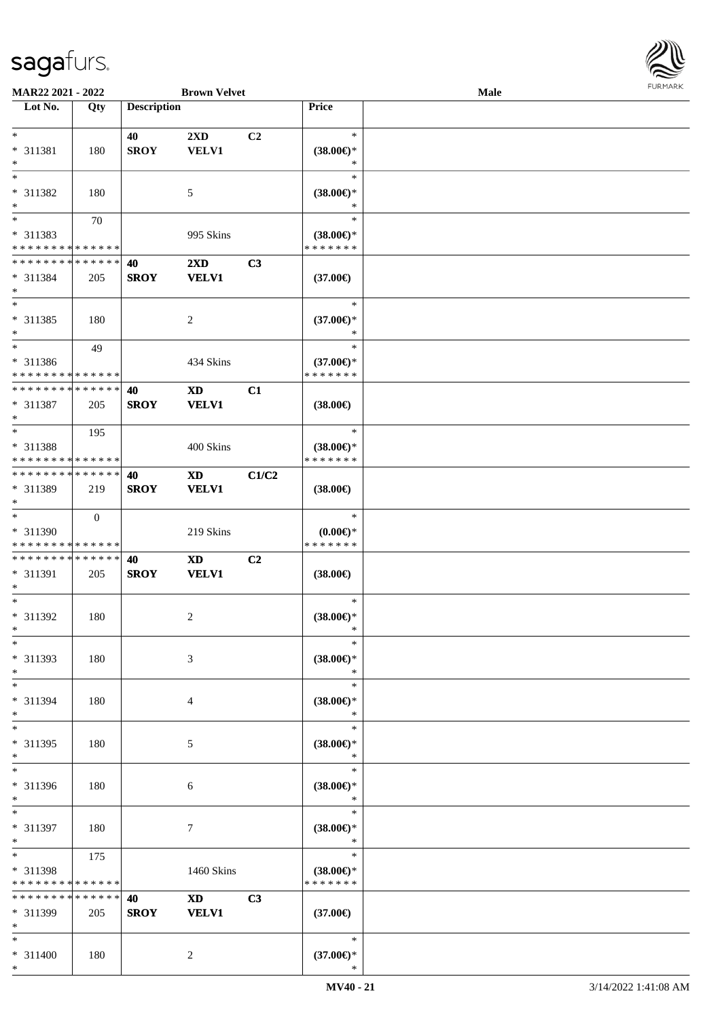

| MAR22 2021 - 2022                          |              |                    | <b>Brown Velvet</b>     |                |                       | Male |  |
|--------------------------------------------|--------------|--------------------|-------------------------|----------------|-----------------------|------|--|
| Lot No.                                    | Qty          | <b>Description</b> |                         |                | Price                 |      |  |
|                                            |              |                    |                         |                |                       |      |  |
| $*$                                        |              | 40                 | $2\mathbf{X}\mathbf{D}$ | C <sub>2</sub> | $\ast$                |      |  |
| * 311381                                   | 180          | <b>SROY</b>        | <b>VELV1</b>            |                | $(38.00\epsilon)$ *   |      |  |
| $\ast$                                     |              |                    |                         |                | ∗                     |      |  |
| $*$                                        |              |                    |                         |                | $\ast$                |      |  |
|                                            |              |                    |                         |                |                       |      |  |
| * 311382                                   | 180          |                    | 5                       |                | $(38.00\epsilon)$ *   |      |  |
| $\ast$                                     |              |                    |                         |                | ∗                     |      |  |
| $\overline{\phantom{0}}$                   | 70           |                    |                         |                | $\ast$                |      |  |
| * 311383                                   |              |                    | 995 Skins               |                | $(38.00\epsilon)$ *   |      |  |
| * * * * * * * * * * * * * *                |              |                    |                         |                | * * * * * * *         |      |  |
| * * * * * * * * * * * * * *                |              | 40                 | $2\mathbf{X}\mathbf{D}$ | C3             |                       |      |  |
| * 311384                                   | 205          | <b>SROY</b>        | <b>VELV1</b>            |                | $(37.00\epsilon)$     |      |  |
| $\ast$                                     |              |                    |                         |                |                       |      |  |
| $*$                                        |              |                    |                         |                | $\ast$                |      |  |
| $* 311385$                                 | 180          |                    | $\overline{c}$          |                | $(37.00\epsilon)$ *   |      |  |
| $\ast$                                     |              |                    |                         |                | $\ast$                |      |  |
| $\ast$                                     |              |                    |                         |                | $\ast$                |      |  |
|                                            | 49           |                    |                         |                |                       |      |  |
| * 311386                                   |              |                    | 434 Skins               |                | $(37.00\epsilon)$ *   |      |  |
| * * * * * * * * * * * * * *                |              |                    |                         |                | * * * * * * *         |      |  |
| * * * * * * * * * * * * * *                |              | 40                 | <b>XD</b>               | C1             |                       |      |  |
| * 311387                                   | 205          | <b>SROY</b>        | <b>VELV1</b>            |                | $(38.00\epsilon)$     |      |  |
| $\ast$                                     |              |                    |                         |                |                       |      |  |
| $*$                                        | 195          |                    |                         |                | $\ast$                |      |  |
| * 311388                                   |              |                    | 400 Skins               |                | $(38.00\epsilon)$ *   |      |  |
| * * * * * * * * <mark>* * * * * * *</mark> |              |                    |                         |                | * * * * * * *         |      |  |
| * * * * * * * * * * * * * *                |              | 40                 |                         | C1/C2          |                       |      |  |
|                                            |              |                    | XD                      |                |                       |      |  |
| * 311389                                   | 219          | <b>SROY</b>        | <b>VELV1</b>            |                | $(38.00\epsilon)$     |      |  |
| $*$<br>$\ast$                              |              |                    |                         |                |                       |      |  |
|                                            | $\mathbf{0}$ |                    |                         |                | $\ast$                |      |  |
| * 311390                                   |              |                    | 219 Skins               |                | $(0.00\varepsilon)$ * |      |  |
| * * * * * * * * * * * * * *                |              |                    |                         |                | * * * * * * *         |      |  |
| * * * * * * * * * * * * * *                |              | 40                 | <b>XD</b>               | C2             |                       |      |  |
| * 311391                                   | 205          | <b>SROY</b>        | <b>VELV1</b>            |                | $(38.00\epsilon)$     |      |  |
| $*$                                        |              |                    |                         |                |                       |      |  |
| $*$                                        |              |                    |                         |                | $\ast$                |      |  |
| $* 311392$                                 | 180          |                    | $\overline{c}$          |                | $(38.00\epsilon)$ *   |      |  |
| $*$                                        |              |                    |                         |                | $\ast$                |      |  |
| $\ast$                                     |              |                    |                         |                | $\ast$                |      |  |
| * 311393                                   | 180          |                    | 3                       |                | $(38.00\epsilon)$ *   |      |  |
| $\ast$                                     |              |                    |                         |                | $\ast$                |      |  |
|                                            |              |                    |                         |                |                       |      |  |
| $\ast$                                     |              |                    |                         |                | $\ast$                |      |  |
| * 311394                                   | 180          |                    | 4                       |                | $(38.00\epsilon)$ *   |      |  |
| $\ast$                                     |              |                    |                         |                | $\ast$                |      |  |
| $\ast$                                     |              |                    |                         |                | $\ast$                |      |  |
| * 311395                                   | 180          |                    | 5                       |                | $(38.00\epsilon)$ *   |      |  |
| $*$                                        |              |                    |                         |                | $\ast$                |      |  |
| $\overline{\phantom{a}^*}$                 |              |                    |                         |                | $\ast$                |      |  |
| * 311396                                   | 180          |                    | 6                       |                | $(38.00\epsilon)$ *   |      |  |
| $*$                                        |              |                    |                         |                | $\ast$                |      |  |
| $\ast$                                     |              |                    |                         |                | $\ast$                |      |  |
| * 311397                                   | 180          |                    |                         |                |                       |      |  |
|                                            |              |                    | $\tau$                  |                | $(38.00\epsilon)$ *   |      |  |
| $\ast$                                     |              |                    |                         |                | $\ast$                |      |  |
| $*$                                        | 175          |                    |                         |                | $\ast$                |      |  |
| * 311398                                   |              |                    | 1460 Skins              |                | $(38.00\epsilon)$ *   |      |  |
| * * * * * * * * * * * * * *                |              |                    |                         |                | * * * * * * *         |      |  |
| * * * * * * * *                            | * * * * * *  | 40                 | $\mathbf{X}\mathbf{D}$  | C3             |                       |      |  |
| * 311399                                   | 205          | <b>SROY</b>        | <b>VELV1</b>            |                | $(37.00\epsilon)$     |      |  |
| $\ast$                                     |              |                    |                         |                |                       |      |  |
| $*$                                        |              |                    |                         |                | $\ast$                |      |  |
| * 311400                                   | 180          |                    | $\overline{c}$          |                | $(37.00\epsilon)$ *   |      |  |
| $*$                                        |              |                    |                         |                |                       |      |  |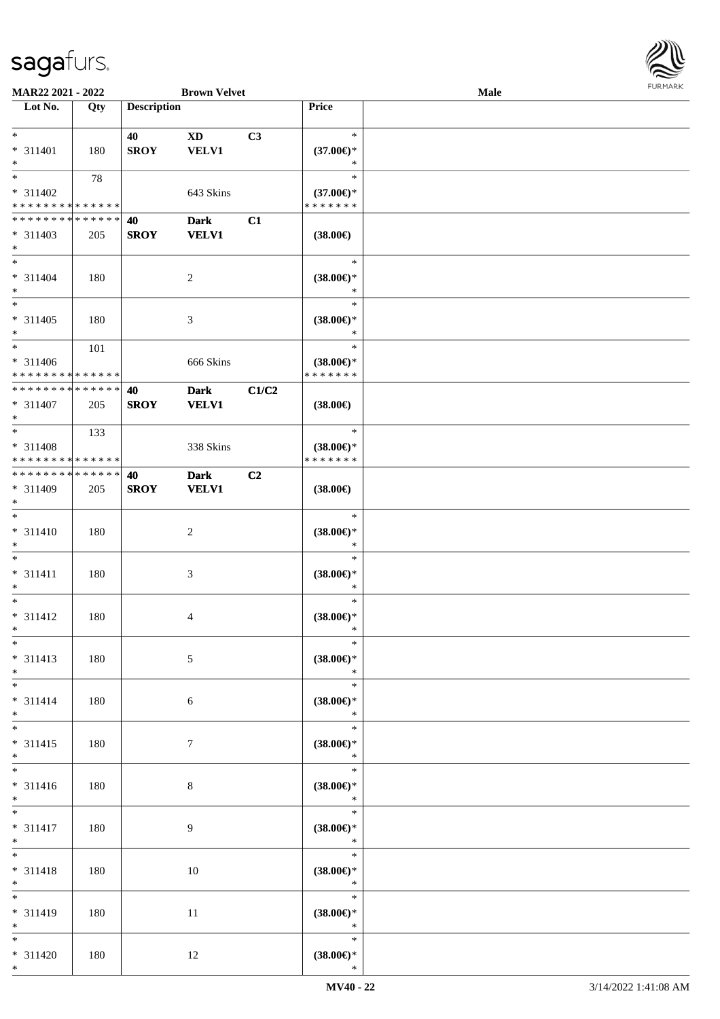

| MAR22 2021 - 2022           |     |                    | <b>Brown Velvet</b>    |                |                               | Male |  |
|-----------------------------|-----|--------------------|------------------------|----------------|-------------------------------|------|--|
| Lot No.                     | Qty | <b>Description</b> |                        |                | Price                         |      |  |
|                             |     |                    |                        |                |                               |      |  |
| $\ast$                      |     | 40                 | $\mathbf{X}\mathbf{D}$ | C3             | $\ast$                        |      |  |
| * 311401                    | 180 | <b>SROY</b>        | <b>VELV1</b>           |                | $(37.00\epsilon)$ *           |      |  |
| $\ast$                      |     |                    |                        |                | $\ast$                        |      |  |
| $\overline{\ast}$           | 78  |                    |                        |                | $\ast$                        |      |  |
| * 311402                    |     |                    |                        |                |                               |      |  |
|                             |     |                    | 643 Skins              |                | $(37.00\epsilon)$ *           |      |  |
| * * * * * * * * * * * * * * |     |                    |                        |                | * * * * * * *                 |      |  |
| * * * * * * * * * * * * * * |     | 40                 | <b>Dark</b>            | C1             |                               |      |  |
| $* 311403$                  | 205 | <b>SROY</b>        | <b>VELV1</b>           |                | $(38.00\epsilon)$             |      |  |
| $*$                         |     |                    |                        |                |                               |      |  |
| $*$                         |     |                    |                        |                | $\ast$                        |      |  |
| * 311404                    | 180 |                    | $\overline{c}$         |                | $(38.00\epsilon)$ *           |      |  |
| $*$                         |     |                    |                        |                | $\ast$                        |      |  |
| $*$                         |     |                    |                        |                | $\ast$                        |      |  |
| $* 311405$                  |     |                    |                        |                |                               |      |  |
| $*$                         | 180 |                    | $\mathfrak{Z}$         |                | $(38.00\epsilon)$ *<br>$\ast$ |      |  |
|                             |     |                    |                        |                |                               |      |  |
| $*$                         | 101 |                    |                        |                | $\ast$                        |      |  |
| $* 311406$                  |     |                    | 666 Skins              |                | $(38.00\epsilon)$ *           |      |  |
| * * * * * * * * * * * * * * |     |                    |                        |                | * * * * * * *                 |      |  |
| * * * * * * * * * * * * * * |     | 40                 | <b>Dark</b>            | C1/C2          |                               |      |  |
| $* 311407$                  | 205 | <b>SROY</b>        | <b>VELV1</b>           |                | $(38.00\epsilon)$             |      |  |
| $*$                         |     |                    |                        |                |                               |      |  |
| $*$                         | 133 |                    |                        |                | $\ast$                        |      |  |
| * 311408                    |     |                    | 338 Skins              |                | $(38.00\epsilon)$ *           |      |  |
| * * * * * * * * * * * * * * |     |                    |                        |                | * * * * * * *                 |      |  |
|                             |     |                    |                        |                |                               |      |  |
| * * * * * * * * * * * * * * |     | 40                 | <b>Dark</b>            | C <sub>2</sub> |                               |      |  |
| * 311409                    | 205 | <b>SROY</b>        | <b>VELV1</b>           |                | $(38.00\epsilon)$             |      |  |
| $*$                         |     |                    |                        |                |                               |      |  |
| $*$                         |     |                    |                        |                | $\ast$                        |      |  |
| $* 311410$                  | 180 |                    | $\overline{c}$         |                | $(38.00\epsilon)$ *           |      |  |
| $*$                         |     |                    |                        |                | $\ast$                        |      |  |
| $*$                         |     |                    |                        |                | $\ast$                        |      |  |
| $* 311411$                  | 180 |                    | $\mathfrak{Z}$         |                | $(38.00\epsilon)$ *           |      |  |
| $*$                         |     |                    |                        |                | $\ast$                        |      |  |
| $*$                         |     |                    |                        |                | $\ast$                        |      |  |
|                             |     |                    |                        |                |                               |      |  |
| $* 311412$                  | 180 |                    | 4                      |                | $(38.00\epsilon)$ *           |      |  |
| $*$                         |     |                    |                        |                | $\ast$                        |      |  |
| $*$                         |     |                    |                        |                | $\ast$                        |      |  |
| $* 311413$                  | 180 |                    | $\mathfrak{S}$         |                | $(38.00\epsilon)$ *           |      |  |
| $*$                         |     |                    |                        |                | $\ast$                        |      |  |
| $*$                         |     |                    |                        |                | $\ast$                        |      |  |
| $* 311414$                  | 180 |                    | 6                      |                | $(38.00\epsilon)$ *           |      |  |
| $*$                         |     |                    |                        |                | $\ast$                        |      |  |
| $*$                         |     |                    |                        |                | $\ast$                        |      |  |
| $* 311415$                  | 180 |                    | $\tau$                 |                | $(38.00\epsilon)$ *           |      |  |
| $*$                         |     |                    |                        |                | $\ast$                        |      |  |
| $\overline{\phantom{0}}$    |     |                    |                        |                | $\ast$                        |      |  |
|                             |     |                    |                        |                |                               |      |  |
| $* 311416$                  | 180 |                    | $\,8\,$                |                | $(38.00\epsilon)$ *           |      |  |
| $*$                         |     |                    |                        |                | $\ast$                        |      |  |
| $*$                         |     |                    |                        |                | $\ast$                        |      |  |
| $* 311417$                  | 180 |                    | 9                      |                | $(38.00\epsilon)$ *           |      |  |
| $*$                         |     |                    |                        |                | $\ast$                        |      |  |
| $*$                         |     |                    |                        |                | $\ast$                        |      |  |
| $* 311418$                  | 180 |                    | 10                     |                | $(38.00\epsilon)$ *           |      |  |
| $*$                         |     |                    |                        |                | $\ast$                        |      |  |
| $\overline{\phantom{0}}$    |     |                    |                        |                | $\ast$                        |      |  |
|                             |     |                    |                        |                |                               |      |  |
| * 311419                    | 180 |                    | 11                     |                | $(38.00\epsilon)$ *           |      |  |
| $*$                         |     |                    |                        |                | $\ast$                        |      |  |
| $*$                         |     |                    |                        |                | $\ast$                        |      |  |
| $* 311420$                  | 180 |                    | 12                     |                | $(38.00\epsilon)$ *           |      |  |
| $*$                         |     |                    |                        |                | $\ast$                        |      |  |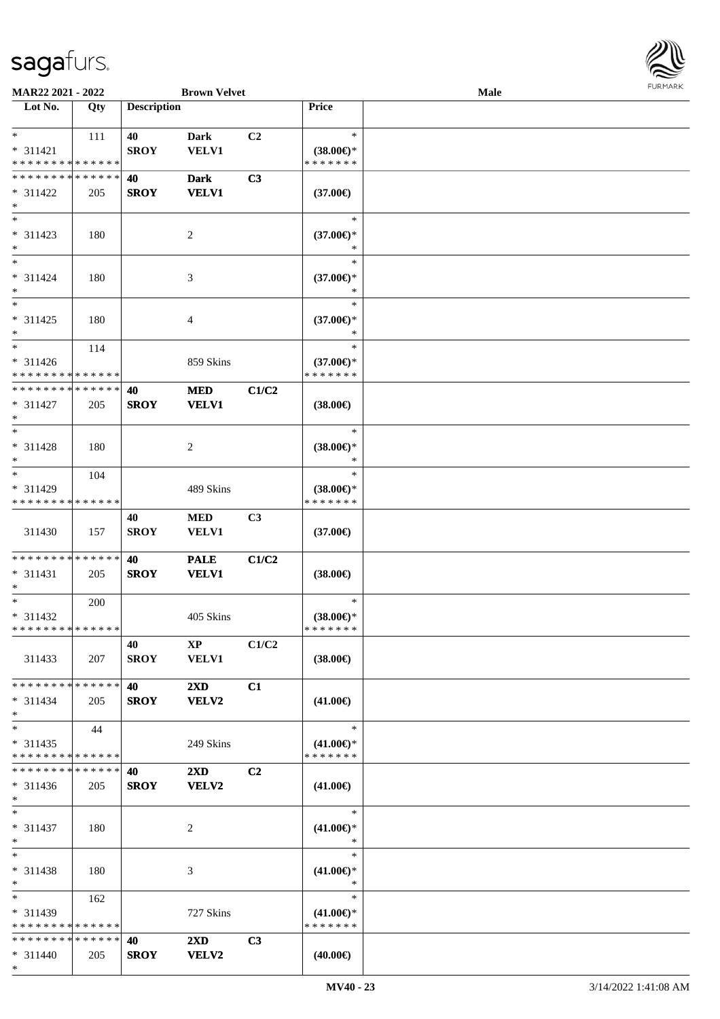

| MAR22 2021 - 2022                                   |                    |                    | <b>Brown Velvet</b>                     |                |                                                | <b>Male</b> |  |
|-----------------------------------------------------|--------------------|--------------------|-----------------------------------------|----------------|------------------------------------------------|-------------|--|
| Lot No.                                             | Qty                | <b>Description</b> |                                         |                | Price                                          |             |  |
| $*$<br>$* 311421$                                   | 111                | 40<br><b>SROY</b>  | <b>Dark</b><br><b>VELV1</b>             | C2             | $\ast$<br>$(38.00\epsilon)$ *                  |             |  |
| * * * * * * * * * * * * * *                         |                    |                    |                                         |                | * * * * * * *                                  |             |  |
| * * * * * * * * * * * * * *<br>$* 311422$<br>$\ast$ | 205                | 40<br><b>SROY</b>  | <b>Dark</b><br><b>VELV1</b>             | C3             | $(37.00\epsilon)$                              |             |  |
| $\ast$<br>$* 311423$<br>$\ast$                      | 180                |                    | $\overline{c}$                          |                | $\ast$<br>$(37.00\epsilon)$ *                  |             |  |
| $\overline{\phantom{1}}$<br>$* 311424$<br>$\ast$    | 180                |                    | $\mathfrak{Z}$                          |                | $\ast$<br>$(37.00\epsilon)$ *<br>$\ast$        |             |  |
| $\ast$<br>$* 311425$<br>$\ast$                      | 180                |                    | $\overline{4}$                          |                | $\ast$<br>$(37.00\epsilon)$ *<br>$\ast$        |             |  |
| $\ast$<br>$* 311426$<br>* * * * * * * * * * * * * * | 114                |                    | 859 Skins                               |                | $\ast$<br>$(37.00\epsilon)$ *<br>* * * * * * * |             |  |
| * * * * * * * * * * * * * *<br>$* 311427$<br>$\ast$ | 205                | 40<br><b>SROY</b>  | <b>MED</b><br><b>VELV1</b>              | C1/C2          | $(38.00\epsilon)$                              |             |  |
| $\ast$<br>* 311428<br>$\ast$                        | 180                |                    | $\sqrt{2}$                              |                | $\ast$<br>$(38.00\epsilon)$ *<br>$\ast$        |             |  |
| $\ast$<br>* 311429<br>* * * * * * * *               | 104<br>* * * * * * |                    | 489 Skins                               |                | $\ast$<br>$(38.00\epsilon)$ *<br>* * * * * * * |             |  |
| 311430                                              | 157                | 40<br><b>SROY</b>  | $\bf MED$<br><b>VELV1</b>               | C3             | $(37.00\epsilon)$                              |             |  |
| **************<br>$* 311431$<br>$\ast$              | 205                | 40<br><b>SROY</b>  | <b>PALE</b><br><b>VELV1</b>             | C1/C2          | $(38.00\epsilon)$                              |             |  |
| $\ast$<br>$* 311432$<br>**************              | 200                |                    | 405 Skins                               |                | $\ast$<br>$(38.00\epsilon)$ *<br>* * * * * * * |             |  |
| 311433                                              | 207                | 40<br><b>SROY</b>  | $\mathbf{X}\mathbf{P}$<br><b>VELV1</b>  | C1/C2          | $(38.00\epsilon)$                              |             |  |
| * * * * * * * * * * * * * *<br>$* 311434$<br>$\ast$ | 205                | 40<br><b>SROY</b>  | $2\mathbf{X}\mathbf{D}$<br>VELV2        | C1             | $(41.00\epsilon)$                              |             |  |
| $\ast$<br>$* 311435$<br>* * * * * * * * * * * * * * | 44                 |                    | 249 Skins                               |                | $\ast$<br>$(41.00\epsilon)$ *<br>* * * * * * * |             |  |
| * * * * * * * * * * * * * *<br>$* 311436$<br>$*$    | 205                | 40<br><b>SROY</b>  | $2\mathbf{X}\mathbf{D}$<br><b>VELV2</b> | C <sub>2</sub> | $(41.00\epsilon)$                              |             |  |
| $\ast$<br>$* 311437$<br>$\ast$                      | 180                |                    | $\overline{c}$                          |                | $\ast$<br>$(41.00\epsilon)$ *<br>$\ast$        |             |  |
| $\ast$<br>* 311438<br>$*$                           | 180                |                    | 3                                       |                | $\ast$<br>$(41.00\epsilon)$ *<br>$\ast$        |             |  |
| $\ast$<br>$* 311439$<br>* * * * * * * * * * * * * * | 162                |                    | 727 Skins                               |                | $\ast$<br>$(41.00\epsilon)$ *<br>* * * * * * * |             |  |
| * * * * * * * * * * * * * *<br>$* 311440$<br>$*$    | 205                | 40<br><b>SROY</b>  | $2\mathbf{X}\mathbf{D}$<br><b>VELV2</b> | C3             | $(40.00\epsilon)$                              |             |  |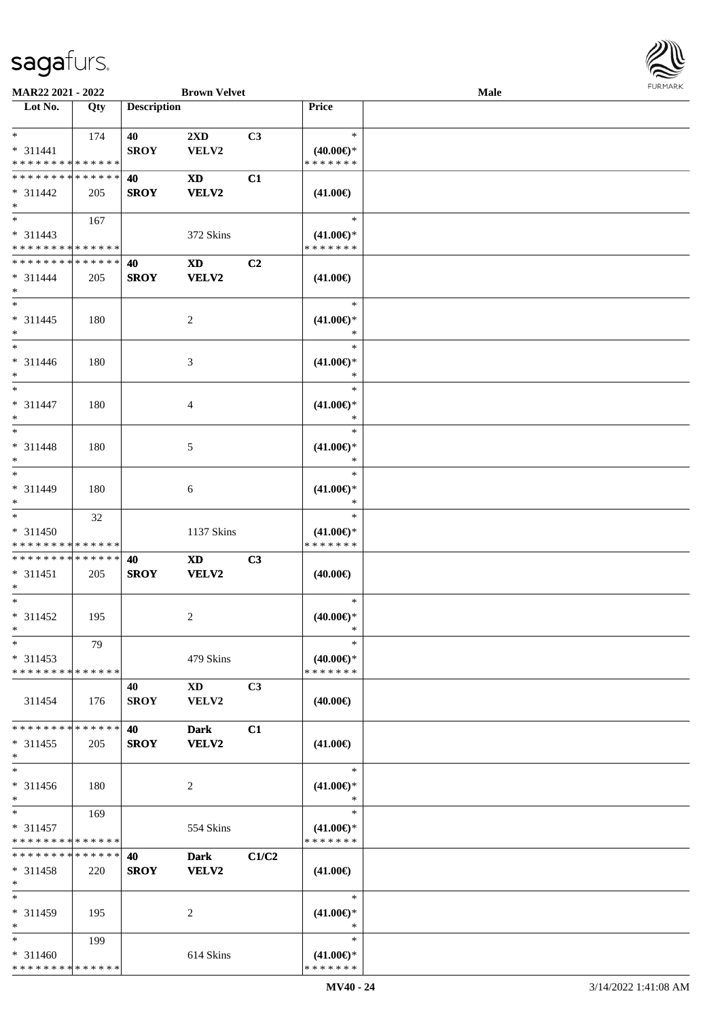

| MAR22 2021 - 2022           |             |                    | <b>Brown Velvet</b>    |                |                     | <b>Male</b> |  |
|-----------------------------|-------------|--------------------|------------------------|----------------|---------------------|-------------|--|
| Lot No.                     | Qty         | <b>Description</b> |                        |                | Price               |             |  |
|                             |             |                    |                        |                |                     |             |  |
| $*$                         | 174         | 40                 | 2XD                    | C3             | $\ast$              |             |  |
| $* 311441$                  |             | <b>SROY</b>        | VELV2                  |                | $(40.00\epsilon)$ * |             |  |
| * * * * * * * * * * * * * * |             |                    |                        |                | * * * * * * *       |             |  |
| * * * * * * * * * * * * * * |             | 40                 | <b>XD</b>              | C1             |                     |             |  |
|                             |             |                    |                        |                |                     |             |  |
| $* 311442$                  | 205         | <b>SROY</b>        | <b>VELV2</b>           |                | $(41.00\epsilon)$   |             |  |
| $\ast$                      |             |                    |                        |                |                     |             |  |
| $\overline{\phantom{0}}$    | 167         |                    |                        |                | $\ast$              |             |  |
| $* 311443$                  |             |                    | 372 Skins              |                | $(41.00\epsilon)$ * |             |  |
| * * * * * * * * * * * * * * |             |                    |                        |                | * * * * * * *       |             |  |
| * * * * * * * * * * * * * * |             | 40                 | $\mathbf{X}\mathbf{D}$ | C <sub>2</sub> |                     |             |  |
| $* 311444$                  | 205         | <b>SROY</b>        | <b>VELV2</b>           |                | $(41.00\epsilon)$   |             |  |
| $\ast$                      |             |                    |                        |                |                     |             |  |
| $*$                         |             |                    |                        |                | $\ast$              |             |  |
|                             |             |                    |                        |                |                     |             |  |
| $* 311445$                  | 180         |                    | $\overline{c}$         |                | $(41.00\epsilon)$ * |             |  |
| $\ast$                      |             |                    |                        |                | $\ast$              |             |  |
| $\overline{\phantom{1}}$    |             |                    |                        |                | $\ast$              |             |  |
| $* 311446$                  | 180         |                    | $\mathfrak{Z}$         |                | $(41.00\epsilon)$ * |             |  |
| $\ast$                      |             |                    |                        |                | $\ast$              |             |  |
| $\ast$                      |             |                    |                        |                | $\ast$              |             |  |
| $* 311447$                  | 180         |                    | $\overline{4}$         |                | $(41.00\epsilon)$ * |             |  |
| $\ast$                      |             |                    |                        |                | $\ast$              |             |  |
| $\ast$                      |             |                    |                        |                | $\ast$              |             |  |
|                             |             |                    |                        |                |                     |             |  |
| $* 311448$                  | 180         |                    | $\mathfrak{S}$         |                | $(41.00\epsilon)$ * |             |  |
| $\ast$                      |             |                    |                        |                | $\ast$              |             |  |
| $\ast$                      |             |                    |                        |                | $\ast$              |             |  |
| $* 311449$                  | 180         |                    | $\sqrt{6}$             |                | $(41.00\epsilon)$ * |             |  |
| $\ast$                      |             |                    |                        |                | $\ast$              |             |  |
| $\overline{\phantom{1}}$    | 32          |                    |                        |                | $\ast$              |             |  |
| $* 311450$                  |             |                    | 1137 Skins             |                | $(41.00\epsilon)$ * |             |  |
| * * * * * * * * * * * * * * |             |                    |                        |                | * * * * * * *       |             |  |
| * * * * * * * * * * * * * * |             | 40                 | $\mathbf{X}\mathbf{D}$ | C3             |                     |             |  |
| $* 311451$                  |             | <b>SROY</b>        | VELV2                  |                |                     |             |  |
| $\ast$                      | 205         |                    |                        |                | $(40.00\epsilon)$   |             |  |
| $\ast$                      |             |                    |                        |                |                     |             |  |
|                             |             |                    |                        |                | $\ast$              |             |  |
| * 311452                    | 195         |                    | $\sqrt{2}$             |                | $(40.00\epsilon)$ * |             |  |
| $*$                         |             |                    |                        |                | $\ast$              |             |  |
| $*$                         | 79          |                    |                        |                | $\ast$              |             |  |
| $* 311453$                  |             |                    | 479 Skins              |                | $(40.00\epsilon)$ * |             |  |
| * * * * * * * * * * * * * * |             |                    |                        |                | * * * * * * *       |             |  |
|                             |             | 40                 | $\mathbf{X}\mathbf{D}$ | C3             |                     |             |  |
| 311454                      | 176         | <b>SROY</b>        | VELV2                  |                | $(40.00\epsilon)$   |             |  |
|                             |             |                    |                        |                |                     |             |  |
| * * * * * * * *             | * * * * * * | 40                 | <b>Dark</b>            | C1             |                     |             |  |
|                             |             |                    |                        |                |                     |             |  |
| $* 311455$                  | 205         | <b>SROY</b>        | <b>VELV2</b>           |                | $(41.00\epsilon)$   |             |  |
| $*$                         |             |                    |                        |                |                     |             |  |
| $\ast$                      |             |                    |                        |                | $\ast$              |             |  |
| $* 311456$                  | 180         |                    | $\overline{c}$         |                | $(41.00\epsilon)$ * |             |  |
| $*$                         |             |                    |                        |                | $\ast$              |             |  |
| $*$                         | 169         |                    |                        |                | $\ast$              |             |  |
| $* 311457$                  |             |                    | 554 Skins              |                | $(41.00\epsilon)$ * |             |  |
| * * * * * * * * * * * * * * |             |                    |                        |                | * * * * * * *       |             |  |
| ********                    | * * * * * * | 40                 | <b>Dark</b>            | C1/C2          |                     |             |  |
| * 311458                    | 220         | <b>SROY</b>        | <b>VELV2</b>           |                | $(41.00\epsilon)$   |             |  |
| $*$                         |             |                    |                        |                |                     |             |  |
| $\ast$                      |             |                    |                        |                |                     |             |  |
|                             |             |                    |                        |                | $\ast$              |             |  |
| $* 311459$                  | 195         |                    | 2                      |                | $(41.00\epsilon)$ * |             |  |
| $\ast$                      |             |                    |                        |                | $\ast$              |             |  |
| $*$                         | 199         |                    |                        |                | $\ast$              |             |  |
| $* 311460$                  |             |                    | 614 Skins              |                | $(41.00\epsilon)$ * |             |  |
| * * * * * * * * * * * * * * |             |                    |                        |                | * * * * * * *       |             |  |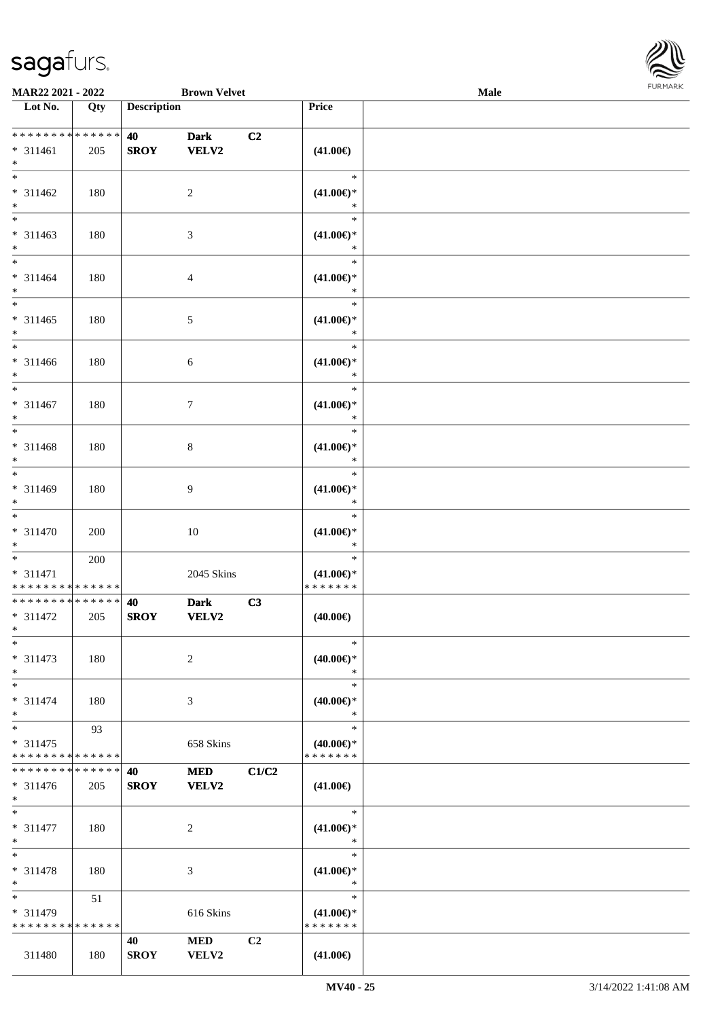

| MAR22 2021 - 2022                                                       |     |                    | <b>Brown Velvet</b>         |       |                                                | Male | 101111111111 |
|-------------------------------------------------------------------------|-----|--------------------|-----------------------------|-------|------------------------------------------------|------|--------------|
| $\overline{\phantom{1}}$ Lot No.                                        | Qty | <b>Description</b> |                             |       | Price                                          |      |              |
| **************<br>$* 311461$<br>$\ast$                                  | 205 | 40<br><b>SROY</b>  | <b>Dark</b><br><b>VELV2</b> | C2    | $(41.00\epsilon)$                              |      |              |
| $*$<br>$* 311462$<br>$\ast$                                             | 180 |                    | $\sqrt{2}$                  |       | $\ast$<br>$(41.00\epsilon)$ *<br>$\ast$        |      |              |
| $\overline{\phantom{0}}$<br>$* 311463$<br>$\ast$                        | 180 |                    | $\mathfrak{Z}$              |       | $\ast$<br>$(41.00\epsilon)$ *<br>$\ast$        |      |              |
| $\overline{\ast}$<br>$* 311464$<br>$\ast$<br>$\overline{\phantom{a}^*}$ | 180 |                    | $\overline{4}$              |       | $\ast$<br>$(41.00\epsilon)$ *<br>$\ast$        |      |              |
| $* 311465$<br>$\ast$<br>$\overline{\phantom{0}}$                        | 180 |                    | 5                           |       | $\ast$<br>$(41.00\epsilon)$ *<br>$\ast$        |      |              |
| * 311466<br>$\ast$<br>$_{\ast}^{-}$                                     | 180 |                    | 6                           |       | $\ast$<br>$(41.00\epsilon)$ *<br>$\ast$        |      |              |
| $* 311467$<br>$\ast$<br>$_{\ast}^{-}$                                   | 180 |                    | $\boldsymbol{7}$            |       | $\ast$<br>$(41.00\epsilon)$ *<br>$\ast$        |      |              |
| * 311468<br>$\ast$<br>$\overline{\ast}$                                 | 180 |                    | $8\,$                       |       | $\ast$<br>$(41.00\epsilon)$ *<br>$\ast$        |      |              |
| $* 311469$<br>$\ast$<br>$\ast$                                          | 180 |                    | $\overline{9}$              |       | $\ast$<br>$(41.00\epsilon)$ *<br>$\ast$        |      |              |
| $* 311470$<br>$\ast$<br>$\overline{\phantom{0}}$                        | 200 |                    | $10\,$                      |       | $\ast$<br>$(41.00\epsilon)$ *<br>$\ast$        |      |              |
| $* 311471$<br>* * * * * * * * * * * * * *                               | 200 |                    | 2045 Skins                  |       | $\ast$<br>$(41.00\epsilon)$ *<br>* * * * * * * |      |              |
| ******** <mark>******</mark><br>$* 311472$<br>$*$ $-$                   | 205 | 40<br><b>SROY</b>  | <b>Dark</b><br><b>VELV2</b> | C3    | $(40.00\epsilon)$                              |      |              |
| $*$<br>$* 311473$<br>$\ast$                                             | 180 |                    | $\overline{c}$              |       | $\ast$<br>(40.00)<br>$\ast$                    |      |              |
| $\ast$<br>$* 311474$<br>$\ast$                                          | 180 |                    | 3                           |       | $\ast$<br>$(40.00\epsilon)$ *<br>$\ast$        |      |              |
| $\ast$<br>$* 311475$<br>* * * * * * * * * * * * * *                     | 93  |                    | 658 Skins                   |       | $\ast$<br>$(40.00 \in )^*$<br>* * * * * * *    |      |              |
| * * * * * * * * * * * * * *<br>* 311476<br>$*$                          | 205 | 40<br><b>SROY</b>  | <b>MED</b><br>VELV2         | C1/C2 | $(41.00\epsilon)$                              |      |              |
| $\ast$<br>$* 311477$<br>$*$                                             | 180 |                    | 2                           |       | $\ast$<br>$(41.00\epsilon)$ *<br>$\ast$        |      |              |
| $*$<br>* 311478<br>$\ast$                                               | 180 |                    | 3                           |       | $\ast$<br>$(41.00\epsilon)$ *<br>$\ast$        |      |              |
| $\ast$<br>* 311479<br>* * * * * * * * * * * * * *                       | 51  |                    | 616 Skins                   |       | $\ast$<br>$(41.00\epsilon)$ *<br>* * * * * * * |      |              |
| 311480                                                                  | 180 | 40<br><b>SROY</b>  | <b>MED</b><br>VELV2         | C2    | $(41.00\epsilon)$                              |      |              |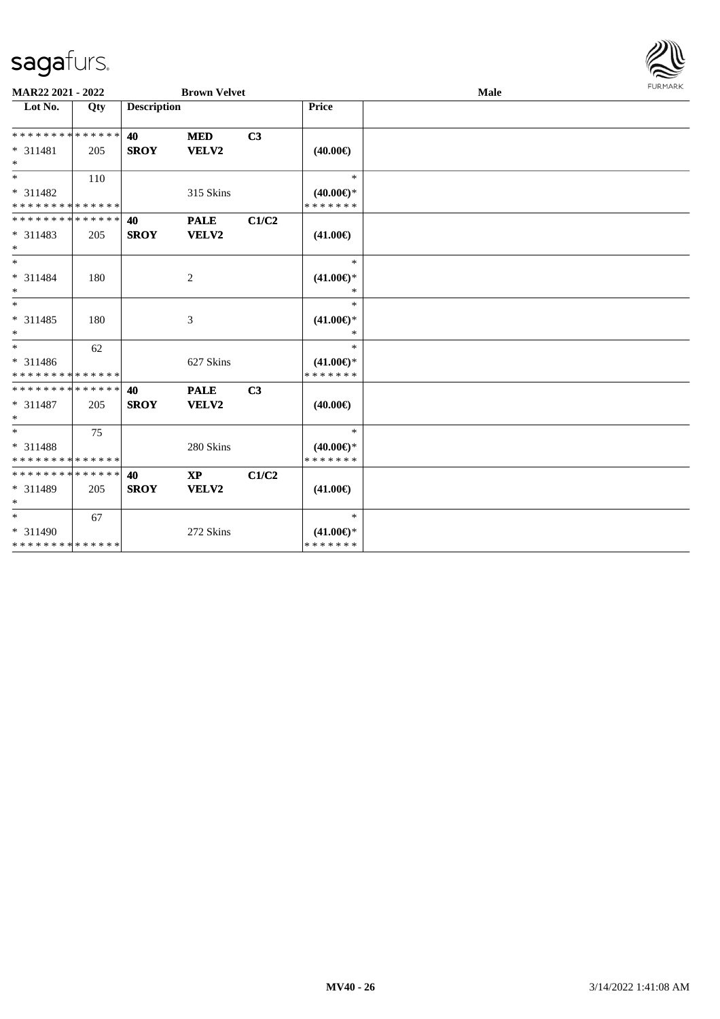

| MAR22 2021 - 2022                       |     |                    | <b>Brown Velvet</b>     |                |                                      | <b>Male</b> | FURMARK |
|-----------------------------------------|-----|--------------------|-------------------------|----------------|--------------------------------------|-------------|---------|
| Lot No.                                 | Qty | <b>Description</b> |                         |                | Price                                |             |         |
| * * * * * * * * * * * * * *<br>* 311481 | 205 | 40<br><b>SROY</b>  | <b>MED</b><br>VELV2     | C3             | $(40.00\epsilon)$                    |             |         |
| $*$                                     |     |                    |                         |                |                                      |             |         |
| $*$                                     | 110 |                    |                         |                | $\ast$                               |             |         |
| * 311482<br>* * * * * * * * * * * * * * |     |                    | 315 Skins               |                | $(40.00\epsilon)$ *<br>* * * * * * * |             |         |
| * * * * * * * * * * * * * *             |     | 40                 | <b>PALE</b>             | C1/C2          |                                      |             |         |
| * 311483<br>$*$                         | 205 | <b>SROY</b>        | VELV2                   |                | $(41.00\epsilon)$                    |             |         |
| $*$                                     |     |                    |                         |                | $\ast$                               |             |         |
| * 311484<br>$*$                         | 180 |                    | $\overline{c}$          |                | $(41.00\epsilon)$ *<br>*             |             |         |
| $*$                                     |     |                    |                         |                | $\ast$                               |             |         |
| * 311485<br>$*$                         | 180 |                    | 3                       |                | $(41.00\epsilon)$ *<br>$\ast$        |             |         |
| $*$                                     | 62  |                    |                         |                | $\ast$                               |             |         |
| * 311486<br>* * * * * * * * * * * * * * |     |                    | 627 Skins               |                | $(41.00\epsilon)$ *<br>* * * * * * * |             |         |
| * * * * * * * * * * * * * *             |     | 40                 | <b>PALE</b>             | C <sub>3</sub> |                                      |             |         |
| * 311487<br>$*$                         | 205 | <b>SROY</b>        | VELV2                   |                | $(40.00\epsilon)$                    |             |         |
| $*$                                     | 75  |                    |                         |                | $\ast$                               |             |         |
| * 311488<br>* * * * * * * * * * * * * * |     |                    | 280 Skins               |                | $(40.00\epsilon)$ *<br>* * * * * * * |             |         |
| * * * * * * * * * * * * * *             |     | 40                 | $\mathbf{X} \mathbf{P}$ | C1/C2          |                                      |             |         |
| * 311489<br>$*$                         | 205 | <b>SROY</b>        | VELV2                   |                | $(41.00\epsilon)$                    |             |         |
| $*$                                     | 67  |                    |                         |                | $\ast$                               |             |         |
| * 311490                                |     |                    | 272 Skins               |                | $(41.00\epsilon)$ *                  |             |         |
| * * * * * * * * * * * * * *             |     |                    |                         |                | * * * * * * *                        |             |         |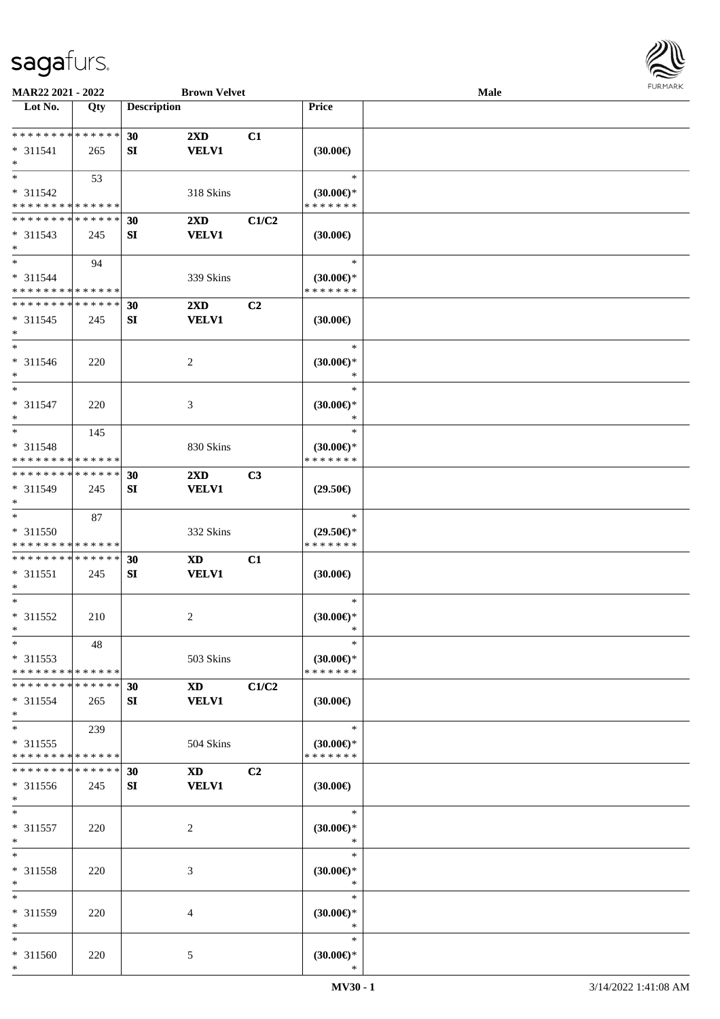

| MAR22 2021 - 2022           |             |                    | <b>Brown Velvet</b>                                                                                                                                                                                                            |                |                               | <b>Male</b> |  |
|-----------------------------|-------------|--------------------|--------------------------------------------------------------------------------------------------------------------------------------------------------------------------------------------------------------------------------|----------------|-------------------------------|-------------|--|
| Lot No.                     | Qty         | <b>Description</b> |                                                                                                                                                                                                                                |                | Price                         |             |  |
|                             |             |                    |                                                                                                                                                                                                                                |                |                               |             |  |
| **************              |             | 30                 | $2\mathbf{X}\mathbf{D}$                                                                                                                                                                                                        | C1             |                               |             |  |
| $* 311541$                  | 265         | SI                 | <b>VELV1</b>                                                                                                                                                                                                                   |                | (30.00)                       |             |  |
| $\ast$                      |             |                    |                                                                                                                                                                                                                                |                |                               |             |  |
| $*$                         | 53          |                    |                                                                                                                                                                                                                                |                | $\ast$                        |             |  |
| $* 311542$                  |             |                    | 318 Skins                                                                                                                                                                                                                      |                | $(30.00€)$ *                  |             |  |
| * * * * * * * * * * * * * * |             |                    |                                                                                                                                                                                                                                |                | * * * * * * *                 |             |  |
| * * * * * * * * * * * * * * |             |                    |                                                                                                                                                                                                                                |                |                               |             |  |
|                             |             | 30                 | $2\mathbf{X}\mathbf{D}$                                                                                                                                                                                                        | C1/C2          |                               |             |  |
| $* 311543$                  | 245         | SI                 | <b>VELV1</b>                                                                                                                                                                                                                   |                | (30.00)                       |             |  |
| $*$                         |             |                    |                                                                                                                                                                                                                                |                |                               |             |  |
| $\ast$                      | 94          |                    |                                                                                                                                                                                                                                |                | $\ast$                        |             |  |
| * 311544                    |             |                    | 339 Skins                                                                                                                                                                                                                      |                | $(30.00\epsilon)$ *           |             |  |
| * * * * * * * * * * * * * * |             |                    |                                                                                                                                                                                                                                |                | * * * * * * *                 |             |  |
| * * * * * * * * * * * * * * |             | 30                 | $2\mathbf{X}\mathbf{D}$                                                                                                                                                                                                        | C2             |                               |             |  |
| $* 311545$                  | 245         | SI                 | <b>VELV1</b>                                                                                                                                                                                                                   |                | (30.00)                       |             |  |
| $\ast$                      |             |                    |                                                                                                                                                                                                                                |                |                               |             |  |
| $\ast$                      |             |                    |                                                                                                                                                                                                                                |                | $\ast$                        |             |  |
| $* 311546$                  | 220         |                    | $\sqrt{2}$                                                                                                                                                                                                                     |                | $(30.00\epsilon)$ *           |             |  |
| $\ast$                      |             |                    |                                                                                                                                                                                                                                |                | $\ast$                        |             |  |
| $\ast$                      |             |                    |                                                                                                                                                                                                                                |                | $\ast$                        |             |  |
| $* 311547$                  | 220         |                    | 3                                                                                                                                                                                                                              |                | $(30.00\varepsilon)$ *        |             |  |
| $\ast$                      |             |                    |                                                                                                                                                                                                                                |                | $\ast$                        |             |  |
| $\ast$                      | 145         |                    |                                                                                                                                                                                                                                |                | $\ast$                        |             |  |
| $* 311548$                  |             |                    | 830 Skins                                                                                                                                                                                                                      |                |                               |             |  |
| * * * * * * * * * * * * * * |             |                    |                                                                                                                                                                                                                                |                | $(30.00€)$ *<br>* * * * * * * |             |  |
| **************              |             |                    |                                                                                                                                                                                                                                |                |                               |             |  |
|                             |             | 30                 | $2\mathbf{X}\mathbf{D}$                                                                                                                                                                                                        | C3             |                               |             |  |
| * 311549                    | 245         | SI                 | <b>VELV1</b>                                                                                                                                                                                                                   |                | $(29.50\epsilon)$             |             |  |
| $\ast$                      |             |                    |                                                                                                                                                                                                                                |                |                               |             |  |
| $\ast$                      | 87          |                    |                                                                                                                                                                                                                                |                | $\ast$                        |             |  |
| $* 311550$                  |             |                    | 332 Skins                                                                                                                                                                                                                      |                | $(29.50\epsilon)$ *           |             |  |
| * * * * * * * * * * * * * * |             |                    |                                                                                                                                                                                                                                |                | * * * * * * *                 |             |  |
| * * * * * * * * * * * * * * |             | 30                 | <b>XD</b>                                                                                                                                                                                                                      | C1             |                               |             |  |
| $* 311551$                  | 245         | SI                 | <b>VELV1</b>                                                                                                                                                                                                                   |                | (30.00)                       |             |  |
| $\ast$                      |             |                    |                                                                                                                                                                                                                                |                |                               |             |  |
| $\ast$                      |             |                    |                                                                                                                                                                                                                                |                | $\ast$                        |             |  |
| * 311552                    | 210         |                    | $\sqrt{2}$                                                                                                                                                                                                                     |                | $(30.00\epsilon)$ *           |             |  |
| $*$                         |             |                    |                                                                                                                                                                                                                                |                | $\ast$                        |             |  |
| $\ast$                      | 48          |                    |                                                                                                                                                                                                                                |                | $\ast$                        |             |  |
| $* 311553$                  |             |                    | 503 Skins                                                                                                                                                                                                                      |                | (30.00)                       |             |  |
| * * * * * * * * * * * * * * |             |                    |                                                                                                                                                                                                                                |                | * * * * * * *                 |             |  |
| * * * * * * * * * * * * * * |             | 30                 | XD and the set of the set of the set of the set of the set of the set of the set of the set of the set of the set of the set of the set of the set of the set of the set of the set of the set of the set of the set of the se | C1/C2          |                               |             |  |
| $* 311554$                  | 265         | SI                 | <b>VELV1</b>                                                                                                                                                                                                                   |                | $(30.00\epsilon)$             |             |  |
| $\ast$                      |             |                    |                                                                                                                                                                                                                                |                |                               |             |  |
| $\ast$                      |             |                    |                                                                                                                                                                                                                                |                | $\ast$                        |             |  |
|                             | 239         |                    |                                                                                                                                                                                                                                |                |                               |             |  |
| $* 311555$                  |             |                    | 504 Skins                                                                                                                                                                                                                      |                | (30.00)                       |             |  |
| * * * * * * * * * * * * * * |             |                    |                                                                                                                                                                                                                                |                | * * * * * * *                 |             |  |
| * * * * * * * *             | * * * * * * | 30                 | XD and the set of the set of the set of the set of the set of the set of the set of the set of the set of the set of the set of the set of the set of the set of the set of the set of the set of the set of the set of the se | C <sub>2</sub> |                               |             |  |
| * 311556                    | 245         | SI                 | <b>VELV1</b>                                                                                                                                                                                                                   |                | $(30.00\epsilon)$             |             |  |
| $*$                         |             |                    |                                                                                                                                                                                                                                |                |                               |             |  |
| $\ast$                      |             |                    |                                                                                                                                                                                                                                |                | $\ast$                        |             |  |
| * 311557                    | 220         |                    | $\overline{c}$                                                                                                                                                                                                                 |                | $(30.00\epsilon)$ *           |             |  |
| $\ast$                      |             |                    |                                                                                                                                                                                                                                |                | $\ast$                        |             |  |
| $\ast$                      |             |                    |                                                                                                                                                                                                                                |                | $\ast$                        |             |  |
| * 311558                    | 220         |                    | 3                                                                                                                                                                                                                              |                | $(30.00\epsilon)$ *           |             |  |
| $\ast$                      |             |                    |                                                                                                                                                                                                                                |                | $\ast$                        |             |  |
| $\ast$                      |             |                    |                                                                                                                                                                                                                                |                | $\ast$                        |             |  |
| * 311559                    | 220         |                    | 4                                                                                                                                                                                                                              |                | $(30.00\epsilon)$ *           |             |  |
| $\ast$                      |             |                    |                                                                                                                                                                                                                                |                | $\ast$                        |             |  |
| $\ast$                      |             |                    |                                                                                                                                                                                                                                |                | $\ast$                        |             |  |
| * 311560                    | 220         |                    | 5                                                                                                                                                                                                                              |                | $(30.00\epsilon)$ *           |             |  |
| $*$                         |             |                    |                                                                                                                                                                                                                                |                | $\ast$                        |             |  |
|                             |             |                    |                                                                                                                                                                                                                                |                |                               |             |  |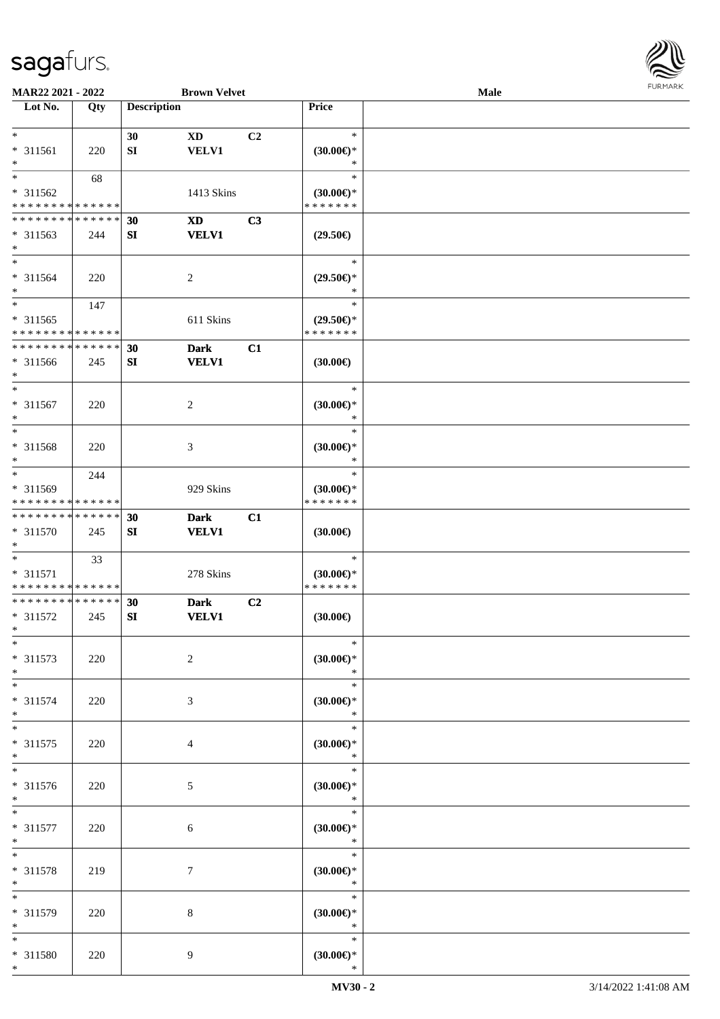

| MAR22 2021 - 2022           |     |                    | <b>Brown Velvet</b>    |                |                     | Male |  |
|-----------------------------|-----|--------------------|------------------------|----------------|---------------------|------|--|
| Lot No.                     | Qty | <b>Description</b> |                        |                | Price               |      |  |
|                             |     |                    |                        |                |                     |      |  |
| $*$                         |     | 30                 | $\mathbf{X}\mathbf{D}$ | C <sub>2</sub> | $\ast$              |      |  |
| * 311561                    | 220 | SI                 | <b>VELV1</b>           |                | $(30.00\epsilon)$ * |      |  |
| $\ast$                      |     |                    |                        |                | $\ast$              |      |  |
| $\ast$                      |     |                    |                        |                |                     |      |  |
|                             | 68  |                    |                        |                | $\ast$              |      |  |
| $* 311562$                  |     |                    | 1413 Skins             |                | $(30.00\epsilon)$ * |      |  |
| * * * * * * * * * * * * * * |     |                    |                        |                | * * * * * * *       |      |  |
| * * * * * * * * * * * * * * |     | 30                 | <b>XD</b>              | C3             |                     |      |  |
| $* 311563$                  | 244 | ${\bf S}{\bf I}$   | <b>VELV1</b>           |                | $(29.50\epsilon)$   |      |  |
| $*$                         |     |                    |                        |                |                     |      |  |
| $*$                         |     |                    |                        |                | $\ast$              |      |  |
| $* 311564$                  | 220 |                    | $\overline{c}$         |                | $(29.50\epsilon)$ * |      |  |
| $*$                         |     |                    |                        |                | $\ast$              |      |  |
| $*$                         |     |                    |                        |                | $\ast$              |      |  |
|                             | 147 |                    |                        |                |                     |      |  |
| $* 311565$                  |     |                    | 611 Skins              |                | $(29.50\epsilon)$ * |      |  |
| * * * * * * * * * * * * * * |     |                    |                        |                | * * * * * * *       |      |  |
| * * * * * * * * * * * * * * |     | 30                 | <b>Dark</b>            | C1             |                     |      |  |
| * 311566                    | 245 | SI                 | <b>VELV1</b>           |                | (30.00)             |      |  |
| $*$                         |     |                    |                        |                |                     |      |  |
| $*$                         |     |                    |                        |                | $\ast$              |      |  |
| $* 311567$                  | 220 |                    | 2                      |                | $(30.00\epsilon)$ * |      |  |
| $*$                         |     |                    |                        |                | $\ast$              |      |  |
| $*$                         |     |                    |                        |                | $\ast$              |      |  |
|                             |     |                    |                        |                |                     |      |  |
| * 311568                    | 220 |                    | 3                      |                | $(30.00\epsilon)$ * |      |  |
| $\ast$                      |     |                    |                        |                | $\ast$              |      |  |
| $*$                         | 244 |                    |                        |                | $\ast$              |      |  |
| * 311569                    |     |                    | 929 Skins              |                | $(30.00\epsilon)$ * |      |  |
| * * * * * * * * * * * * * * |     |                    |                        |                | * * * * * * *       |      |  |
| * * * * * * * * * * * * * * |     | 30                 | <b>Dark</b>            | C1             |                     |      |  |
| $* 311570$                  | 245 | SI                 | <b>VELV1</b>           |                | (30.00)             |      |  |
| $*$                         |     |                    |                        |                |                     |      |  |
| $*$                         | 33  |                    |                        |                | $\ast$              |      |  |
| $* 311571$                  |     |                    | 278 Skins              |                | $(30.00\epsilon)$ * |      |  |
| * * * * * * * * * * * * * * |     |                    |                        |                | * * * * * * *       |      |  |
| * * * * * * * * * * * * * * |     | 30                 | <b>Dark</b>            | C2             |                     |      |  |
|                             |     |                    |                        |                |                     |      |  |
| * 311572                    | 245 | SI                 | <b>VELV1</b>           |                | (30.00)             |      |  |
| $*$                         |     |                    |                        |                |                     |      |  |
| $*$                         |     |                    |                        |                | $\ast$              |      |  |
| $* 311573$                  | 220 |                    | $\overline{2}$         |                | (30.00)             |      |  |
| $*$                         |     |                    |                        |                | $\ast$              |      |  |
| $*$                         |     |                    |                        |                | $\ast$              |      |  |
| $* 311574$                  | 220 |                    | 3                      |                | (30.00)             |      |  |
| $*$                         |     |                    |                        |                | $\ast$              |      |  |
| $*$                         |     |                    |                        |                | $\ast$              |      |  |
| * 311575                    | 220 |                    | 4                      |                | (30.00)             |      |  |
| $*$                         |     |                    |                        |                | $\ast$              |      |  |
| $\overline{\phantom{0}}$    |     |                    |                        |                | $\ast$              |      |  |
|                             |     |                    |                        |                |                     |      |  |
| * 311576                    | 220 |                    | $\mathfrak{S}$         |                | (30.00)             |      |  |
| $*$                         |     |                    |                        |                | $\ast$              |      |  |
| $*$                         |     |                    |                        |                | $\ast$              |      |  |
| * 311577                    | 220 |                    | 6                      |                | $(30.00\in)^\ast$   |      |  |
| $*$                         |     |                    |                        |                | $\ast$              |      |  |
| $*$                         |     |                    |                        |                | $\ast$              |      |  |
| * 311578                    | 219 |                    | 7                      |                | $(30.00\epsilon)$ * |      |  |
| $*$                         |     |                    |                        |                | $\ast$              |      |  |
| $\ast$                      |     |                    |                        |                | $\ast$              |      |  |
| * 311579                    | 220 |                    | 8                      |                | $(30.00\epsilon)$ * |      |  |
| $*$                         |     |                    |                        |                | $\ast$              |      |  |
| $*$                         |     |                    |                        |                | $\ast$              |      |  |
|                             |     |                    |                        |                |                     |      |  |
| * 311580                    | 220 |                    | 9                      |                | (30.00)             |      |  |
| $*$                         |     |                    |                        |                | $\ast$              |      |  |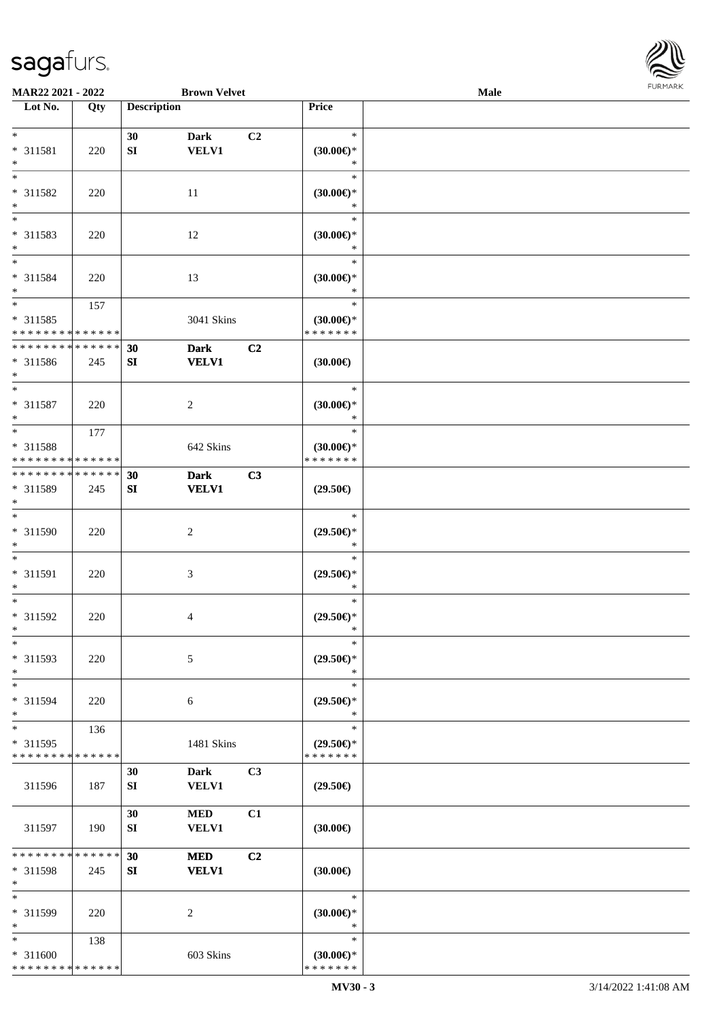

| MAR22 2021 - 2022           |     |                    | <b>Brown Velvet</b> |    |                               | <b>Male</b> |  |
|-----------------------------|-----|--------------------|---------------------|----|-------------------------------|-------------|--|
| Lot No.                     | Qty | <b>Description</b> |                     |    | Price                         |             |  |
|                             |     |                    |                     |    |                               |             |  |
| $*$                         |     | 30                 | <b>Dark</b>         | C2 | $\ast$                        |             |  |
| $* 311581$<br>$\ast$        | 220 | SI                 | <b>VELV1</b>        |    | $(30.00\epsilon)$ *<br>$\ast$ |             |  |
| $\ast$                      |     |                    |                     |    | $\ast$                        |             |  |
| * 311582                    | 220 |                    | 11                  |    | $(30.00\epsilon)$ *           |             |  |
| $\ast$                      |     |                    |                     |    | $\ast$                        |             |  |
| $\overline{\phantom{0}}$    |     |                    |                     |    | $\ast$                        |             |  |
| * 311583                    | 220 |                    | 12                  |    | (30.00)                       |             |  |
| $*$                         |     |                    |                     |    | $\ast$                        |             |  |
| $\overline{\phantom{0}}$    |     |                    |                     |    | $\ast$                        |             |  |
| $* 311584$                  | 220 |                    | 13                  |    | (30.00)<br>$\ast$             |             |  |
| $*$<br>$*$                  | 157 |                    |                     |    | $\ast$                        |             |  |
| $* 311585$                  |     |                    | 3041 Skins          |    | $(30.00\epsilon)$ *           |             |  |
| * * * * * * * * * * * * * * |     |                    |                     |    | * * * * * * *                 |             |  |
| * * * * * * * * * * * * * * |     | 30                 | <b>Dark</b>         | C2 |                               |             |  |
| * 311586                    | 245 | ${\bf SI}$         | <b>VELV1</b>        |    | (30.00)                       |             |  |
| $*$                         |     |                    |                     |    |                               |             |  |
| $*$                         |     |                    |                     |    | $\ast$                        |             |  |
| $* 311587$<br>$\ast$        | 220 |                    | $\boldsymbol{2}$    |    | $(30.00\epsilon)$ *<br>$\ast$ |             |  |
| $*$                         | 177 |                    |                     |    | $\ast$                        |             |  |
| * 311588                    |     |                    | 642 Skins           |    | $(30.00\epsilon)$ *           |             |  |
| * * * * * * * * * * * * * * |     |                    |                     |    | * * * * * * *                 |             |  |
| * * * * * * * * * * * * * * |     | 30                 | <b>Dark</b>         | C3 |                               |             |  |
| * 311589                    | 245 | ${\bf SI}$         | <b>VELV1</b>        |    | $(29.50\epsilon)$             |             |  |
| $*$                         |     |                    |                     |    |                               |             |  |
| $\overline{\phantom{1}}$    |     |                    |                     |    | $\ast$                        |             |  |
| $* 311590$                  | 220 |                    | $\sqrt{2}$          |    | $(29.50\epsilon)$ *<br>$\ast$ |             |  |
| $*$<br>$\ast$               |     |                    |                     |    | $\ast$                        |             |  |
| $* 311591$                  | 220 |                    | $\mathfrak{Z}$      |    | $(29.50\epsilon)$ *           |             |  |
| $*$                         |     |                    |                     |    | $\ast$                        |             |  |
| $*$                         |     |                    |                     |    | $\ast$                        |             |  |
| $* 311592$                  | 220 |                    | 4                   |    | $(29.50\epsilon)$ *           |             |  |
| $*$                         |     |                    |                     |    | $\ast$                        |             |  |
| $\ast$                      |     |                    |                     |    | $\ast$                        |             |  |
| * 311593<br>$\ast$          | 220 |                    | 5                   |    | $(29.50\epsilon)$ *<br>$\ast$ |             |  |
| $*$                         |     |                    |                     |    | $\ast$                        |             |  |
| * 311594                    | 220 |                    | 6                   |    | $(29.50\epsilon)$ *           |             |  |
| $\ast$                      |     |                    |                     |    | $\ast$                        |             |  |
| $\ast$                      | 136 |                    |                     |    | $\ast$                        |             |  |
| * 311595                    |     |                    | 1481 Skins          |    | $(29.50\epsilon)$ *           |             |  |
| * * * * * * * * * * * * * * |     |                    |                     |    | * * * * * * *                 |             |  |
|                             |     | 30                 | <b>Dark</b>         | C3 |                               |             |  |
| 311596                      | 187 | SI                 | VELV1               |    | $(29.50\epsilon)$             |             |  |
|                             |     | 30                 | <b>MED</b>          | C1 |                               |             |  |
| 311597                      | 190 | SI                 | <b>VELV1</b>        |    | (30.00)                       |             |  |
|                             |     |                    |                     |    |                               |             |  |
| * * * * * * * * * * * * * * |     | 30                 | <b>MED</b>          | C2 |                               |             |  |
| * 311598                    | 245 | SI                 | <b>VELV1</b>        |    | (30.00)                       |             |  |
| $\ast$                      |     |                    |                     |    |                               |             |  |
| $\ast$                      |     |                    |                     |    | $\ast$                        |             |  |
| * 311599<br>$*$             | 220 |                    | 2                   |    | $(30.00\epsilon)$ *<br>$\ast$ |             |  |
| $*$                         | 138 |                    |                     |    | $\ast$                        |             |  |
| * 311600                    |     |                    | 603 Skins           |    | $(30.00\epsilon)$ *           |             |  |
| * * * * * * * * * * * * * * |     |                    |                     |    | * * * * * * *                 |             |  |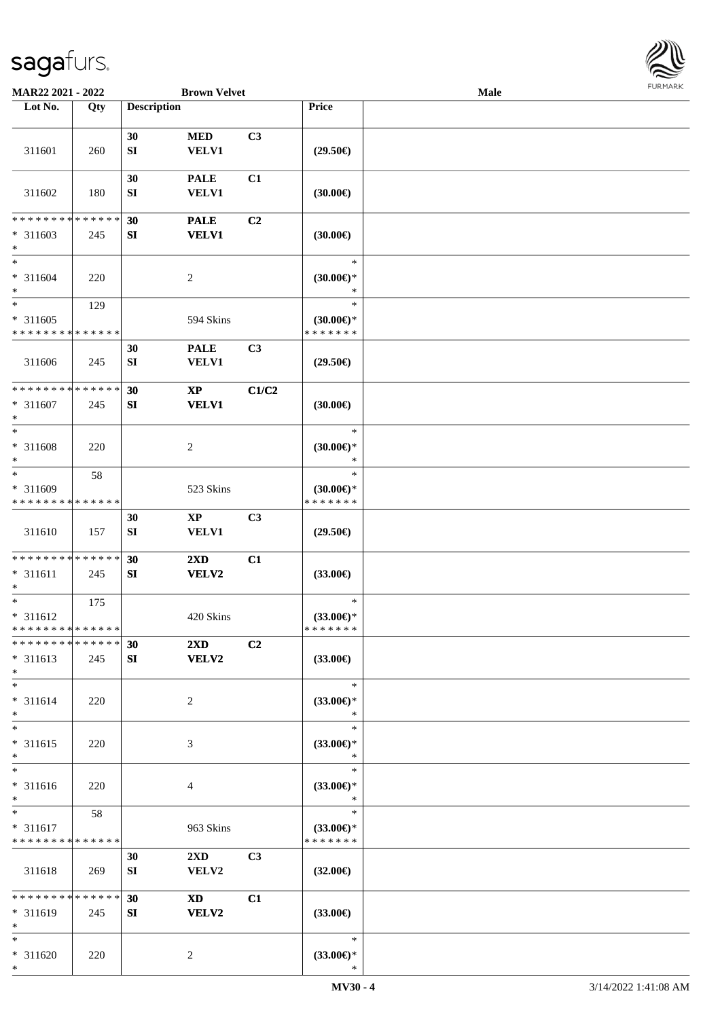

| MAR22 2021 - 2022                         |             |                    | <b>Brown Velvet</b>              |                |                                      | <b>Male</b> |  |
|-------------------------------------------|-------------|--------------------|----------------------------------|----------------|--------------------------------------|-------------|--|
| Lot No.                                   | Qty         | <b>Description</b> |                                  |                | Price                                |             |  |
|                                           |             |                    |                                  |                |                                      |             |  |
| 311601                                    | 260         | 30<br>${\bf SI}$   | <b>MED</b><br><b>VELV1</b>       | C3             | $(29.50\epsilon)$                    |             |  |
|                                           |             |                    |                                  |                |                                      |             |  |
| 311602                                    | 180         | 30<br>SI           | <b>PALE</b><br><b>VELV1</b>      | C1             | (30.00)                              |             |  |
| * * * * * * * *                           | * * * * * * | 30                 | <b>PALE</b>                      | C <sub>2</sub> |                                      |             |  |
| $* 311603$<br>$*$                         | 245         | ${\bf S}{\bf I}$   | <b>VELV1</b>                     |                | (30.00)                              |             |  |
| $*$                                       |             |                    |                                  |                | $\ast$                               |             |  |
| $* 311604$<br>$*$                         | 220         |                    | $\overline{c}$                   |                | $(30.00\in)^\ast$<br>$\ast$          |             |  |
| $*$                                       | 129         |                    |                                  |                | $\ast$                               |             |  |
| $* 311605$<br>* * * * * * * * * * * * * * |             |                    | 594 Skins                        |                | $(30.00\epsilon)$ *<br>* * * * * * * |             |  |
|                                           |             | 30                 | <b>PALE</b>                      | C <sub>3</sub> |                                      |             |  |
| 311606                                    | 245         | ${\bf SI}$         | VELV1                            |                | $(29.50\epsilon)$                    |             |  |
| * * * * * * * * * * * * * *               |             | 30                 | $\mathbf{XP}$                    | C1/C2          |                                      |             |  |
| $* 311607$<br>$*$                         | 245         | ${\bf S}{\bf I}$   | <b>VELV1</b>                     |                | (30.00)                              |             |  |
| $*$                                       |             |                    |                                  |                | $\ast$                               |             |  |
| * 311608<br>$\ast$                        | 220         |                    | $\overline{c}$                   |                | $(30.00\epsilon)$ *<br>$\ast$        |             |  |
| $*$                                       | 58          |                    |                                  |                | $\ast$                               |             |  |
| $* 311609$                                |             |                    | 523 Skins                        |                | $(30.00\epsilon)$ *                  |             |  |
| * * * * * * * * * * * * * *               |             |                    |                                  |                | * * * * * * *                        |             |  |
| 311610                                    | 157         | 30<br>${\bf SI}$   | $\bold{XP}$<br><b>VELV1</b>      | C3             | $(29.50\epsilon)$                    |             |  |
| * * * * * * * * * * * * * *               |             | 30                 | $2\mathbf{X}\mathbf{D}$          | C1             |                                      |             |  |
| $* 311611$<br>$\ast$                      | 245         | SI                 | VELV2                            |                | $(33.00\epsilon)$                    |             |  |
| $\ast$                                    | 175         |                    |                                  |                | $\ast$                               |             |  |
| * 311612<br>* * * * * * * * * * * * * *   |             |                    | 420 Skins                        |                | $(33.00\epsilon)$ *<br>* * * * * * * |             |  |
| * * * * * * * * * * * * * *               |             | 30                 | 2XD                              | C2             |                                      |             |  |
| * 311613<br>$*$                           | 245         | SI                 | <b>VELV2</b>                     |                | $(33.00\epsilon)$                    |             |  |
| $*$                                       |             |                    |                                  |                | $\ast$                               |             |  |
| $* 311614$<br>$*$                         | 220         |                    | $\overline{2}$                   |                | $(33.00\epsilon)$ *<br>$\ast$        |             |  |
| $*$                                       |             |                    |                                  |                | $\ast$                               |             |  |
| * 311615<br>$*$                           | 220         |                    | 3                                |                | $(33.00\epsilon)$ *<br>$\ast$        |             |  |
| $\ast$<br>* 311616                        | 220         |                    | 4                                |                | $\ast$<br>$(33.00\epsilon)$ *        |             |  |
| $*$                                       |             |                    |                                  |                | $\ast$                               |             |  |
| $*$                                       | 58          |                    |                                  |                | $\ast$                               |             |  |
| * 311617                                  |             |                    | 963 Skins                        |                | $(33.00\epsilon)$ *                  |             |  |
| * * * * * * * * * * * * * *               |             |                    |                                  |                | * * * * * * *                        |             |  |
| 311618                                    | 269         | 30<br>SI           | $2\mathbf{X}\mathbf{D}$<br>VELV2 | C <sub>3</sub> | $(32.00\epsilon)$                    |             |  |
| * * * * * * * *                           | * * * * * * | 30                 | $\mathbf{X}\mathbf{D}$           | C1             |                                      |             |  |
| * 311619<br>$*$                           | 245         | SI                 | VELV2                            |                | $(33.00\epsilon)$                    |             |  |
| $*$                                       |             |                    |                                  |                | $\ast$                               |             |  |
| * 311620                                  | 220         |                    | 2                                |                | $(33.00\epsilon)$ *                  |             |  |
| $*$                                       |             |                    |                                  |                | $\ast$                               |             |  |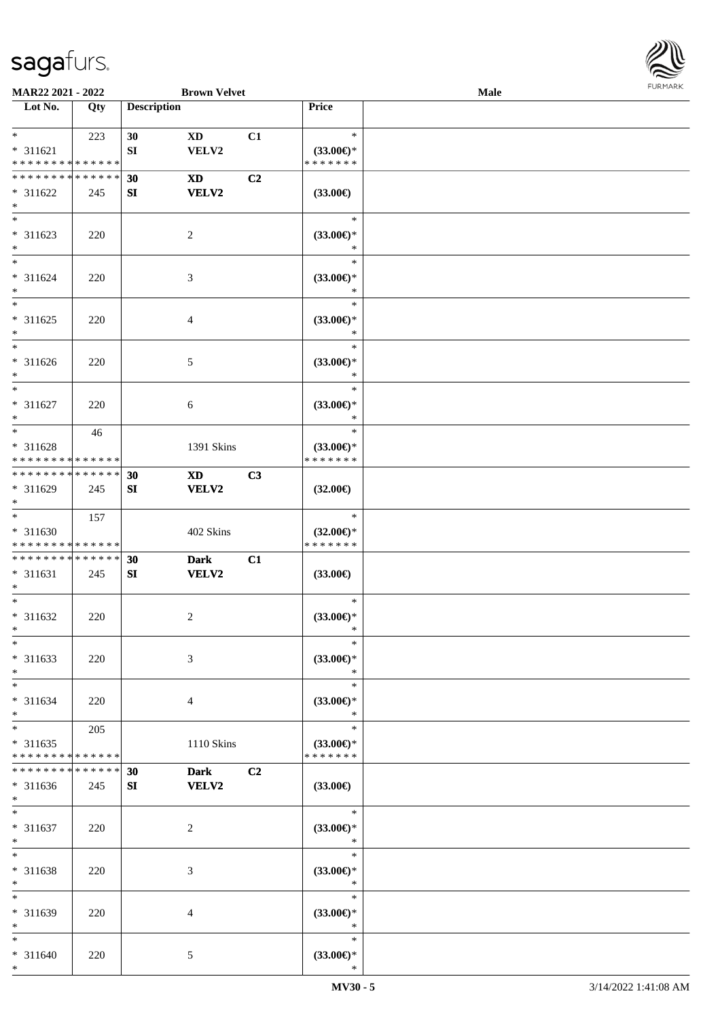

| MAR22 2021 - 2022                                |                    |                    | <b>Brown Velvet</b>         |    |                                                | Male |  |
|--------------------------------------------------|--------------------|--------------------|-----------------------------|----|------------------------------------------------|------|--|
| Lot No.                                          | Qty                | <b>Description</b> |                             |    | Price                                          |      |  |
| $*$<br>$* 311621$<br>* * * * * * * * * * * * * * | 223                | 30<br>SI           | <b>XD</b><br>VELV2          | C1 | $\ast$<br>$(33.00€)$ *<br>* * * * * * *        |      |  |
| * * * * * * * * * * * * * *<br>* 311622<br>$*$   | 245                | 30<br>SI           | <b>XD</b><br><b>VELV2</b>   | C2 | $(33.00\epsilon)$                              |      |  |
| $\overline{\ast}$<br>* 311623<br>$*$             | 220                |                    | $\overline{2}$              |    | $\ast$<br>$(33.00\epsilon)$ *<br>$\ast$        |      |  |
| $*$<br>$* 311624$<br>$*$                         | 220                |                    | $\mathfrak{Z}$              |    | $\ast$<br>$(33.00\epsilon)$ *<br>$\ast$        |      |  |
| $*$<br>$* 311625$<br>$*$                         | 220                |                    | $\overline{4}$              |    | $\ast$<br>$(33.00\epsilon)$ *<br>$\ast$        |      |  |
| $*$<br>* 311626<br>$*$                           | 220                |                    | 5                           |    | $\ast$<br>$(33.00\epsilon)$ *<br>$\ast$        |      |  |
| $*$<br>$* 311627$<br>$*$                         | 220                |                    | 6                           |    | $\ast$<br>$(33.00\epsilon)$ *<br>$\ast$        |      |  |
| $*$<br>* 311628<br>* * * * * * * * * * * * * *   | 46                 |                    | 1391 Skins                  |    | $\ast$<br>$(33.00\epsilon)$ *<br>* * * * * * * |      |  |
| * * * * * * * * * * * * * *<br>* 311629<br>$*$   | 245                | 30<br>SI           | <b>XD</b><br>VELV2          | C3 | $(32.00\epsilon)$                              |      |  |
| $*$<br>$* 311630$<br>* * * * * * * * * * * * * * | 157                |                    | 402 Skins                   |    | $\ast$<br>$(32.00\epsilon)$ *<br>* * * * * * * |      |  |
| * * * * * * * * * * * * * *<br>* 311631<br>$*$   | 245                | 30<br>SI           | <b>Dark</b><br><b>VELV2</b> | C1 | $(33.00\epsilon)$                              |      |  |
| $*$<br>$* 311632$<br>$*$                         | 220                |                    | 2                           |    | $\ast$<br>$(33.00\epsilon)$ *<br>$\ast$        |      |  |
| $*$<br>$* 311633$<br>$*$                         | 220                |                    | 3                           |    | $\ast$<br>$(33.00\epsilon)$ *<br>$\ast$        |      |  |
| $*$<br>$* 311634$<br>$*$                         | 220                |                    | $\overline{4}$              |    | $\ast$<br>$(33.00\epsilon)$ *<br>$\ast$        |      |  |
| $*$<br>* 311635<br>* * * * * * * *               | 205<br>* * * * * * |                    | 1110 Skins                  |    | $\ast$<br>$(33.00\epsilon)$ *<br>* * * * * * * |      |  |
| * * * * * * * *<br>* 311636<br>$*$               | * * * * * *<br>245 | 30<br>SI           | <b>Dark</b><br><b>VELV2</b> | C2 | $(33.00\epsilon)$                              |      |  |
| $*$<br>* 311637<br>$*$                           | 220                |                    | $\overline{c}$              |    | $\ast$<br>$(33.00\epsilon)$ *<br>$\ast$        |      |  |
| $*$<br>* 311638<br>$*$                           | 220                |                    | 3                           |    | $\ast$<br>$(33.00\epsilon)$ *<br>$\ast$        |      |  |
| $*$<br>* 311639<br>$*$                           | 220                |                    | 4                           |    | $\ast$<br>$(33.00\epsilon)$ *<br>$\ast$        |      |  |
| $*$<br>* 311640<br>$*$                           | 220                |                    | $\mathfrak{S}$              |    | $\ast$<br>$(33.00\epsilon)$ *<br>$\ast$        |      |  |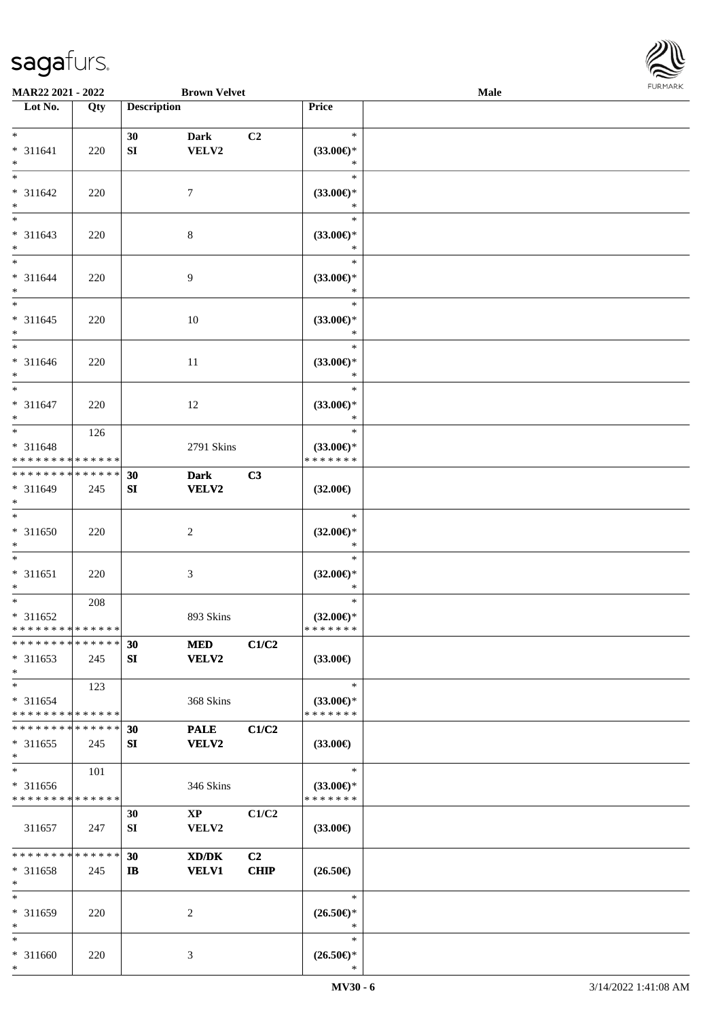

| <b>MAR22 2021 - 2022</b>                                       |     |                    | <b>Brown Velvet</b>           |                   |                                                | <b>Male</b> |  |
|----------------------------------------------------------------|-----|--------------------|-------------------------------|-------------------|------------------------------------------------|-------------|--|
| Lot No.                                                        | Qty | <b>Description</b> |                               |                   | Price                                          |             |  |
| $*$                                                            |     | 30                 | <b>Dark</b>                   | C <sub>2</sub>    | $\ast$                                         |             |  |
| * 311641<br>$*$                                                | 220 | SI                 | VELV2                         |                   | $(33.00\epsilon)$ *<br>$\ast$<br>$\ast$        |             |  |
| * 311642<br>$*$                                                | 220 |                    | $\tau$                        |                   | $(33.00\epsilon)$ *<br>$\ast$                  |             |  |
| $* 311643$<br>$*$                                              | 220 |                    | 8                             |                   | $\ast$<br>$(33.00\epsilon)$ *<br>$\ast$        |             |  |
| $*$<br>$* 311644$<br>$*$                                       | 220 |                    | $\overline{9}$                |                   | $\ast$<br>$(33.00\epsilon)$ *<br>$\ast$        |             |  |
| $*$<br>$* 311645$<br>$*$                                       | 220 |                    | 10                            |                   | $\ast$<br>$(33.00\epsilon)$ *<br>$\ast$        |             |  |
| $*$<br>$* 311646$<br>$*$                                       | 220 |                    | 11                            |                   | $\ast$<br>$(33.00\epsilon)$ *<br>$\ast$        |             |  |
| $*$<br>* 311647<br>$*$                                         | 220 |                    | 12                            |                   | $\ast$<br>$(33.00\epsilon)$ *<br>$\ast$        |             |  |
| * 311648<br>* * * * * * * * * * * * * *                        | 126 |                    | 2791 Skins                    |                   | $\ast$<br>$(33.00\epsilon)$ *<br>* * * * * * * |             |  |
| * * * * * * * * * * * * * *<br>* 311649<br>$*$                 | 245 | 30<br>SI           | <b>Dark</b><br>VELV2          | C3                | $(32.00\epsilon)$                              |             |  |
| $\ddot{x}$<br>* 311650<br>$*$                                  | 220 |                    | 2                             |                   | $\ast$<br>$(32.00\epsilon)$ *<br>$\ast$        |             |  |
| $*$<br>* 311651<br>$\ast$                                      | 220 |                    | 3                             |                   | $\ast$<br>$(32.00\epsilon)$ *<br>$\ast$        |             |  |
| $*$<br>* 311652<br>* * * * * * * * * * * * * *                 | 208 |                    | 893 Skins                     |                   | $\ast$<br>$(32.00\epsilon)$ *<br>*******       |             |  |
| * * * * * * * * * * * * * * *<br>* 311653<br>$*$               | 245 | 30<br>SI           | <b>MED</b><br><b>VELV2</b>    | C1/C2             | $(33.00\epsilon)$                              |             |  |
| $*$<br>$* 311654$<br>* * * * * * * * * * * * * *               | 123 |                    | 368 Skins                     |                   | $\ast$<br>$(33.00\epsilon)$ *<br>* * * * * * * |             |  |
| * * * * * * * * * * * * * *<br>$* 311655$<br>$\ast$            | 245 | 30<br>SI           | <b>PALE</b><br>VELV2          | C1/C2             | $(33.00\epsilon)$                              |             |  |
| $*$<br>* 311656<br>* * * * * * * * * * * * * *                 | 101 |                    | 346 Skins                     |                   | $\ast$<br>$(33.00\epsilon)$ *<br>* * * * * * * |             |  |
| 311657                                                         | 247 | 30<br>SI           | $\mathbf{XP}$<br><b>VELV2</b> | C1/C2             | $(33.00\epsilon)$                              |             |  |
| * * * * * * * * <mark>* * * * * *</mark><br>* 311658<br>$\ast$ | 245 | 30<br>IB           | XD/DK<br><b>VELV1</b>         | C2<br><b>CHIP</b> | $(26.50\epsilon)$                              |             |  |
| $*$<br>* 311659<br>$*$                                         | 220 |                    | 2                             |                   | $\ast$<br>$(26.50\epsilon)$ *<br>∗             |             |  |
| $*$<br>* 311660<br>$\ast$                                      | 220 |                    | 3                             |                   | $\ast$<br>$(26.50\epsilon)$ *<br>$\ast$        |             |  |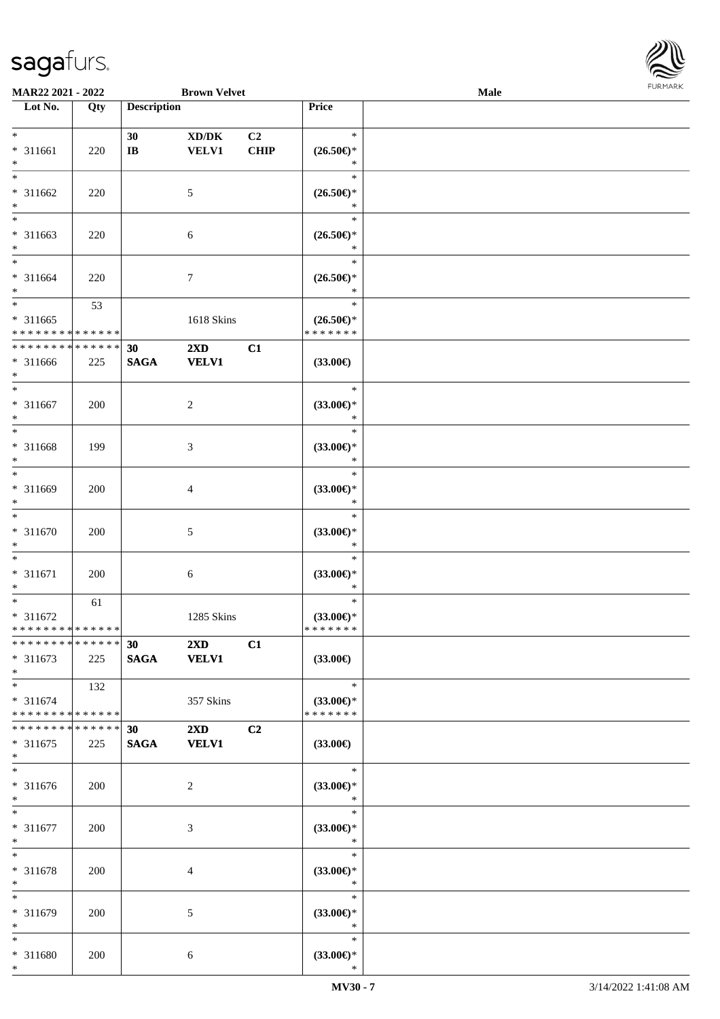

| <b>MAR22 2021 - 2022</b>                   |     |                    | <b>Brown Velvet</b>     |                |                               | <b>Male</b> |  |
|--------------------------------------------|-----|--------------------|-------------------------|----------------|-------------------------------|-------------|--|
| Lot No.                                    | Qty | <b>Description</b> |                         |                | Price                         |             |  |
|                                            |     |                    |                         |                |                               |             |  |
| $*$                                        |     | 30                 | XD/DK                   | C <sub>2</sub> | $\ast$                        |             |  |
| * 311661                                   | 220 | $\bf IB$           | <b>VELV1</b>            | <b>CHIP</b>    | $(26.50\epsilon)$ *           |             |  |
| $*$                                        |     |                    |                         |                | ∗                             |             |  |
| $*$                                        |     |                    |                         |                | $\ast$                        |             |  |
| * 311662                                   | 220 |                    | 5                       |                | $(26.50\epsilon)$ *           |             |  |
| $\ast$                                     |     |                    |                         |                | *                             |             |  |
| $\overline{\phantom{0}}$                   |     |                    |                         |                | $\ast$                        |             |  |
| * 311663                                   | 220 |                    | 6                       |                | $(26.50\epsilon)$ *           |             |  |
| $\ast$                                     |     |                    |                         |                | *                             |             |  |
| $*$                                        |     |                    |                         |                | $\ast$                        |             |  |
| * 311664                                   | 220 |                    | 7                       |                | $(26.50\epsilon)$ *           |             |  |
| $*$                                        |     |                    |                         |                | $\ast$                        |             |  |
| $*$                                        | 53  |                    |                         |                | $\ast$                        |             |  |
| $* 311665$                                 |     |                    | 1618 Skins              |                | $(26.50\epsilon)$ *           |             |  |
| * * * * * * * * * * * * * *                |     |                    |                         |                | * * * * * * *                 |             |  |
| * * * * * * * * <mark>* * * * * * *</mark> |     | 30                 | $2\mathbf{X}\mathbf{D}$ | C1             |                               |             |  |
| $* 311666$                                 | 225 | <b>SAGA</b>        | <b>VELV1</b>            |                | $(33.00\epsilon)$             |             |  |
| $*$                                        |     |                    |                         |                |                               |             |  |
| $\ast$                                     |     |                    |                         |                | $\ast$                        |             |  |
| $* 311667$                                 | 200 |                    | $\overline{c}$          |                | $(33.00\epsilon)$ *           |             |  |
| $*$                                        |     |                    |                         |                | $\ast$                        |             |  |
| $\overline{\ast}$                          |     |                    |                         |                | $\ast$                        |             |  |
| * 311668                                   | 199 |                    | 3                       |                | $(33.00\epsilon)$ *           |             |  |
| $\ast$<br>$\ast$                           |     |                    |                         |                | $\ast$                        |             |  |
|                                            |     |                    |                         |                | $\ast$                        |             |  |
| * 311669<br>$*$                            | 200 |                    | 4                       |                | $(33.00\epsilon)$ *<br>*      |             |  |
| $*$                                        |     |                    |                         |                | $\ast$                        |             |  |
| * 311670                                   |     |                    |                         |                |                               |             |  |
| $*$                                        | 200 |                    | 5                       |                | $(33.00\epsilon)$ *<br>$\ast$ |             |  |
| $\ast$                                     |     |                    |                         |                | $\ast$                        |             |  |
| * 311671                                   | 200 |                    | 6                       |                | $(33.00\epsilon)$ *           |             |  |
| $*$                                        |     |                    |                         |                | $\ast$                        |             |  |
| $\ast$                                     | 61  |                    |                         |                | $\ast$                        |             |  |
| * 311672                                   |     |                    | 1285 Skins              |                | $(33.00\epsilon)$ *           |             |  |
| * * * * * * * * * * * * * * *              |     |                    |                         |                | * * * * * * *                 |             |  |
| * * * * * * * * * * * * * * *              |     | 30                 | $2\mathbf{X}\mathbf{D}$ | C1             |                               |             |  |
| $* 311673$                                 | 225 | <b>SAGA</b>        | <b>VELV1</b>            |                | $(33.00\epsilon)$             |             |  |
| $*$                                        |     |                    |                         |                |                               |             |  |
| $*$                                        | 132 |                    |                         |                | $\ast$                        |             |  |
| * 311674                                   |     |                    | 357 Skins               |                | $(33.00\epsilon)$ *           |             |  |
| * * * * * * * * * * * * * * *              |     |                    |                         |                | * * * * * * *                 |             |  |
| * * * * * * * * * * * * * * *              |     | 30                 | $2\mathbf{X}\mathbf{D}$ | C2             |                               |             |  |
| * 311675                                   | 225 | <b>SAGA</b>        | <b>VELV1</b>            |                | $(33.00\epsilon)$             |             |  |
| $*$                                        |     |                    |                         |                |                               |             |  |
| $\overline{\ }$                            |     |                    |                         |                | $\ast$                        |             |  |
| * 311676                                   | 200 |                    | 2                       |                | $(33.00\epsilon)$ *           |             |  |
| $*$                                        |     |                    |                         |                | $\ast$                        |             |  |
| $*$                                        |     |                    |                         |                | $\ast$                        |             |  |
| * 311677                                   | 200 |                    | 3                       |                | $(33.00\epsilon)$ *           |             |  |
| $*$                                        |     |                    |                         |                | $\ast$                        |             |  |
| $*$                                        |     |                    |                         |                | $\ast$                        |             |  |
| * 311678                                   | 200 |                    | 4                       |                | $(33.00\epsilon)$ *           |             |  |
| $*$                                        |     |                    |                         |                | $\ast$                        |             |  |
| $\ast$                                     |     |                    |                         |                | $\ast$                        |             |  |
| * 311679                                   | 200 |                    | 5                       |                | $(33.00\epsilon)$ *           |             |  |
| $*$                                        |     |                    |                         |                | $\ast$                        |             |  |
| $*$                                        |     |                    |                         |                | $\ast$                        |             |  |
| * 311680                                   | 200 |                    | 6                       |                | $(33.00\epsilon)$ *           |             |  |
| $\ast$                                     |     |                    |                         |                | $\ast$                        |             |  |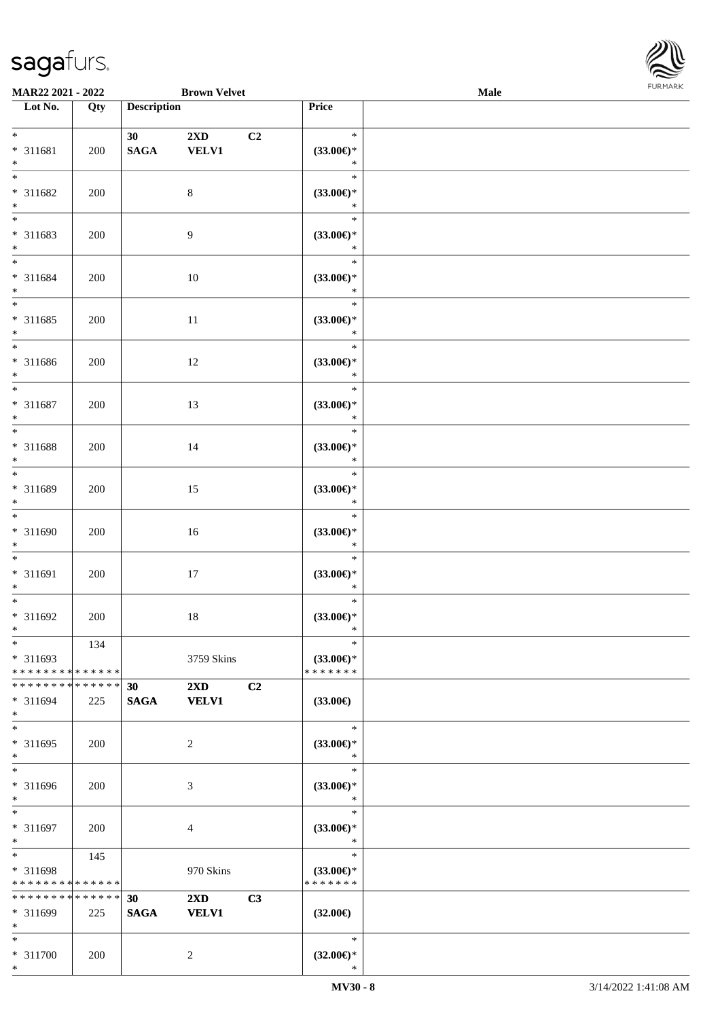

| MAR22 2021 - 2022                          |             |                    | <b>Brown Velvet</b>     |    |                     | <b>Male</b> |  |
|--------------------------------------------|-------------|--------------------|-------------------------|----|---------------------|-------------|--|
| Lot No.                                    | Qty         | <b>Description</b> |                         |    | Price               |             |  |
|                                            |             |                    |                         |    |                     |             |  |
| $*$                                        |             | 30                 | $2\mathbf{X}\mathbf{D}$ | C2 | $\ast$              |             |  |
| * 311681                                   | 200         | <b>SAGA</b>        | <b>VELV1</b>            |    | $(33.00\epsilon)$ * |             |  |
| $*$                                        |             |                    |                         |    | $\ast$              |             |  |
| $*$                                        |             |                    |                         |    | $\ast$              |             |  |
| * 311682                                   |             |                    |                         |    |                     |             |  |
|                                            | 200         |                    | $8\,$                   |    | $(33.00\epsilon)$ * |             |  |
| $\ast$                                     |             |                    |                         |    | $\ast$              |             |  |
| $\overline{\phantom{0}}$                   |             |                    |                         |    | $\ast$              |             |  |
| * 311683                                   | 200         |                    | 9                       |    | $(33.00\epsilon)$ * |             |  |
| $*$                                        |             |                    |                         |    | $\ast$              |             |  |
| $*$                                        |             |                    |                         |    | $\ast$              |             |  |
| * 311684                                   | 200         |                    | 10                      |    | $(33.00\epsilon)$ * |             |  |
| $*$                                        |             |                    |                         |    | $\ast$              |             |  |
| $*$                                        |             |                    |                         |    | $\ast$              |             |  |
|                                            |             |                    |                         |    |                     |             |  |
| $* 311685$                                 | 200         |                    | $11\,$                  |    | $(33.00\epsilon)$ * |             |  |
| $*$                                        |             |                    |                         |    | $\ast$              |             |  |
| $*$                                        |             |                    |                         |    | $\ast$              |             |  |
| $* 311686$                                 | 200         |                    | 12                      |    | $(33.00\epsilon)$ * |             |  |
| $*$                                        |             |                    |                         |    | $\ast$              |             |  |
| $*$                                        |             |                    |                         |    | $\ast$              |             |  |
| $* 311687$                                 | 200         |                    | 13                      |    | $(33.00\epsilon)$ * |             |  |
| $*$                                        |             |                    |                         |    | $\ast$              |             |  |
|                                            |             |                    |                         |    | $\ast$              |             |  |
| * 311688                                   | 200         |                    |                         |    | $(33.00\epsilon)$ * |             |  |
| $*$                                        |             |                    | 14                      |    | $\ast$              |             |  |
| $*$                                        |             |                    |                         |    |                     |             |  |
|                                            |             |                    |                         |    | $\ast$              |             |  |
| * 311689                                   | 200         |                    | 15                      |    | $(33.00\epsilon)$ * |             |  |
| $*$                                        |             |                    |                         |    | $\ast$              |             |  |
| $*$                                        |             |                    |                         |    | $\ast$              |             |  |
| * 311690                                   | 200         |                    | 16                      |    | $(33.00\epsilon)$ * |             |  |
| $*$                                        |             |                    |                         |    | $\ast$              |             |  |
| $*$                                        |             |                    |                         |    | $\ast$              |             |  |
| * 311691                                   | 200         |                    | 17                      |    | $(33.00\epsilon)$ * |             |  |
| $*$                                        |             |                    |                         |    | $\ast$              |             |  |
| $*$                                        |             |                    |                         |    | $\ast$              |             |  |
|                                            |             |                    |                         |    |                     |             |  |
| * 311692                                   | 200         |                    | $18\,$                  |    | $(33.00\epsilon)$ * |             |  |
| $*$                                        |             |                    |                         |    | $\ast$              |             |  |
| $*$                                        | 134         |                    |                         |    | $\ast$              |             |  |
| * 311693                                   |             |                    | 3759 Skins              |    | $(33.00\epsilon)$ * |             |  |
| * * * * * * * * * * * * * *                |             |                    |                         |    | * * * * * * *       |             |  |
| * * * * * * * *                            | * * * * * * | 30                 | $2\mathbf{X}\mathbf{D}$ | C2 |                     |             |  |
| * 311694                                   | 225         | <b>SAGA</b>        | <b>VELV1</b>            |    | $(33.00\epsilon)$   |             |  |
| $*$                                        |             |                    |                         |    |                     |             |  |
| $*$                                        |             |                    |                         |    | $\ast$              |             |  |
| * 311695                                   | 200         |                    | $\overline{2}$          |    | $(33.00\epsilon)$ * |             |  |
| $*$                                        |             |                    |                         |    | $\ast$              |             |  |
| $\ast$                                     |             |                    |                         |    |                     |             |  |
|                                            |             |                    |                         |    | $\ast$              |             |  |
| * 311696                                   | 200         |                    | 3                       |    | $(33.00\epsilon)$ * |             |  |
| $*$                                        |             |                    |                         |    | $\ast$              |             |  |
| $*$                                        |             |                    |                         |    | $\ast$              |             |  |
| * 311697                                   | 200         |                    | $\overline{4}$          |    | $(33.00\epsilon)$ * |             |  |
| $*$                                        |             |                    |                         |    | $\ast$              |             |  |
| $*$                                        | 145         |                    |                         |    | $\ast$              |             |  |
| * 311698                                   |             |                    | 970 Skins               |    | $(33.00\epsilon)$ * |             |  |
| * * * * * * * * <mark>* * * * * * *</mark> |             |                    |                         |    | * * * * * * *       |             |  |
| * * * * * * * *                            | * * * * * * | 30                 | $2\mathbf{X}\mathbf{D}$ | C3 |                     |             |  |
| * 311699                                   |             |                    |                         |    |                     |             |  |
| $*$                                        | 225         | <b>SAGA</b>        | <b>VELV1</b>            |    | $(32.00\epsilon)$   |             |  |
|                                            |             |                    |                         |    |                     |             |  |
| $*$                                        |             |                    |                         |    | $\ast$              |             |  |
| * 311700                                   | 200         |                    | $\overline{c}$          |    | $(32.00\epsilon)$ * |             |  |
| $*$                                        |             |                    |                         |    | $\ast$              |             |  |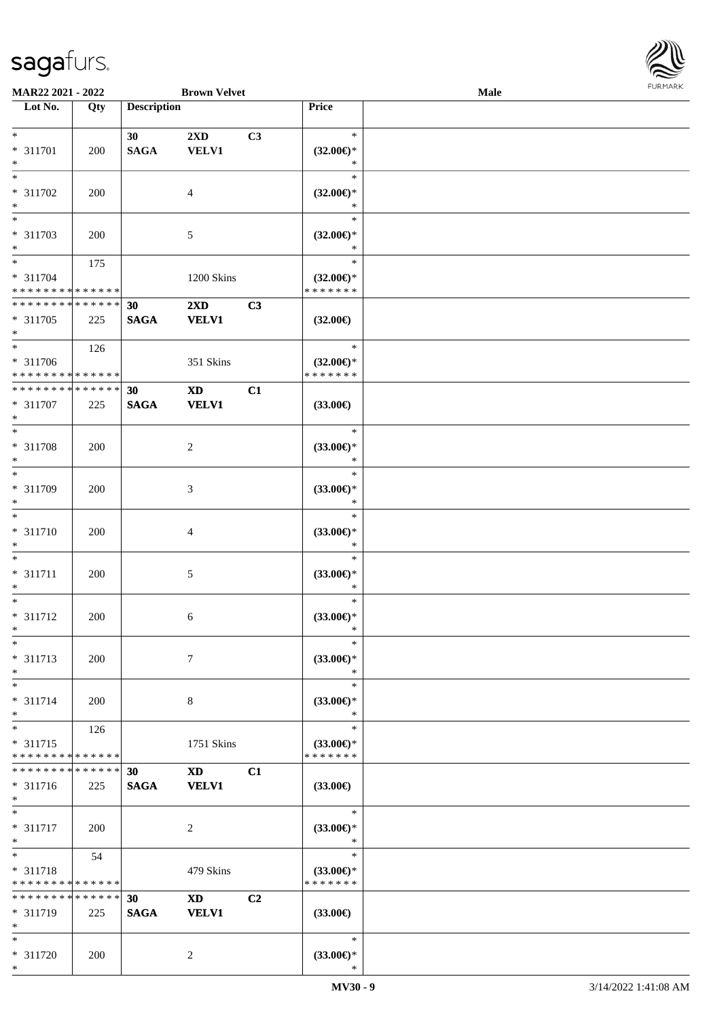

| MAR22 2021 - 2022           |             |                    | <b>Brown Velvet</b>    |    |                                      | Male |  |
|-----------------------------|-------------|--------------------|------------------------|----|--------------------------------------|------|--|
| Lot No.                     | Qty         | <b>Description</b> |                        |    | Price                                |      |  |
|                             |             |                    |                        |    |                                      |      |  |
| $*$                         |             | 30                 | 2XD                    | C3 | $\ast$                               |      |  |
| * 311701                    | 200         | <b>SAGA</b>        | <b>VELV1</b>           |    | $(32.00\epsilon)$ *                  |      |  |
| $\ast$                      |             |                    |                        |    | ∗                                    |      |  |
| $*$                         |             |                    |                        |    | $\ast$                               |      |  |
|                             |             |                    |                        |    |                                      |      |  |
| * 311702                    | 200         |                    | 4                      |    | $(32.00\epsilon)$ *                  |      |  |
| $\ast$                      |             |                    |                        |    | ∗                                    |      |  |
| $*$                         |             |                    |                        |    | $\ast$                               |      |  |
| * 311703                    | 200         |                    | 5                      |    | $(32.00\epsilon)$ *                  |      |  |
| $*$                         |             |                    |                        |    | *                                    |      |  |
| $\overline{\ast}$           |             |                    |                        |    | $\ast$                               |      |  |
|                             | 175         |                    |                        |    |                                      |      |  |
| $* 311704$                  |             |                    | 1200 Skins             |    | $(32.00\epsilon)$ *                  |      |  |
| * * * * * * * * * * * * * * |             |                    |                        |    | * * * * * * *                        |      |  |
| * * * * * * * * * * * * * * |             | 30                 | 2XD                    | C3 |                                      |      |  |
| * 311705                    | 225         | <b>SAGA</b>        | <b>VELV1</b>           |    | $(32.00\epsilon)$                    |      |  |
| $*$                         |             |                    |                        |    |                                      |      |  |
| $*$                         | 126         |                    |                        |    | $\ast$                               |      |  |
| * 311706                    |             |                    | 351 Skins              |    |                                      |      |  |
| * * * * * * * * * * * * * * |             |                    |                        |    | $(32.00\epsilon)$ *<br>* * * * * * * |      |  |
|                             |             |                    |                        |    |                                      |      |  |
| * * * * * * * * * * * * * * |             | 30                 | $\mathbf{X}\mathbf{D}$ | C1 |                                      |      |  |
| * 311707                    | 225         | <b>SAGA</b>        | <b>VELV1</b>           |    | $(33.00\epsilon)$                    |      |  |
| $*$                         |             |                    |                        |    |                                      |      |  |
| $*$                         |             |                    |                        |    | $\ast$                               |      |  |
| * 311708                    | 200         |                    | 2                      |    | $(33.00\epsilon)$ *                  |      |  |
| $\ast$                      |             |                    |                        |    | $\ast$                               |      |  |
| $*$                         |             |                    |                        |    | $\ast$                               |      |  |
|                             |             |                    |                        |    |                                      |      |  |
| * 311709                    | 200         |                    | 3                      |    | $(33.00\epsilon)$ *                  |      |  |
| $*$                         |             |                    |                        |    | *                                    |      |  |
| $\ast$                      |             |                    |                        |    | $\ast$                               |      |  |
| $* 311710$                  | 200         |                    | $\overline{4}$         |    | $(33.00\epsilon)$ *                  |      |  |
| $*$                         |             |                    |                        |    | $\ast$                               |      |  |
| $*$                         |             |                    |                        |    | $\ast$                               |      |  |
|                             |             |                    |                        |    |                                      |      |  |
| $* 311711$                  | 200         |                    | 5                      |    | $(33.00\epsilon)$ *                  |      |  |
| $*$                         |             |                    |                        |    | $\ast$                               |      |  |
| $*$                         |             |                    |                        |    | $\ast$                               |      |  |
| $* 311712$                  | 200         |                    | 6                      |    | $(33.00\epsilon)$ *                  |      |  |
| $*$                         |             |                    |                        |    | $\ast$                               |      |  |
| $\ast$                      |             |                    |                        |    | $\ast$                               |      |  |
| $* 311713$                  | 200         |                    | $\tau$                 |    | (33.00)                              |      |  |
| $*$                         |             |                    |                        |    | ∗                                    |      |  |
|                             |             |                    |                        |    |                                      |      |  |
| $*$                         |             |                    |                        |    | $\ast$                               |      |  |
| * 311714                    | 200         |                    | 8                      |    | $(33.00\epsilon)$ *                  |      |  |
| $*$                         |             |                    |                        |    | $\ast$                               |      |  |
| $*$                         | 126         |                    |                        |    | $\ast$                               |      |  |
| * 311715                    |             |                    | 1751 Skins             |    | $(33.00\epsilon)$ *                  |      |  |
| * * * * * * * *             | * * * * * * |                    |                        |    | * * * * * * *                        |      |  |
| * * * * * * * *             | * * * * * * | 30                 | $\mathbf{X}\mathbf{D}$ | C1 |                                      |      |  |
|                             |             |                    |                        |    |                                      |      |  |
| * 311716                    | 225         | <b>SAGA</b>        | <b>VELV1</b>           |    | $(33.00\epsilon)$                    |      |  |
| $*$                         |             |                    |                        |    |                                      |      |  |
| $*$                         |             |                    |                        |    | $\ast$                               |      |  |
| * 311717                    | 200         |                    | 2                      |    | $(33.00\epsilon)$ *                  |      |  |
| $*$                         |             |                    |                        |    | $\ast$                               |      |  |
| $*$                         | 54          |                    |                        |    | $\ast$                               |      |  |
| * 311718                    |             |                    | 479 Skins              |    | $(33.00\epsilon)$ *                  |      |  |
| * * * * * * * * * * * * * * |             |                    |                        |    | * * * * * * *                        |      |  |
| * * * * * * * *             | * * * * * * |                    |                        |    |                                      |      |  |
|                             |             | 30                 | <b>XD</b>              | C2 |                                      |      |  |
| * 311719                    | 225         | <b>SAGA</b>        | <b>VELV1</b>           |    | $(33.00\epsilon)$                    |      |  |
| $*$                         |             |                    |                        |    |                                      |      |  |
| $*$                         |             |                    |                        |    | $\ast$                               |      |  |
| * 311720                    | 200         |                    | 2                      |    | $(33.00\epsilon)$ *                  |      |  |
| $*$                         |             |                    |                        |    | ∗                                    |      |  |
|                             |             |                    |                        |    |                                      |      |  |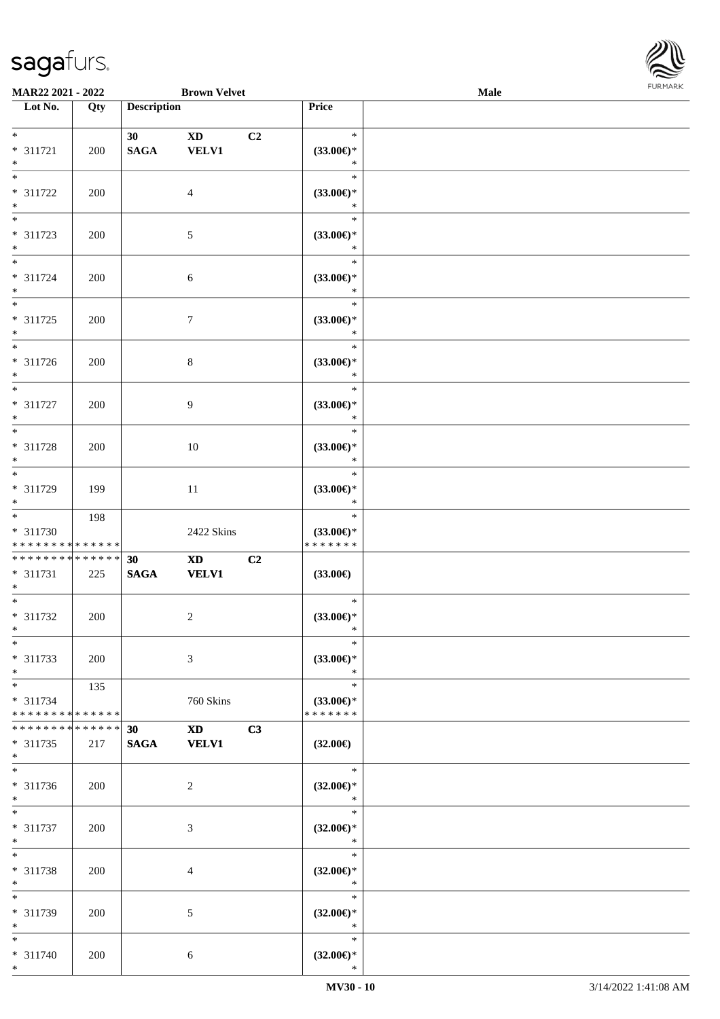

| MAR22 2021 - 2022                                |                    |                    | <b>Brown Velvet</b>                                                                                                                                                                                                                            |                |                                                | Male |  |
|--------------------------------------------------|--------------------|--------------------|------------------------------------------------------------------------------------------------------------------------------------------------------------------------------------------------------------------------------------------------|----------------|------------------------------------------------|------|--|
| Lot No.                                          | Qty                | <b>Description</b> |                                                                                                                                                                                                                                                |                | Price                                          |      |  |
| $*$<br>* 311721<br>$*$                           | 200                | 30<br><b>SAGA</b>  | <b>XD</b><br><b>VELV1</b>                                                                                                                                                                                                                      | C <sub>2</sub> | $\ast$<br>$(33.00\epsilon)$ *<br>$\ast$        |      |  |
| $*$<br>* 311722<br>$\ast$                        | 200                |                    | $\overline{4}$                                                                                                                                                                                                                                 |                | $\ast$<br>$(33.00\epsilon)$ *<br>$\ast$        |      |  |
| $\overline{\phantom{0}}$<br>* 311723<br>$*$      | 200                |                    | $5\phantom{.0}$                                                                                                                                                                                                                                |                | $\ast$<br>$(33.00\epsilon)$ *<br>$\ast$        |      |  |
| $*$<br>$* 311724$<br>$*$                         | 200                |                    | 6                                                                                                                                                                                                                                              |                | $\ast$<br>$(33.00\epsilon)$ *<br>$\ast$        |      |  |
| $*$<br>* 311725<br>$*$                           | 200                |                    | $\tau$                                                                                                                                                                                                                                         |                | $\ast$<br>$(33.00\epsilon)$ *<br>$\ast$        |      |  |
| $\overline{\ast}$<br>$* 311726$<br>$*$           | 200                |                    | $\,8\,$                                                                                                                                                                                                                                        |                | $\ast$<br>$(33.00\epsilon)$ *<br>$\ast$        |      |  |
| $*$<br>$* 311727$<br>$*$                         | 200                |                    | 9                                                                                                                                                                                                                                              |                | $\ast$<br>$(33.00\epsilon)$ *<br>$\ast$        |      |  |
| $\overline{\phantom{0}}$<br>* 311728<br>$*$      | 200                |                    | 10                                                                                                                                                                                                                                             |                | $\ast$<br>$(33.00\epsilon)$ *<br>$\ast$        |      |  |
| $*$<br>* 311729<br>$*$                           | 199                |                    | 11                                                                                                                                                                                                                                             |                | $\ast$<br>$(33.00\epsilon)$ *<br>$\ast$        |      |  |
| $*$<br>$* 311730$<br>* * * * * * * * * * * * * * | 198                |                    | 2422 Skins                                                                                                                                                                                                                                     |                | $\ast$<br>$(33.00\epsilon)$ *<br>* * * * * * * |      |  |
| * * * * * * * * * * * * * *<br>* 311731<br>$*$   | 225                | 30<br><b>SAGA</b>  | $\mathbf{X}\mathbf{D}$<br><b>VELV1</b>                                                                                                                                                                                                         | C2             | $(33.00\epsilon)$                              |      |  |
| $*$<br>$* 311732$<br>$*$                         | 200                |                    | $\overline{2}$                                                                                                                                                                                                                                 |                | $\ast$<br>$(33.00\epsilon)$ *<br>$\ast$        |      |  |
| $\ast$<br>* 311733<br>$*$                        | 200                |                    | 3                                                                                                                                                                                                                                              |                | $\ast$<br>$(33.00\epsilon)$ *<br>$\ast$        |      |  |
| $*$<br>* 311734<br>* * * * * * * * * * * * * *   | 135                |                    | 760 Skins                                                                                                                                                                                                                                      |                | $\ast$<br>$(33.00\epsilon)$ *<br>* * * * * * * |      |  |
| * * * * * * * *<br>* 311735<br>$*$               | * * * * * *<br>217 | 30<br><b>SAGA</b>  | XD and the set of the set of the set of the set of the set of the set of the set of the set of the set of the set of the set of the set of the set of the set of the set of the set of the set of the set of the set of the se<br><b>VELV1</b> | C3             | $(32.00\epsilon)$                              |      |  |
| $\overline{\phantom{0}}$<br>* 311736<br>$*$      | 200                |                    | $\overline{2}$                                                                                                                                                                                                                                 |                | $\ast$<br>$(32.00\epsilon)$ *<br>$\ast$        |      |  |
| $*$<br>* 311737<br>$*$                           | 200                |                    | 3                                                                                                                                                                                                                                              |                | $\ast$<br>$(32.00\epsilon)$ *<br>$\ast$        |      |  |
| $*$<br>* 311738<br>$*$                           | 200                |                    | 4                                                                                                                                                                                                                                              |                | $\ast$<br>$(32.00\epsilon)$ *<br>$\ast$        |      |  |
| $*$<br>* 311739<br>$*$                           | 200                |                    | 5                                                                                                                                                                                                                                              |                | $\ast$<br>$(32.00\epsilon)$ *<br>$\ast$        |      |  |
| $*$<br>* 311740<br>$*$                           | 200                |                    | 6                                                                                                                                                                                                                                              |                | $\ast$<br>$(32.00\epsilon)$ *<br>$\ast$        |      |  |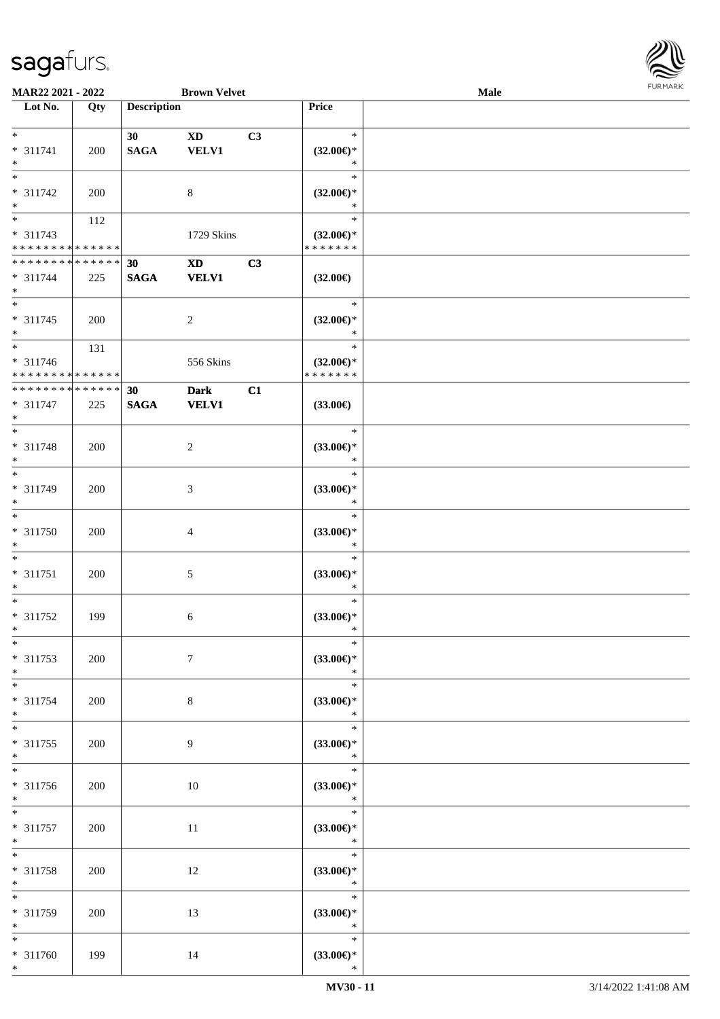

| MAR22 2021 - 2022               |     |                    | <b>Brown Velvet</b>    |    |                               | Male |  |
|---------------------------------|-----|--------------------|------------------------|----|-------------------------------|------|--|
| Lot No.                         | Qty | <b>Description</b> |                        |    | Price                         |      |  |
|                                 |     |                    |                        |    |                               |      |  |
| $\ast$                          |     | 30                 | <b>XD</b>              | C3 | $\ast$                        |      |  |
| $* 311741$                      | 200 | <b>SAGA</b>        | <b>VELV1</b>           |    | $(32.00\epsilon)$ *           |      |  |
| $\ast$                          |     |                    |                        |    | $\ast$                        |      |  |
| $\overline{\phantom{0}}$        |     |                    |                        |    | $\ast$                        |      |  |
| * 311742                        | 200 |                    | $\,8\,$                |    | $(32.00\epsilon)$ *           |      |  |
| $\ast$                          |     |                    |                        |    | $\ast$                        |      |  |
| $\overline{\phantom{0}}$        | 112 |                    |                        |    | $\ast$                        |      |  |
| $* 311743$                      |     |                    | 1729 Skins             |    | $(32.00\epsilon)$ *           |      |  |
| * * * * * * * * * * * * * *     |     |                    |                        |    | * * * * * * *                 |      |  |
| **************                  |     | 30                 | $\mathbf{X}\mathbf{D}$ | C3 |                               |      |  |
| $* 311744$                      | 225 | $\mathbf{SAGA}$    | <b>VELV1</b>           |    | $(32.00\in)$                  |      |  |
| $\ast$                          |     |                    |                        |    |                               |      |  |
| $\ast$                          |     |                    |                        |    | $\ast$                        |      |  |
| $* 311745$                      | 200 |                    | $\overline{c}$         |    | $(32.00\epsilon)$ *           |      |  |
| $\ast$                          |     |                    |                        |    | $\ast$                        |      |  |
| $\overline{\phantom{0}}$        | 131 |                    |                        |    | $\ast$                        |      |  |
| $* 311746$                      |     |                    | 556 Skins              |    | $(32.00\epsilon)$ *           |      |  |
| * * * * * * * * * * * * * *     |     |                    |                        |    | * * * * * * *                 |      |  |
| ******** <mark>******</mark>    |     | 30                 | <b>Dark</b>            | C1 |                               |      |  |
| $* 311747$                      | 225 | <b>SAGA</b>        | <b>VELV1</b>           |    | $(33.00\epsilon)$             |      |  |
| $\ast$                          |     |                    |                        |    |                               |      |  |
| $\ast$                          |     |                    |                        |    | $\ast$                        |      |  |
| * 311748                        | 200 |                    | $\overline{c}$         |    | $(33.00\epsilon)$ *           |      |  |
| $\ast$                          |     |                    |                        |    | $\ast$                        |      |  |
| $\overline{\phantom{a}^*}$      |     |                    |                        |    | $\ast$                        |      |  |
| * 311749                        | 200 |                    | 3                      |    | $(33.00\epsilon)$ *           |      |  |
| $\ast$                          |     |                    |                        |    | $\ast$                        |      |  |
| $\overline{\phantom{1}}$        |     |                    |                        |    | $\ast$                        |      |  |
| * 311750                        |     |                    |                        |    |                               |      |  |
| $\ast$                          | 200 |                    | $\overline{4}$         |    | $(33.00\epsilon)$ *<br>$\ast$ |      |  |
| $\ast$                          |     |                    |                        |    | $\ast$                        |      |  |
| $* 311751$                      |     |                    |                        |    |                               |      |  |
| $\ast$                          | 200 |                    | $5\,$                  |    | $(33.00\epsilon)$ *<br>$\ast$ |      |  |
| $\ast$                          |     |                    |                        |    | $\ast$                        |      |  |
|                                 |     |                    |                        |    |                               |      |  |
| $* 311752$<br>$*$               | 199 |                    | 6                      |    | $(33.00\epsilon)$ *<br>$\ast$ |      |  |
| $*$                             |     |                    |                        |    | $\ast$                        |      |  |
|                                 |     |                    |                        |    |                               |      |  |
| * 311753                        | 200 |                    | $\tau$                 |    | $(33.00\epsilon)$ *           |      |  |
| $\ast$<br>$*$                   |     |                    |                        |    | $\ast$<br>$\ast$              |      |  |
|                                 |     |                    |                        |    |                               |      |  |
| $* 311754$                      | 200 |                    | 8                      |    | $(33.00\epsilon)$ *           |      |  |
| $\ast$                          |     |                    |                        |    | $\ast$                        |      |  |
| $\ast$                          |     |                    |                        |    | $\ast$                        |      |  |
| $* 311755$                      | 200 |                    | 9                      |    | $(33.00\epsilon)$ *           |      |  |
| $*$<br>$\overline{\phantom{1}}$ |     |                    |                        |    | $\ast$                        |      |  |
|                                 |     |                    |                        |    | $\ast$                        |      |  |
| * 311756                        | 200 |                    | $10\,$                 |    | $(33.00\in)^\ast$             |      |  |
| $*$                             |     |                    |                        |    | $\ast$<br>$\equiv$            |      |  |
| $*$                             |     |                    |                        |    | $\ast$                        |      |  |
| $* 311757$                      | 200 |                    | 11                     |    | $(33.00\in)^\ast$             |      |  |
| $\ast$                          |     |                    |                        |    | $\ast$                        |      |  |
| $\ast$                          |     |                    |                        |    | $\ast$                        |      |  |
| * 311758                        | 200 |                    | 12                     |    | $(33.00\epsilon)$ *           |      |  |
| $\ast$                          |     |                    |                        |    | $\ast$                        |      |  |
| $\ast$                          |     |                    |                        |    | $\ast$                        |      |  |
| * 311759                        | 200 |                    | 13                     |    | $(33.00\epsilon)$ *           |      |  |
| $*$                             |     |                    |                        |    | $\ast$                        |      |  |
| $*$                             |     |                    |                        |    | $\ast$                        |      |  |
| * 311760                        | 199 |                    | 14                     |    | $(33.00\epsilon)$ *           |      |  |
| $*$                             |     |                    |                        |    | $\ast$                        |      |  |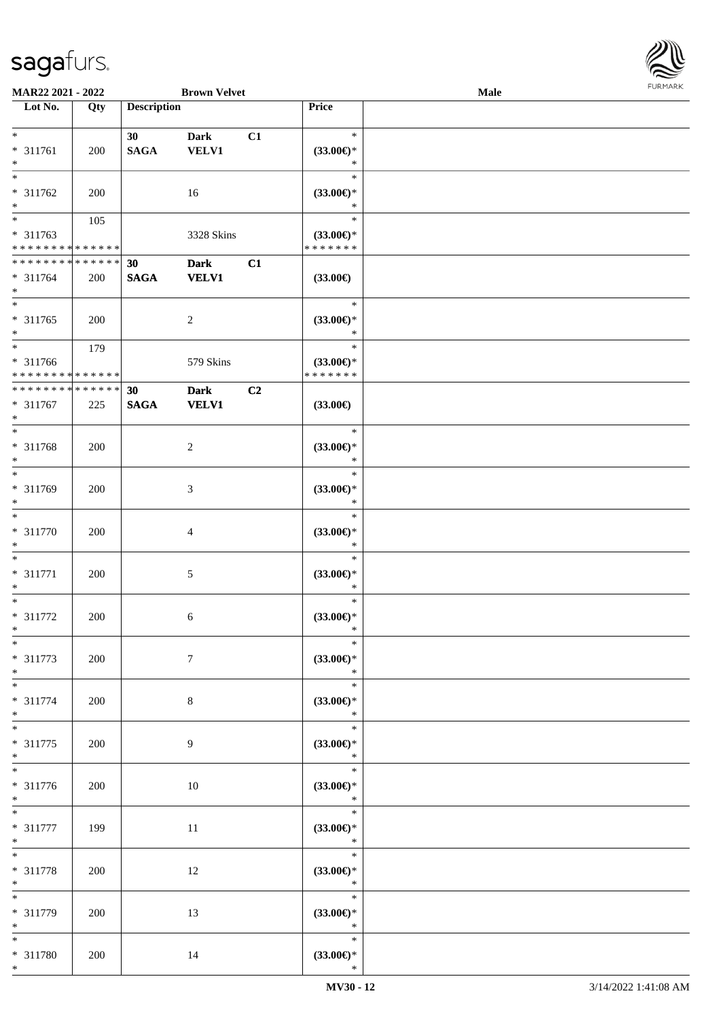

| MAR22 2021 - 2022             |     |                    | <b>Brown Velvet</b> |    |                               | Male |  |
|-------------------------------|-----|--------------------|---------------------|----|-------------------------------|------|--|
| Lot No.                       | Qty | <b>Description</b> |                     |    | <b>Price</b>                  |      |  |
|                               |     |                    |                     |    |                               |      |  |
| $\ast$                        |     | 30                 | <b>Dark</b>         | C1 | $\ast$                        |      |  |
| * 311761                      | 200 | <b>SAGA</b>        | <b>VELV1</b>        |    | $(33.00\epsilon)$ *           |      |  |
| $\ast$                        |     |                    |                     |    | $\ast$                        |      |  |
| $\ast$                        |     |                    |                     |    | $\ast$                        |      |  |
| * 311762                      | 200 |                    | 16                  |    | $(33.00\epsilon)$ *           |      |  |
| $\ast$                        |     |                    |                     |    | $\ast$                        |      |  |
| $\overline{\phantom{0}}$      | 105 |                    |                     |    | $\ast$                        |      |  |
| * 311763                      |     |                    | 3328 Skins          |    | $(33.00\epsilon)$ *           |      |  |
| * * * * * * * * * * * * * *   |     |                    |                     |    | * * * * * * *                 |      |  |
| ******** <mark>*****</mark> * |     | 30                 | <b>Dark</b>         | C1 |                               |      |  |
| $* 311764$                    | 200 | $\mathbf{SAGA}$    | <b>VELV1</b>        |    | $(33.00\in)$                  |      |  |
| $\ast$                        |     |                    |                     |    |                               |      |  |
| $\ast$                        |     |                    |                     |    | $\ast$                        |      |  |
| $* 311765$                    | 200 |                    | $\overline{c}$      |    | $(33.00\epsilon)$ *           |      |  |
| $\ast$                        |     |                    |                     |    | $\ast$                        |      |  |
| $\overline{\phantom{a}^*}$    | 179 |                    |                     |    | $\ast$                        |      |  |
| * 311766                      |     |                    | 579 Skins           |    | $(33.00\epsilon)$ *           |      |  |
| * * * * * * * * * * * * * *   |     |                    |                     |    | * * * * * * *                 |      |  |
| ******** <mark>******</mark>  |     | 30                 | <b>Dark</b>         | C2 |                               |      |  |
| $* 311767$                    | 225 | <b>SAGA</b>        | <b>VELV1</b>        |    | $(33.00\epsilon)$             |      |  |
| $\ast$                        |     |                    |                     |    |                               |      |  |
| $\ast$                        |     |                    |                     |    | $\ast$                        |      |  |
| * 311768                      | 200 |                    | $\overline{c}$      |    | $(33.00\epsilon)$ *           |      |  |
| $\ast$                        |     |                    |                     |    | $\ast$                        |      |  |
| $\ast$                        |     |                    |                     |    | $\ast$                        |      |  |
| * 311769                      | 200 |                    | 3                   |    | $(33.00\epsilon)$ *           |      |  |
| $\ast$<br>$\ast$              |     |                    |                     |    | $\ast$<br>$\ast$              |      |  |
|                               |     |                    |                     |    |                               |      |  |
| $* 311770$<br>$\ast$          | 200 |                    | $\overline{4}$      |    | $(33.00\epsilon)$ *<br>$\ast$ |      |  |
| $\ast$                        |     |                    |                     |    | $\ast$                        |      |  |
| $* 311771$                    | 200 |                    | $5\,$               |    | $(33.00\epsilon)$ *           |      |  |
| $\ast$                        |     |                    |                     |    | $\ast$                        |      |  |
| $\ast$                        |     |                    |                     |    | $\ast$                        |      |  |
| $* 311772$                    | 200 |                    | 6                   |    | $(33.00\epsilon)$ *           |      |  |
| $*$                           |     |                    |                     |    | $\ast$                        |      |  |
| $*$                           |     |                    |                     |    | $\ast$                        |      |  |
| $* 311773$                    | 200 |                    | $\tau$              |    | $(33.00\epsilon)$ *           |      |  |
| $\ast$                        |     |                    |                     |    | $\ast$                        |      |  |
| $*$                           |     |                    |                     |    | $\ast$                        |      |  |
| $* 311774$                    | 200 |                    | 8                   |    | $(33.00\epsilon)$ *           |      |  |
| $\ast$                        |     |                    |                     |    | $\ast$                        |      |  |
| $\ast$                        |     |                    |                     |    | $\ast$                        |      |  |
| $* 311775$                    | 200 |                    | 9                   |    | $(33.00\epsilon)$ *           |      |  |
| $*$                           |     |                    |                     |    | $\ast$                        |      |  |
| $\overline{\phantom{1}}$      |     |                    |                     |    | $\ast$                        |      |  |
| $* 311776$                    | 200 |                    | $10\,$              |    | $(33.00\in)\!\!^*$            |      |  |
| $*$                           |     |                    |                     |    | $\ast$                        |      |  |
| $\ast$                        |     |                    |                     |    | $\ast$                        |      |  |
| $* 311777$                    | 199 |                    | 11                  |    | $(33.00\in)^\ast$             |      |  |
| $\ast$                        |     |                    |                     |    | $\ast$                        |      |  |
| $\ast$                        |     |                    |                     |    | $\ast$                        |      |  |
| * 311778                      | 200 |                    | 12                  |    | $(33.00\epsilon)$ *           |      |  |
| $\ast$                        |     |                    |                     |    | $\ast$                        |      |  |
| $\ast$                        |     |                    |                     |    | $\ast$                        |      |  |
| * 311779                      | 200 |                    | 13                  |    | $(33.00\epsilon)$ *           |      |  |
| $\ast$                        |     |                    |                     |    | $\ast$                        |      |  |
| $*$                           |     |                    |                     |    | $\ast$                        |      |  |
| * 311780                      | 200 |                    | 14                  |    | $(33.00\epsilon)$ *           |      |  |
| $*$                           |     |                    |                     |    | $\ast$                        |      |  |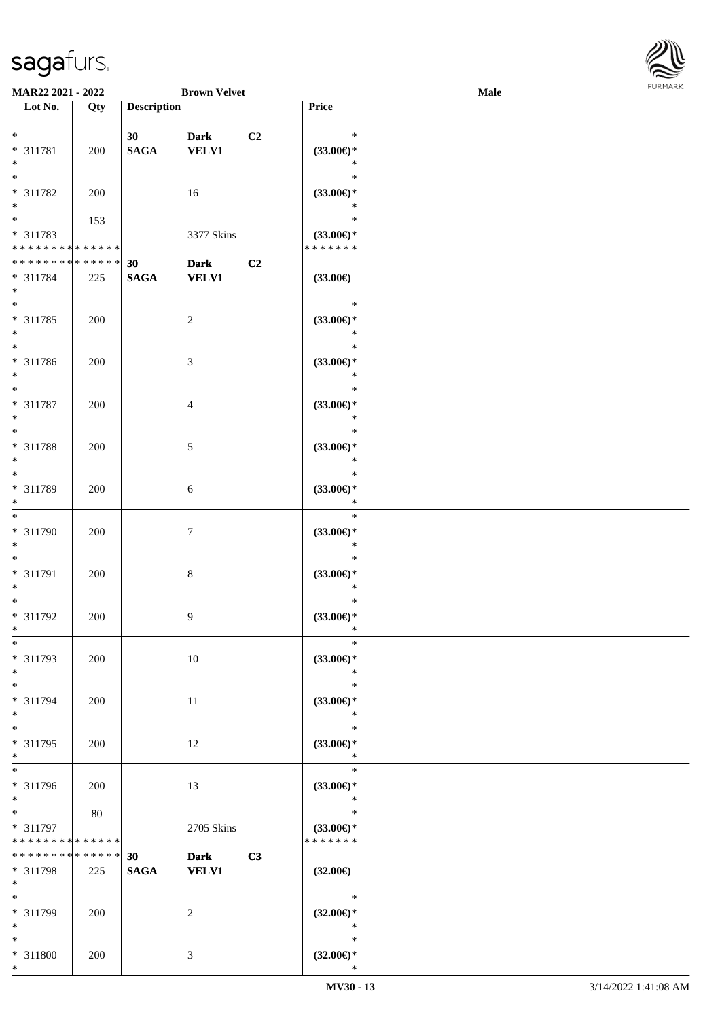

| MAR22 2021 - 2022                       |     |                    | <b>Brown Velvet</b> |    |                                      | <b>Male</b> |  |
|-----------------------------------------|-----|--------------------|---------------------|----|--------------------------------------|-------------|--|
| Lot No.                                 | Qty | <b>Description</b> |                     |    | Price                                |             |  |
|                                         |     |                    |                     |    |                                      |             |  |
| $*$                                     |     | 30                 | <b>Dark</b>         | C2 | $\ast$                               |             |  |
| * 311781                                | 200 | <b>SAGA</b>        | <b>VELV1</b>        |    | $(33.00\epsilon)$ *                  |             |  |
| $\ast$                                  |     |                    |                     |    | $\ast$                               |             |  |
| $\ast$                                  |     |                    |                     |    | $\ast$                               |             |  |
| * 311782                                | 200 |                    | 16                  |    | $(33.00\epsilon)$ *                  |             |  |
| $\ast$                                  |     |                    |                     |    | $\ast$                               |             |  |
| $\overline{\phantom{0}}$                | 153 |                    |                     |    | $\ast$                               |             |  |
| * 311783                                |     |                    | 3377 Skins          |    | $(33.00\epsilon)$ *                  |             |  |
| * * * * * * * * * * * * * *             |     |                    |                     |    | * * * * * * *                        |             |  |
| * * * * * * * * * * * * * *             |     | 30                 | <b>Dark</b>         | C2 |                                      |             |  |
| * 311784                                | 225 | <b>SAGA</b>        | <b>VELV1</b>        |    | $(33.00\epsilon)$                    |             |  |
| $*$                                     |     |                    |                     |    |                                      |             |  |
| $*$                                     |     |                    |                     |    | $\ast$                               |             |  |
| $* 311785$                              | 200 |                    | $\sqrt{2}$          |    | (33.00)                              |             |  |
| $\ast$                                  |     |                    |                     |    | $\ast$                               |             |  |
| $\ast$                                  |     |                    |                     |    | $\ast$                               |             |  |
|                                         |     |                    |                     |    |                                      |             |  |
| $* 311786$<br>$\ast$                    | 200 |                    | $\mathfrak{Z}$      |    | $(33.00\epsilon)$ *<br>$\ast$        |             |  |
| $\ast$                                  |     |                    |                     |    | $\ast$                               |             |  |
|                                         |     |                    |                     |    |                                      |             |  |
| $* 311787$                              | 200 |                    | $\overline{4}$      |    | $(33.00\epsilon)$ *                  |             |  |
| $\ast$                                  |     |                    |                     |    | $\ast$                               |             |  |
| $*$                                     |     |                    |                     |    | $\ast$                               |             |  |
| * 311788                                | 200 |                    | $5\,$               |    | $(33.00\epsilon)$ *                  |             |  |
| $\ast$                                  |     |                    |                     |    | $\ast$                               |             |  |
| $\ast$                                  |     |                    |                     |    | $\ast$                               |             |  |
| * 311789                                | 200 |                    | 6                   |    | $(33.00\epsilon)$ *                  |             |  |
| $*$                                     |     |                    |                     |    | $\ast$                               |             |  |
| $\overline{\ast}$                       |     |                    |                     |    | $\ast$                               |             |  |
| $* 311790$                              | 200 |                    | $\tau$              |    | $(33.00\epsilon)$ *                  |             |  |
| $*$                                     |     |                    |                     |    | $\ast$                               |             |  |
| $*$                                     |     |                    |                     |    | $\ast$                               |             |  |
| $* 311791$                              | 200 |                    | $\,8\,$             |    | $(33.00\epsilon)$ *                  |             |  |
| $*$                                     |     |                    |                     |    | $\ast$                               |             |  |
| $*$                                     |     |                    |                     |    | $\ast$                               |             |  |
| $* 311792$                              | 200 |                    | 9                   |    | $(33.00\epsilon)$ *                  |             |  |
| $*$                                     |     |                    |                     |    | $\ast$                               |             |  |
| $\ast$                                  |     |                    |                     |    | $\ast$                               |             |  |
| * 311793                                | 200 |                    | 10                  |    | (33.00)                              |             |  |
| $\ast$                                  |     |                    |                     |    | $\ast$                               |             |  |
| $*$                                     |     |                    |                     |    | $\ast$                               |             |  |
| * 311794                                | 200 |                    | 11                  |    | $(33.00\epsilon)$ *                  |             |  |
| $*$                                     |     |                    |                     |    | $\ast$                               |             |  |
| $\ast$                                  |     |                    |                     |    | $\ast$                               |             |  |
| * 311795                                | 200 |                    | 12                  |    | $(33.00\epsilon)$ *                  |             |  |
| $*$                                     |     |                    |                     |    | $\ast$                               |             |  |
| $\overline{\phantom{a}^*}$              |     |                    |                     |    | $\ast$                               |             |  |
| * 311796                                | 200 |                    | 13                  |    | $(33.00\epsilon)$ *                  |             |  |
| $*$                                     |     |                    |                     |    | $\ast$                               |             |  |
| $\overline{\ast}$                       | 80  |                    |                     |    | $\ast$                               |             |  |
|                                         |     |                    |                     |    |                                      |             |  |
| * 311797<br>* * * * * * * * * * * * * * |     |                    | 2705 Skins          |    | $(33.00\epsilon)$ *<br>* * * * * * * |             |  |
| * * * * * * * * * * * * * *             |     |                    |                     |    |                                      |             |  |
|                                         |     | 30                 | <b>Dark</b>         | C3 |                                      |             |  |
| * 311798<br>$*$                         | 225 | <b>SAGA</b>        | <b>VELV1</b>        |    | $(32.00\epsilon)$                    |             |  |
| $*$                                     |     |                    |                     |    | $\ast$                               |             |  |
|                                         |     |                    |                     |    |                                      |             |  |
| * 311799                                | 200 |                    | 2                   |    | $(32.00\epsilon)$ *                  |             |  |
| $*$                                     |     |                    |                     |    | $\ast$                               |             |  |
| $*$                                     |     |                    |                     |    | $\ast$                               |             |  |
| * 311800                                | 200 |                    | 3                   |    | $(32.00\epsilon)$ *                  |             |  |
| $*$                                     |     |                    |                     |    | $\ast$                               |             |  |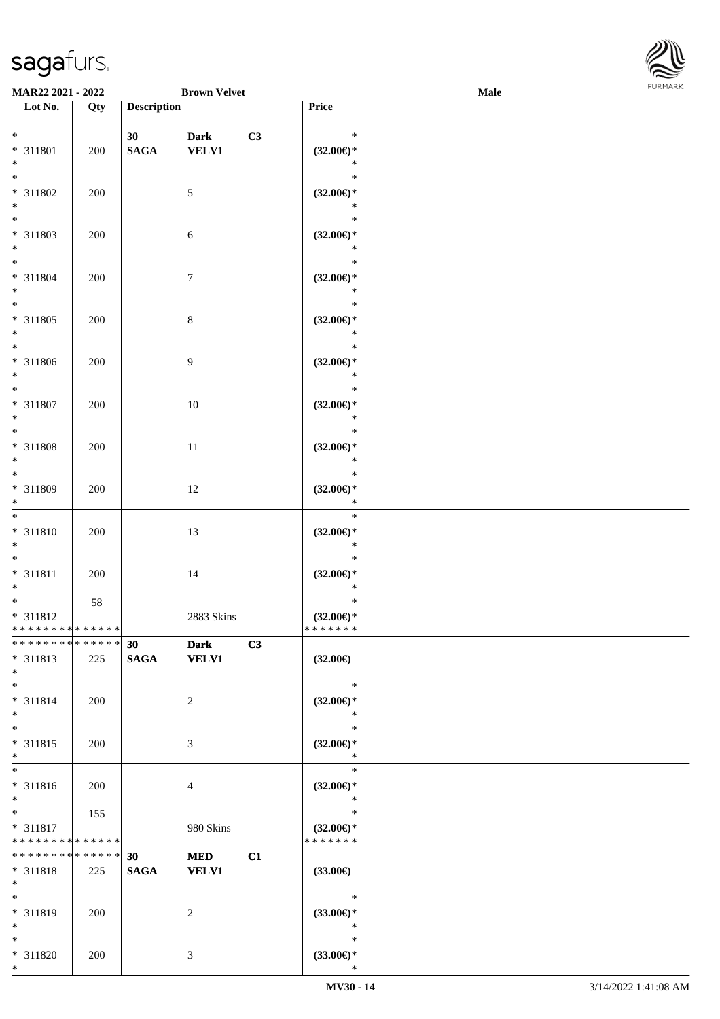

| MAR22 2021 - 2022                                      |                    |                    | <b>Brown Velvet</b>         |                                      | Male             |  |
|--------------------------------------------------------|--------------------|--------------------|-----------------------------|--------------------------------------|------------------|--|
| Lot No.                                                | Qty                | <b>Description</b> |                             | Price                                |                  |  |
| $*$<br>* 311801<br>$*$                                 | 200                | 30<br><b>SAGA</b>  | <b>Dark</b><br><b>VELV1</b> | C3<br>$(32.00\epsilon)$ *            | $\ast$<br>$\ast$ |  |
| $*$<br>* 311802<br>$\ast$                              | 200                |                    | $5\phantom{.0}$             | $(32.00\epsilon)$ *                  | $\ast$<br>$\ast$ |  |
| $\overline{\phantom{0}}$<br>* 311803<br>$*$            | 200                |                    | $\sqrt{6}$                  | $(32.00\epsilon)$ *                  | $\ast$<br>$\ast$ |  |
| $*$<br>$* 311804$<br>$*$                               | 200                |                    | $\tau$                      | $(32.00\epsilon)$ *                  | $\ast$<br>$\ast$ |  |
| $*$<br>* 311805<br>$*$                                 | 200                |                    | $\,8\,$                     | $(32.00\epsilon)$ *                  | $\ast$<br>$\ast$ |  |
| $*$<br>* 311806<br>$*$                                 | 200                |                    | 9                           | $(32.00\epsilon)$ *                  | $\ast$<br>$\ast$ |  |
| $*$<br>$* 311807$<br>$*$                               | 200                |                    | 10                          | $(32.00\epsilon)$ *                  | $\ast$<br>$\ast$ |  |
| * 311808<br>$*$                                        | 200                |                    | 11                          | $(32.00\epsilon)$ *                  | $\ast$<br>$\ast$ |  |
| $*$<br>* 311809<br>$*$                                 | 200                |                    | 12                          | $(32.00\epsilon)$ *                  | $\ast$<br>$\ast$ |  |
| $*$<br>$* 311810$<br>$*$                               | 200                |                    | 13                          | $(32.00\epsilon)$ *                  | $\ast$<br>$\ast$ |  |
| $*$<br>$* 311811$<br>$*$                               | 200                |                    | 14                          | $(32.00\epsilon)$ *                  | $\ast$<br>$\ast$ |  |
| * 311812<br>* * * * * * * * * * * * * *                | 58                 |                    | 2883 Skins                  | $(32.00\epsilon)$ *<br>* * * * * * * | $\ast$           |  |
| * * * * * * * * * * * * * * *<br>* 311813<br>$*$       | 225                | 30<br><b>SAGA</b>  | <b>Dark</b><br><b>VELV1</b> | C3<br>$(32.00\epsilon)$              |                  |  |
| $*$<br>* 311814<br>$*$                                 | 200                |                    | $\overline{2}$              | $(32.00\epsilon)$ *                  | $\ast$<br>$\ast$ |  |
| $*$<br>* 311815<br>$*$                                 | 200                |                    | 3                           | $(32.00\epsilon)$ *                  | $\ast$<br>$\ast$ |  |
| $\overline{\ast}$<br>$* 311816$<br>$*$                 | 200                |                    | $\overline{4}$              | $(32.00\epsilon)$ *                  | $\ast$<br>$\ast$ |  |
| $*$ and $*$<br>* 311817<br>* * * * * * * * * * * * * * | 155                |                    | 980 Skins                   | $(32.00\epsilon)$ *<br>* * * * * * * | $\ast$           |  |
| * * * * * * * *<br>* 311818<br>$*$                     | * * * * * *<br>225 | 30<br><b>SAGA</b>  | <b>MED</b><br><b>VELV1</b>  | C1<br>$(33.00\epsilon)$              |                  |  |
| $*$<br>* 311819<br>$*$                                 | 200                |                    | $\overline{2}$              | $(33.00\epsilon)$ *                  | $\ast$<br>$\ast$ |  |
| $*$<br>* 311820<br>$*$                                 | 200                |                    | 3                           | $(33.00\epsilon)$ *                  | $\ast$<br>$\ast$ |  |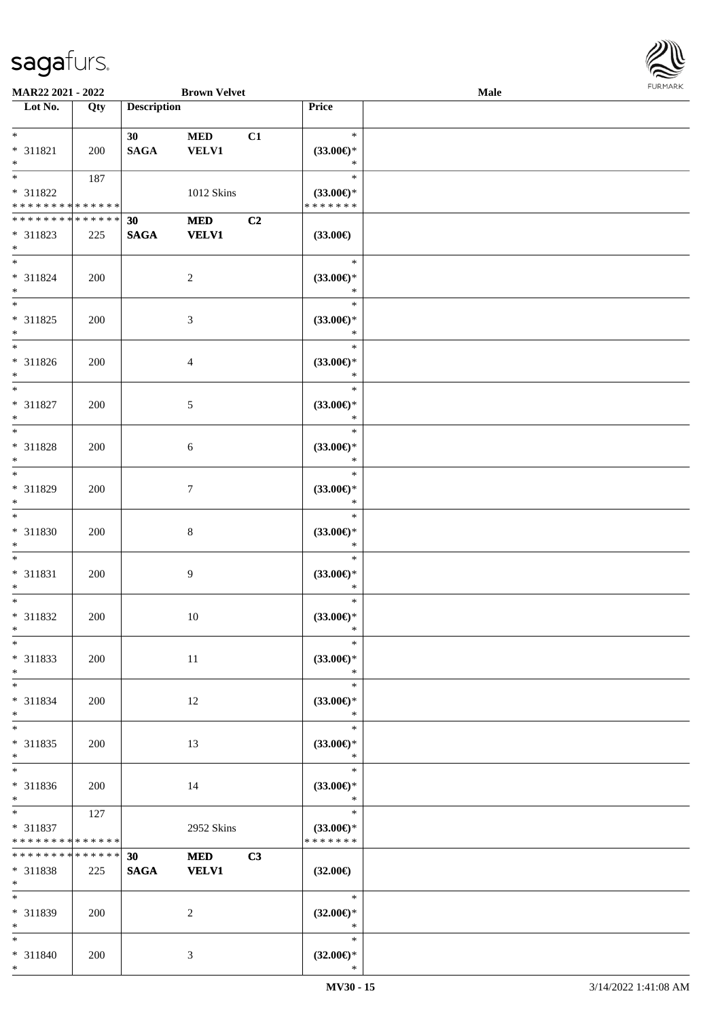

| MAR22 2021 - 2022                                          |             |                    | <b>Brown Velvet</b>        |    |                                                   | Male |  |
|------------------------------------------------------------|-------------|--------------------|----------------------------|----|---------------------------------------------------|------|--|
| Lot No.                                                    | Qty         | <b>Description</b> |                            |    | Price                                             |      |  |
| $*$<br>* 311821<br>$*$                                     | 200         | 30<br><b>SAGA</b>  | <b>MED</b><br><b>VELV1</b> | C1 | $\ast$<br>$(33.00\epsilon)$ *<br>$\ast$           |      |  |
| * 311822<br>* * * * * * * * * * * * * *                    | 187         |                    | 1012 Skins                 |    | $\ast$<br>$(33.00\epsilon)$ *<br>* * * * * * *    |      |  |
| * * * * * * * * * * * * * *<br>* 311823<br>$*$             | 225         | 30<br><b>SAGA</b>  | <b>MED</b><br><b>VELV1</b> | C2 | $(33.00\in)$                                      |      |  |
| $*$<br>$* 311824$<br>$*$                                   | 200         |                    | $\overline{c}$             |    | $\ast$<br>$(33.00\epsilon)$ *<br>$\ast$           |      |  |
| $*$<br>$* 311825$<br>$*$<br>$*$                            | 200         |                    | $\mathfrak{Z}$             |    | $\ast$<br>$(33.00\epsilon)$ *<br>$\ast$           |      |  |
| $* 311826$<br>$*$<br>$*$                                   | 200         |                    | 4                          |    | $\ast$<br>$(33.00\epsilon)$ *<br>$\ast$<br>$\ast$ |      |  |
| $* 311827$<br>$*$<br>$\overline{\ast}$                     | 200         |                    | 5                          |    | $(33.00\epsilon)$ *<br>$\ast$<br>$\ast$           |      |  |
| $* 311828$<br>$*$<br>$*$                                   | 200         |                    | 6                          |    | $(33.00\epsilon)$ *<br>$\ast$<br>$\ast$           |      |  |
| * 311829<br>$*$<br>$*$                                     | 200         |                    | 7                          |    | $(33.00\epsilon)$ *<br>$\ast$<br>$\ast$           |      |  |
| * 311830<br>$*$<br>$*$                                     | 200         |                    | $\,8\,$                    |    | $(33.00\epsilon)$ *<br>$\ast$<br>$\ast$           |      |  |
| * 311831<br>$*$<br>$*$                                     | 200         |                    | 9                          |    | $(33.00\epsilon)$ *<br>$\ast$<br>$\ast$           |      |  |
| $* 311832$<br>$*$<br>$*$                                   | 200         |                    | $10\,$                     |    | $(33.00\epsilon)$ *<br>$\ast$<br>$\ast$           |      |  |
| * 311833<br>$*$<br>$*$                                     | 200         |                    | 11                         |    | $(33.00\epsilon)$ *<br>$\ast$<br>$\ast$           |      |  |
| * 311834<br>$*$<br>$*$                                     | 200         |                    | 12                         |    | $(33.00\epsilon)$ *<br>$\ast$<br>$\ast$           |      |  |
| * 311835<br>$*$<br>$\overline{\ast}$                       | 200         |                    | 13                         |    | $(33.00\epsilon)$ *<br>$\ast$<br>$\ast$           |      |  |
| * 311836<br>$*$<br>$*$ and $*$                             | 200<br>127  |                    | 14                         |    | $(33.00\epsilon)$ *<br>$\ast$<br>$\ast$           |      |  |
| * 311837<br>* * * * * * * * * * * * * *<br>* * * * * * * * | * * * * * * | 30                 | 2952 Skins<br><b>MED</b>   | C3 | $(33.00\epsilon)$ *<br>* * * * * * *              |      |  |
| * 311838<br>$*$<br>$*$                                     | 225         | <b>SAGA</b>        | <b>VELV1</b>               |    | $(32.00\epsilon)$<br>$\ast$                       |      |  |
| * 311839<br>$*$<br>$*$                                     | 200         |                    | $\overline{2}$             |    | $(32.00\epsilon)$ *<br>$\ast$<br>$\ast$           |      |  |
| * 311840<br>$*$                                            | 200         |                    | 3                          |    | $(32.00\epsilon)$ *<br>$\ast$                     |      |  |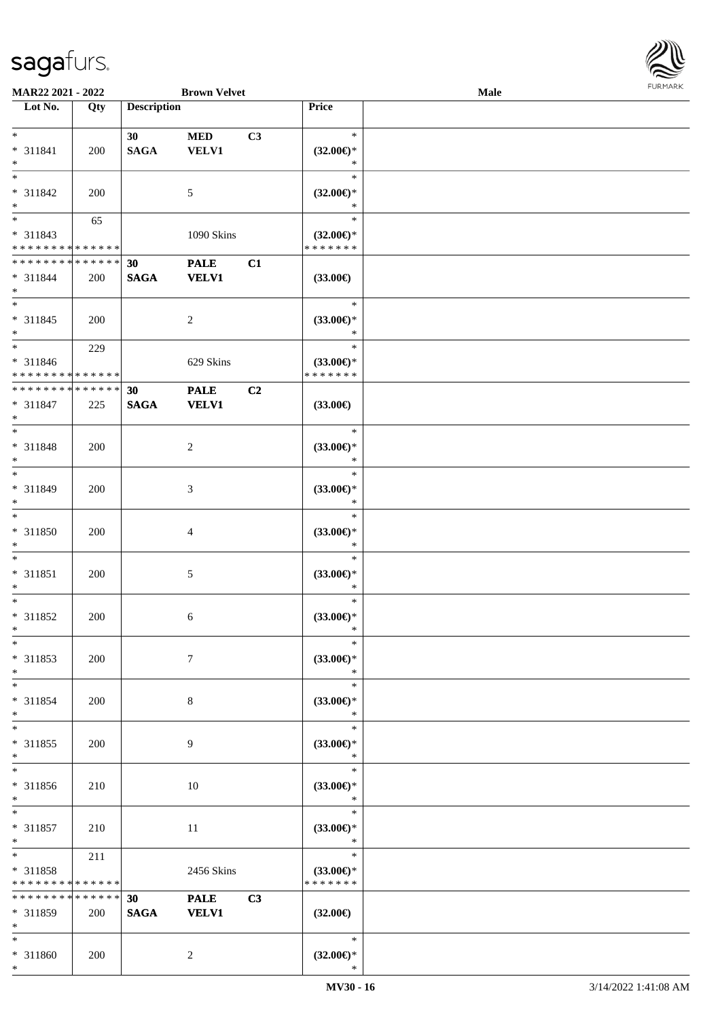

| MAR22 2021 - 2022                  |     |                    | <b>Brown Velvet</b> |    |                     | Male |  |
|------------------------------------|-----|--------------------|---------------------|----|---------------------|------|--|
| Lot No.                            | Qty | <b>Description</b> |                     |    | Price               |      |  |
|                                    |     |                    |                     |    |                     |      |  |
| $\ast$                             |     | 30                 | $\bf MED$           | C3 | $\ast$              |      |  |
| * 311841                           | 200 | <b>SAGA</b>        | <b>VELV1</b>        |    | $(32.00\epsilon)$ * |      |  |
| $\ast$                             |     |                    |                     |    | $\ast$              |      |  |
| $\overline{\ }$                    |     |                    |                     |    | $\ast$              |      |  |
| * 311842                           |     |                    |                     |    |                     |      |  |
|                                    | 200 |                    | 5                   |    | $(32.00\epsilon)$ * |      |  |
| $\ast$<br>$\overline{\phantom{0}}$ |     |                    |                     |    | $\ast$              |      |  |
|                                    | 65  |                    |                     |    | $\ast$              |      |  |
| * 311843                           |     |                    | 1090 Skins          |    | $(32.00\epsilon)$ * |      |  |
| * * * * * * * * * * * * * *        |     |                    |                     |    | * * * * * * *       |      |  |
| **************                     |     | 30                 | <b>PALE</b>         | C1 |                     |      |  |
| * 311844                           | 200 | $\mathbf{SAGA}$    | <b>VELV1</b>        |    | $(33.00\epsilon)$   |      |  |
| $\ast$                             |     |                    |                     |    |                     |      |  |
| $\ast$                             |     |                    |                     |    | $\ast$              |      |  |
| $* 311845$                         | 200 |                    | $\overline{c}$      |    | $(33.00\epsilon)$ * |      |  |
| $\ast$                             |     |                    |                     |    | $\ast$              |      |  |
| $\overline{\phantom{1}}$           |     |                    |                     |    | $\ast$              |      |  |
|                                    | 229 |                    |                     |    |                     |      |  |
| * 311846                           |     |                    | 629 Skins           |    | $(33.00\epsilon)$ * |      |  |
| * * * * * * * * * * * * * *        |     |                    |                     |    | * * * * * * *       |      |  |
| ******** <mark>******</mark>       |     | 30                 | <b>PALE</b>         | C2 |                     |      |  |
| $* 311847$                         | 225 | <b>SAGA</b>        | <b>VELV1</b>        |    | $(33.00\epsilon)$   |      |  |
| $\ast$                             |     |                    |                     |    |                     |      |  |
| $\ast$                             |     |                    |                     |    | $\ast$              |      |  |
| * 311848                           | 200 |                    | $\overline{c}$      |    | $(33.00\epsilon)$ * |      |  |
| $\ast$                             |     |                    |                     |    | $\ast$              |      |  |
| $\ast$                             |     |                    |                     |    | $\ast$              |      |  |
|                                    |     |                    |                     |    |                     |      |  |
| * 311849                           | 200 |                    | 3                   |    | $(33.00\epsilon)$ * |      |  |
| $\ast$                             |     |                    |                     |    | $\ast$              |      |  |
| $\overline{\ast}$                  |     |                    |                     |    | $\ast$              |      |  |
| * 311850                           | 200 |                    | $\overline{4}$      |    | $(33.00\epsilon)$ * |      |  |
| $\ast$                             |     |                    |                     |    | $\ast$              |      |  |
| $\ast$                             |     |                    |                     |    | $\ast$              |      |  |
| $* 311851$                         | 200 |                    | $\mathfrak{S}$      |    | $(33.00\epsilon)$ * |      |  |
| $\ast$                             |     |                    |                     |    | $\ast$              |      |  |
| $\ast$                             |     |                    |                     |    | $\ast$              |      |  |
|                                    |     |                    |                     |    |                     |      |  |
| * 311852                           | 200 |                    | 6                   |    | $(33.00\epsilon)$ * |      |  |
| $*$                                |     |                    |                     |    | $\ast$              |      |  |
| $\ast$                             |     |                    |                     |    | $\ast$              |      |  |
| $* 311853$                         | 200 |                    | $\tau$              |    | (33.00)             |      |  |
| $\ast$                             |     |                    |                     |    | $\ast$              |      |  |
| $\ast$                             |     |                    |                     |    | $\ast$              |      |  |
| $* 311854$                         | 200 |                    | 8                   |    | $(33.00\epsilon)$ * |      |  |
| $\ast$                             |     |                    |                     |    | $\ast$              |      |  |
| $\ast$                             |     |                    |                     |    | $\ast$              |      |  |
| $* 311855$                         |     |                    | 9                   |    |                     |      |  |
|                                    | 200 |                    |                     |    | $(33.00\epsilon)$ * |      |  |
| $\ast$<br>$\overline{\phantom{1}}$ |     |                    |                     |    | $\ast$              |      |  |
|                                    |     |                    |                     |    | $\ast$              |      |  |
| * 311856                           | 210 |                    | 10                  |    | $(33.00\epsilon)$ * |      |  |
| $*$                                |     |                    |                     |    | $\ast$              |      |  |
| $\ast$                             |     |                    |                     |    | $\ast$              |      |  |
| $* 311857$                         | 210 |                    | 11                  |    | $(33.00\epsilon)$ * |      |  |
| $\ast$                             |     |                    |                     |    | $\ast$              |      |  |
| $\ast$                             | 211 |                    |                     |    | $\ast$              |      |  |
| * 311858                           |     |                    | 2456 Skins          |    | $(33.00\epsilon)$ * |      |  |
| * * * * * * * * * * * * * *        |     |                    |                     |    | * * * * * * *       |      |  |
| ******** <mark>******</mark>       |     | 30                 |                     |    |                     |      |  |
|                                    |     |                    | <b>PALE</b>         | C3 |                     |      |  |
| * 311859                           | 200 | <b>SAGA</b>        | <b>VELV1</b>        |    | $(32.00\epsilon)$   |      |  |
| $\ast$                             |     |                    |                     |    |                     |      |  |
| $*$                                |     |                    |                     |    | $\ast$              |      |  |
| * 311860                           | 200 |                    | $\overline{2}$      |    | $(32.00\epsilon)$ * |      |  |
| $*$                                |     |                    |                     |    | $\ast$              |      |  |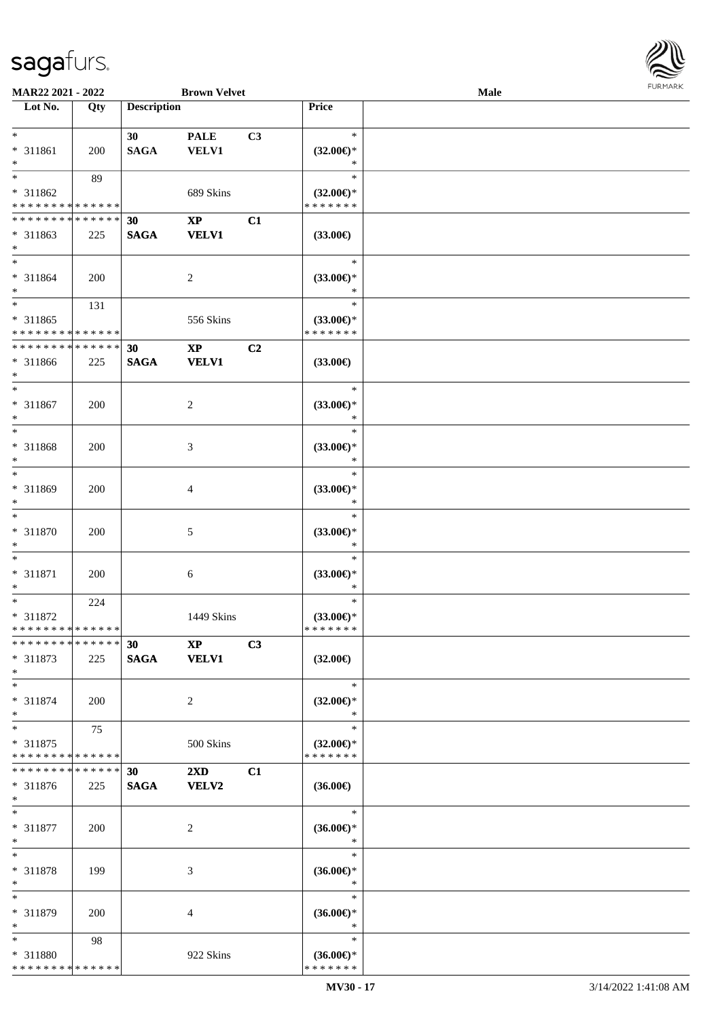

| MAR22 2021 - 2022             |             |                    | <b>Brown Velvet</b>     |    |                               | Male |  |
|-------------------------------|-------------|--------------------|-------------------------|----|-------------------------------|------|--|
| Lot No.                       | Qty         | <b>Description</b> |                         |    | Price                         |      |  |
|                               |             |                    |                         |    |                               |      |  |
| $*$                           |             | 30                 | <b>PALE</b>             | C3 | $\ast$                        |      |  |
| * 311861                      | 200         | <b>SAGA</b>        | <b>VELV1</b>            |    | $(32.00\epsilon)$ *           |      |  |
| $*$                           |             |                    |                         |    | $\ast$                        |      |  |
| $*$                           | 89          |                    |                         |    | $\ast$                        |      |  |
| * 311862                      |             |                    | 689 Skins               |    | $(32.00\epsilon)$ *           |      |  |
| * * * * * * * * * * * * * *   |             |                    |                         |    | * * * * * * *                 |      |  |
| * * * * * * * * * * * * * *   |             | 30                 | $\bold{XP}$             | C1 |                               |      |  |
| $* 311863$                    | 225         | <b>SAGA</b>        | <b>VELV1</b>            |    | $(33.00\epsilon)$             |      |  |
| $*$                           |             |                    |                         |    |                               |      |  |
| $*$                           |             |                    |                         |    | $\ast$                        |      |  |
|                               |             |                    |                         |    |                               |      |  |
| $* 311864$                    | 200         |                    | $\overline{c}$          |    | $(33.00\epsilon)$ *<br>$\ast$ |      |  |
| $*$                           |             |                    |                         |    | $\ast$                        |      |  |
| $*$                           | 131         |                    |                         |    |                               |      |  |
| $* 311865$                    |             |                    | 556 Skins               |    | $(33.00\epsilon)$ *           |      |  |
| * * * * * * * * * * * * * *   |             |                    |                         |    | * * * * * * *                 |      |  |
| * * * * * * * *               | * * * * * * | 30                 | $\mathbf{X}\mathbf{P}$  | C2 |                               |      |  |
| * 311866                      | 225         | <b>SAGA</b>        | <b>VELV1</b>            |    | $(33.00\epsilon)$             |      |  |
| $*$                           |             |                    |                         |    |                               |      |  |
| $*$                           |             |                    |                         |    | $\ast$                        |      |  |
| $* 311867$                    | 200         |                    | 2                       |    | $(33.00\epsilon)$ *           |      |  |
| $*$                           |             |                    |                         |    | $\ast$                        |      |  |
| $*$                           |             |                    |                         |    | $\ast$                        |      |  |
| * 311868                      | 200         |                    | 3                       |    | $(33.00\epsilon)$ *           |      |  |
| $*$                           |             |                    |                         |    | $\ast$                        |      |  |
| $*$                           |             |                    |                         |    | $\ast$                        |      |  |
| * 311869                      | 200         |                    | 4                       |    | $(33.00\epsilon)$ *           |      |  |
| $*$                           |             |                    |                         |    | $\ast$                        |      |  |
| $*$                           |             |                    |                         |    | $\ast$                        |      |  |
|                               |             |                    |                         |    |                               |      |  |
| $* 311870$<br>$*$             | 200         |                    | 5                       |    | $(33.00\epsilon)$ *<br>$\ast$ |      |  |
| $*$                           |             |                    |                         |    | $\ast$                        |      |  |
|                               |             |                    |                         |    |                               |      |  |
| $* 311871$                    | 200         |                    | 6                       |    | $(33.00\epsilon)$ *           |      |  |
| $*$                           |             |                    |                         |    | $\ast$                        |      |  |
| $*$                           | 224         |                    |                         |    | $\ast$                        |      |  |
| * 311872                      |             |                    | 1449 Skins              |    | $(33.00 \in )^*$              |      |  |
| * * * * * * * * * * * * * *   |             |                    |                         |    | * * * * * * *                 |      |  |
| * * * * * * * * * * * * * * * |             | 30                 | <b>XP</b>               | C3 |                               |      |  |
| * 311873                      | 225         | <b>SAGA</b>        | <b>VELV1</b>            |    | $(32.00\epsilon)$             |      |  |
| $*$                           |             |                    |                         |    |                               |      |  |
| $*$                           |             |                    |                         |    | $\ast$                        |      |  |
| * 311874                      | 200         |                    | $\overline{2}$          |    | $(32.00\varepsilon)$ *        |      |  |
| $*$                           |             |                    |                         |    | $\ast$                        |      |  |
| $*$                           | 75          |                    |                         |    | $\ast$                        |      |  |
| * 311875                      |             |                    | 500 Skins               |    | $(32.00\epsilon)$ *           |      |  |
| * * * * * * * * * * * * * *   |             |                    |                         |    | * * * * * * *                 |      |  |
| * * * * * * * *               | ******      | 30                 | $2\mathbf{X}\mathbf{D}$ | C1 |                               |      |  |
| * 311876                      | 225         | <b>SAGA</b>        | <b>VELV2</b>            |    | $(36.00\epsilon)$             |      |  |
| $*$                           |             |                    |                         |    |                               |      |  |
| $*$                           |             |                    |                         |    | $\ast$                        |      |  |
| * 311877                      |             |                    |                         |    | $(36.00\epsilon)$ *           |      |  |
| $*$                           | 200         |                    | 2                       |    | $\ast$                        |      |  |
| $*$                           |             |                    |                         |    | $\ast$                        |      |  |
|                               |             |                    |                         |    |                               |      |  |
| * 311878                      | 199         |                    | 3                       |    | $(36.00\epsilon)$ *           |      |  |
| $*$                           |             |                    |                         |    | $\ast$                        |      |  |
| $*$                           |             |                    |                         |    | $\ast$                        |      |  |
| * 311879                      | 200         |                    | 4                       |    | $(36.00\epsilon)$ *           |      |  |
| $*$                           |             |                    |                         |    | $\ast$                        |      |  |
| $*$                           | 98          |                    |                         |    | $\ast$                        |      |  |
| * 311880                      |             |                    | 922 Skins               |    | $(36.00€)$ *                  |      |  |
| * * * * * * * * * * * * * *   |             |                    |                         |    | * * * * * * *                 |      |  |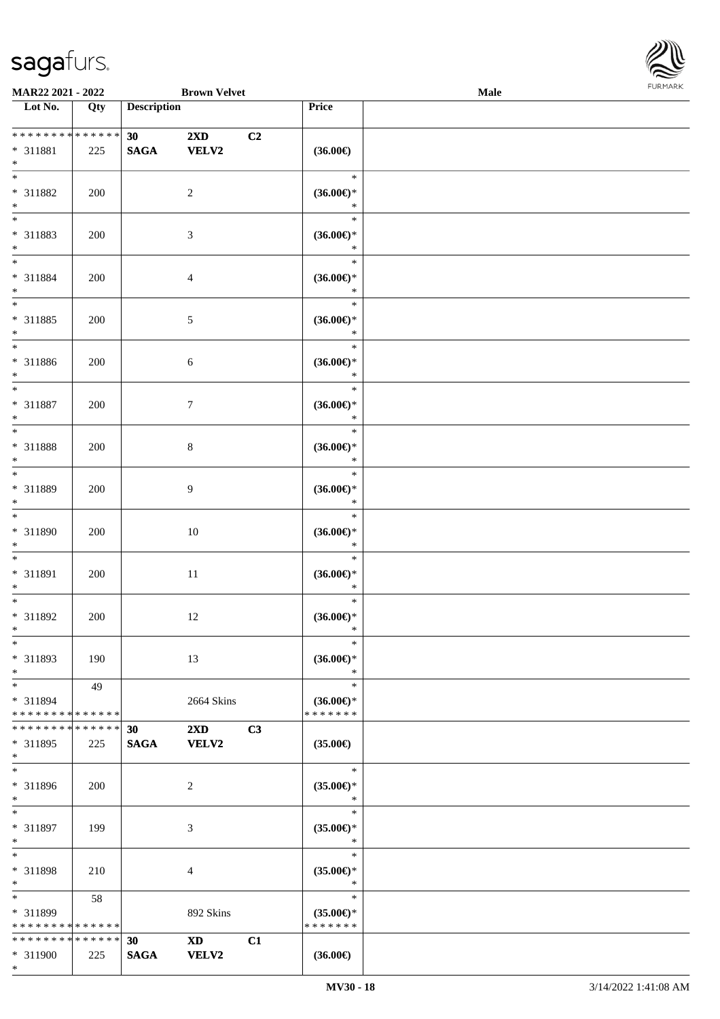| URMARK<br>F |
|-------------|

| MAR22 2021 - 2022                                                          |     |                                    | <b>Brown Velvet</b>                     |    |                                                | Male |  |
|----------------------------------------------------------------------------|-----|------------------------------------|-----------------------------------------|----|------------------------------------------------|------|--|
| Lot No.                                                                    | Qty | <b>Description</b>                 |                                         |    | Price                                          |      |  |
| ******** <mark>******</mark><br>$* 311881$<br>$\ast$                       | 225 | 30 <sup>°</sup><br>$\mathbf{SAGA}$ | $2\mathbf{X}\mathbf{D}$<br><b>VELV2</b> | C2 | $(36.00\epsilon)$                              |      |  |
| $\overline{\ast}$<br>* 311882<br>$\ast$                                    | 200 |                                    | $\overline{c}$                          |    | $\ast$<br>$(36.00\epsilon)$ *<br>$\ast$        |      |  |
| $\overline{\phantom{0}}$<br>* 311883<br>$\ast$                             | 200 |                                    | $\mathfrak{Z}$                          |    | $\ast$<br>$(36.00\epsilon)$ *<br>$\ast$        |      |  |
| $\overline{\ast}$<br>* 311884<br>$\ast$                                    | 200 |                                    | $\overline{4}$                          |    | $\ast$<br>$(36.00\epsilon)$ *<br>$\ast$        |      |  |
| $\overline{\ast}$<br>* 311885<br>$\ast$                                    | 200 |                                    | $5\,$                                   |    | $\ast$<br>$(36.00\epsilon)$ *<br>$\ast$        |      |  |
| $\overline{\phantom{a}^*}$<br>$* 311886$<br>$\ast$                         | 200 |                                    | $\sqrt{6}$                              |    | $\ast$<br>$(36.00\epsilon)$ *<br>$\ast$        |      |  |
| $\ast$<br>* 311887<br>$\ast$                                               | 200 |                                    | $\boldsymbol{7}$                        |    | $\ast$<br>$(36.00\epsilon)$ *<br>$\ast$        |      |  |
| $\ast$<br>* 311888<br>$\ast$                                               | 200 |                                    | $\,8\,$                                 |    | $\ast$<br>$(36.00\epsilon)$ *<br>$\ast$        |      |  |
| $\ast$<br>* 311889<br>$\ast$                                               | 200 |                                    | $\overline{9}$                          |    | $\ast$<br>$(36.00\epsilon)$ *<br>$\ast$        |      |  |
| $\ast$<br>* 311890<br>$\ast$                                               | 200 |                                    | 10                                      |    | $\ast$<br>$(36.00\in)\!\!^*$<br>$\ast$         |      |  |
| $\ast$<br>* 311891<br>$\ast$                                               | 200 |                                    | $11\,$                                  |    | $\ast$<br>$(36.00\epsilon)$ *<br>$\ast$        |      |  |
| $\ast$<br>* 311892<br>$*$                                                  | 200 |                                    | 12                                      |    | $\ast$<br>$(36.00\epsilon)$ *<br>$\ast$        |      |  |
| $\ast$<br>* 311893<br>$\ast$                                               | 190 |                                    | 13                                      |    | $\ast$<br>$(36.00\epsilon)$ *<br>$\ast$        |      |  |
| $\ast$<br>* 311894<br>* * * * * * * * * * * * * *                          | 49  |                                    | 2664 Skins                              |    | $\ast$<br>$(36.00\epsilon)$ *<br>* * * * * * * |      |  |
| * * * * * * * * * * * * * *<br>* 311895<br>$*$<br>$\overline{\phantom{1}}$ | 225 | 30<br><b>SAGA</b>                  | $2\mathbf{X}\mathbf{D}$<br><b>VELV2</b> | C3 | $(35.00\epsilon)$                              |      |  |
| * 311896<br>$*$                                                            | 200 |                                    | 2                                       |    | $\ast$<br>$(35.00\epsilon)$ *<br>$\ast$        |      |  |
| $\ast$<br>* 311897<br>$\ast$                                               | 199 |                                    | 3                                       |    | $\ast$<br>$(35.00\epsilon)$ *<br>$\ast$        |      |  |
| $\ast$<br>* 311898<br>$\ast$                                               | 210 |                                    | 4                                       |    | $\ast$<br>$(35.00\epsilon)$ *<br>$\ast$        |      |  |
| $\ast$<br>* 311899<br>* * * * * * * * * * * * * *                          | 58  |                                    | 892 Skins                               |    | $\ast$<br>$(35.00\epsilon)$ *<br>* * * * * * * |      |  |
| * * * * * * * * * * * * * *<br>* 311900<br>$*$                             | 225 | 30<br><b>SAGA</b>                  | $\mathbf{X}\mathbf{D}$<br><b>VELV2</b>  | C1 | $(36.00\epsilon)$                              |      |  |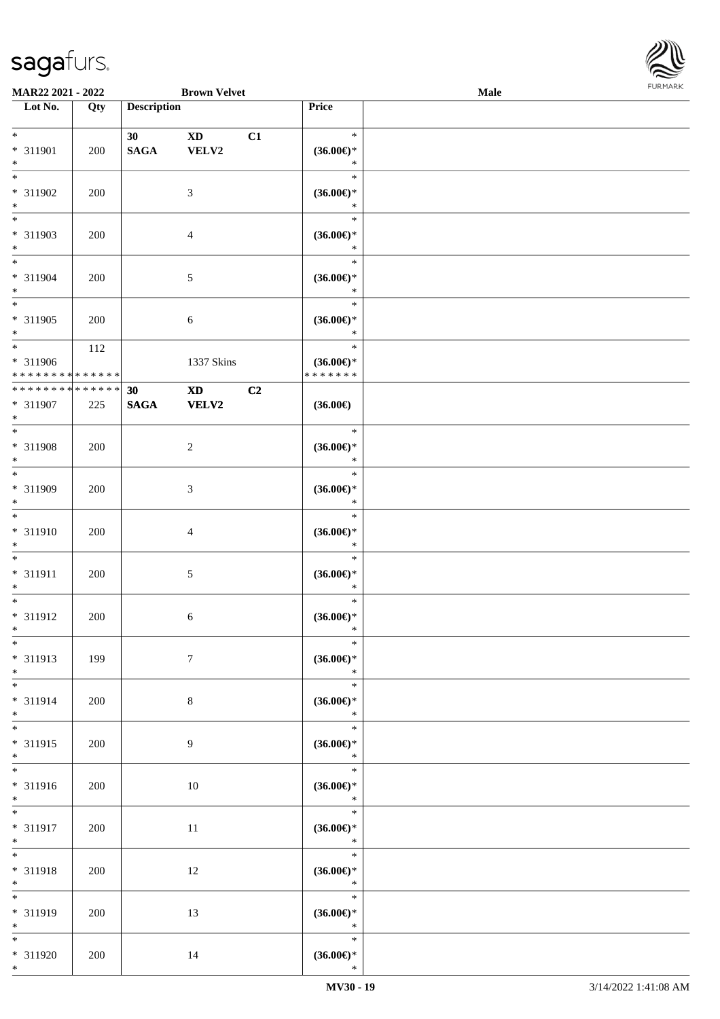\*



| MAR22 2021 - 2022                                  |                    |                    | <b>Brown Velvet</b>                    |    |                                                    | <b>Male</b> |  |
|----------------------------------------------------|--------------------|--------------------|----------------------------------------|----|----------------------------------------------------|-------------|--|
| Lot No.                                            | Qty                | <b>Description</b> |                                        |    | Price                                              |             |  |
| $*$<br>* 311901<br>$\ast$                          | 200                | 30<br><b>SAGA</b>  | $\mathbf{X}\mathbf{D}$<br>VELV2        | C1 | $\ast$<br>$(36.00\epsilon)$ *<br>$\ast$            |             |  |
| $\ast$<br>* 311902<br>$\ast$                       | 200                |                    | $\mathfrak{Z}$                         |    | $\ast$<br>$(36.00\epsilon)$ *<br>$\ast$            |             |  |
| $\overline{\ast}$<br>* 311903<br>$*$<br>$*$        | 200                |                    | $\overline{4}$                         |    | $\ast$<br>$(36.00\epsilon)$ *<br>$\ast$            |             |  |
| * 311904<br>$\ast$<br>$\ast$                       | 200                |                    | $5\,$                                  |    | $\ast$<br>$(36.00\epsilon)$ *<br>$\ast$<br>$\ast$  |             |  |
| * 311905<br>$*$<br>$*$                             | 200                |                    | $6\,$                                  |    | $(36.00\epsilon)$ *<br>$\ast$                      |             |  |
| * 311906<br>******** <mark>******</mark>           | 112                |                    | 1337 Skins                             |    | $\ast$<br>$(36.00\epsilon)$ *<br>* * * * * * *     |             |  |
| * * * * * * * *<br>* 311907<br>$*$                 | * * * * * *<br>225 | 30<br><b>SAGA</b>  | $\mathbf{X}\mathbf{D}$<br><b>VELV2</b> | C2 | $(36.00\epsilon)$                                  |             |  |
| $*$<br>* 311908<br>$\ast$                          | 200                |                    | $\overline{c}$                         |    | $\ast$<br>$(36.00\epsilon)$ *<br>$\ast$            |             |  |
| $*$<br>* 311909<br>$\ast$                          | 200                |                    | $\mathfrak{Z}$                         |    | $\ast$<br>$(36.00\epsilon)$ *<br>$\ast$            |             |  |
| $*$<br>$* 311910$<br>$*$                           | 200                |                    | $\overline{4}$                         |    | $\ast$<br>$(36.00\epsilon)$ *<br>$\ast$            |             |  |
| $\ast$<br>$* 311911$<br>$*$                        | 200                |                    | $5\,$                                  |    | $\ast$<br>$(36.00\epsilon)$ *<br>$\ast$            |             |  |
| $*$<br>* 311912<br>$*$                             | 200                |                    | 6                                      |    | $\ast$<br>$(36.00\epsilon)$ *<br>$\ast$            |             |  |
| $\ast$<br>* 311913<br>$\ast$                       | 199                |                    | $7\phantom{.0}$                        |    | $\ast$<br>$(36.00\epsilon)$ *<br>$\ast$            |             |  |
| $*$<br>* 311914<br>$*$                             | 200                |                    | $8\,$                                  |    | $\ast$<br>$(36.00\epsilon)$ *<br>$\ast$            |             |  |
| $*$<br>* 311915<br>$*$<br>$\overline{\phantom{0}}$ | 200                |                    | 9                                      |    | $\ast$<br>$(36.00\mathnormal{\infty})^*$<br>$\ast$ |             |  |
| * 311916<br>$*$                                    | 200                |                    | $10\,$                                 |    | $\ast$<br>$(36.00\epsilon)$ *<br>$\ast$            |             |  |
| $*$<br>* 311917<br>$*$                             | 200                |                    | 11                                     |    | $\ast$<br>$(36.00\in)^\ast$<br>$\ast$              |             |  |
| $*$<br>* 311918<br>$*$                             | 200                |                    | 12                                     |    | $\ast$<br>$(36.00\epsilon)$ *<br>$\ast$            |             |  |
| $\overline{\ast}$<br>* 311919<br>$*$               | 200                |                    | 13                                     |    | $\ast$<br>$(36.00\epsilon)$ *<br>$\ast$            |             |  |
| $*$<br>* 311920<br>$*$                             | 200                |                    | 14                                     |    | $\ast$<br>$(36.00\epsilon)$ *<br>$\ast$            |             |  |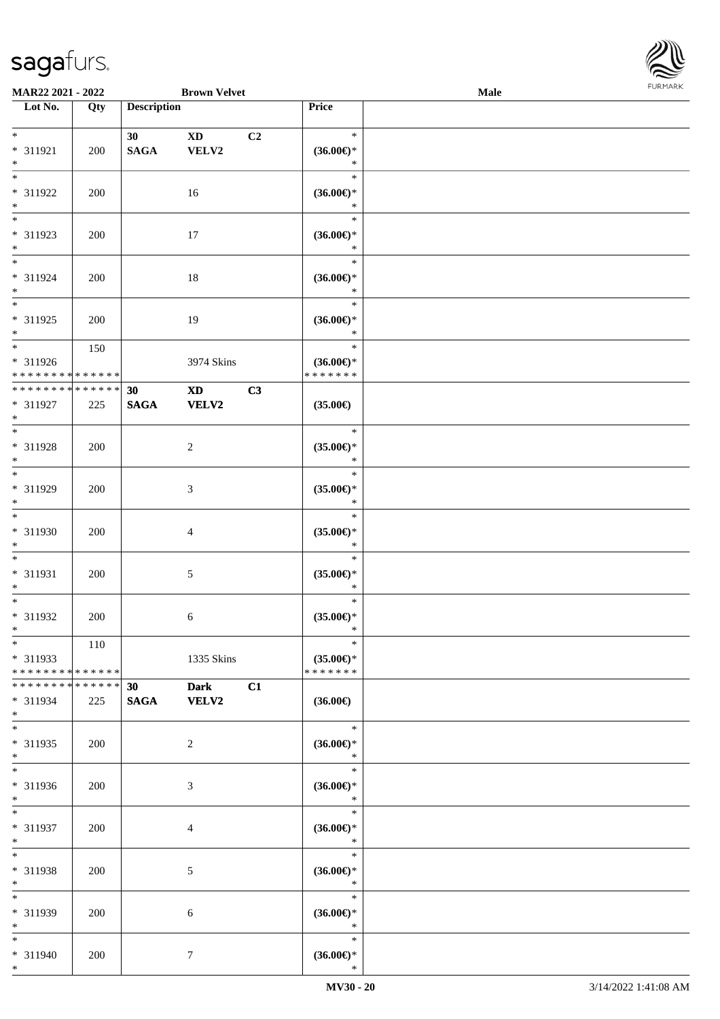

| MAR22 2021 - 2022                                                      |                    |                                | <b>Brown Velvet</b>                    |    |                                                              | <b>Male</b> |  |
|------------------------------------------------------------------------|--------------------|--------------------------------|----------------------------------------|----|--------------------------------------------------------------|-------------|--|
| Lot No.                                                                | Qty                | <b>Description</b>             |                                        |    | Price                                                        |             |  |
| $\ast$<br>* 311921                                                     | 200                | 30 <sup>°</sup><br><b>SAGA</b> | <b>XD</b><br>VELV2                     | C2 | $\ast$<br>$(36.00\mathnormal{\infty})^*$                     |             |  |
| $\ast$<br>$\overline{\ }$<br>* 311922                                  | 200                |                                | 16                                     |    | $\ast$<br>$\ast$<br>$(36.00\epsilon)$ *                      |             |  |
| $\ast$<br>$\overline{\phantom{0}}$<br>* 311923                         | 200                |                                | 17                                     |    | $\ast$<br>$\ast$<br>$(36.00\epsilon)$ *                      |             |  |
| $\ast$<br>$\ast$<br>* 311924<br>$\ast$                                 | 200                |                                | 18                                     |    | $\ast$<br>$\ast$<br>$(36.00\mathnormal{\infty})^*$<br>$\ast$ |             |  |
| $\overline{\ }$<br>* 311925<br>$\ast$                                  | 200                |                                | 19                                     |    | $\ast$<br>$(36.00\epsilon)$ *<br>$\ast$                      |             |  |
| $\overline{\phantom{a}^*}$<br>* 311926<br>******** <mark>******</mark> | 150                |                                | 3974 Skins                             |    | $\ast$<br>$(36.00\epsilon)$ *<br>* * * * * * *               |             |  |
| ******** <mark>******</mark><br>* 311927<br>$\ast$                     | 225                | 30<br><b>SAGA</b>              | $\mathbf{X}\mathbf{D}$<br><b>VELV2</b> | C3 | $(35.00\in)$                                                 |             |  |
| $\ast$<br>* 311928<br>$\ast$                                           | 200                |                                | $\overline{c}$                         |    | $\ast$<br>$(35.00\epsilon)$ *<br>$\ast$                      |             |  |
| $\ast$<br>* 311929<br>$\ast$                                           | 200                |                                | $\mathfrak{Z}$                         |    | $\ast$<br>$(35.00\epsilon)$ *<br>$\ast$                      |             |  |
| $\overline{\phantom{1}}$<br>* 311930<br>$\ast$                         | 200                |                                | $\overline{4}$                         |    | $\ast$<br>$(35.00\epsilon)$ *<br>$\ast$                      |             |  |
| $\ast$<br>$* 311931$<br>$\ast$                                         | 200                |                                | $5\,$                                  |    | $\ast$<br>$(35.00\epsilon)$ *<br>$\ast$                      |             |  |
| $\ast$<br>* 311932<br>$*$                                              | 200                |                                | 6                                      |    | $\ast$<br>$(35.00\epsilon)$ *<br>$\ast$                      |             |  |
| $*$<br>* 311933<br>* * * * * * * * * * * * * *                         | 110                |                                | 1335 Skins                             |    | $\ast$<br>$(35.00\epsilon)$ *<br>* * * * * * *               |             |  |
| * * * * * * * *<br>* 311934<br>$*$<br>$\overline{\phantom{1}}$         | * * * * * *<br>225 | 30 <sup>°</sup><br><b>SAGA</b> | <b>Dark</b><br>VELV2                   | C1 | $(36.00\epsilon)$                                            |             |  |
| * 311935<br>$*$<br>$\ast$                                              | 200                |                                | $\overline{2}$                         |    | $\ast$<br>$(36.00\epsilon)$ *<br>$\ast$<br>$\ast$            |             |  |
| * 311936<br>$*$<br>$*$                                                 | 200                |                                | 3                                      |    | $(36.00\in)^\ast$<br>$\ast$<br>$\ast$                        |             |  |
| * 311937<br>$\ast$<br>$\ast$                                           | 200                |                                | 4                                      |    | $(36.00\epsilon)$ *<br>$\ast$<br>$\ast$                      |             |  |
| * 311938<br>$\ast$<br>$\ast$                                           | 200                |                                | 5                                      |    | $(36.00\epsilon)$ *<br>$\ast$<br>$\ast$                      |             |  |
| * 311939<br>$\ast$<br>$*$                                              | 200                |                                | 6                                      |    | $(36.00\epsilon)$ *<br>$\ast$<br>$\ast$                      |             |  |
| * 311940<br>$*$                                                        | 200                |                                | $\tau$                                 |    | $(36.00\mathnormal{\infty})^*$<br>$\ast$                     |             |  |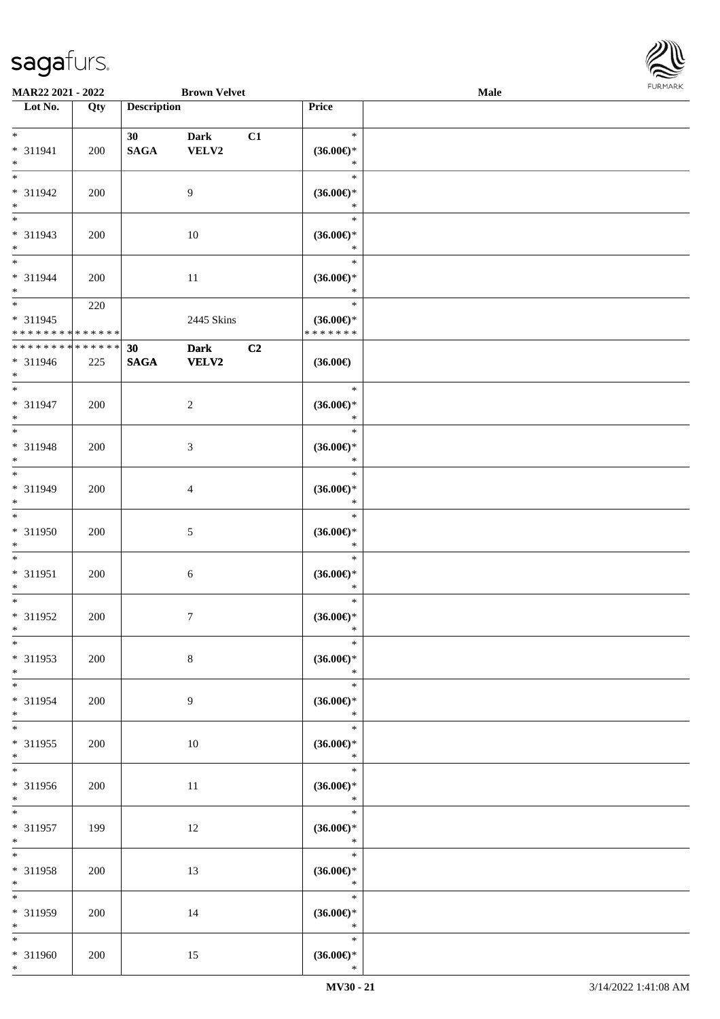

| MAR22 2021 - 2022                                                     |     |                                | <b>Brown Velvet</b>          |    |                                                    | <b>Male</b> |  |
|-----------------------------------------------------------------------|-----|--------------------------------|------------------------------|----|----------------------------------------------------|-------------|--|
| Lot No.                                                               | Qty | <b>Description</b>             |                              |    | Price                                              |             |  |
| $*$<br>* 311941                                                       | 200 | 30 <sup>°</sup><br><b>SAGA</b> | <b>Dark</b><br>${\bf VELV2}$ | C1 | $\ast$<br>$(36.00\epsilon)$ *                      |             |  |
| $\ast$<br>$\overline{\phantom{0}}$<br>* 311942<br>$\ast$              | 200 |                                | $\overline{9}$               |    | $\ast$<br>$\ast$<br>$(36.00\epsilon)$ *<br>$\ast$  |             |  |
| $\overline{\phantom{a}^*}$<br>* 311943<br>$\ast$                      | 200 |                                | $10\,$                       |    | $\ast$<br>$(36.00\epsilon)$ *<br>$\ast$            |             |  |
| $\overline{\phantom{0}}$<br>* 311944<br>$*$                           | 200 |                                | 11                           |    | $\ast$<br>$(36.00\epsilon)$ *<br>$\ast$            |             |  |
| $\overline{\phantom{0}}$<br>$* 311945$<br>* * * * * * * * * * * * * * | 220 |                                | 2445 Skins                   |    | $\ast$<br>$(36.00\epsilon)$ *<br>* * * * * * *     |             |  |
| ******** <mark>*****</mark> *<br>* 311946<br>$*$                      | 225 | 30<br><b>SAGA</b>              | <b>Dark</b><br>${\bf VELV2}$ | C2 | $(36.00\epsilon)$                                  |             |  |
| $\ast$<br>$* 311947$<br>$\ast$                                        | 200 |                                | $\sqrt{2}$                   |    | $\ast$<br>$(36.00\epsilon)$ *<br>$\ast$            |             |  |
| $\ast$<br>* 311948<br>$\ast$                                          | 200 |                                | $\mathfrak{Z}$               |    | $\ast$<br>$(36.00\epsilon)$ *<br>$\ast$            |             |  |
| $\overline{\phantom{a}^*}$<br>* 311949<br>$\ast$                      | 200 |                                | $\overline{4}$               |    | $\ast$<br>$(36.00\epsilon)$ *<br>$\ast$            |             |  |
| $\overline{\phantom{a}^*}$<br>* 311950<br>$\ast$                      | 200 |                                | $\sqrt{5}$                   |    | $\ast$<br>$(36.00\epsilon)$ *<br>$\ast$            |             |  |
| $\ast$<br>$* 311951$<br>$\ast$                                        | 200 |                                | 6                            |    | $\ast$<br>$(36.00\epsilon)$ *<br>$\ast$            |             |  |
| $\ast$<br>* 311952<br>$*$                                             | 200 |                                | $\boldsymbol{7}$             |    | $\ast$<br>$(36.00\epsilon)$ *<br>$\ast$            |             |  |
| $*$<br>* 311953<br>$\ast$                                             | 200 |                                | $8\,$                        |    | $\ast$<br>$(36.00\epsilon)$ *<br>$\ast$            |             |  |
| $\ast$<br>* 311954<br>$*$                                             | 200 |                                | 9                            |    | $\ast$<br>$(36.00\epsilon)$ *<br>$\ast$            |             |  |
| $\overline{\phantom{a}^*}$<br>* 311955<br>$*$                         | 200 |                                | $10\,$                       |    | $\ast$<br>$(36.00\epsilon)$ *<br>$\ast$            |             |  |
| $\overline{\ast}$<br>* 311956<br>$*$                                  | 200 |                                | 11                           |    | $\ast$<br>$(36.00\in)^\ast$<br>$\ast$              |             |  |
| $*$<br>* 311957<br>$*$                                                | 199 |                                | 12                           |    | $\ast$<br>$(36.00\mathnormal{\infty})^*$<br>$\ast$ |             |  |
| $\ast$<br>* 311958<br>$*$                                             | 200 |                                | 13                           |    | $\ast$<br>$(36.00\epsilon)$ *<br>$\ast$            |             |  |
| $\overline{\ast}$<br>* 311959<br>$*$                                  | 200 |                                | 14                           |    | $\ast$<br>$(36.00\epsilon)$ *<br>$\ast$            |             |  |
| $*$<br>* 311960<br>$*$                                                | 200 |                                | 15                           |    | $\ast$<br>$(36.00\mathnormal{\infty})^*$<br>$\ast$ |             |  |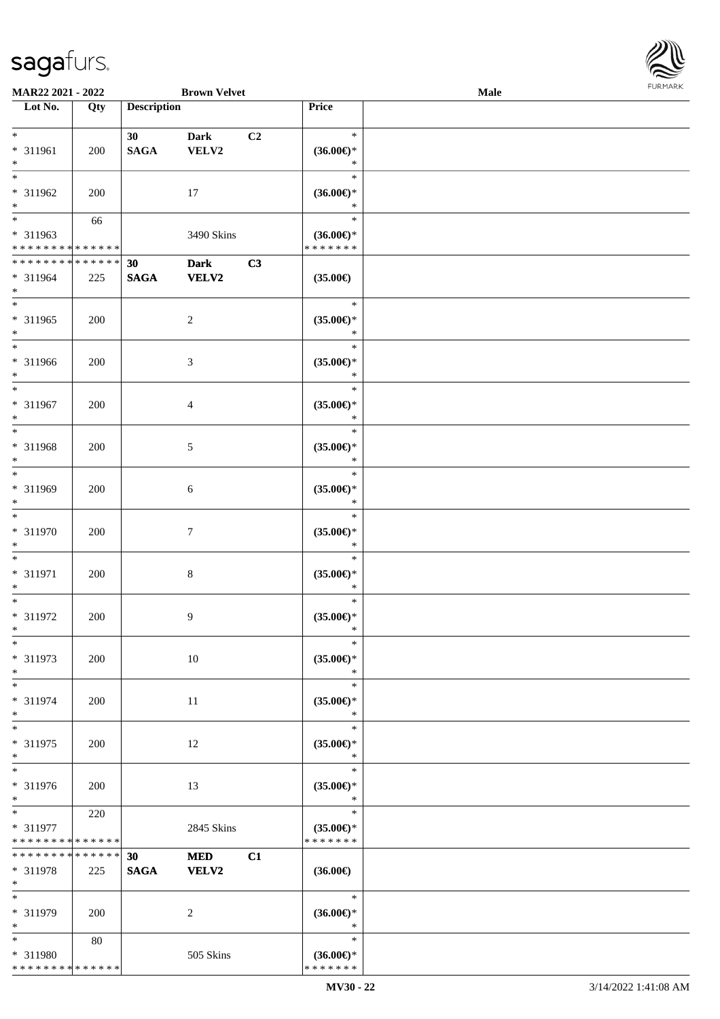

| MAR22 2021 - 2022            |     |                    | <b>Brown Velvet</b> |                |                               | Male |  |
|------------------------------|-----|--------------------|---------------------|----------------|-------------------------------|------|--|
| Lot No.                      | Qty | <b>Description</b> |                     |                | <b>Price</b>                  |      |  |
|                              |     |                    |                     |                |                               |      |  |
| $\ast$                       |     | 30 <sup>°</sup>    | <b>Dark</b>         | C <sub>2</sub> | $\ast$                        |      |  |
| * 311961                     | 200 | <b>SAGA</b>        | <b>VELV2</b>        |                | $(36.00\epsilon)$ *           |      |  |
| $\ast$                       |     |                    |                     |                | $\ast$                        |      |  |
| $\ast$                       |     |                    |                     |                | $\ast$                        |      |  |
| * 311962                     | 200 |                    | 17                  |                | $(36.00\epsilon)$ *           |      |  |
| $\ast$                       |     |                    |                     |                | $\ast$                        |      |  |
| $\overline{\ast}$            | 66  |                    |                     |                | $\ast$                        |      |  |
| * 311963                     |     |                    | 3490 Skins          |                | $(36.00\epsilon)$ *           |      |  |
| * * * * * * * * * * * * * *  |     |                    |                     |                | * * * * * * *                 |      |  |
| * * * * * * * * * * * * * *  |     | 30                 | <b>Dark</b>         | C3             |                               |      |  |
| * 311964                     | 225 | $\mathbf{SAGA}$    | <b>VELV2</b>        |                | $(35.00\in)$                  |      |  |
| $\ast$                       |     |                    |                     |                |                               |      |  |
| $\ast$                       |     |                    |                     |                | $\ast$                        |      |  |
| * 311965                     | 200 |                    | $\overline{c}$      |                | $(35.00\epsilon)$ *           |      |  |
| $\ast$                       |     |                    |                     |                | $\ast$                        |      |  |
| $\overline{\phantom{a}^*}$   |     |                    |                     |                | $\ast$                        |      |  |
| * 311966                     |     |                    |                     |                |                               |      |  |
| $\ast$                       | 200 |                    | $\mathfrak{Z}$      |                | $(35.00\epsilon)$ *<br>$\ast$ |      |  |
| $\ast$                       |     |                    |                     |                | $\ast$                        |      |  |
|                              |     |                    |                     |                |                               |      |  |
| * 311967                     | 200 |                    | 4                   |                | $(35.00\epsilon)$ *           |      |  |
| $\ast$                       |     |                    |                     |                | $\ast$                        |      |  |
| $\ast$                       |     |                    |                     |                | $\ast$                        |      |  |
| * 311968                     | 200 |                    | 5                   |                | $(35.00\epsilon)$ *           |      |  |
| $\ast$                       |     |                    |                     |                | $\ast$                        |      |  |
| $\ast$                       |     |                    |                     |                | $\ast$                        |      |  |
| * 311969                     | 200 |                    | 6                   |                | $(35.00\epsilon)$ *           |      |  |
| $\ast$                       |     |                    |                     |                | $\ast$                        |      |  |
| $\ast$                       |     |                    |                     |                | $\ast$                        |      |  |
| * 311970                     | 200 |                    | $\tau$              |                | $(35.00\epsilon)$ *           |      |  |
| $\ast$                       |     |                    |                     |                | $\ast$                        |      |  |
| $\ast$                       |     |                    |                     |                | $\ast$                        |      |  |
| $* 311971$                   | 200 |                    | $\,8\,$             |                | $(35.00\epsilon)$ *           |      |  |
| $\ast$                       |     |                    |                     |                | $\ast$                        |      |  |
| $\ast$                       |     |                    |                     |                | $\ast$                        |      |  |
| * 311972                     | 200 |                    | $\overline{9}$      |                | $(35.00\epsilon)$ *           |      |  |
| $*$                          |     |                    |                     |                | $\ast$                        |      |  |
| $\ast$                       |     |                    |                     |                | $\ast$                        |      |  |
| * 311973                     | 200 |                    | $10\,$              |                | $(35.00\epsilon)$ *           |      |  |
| $\ast$                       |     |                    |                     |                | $\ast$                        |      |  |
| $\ast$                       |     |                    |                     |                | $\ast$                        |      |  |
| * 311974                     | 200 |                    | 11                  |                | $(35.00\epsilon)$ *           |      |  |
| $\ast$                       |     |                    |                     |                | $\ast$                        |      |  |
| $\ast$                       |     |                    |                     |                | $\ast$                        |      |  |
| * 311975                     | 200 |                    | 12                  |                | $(35.00\epsilon)$ *           |      |  |
| $\ast$                       |     |                    |                     |                | $\ast$                        |      |  |
| $\ast$                       |     |                    |                     |                | $\ast$                        |      |  |
| * 311976                     | 200 |                    | 13                  |                | $(35.00\epsilon)$ *           |      |  |
| $*$                          |     |                    |                     |                | $\ast$                        |      |  |
| $*$ $*$                      | 220 |                    |                     |                | $\ast$                        |      |  |
| * 311977                     |     |                    | 2845 Skins          |                | $(35.00\epsilon)$ *           |      |  |
| * * * * * * * * * * * * * *  |     |                    |                     |                | * * * * * * *                 |      |  |
| ******** <mark>******</mark> |     | 30                 | <b>MED</b>          | C1             |                               |      |  |
| * 311978                     | 225 | <b>SAGA</b>        | <b>VELV2</b>        |                | $(36.00\epsilon)$             |      |  |
| $*$                          |     |                    |                     |                |                               |      |  |
| $\ast$                       |     |                    |                     |                | $\ast$                        |      |  |
|                              |     |                    |                     |                |                               |      |  |
| * 311979<br>$\ast$           | 200 |                    | 2                   |                | $(36.00\epsilon)$ *<br>$\ast$ |      |  |
| $*$                          |     |                    |                     |                | $\ast$                        |      |  |
|                              | 80  |                    |                     |                |                               |      |  |
| * 311980                     |     |                    | 505 Skins           |                | $(36.00\epsilon)$ *           |      |  |
| * * * * * * * * * * * * * *  |     |                    |                     |                | * * * * * * *                 |      |  |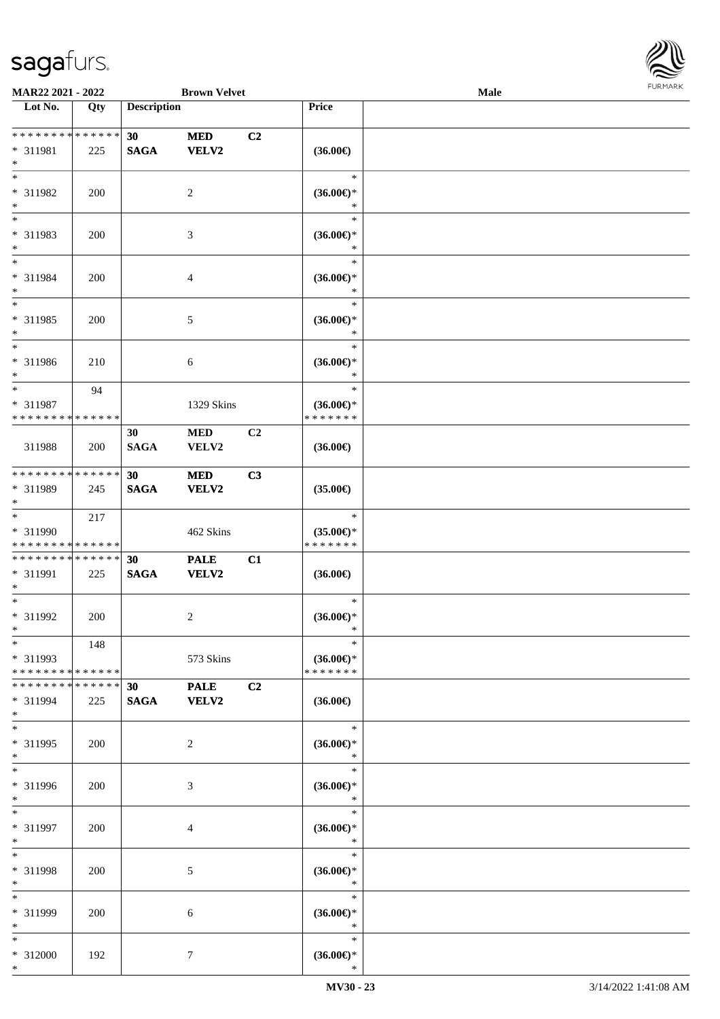

| MAR22 2021 - 2022                               |                    |                    | <b>Brown Velvet</b>         |                |                                                    | Male |  |
|-------------------------------------------------|--------------------|--------------------|-----------------------------|----------------|----------------------------------------------------|------|--|
| Lot No.                                         | $\overline{Q}$ ty  | <b>Description</b> |                             |                | Price                                              |      |  |
|                                                 |                    |                    |                             |                |                                                    |      |  |
| ******** <mark>******</mark><br>* 311981<br>$*$ | 225                | 30<br><b>SAGA</b>  | <b>MED</b><br><b>VELV2</b>  | C2             | $(36.00\epsilon)$                                  |      |  |
| $*$<br>* 311982<br>$\ast$                       | 200                |                    | 2                           |                | $\ast$<br>$(36.00\epsilon)$ *<br>∗                 |      |  |
| $\overline{\ast}$<br>* 311983<br>$*$            | 200                |                    | 3                           |                | $\ast$<br>$(36.00\epsilon)$ *<br>*                 |      |  |
| $*$<br>* 311984<br>$*$                          | 200                |                    | $\overline{4}$              |                | $\ast$<br>$(36.00\epsilon)$ *<br>$\ast$            |      |  |
| $*$<br>* 311985<br>$*$                          | 200                |                    | $5\,$                       |                | $\ast$<br>$(36.00\epsilon)$ *<br>$\ast$            |      |  |
| $*$<br>$* 311986$<br>$*$                        | 210                |                    | 6                           |                | $\ast$<br>$(36.00\epsilon)$ *<br>$\ast$            |      |  |
| $*$<br>* 311987<br>* * * * * * * * * * * * * *  | 94                 |                    | 1329 Skins                  |                | $\ast$<br>$(36.00\epsilon)$ *<br>* * * * * * *     |      |  |
| 311988                                          | 200                | 30<br><b>SAGA</b>  | <b>MED</b><br>VELV2         | C <sub>2</sub> | $(36.00\epsilon)$                                  |      |  |
| * * * * * * * * * * * * * *<br>* 311989<br>$*$  | 245                | 30<br><b>SAGA</b>  | <b>MED</b><br>VELV2         | C3             | $(35.00\epsilon)$                                  |      |  |
| $*$<br>* 311990<br>* * * * * * * * * * * * * *  | 217                |                    | 462 Skins                   |                | $\ast$<br>$(35.00\epsilon)$ *<br>* * * * * * *     |      |  |
| * * * * * * * * * * * * * *<br>* 311991<br>$*$  | 225                | 30<br><b>SAGA</b>  | <b>PALE</b><br><b>VELV2</b> | C1             | $(36.00\epsilon)$                                  |      |  |
| $*$<br>$* 311992$<br>$*$                        | 200                |                    | $\sqrt{2}$                  |                | $\ast$<br>$(36.00\epsilon)$ *<br>$\ast$            |      |  |
| $*$<br>* 311993<br>* * * * * * * * * * * * * *  | 148                |                    | 573 Skins                   |                | $\ast$<br>$(36.00\epsilon)$ *<br>* * * * * * *     |      |  |
| * * * * * * * *<br>* 311994<br>$*$              | * * * * * *<br>225 | 30<br><b>SAGA</b>  | <b>PALE</b><br><b>VELV2</b> | C2             | $(36.00\epsilon)$                                  |      |  |
| $*$<br>* 311995<br>$*$                          | 200                |                    | 2                           |                | $\ast$<br>$(36.00\epsilon)$ *<br>$\ast$            |      |  |
| $*$<br>* 311996<br>$*$                          | 200                |                    | 3                           |                | $\ast$<br>$(36.00\epsilon)$ *<br>$\ast$            |      |  |
| $*$<br>* 311997<br>$*$                          | 200                |                    | 4                           |                | $\ast$<br>$(36.00\epsilon)$ *<br>$\ast$            |      |  |
| $*$<br>* 311998<br>$*$                          | 200                |                    | 5                           |                | $\ast$<br>$(36.00\epsilon)$ *<br>$\ast$            |      |  |
| $*$<br>* 311999<br>$*$                          | 200                |                    | 6                           |                | $\ast$<br>$(36.00\epsilon)$ *<br>$\ast$            |      |  |
| $*$<br>* 312000<br>$*$                          | 192                |                    | 7                           |                | $\ast$<br>$(36.00\mathnormal{\infty})^*$<br>$\ast$ |      |  |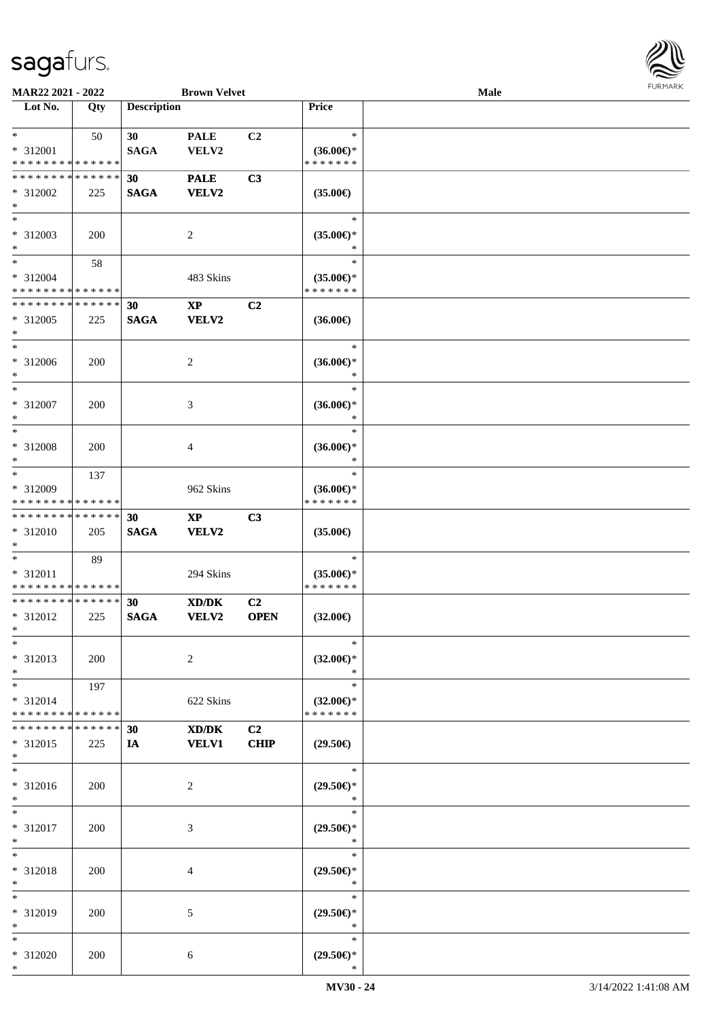

| MAR22 2021 - 2022                                                     |     |                                | <b>Brown Velvet</b>                    |                               |                                                                        | Male |  |
|-----------------------------------------------------------------------|-----|--------------------------------|----------------------------------------|-------------------------------|------------------------------------------------------------------------|------|--|
| Lot No.                                                               | Qty | <b>Description</b>             |                                        |                               | Price                                                                  |      |  |
| $\ast$<br>* 312001<br>* * * * * * * * * * * * * *                     | 50  | 30 <sup>°</sup><br><b>SAGA</b> | <b>PALE</b><br>VELV2                   | C2                            | $\ast$<br>$(36.00\epsilon)$ *<br>* * * * * * *                         |      |  |
| * * * * * * * * * * * * * *<br>* 312002<br>$\ast$                     | 225 | 30<br><b>SAGA</b>              | <b>PALE</b><br><b>VELV2</b>            | C3                            | $(35.00\epsilon)$                                                      |      |  |
| $\overline{\ast}$<br>* 312003<br>$\ast$                               | 200 |                                | $\overline{c}$                         |                               | $\ast$<br>$(35.00\epsilon)$ *<br>*                                     |      |  |
| $\overline{\phantom{a}^*}$<br>* 312004<br>* * * * * * * * * * * * * * | 58  |                                | 483 Skins                              |                               | $\ast$<br>$(35.00\epsilon)$ *<br>* * * * * * *                         |      |  |
| * * * * * * * * * * * * * *<br>* 312005<br>$\ast$                     | 225 | 30<br><b>SAGA</b>              | $\mathbf{X}\mathbf{P}$<br><b>VELV2</b> | C2                            | $(36.00\epsilon)$                                                      |      |  |
| $\ast$<br>$* 312006$<br>$\ast$                                        | 200 |                                | 2                                      |                               | $\ast$<br>$(36.00\epsilon)$ *<br>$\ast$                                |      |  |
| $\ast$<br>* 312007<br>$\ast$                                          | 200 |                                | 3                                      |                               | $\ast$<br>$(36.00\epsilon)$ *<br>$\ast$                                |      |  |
| $\ast$<br>* 312008<br>$\ast$                                          | 200 |                                | 4                                      |                               | $\ast$<br>$(36.00\epsilon)$ *<br>∗                                     |      |  |
| $\ast$<br>* 312009<br>* * * * * * * * * * * * * *                     | 137 |                                | 962 Skins                              |                               | $\ast$<br>$(36.00\epsilon)$ *<br>* * * * * * *                         |      |  |
| **************<br>* 312010<br>$\ast$                                  | 205 | 30<br><b>SAGA</b>              | $\bold{XP}$<br><b>VELV2</b>            | C3                            | $(35.00\epsilon)$                                                      |      |  |
| $\ast$<br>* 312011<br>* * * * * * * * * * * * * *                     | 89  |                                | 294 Skins                              |                               | $\ast$<br>$(35.00\epsilon)$ *<br>* * * * * * *                         |      |  |
| ******** <mark>*****</mark> *<br>* 312012<br>$*$                      | 225 | 30<br><b>SAGA</b>              | XD/DK<br><b>VELV2</b>                  | C <sub>2</sub><br><b>OPEN</b> | $(32.00\epsilon)$                                                      |      |  |
| $\ast$<br>* 312013<br>$\ast$                                          | 200 |                                | $\overline{c}$                         |                               | $\ast$<br>$(32.00\epsilon)$ *<br>$\ast$                                |      |  |
| $*$<br>* 312014<br>* * * * * * * * * * * * * *                        | 197 |                                | 622 Skins                              |                               | $\ast$<br>$(32.00\epsilon)$ *<br>* * * * * * *                         |      |  |
| * * * * * * * * * * * * * *<br>* 312015<br>$*$                        | 225 | 30<br>IA                       | XD/DK<br><b>VELV1</b>                  | C2<br><b>CHIP</b>             | $(29.50\epsilon)$                                                      |      |  |
| $\ast$<br>* 312016<br>$*$                                             | 200 |                                | 2                                      |                               | $\ast$<br>$(29.50\epsilon)$ *<br>$\ast$                                |      |  |
| $*$<br>* 312017<br>$\ast$                                             | 200 |                                | 3                                      |                               | $\ast$<br>$(29.50\epsilon)$ *<br>$\ast$                                |      |  |
| $\ast$<br>* 312018<br>$\ast$                                          | 200 |                                | 4                                      |                               | $\ast$<br>$(29.50\epsilon)$ *<br>$\ast$                                |      |  |
| $\ast$<br>* 312019<br>$\ast$                                          | 200 |                                | 5                                      |                               | $\ast$<br>$(29.50\epsilon)$ *<br>$\ast$                                |      |  |
| $*$<br>* 312020<br>$*$                                                | 200 |                                | 6                                      |                               | $\ast$<br>$(29.50\mathnormal{\in}\mathcal{)^{\! \! \times}}$<br>$\ast$ |      |  |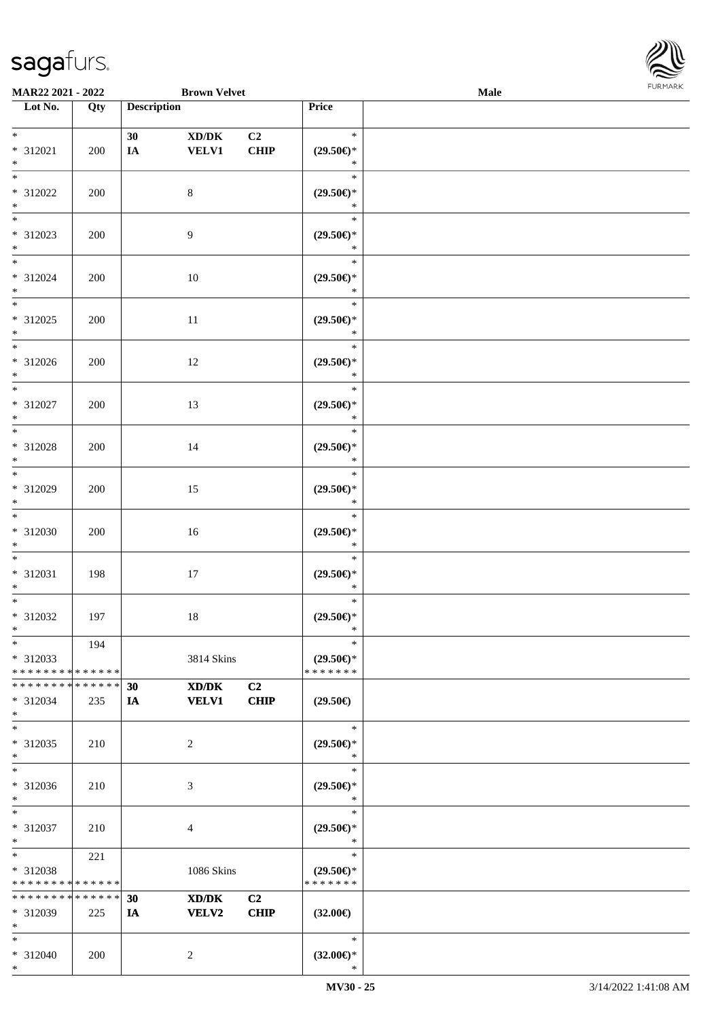\*



| <b>MAR22 2021 - 2022</b>                 |     |                    | <b>Brown Velvet</b> |                |                     | Male |  |
|------------------------------------------|-----|--------------------|---------------------|----------------|---------------------|------|--|
| Lot No.                                  | Qty | <b>Description</b> |                     |                | Price               |      |  |
|                                          |     |                    |                     |                |                     |      |  |
| $*$                                      |     | 30                 | XD/DK               | C <sub>2</sub> | $\ast$              |      |  |
| * 312021                                 | 200 | IA                 | <b>VELV1</b>        | <b>CHIP</b>    | $(29.50\epsilon)$ * |      |  |
| $*$                                      |     |                    |                     |                | $\ast$              |      |  |
| $\overline{\ast}$                        |     |                    |                     |                | $\ast$              |      |  |
| * 312022                                 | 200 |                    | $\,8\,$             |                | $(29.50\epsilon)$ * |      |  |
| $*$                                      |     |                    |                     |                | $\ast$              |      |  |
|                                          |     |                    |                     |                | $\ast$              |      |  |
| * 312023                                 | 200 |                    | $\overline{9}$      |                | $(29.50\epsilon)$ * |      |  |
| $*$                                      |     |                    |                     |                | $\ast$              |      |  |
| $*$                                      |     |                    |                     |                | $\ast$              |      |  |
| * 312024                                 | 200 |                    | 10                  |                | $(29.50\epsilon)$ * |      |  |
| $*$                                      |     |                    |                     |                | $\ast$              |      |  |
| $*$                                      |     |                    |                     |                | $\ast$              |      |  |
| * 312025                                 | 200 |                    | $11\,$              |                | $(29.50\epsilon)$ * |      |  |
| $*$                                      |     |                    |                     |                | $\ast$              |      |  |
| $\overline{\phantom{0}}$                 |     |                    |                     |                | $\ast$              |      |  |
| * 312026                                 | 200 |                    | 12                  |                | $(29.50\epsilon)$ * |      |  |
| $*$                                      |     |                    |                     |                | $\ast$              |      |  |
| $\overline{\ast}$                        |     |                    |                     |                | $\ast$              |      |  |
| * 312027                                 | 200 |                    | 13                  |                | $(29.50\epsilon)$ * |      |  |
| $*$                                      |     |                    |                     |                | $\ast$              |      |  |
| $*$                                      |     |                    |                     |                | $\ast$              |      |  |
| * 312028                                 | 200 |                    | 14                  |                | $(29.50\epsilon)$ * |      |  |
| $*$                                      |     |                    |                     |                | $\ast$              |      |  |
| $\overline{\ast}$                        |     |                    |                     |                | $\ast$              |      |  |
| * 312029                                 | 200 |                    | 15                  |                | $(29.50\epsilon)$ * |      |  |
| $*$                                      |     |                    |                     |                | $\ast$              |      |  |
| $*$                                      |     |                    |                     |                | $\ast$              |      |  |
| * 312030                                 | 200 |                    | 16                  |                | $(29.50\epsilon)$ * |      |  |
| $*$                                      |     |                    |                     |                | $\ast$              |      |  |
| $*$                                      |     |                    |                     |                | $\ast$              |      |  |
| * 312031                                 | 198 |                    | 17                  |                | $(29.50\epsilon)$ * |      |  |
| $\ast$                                   |     |                    |                     |                | $\ast$              |      |  |
| $*$                                      |     |                    |                     |                | $\ast$              |      |  |
| * 312032                                 | 197 |                    | $18\,$              |                | $(29.50\epsilon)$ * |      |  |
| $*$                                      |     |                    |                     |                | $\ast$              |      |  |
| $*$                                      | 194 |                    |                     |                | $\ast$              |      |  |
| * 312033                                 |     |                    | 3814 Skins          |                | $(29.50\epsilon)$ * |      |  |
| * * * * * * * * <mark>* * * * * *</mark> |     |                    |                     |                | * * * * * * *       |      |  |
| * * * * * * * * <mark>* * * * * *</mark> |     | 30                 | XD/DK               | C <sub>2</sub> |                     |      |  |
| * 312034                                 | 235 | IA                 | <b>VELV1</b>        | <b>CHIP</b>    | $(29.50\epsilon)$   |      |  |
| $\ast$                                   |     |                    |                     |                |                     |      |  |
| $*$                                      |     |                    |                     |                | $\ast$              |      |  |
| * 312035                                 | 210 |                    | 2                   |                | $(29.50\epsilon)$ * |      |  |
| $*$                                      |     |                    |                     |                | $\ast$              |      |  |
| $\ast$                                   |     |                    |                     |                | $\ast$              |      |  |
| * 312036                                 | 210 |                    | 3                   |                | $(29.50\epsilon)$ * |      |  |
| $*$                                      |     |                    |                     |                | $\ast$              |      |  |
| $*$                                      |     |                    |                     |                | $\ast$              |      |  |
| * 312037                                 | 210 |                    | 4                   |                | $(29.50\epsilon)$ * |      |  |
| $*$                                      |     |                    |                     |                | $\ast$              |      |  |
| $*$ $*$                                  | 221 |                    |                     |                | $\ast$              |      |  |
| * 312038                                 |     |                    | 1086 Skins          |                | $(29.50\epsilon)$ * |      |  |
| * * * * * * * * * * * * * *              |     |                    |                     |                | * * * * * * *       |      |  |
| * * * * * * * * * * * * * *              |     | 30                 | XD/DK               | C <sub>2</sub> |                     |      |  |
| $* 312039$                               | 225 | IA                 | <b>VELV2</b>        | <b>CHIP</b>    | $(32.00\epsilon)$   |      |  |
| $\ast$                                   |     |                    |                     |                |                     |      |  |
| $*$                                      |     |                    |                     |                | $\ast$              |      |  |
| * 312040                                 | 200 |                    | 2                   |                | $(32.00\epsilon)$ * |      |  |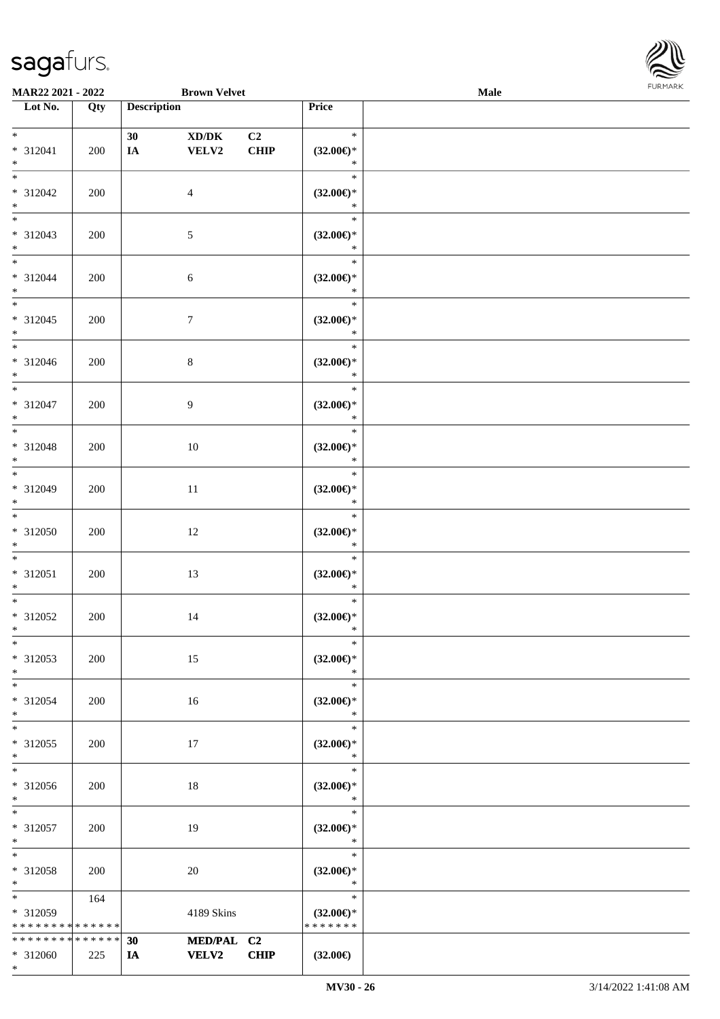

| MAR22 2021 - 2022                              |                    |                    | <b>Brown Velvet</b>        |                               |                                                   | <b>Male</b> |
|------------------------------------------------|--------------------|--------------------|----------------------------|-------------------------------|---------------------------------------------------|-------------|
| Lot No.                                        | Qty                | <b>Description</b> |                            |                               | <b>Price</b>                                      |             |
| $*$<br>* 312041<br>$*$                         | 200                | 30<br>$I\!\!A$     | XD/DK<br>VELV2             | C <sub>2</sub><br><b>CHIP</b> | $\ast$<br>$(32.00\epsilon)$ *<br>$\ast$           |             |
| $*$<br>$* 312042$<br>$\ast$                    | 200                |                    | $\overline{4}$             |                               | $\ast$<br>$(32.00\in)^\ast$<br>$\ast$             |             |
| $\overline{\phantom{0}}$<br>* 312043<br>$*$    | 200                |                    | $\mathfrak{S}$             |                               | $\ast$<br>$(32.00\epsilon)$ *<br>$\ast$           |             |
| $\overline{\ast}$<br>* 312044<br>$*$           | 200                |                    | 6                          |                               | $\ast$<br>$(32.00\in)\!\!^*$<br>$\ast$            |             |
| $\overline{\ast}$<br>$* 312045$<br>$*$<br>$*$  | 200                |                    | $\tau$                     |                               | $\ast$<br>$(32.00\epsilon)$ *<br>$\ast$           |             |
| $* 312046$<br>$*$<br>$*$                       | 200                |                    | $\,8\,$                    |                               | $\ast$<br>$(32.00\epsilon)$ *<br>$\ast$           |             |
| * 312047<br>$*$<br>$*$                         | 200                |                    | 9                          |                               | $\ast$<br>$(32.00\epsilon)$ *<br>$\ast$<br>$\ast$ |             |
| * 312048<br>$*$<br>$*$                         | 200                |                    | 10                         |                               | $(32.00\epsilon)$ *<br>$\ast$                     |             |
| * 312049<br>$*$<br>$*$                         | 200                |                    | $11\,$                     |                               | $\ast$<br>$(32.00\epsilon)$ *<br>$\ast$<br>$\ast$ |             |
| $* 312050$<br>$*$<br>$*$                       | 200                |                    | 12                         |                               | $(32.00\epsilon)$ *<br>$\ast$                     |             |
| $* 312051$<br>$*$<br>$*$                       | 200                |                    | 13                         |                               | $\ast$<br>$(32.00\in)^\ast$<br>$\ast$<br>$\ast$   |             |
| $* 312052$<br>$*$<br>$\ast$                    | 200                |                    | 14                         |                               | $(32.00\in)\!\!^*$<br>$\ast$<br>$\ast$            |             |
| * 312053<br>$*$                                | 200                |                    | 15                         |                               | $(32.00\epsilon)$ *<br>$\ast$                     |             |
| $*$<br>* 312054<br>$*$<br>$*$                  | 200                |                    | 16                         |                               | $\ast$<br>$(32.00\epsilon)$ *<br>$\ast$<br>$\ast$ |             |
| * 312055<br>$*$<br>$\overline{\phantom{0}}$    | 200                |                    | 17                         |                               | $(32.00\epsilon)$ *<br>$\ast$<br>$\ast$           |             |
| * 312056<br>$*$                                | 200                |                    | 18                         |                               | $(32.00\epsilon)$ *<br>$\ast$                     |             |
| $*$<br>* 312057<br>$*$                         | 200                |                    | 19                         |                               | $\ast$<br>$(32.00\epsilon)$ *<br>$\ast$           |             |
| $*$<br>* 312058<br>$*$                         | 200                |                    | 20                         |                               | $\ast$<br>$(32.00\epsilon)$ *<br>$\ast$           |             |
| $*$ and $*$<br>* 312059<br>* * * * * * * *     | 164<br>* * * * * * |                    | 4189 Skins                 |                               | $\ast$<br>$(32.00\epsilon)$ *<br>* * * * * * *    |             |
| * * * * * * * * * * * * * *<br>* 312060<br>$*$ | 225                | 30<br>IA           | MED/PAL C2<br><b>VELV2</b> | <b>CHIP</b>                   | $(32.00\epsilon)$                                 |             |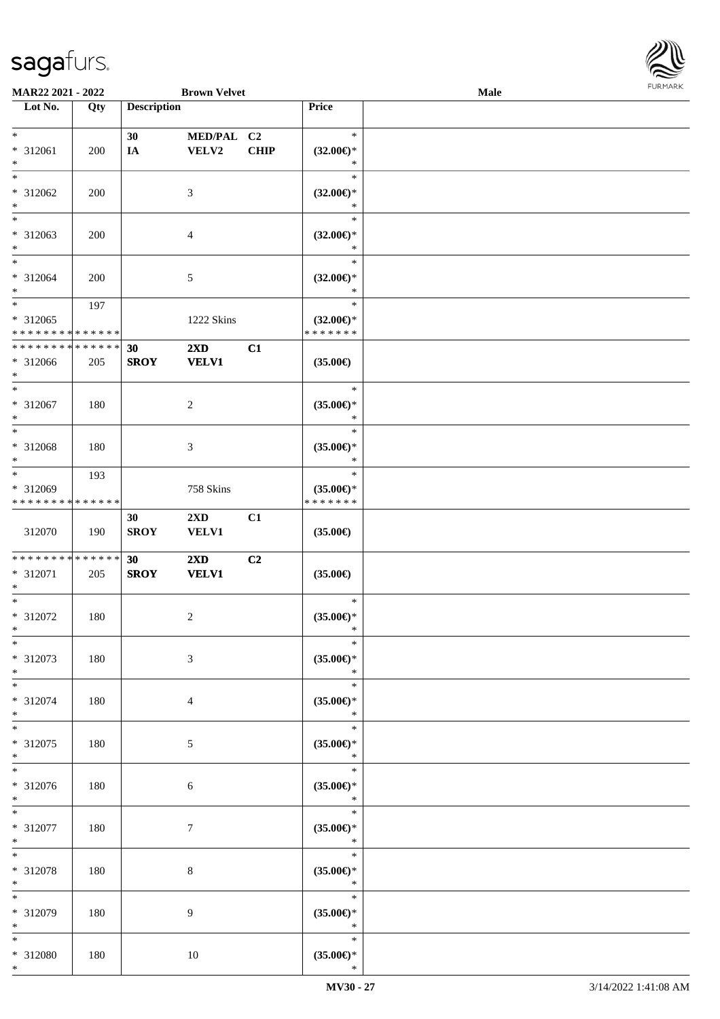

| MAR22 2021 - 2022           |     |                    | <b>Brown Velvet</b>     |             |                     | <b>Male</b> |  |
|-----------------------------|-----|--------------------|-------------------------|-------------|---------------------|-------------|--|
| Lot No.                     | Qty | <b>Description</b> |                         |             | Price               |             |  |
|                             |     |                    |                         |             |                     |             |  |
| $\ast$                      |     | 30                 | MED/PAL C2              |             | $\ast$              |             |  |
| * 312061                    | 200 | IA                 | <b>VELV2</b>            | <b>CHIP</b> | $(32.00\epsilon)$ * |             |  |
| $\ast$                      |     |                    |                         |             | $\ast$              |             |  |
| $*$                         |     |                    |                         |             | $\ast$              |             |  |
| * 312062                    | 200 |                    | 3                       |             | $(32.00\epsilon)$ * |             |  |
| $\ast$                      |     |                    |                         |             | $\ast$              |             |  |
| $\overline{\phantom{0}}$    |     |                    |                         |             | $\ast$              |             |  |
| * 312063                    | 200 |                    | 4                       |             | $(32.00\epsilon)$ * |             |  |
| $\ast$                      |     |                    |                         |             | $\ast$              |             |  |
| $\overline{\ast}$           |     |                    |                         |             | $\ast$              |             |  |
| $* 312064$                  | 200 |                    | 5                       |             | $(32.00\epsilon)$ * |             |  |
| $*$                         |     |                    |                         |             | $\ast$              |             |  |
| $\ast$                      | 197 |                    |                         |             | $\ast$              |             |  |
| $* 312065$                  |     |                    | 1222 Skins              |             | $(32.00\epsilon)$ * |             |  |
| * * * * * * * * * * * * * * |     |                    |                         |             | * * * * * * *       |             |  |
| * * * * * * * * * * * * * * |     | 30                 | 2XD                     | C1          |                     |             |  |
| * 312066                    | 205 | <b>SROY</b>        | <b>VELV1</b>            |             | $(35.00\epsilon)$   |             |  |
| $*$                         |     |                    |                         |             |                     |             |  |
| $\ast$                      |     |                    |                         |             | $\ast$              |             |  |
| $* 312067$                  | 180 |                    | $\overline{c}$          |             | $(35.00\epsilon)$ * |             |  |
| $\ast$                      |     |                    |                         |             | $\ast$              |             |  |
| $\ast$                      |     |                    |                         |             | $\ast$              |             |  |
| $* 312068$                  | 180 |                    | $\mathfrak{Z}$          |             | $(35.00\epsilon)$ * |             |  |
| $\ast$                      |     |                    |                         |             | $\ast$              |             |  |
| $\ast$                      | 193 |                    |                         |             | $\ast$              |             |  |
| * 312069                    |     |                    | 758 Skins               |             | $(35.00\epsilon)$ * |             |  |
| * * * * * * * * * * * * * * |     |                    |                         |             | * * * * * * *       |             |  |
|                             |     | 30                 | $2\mathbf{X}\mathbf{D}$ | C1          |                     |             |  |
| 312070                      | 190 | <b>SROY</b>        | VELV1                   |             | $(35.00\epsilon)$   |             |  |
|                             |     |                    |                         |             |                     |             |  |
| * * * * * * * * * * * * * * |     | 30                 | $2\mathbf{X}\mathbf{D}$ | C2          |                     |             |  |
| * 312071                    | 205 | <b>SROY</b>        | <b>VELV1</b>            |             | $(35.00\epsilon)$   |             |  |
| $*$                         |     |                    |                         |             |                     |             |  |
| $\ast$                      |     |                    |                         |             | $\ast$              |             |  |
| $* 312072$                  | 180 |                    | $\overline{c}$          |             | $(35.00\epsilon)$ * |             |  |
| $*$                         |     |                    |                         |             | $\ast$              |             |  |
| $\ast$                      |     |                    |                         |             | $\ast$              |             |  |
| $* 312073$                  | 180 |                    | 3                       |             | $(35.00\epsilon)$ * |             |  |
| $\ast$                      |     |                    |                         |             | $\ast$              |             |  |
| $*$                         |     |                    |                         |             | $\ast$              |             |  |
| $* 312074$                  | 180 |                    | $\overline{4}$          |             | $(35.00\epsilon)$ * |             |  |
| $*$                         |     |                    |                         |             | $\ast$              |             |  |
| $\ast$                      |     |                    |                         |             | $\ast$              |             |  |
| * 312075                    | 180 |                    | $5\overline{)}$         |             | $(35.00\epsilon)$ * |             |  |
| $*$                         |     |                    |                         |             | $\ast$              |             |  |
| $*$                         |     |                    |                         |             | $\ast$              |             |  |
| * 312076                    | 180 |                    | 6                       |             | $(35.00\in)\!\!^*$  |             |  |
| $*$                         |     |                    |                         |             | $\ast$              |             |  |
| $*$                         |     |                    |                         |             | $\ast$              |             |  |
| * 312077                    | 180 |                    | $\tau$                  |             | $(35.00\epsilon)$ * |             |  |
| $*$                         |     |                    |                         |             | $\ast$              |             |  |
| $\ast$                      |     |                    |                         |             | $\ast$              |             |  |
| * 312078                    | 180 |                    | 8                       |             | $(35.00\epsilon)$ * |             |  |
| $*$                         |     |                    |                         |             | $\ast$              |             |  |
| $\ast$                      |     |                    |                         |             | $\ast$              |             |  |
| * 312079                    | 180 |                    | 9                       |             | $(35.00\epsilon)$ * |             |  |
| $*$                         |     |                    |                         |             | $\ast$              |             |  |
| $*$                         |     |                    |                         |             | $\ast$              |             |  |
| * 312080                    | 180 |                    | $10\,$                  |             | $(35.00\epsilon)$ * |             |  |
| $*$                         |     |                    |                         |             | $\ast$              |             |  |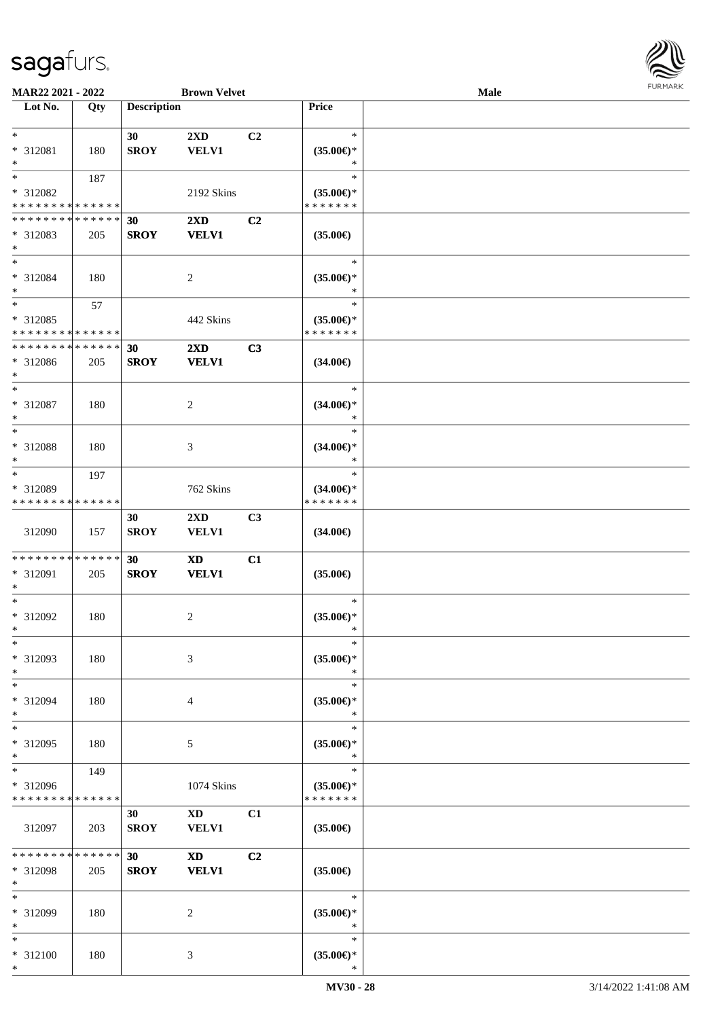

| MAR22 2021 - 2022           |             |                    | <b>Brown Velvet</b>                                                                                                                                                                                                            |    |                     | <b>Male</b> |  |
|-----------------------------|-------------|--------------------|--------------------------------------------------------------------------------------------------------------------------------------------------------------------------------------------------------------------------------|----|---------------------|-------------|--|
| Lot No.                     | Qty         | <b>Description</b> |                                                                                                                                                                                                                                |    | Price               |             |  |
|                             |             |                    |                                                                                                                                                                                                                                |    |                     |             |  |
| $*$                         |             | 30                 | 2XD                                                                                                                                                                                                                            | C2 | $\ast$              |             |  |
| * 312081                    | 180         | <b>SROY</b>        | <b>VELV1</b>                                                                                                                                                                                                                   |    | $(35.00\epsilon)$ * |             |  |
| $\ast$                      |             |                    |                                                                                                                                                                                                                                |    | $\ast$              |             |  |
| $*$                         | 187         |                    |                                                                                                                                                                                                                                |    | $\ast$              |             |  |
| * 312082                    |             |                    | 2192 Skins                                                                                                                                                                                                                     |    | $(35.00\epsilon)$ * |             |  |
| * * * * * * * * * * * * * * |             |                    |                                                                                                                                                                                                                                |    | * * * * * * *       |             |  |
| * * * * * * * * * * * * * * |             | 30                 | $2\mathbf{X}\mathbf{D}$                                                                                                                                                                                                        | C2 |                     |             |  |
| * 312083                    | 205         | <b>SROY</b>        | <b>VELV1</b>                                                                                                                                                                                                                   |    | $(35.00\epsilon)$   |             |  |
| $*$                         |             |                    |                                                                                                                                                                                                                                |    |                     |             |  |
| $*$                         |             |                    |                                                                                                                                                                                                                                |    | $\ast$              |             |  |
| * 312084                    | 180         |                    |                                                                                                                                                                                                                                |    | $(35.00\epsilon)$ * |             |  |
| $*$                         |             |                    | $\overline{c}$                                                                                                                                                                                                                 |    | $\ast$              |             |  |
| $*$                         |             |                    |                                                                                                                                                                                                                                |    | $\ast$              |             |  |
|                             | 57          |                    |                                                                                                                                                                                                                                |    |                     |             |  |
| * 312085                    |             |                    | 442 Skins                                                                                                                                                                                                                      |    | $(35.00\epsilon)$ * |             |  |
| * * * * * * * * * * * * * * |             |                    |                                                                                                                                                                                                                                |    | * * * * * * *       |             |  |
| * * * * * * * *             | ******      | 30                 | 2XD                                                                                                                                                                                                                            | C3 |                     |             |  |
| * 312086                    | 205         | <b>SROY</b>        | <b>VELV1</b>                                                                                                                                                                                                                   |    | $(34.00\epsilon)$   |             |  |
| $*$                         |             |                    |                                                                                                                                                                                                                                |    |                     |             |  |
| $*$                         |             |                    |                                                                                                                                                                                                                                |    | $\ast$              |             |  |
| * 312087                    | 180         |                    | 2                                                                                                                                                                                                                              |    | $(34.00\epsilon)$ * |             |  |
| $*$                         |             |                    |                                                                                                                                                                                                                                |    | $\ast$              |             |  |
| $*$                         |             |                    |                                                                                                                                                                                                                                |    | $\ast$              |             |  |
| * 312088                    | 180         |                    | 3                                                                                                                                                                                                                              |    | $(34.00\epsilon)$ * |             |  |
| $*$                         |             |                    |                                                                                                                                                                                                                                |    | $\ast$              |             |  |
| $*$                         | 197         |                    |                                                                                                                                                                                                                                |    | $\ast$              |             |  |
| * 312089                    |             |                    | 762 Skins                                                                                                                                                                                                                      |    | $(34.00\epsilon)$ * |             |  |
| * * * * * * * *             | * * * * * * |                    |                                                                                                                                                                                                                                |    | * * * * * * *       |             |  |
|                             |             | 30                 | $2\mathbf{X}\mathbf{D}$                                                                                                                                                                                                        | C3 |                     |             |  |
| 312090                      | 157         | <b>SROY</b>        | <b>VELV1</b>                                                                                                                                                                                                                   |    | $(34.00\epsilon)$   |             |  |
|                             |             |                    |                                                                                                                                                                                                                                |    |                     |             |  |
| * * * * * * * * * * * * * * |             | 30                 | <b>XD</b>                                                                                                                                                                                                                      | C1 |                     |             |  |
| * 312091                    | 205         | <b>SROY</b>        | <b>VELV1</b>                                                                                                                                                                                                                   |    | $(35.00\epsilon)$   |             |  |
| $*$                         |             |                    |                                                                                                                                                                                                                                |    |                     |             |  |
| $*$                         |             |                    |                                                                                                                                                                                                                                |    | $\ast$              |             |  |
| * 312092                    | 180         |                    | 2                                                                                                                                                                                                                              |    | $(35.00\epsilon)$ * |             |  |
| $*$                         |             |                    |                                                                                                                                                                                                                                |    | $\ast$              |             |  |
| $*$                         |             |                    |                                                                                                                                                                                                                                |    | $\ast$              |             |  |
| * 312093                    | 180         |                    | 3                                                                                                                                                                                                                              |    | $(35.00\epsilon)$ * |             |  |
| $*$                         |             |                    |                                                                                                                                                                                                                                |    | $\ast$              |             |  |
| $*$                         |             |                    |                                                                                                                                                                                                                                |    | $\ast$              |             |  |
|                             |             |                    |                                                                                                                                                                                                                                |    |                     |             |  |
| * 312094                    | 180         |                    | 4                                                                                                                                                                                                                              |    | $(35.00\epsilon)$ * |             |  |
| $*$                         |             |                    |                                                                                                                                                                                                                                |    | $\ast$              |             |  |
| $*$                         |             |                    |                                                                                                                                                                                                                                |    | $\ast$              |             |  |
| * 312095                    | 180         |                    | 5                                                                                                                                                                                                                              |    | $(35.00\epsilon)$ * |             |  |
| $*$                         |             |                    |                                                                                                                                                                                                                                |    | $\ast$              |             |  |
| $*$                         | 149         |                    |                                                                                                                                                                                                                                |    | $\ast$              |             |  |
| * 312096                    |             |                    | 1074 Skins                                                                                                                                                                                                                     |    | $(35.00\epsilon)$ * |             |  |
| * * * * * * * *             | * * * * * * |                    |                                                                                                                                                                                                                                |    | * * * * * * *       |             |  |
|                             |             | 30                 | XD and the set of the set of the set of the set of the set of the set of the set of the set of the set of the set of the set of the set of the set of the set of the set of the set of the set of the set of the set of the se | C1 |                     |             |  |
| 312097                      | 203         | <b>SROY</b>        | <b>VELV1</b>                                                                                                                                                                                                                   |    | $(35.00\epsilon)$   |             |  |
|                             |             |                    |                                                                                                                                                                                                                                |    |                     |             |  |
| * * * * * * * *             | * * * * * * | 30                 | <b>XD</b>                                                                                                                                                                                                                      | C2 |                     |             |  |
| * 312098                    | 205         | <b>SROY</b>        | <b>VELV1</b>                                                                                                                                                                                                                   |    | $(35.00\epsilon)$   |             |  |
| $*$                         |             |                    |                                                                                                                                                                                                                                |    |                     |             |  |
| $*$                         |             |                    |                                                                                                                                                                                                                                |    | $\ast$              |             |  |
| * 312099                    | 180         |                    | 2                                                                                                                                                                                                                              |    | $(35.00\epsilon)$ * |             |  |
| $*$                         |             |                    |                                                                                                                                                                                                                                |    | $\ast$              |             |  |
| $*$                         |             |                    |                                                                                                                                                                                                                                |    | $\ast$              |             |  |
| * 312100                    | 180         |                    | 3                                                                                                                                                                                                                              |    | $(35.00\epsilon)$ * |             |  |
| $*$                         |             |                    |                                                                                                                                                                                                                                |    | $\ast$              |             |  |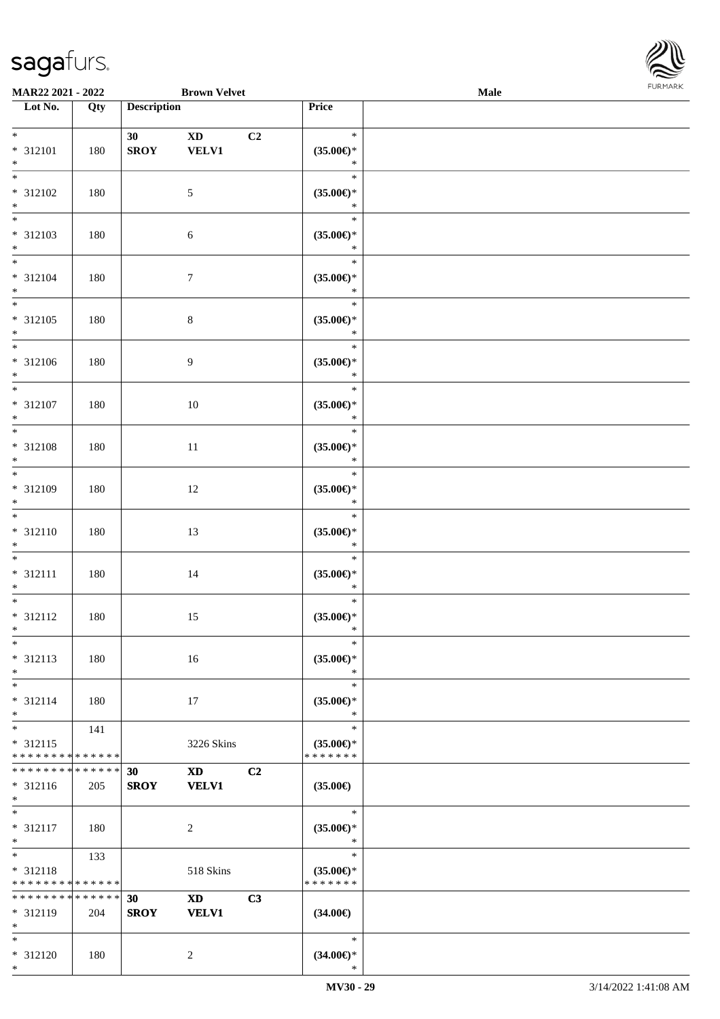\*

| MAR22 2021 - 2022                  |             |                    | <b>Brown Velvet</b>    |                |                            | Male | <b>FURITARK</b> |
|------------------------------------|-------------|--------------------|------------------------|----------------|----------------------------|------|-----------------|
| Lot No.                            | Qty         | <b>Description</b> |                        |                | Price                      |      |                 |
|                                    |             |                    |                        |                |                            |      |                 |
| $*$                                |             | 30 <sub>1</sub>    | $\mathbf{X}\mathbf{D}$ | C <sub>2</sub> | $\ast$                     |      |                 |
| $* 312101$                         | 180         | <b>SROY</b>        | <b>VELV1</b>           |                | $(35.00\epsilon)$ *        |      |                 |
| $*$                                |             |                    |                        |                | $\ast$                     |      |                 |
| $\overline{\phantom{1}}$           |             |                    |                        |                | $\ast$                     |      |                 |
| $* 312102$                         | 180         |                    | $\sqrt{5}$             |                | $(35.00\epsilon)$ *        |      |                 |
|                                    |             |                    |                        |                | $\ast$                     |      |                 |
| $*$ $*$                            |             |                    |                        |                | $\ast$                     |      |                 |
|                                    |             |                    |                        |                |                            |      |                 |
| $* 312103$                         | 180         |                    | 6                      |                | $(35.00\epsilon)$ *        |      |                 |
| $\ast$                             |             |                    |                        |                | $\ast$                     |      |                 |
| $\overline{\ast}$                  |             |                    |                        |                | $\ast$                     |      |                 |
| $* 312104$                         | 180         |                    | $\tau$                 |                | $(35.00\epsilon)$ *        |      |                 |
| $\ast$                             |             |                    |                        |                | $\ast$                     |      |                 |
| $\overline{\phantom{0}}$           |             |                    |                        |                | $\ast$                     |      |                 |
| $* 312105$                         | 180         |                    | $\,8\,$                |                | $(35.00\epsilon)$ *        |      |                 |
| $\ast$                             |             |                    |                        |                | $\ast$                     |      |                 |
| $\frac{1}{1}$                      |             |                    |                        |                | $\ast$                     |      |                 |
| $* 312106$                         | 180         |                    | $\overline{9}$         |                | $(35.00\epsilon)$ *        |      |                 |
| $\ast$                             |             |                    |                        |                | $\ast$                     |      |                 |
| $\overline{\phantom{0}}$           |             |                    |                        |                | $\ast$                     |      |                 |
| $* 312107$                         | 180         |                    |                        |                | $(35.00\epsilon)$ *        |      |                 |
| $\ast$                             |             |                    | 10                     |                | $\ast$                     |      |                 |
| $\overline{\ast}$                  |             |                    |                        |                | $\ast$                     |      |                 |
|                                    |             |                    |                        |                |                            |      |                 |
| $* 312108$                         | 180         |                    | 11                     |                | $(35.00\epsilon)$ *        |      |                 |
| $\ast$<br>$\overline{\phantom{0}}$ |             |                    |                        |                | $\ast$                     |      |                 |
|                                    |             |                    |                        |                | $\ast$                     |      |                 |
| * 312109                           | 180         |                    | 12                     |                | $(35.00\epsilon)$ *        |      |                 |
| $\ast$                             |             |                    |                        |                | $\ast$                     |      |                 |
| $\overline{\phantom{0}}$           |             |                    |                        |                | $\ast$                     |      |                 |
| $* 312110$                         | 180         |                    | 13                     |                | (35.00)                    |      |                 |
| $\ast$                             |             |                    |                        |                | $\ast$                     |      |                 |
| $*$                                |             |                    |                        |                | $\ast$                     |      |                 |
| $* 312111$                         | 180         |                    | 14                     |                | $(35.00\epsilon)$ *        |      |                 |
| $\ast$                             |             |                    |                        |                | $\ast$                     |      |                 |
| $\overline{\phantom{0}}$           |             |                    |                        |                | $\ast$                     |      |                 |
| $* 312112$                         | 180         |                    | 15                     |                | $(35.00\epsilon)$ *        |      |                 |
| $*$                                |             |                    |                        |                | and the state of the state |      |                 |
| $\overline{\phantom{a}^*}$         |             |                    |                        |                | $\ast$                     |      |                 |
|                                    |             |                    |                        |                |                            |      |                 |
| $* 312113$                         | 180         |                    | 16                     |                | $(35.00\epsilon)$ *        |      |                 |
| $\ast$                             |             |                    |                        |                | $\ast$                     |      |                 |
| $\ast$                             |             |                    |                        |                | $\ast$                     |      |                 |
| $* 312114$                         | 180         |                    | 17                     |                | $(35.00\epsilon)$ *        |      |                 |
| $\ast$                             |             |                    |                        |                | $\ast$                     |      |                 |
| $\ast$                             | 141         |                    |                        |                | $\ast$                     |      |                 |
| * 312115                           |             |                    | 3226 Skins             |                | $(35.00\epsilon)$ *        |      |                 |
| * * * * * * * * * * * * * *        |             |                    |                        |                | * * * * * * *              |      |                 |
| ********                           | * * * * * * | 30                 | <b>XD</b>              | C2             |                            |      |                 |
| * 312116                           | 205         | <b>SROY</b>        | <b>VELV1</b>           |                | $(35.00\epsilon)$          |      |                 |
| $\ast$                             |             |                    |                        |                |                            |      |                 |
| $*$                                |             |                    |                        |                | $\ast$                     |      |                 |
| * 312117                           | 180         |                    | $\overline{2}$         |                | $(35.00\epsilon)$ *        |      |                 |
| $*$                                |             |                    |                        |                | $\ast$                     |      |                 |
| $*$                                | 133         |                    |                        |                | $\ast$                     |      |                 |
| * 312118                           |             |                    | 518 Skins              |                | $(35.00\epsilon)$ *        |      |                 |
| * * * * * * * * * * * * * *        |             |                    |                        |                | * * * * * * *              |      |                 |
| **************                     |             | 30                 |                        | C3             |                            |      |                 |
|                                    |             |                    | XD 1                   |                |                            |      |                 |
| * 312119                           | 204         | <b>SROY</b>        | <b>VELV1</b>           |                | $(34.00\epsilon)$          |      |                 |
| $*$                                |             |                    |                        |                |                            |      |                 |
| $\ast$                             |             |                    |                        |                | $\ast$                     |      |                 |
| $* 312120$                         | 180         |                    | $\overline{c}$         |                | $(34.00\epsilon)$ *        |      |                 |
| $*$                                |             |                    |                        |                | $\ast$                     |      |                 |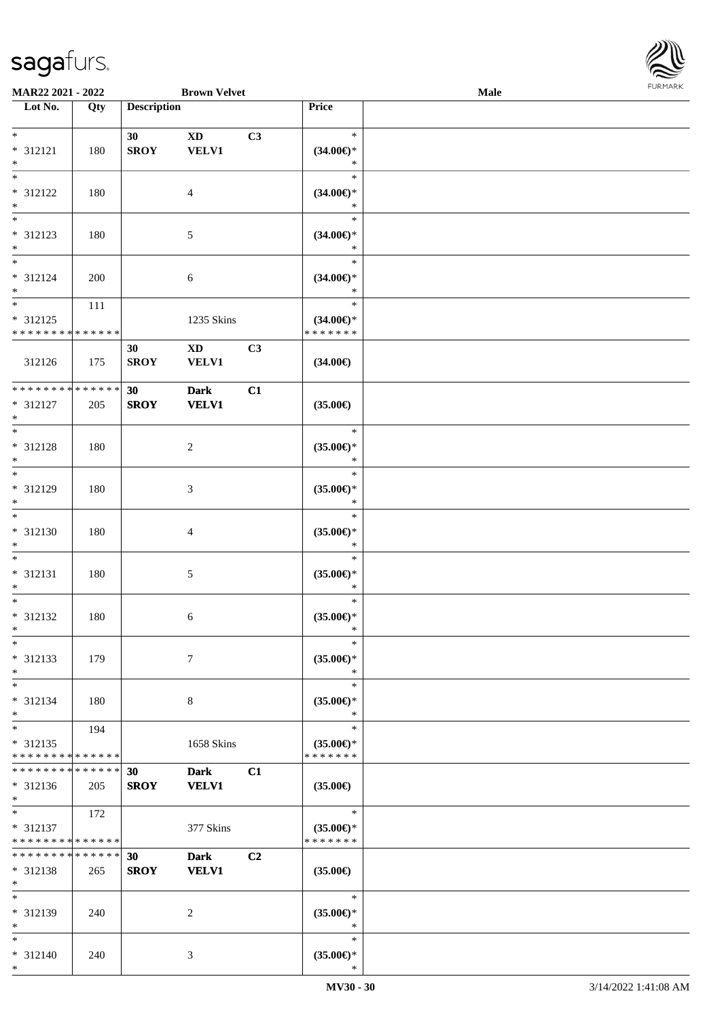

| MAR22 2021 - 2022                       |     |                    | <b>Brown Velvet</b>    |                |                                      | Male |  |
|-----------------------------------------|-----|--------------------|------------------------|----------------|--------------------------------------|------|--|
| Lot No.                                 | Qty | <b>Description</b> |                        |                | Price                                |      |  |
|                                         |     |                    |                        |                |                                      |      |  |
| $*$                                     |     | 30                 | $\mathbf{X}\mathbf{D}$ | C3             | $\ast$                               |      |  |
| * 312121                                | 180 | <b>SROY</b>        | <b>VELV1</b>           |                | $(34.00\epsilon)$ *                  |      |  |
| $*$<br>$\overline{\phantom{0}}$         |     |                    |                        |                | $\ast$                               |      |  |
|                                         |     |                    |                        |                | $\ast$                               |      |  |
| * 312122                                | 180 |                    | 4                      |                | $(34.00\epsilon)$ *                  |      |  |
| $\ast$<br>$\overline{\phantom{0}}$      |     |                    |                        |                | $\ast$                               |      |  |
|                                         |     |                    |                        |                | $\ast$                               |      |  |
| * 312123                                | 180 |                    | 5                      |                | $(34.00\epsilon)$ *                  |      |  |
| $*$<br>$*$                              |     |                    |                        |                | $\ast$<br>$\ast$                     |      |  |
|                                         |     |                    |                        |                |                                      |      |  |
| $* 312124$<br>$*$                       | 200 |                    | 6                      |                | $(34.00\epsilon)^\ast$<br>$\ast$     |      |  |
| $\overline{\phantom{0}}$                | 111 |                    |                        |                | $\ast$                               |      |  |
| $* 312125$                              |     |                    |                        |                |                                      |      |  |
| * * * * * * * * * * * * * *             |     |                    | 1235 Skins             |                | $(34.00\epsilon)$ *<br>* * * * * * * |      |  |
|                                         |     | 30                 | $\mathbf{X}\mathbf{D}$ | C3             |                                      |      |  |
| 312126                                  | 175 | <b>SROY</b>        | <b>VELV1</b>           |                | $(34.00\epsilon)$                    |      |  |
|                                         |     |                    |                        |                |                                      |      |  |
| ******** <mark>******</mark>            |     | 30                 | <b>Dark</b>            | C1             |                                      |      |  |
| * 312127                                | 205 | <b>SROY</b>        | <b>VELV1</b>           |                | $(35.00\epsilon)$                    |      |  |
| $*$                                     |     |                    |                        |                |                                      |      |  |
| $*$                                     |     |                    |                        |                | $\ast$                               |      |  |
| $* 312128$                              | 180 |                    | $\overline{c}$         |                | $(35.00\epsilon)$ *                  |      |  |
| $*$                                     |     |                    |                        |                | $\ast$                               |      |  |
| $*$                                     |     |                    |                        |                | $\ast$                               |      |  |
| * 312129                                | 180 |                    | 3                      |                | $(35.00\mathnormal{\infty})^*$       |      |  |
| $*$                                     |     |                    |                        |                | $\ast$                               |      |  |
| $\overline{\ast}$                       |     |                    |                        |                | $\ast$                               |      |  |
| $* 312130$                              | 180 |                    | 4                      |                | $(35.00\epsilon)$ *                  |      |  |
| $*$<br>$*$                              |     |                    |                        |                | $\ast$<br>$\ast$                     |      |  |
| $* 312131$                              | 180 |                    |                        |                |                                      |      |  |
| $*$                                     |     |                    | 5                      |                | $(35.00\epsilon)$ *<br>$\ast$        |      |  |
| $*$                                     |     |                    |                        |                | $\ast$                               |      |  |
| $* 312132$                              | 180 |                    | 6                      |                | $(35.00\epsilon)$ *                  |      |  |
| $*$                                     |     |                    |                        |                | $\ast$                               |      |  |
| $*$                                     |     |                    |                        |                | $\ast$                               |      |  |
| * 312133                                | 179 |                    | 7                      |                | $(35.00\epsilon)$ *                  |      |  |
| $*$                                     |     |                    |                        |                | $\ast$                               |      |  |
| $*$                                     |     |                    |                        |                | $\ast$                               |      |  |
| * 312134                                | 180 |                    | 8                      |                | $(35.00\epsilon)$ *                  |      |  |
| $*$                                     |     |                    |                        |                | $\ast$                               |      |  |
| $*$                                     | 194 |                    |                        |                | $\ast$                               |      |  |
| * 312135                                |     |                    | 1658 Skins             |                | $(35.00\epsilon)$ *                  |      |  |
| * * * * * * * * * * * * * *             |     |                    |                        |                | * * * * * * *                        |      |  |
| * * * * * * * * * * * * * *             |     | 30                 | <b>Dark</b>            | C1             |                                      |      |  |
| $* 312136$                              | 205 | <b>SROY</b>        | <b>VELV1</b>           |                | $(35.00\epsilon)$                    |      |  |
| $*$<br>$*$                              |     |                    |                        |                | $\ast$                               |      |  |
|                                         | 172 |                    |                        |                |                                      |      |  |
| * 312137<br>* * * * * * * * * * * * * * |     |                    | 377 Skins              |                | $(35.00\epsilon)$ *<br>* * * * * * * |      |  |
| * * * * * * * * * * * * * * *           |     | 30                 | <b>Dark</b>            | C <sub>2</sub> |                                      |      |  |
| * 312138                                | 265 | <b>SROY</b>        | <b>VELV1</b>           |                | $(35.00\epsilon)$                    |      |  |
| $*$                                     |     |                    |                        |                |                                      |      |  |
| $*$                                     |     |                    |                        |                | $\ast$                               |      |  |
| * 312139                                | 240 |                    | 2                      |                | $(35.00\epsilon)$ *                  |      |  |
| $*$                                     |     |                    |                        |                | $\ast$                               |      |  |
| $*$                                     |     |                    |                        |                | $\ast$                               |      |  |
| * 312140                                | 240 |                    | 3                      |                | $(35.00\epsilon)$ *                  |      |  |
| $*$                                     |     |                    |                        |                | ∗                                    |      |  |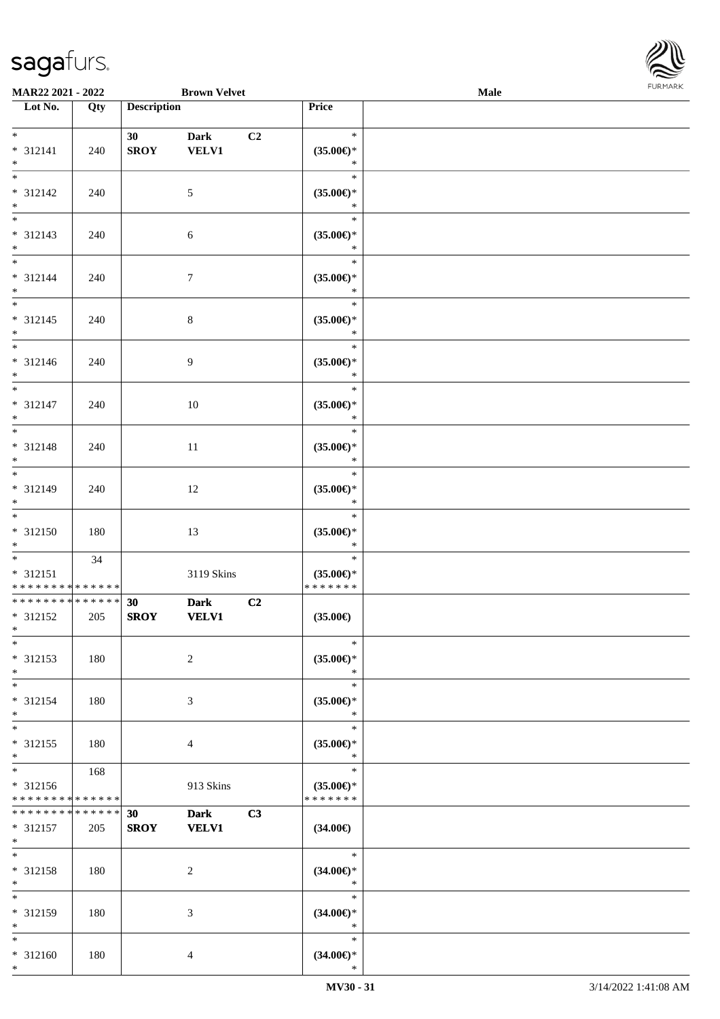

| MAR22 2021 - 2022                                           |     |                    | <b>Brown Velvet</b> |                |                        | Male |  |
|-------------------------------------------------------------|-----|--------------------|---------------------|----------------|------------------------|------|--|
| Lot No.                                                     | Qty | <b>Description</b> |                     |                | Price                  |      |  |
|                                                             |     |                    |                     |                |                        |      |  |
| $*$                                                         |     | 30                 | <b>Dark</b>         | C <sub>2</sub> | $\ast$                 |      |  |
| * 312141                                                    | 240 | <b>SROY</b>        | <b>VELV1</b>        |                | $(35.00\epsilon)$ *    |      |  |
| $*$                                                         |     |                    |                     |                | $\ast$                 |      |  |
|                                                             |     |                    |                     |                | $\ast$                 |      |  |
| * 312142                                                    | 240 |                    | $\mathfrak{S}$      |                | $(35.00\epsilon)$ *    |      |  |
| $*$                                                         |     |                    |                     |                | $\ast$                 |      |  |
| $\overline{\phantom{0}}$                                    |     |                    |                     |                | $\ast$                 |      |  |
| * 312143                                                    | 240 |                    | 6                   |                | $(35.00\epsilon)$ *    |      |  |
| $*$                                                         |     |                    |                     |                | $\ast$                 |      |  |
|                                                             |     |                    |                     |                | $\ast$                 |      |  |
| $* 312144$                                                  | 240 |                    | $\tau$              |                | $(35.00\epsilon)$ *    |      |  |
| $*$                                                         |     |                    |                     |                | $\ast$                 |      |  |
|                                                             |     |                    |                     |                | $\ast$                 |      |  |
| $* 312145$                                                  | 240 |                    | $\,8\,$             |                | $(35.00\epsilon)^\ast$ |      |  |
| $*$                                                         |     |                    |                     |                | $\ast$                 |      |  |
|                                                             |     |                    |                     |                | $\ast$                 |      |  |
| $* 312146$                                                  | 240 |                    | 9                   |                | $(35.00\epsilon)$ *    |      |  |
| $*$                                                         |     |                    |                     |                | $\ast$                 |      |  |
|                                                             |     |                    |                     |                | $\ast$                 |      |  |
| $* 312147$                                                  | 240 |                    | 10                  |                | $(35.00\epsilon)$ *    |      |  |
| $*$                                                         |     |                    |                     |                | $\ast$                 |      |  |
|                                                             |     |                    |                     |                | $\ast$                 |      |  |
| * 312148                                                    | 240 |                    | 11                  |                | $(35.00\epsilon)$ *    |      |  |
| $*$                                                         |     |                    |                     |                | $\ast$                 |      |  |
| $*$                                                         |     |                    |                     |                | $\ast$                 |      |  |
| * 312149                                                    | 240 |                    | 12                  |                | $(35.00\epsilon)$ *    |      |  |
| $*$                                                         |     |                    |                     |                | $\ast$                 |      |  |
| $\overline{\phantom{0}}$                                    |     |                    |                     |                | $\ast$                 |      |  |
| $* 312150$                                                  | 180 |                    | 13                  |                | $(35.00\epsilon)$ *    |      |  |
| $*$                                                         |     |                    |                     |                | $\ast$                 |      |  |
| $*$                                                         | 34  |                    |                     |                | $\ast$                 |      |  |
| $* 312151$                                                  |     |                    | 3119 Skins          |                | $(35.00\epsilon)$ *    |      |  |
| * * * * * * * * * * * * * *<br>******** <mark>******</mark> |     |                    |                     |                | *******                |      |  |
|                                                             |     | 30                 | <b>Dark</b>         | C2             |                        |      |  |
| * 312152<br>$*$                                             | 205 | <b>SROY</b>        | <b>VELV1</b>        |                | $(35.00\epsilon)$      |      |  |
| $*$                                                         |     |                    |                     |                | $\ast$                 |      |  |
| * 312153                                                    | 180 |                    | 2                   |                | $(35.00\epsilon)$ *    |      |  |
| $*$                                                         |     |                    |                     |                | $\ast$                 |      |  |
| $*$                                                         |     |                    |                     |                | $\ast$                 |      |  |
| * 312154                                                    | 180 |                    | 3                   |                | $(35.00\epsilon)$ *    |      |  |
| $*$                                                         |     |                    |                     |                | $\ast$                 |      |  |
| $*$                                                         |     |                    |                     |                | $\ast$                 |      |  |
| * 312155                                                    | 180 |                    | 4                   |                | $(35.00\epsilon)$ *    |      |  |
| $*$                                                         |     |                    |                     |                | $\ast$                 |      |  |
| $*$                                                         | 168 |                    |                     |                | $\ast$                 |      |  |
| * 312156                                                    |     |                    | 913 Skins           |                | $(35.00\epsilon)$ *    |      |  |
| * * * * * * * * * * * * * *                                 |     |                    |                     |                | * * * * * * *          |      |  |
| * * * * * * * * * * * * * *                                 |     | 30                 | <b>Dark</b>         | C3             |                        |      |  |
| * 312157                                                    | 205 | <b>SROY</b>        | <b>VELV1</b>        |                | $(34.00\epsilon)$      |      |  |
| $*$                                                         |     |                    |                     |                |                        |      |  |
| $*$                                                         |     |                    |                     |                | $\ast$                 |      |  |
| * 312158                                                    | 180 |                    | 2                   |                | $(34.00\epsilon)$ *    |      |  |
| $*$                                                         |     |                    |                     |                | $\ast$                 |      |  |
| $*$                                                         |     |                    |                     |                | $\ast$                 |      |  |
| * 312159                                                    | 180 |                    | 3                   |                | $(34.00\epsilon)$ *    |      |  |
| $*$                                                         |     |                    |                     |                | $\ast$                 |      |  |
| $*$                                                         |     |                    |                     |                | $\ast$                 |      |  |
| * 312160                                                    | 180 |                    | 4                   |                | $(34.00\epsilon)$ *    |      |  |
| $*$                                                         |     |                    |                     |                | $\ast$                 |      |  |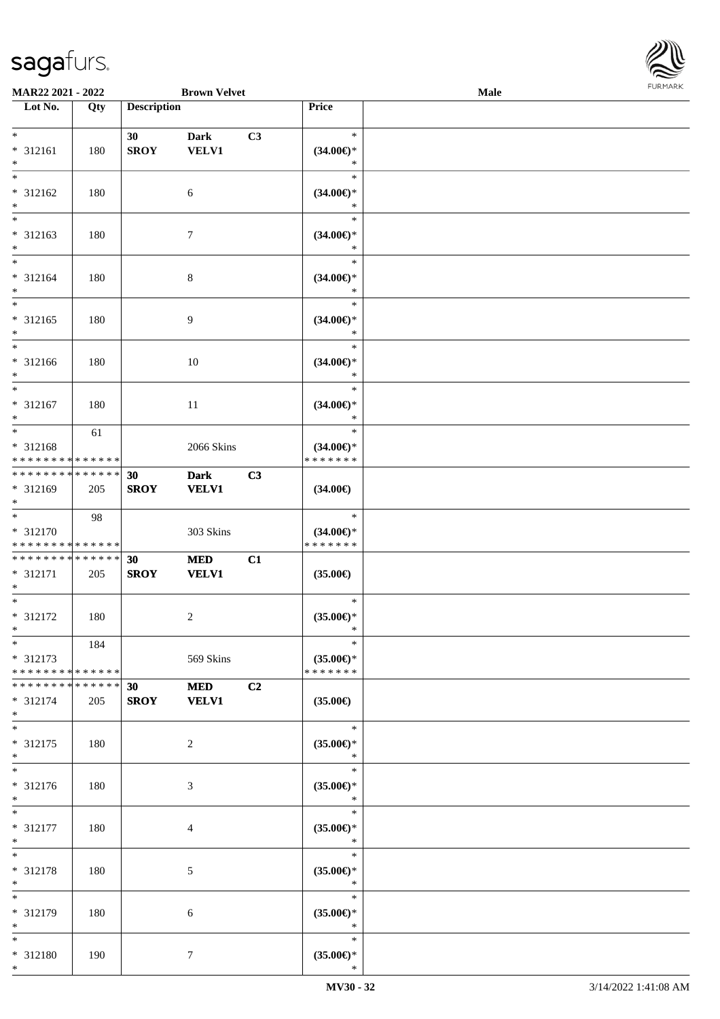

| <b>MAR22 2021 - 2022</b>                                         |     |                    | <b>Brown Velvet</b>         |    |                                                    | Male |  |
|------------------------------------------------------------------|-----|--------------------|-----------------------------|----|----------------------------------------------------|------|--|
| Lot No.                                                          | Qty | <b>Description</b> |                             |    | Price                                              |      |  |
| $*$                                                              |     | 30                 | <b>Dark</b>                 | C3 | $\ast$                                             |      |  |
| * 312161<br>$*$                                                  | 180 | <b>SROY</b>        | <b>VELV1</b>                |    | $(34.00\epsilon)$ *<br>∗                           |      |  |
| $\overline{\ast}$<br>* 312162<br>$*$                             | 180 |                    | 6                           |    | $\ast$<br>$(34.00\epsilon)$ *<br>$\ast$            |      |  |
| * 312163<br>$*$                                                  | 180 |                    | $\boldsymbol{7}$            |    | $\ast$<br>$(34.00\epsilon)$ *<br>*                 |      |  |
| $*$<br>* 312164<br>$*$                                           | 180 |                    | $\,8\,$                     |    | $\ast$<br>$(34.00\epsilon)$ *<br>$\ast$            |      |  |
| $*$<br>* 312165<br>$\ast$                                        | 180 |                    | 9                           |    | $\ast$<br>$(34.00\epsilon)$ *<br>$\ast$            |      |  |
| $\overline{\phantom{0}}$<br>* 312166<br>$*$                      | 180 |                    | 10                          |    | $\ast$<br>$(34.00\epsilon)$ *<br>$\ast$            |      |  |
| $\frac{1}{\ast}$<br>* 312167<br>$*$                              | 180 |                    | 11                          |    | $\ast$<br>$(34.00\epsilon)$ *<br>$\ast$            |      |  |
| * 312168<br>* * * * * * * * <mark>* * * * * * *</mark>           | 61  |                    | 2066 Skins                  |    | $\ast$<br>$(34.00\epsilon)$ *<br>* * * * * * *     |      |  |
| * * * * * * * * <mark>* * * * * *</mark><br>* 312169<br>$*$      | 205 | 30<br><b>SROY</b>  | <b>Dark</b><br><b>VELV1</b> | C3 | $(34.00\epsilon)$                                  |      |  |
| * 312170<br>* * * * * * * * <mark>* * * * * * *</mark>           | 98  |                    | 303 Skins                   |    | $\ast$<br>$(34.00\epsilon)$ *<br>* * * * * * *     |      |  |
| * * * * * * * * <mark>* * * * * *</mark><br>* 312171<br>$\ast$   | 205 | 30<br><b>SROY</b>  | <b>MED</b><br><b>VELV1</b>  | C1 | $(35.00\epsilon)$                                  |      |  |
| $*$<br>* 312172<br>$*$                                           | 180 |                    | $\overline{c}$              |    | $\ast$<br>$(35.00\epsilon)$ *<br>$\ast$            |      |  |
| $*$<br>* 312173<br>* * * * * * * * <mark>* * * * * *</mark>      | 184 |                    | 569 Skins                   |    | $\ast$<br>$(35.00\epsilon)$ *<br>* * * * * * *     |      |  |
| * * * * * * * * <mark>* * * * * *</mark><br>$* 312174$<br>$\ast$ | 205 | 30<br><b>SROY</b>  | <b>MED</b><br><b>VELV1</b>  | C2 | $(35.00\epsilon)$                                  |      |  |
| $*$<br>* 312175<br>$*$                                           | 180 |                    | $\overline{2}$              |    | $\ast$<br>$(35.00\mathnormal{\infty})^*$<br>$\ast$ |      |  |
| $*$<br>* 312176<br>$*$                                           | 180 |                    | 3                           |    | $\ast$<br>$(35.00\epsilon)$ *<br>$\ast$            |      |  |
| $*$<br>* 312177<br>$*$                                           | 180 |                    | 4                           |    | $\ast$<br>$(35.00\epsilon)$ *<br>$\ast$            |      |  |
| $*$<br>* 312178<br>$*$                                           | 180 |                    | 5                           |    | $\ast$<br>$(35.00\epsilon)$ *<br>$\ast$            |      |  |
| $*$<br>* 312179<br>$*$                                           | 180 |                    | 6                           |    | $\ast$<br>$(35.00\epsilon)$ *<br>$\ast$            |      |  |
| $*$<br>* 312180<br>$*$                                           | 190 |                    | $\tau$                      |    | $\ast$<br>$(35.00\epsilon)$ *<br>$\ast$            |      |  |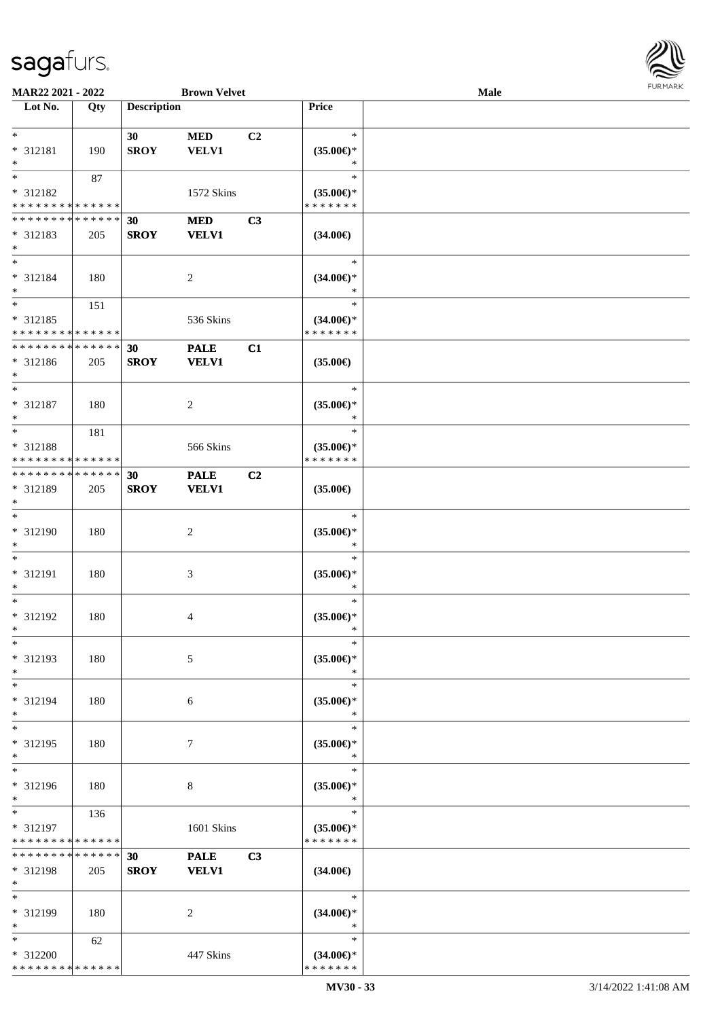

| MAR22 2021 - 2022                          |     |                    | <b>Brown Velvet</b> |                |                     | Male |  |
|--------------------------------------------|-----|--------------------|---------------------|----------------|---------------------|------|--|
| Lot No.                                    | Qty | <b>Description</b> |                     |                | Price               |      |  |
|                                            |     |                    |                     |                |                     |      |  |
| $\ast$                                     |     | 30                 | $\bf MED$           | C <sub>2</sub> | $\ast$              |      |  |
| * 312181                                   | 190 | <b>SROY</b>        | <b>VELV1</b>        |                | $(35.00\epsilon)$ * |      |  |
| $\ast$                                     |     |                    |                     |                | $\ast$              |      |  |
| $*$                                        | 87  |                    |                     |                | $\ast$              |      |  |
| * 312182                                   |     |                    | 1572 Skins          |                | $(35.00\epsilon)$ * |      |  |
| * * * * * * * * * * * * * *                |     |                    |                     |                | * * * * * * *       |      |  |
| * * * * * * * * * * * * * *                |     | 30                 | <b>MED</b>          | C3             |                     |      |  |
| * 312183                                   | 205 | <b>SROY</b>        | <b>VELV1</b>        |                | $(34.00\epsilon)$   |      |  |
| $\ast$                                     |     |                    |                     |                |                     |      |  |
| $\ast$                                     |     |                    |                     |                | $\ast$              |      |  |
|                                            |     |                    |                     |                |                     |      |  |
| * 312184                                   | 180 |                    | $\sqrt{2}$          |                | $(34.00\epsilon)$ * |      |  |
| $\ast$<br>$*$                              |     |                    |                     |                | $\ast$              |      |  |
|                                            | 151 |                    |                     |                | $\ast$              |      |  |
| $* 312185$                                 |     |                    | 536 Skins           |                | $(34.00\epsilon)$ * |      |  |
| * * * * * * * * * * * * * *                |     |                    |                     |                | * * * * * * *       |      |  |
| * * * * * * * * * * * * * *                |     | 30                 | <b>PALE</b>         | C1             |                     |      |  |
| * 312186                                   | 205 | <b>SROY</b>        | <b>VELV1</b>        |                | $(35.00\epsilon)$   |      |  |
| $*$                                        |     |                    |                     |                |                     |      |  |
| $\ast$                                     |     |                    |                     |                | $\ast$              |      |  |
| $* 312187$                                 | 180 |                    | $\sqrt{2}$          |                | $(35.00\epsilon)$ * |      |  |
| $\ast$                                     |     |                    |                     |                | $\ast$              |      |  |
| $*$                                        | 181 |                    |                     |                | $\ast$              |      |  |
| * 312188                                   |     |                    | 566 Skins           |                | $(35.00\epsilon)$ * |      |  |
| * * * * * * * * <mark>* * * * * * *</mark> |     |                    |                     |                | * * * * * * *       |      |  |
| * * * * * * * * * * * * * *                |     | 30                 | <b>PALE</b>         | C <sub>2</sub> |                     |      |  |
| * 312189                                   | 205 | <b>SROY</b>        | <b>VELV1</b>        |                | $(35.00\epsilon)$   |      |  |
| $*$                                        |     |                    |                     |                |                     |      |  |
| $\ast$                                     |     |                    |                     |                | $\ast$              |      |  |
| $* 312190$                                 | 180 |                    | $\sqrt{2}$          |                | $(35.00\epsilon)$ * |      |  |
| $\ast$                                     |     |                    |                     |                | $\ast$              |      |  |
| $\ast$                                     |     |                    |                     |                | $\ast$              |      |  |
|                                            |     |                    |                     |                |                     |      |  |
| $* 312191$                                 | 180 |                    | 3                   |                | $(35.00\epsilon)$ * |      |  |
| $\ast$                                     |     |                    |                     |                | $\ast$              |      |  |
| $\ast$                                     |     |                    |                     |                | $\ast$              |      |  |
| $* 312192$                                 | 180 |                    | 4                   |                | $(35.00\epsilon)$ * |      |  |
| $*$                                        |     |                    |                     |                | $\ast$              |      |  |
| $\ast$                                     |     |                    |                     |                | $\ast$              |      |  |
| * 312193                                   | 180 |                    | 5                   |                | $(35.00\epsilon)$ * |      |  |
| $*$                                        |     |                    |                     |                | ∗                   |      |  |
| $*$                                        |     |                    |                     |                | $\ast$              |      |  |
| * 312194                                   | 180 |                    | 6                   |                | $(35.00\epsilon)$ * |      |  |
| $*$                                        |     |                    |                     |                | $\ast$              |      |  |
| $\ast$                                     |     |                    |                     |                | $\ast$              |      |  |
| * 312195                                   | 180 |                    | 7                   |                | $(35.00\epsilon)$ * |      |  |
| $*$                                        |     |                    |                     |                | $\ast$              |      |  |
| $\ast$                                     |     |                    |                     |                | $\ast$              |      |  |
| * 312196                                   | 180 |                    | 8                   |                | $(35.00\epsilon)$ * |      |  |
| $*$                                        |     |                    |                     |                | $\ast$              |      |  |
| $*$                                        | 136 |                    |                     |                | $\ast$              |      |  |
| * 312197                                   |     |                    | 1601 Skins          |                | $(35.00\epsilon)$ * |      |  |
| * * * * * * * * * * * * * *                |     |                    |                     |                | * * * * * * *       |      |  |
| **************                             |     | 30                 |                     | C <sub>3</sub> |                     |      |  |
|                                            |     |                    | <b>PALE</b>         |                |                     |      |  |
| * 312198                                   | 205 | <b>SROY</b>        | <b>VELV1</b>        |                | $(34.00\epsilon)$   |      |  |
| $*$                                        |     |                    |                     |                |                     |      |  |
| $\ast$                                     |     |                    |                     |                | $\ast$              |      |  |
| * 312199                                   | 180 |                    | 2                   |                | $(34.00\epsilon)$ * |      |  |
| $*$                                        |     |                    |                     |                | $\ast$              |      |  |
| $*$                                        | 62  |                    |                     |                | $\ast$              |      |  |
| * 312200                                   |     |                    | 447 Skins           |                | $(34.00\epsilon)$ * |      |  |
| * * * * * * * * * * * * * *                |     |                    |                     |                | * * * * * * *       |      |  |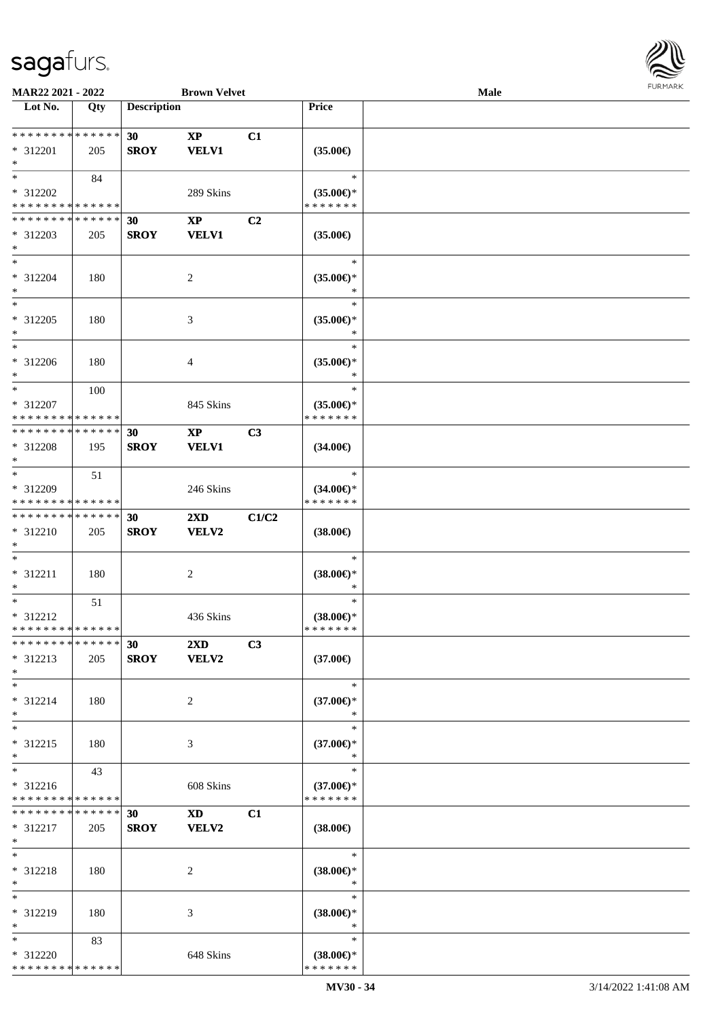

| MAR22 2021 - 2022             |     |                    | <b>Brown Velvet</b>                                                                                                                                                                                                            |                |                               | Male |  |
|-------------------------------|-----|--------------------|--------------------------------------------------------------------------------------------------------------------------------------------------------------------------------------------------------------------------------|----------------|-------------------------------|------|--|
| Lot No.                       | Qty | <b>Description</b> |                                                                                                                                                                                                                                |                | Price                         |      |  |
|                               |     |                    |                                                                                                                                                                                                                                |                |                               |      |  |
| **************                |     | 30                 | $\mathbf{XP}$                                                                                                                                                                                                                  | C1             |                               |      |  |
| * 312201                      | 205 | <b>SROY</b>        | <b>VELV1</b>                                                                                                                                                                                                                   |                | $(35.00\epsilon)$             |      |  |
| $\ast$                        |     |                    |                                                                                                                                                                                                                                |                |                               |      |  |
| $*$                           | 84  |                    |                                                                                                                                                                                                                                |                | $\ast$                        |      |  |
| * 312202                      |     |                    | 289 Skins                                                                                                                                                                                                                      |                | $(35.00\epsilon)$ *           |      |  |
| * * * * * * * * * * * * * *   |     |                    |                                                                                                                                                                                                                                |                | * * * * * * *                 |      |  |
| * * * * * * * * * * * * * *   |     |                    |                                                                                                                                                                                                                                | C <sub>2</sub> |                               |      |  |
|                               |     | 30                 | $\mathbf{X}\mathbf{P}$                                                                                                                                                                                                         |                |                               |      |  |
| * 312203                      | 205 | <b>SROY</b>        | <b>VELV1</b>                                                                                                                                                                                                                   |                | $(35.00\epsilon)$             |      |  |
| $\ast$<br>$\ast$              |     |                    |                                                                                                                                                                                                                                |                |                               |      |  |
|                               |     |                    |                                                                                                                                                                                                                                |                | $\ast$                        |      |  |
| $* 312204$                    | 180 |                    | $\sqrt{2}$                                                                                                                                                                                                                     |                | $(35.00\epsilon)$ *           |      |  |
| $\ast$                        |     |                    |                                                                                                                                                                                                                                |                | $\ast$                        |      |  |
| $\ast$                        |     |                    |                                                                                                                                                                                                                                |                | $\ast$                        |      |  |
| $* 312205$                    | 180 |                    | 3                                                                                                                                                                                                                              |                | $(35.00\epsilon)$ *           |      |  |
| $\ast$                        |     |                    |                                                                                                                                                                                                                                |                | $\ast$                        |      |  |
| $\ast$                        |     |                    |                                                                                                                                                                                                                                |                | $\ast$                        |      |  |
| $* 312206$                    | 180 |                    | 4                                                                                                                                                                                                                              |                | $(35.00\epsilon)$ *           |      |  |
| $\ast$                        |     |                    |                                                                                                                                                                                                                                |                | $\ast$                        |      |  |
| $\ast$                        | 100 |                    |                                                                                                                                                                                                                                |                | $\ast$                        |      |  |
| * 312207                      |     |                    | 845 Skins                                                                                                                                                                                                                      |                | $(35.00\epsilon)$ *           |      |  |
| * * * * * * * * * * * * * *   |     |                    |                                                                                                                                                                                                                                |                | * * * * * * *                 |      |  |
| * * * * * * * * * * * * * *   |     | 30                 | $\mathbf{X}\mathbf{P}$                                                                                                                                                                                                         | C3             |                               |      |  |
| * 312208                      | 195 |                    |                                                                                                                                                                                                                                |                |                               |      |  |
| $*$                           |     | <b>SROY</b>        | <b>VELV1</b>                                                                                                                                                                                                                   |                | $(34.00\epsilon)$             |      |  |
| $\ast$                        |     |                    |                                                                                                                                                                                                                                |                | $\ast$                        |      |  |
|                               | 51  |                    |                                                                                                                                                                                                                                |                |                               |      |  |
| * 312209                      |     |                    | 246 Skins                                                                                                                                                                                                                      |                | $(34.00\epsilon)$ *           |      |  |
| * * * * * * * * * * * * * *   |     |                    |                                                                                                                                                                                                                                |                | * * * * * * *                 |      |  |
| * * * * * * * * * * * * * *   |     | 30                 | $2\mathbf{X}\mathbf{D}$                                                                                                                                                                                                        | C1/C2          |                               |      |  |
| * 312210                      | 205 | <b>SROY</b>        | <b>VELV2</b>                                                                                                                                                                                                                   |                | $(38.00\epsilon)$             |      |  |
| $*$                           |     |                    |                                                                                                                                                                                                                                |                |                               |      |  |
| $\ast$                        |     |                    |                                                                                                                                                                                                                                |                | $\ast$                        |      |  |
| $* 312211$                    | 180 |                    | $\overline{c}$                                                                                                                                                                                                                 |                | $(38.00\epsilon)$ *           |      |  |
| $*$                           |     |                    |                                                                                                                                                                                                                                |                | $\ast$                        |      |  |
| $\ast$                        | 51  |                    |                                                                                                                                                                                                                                |                | $\ast$                        |      |  |
| $* 312212$                    |     |                    | 436 Skins                                                                                                                                                                                                                      |                | $(38.00\epsilon)$ *           |      |  |
| * * * * * * * * * * * * * *   |     |                    |                                                                                                                                                                                                                                |                | *******                       |      |  |
| * * * * * * * * * * * * * *   |     | 30                 | $2\mathbf{X}\mathbf{D}$                                                                                                                                                                                                        | C3             |                               |      |  |
| * 312213                      | 205 | <b>SROY</b>        | <b>VELV2</b>                                                                                                                                                                                                                   |                | $(37.00\epsilon)$             |      |  |
| $*$                           |     |                    |                                                                                                                                                                                                                                |                |                               |      |  |
| $*$                           |     |                    |                                                                                                                                                                                                                                |                | $\ast$                        |      |  |
|                               |     |                    |                                                                                                                                                                                                                                |                |                               |      |  |
| * 312214                      | 180 |                    | 2                                                                                                                                                                                                                              |                | $(37.00\epsilon)$ *           |      |  |
| $*$                           |     |                    |                                                                                                                                                                                                                                |                | ∗                             |      |  |
| $\ast$                        |     |                    |                                                                                                                                                                                                                                |                | $\ast$                        |      |  |
| * 312215                      | 180 |                    | 3                                                                                                                                                                                                                              |                | $(37.00\epsilon)$ *           |      |  |
| $*$                           |     |                    |                                                                                                                                                                                                                                |                | $\ast$                        |      |  |
| $\ast$                        | 43  |                    |                                                                                                                                                                                                                                |                | $\ast$                        |      |  |
| $* 312216$                    |     |                    | 608 Skins                                                                                                                                                                                                                      |                | $(37.00\epsilon)$ *           |      |  |
| * * * * * * * * * * * * * *   |     |                    |                                                                                                                                                                                                                                |                | * * * * * * *                 |      |  |
| * * * * * * * * * * * * * * * |     | 30                 | XD and the set of the set of the set of the set of the set of the set of the set of the set of the set of the set of the set of the set of the set of the set of the set of the set of the set of the set of the set of the se | C1             |                               |      |  |
| * 312217                      | 205 | <b>SROY</b>        | <b>VELV2</b>                                                                                                                                                                                                                   |                | $(38.00\epsilon)$             |      |  |
| $*$                           |     |                    |                                                                                                                                                                                                                                |                |                               |      |  |
| $\ast$                        |     |                    |                                                                                                                                                                                                                                |                | $\ast$                        |      |  |
| * 312218                      | 180 |                    | 2                                                                                                                                                                                                                              |                | $(38.00\epsilon)$ *           |      |  |
| $*$                           |     |                    |                                                                                                                                                                                                                                |                | $\ast$                        |      |  |
| $\ast$                        |     |                    |                                                                                                                                                                                                                                |                | $\ast$                        |      |  |
|                               |     |                    |                                                                                                                                                                                                                                |                |                               |      |  |
| * 312219<br>$*$               | 180 |                    | 3                                                                                                                                                                                                                              |                | $(38.00\epsilon)$ *<br>$\ast$ |      |  |
|                               |     |                    |                                                                                                                                                                                                                                |                |                               |      |  |
| $*$                           | 83  |                    |                                                                                                                                                                                                                                |                | $\ast$                        |      |  |
| * 312220                      |     |                    | 648 Skins                                                                                                                                                                                                                      |                | $(38.00\epsilon)$ *           |      |  |
| * * * * * * * * * * * * * *   |     |                    |                                                                                                                                                                                                                                |                | * * * * * * *                 |      |  |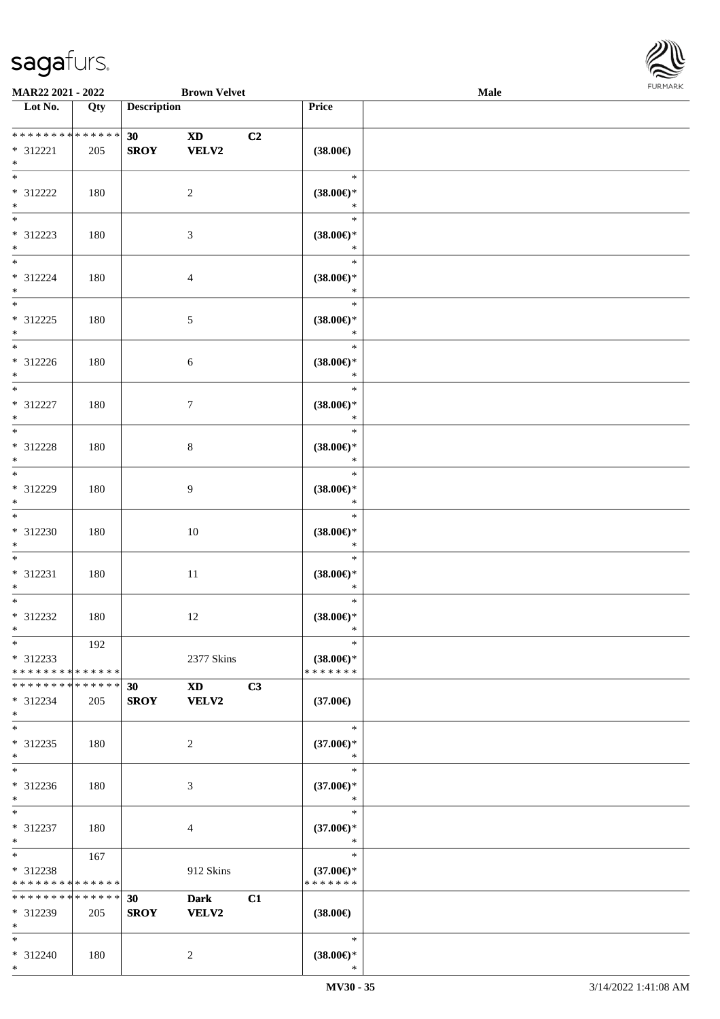\*



| MAR22 2021 - 2022                  |             |                    | <b>Brown Velvet</b>                                                                                                                                                                                                            |    |                               | Male |  |  |  |  |
|------------------------------------|-------------|--------------------|--------------------------------------------------------------------------------------------------------------------------------------------------------------------------------------------------------------------------------|----|-------------------------------|------|--|--|--|--|
| Lot No.                            | Qty         | <b>Description</b> |                                                                                                                                                                                                                                |    | Price                         |      |  |  |  |  |
|                                    |             |                    |                                                                                                                                                                                                                                |    |                               |      |  |  |  |  |
|                                    |             | 30                 | <b>XD</b>                                                                                                                                                                                                                      | C2 |                               |      |  |  |  |  |
| $* 312221$                         | 205         | <b>SROY</b>        | <b>VELV2</b>                                                                                                                                                                                                                   |    | $(38.00\epsilon)$             |      |  |  |  |  |
| $\ast$<br>$*$                      |             |                    |                                                                                                                                                                                                                                |    | $\ast$                        |      |  |  |  |  |
|                                    |             |                    |                                                                                                                                                                                                                                |    |                               |      |  |  |  |  |
| * 312222                           | 180         |                    | $\overline{2}$                                                                                                                                                                                                                 |    | $(38.00\epsilon)$ *           |      |  |  |  |  |
| $\ast$<br>$\overline{\phantom{0}}$ |             |                    |                                                                                                                                                                                                                                |    | $\ast$<br>$\ast$              |      |  |  |  |  |
|                                    |             |                    |                                                                                                                                                                                                                                |    |                               |      |  |  |  |  |
| * 312223<br>$\ast$                 | 180         |                    | $\sqrt{3}$                                                                                                                                                                                                                     |    | $(38.00\epsilon)$ *<br>$\ast$ |      |  |  |  |  |
| $\overline{\ast}$                  |             |                    |                                                                                                                                                                                                                                |    | $\ast$                        |      |  |  |  |  |
|                                    |             |                    |                                                                                                                                                                                                                                |    |                               |      |  |  |  |  |
| $* 312224$<br>$*$                  | 180         |                    | $\overline{4}$                                                                                                                                                                                                                 |    | $(38.00\in)^\ast$<br>$\ast$   |      |  |  |  |  |
| $\ast$                             |             |                    |                                                                                                                                                                                                                                |    | $\ast$                        |      |  |  |  |  |
| $* 312225$                         | 180         |                    |                                                                                                                                                                                                                                |    | $(38.00\epsilon)$ *           |      |  |  |  |  |
| $\ast$                             |             |                    | $5\,$                                                                                                                                                                                                                          |    | $\ast$                        |      |  |  |  |  |
| $\ast$                             |             |                    |                                                                                                                                                                                                                                |    | $\ast$                        |      |  |  |  |  |
| $* 312226$                         | 180         |                    | $6\,$                                                                                                                                                                                                                          |    | $(38.00\epsilon)$ *           |      |  |  |  |  |
| $\ast$                             |             |                    |                                                                                                                                                                                                                                |    | $\ast$                        |      |  |  |  |  |
| $\ast$                             |             |                    |                                                                                                                                                                                                                                |    | $\ast$                        |      |  |  |  |  |
| $* 312227$                         | 180         |                    | $7\phantom{.0}$                                                                                                                                                                                                                |    | $(38.00\epsilon)$ *           |      |  |  |  |  |
| $*$                                |             |                    |                                                                                                                                                                                                                                |    | $\ast$                        |      |  |  |  |  |
| $*$                                |             |                    |                                                                                                                                                                                                                                |    | $\ast$                        |      |  |  |  |  |
| * 312228                           | 180         |                    | $8\,$                                                                                                                                                                                                                          |    | $(38.00\epsilon)$ *           |      |  |  |  |  |
| $\ast$                             |             |                    |                                                                                                                                                                                                                                |    | $\ast$                        |      |  |  |  |  |
| $*$                                |             |                    |                                                                                                                                                                                                                                |    | $\ast$                        |      |  |  |  |  |
| $* 312229$                         | 180         |                    | 9                                                                                                                                                                                                                              |    | $(38.00\epsilon)$ *           |      |  |  |  |  |
| $*$                                |             |                    |                                                                                                                                                                                                                                |    | $\ast$                        |      |  |  |  |  |
| $\ast$                             |             |                    |                                                                                                                                                                                                                                |    | $\ast$                        |      |  |  |  |  |
| $* 312230$                         | 180         |                    | $10\,$                                                                                                                                                                                                                         |    | $(38.00\epsilon)$ *           |      |  |  |  |  |
| $*$                                |             |                    |                                                                                                                                                                                                                                |    | $\ast$                        |      |  |  |  |  |
| $*$                                |             |                    |                                                                                                                                                                                                                                |    | $\ast$                        |      |  |  |  |  |
| * 312231                           | 180         |                    | $11\,$                                                                                                                                                                                                                         |    | $(38.00\epsilon)$ *           |      |  |  |  |  |
| $*$                                |             |                    |                                                                                                                                                                                                                                |    | $\ast$                        |      |  |  |  |  |
| $*$                                |             |                    |                                                                                                                                                                                                                                |    | $\ast$                        |      |  |  |  |  |
| $* 312232$                         | 180         |                    | 12                                                                                                                                                                                                                             |    | $(38.00\epsilon)$ *           |      |  |  |  |  |
| $*$                                |             |                    |                                                                                                                                                                                                                                |    | $\ast$                        |      |  |  |  |  |
| $\ast$                             | 192         |                    |                                                                                                                                                                                                                                |    | $\ast$                        |      |  |  |  |  |
| * 312233                           |             |                    | 2377 Skins                                                                                                                                                                                                                     |    | $(38.00\epsilon)$ *           |      |  |  |  |  |
| * * * * * * * * * * * * * *        |             |                    |                                                                                                                                                                                                                                |    | * * * * * * *                 |      |  |  |  |  |
| * * * * * * * * * * * * * * *      |             | 30                 | XD and the set of the set of the set of the set of the set of the set of the set of the set of the set of the set of the set of the set of the set of the set of the set of the set of the set of the set of the set of the se | C3 |                               |      |  |  |  |  |
| * 312234<br>$*$                    | 205         | <b>SROY</b>        | VELV2                                                                                                                                                                                                                          |    | $(37.00\epsilon)$             |      |  |  |  |  |
| $*$                                |             |                    |                                                                                                                                                                                                                                |    | $\ast$                        |      |  |  |  |  |
| * 312235                           | 180         |                    | 2                                                                                                                                                                                                                              |    | $(37.00\epsilon)$ *           |      |  |  |  |  |
| $*$                                |             |                    |                                                                                                                                                                                                                                |    | $\ast$                        |      |  |  |  |  |
| $\overline{\phantom{1}}$           |             |                    |                                                                                                                                                                                                                                |    | $\ast$                        |      |  |  |  |  |
| $* 312236$                         | 180         |                    | 3                                                                                                                                                                                                                              |    | $(37.00\epsilon)$ *           |      |  |  |  |  |
| $*$                                |             |                    |                                                                                                                                                                                                                                |    | $\ast$                        |      |  |  |  |  |
| $*$                                |             |                    |                                                                                                                                                                                                                                |    | $\ast$                        |      |  |  |  |  |
| $* 312237$                         | 180         |                    | 4                                                                                                                                                                                                                              |    | $(37.00\epsilon)$ *           |      |  |  |  |  |
| $*$                                |             |                    |                                                                                                                                                                                                                                |    | $\ast$                        |      |  |  |  |  |
| $*$                                | 167         |                    |                                                                                                                                                                                                                                |    | $\ast$                        |      |  |  |  |  |
| $* 312238$                         |             |                    | 912 Skins                                                                                                                                                                                                                      |    | $(37.00\epsilon)$ *           |      |  |  |  |  |
| * * * * * * * * * * * * * *        |             |                    |                                                                                                                                                                                                                                |    | * * * * * * *                 |      |  |  |  |  |
| * * * * * * * *                    | * * * * * * | 30                 | <b>Dark</b>                                                                                                                                                                                                                    | C1 |                               |      |  |  |  |  |
| * 312239                           | 205         | <b>SROY</b>        | <b>VELV2</b>                                                                                                                                                                                                                   |    | $(38.00\epsilon)$             |      |  |  |  |  |
| $*$                                |             |                    |                                                                                                                                                                                                                                |    |                               |      |  |  |  |  |
| $*$                                |             |                    |                                                                                                                                                                                                                                |    | $\ast$                        |      |  |  |  |  |
| * 312240                           | 180         |                    | $\overline{2}$                                                                                                                                                                                                                 |    | $(38.00\epsilon)$ *           |      |  |  |  |  |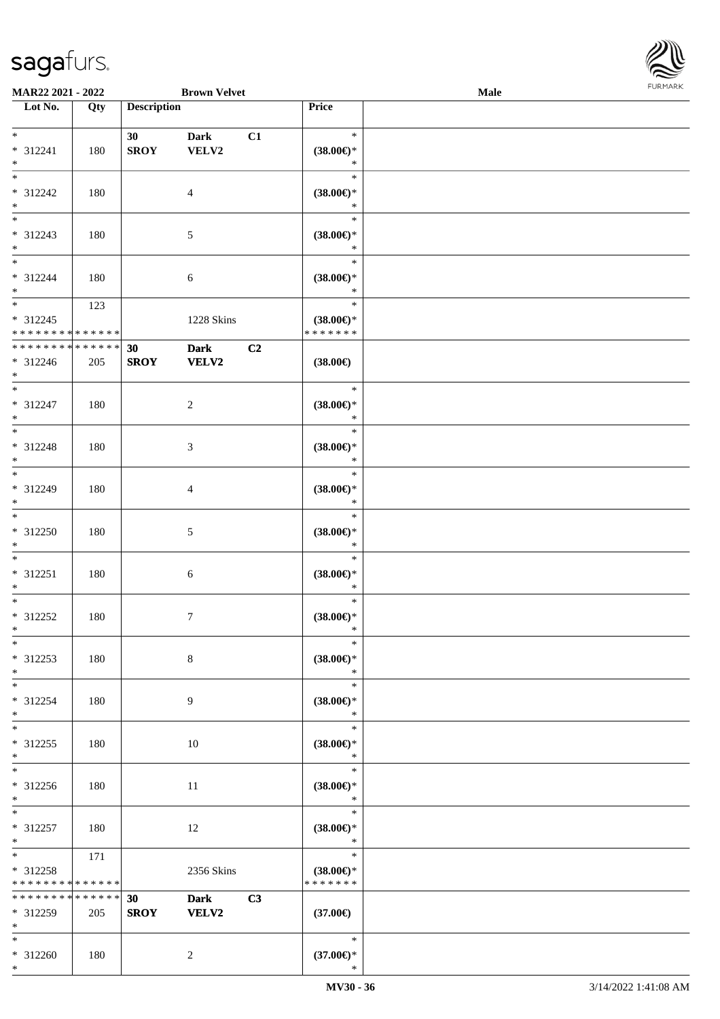\*



| MAR22 2021 - 2022                                                       |     |                    | <b>Brown Velvet</b>         |    |                                                | <b>Male</b> |  |
|-------------------------------------------------------------------------|-----|--------------------|-----------------------------|----|------------------------------------------------|-------------|--|
| Lot No.                                                                 | Qty | <b>Description</b> |                             |    | Price                                          |             |  |
| $*$<br>* 312241<br>$\ast$                                               | 180 | 30<br><b>SROY</b>  | <b>Dark</b><br>VELV2        | C1 | $\ast$<br>$(38.00\epsilon)$ *<br>$\ast$        |             |  |
| $\overline{\phantom{0}}$<br>* 312242<br>$\ast$                          | 180 |                    | $\overline{4}$              |    | $\ast$<br>$(38.00\epsilon)$ *<br>$\ast$        |             |  |
| $\overline{\phantom{0}}$<br>* 312243<br>$*$<br>$\overline{\phantom{0}}$ | 180 |                    | $5\,$                       |    | $\ast$<br>$(38.00\in)^\ast$<br>$\ast$          |             |  |
| * 312244<br>$*$                                                         | 180 |                    | 6                           |    | $\ast$<br>$(38.00\epsilon)$ *<br>$\ast$        |             |  |
| $* 312245$<br>* * * * * * * * * * * * * *                               | 123 |                    | 1228 Skins                  |    | $\ast$<br>$(38.00\epsilon)$ *<br>* * * * * * * |             |  |
| * * * * * * * * * * * * * *<br>$* 312246$<br>$*$                        | 205 | 30<br><b>SROY</b>  | <b>Dark</b><br><b>VELV2</b> | C2 | $(38.00\epsilon)$                              |             |  |
| $*$<br>$* 312247$<br>$*$                                                | 180 |                    | $\overline{2}$              |    | $\ast$<br>$(38.00\epsilon)$ *<br>$\ast$        |             |  |
| $\ast$<br>* 312248<br>$\ast$                                            | 180 |                    | $\mathfrak{Z}$              |    | $\ast$<br>$(38.00\epsilon)$ *<br>$\ast$        |             |  |
| $*$<br>$* 312249$<br>$*$                                                | 180 |                    | $\overline{4}$              |    | $\ast$<br>$(38.00\epsilon)$ *<br>$\ast$        |             |  |
| $\overline{\phantom{1}}$<br>$* 312250$<br>$*$                           | 180 |                    | $5\,$                       |    | $\ast$<br>$(38.00\epsilon)$ *<br>$\ast$        |             |  |
| $*$<br>$* 312251$<br>$*$                                                | 180 |                    | $\boldsymbol{6}$            |    | $\ast$<br>$(38.00\epsilon)$ *<br>$\ast$        |             |  |
| $*$<br>$* 312252$<br>$*$                                                | 180 |                    | $\tau$                      |    | $\ast$<br>$(38.00\epsilon)$ *<br>$\ast$        |             |  |
| $\ast$<br>* 312253<br>$*$                                               | 180 |                    | $\,8\,$                     |    | $\ast$<br>$(38.00\epsilon)$ *<br>$\ast$        |             |  |
| $*$<br>* 312254<br>$\ast$                                               | 180 |                    | 9                           |    | $\ast$<br>$(38.00\epsilon)$ *<br>$\ast$        |             |  |
| $\ast$<br>$* 312255$<br>$*$                                             | 180 |                    | $10\,$                      |    | $\ast$<br>$(38.00\in)^\ast$<br>$\ast$          |             |  |
| $\overline{\phantom{0}}$<br>$* 312256$<br>$*$                           | 180 |                    | 11                          |    | $\ast$<br>$(38.00\epsilon)$ *<br>$\ast$        |             |  |
| $\ast$<br>* 312257<br>$*$                                               | 180 |                    | 12                          |    | $\ast$<br>$(38.00\epsilon)$ *<br>$\ast$        |             |  |
| $*$<br>$* 312258$<br>* * * * * * * * <mark>* * * * * * *</mark>         | 171 |                    | 2356 Skins                  |    | $\ast$<br>$(38.00\epsilon)$ *<br>* * * * * * * |             |  |
| ******** <mark>******</mark><br>* 312259<br>$*$                         | 205 | 30<br><b>SROY</b>  | <b>Dark</b><br><b>VELV2</b> | C3 | $(37.00\epsilon)$                              |             |  |
| $*$<br>$* 312260$<br>$*$                                                | 180 |                    | $\overline{2}$              |    | $\ast$<br>$(37.00\epsilon)$ *<br>∗             |             |  |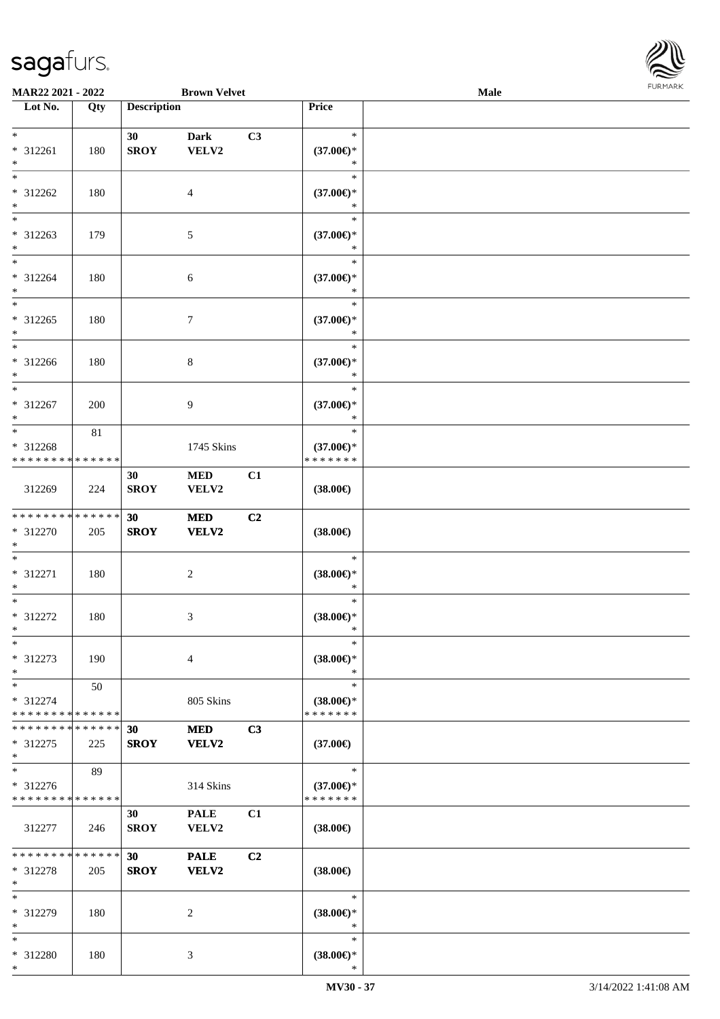

| <b>MAR22 2021 - 2022</b>      |     |                 | <b>Brown Velvet</b> |    |                     | Male |  |
|-------------------------------|-----|-----------------|---------------------|----|---------------------|------|--|
| Lot No.                       | Qty |                 | <b>Description</b>  |    |                     |      |  |
|                               |     |                 |                     |    |                     |      |  |
| $*$                           |     | 30              | <b>Dark</b>         | C3 | $\ast$              |      |  |
| * 312261                      | 180 | <b>SROY</b>     | VELV2               |    | $(37.00\epsilon)$ * |      |  |
| $\ast$                        |     |                 |                     |    | $\ast$              |      |  |
| $*$                           |     |                 |                     |    | $\ast$              |      |  |
| * 312262                      | 180 |                 | 4                   |    | $(37.00\epsilon)$ * |      |  |
| $*$                           |     |                 |                     |    | $\ast$              |      |  |
| $\overline{\phantom{0}}$      |     |                 |                     |    | $\ast$              |      |  |
| * 312263                      | 179 |                 | $\sqrt{5}$          |    | $(37.00\epsilon)$ * |      |  |
| $*$                           |     |                 |                     |    | *                   |      |  |
| $*$                           |     |                 |                     |    | $\ast$              |      |  |
|                               |     |                 |                     |    |                     |      |  |
| * 312264                      | 180 |                 | 6                   |    | $(37.00\epsilon)$ * |      |  |
| $*$                           |     |                 |                     |    | $\ast$              |      |  |
| $*$                           |     |                 |                     |    | $\ast$              |      |  |
| * 312265                      | 180 |                 | $\overline{7}$      |    | $(37.00\epsilon)$ * |      |  |
| $*$                           |     |                 |                     |    | $\ast$              |      |  |
| $\ast$                        |     |                 |                     |    | $\ast$              |      |  |
| $* 312266$                    | 180 |                 | $\,8\,$             |    | $(37.00\epsilon)$ * |      |  |
| $*$                           |     |                 |                     |    | $\ast$              |      |  |
| $*$                           |     |                 |                     |    | $\ast$              |      |  |
| $* 312267$                    | 200 |                 | 9                   |    | $(37.00\epsilon)$ * |      |  |
| $*$                           |     |                 |                     |    | $\ast$              |      |  |
| $*$                           | 81  |                 |                     |    | $\ast$              |      |  |
| * 312268                      |     |                 | 1745 Skins          |    | $(37.00\epsilon)$ * |      |  |
| * * * * * * * * * * * * * *   |     |                 |                     |    | * * * * * * *       |      |  |
|                               |     | 30              | <b>MED</b>          | C1 |                     |      |  |
| 312269                        | 224 | <b>SROY</b>     | VELV2               |    | $(38.00\epsilon)$   |      |  |
|                               |     |                 |                     |    |                     |      |  |
| * * * * * * * * * * * * * * * |     |                 |                     | C2 |                     |      |  |
|                               |     | 30              | <b>MED</b>          |    |                     |      |  |
| * 312270<br>$*$               | 205 | <b>SROY</b>     | VELV2               |    | $(38.00\epsilon)$   |      |  |
| $*$                           |     |                 |                     |    | $\ast$              |      |  |
|                               |     |                 |                     |    |                     |      |  |
| * 312271                      | 180 |                 | $\boldsymbol{2}$    |    | $(38.00\epsilon)$ * |      |  |
| $*$                           |     |                 |                     |    | $\ast$              |      |  |
| $*$                           |     |                 |                     |    | $\ast$              |      |  |
| * 312272                      | 180 |                 | 3                   |    | $(38.00\epsilon)$ * |      |  |
| $*$                           |     |                 |                     |    | $\ast$              |      |  |
| $\ast$                        |     |                 |                     |    | $\ast$              |      |  |
| * 312273                      | 190 |                 | $\overline{4}$      |    | $(38.00\epsilon)$ * |      |  |
| $*$                           |     |                 |                     |    | $\ast$              |      |  |
| $*$                           | 50  |                 |                     |    | $\ast$              |      |  |
| * 312274                      |     |                 | 805 Skins           |    | $(38.00\epsilon)$ * |      |  |
| * * * * * * * * * * * * * *   |     |                 |                     |    | * * * * * * *       |      |  |
| * * * * * * * * * * * * * * * |     | 30              | <b>MED</b>          | C3 |                     |      |  |
| * 312275                      | 225 | <b>SROY</b>     | VELV2               |    | $(37.00\epsilon)$   |      |  |
| $*$                           |     |                 |                     |    |                     |      |  |
| $*$                           | 89  |                 |                     |    | $\ast$              |      |  |
| * 312276                      |     |                 | 314 Skins           |    | $(37.00\epsilon)$ * |      |  |
| * * * * * * * * * * * * * *   |     |                 |                     |    | * * * * * * *       |      |  |
|                               |     | 30              | <b>PALE</b>         | C1 |                     |      |  |
|                               |     | <b>SROY</b>     | VELV2               |    |                     |      |  |
| 312277                        | 246 |                 |                     |    | $(38.00\epsilon)$   |      |  |
| * * * * * * * * * * * * * * * |     |                 |                     |    |                     |      |  |
|                               |     | 30 <sub>1</sub> | <b>PALE</b>         | C2 |                     |      |  |
| * 312278                      | 205 | <b>SROY</b>     | VELV2               |    | $(38.00\epsilon)$   |      |  |
| $*$                           |     |                 |                     |    |                     |      |  |
| $*$                           |     |                 |                     |    | $\ast$              |      |  |
| * 312279                      | 180 |                 | 2                   |    | $(38.00\epsilon)$ * |      |  |
| $*$                           |     |                 |                     |    | $\ast$              |      |  |
| $*$                           |     |                 |                     |    | $\ast$              |      |  |
| * 312280                      | 180 |                 | 3                   |    | $(38.00\epsilon)$ * |      |  |
| $\ast$                        |     |                 |                     |    | $\ast$              |      |  |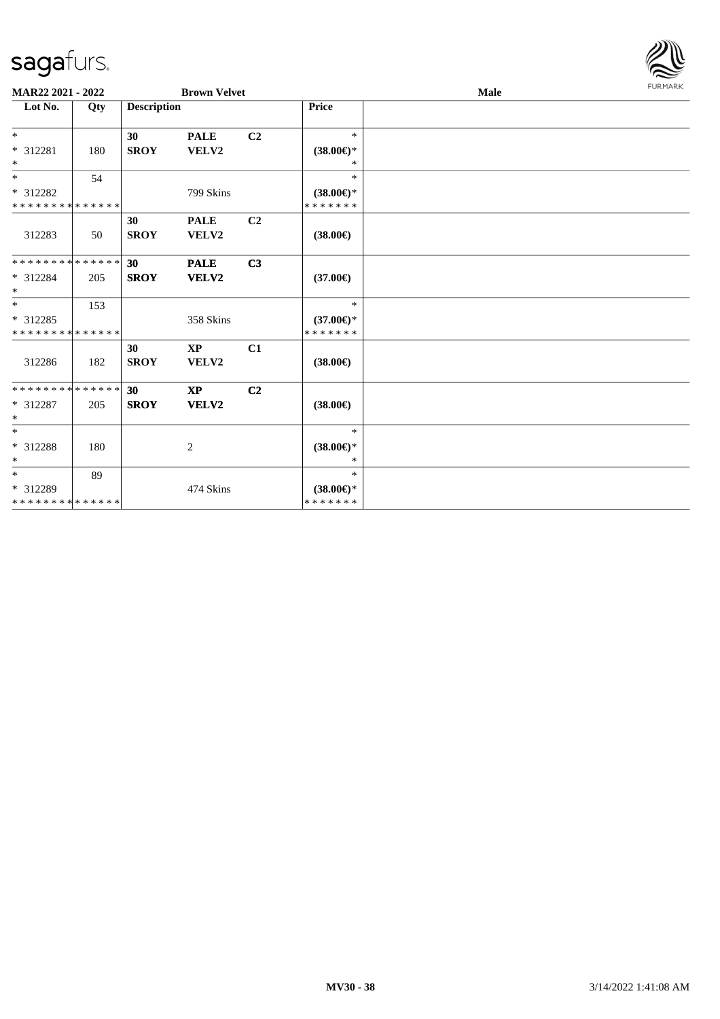

| MAR22 2021 - 2022                                 |     |                    | <b>Brown Velvet</b>             |                |                                                | Male |  |  |  |  |
|---------------------------------------------------|-----|--------------------|---------------------------------|----------------|------------------------------------------------|------|--|--|--|--|
| Lot No.                                           | Qty | <b>Description</b> |                                 |                | Price                                          |      |  |  |  |  |
| $*$<br>* 312281<br>$\ast$                         | 180 | 30<br><b>SROY</b>  | <b>PALE</b><br>VELV2            | C <sub>2</sub> | $\ast$<br>$(38.00\epsilon)$ *<br>*             |      |  |  |  |  |
| $*$<br>* 312282<br>* * * * * * * * * * * * * *    | 54  |                    | 799 Skins                       |                | $\ast$<br>$(38.00\epsilon)$ *<br>* * * * * * * |      |  |  |  |  |
| 312283                                            | 50  | 30<br><b>SROY</b>  | <b>PALE</b><br>VELV2            | C <sub>2</sub> | $(38.00\epsilon)$                              |      |  |  |  |  |
| * * * * * * * * * * * * * *<br>* 312284<br>$*$    | 205 | 30<br><b>SROY</b>  | <b>PALE</b><br>VELV2            | C3             | $(37.00\epsilon)$                              |      |  |  |  |  |
| $*$<br>* 312285<br>* * * * * * * * * * * * * *    | 153 |                    | 358 Skins                       |                | $\ast$<br>$(37.00\epsilon)$ *<br>* * * * * * * |      |  |  |  |  |
| 312286                                            | 182 | 30<br><b>SROY</b>  | $\mathbf{X}\mathbf{P}$<br>VELV2 | C1             | $(38.00\epsilon)$                              |      |  |  |  |  |
| * * * * * * * * * * * * * *<br>* 312287<br>$\ast$ | 205 | 30<br><b>SROY</b>  | $\mathbf{X}\mathbf{P}$<br>VELV2 | C <sub>2</sub> | $(38.00\epsilon)$                              |      |  |  |  |  |
| $\ast$<br>* 312288<br>$\ast$                      | 180 |                    | $\overline{c}$                  |                | $\ast$<br>$(38.00\epsilon)$ *<br>*             |      |  |  |  |  |
| $*$<br>* 312289<br>* * * * * * * * * * * * * *    | 89  |                    | 474 Skins                       |                | $\ast$<br>$(38.00\epsilon)$ *<br>* * * * * * * |      |  |  |  |  |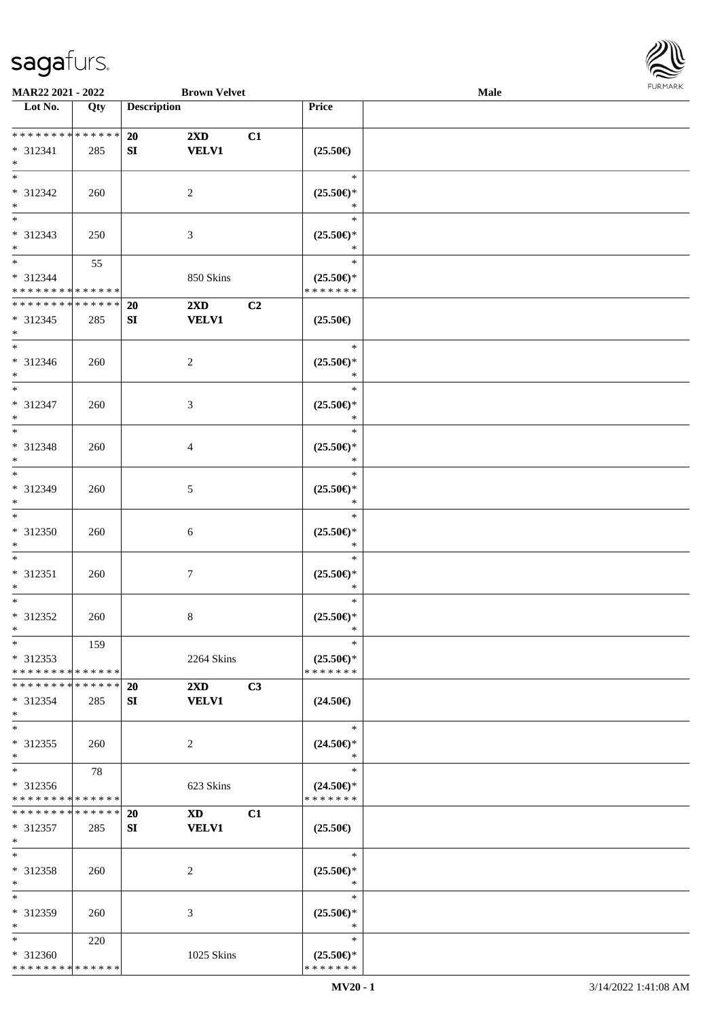

| MAR22 2021 - 2022                  |     |                    | <b>Brown Velvet</b>                                                                                                                                                                                                            |    |                                                    | Male |  |
|------------------------------------|-----|--------------------|--------------------------------------------------------------------------------------------------------------------------------------------------------------------------------------------------------------------------------|----|----------------------------------------------------|------|--|
| Lot No.                            | Qty | <b>Description</b> |                                                                                                                                                                                                                                |    | <b>Price</b>                                       |      |  |
|                                    |     |                    |                                                                                                                                                                                                                                |    |                                                    |      |  |
| ******** <mark>******</mark>       |     | 20                 | $2\mathbf{X}\mathbf{D}$                                                                                                                                                                                                        | C1 |                                                    |      |  |
| * 312341                           | 285 | SI                 | <b>VELV1</b>                                                                                                                                                                                                                   |    | $(25.50\epsilon)$                                  |      |  |
| $\ast$                             |     |                    |                                                                                                                                                                                                                                |    |                                                    |      |  |
| $\overline{\phantom{0}}$           |     |                    |                                                                                                                                                                                                                                |    | $\ast$                                             |      |  |
| * 312342                           |     |                    |                                                                                                                                                                                                                                |    | $(25.50\epsilon)$ *                                |      |  |
|                                    | 260 |                    | $\overline{2}$                                                                                                                                                                                                                 |    |                                                    |      |  |
| $\ast$<br>$\overline{\phantom{0}}$ |     |                    |                                                                                                                                                                                                                                |    | $\ast$                                             |      |  |
|                                    |     |                    |                                                                                                                                                                                                                                |    | $\ast$                                             |      |  |
| * 312343                           | 250 |                    | $\mathfrak{Z}$                                                                                                                                                                                                                 |    | $(25.50\epsilon)$ *                                |      |  |
| $*$                                |     |                    |                                                                                                                                                                                                                                |    | $\ast$                                             |      |  |
| $\overline{\phantom{0}}$           | 55  |                    |                                                                                                                                                                                                                                |    | $\ast$                                             |      |  |
| * 312344                           |     |                    | 850 Skins                                                                                                                                                                                                                      |    | $(25.50\epsilon)$ *                                |      |  |
| * * * * * * * * * * * * * *        |     |                    |                                                                                                                                                                                                                                |    | * * * * * * *                                      |      |  |
| * * * * * * * * * * * * * *        |     | <b>20</b>          | $2\mathbf{X}\mathbf{D}$                                                                                                                                                                                                        | C2 |                                                    |      |  |
| $* 312345$                         | 285 | SI                 | <b>VELV1</b>                                                                                                                                                                                                                   |    | $(25.50\epsilon)$                                  |      |  |
| $\ast$                             |     |                    |                                                                                                                                                                                                                                |    |                                                    |      |  |
| $\overline{\phantom{a}^*}$         |     |                    |                                                                                                                                                                                                                                |    | $\ast$                                             |      |  |
| $* 312346$                         | 260 |                    | $\sqrt{2}$                                                                                                                                                                                                                     |    | $(25.50\epsilon)$ *                                |      |  |
| $*$                                |     |                    |                                                                                                                                                                                                                                |    | $\ast$                                             |      |  |
| $\ast$                             |     |                    |                                                                                                                                                                                                                                |    | $\ast$                                             |      |  |
|                                    |     |                    |                                                                                                                                                                                                                                |    |                                                    |      |  |
| $* 312347$                         | 260 |                    | 3                                                                                                                                                                                                                              |    | $(25.50\epsilon)$ *                                |      |  |
| $\ast$                             |     |                    |                                                                                                                                                                                                                                |    | $\ast$                                             |      |  |
| $\ast$                             |     |                    |                                                                                                                                                                                                                                |    | $\ast$                                             |      |  |
| * 312348                           | 260 |                    | $\overline{4}$                                                                                                                                                                                                                 |    | $(25.50\epsilon)$ *                                |      |  |
| $\ast$                             |     |                    |                                                                                                                                                                                                                                |    | $\ast$                                             |      |  |
| $\ast$                             |     |                    |                                                                                                                                                                                                                                |    | $\ast$                                             |      |  |
| * 312349                           | 260 |                    | $5\,$                                                                                                                                                                                                                          |    | $(25.50\epsilon)$ *                                |      |  |
| $\ast$                             |     |                    |                                                                                                                                                                                                                                |    | $\ast$                                             |      |  |
| $\overline{\phantom{1}}$           |     |                    |                                                                                                                                                                                                                                |    | $\ast$                                             |      |  |
| $* 312350$                         | 260 |                    | $\sqrt{6}$                                                                                                                                                                                                                     |    | $(25.50\epsilon)$ *                                |      |  |
| $\ast$                             |     |                    |                                                                                                                                                                                                                                |    | $\ast$                                             |      |  |
| $\ast$                             |     |                    |                                                                                                                                                                                                                                |    | $\ast$                                             |      |  |
| $* 312351$                         | 260 |                    | $\boldsymbol{7}$                                                                                                                                                                                                               |    | $(25.50\epsilon)$ *                                |      |  |
| $\ast$                             |     |                    |                                                                                                                                                                                                                                |    | $\ast$                                             |      |  |
| $\ast$                             |     |                    |                                                                                                                                                                                                                                |    | $\ast$                                             |      |  |
|                                    |     |                    |                                                                                                                                                                                                                                |    |                                                    |      |  |
| * 312352                           | 260 |                    | $8\,$                                                                                                                                                                                                                          |    | $(25.50\mathnormal{\in}\mathcal{)^{\! \! \times}}$ |      |  |
| $*$                                |     |                    |                                                                                                                                                                                                                                |    | $\ast$                                             |      |  |
| $*$                                | 159 |                    |                                                                                                                                                                                                                                |    | $\ast$                                             |      |  |
| $* 312353$                         |     |                    | 2264 Skins                                                                                                                                                                                                                     |    | $(25.50\epsilon)$ *                                |      |  |
| * * * * * * * * * * * * * *        |     |                    |                                                                                                                                                                                                                                |    | * * * * * * *                                      |      |  |
| * * * * * * * * * * * * * * *      |     | <b>20</b>          | $2\mathbf{X}\mathbf{D}$                                                                                                                                                                                                        | C3 |                                                    |      |  |
| * 312354                           | 285 | SI                 | <b>VELV1</b>                                                                                                                                                                                                                   |    | $(24.50\epsilon)$                                  |      |  |
| $*$                                |     |                    |                                                                                                                                                                                                                                |    |                                                    |      |  |
| $\ast$                             |     |                    |                                                                                                                                                                                                                                |    | $\ast$                                             |      |  |
| * 312355                           | 260 |                    | 2                                                                                                                                                                                                                              |    | $(24.50\epsilon)$ *                                |      |  |
| $*$                                |     |                    |                                                                                                                                                                                                                                |    | $\ast$                                             |      |  |
| $*$                                | 78  |                    |                                                                                                                                                                                                                                |    | $\ast$                                             |      |  |
| * 312356                           |     |                    | 623 Skins                                                                                                                                                                                                                      |    | $(24.50\epsilon)$ *                                |      |  |
| * * * * * * * * * * * * * *        |     |                    |                                                                                                                                                                                                                                |    | * * * * * * *                                      |      |  |
| * * * * * * * * * * * * * *        |     | 20                 | XD and the set of the set of the set of the set of the set of the set of the set of the set of the set of the set of the set of the set of the set of the set of the set of the set of the set of the set of the set of the se | C1 |                                                    |      |  |
| * 312357                           | 285 | SI                 | <b>VELV1</b>                                                                                                                                                                                                                   |    | $(25.50\epsilon)$                                  |      |  |
| $*$                                |     |                    |                                                                                                                                                                                                                                |    |                                                    |      |  |
| $\ast$                             |     |                    |                                                                                                                                                                                                                                |    | $\ast$                                             |      |  |
|                                    |     |                    |                                                                                                                                                                                                                                |    |                                                    |      |  |
| * 312358<br>$*$                    | 260 |                    | 2                                                                                                                                                                                                                              |    | $(25.50\epsilon)$ *<br>$\ast$                      |      |  |
| $*$                                |     |                    |                                                                                                                                                                                                                                |    | $\ast$                                             |      |  |
|                                    |     |                    |                                                                                                                                                                                                                                |    |                                                    |      |  |
| * 312359                           | 260 |                    | 3                                                                                                                                                                                                                              |    | $(25.50\epsilon)$ *                                |      |  |
| $*$                                |     |                    |                                                                                                                                                                                                                                |    | $\ast$                                             |      |  |
| $*$                                | 220 |                    |                                                                                                                                                                                                                                |    | $\ast$                                             |      |  |
| $* 312360$                         |     |                    | 1025 Skins                                                                                                                                                                                                                     |    | $(25.50\epsilon)$ *                                |      |  |
| * * * * * * * * * * * * * *        |     |                    |                                                                                                                                                                                                                                |    | * * * * * * *                                      |      |  |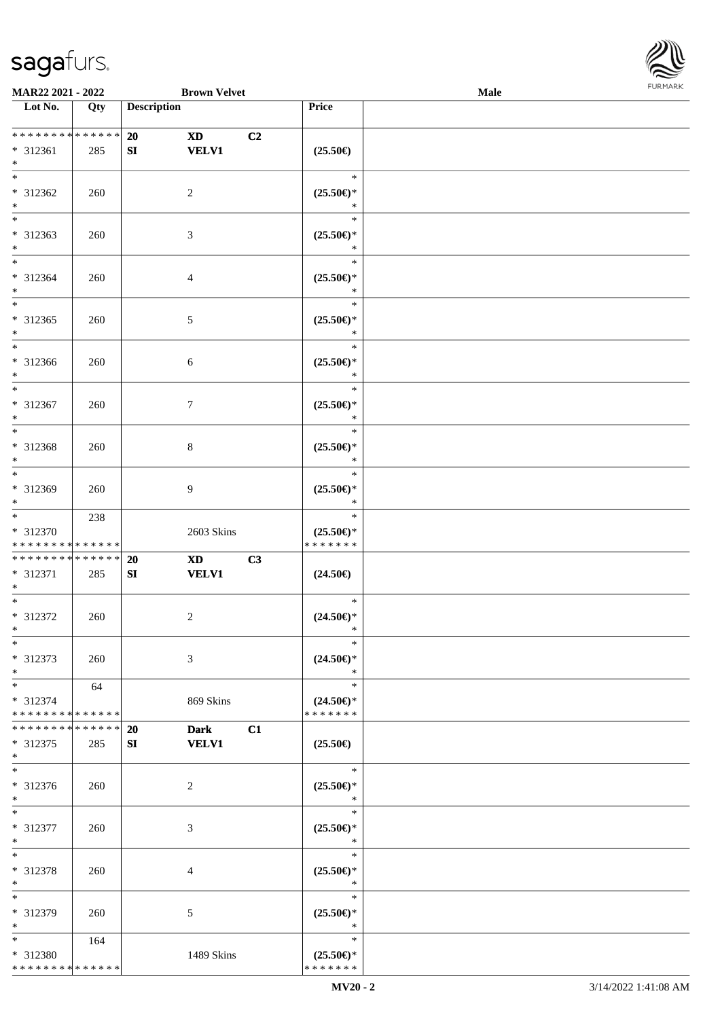\* \* \* \* \* \* \* \* \* \* \* \* \* \*



| <b>MAR22 2021 - 2022</b>                   |     |                    | <b>Brown Velvet</b>                              |                                      | Male   |
|--------------------------------------------|-----|--------------------|--------------------------------------------------|--------------------------------------|--------|
| Lot No.                                    | Qty | <b>Description</b> |                                                  | Price                                |        |
|                                            |     |                    |                                                  |                                      |        |
| * * * * * * * * <mark>* * * * * * *</mark> |     | 20<br><b>XD</b>    |                                                  | C <sub>2</sub>                       |        |
| * 312361                                   | 285 | SI                 | <b>VELV1</b>                                     | $(25.50\epsilon)$                    |        |
| $*$                                        |     |                    |                                                  |                                      |        |
|                                            |     |                    |                                                  |                                      | $\ast$ |
| * 312362                                   | 260 | 2                  |                                                  | $(25.50\epsilon)$ *                  |        |
| $*$                                        |     |                    |                                                  |                                      | *      |
|                                            |     |                    |                                                  |                                      | $\ast$ |
| * 312363                                   | 260 | 3                  |                                                  | $(25.50\epsilon)$ *                  |        |
| $*$                                        |     |                    |                                                  |                                      | *      |
| $*$                                        |     |                    |                                                  |                                      | $\ast$ |
|                                            |     |                    |                                                  |                                      |        |
| * 312364                                   | 260 | $\overline{4}$     |                                                  | $(25.50\epsilon)$ *                  | $\ast$ |
| $*$<br>$*$                                 |     |                    |                                                  |                                      |        |
|                                            |     |                    |                                                  |                                      | $\ast$ |
| * 312365                                   | 260 | $\mathfrak{S}$     |                                                  | $(25.50\epsilon)$ *                  |        |
| $\ast$                                     |     |                    |                                                  |                                      | $\ast$ |
| $\overline{\phantom{0}}$                   |     |                    |                                                  |                                      | $\ast$ |
| * 312366                                   | 260 | 6                  |                                                  | $(25.50\epsilon)$ *                  |        |
| $*$                                        |     |                    |                                                  |                                      | $\ast$ |
| $\overline{\ast}$                          |     |                    |                                                  |                                      | $\ast$ |
| * 312367                                   | 260 | $\tau$             |                                                  | $(25.50\epsilon)$ *                  |        |
| $*$                                        |     |                    |                                                  |                                      | $\ast$ |
| $*$                                        |     |                    |                                                  |                                      | $\ast$ |
| * 312368                                   | 260 | 8                  |                                                  | $(25.50\epsilon)$ *                  |        |
| $*$                                        |     |                    |                                                  |                                      | $\ast$ |
| $\overline{\ast}$                          |     |                    |                                                  |                                      | $\ast$ |
| * 312369                                   | 260 | 9                  |                                                  | $(25.50\epsilon)$ *                  |        |
| $*$                                        |     |                    |                                                  |                                      | $\ast$ |
| $*$                                        |     |                    |                                                  |                                      | $\ast$ |
|                                            | 238 |                    |                                                  |                                      |        |
| * 312370                                   |     |                    | 2603 Skins                                       | $(25.50\epsilon)$ *<br>* * * * * * * |        |
| * * * * * * * * * * * * * *                |     |                    |                                                  |                                      |        |
| * * * * * * * * <mark>* * * * * *</mark>   |     | 20                 | $\boldsymbol{\mathrm{X}}\boldsymbol{\mathrm{D}}$ | C3                                   |        |
| * 312371                                   | 285 | SI                 | <b>VELV1</b>                                     | $(24.50\epsilon)$                    |        |
| $\ast$                                     |     |                    |                                                  |                                      |        |
| $*$                                        |     |                    |                                                  |                                      | $\ast$ |
| * 312372                                   | 260 | $\overline{c}$     |                                                  | $(24.50\epsilon)$ *                  |        |
| $*$                                        |     |                    |                                                  |                                      | $\ast$ |
| $*$                                        |     |                    |                                                  |                                      | $\ast$ |
| * 312373                                   | 260 | 3                  |                                                  | $(24.50\epsilon)$ *                  |        |
| $*$                                        |     |                    |                                                  |                                      | $\ast$ |
| $*$                                        | 64  |                    |                                                  |                                      | $\ast$ |
| * 312374                                   |     |                    | 869 Skins                                        | $(24.50\epsilon)$ *                  |        |
| * * * * * * * * <mark>* * * * * * *</mark> |     |                    |                                                  | * * * * * * *                        |        |
| * * * * * * * * * * * * * * *              |     | <b>20</b>          | <b>Dark</b>                                      | C1                                   |        |
| * 312375                                   | 285 | SI                 | <b>VELV1</b>                                     | $(25.50\epsilon)$                    |        |
| $*$                                        |     |                    |                                                  |                                      |        |
| $*$                                        |     |                    |                                                  |                                      | $*$    |
| * 312376                                   | 260 | 2                  |                                                  | $(25.50\epsilon)$ *                  |        |
| $*$                                        |     |                    |                                                  |                                      | $\ast$ |
| $*$                                        |     |                    |                                                  |                                      | $\ast$ |
| * 312377                                   | 260 | 3                  |                                                  | $(25.50\epsilon)$ *                  |        |
| $*$                                        |     |                    |                                                  |                                      | $\ast$ |
| $*$                                        |     |                    |                                                  |                                      | $\ast$ |
|                                            |     |                    |                                                  |                                      |        |
| * 312378                                   | 260 | 4                  |                                                  | $(25.50\epsilon)$ *                  | $\ast$ |
| $*$                                        |     |                    |                                                  |                                      |        |
| $*$                                        |     |                    |                                                  |                                      | $\ast$ |
| * 312379                                   | 260 | 5                  |                                                  | $(25.50\epsilon)$ *                  |        |
| $*$                                        |     |                    |                                                  |                                      | $\ast$ |
| $*$                                        | 164 |                    |                                                  |                                      | $\ast$ |
| * 312380                                   |     |                    | 1489 Skins                                       | $(25.50\epsilon)$ *                  |        |

\* \* \* \* \* \* \*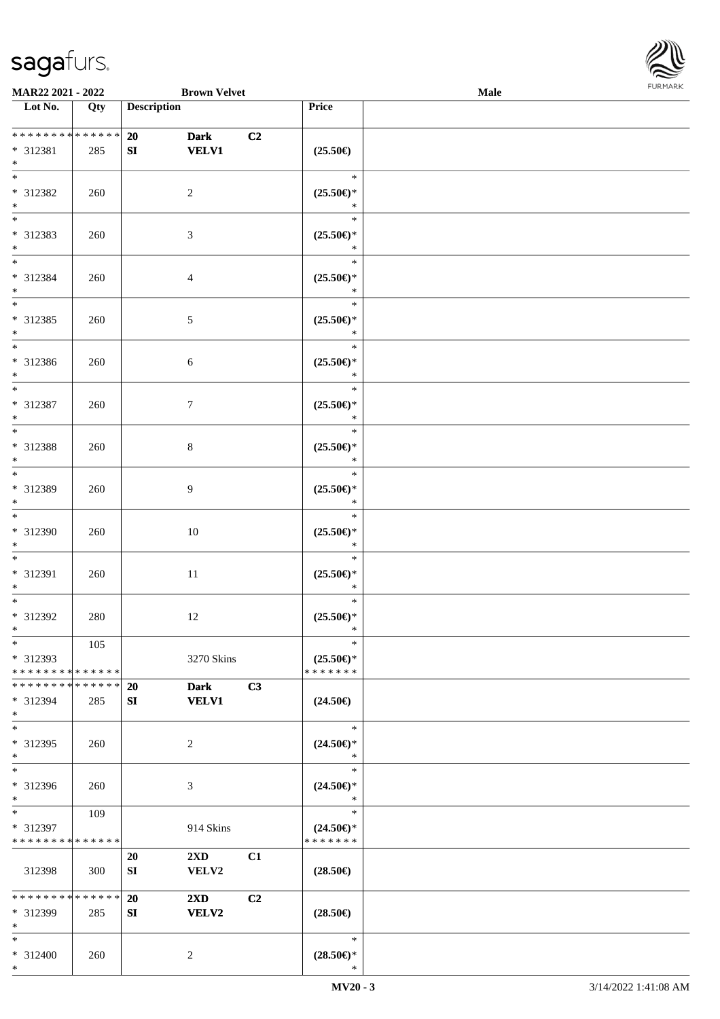\*



| <b>MAR22 2021 - 2022</b>                             |     | <b>Brown Velvet</b>                                 |                                                                   | Male |  |  |  |  |
|------------------------------------------------------|-----|-----------------------------------------------------|-------------------------------------------------------------------|------|--|--|--|--|
| Lot No.                                              | Qty | <b>Description</b>                                  | Price                                                             |      |  |  |  |  |
| * * * * * * * * * * * * * * *<br>* 312381<br>$\ast$  | 285 | 20<br><b>Dark</b><br><b>VELV1</b><br>SI             | C <sub>2</sub><br>$(25.50\in)$                                    |      |  |  |  |  |
| $*$<br>* 312382<br>$\ast$                            | 260 | 2                                                   | $\ast$<br>$(25.50\epsilon)$ *<br>*                                |      |  |  |  |  |
| * 312383<br>$*$                                      | 260 | 3                                                   | $\ast$<br>$(25.50\mathnormal{\in}\mathcal{)^{\! \! \times}}$<br>* |      |  |  |  |  |
| $*$<br>* 312384<br>$*$                               | 260 | $\overline{4}$                                      | $\ast$<br>$(25.50\epsilon)$ *<br>$\ast$                           |      |  |  |  |  |
| $*$<br>* 312385<br>$*$                               | 260 | $\sqrt{5}$                                          | $\ast$<br>$(25.50\epsilon)$ *<br>$\ast$                           |      |  |  |  |  |
| $*$<br>* 312386<br>$*$                               | 260 | 6                                                   | $\ast$<br>$(25.50\epsilon)$ *<br>$\ast$                           |      |  |  |  |  |
| $*$<br>* 312387<br>$*$                               | 260 | 7                                                   | $\ast$<br>$(25.50\epsilon)$ *<br>$\ast$                           |      |  |  |  |  |
| * 312388<br>$*$                                      | 260 | 8                                                   | $\ast$<br>$(25.50\epsilon)$ *<br>$\ast$                           |      |  |  |  |  |
| $*$<br>* 312389<br>$*$                               | 260 | $\overline{9}$                                      | $\ast$<br>$(25.50\mathbb{E})^*$<br>$\ast$                         |      |  |  |  |  |
| $*$<br>* 312390<br>$*$                               | 260 | 10                                                  | $\ast$<br>$(25.50\epsilon)$ *<br>$\ast$                           |      |  |  |  |  |
| $*$<br>* 312391<br>$*$                               | 260 | $11\,$                                              | $\ast$<br>$(25.50\epsilon)$ *<br>$\ast$                           |      |  |  |  |  |
| $*$<br>* 312392<br>$*$                               | 280 | 12                                                  | $\ast$<br>$(25.50\epsilon)$ *<br>$\ast$                           |      |  |  |  |  |
| $*$<br>* 312393<br>* * * * * * * * * * * * * * *     | 105 | 3270 Skins                                          | $\ast$<br>$(25.50\epsilon)$ *<br>* * * * * * *                    |      |  |  |  |  |
| * * * * * * * * * * * * * * *<br>* 312394<br>$*$     | 285 | <b>20</b><br><b>Dark</b><br><b>VELV1</b><br>SI      | C3<br>$(24.50\epsilon)$                                           |      |  |  |  |  |
| $*$<br>* 312395<br>$*$                               | 260 | 2                                                   | $\ast$<br>$(24.50\epsilon)$ *<br>$\ast$                           |      |  |  |  |  |
| $*$<br>* 312396<br>$*$                               | 260 | 3                                                   | $\ast$<br>$(24.50\epsilon)$ *<br>$\ast$                           |      |  |  |  |  |
| $*$ $-$<br>* 312397<br>* * * * * * * * * * * * * * * | 109 | 914 Skins                                           | $\ast$<br>$(24.50\epsilon)$ *<br>* * * * * * *                    |      |  |  |  |  |
| 312398                                               | 300 | $2\mathbf{X}\mathbf{D}$<br>20<br>VELV2<br>SI        | C1<br>$(28.50\epsilon)$                                           |      |  |  |  |  |
| ******** <mark>******</mark><br>* 312399<br>$*$      | 285 | 20<br>$2\mathbf{X}\mathbf{D}$<br><b>VELV2</b><br>SI | C <sub>2</sub><br>$(28.50\epsilon)$                               |      |  |  |  |  |
| $*$<br>* 312400                                      | 260 | 2                                                   | $\ast$<br>$(28.50\epsilon)$ *                                     |      |  |  |  |  |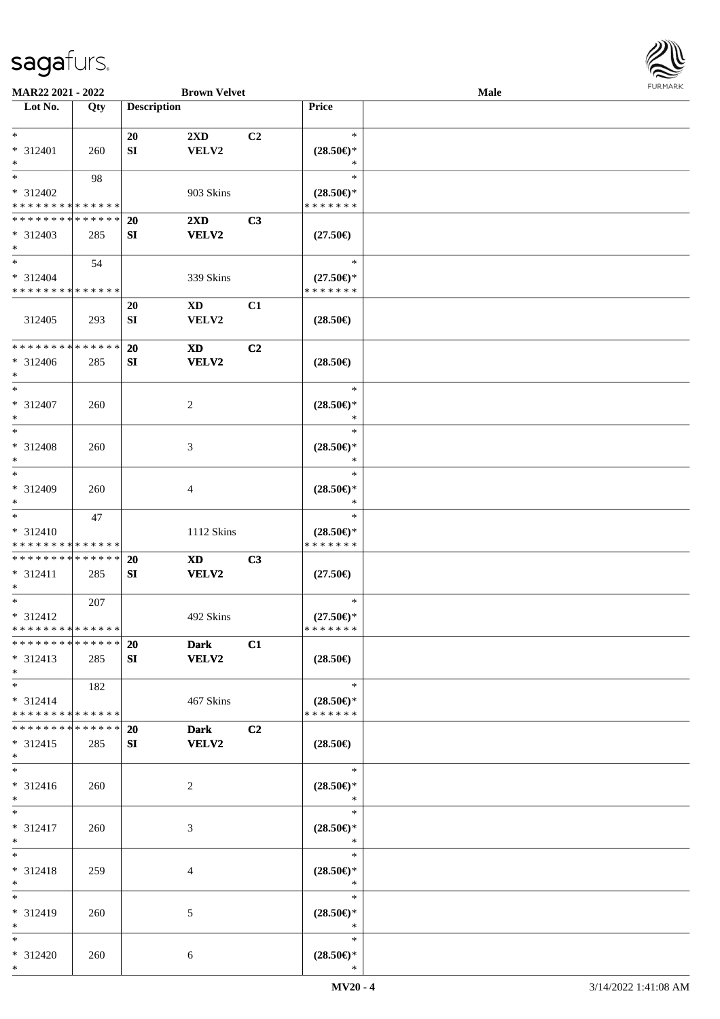

| MAR22 2021 - 2022             |        |                    | <b>Brown Velvet</b>     |                |                                                   | Male |  |
|-------------------------------|--------|--------------------|-------------------------|----------------|---------------------------------------------------|------|--|
| Lot No.                       | Qty    | <b>Description</b> |                         |                | Price                                             |      |  |
|                               |        |                    |                         |                |                                                   |      |  |
| $*$                           |        | 20                 | 2XD                     | C <sub>2</sub> | $\ast$                                            |      |  |
| * 312401                      | 260    | SI                 | VELV2                   |                | $(28.50\epsilon)$ *                               |      |  |
| $*$                           |        |                    |                         |                | ∗                                                 |      |  |
| $*$                           | 98     |                    |                         |                | $\ast$                                            |      |  |
|                               |        |                    |                         |                |                                                   |      |  |
| * 312402                      |        |                    | 903 Skins               |                | $(28.50\epsilon)$ *                               |      |  |
| * * * * * * * * * * * * * *   |        |                    |                         |                | * * * * * * *                                     |      |  |
| * * * * * * * * * * * * * *   |        | <b>20</b>          | $2\mathbf{X}\mathbf{D}$ | C3             |                                                   |      |  |
| $* 312403$                    | 285    | SI                 | VELV2                   |                | $(27.50\epsilon)$                                 |      |  |
| $*$                           |        |                    |                         |                |                                                   |      |  |
| $*$                           | 54     |                    |                         |                | $\ast$                                            |      |  |
| * 312404                      |        |                    | 339 Skins               |                | $(27.50\epsilon)$ *                               |      |  |
| * * * * * * * * * * * * * *   |        |                    |                         |                | * * * * * * *                                     |      |  |
|                               |        | 20                 | $\mathbf{X}\mathbf{D}$  | C1             |                                                   |      |  |
| 312405                        | 293    | SI                 | VELV2                   |                | $(28.50\epsilon)$                                 |      |  |
|                               |        |                    |                         |                |                                                   |      |  |
|                               |        |                    |                         |                |                                                   |      |  |
| * * * * * * * * * * * * * *   |        | 20                 | <b>XD</b>               | C2             |                                                   |      |  |
| $* 312406$                    | 285    | SI                 | VELV2                   |                | $(28.50\epsilon)$                                 |      |  |
| $*$                           |        |                    |                         |                |                                                   |      |  |
| $*$                           |        |                    |                         |                | $\ast$                                            |      |  |
| * 312407                      | 260    |                    | 2                       |                | $(28.50\epsilon)$ *                               |      |  |
| $*$                           |        |                    |                         |                | $\ast$                                            |      |  |
| $*$                           |        |                    |                         |                | $\ast$                                            |      |  |
| * 312408                      | 260    |                    | 3                       |                | $(28.50\epsilon)$ *                               |      |  |
| $*$                           |        |                    |                         |                | ∗                                                 |      |  |
| $*$                           |        |                    |                         |                | $\ast$                                            |      |  |
|                               |        |                    |                         |                |                                                   |      |  |
| $* 312409$                    | 260    |                    | 4                       |                | $(28.50\epsilon)$ *                               |      |  |
| $*$                           |        |                    |                         |                | $\ast$                                            |      |  |
| $*$                           | 47     |                    |                         |                | $\ast$                                            |      |  |
| $* 312410$                    |        |                    | 1112 Skins              |                | $(28.50\epsilon)$ *                               |      |  |
| * * * * * * * * * * * * * *   |        |                    |                         |                | * * * * * * *                                     |      |  |
| * * * * * * * * * * * * * *   |        | 20                 | <b>XD</b>               | C3             |                                                   |      |  |
| * 312411                      | 285    | SI                 | VELV2                   |                | $(27.50\epsilon)$                                 |      |  |
| $*$                           |        |                    |                         |                |                                                   |      |  |
| $*$                           | 207    |                    |                         |                | $\ast$                                            |      |  |
| * 312412                      |        |                    | 492 Skins               |                | $(27.50\epsilon)$ *                               |      |  |
| * * * * * * * * * * * * * * * |        |                    |                         |                | * * * * * * *                                     |      |  |
| * * * * * * * * * * * * * * * |        | 20                 | <b>Dark</b>             | C1             |                                                   |      |  |
| * 312413                      | 285    |                    | <b>VELV2</b>            |                | $(28.50\epsilon)$                                 |      |  |
| $*$                           |        | SI                 |                         |                |                                                   |      |  |
|                               |        |                    |                         |                |                                                   |      |  |
| $*$ $*$                       | 182    |                    |                         |                | $\ast$                                            |      |  |
| $* 312414$                    |        |                    | 467 Skins               |                | $(28.50\epsilon)$ *                               |      |  |
| * * * * * * * * * * * * * * * |        |                    |                         |                | * * * * * * *                                     |      |  |
| * * * * * * * *               | ****** | <b>20</b>          | <b>Dark</b>             | C2             |                                                   |      |  |
| $* 312415$                    | 285    | SI                 | <b>VELV2</b>            |                | $(28.50\epsilon)$                                 |      |  |
| $*$                           |        |                    |                         |                |                                                   |      |  |
| $*$                           |        |                    |                         |                | $\ast$                                            |      |  |
| * 312416                      | 260    |                    | 2                       |                | $(28.50\mathnormal{\in}\mathcal{)^{\! \! \circ}}$ |      |  |
| $*$                           |        |                    |                         |                | $\ast$                                            |      |  |
| $*$                           |        |                    |                         |                | $\ast$                                            |      |  |
|                               |        |                    |                         |                |                                                   |      |  |
| * 312417                      | 260    |                    | 3                       |                | $(28.50\epsilon)$ *                               |      |  |
| $*$<br>$*$                    |        |                    |                         |                | $\ast$                                            |      |  |
|                               |        |                    |                         |                | $\ast$                                            |      |  |
| * 312418                      | 259    |                    | 4                       |                | $(28.50\epsilon)$ *                               |      |  |
| $*$                           |        |                    |                         |                | $\ast$                                            |      |  |
| $*$                           |        |                    |                         |                | $\ast$                                            |      |  |
| * 312419                      | 260    |                    | 5                       |                | $(28.50\epsilon)$ *                               |      |  |
| $*$                           |        |                    |                         |                | $\ast$                                            |      |  |
| $*$                           |        |                    |                         |                | $\ast$                                            |      |  |
| * 312420                      | 260    |                    | 6                       |                | $(28.50\epsilon)$ *                               |      |  |
| $*$                           |        |                    |                         |                | $\ast$                                            |      |  |
|                               |        |                    |                         |                |                                                   |      |  |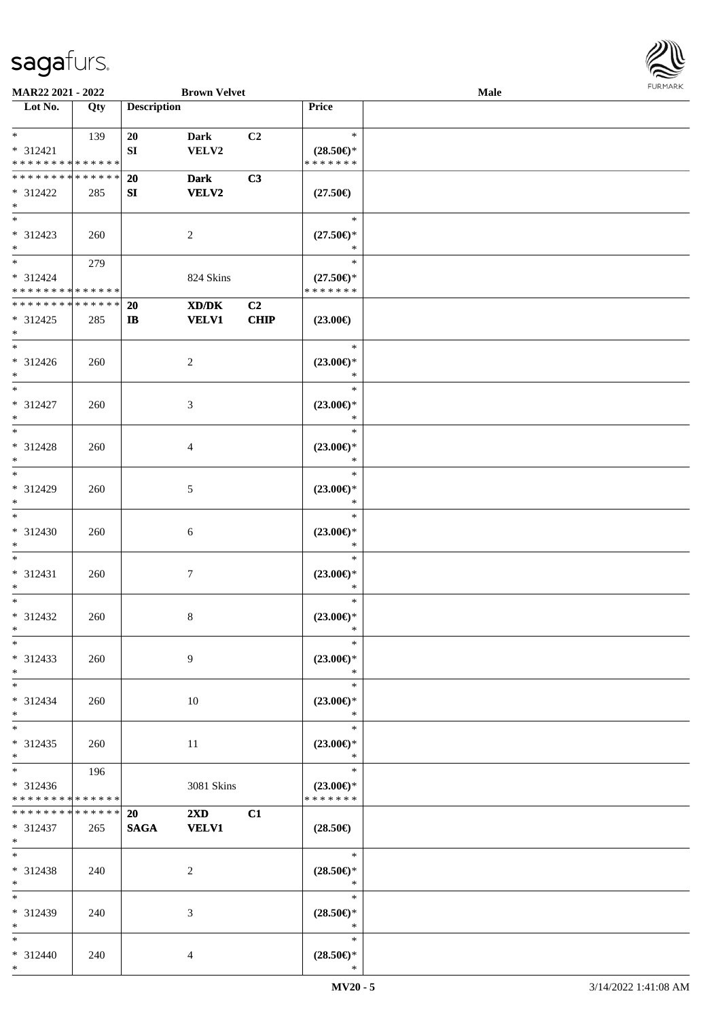

| MAR22 2021 - 2022                                                   |     |                        | <b>Brown Velvet</b>                                                                                                  |            |                                                                       | Male |  |
|---------------------------------------------------------------------|-----|------------------------|----------------------------------------------------------------------------------------------------------------------|------------|-----------------------------------------------------------------------|------|--|
| Lot No.                                                             | Qty | <b>Description</b>     |                                                                                                                      |            | Price                                                                 |      |  |
| $\ast$<br>$* 312421$<br>* * * * * * * * * * * * * *                 | 139 | 20<br>${\bf S}{\bf I}$ | <b>Dark</b><br>VELV2                                                                                                 | C2         | $\ast$<br>$(28.50\epsilon)$ *<br>* * * * * * *                        |      |  |
| * * * * * * * * * * * * * *<br>* 312422<br>$\ast$                   | 285 | 20<br>SI               | <b>Dark</b><br><b>VELV2</b>                                                                                          | C3         | $(27.50\epsilon)$                                                     |      |  |
| $\overline{\ast}$<br>$* 312423$<br>$\ast$                           | 260 |                        | $\overline{c}$                                                                                                       |            | $\ast$<br>$(27.50\epsilon)$ *<br>*                                    |      |  |
| $\ast$<br>$* 312424$<br>* * * * * * * * * * * * * *                 | 279 |                        | 824 Skins                                                                                                            |            | $\ast$<br>$(27.50\epsilon)$ *<br>* * * * * * *                        |      |  |
| **************<br>$* 312425$<br>$\ast$                              | 285 | 20<br>$\mathbf{I}$     | $\boldsymbol{\text{X}}\boldsymbol{\text{D}}\boldsymbol{/}\boldsymbol{\text{D}}\boldsymbol{\text{K}}$<br><b>VELV1</b> | C2<br>CHIP | $(23.00\epsilon)$                                                     |      |  |
| $\overline{\phantom{a}^*}$<br>$* 312426$<br>$\ast$                  | 260 |                        | $\overline{2}$                                                                                                       |            | $\ast$<br>$(23.00\epsilon)$ *<br>$\ast$                               |      |  |
| $\overline{\ast}$<br>$* 312427$<br>$\ast$                           | 260 |                        | 3                                                                                                                    |            | $\ast$<br>$(23.00\epsilon)$ *<br>$\ast$                               |      |  |
| $\ast$<br>$* 312428$<br>$\ast$                                      | 260 |                        | 4                                                                                                                    |            | $\ast$<br>$(23.00\epsilon)$ *<br>$\ast$                               |      |  |
| $\ast$<br>* 312429<br>$\ast$                                        | 260 |                        | $\mathfrak{S}$                                                                                                       |            | $\ast$<br>$(23.00\epsilon)$ *<br>*                                    |      |  |
| $\ast$<br>* 312430<br>$\ast$                                        | 260 |                        | $\sqrt{6}$                                                                                                           |            | $\ast$<br>$(23.00\epsilon)$ *<br>$\ast$                               |      |  |
| $\ast$<br>$* 312431$<br>$\ast$                                      | 260 |                        | $\tau$                                                                                                               |            | $\ast$<br>$(23.00\epsilon)$ *<br>$\ast$                               |      |  |
| $\ast$<br>* 312432<br>$*$                                           | 260 |                        | 8                                                                                                                    |            | $\ast$<br>$(23.00\epsilon)$ *<br>$\ast$                               |      |  |
| $*$<br>* 312433<br>$*$                                              | 260 |                        | 9                                                                                                                    |            | $\ast$<br>$(23.00\epsilon)$ *<br>$\ast$                               |      |  |
| $\ast$<br>$* 312434$<br>$*$                                         | 260 |                        | 10                                                                                                                   |            | $\ast$<br>$(23.00\epsilon)$ *<br>$\ast$                               |      |  |
| $\ast$<br>$* 312435$<br>$*$                                         | 260 |                        | 11                                                                                                                   |            | $\ast$<br>$(23.00\epsilon)$ *<br>$\ast$                               |      |  |
| $\overline{\phantom{0}}$<br>* 312436<br>* * * * * * * * * * * * * * | 196 |                        | 3081 Skins                                                                                                           |            | $\ast$<br>$(23.00\epsilon)$ *<br>* * * * * * *                        |      |  |
| * * * * * * * * * * * * * * *<br>* 312437<br>$*$ $*$                | 265 | 20<br><b>SAGA</b>      | $2\mathbf{X}\mathbf{D}$<br><b>VELV1</b>                                                                              | C1         | $(28.50\epsilon)$                                                     |      |  |
| $\ast$<br>* 312438<br>$\ast$                                        | 240 |                        | 2                                                                                                                    |            | $\ast$<br>$(28.50\mathnormal{\in}\mathcal{)^{\! \! \circ}}$<br>$\ast$ |      |  |
| $\ast$<br>* 312439<br>$\ast$                                        | 240 |                        | 3                                                                                                                    |            | $\ast$<br>$(28.50\epsilon)$ *<br>$\ast$                               |      |  |
| $*$<br>* 312440<br>$*$                                              | 240 |                        | $\overline{4}$                                                                                                       |            | $\ast$<br>$(28.50\epsilon)$ *<br>$\ast$                               |      |  |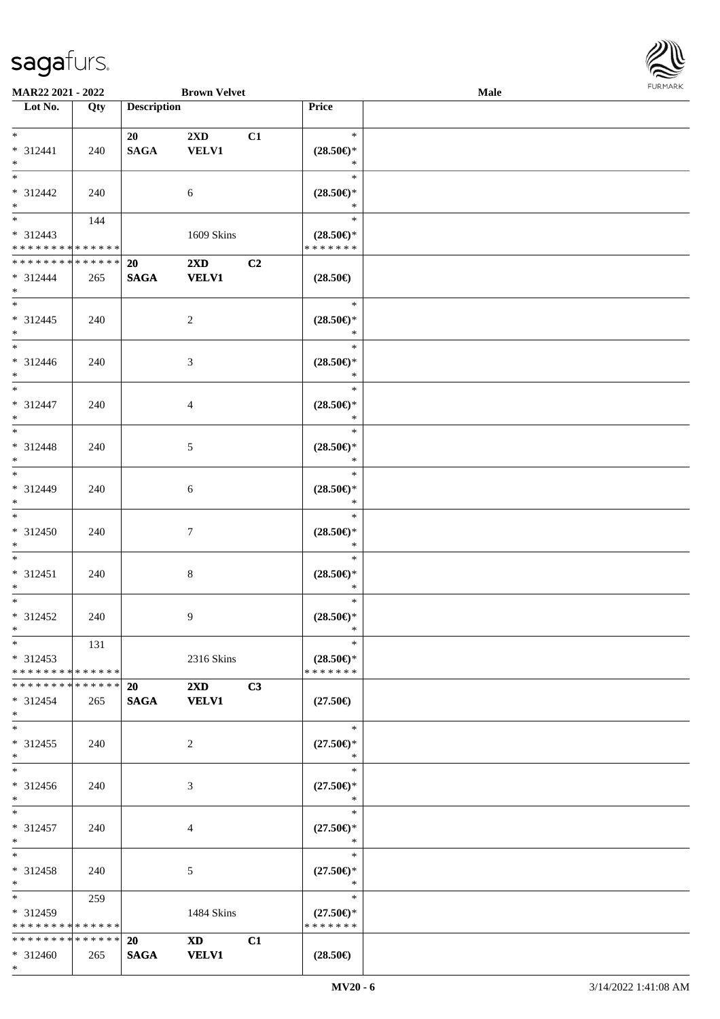

| MAR22 2021 - 2022             |     |                    | <b>Brown Velvet</b>                                                                                                                                                                                                            |    |                                                    | <b>Male</b> |  |
|-------------------------------|-----|--------------------|--------------------------------------------------------------------------------------------------------------------------------------------------------------------------------------------------------------------------------|----|----------------------------------------------------|-------------|--|
| Lot No.                       | Qty | <b>Description</b> |                                                                                                                                                                                                                                |    | Price                                              |             |  |
|                               |     |                    |                                                                                                                                                                                                                                |    |                                                    |             |  |
| $*$                           |     | 20                 | $2\mathbf{X}\mathbf{D}$                                                                                                                                                                                                        | C1 | $\ast$                                             |             |  |
| * 312441                      | 240 | <b>SAGA</b>        | <b>VELV1</b>                                                                                                                                                                                                                   |    | $(28.50\epsilon)$ *                                |             |  |
| $*$                           |     |                    |                                                                                                                                                                                                                                |    | $\ast$                                             |             |  |
|                               |     |                    |                                                                                                                                                                                                                                |    | $\ast$                                             |             |  |
| * 312442                      |     |                    |                                                                                                                                                                                                                                |    |                                                    |             |  |
|                               | 240 |                    | $\sqrt{6}$                                                                                                                                                                                                                     |    | $(28.50\epsilon)$ *                                |             |  |
| $*$                           |     |                    |                                                                                                                                                                                                                                |    | $\ast$                                             |             |  |
|                               | 144 |                    |                                                                                                                                                                                                                                |    | $\ast$                                             |             |  |
| $* 312443$                    |     |                    | 1609 Skins                                                                                                                                                                                                                     |    | $(28.50\epsilon)$ *                                |             |  |
| * * * * * * * * * * * * * *   |     |                    |                                                                                                                                                                                                                                |    | * * * * * * *                                      |             |  |
| * * * * * * * * * * * * * *   |     | 20                 | $2\mathbf{X}\mathbf{D}$                                                                                                                                                                                                        | C2 |                                                    |             |  |
| * 312444                      | 265 | <b>SAGA</b>        | <b>VELV1</b>                                                                                                                                                                                                                   |    | $(28.50\epsilon)$                                  |             |  |
| $*$                           |     |                    |                                                                                                                                                                                                                                |    |                                                    |             |  |
| $*$                           |     |                    |                                                                                                                                                                                                                                |    | $\ast$                                             |             |  |
| $* 312445$                    | 240 |                    | $\overline{2}$                                                                                                                                                                                                                 |    | $(28.50\epsilon)$ *                                |             |  |
| $*$                           |     |                    |                                                                                                                                                                                                                                |    | $\ast$                                             |             |  |
| $\ast$                        |     |                    |                                                                                                                                                                                                                                |    | $\ast$                                             |             |  |
|                               |     |                    |                                                                                                                                                                                                                                |    |                                                    |             |  |
| $* 312446$                    | 240 |                    | 3                                                                                                                                                                                                                              |    | $(28.50\epsilon)$ *                                |             |  |
| $*$                           |     |                    |                                                                                                                                                                                                                                |    | $\ast$                                             |             |  |
| $\overline{\phantom{a}^*}$    |     |                    |                                                                                                                                                                                                                                |    | $\ast$                                             |             |  |
| $* 312447$                    | 240 |                    | $\overline{4}$                                                                                                                                                                                                                 |    | $(28.50\epsilon)$ *                                |             |  |
| $*$                           |     |                    |                                                                                                                                                                                                                                |    | $\ast$                                             |             |  |
| $*$                           |     |                    |                                                                                                                                                                                                                                |    | $\ast$                                             |             |  |
| $* 312448$                    | 240 |                    | $5\,$                                                                                                                                                                                                                          |    | $(28.50\epsilon)$ *                                |             |  |
| $*$                           |     |                    |                                                                                                                                                                                                                                |    | $\ast$                                             |             |  |
| $*$                           |     |                    |                                                                                                                                                                                                                                |    | $\ast$                                             |             |  |
|                               |     |                    |                                                                                                                                                                                                                                |    |                                                    |             |  |
| * 312449                      | 240 |                    | 6                                                                                                                                                                                                                              |    | $(28.50\mathnormal{\in}\mathcal{)^{\! \! \times}}$ |             |  |
| $*$                           |     |                    |                                                                                                                                                                                                                                |    | $\ast$                                             |             |  |
| $\overline{\phantom{0}}$      |     |                    |                                                                                                                                                                                                                                |    | $\ast$                                             |             |  |
| $* 312450$                    | 240 |                    | $\tau$                                                                                                                                                                                                                         |    | $(28.50\epsilon)$ *                                |             |  |
| $*$                           |     |                    |                                                                                                                                                                                                                                |    | $\ast$                                             |             |  |
| $*$                           |     |                    |                                                                                                                                                                                                                                |    | $\ast$                                             |             |  |
| $* 312451$                    | 240 |                    | $\,8\,$                                                                                                                                                                                                                        |    | $(28.50\epsilon)$ *                                |             |  |
| $*$                           |     |                    |                                                                                                                                                                                                                                |    | $\ast$                                             |             |  |
| $*$                           |     |                    |                                                                                                                                                                                                                                |    | $\ast$                                             |             |  |
|                               |     |                    |                                                                                                                                                                                                                                |    |                                                    |             |  |
| $* 312452$                    | 240 |                    | 9                                                                                                                                                                                                                              |    | $(28.50\epsilon)$ *                                |             |  |
| $*$                           |     |                    |                                                                                                                                                                                                                                |    | $\ast$                                             |             |  |
| $*$                           | 131 |                    |                                                                                                                                                                                                                                |    | $\ast$                                             |             |  |
| $* 312453$                    |     |                    | 2316 Skins                                                                                                                                                                                                                     |    | $(28.50\epsilon)$ *                                |             |  |
| * * * * * * * * * * * * * *   |     |                    |                                                                                                                                                                                                                                |    | * * * * * * *                                      |             |  |
| * * * * * * * * * * * * * * * |     | <b>20</b>          | $2\mathbf{X}\mathbf{D}$                                                                                                                                                                                                        | C3 |                                                    |             |  |
| * 312454                      | 265 | <b>SAGA</b>        | <b>VELV1</b>                                                                                                                                                                                                                   |    | $(27.50\epsilon)$                                  |             |  |
| $*$                           |     |                    |                                                                                                                                                                                                                                |    |                                                    |             |  |
| $\overline{\phantom{0}}$      |     |                    |                                                                                                                                                                                                                                |    | $\ast$                                             |             |  |
| $* 312455$                    | 240 |                    | $\overline{2}$                                                                                                                                                                                                                 |    | $(27.50\epsilon)$ *                                |             |  |
|                               |     |                    |                                                                                                                                                                                                                                |    | $\ast$                                             |             |  |
| $*$                           |     |                    |                                                                                                                                                                                                                                |    |                                                    |             |  |
| $*$                           |     |                    |                                                                                                                                                                                                                                |    | $\ast$                                             |             |  |
| $* 312456$                    | 240 |                    | 3                                                                                                                                                                                                                              |    | $(27.50\epsilon)$ *                                |             |  |
| $*$                           |     |                    |                                                                                                                                                                                                                                |    | $\ast$                                             |             |  |
| $*$                           |     |                    |                                                                                                                                                                                                                                |    | $\ast$                                             |             |  |
| $* 312457$                    | 240 |                    | 4                                                                                                                                                                                                                              |    | $(27.50\epsilon)$ *                                |             |  |
| $*$                           |     |                    |                                                                                                                                                                                                                                |    | $\ast$                                             |             |  |
| $*$                           |     |                    |                                                                                                                                                                                                                                |    | $\ast$                                             |             |  |
| * 312458                      |     |                    |                                                                                                                                                                                                                                |    |                                                    |             |  |
|                               | 240 |                    | 5                                                                                                                                                                                                                              |    | $(27.50\epsilon)$ *<br>$\ast$                      |             |  |
| $*$<br>$*$ and $*$            |     |                    |                                                                                                                                                                                                                                |    |                                                    |             |  |
|                               | 259 |                    |                                                                                                                                                                                                                                |    | $\ast$                                             |             |  |
| * 312459                      |     |                    | 1484 Skins                                                                                                                                                                                                                     |    | $(27.50\epsilon)$ *                                |             |  |
| * * * * * * * * * * * * * *   |     |                    |                                                                                                                                                                                                                                |    | * * * * * * *                                      |             |  |
| * * * * * * * * * * * * * * * |     | <b>20</b>          | XD and the set of the set of the set of the set of the set of the set of the set of the set of the set of the set of the set of the set of the set of the set of the set of the set of the set of the set of the set of the se | C1 |                                                    |             |  |
| * 312460                      | 265 | <b>SAGA</b>        | <b>VELV1</b>                                                                                                                                                                                                                   |    | $(28.50\epsilon)$                                  |             |  |
| $*$                           |     |                    |                                                                                                                                                                                                                                |    |                                                    |             |  |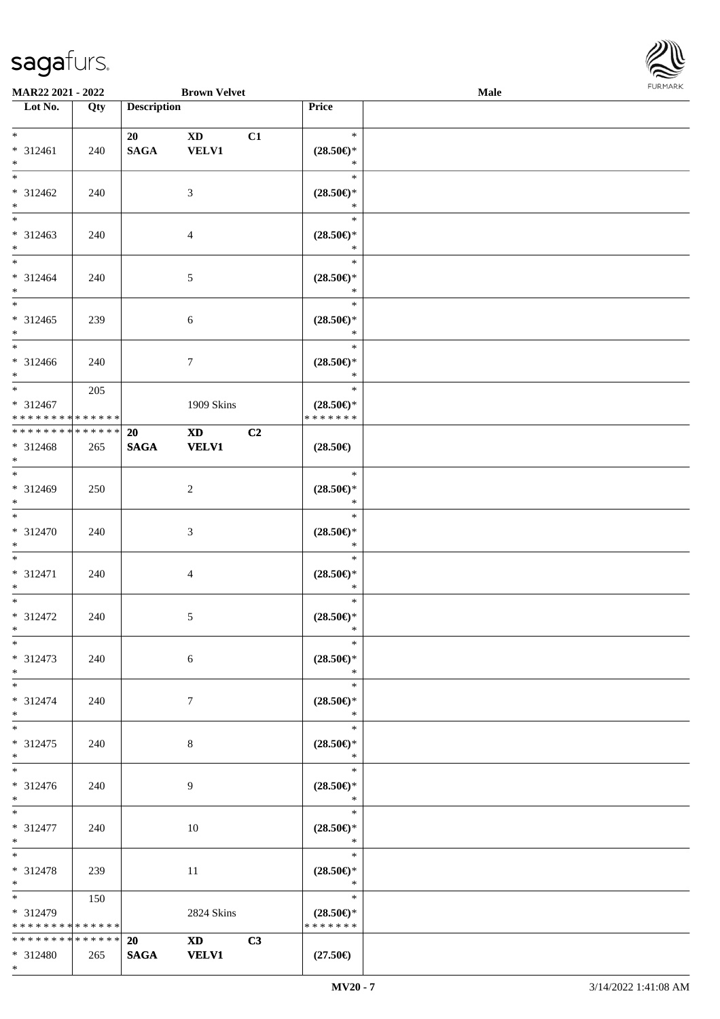\*



| <b>MAR22 2021 - 2022</b>      |     |                    | <b>Brown Velvet</b> |                     | <b>Male</b>      |  |
|-------------------------------|-----|--------------------|---------------------|---------------------|------------------|--|
| Lot No.                       | Qty | <b>Description</b> |                     | Price               |                  |  |
|                               |     |                    |                     |                     |                  |  |
| $*$                           |     | 20                 | <b>XD</b>           | C1                  | $\ast$           |  |
| * 312461                      | 240 | <b>SAGA</b>        | <b>VELV1</b>        | $(28.50\epsilon)$ * |                  |  |
| $*$<br>$*$                    |     |                    |                     |                     | $\ast$<br>$\ast$ |  |
|                               |     |                    |                     |                     |                  |  |
| * 312462                      | 240 |                    | 3                   | $(28.50\epsilon)$ * |                  |  |
| $*$                           |     |                    |                     |                     | $\ast$<br>$\ast$ |  |
|                               |     |                    |                     |                     |                  |  |
| $* 312463$<br>$*$             | 240 |                    | 4                   | $(28.50\epsilon)$ * | $\ast$           |  |
| $*$                           |     |                    |                     |                     | $\ast$           |  |
| $* 312464$                    |     |                    |                     |                     |                  |  |
| $*$                           | 240 |                    | 5                   | $(28.50\epsilon)$ * | $\ast$           |  |
| $*$                           |     |                    |                     |                     | $\ast$           |  |
| $* 312465$                    | 239 |                    | $\sqrt{6}$          | $(28.50\epsilon)$ * |                  |  |
| $*$                           |     |                    |                     |                     | $\ast$           |  |
| $*$                           |     |                    |                     |                     | $\ast$           |  |
| $* 312466$                    | 240 |                    | $\tau$              | $(28.50\epsilon)$ * |                  |  |
| $*$                           |     |                    |                     |                     | $\ast$           |  |
| $*$                           | 205 |                    |                     |                     | $\ast$           |  |
| * 312467                      |     |                    | 1909 Skins          | $(28.50\epsilon)$ * |                  |  |
| * * * * * * * * * * * * * * * |     |                    |                     | * * * * * * *       |                  |  |
| * * * * * * * * * * * * * * * |     | 20                 | <b>XD</b>           | C <sub>2</sub>      |                  |  |
| $* 312468$                    | 265 | <b>SAGA</b>        | <b>VELV1</b>        | $(28.50\epsilon)$   |                  |  |
| $\ast$                        |     |                    |                     |                     |                  |  |
|                               |     |                    |                     |                     | $\ast$           |  |
| * 312469                      | 250 |                    | 2                   | $(28.50\epsilon)$ * |                  |  |
| $*$                           |     |                    |                     |                     | $\ast$           |  |
| $*$                           |     |                    |                     |                     | $\ast$           |  |
| $* 312470$                    | 240 |                    | 3                   | $(28.50\epsilon)$ * |                  |  |
| $*$<br>$*$                    |     |                    |                     |                     | $\ast$<br>$\ast$ |  |
|                               |     |                    |                     |                     |                  |  |
| $* 312471$<br>$*$             | 240 |                    | 4                   | $(28.50\epsilon)$ * | $\ast$           |  |
| $*$                           |     |                    |                     |                     | $\ast$           |  |
| * 312472                      | 240 |                    | 5                   | $(28.50\epsilon)$ * |                  |  |
| $*$                           |     |                    |                     |                     | $\ast$           |  |
| $*$                           |     |                    |                     |                     | $\ast$           |  |
| $* 312473$                    | 240 |                    | 6                   | $(28.50\epsilon)$ * |                  |  |
| $*$                           |     |                    |                     | $\ast$              |                  |  |
| $*$                           |     |                    |                     |                     | $\ast$           |  |
| * 312474                      | 240 |                    | $\tau$              | $(28.50\epsilon)$ * |                  |  |
| $*$                           |     |                    |                     |                     | $\ast$           |  |
| $*$                           |     |                    |                     |                     | $\ast$           |  |
| * 312475                      | 240 |                    | 8                   | $(28.50\epsilon)$ * |                  |  |
| $*$                           |     |                    |                     |                     | $\ast$           |  |
| $*$                           |     |                    |                     |                     | $\ast$           |  |
| * 312476                      | 240 |                    | 9                   | $(28.50\epsilon)$ * |                  |  |
| $*$                           |     |                    |                     | $\ast$              |                  |  |
| $*$ $*$                       |     |                    |                     |                     | $\ast$           |  |
| * 312477                      | 240 |                    | 10                  | $(28.50\epsilon)$ * | $\ast$           |  |
| $*$<br>$*$                    |     |                    |                     |                     | $\ast$           |  |
| * 312478                      | 239 |                    | 11                  | $(28.50\epsilon)$ * |                  |  |
| $*$                           |     |                    |                     |                     | $\ast$           |  |
| $*$ and $*$                   | 150 |                    |                     |                     | $\ast$           |  |
| * 312479                      |     |                    | 2824 Skins          | $(28.50\epsilon)$ * |                  |  |
| * * * * * * * * * * * * * *   |     |                    |                     | * * * * * * *       |                  |  |
| * * * * * * * * * * * * * * * |     | 20                 | XD <sub>2</sub>     | C3                  |                  |  |
| * 312480                      | 265 | <b>SAGA</b>        | <b>VELV1</b>        | $(27.50\epsilon)$   |                  |  |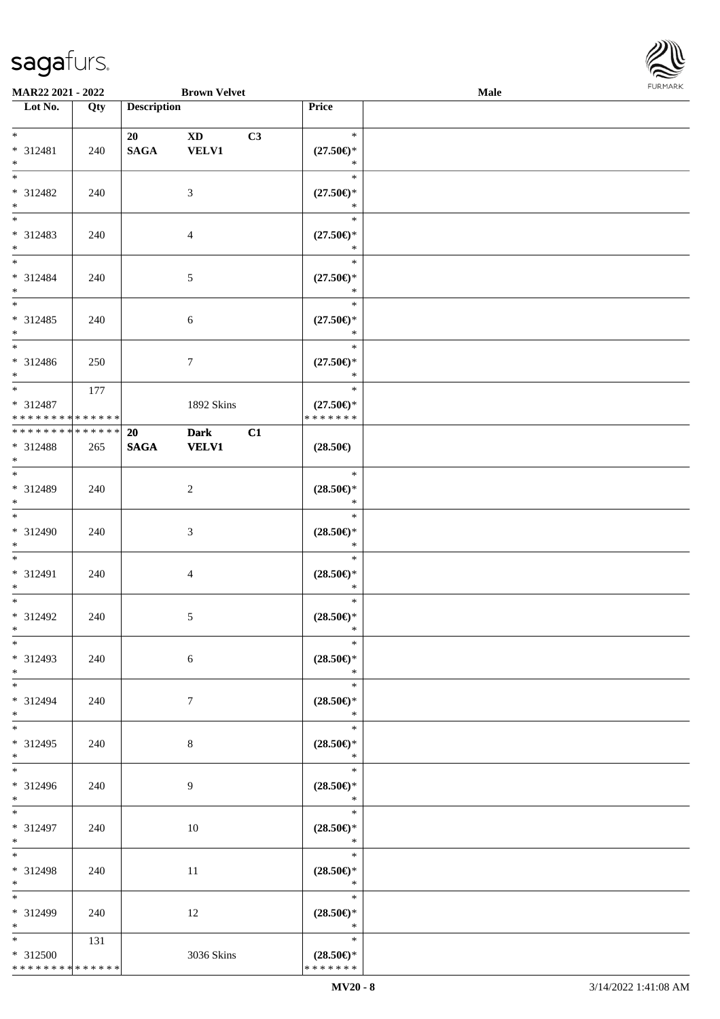

| MAR22 2021 - 2022             |     |                    | <b>Brown Velvet</b> |    |                                                    | Male |  |
|-------------------------------|-----|--------------------|---------------------|----|----------------------------------------------------|------|--|
| Lot No.                       | Qty | <b>Description</b> |                     |    | Price                                              |      |  |
|                               |     |                    |                     |    |                                                    |      |  |
| $*$                           |     | 20                 | <b>XD</b>           | C3 | $\ast$                                             |      |  |
| * 312481                      | 240 | <b>SAGA</b>        | <b>VELV1</b>        |    | $(27.50\epsilon)$ *                                |      |  |
| $*$                           |     |                    |                     |    | $\ast$                                             |      |  |
| $*$                           |     |                    |                     |    | $\ast$                                             |      |  |
| * 312482                      | 240 |                    | 3                   |    | $(27.50\epsilon)$ *                                |      |  |
| $*$                           |     |                    |                     |    | $\ast$                                             |      |  |
|                               |     |                    |                     |    | $\ast$                                             |      |  |
| * 312483                      | 240 |                    | $\overline{4}$      |    | $(27.50\epsilon)$ *                                |      |  |
| $*$                           |     |                    |                     |    | $\ast$                                             |      |  |
|                               |     |                    |                     |    | $\ast$                                             |      |  |
| $* 312484$                    | 240 |                    | 5                   |    | $(27.50\epsilon)$ *                                |      |  |
| $*$                           |     |                    |                     |    | $\ast$                                             |      |  |
|                               |     |                    |                     |    | $\ast$                                             |      |  |
| * 312485                      | 240 |                    | 6                   |    | $(27.50\epsilon)$ *                                |      |  |
| $*$                           |     |                    |                     |    | $\ast$                                             |      |  |
| $\overline{\phantom{0}}$      |     |                    |                     |    | $\ast$                                             |      |  |
| $* 312486$                    | 250 |                    | $\tau$              |    | $(27.50\epsilon)$ *                                |      |  |
| $*$                           |     |                    |                     |    | $\ast$                                             |      |  |
| $*$                           | 177 |                    |                     |    | $\ast$                                             |      |  |
| * 312487                      |     |                    | 1892 Skins          |    | $(27.50\epsilon)$ *                                |      |  |
| * * * * * * * * * * * * * *   |     |                    |                     |    | * * * * * * *                                      |      |  |
| * * * * * * * * * * * * * * * |     | 20                 | <b>Dark</b>         | C1 |                                                    |      |  |
| * 312488                      | 265 | <b>SAGA</b>        | <b>VELV1</b>        |    | $(28.50\epsilon)$                                  |      |  |
| $*$                           |     |                    |                     |    |                                                    |      |  |
| $*$                           |     |                    |                     |    | $\ast$                                             |      |  |
| * 312489                      | 240 |                    | 2                   |    | $(28.50\mathnormal{\in}\mathcal{)^{\! \! \times}}$ |      |  |
| $*$                           |     |                    |                     |    | $\ast$                                             |      |  |
| $*$                           |     |                    |                     |    | $\ast$                                             |      |  |
| $* 312490$                    | 240 |                    | 3                   |    | $(28.50\epsilon)$ *                                |      |  |
| $*$                           |     |                    |                     |    | $\ast$                                             |      |  |
| $*$                           |     |                    |                     |    | $\ast$                                             |      |  |
| * 312491                      | 240 |                    | 4                   |    | $(28.50\epsilon)$ *                                |      |  |
| $*$<br>$*$                    |     |                    |                     |    | $\ast$<br>$\ast$                                   |      |  |
|                               |     |                    |                     |    |                                                    |      |  |
| $* 312492$<br>$*$ $*$         | 240 |                    | 5                   |    | $(28.50\epsilon)$ *<br>$\ast$                      |      |  |
| $*$                           |     |                    |                     |    | $\ast$                                             |      |  |
|                               |     |                    |                     |    |                                                    |      |  |
| * 312493                      | 240 |                    | 6                   |    | $(28.50\epsilon)$ *<br>$\ast$                      |      |  |
| $*$<br>$*$                    |     |                    |                     |    | $\ast$                                             |      |  |
| * 312494                      |     |                    |                     |    |                                                    |      |  |
| $*$                           | 240 |                    | $7\phantom{.0}$     |    | $(28.50\epsilon)$ *<br>$\ast$                      |      |  |
| $*$                           |     |                    |                     |    | $\ast$                                             |      |  |
| * 312495                      | 240 |                    | 8                   |    | $(28.50\epsilon)$ *                                |      |  |
| $*$                           |     |                    |                     |    | $\ast$                                             |      |  |
| $*$                           |     |                    |                     |    | $\ast$                                             |      |  |
| * 312496                      | 240 |                    | 9                   |    | $(28.50\epsilon)$ *                                |      |  |
| $*$                           |     |                    |                     |    | $\ast$                                             |      |  |
| $*$                           |     |                    |                     |    | $\ast$                                             |      |  |
| * 312497                      | 240 |                    | 10                  |    | $(28.50\epsilon)$ *                                |      |  |
| $*$                           |     |                    |                     |    | $\ast$                                             |      |  |
| $*$                           |     |                    |                     |    | $\ast$                                             |      |  |
| * 312498                      | 240 |                    | 11                  |    | $(28.50\epsilon)$ *                                |      |  |
| $*$                           |     |                    |                     |    | $\ast$                                             |      |  |
| $*$                           |     |                    |                     |    | $\ast$                                             |      |  |
| * 312499                      | 240 |                    | 12                  |    | $(28.50\epsilon)$ *                                |      |  |
| $*$                           |     |                    |                     |    | $\ast$                                             |      |  |
| $*$                           | 131 |                    |                     |    | $\ast$                                             |      |  |
| * 312500                      |     |                    | 3036 Skins          |    | $(28.50\epsilon)$ *                                |      |  |
| * * * * * * * * * * * * * *   |     |                    |                     |    | * * * * * * *                                      |      |  |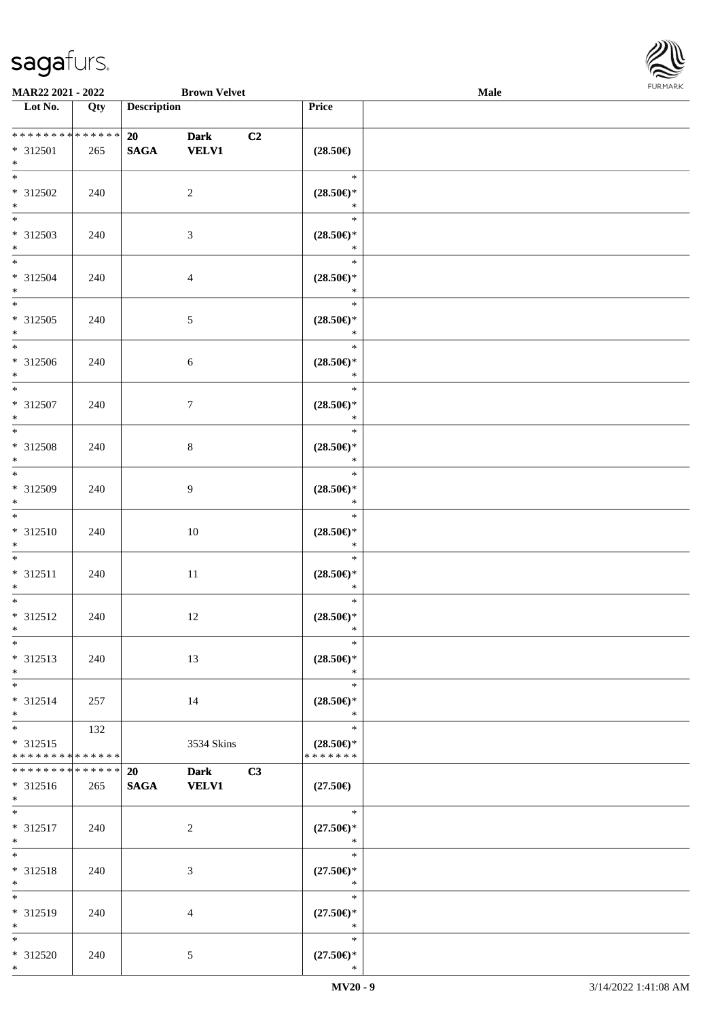\*



| <b>MAR22 2021 - 2022</b>                   |     |                    | <b>Brown Velvet</b> |    |                                                              | Male |  |
|--------------------------------------------|-----|--------------------|---------------------|----|--------------------------------------------------------------|------|--|
| Lot No.                                    | Qty | <b>Description</b> |                     |    | <b>Price</b>                                                 |      |  |
|                                            |     |                    |                     |    |                                                              |      |  |
| ******** <mark>******</mark>               |     | 20                 | <b>Dark</b>         | C2 |                                                              |      |  |
| * 312501                                   | 265 | <b>SAGA</b>        | <b>VELV1</b>        |    | $(28.50\in)$                                                 |      |  |
| $*$                                        |     |                    |                     |    |                                                              |      |  |
|                                            |     |                    |                     |    | $\ast$                                                       |      |  |
| * 312502                                   | 240 |                    | 2                   |    | $(28.50\epsilon)$ *                                          |      |  |
| $*$                                        |     |                    |                     |    | $\ast$                                                       |      |  |
|                                            |     |                    |                     |    | $\ast$                                                       |      |  |
|                                            |     |                    |                     |    |                                                              |      |  |
| * 312503<br>$*$                            | 240 |                    | 3                   |    | $(28.50\mathnormal{\in}\mathcal{)^{\! \! \times}}$<br>$\ast$ |      |  |
| $*$                                        |     |                    |                     |    |                                                              |      |  |
|                                            |     |                    |                     |    | $\ast$                                                       |      |  |
| * 312504                                   | 240 |                    | $\overline{4}$      |    | $(28.50\epsilon)$ *                                          |      |  |
| $*$                                        |     |                    |                     |    | $\ast$                                                       |      |  |
|                                            |     |                    |                     |    | $\ast$                                                       |      |  |
| * 312505                                   | 240 |                    | $\mathfrak{S}$      |    | $(28.50\epsilon)$ *                                          |      |  |
| $*$                                        |     |                    |                     |    | $\ast$                                                       |      |  |
|                                            |     |                    |                     |    | $\ast$                                                       |      |  |
| * 312506                                   | 240 |                    | $\sqrt{6}$          |    | $(28.50\epsilon)$ *                                          |      |  |
| $*$                                        |     |                    |                     |    | $\ast$                                                       |      |  |
| $*$                                        |     |                    |                     |    | $\ast$                                                       |      |  |
| * 312507                                   | 240 |                    | $\tau$              |    | $(28.50\epsilon)$ *                                          |      |  |
| $*$                                        |     |                    |                     |    | $\ast$                                                       |      |  |
|                                            |     |                    |                     |    | $\ast$                                                       |      |  |
| * 312508                                   | 240 |                    | $8\,$               |    | $(28.50\epsilon)$ *                                          |      |  |
| $*$                                        |     |                    |                     |    | $\ast$                                                       |      |  |
| $\overline{\ast}$                          |     |                    |                     |    | $\ast$                                                       |      |  |
| * 312509                                   |     |                    |                     |    |                                                              |      |  |
| $*$                                        | 240 |                    | 9                   |    | $(28.50\epsilon)$ *<br>$\ast$                                |      |  |
| $*$                                        |     |                    |                     |    |                                                              |      |  |
|                                            |     |                    |                     |    | $\ast$                                                       |      |  |
| * 312510                                   | 240 |                    | 10                  |    | $(28.50\epsilon)$ *                                          |      |  |
| $*$                                        |     |                    |                     |    | $\ast$                                                       |      |  |
| $*$                                        |     |                    |                     |    | $\ast$                                                       |      |  |
| * 312511                                   | 240 |                    | 11                  |    | $(28.50\epsilon)$ *                                          |      |  |
| $*$                                        |     |                    |                     |    | $\ast$                                                       |      |  |
| $*$                                        |     |                    |                     |    | $\ast$                                                       |      |  |
| * 312512                                   | 240 |                    | 12                  |    | $(28.50\epsilon)$ *                                          |      |  |
| $*$ $-$                                    |     |                    |                     |    | $\ast$                                                       |      |  |
| $*$                                        |     |                    |                     |    | $\ast$                                                       |      |  |
| * 312513                                   | 240 |                    | 13                  |    | $(28.50\epsilon)$ *                                          |      |  |
| $*$                                        |     |                    |                     |    | $*$                                                          |      |  |
| $*$                                        |     |                    |                     |    | $\ast$                                                       |      |  |
| $* 312514$                                 | 257 |                    | 14                  |    | $(28.50\epsilon)$ *                                          |      |  |
| $*$                                        |     |                    |                     |    | $\ast$                                                       |      |  |
|                                            | 132 |                    |                     |    | $\ast$                                                       |      |  |
| $* 312515$                                 |     |                    | 3534 Skins          |    | $(28.50\epsilon)$ *                                          |      |  |
| * * * * * * * * <mark>* * * * * * *</mark> |     |                    |                     |    | * * * * * * *                                                |      |  |
| * * * * * * * * * * * * * * *              |     | <b>20</b>          | <b>Dark</b>         | C3 |                                                              |      |  |
| * 312516                                   | 265 | <b>SAGA</b>        | <b>VELV1</b>        |    | $(27.50\epsilon)$                                            |      |  |
| $*$ $-$                                    |     |                    |                     |    |                                                              |      |  |
| $*$                                        |     |                    |                     |    | $\ast$                                                       |      |  |
| * 312517                                   |     |                    |                     |    |                                                              |      |  |
| $*$                                        | 240 |                    | 2                   |    | $(27.50\epsilon)$ *<br>$\ast$                                |      |  |
| $*$ $-$                                    |     |                    |                     |    | $\ast$                                                       |      |  |
|                                            |     |                    |                     |    |                                                              |      |  |
| * 312518                                   | 240 |                    | 3                   |    | $(27.50\epsilon)$ *                                          |      |  |
| $*$                                        |     |                    |                     |    | $\ast$                                                       |      |  |
| $*$                                        |     |                    |                     |    | $\ast$                                                       |      |  |
| * 312519                                   | 240 |                    | $\overline{4}$      |    | $(27.50\epsilon)$ *                                          |      |  |
| $*$                                        |     |                    |                     |    | $\ast$                                                       |      |  |
| $*$                                        |     |                    |                     |    | $\ast$                                                       |      |  |
| * 312520                                   | 240 |                    | 5                   |    | $(27.50\epsilon)$ *                                          |      |  |
| $*$                                        |     |                    |                     |    | $\ast$                                                       |      |  |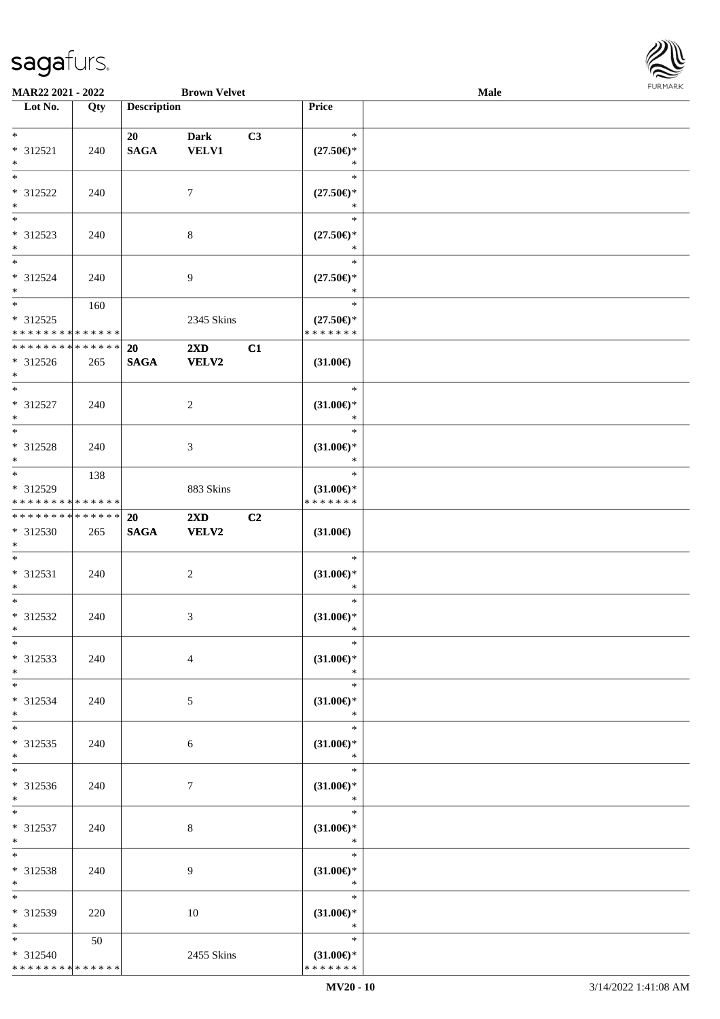

| MAR22 2021 - 2022            |     |                    | <b>Brown Velvet</b>     |    |                                      | Male |  |
|------------------------------|-----|--------------------|-------------------------|----|--------------------------------------|------|--|
| Lot No.                      | Qty | <b>Description</b> |                         |    | Price                                |      |  |
|                              |     |                    |                         |    |                                      |      |  |
| $\ast$                       |     | 20                 | <b>Dark</b>             | C3 | $\ast$                               |      |  |
| * 312521                     | 240 | <b>SAGA</b>        | <b>VELV1</b>            |    | $(27.50\epsilon)$ *                  |      |  |
| $\ast$                       |     |                    |                         |    | $\ast$                               |      |  |
| $*$                          |     |                    |                         |    | $\ast$                               |      |  |
| * 312522                     | 240 |                    | $\tau$                  |    | $(27.50\epsilon)$ *                  |      |  |
| $\ast$                       |     |                    |                         |    | $\ast$                               |      |  |
| $\overline{\phantom{0}}$     |     |                    |                         |    | $\ast$                               |      |  |
| * 312523                     | 240 |                    | $\,8\,$                 |    | $(27.50\epsilon)$ *                  |      |  |
| $\ast$                       |     |                    |                         |    | $\ast$                               |      |  |
| $\ast$                       |     |                    |                         |    | $\ast$                               |      |  |
| * 312524                     | 240 |                    | $\overline{9}$          |    | $(27.50\epsilon)$ *                  |      |  |
| $\ast$                       |     |                    |                         |    | $\ast$                               |      |  |
| $\ast$                       | 160 |                    |                         |    | $\ast$                               |      |  |
| $* 312525$                   |     |                    |                         |    |                                      |      |  |
| * * * * * * * * * * * * * *  |     |                    | 2345 Skins              |    | $(27.50\epsilon)$ *<br>* * * * * * * |      |  |
| ******** <mark>******</mark> |     |                    |                         |    |                                      |      |  |
|                              |     | 20                 | $2\mathbf{X}\mathbf{D}$ | C1 |                                      |      |  |
| $* 312526$<br>$*$            | 265 | <b>SAGA</b>        | <b>VELV2</b>            |    | $(31.00\epsilon)$                    |      |  |
| $\ast$                       |     |                    |                         |    | $\ast$                               |      |  |
|                              |     |                    |                         |    |                                      |      |  |
| * 312527                     | 240 |                    | $\overline{c}$          |    | $(31.00\epsilon)$ *<br>$\ast$        |      |  |
| $\ast$<br>$\ast$             |     |                    |                         |    |                                      |      |  |
|                              |     |                    |                         |    | $\ast$                               |      |  |
| * 312528                     | 240 |                    | $\mathfrak{Z}$          |    | $(31.00\epsilon)$ *                  |      |  |
| $\ast$                       |     |                    |                         |    | $\ast$                               |      |  |
| $\ast$                       | 138 |                    |                         |    | $\ast$                               |      |  |
| * 312529                     |     |                    | 883 Skins               |    | $(31.00\epsilon)$ *                  |      |  |
| * * * * * * * * * * * * * *  |     |                    |                         |    | * * * * * * *                        |      |  |
| **************               |     | 20                 | $2\mathbf{X}\mathbf{D}$ | C2 |                                      |      |  |
| * 312530                     | 265 | $\mathbf{SAGA}$    | VELV2                   |    | $(31.00\epsilon)$                    |      |  |
| $*$                          |     |                    |                         |    |                                      |      |  |
| $\ast$                       |     |                    |                         |    | $\ast$                               |      |  |
| $* 312531$                   | 240 |                    | $\sqrt{2}$              |    | $(31.00\epsilon)$ *                  |      |  |
| $\ast$                       |     |                    |                         |    | $\ast$                               |      |  |
| $\ast$                       |     |                    |                         |    | $\ast$                               |      |  |
| * 312532                     | 240 |                    | 3                       |    | $(31.00\epsilon)$ *                  |      |  |
| $*$                          |     |                    |                         |    | $\ast$                               |      |  |
| $\ast$                       |     |                    |                         |    | $\ast$                               |      |  |
| * 312533                     | 240 |                    | $\overline{4}$          |    | $(31.00\epsilon)$ *                  |      |  |
| $*$                          |     |                    |                         |    | $\ast$                               |      |  |
| $*$                          |     |                    |                         |    | $\ast$                               |      |  |
| * 312534                     | 240 |                    | 5                       |    | $(31.00\epsilon)$ *                  |      |  |
| $*$                          |     |                    |                         |    | $\ast$                               |      |  |
| $*$                          |     |                    |                         |    | $\ast$                               |      |  |
| * 312535                     | 240 |                    | 6                       |    | $(31.00\epsilon)$ *                  |      |  |
| $*$                          |     |                    |                         |    | $\ast$                               |      |  |
| $*$                          |     |                    |                         |    | $\ast$                               |      |  |
| * 312536                     | 240 |                    | $\tau$                  |    | $(31.00\epsilon)$ *                  |      |  |
| $*$                          |     |                    |                         |    | $\ast$                               |      |  |
| $*$                          |     |                    |                         |    | T.<br>$\ast$                         |      |  |
| * 312537                     | 240 |                    | 8                       |    | $(31.00\epsilon)$ *                  |      |  |
| $*$                          |     |                    |                         |    | $\ast$                               |      |  |
| $\ast$                       |     |                    |                         |    | $\ast$                               |      |  |
| * 312538                     | 240 |                    | 9                       |    | $(31.00\epsilon)$ *                  |      |  |
| $*$                          |     |                    |                         |    | $\ast$                               |      |  |
| $\ast$                       |     |                    |                         |    | $\ast$                               |      |  |
| * 312539                     | 220 |                    | 10                      |    | $(31.00\epsilon)$ *                  |      |  |
| $*$                          |     |                    |                         |    | $\ast$                               |      |  |
| $*$                          | 50  |                    |                         |    | $\ast$                               |      |  |
| * 312540                     |     |                    | 2455 Skins              |    | $(31.00\epsilon)$ *                  |      |  |
| ******** <mark>******</mark> |     |                    |                         |    | * * * * * * *                        |      |  |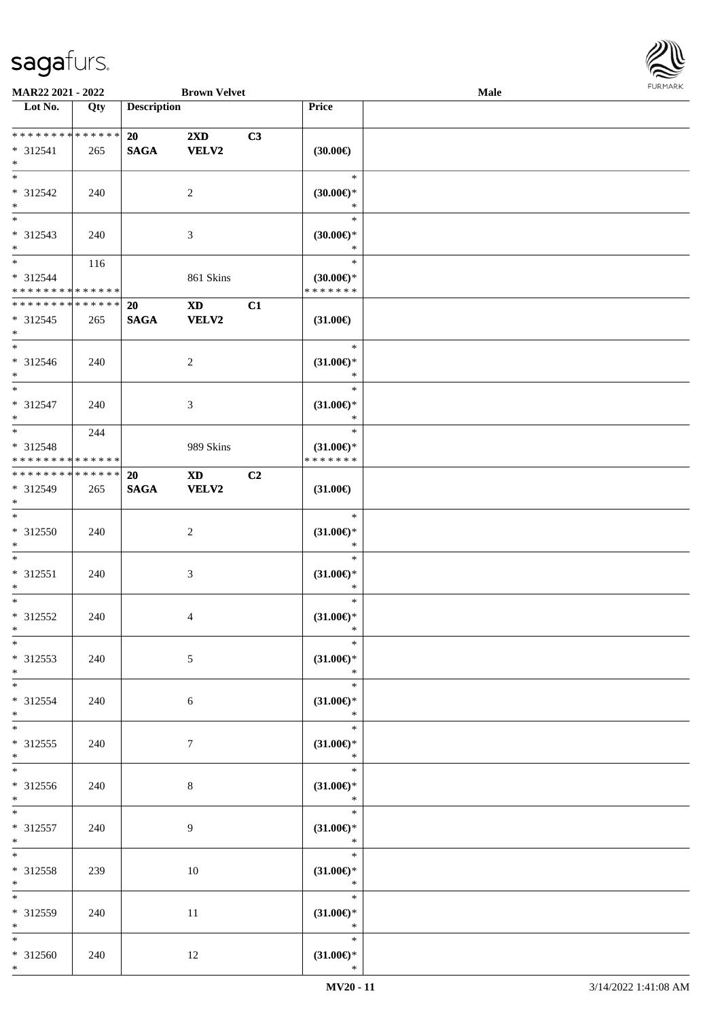

| MAR22 2021 - 2022            |     |                    | <b>Brown Velvet</b>     |    |                               | Male |  |
|------------------------------|-----|--------------------|-------------------------|----|-------------------------------|------|--|
| Lot No.                      | Qty | <b>Description</b> |                         |    | Price                         |      |  |
|                              |     |                    |                         |    |                               |      |  |
| ******** <mark>******</mark> |     | 20                 | $2\mathbf{X}\mathbf{D}$ | C3 |                               |      |  |
| * 312541                     | 265 | <b>SAGA</b>        | <b>VELV2</b>            |    | $(30.00\in)$                  |      |  |
| $*$                          |     |                    |                         |    |                               |      |  |
| $*$                          |     |                    |                         |    | $\ast$                        |      |  |
| $* 312542$                   |     |                    |                         |    |                               |      |  |
|                              | 240 |                    | $\overline{2}$          |    | $(30.00\epsilon)$ *           |      |  |
| $\ast$                       |     |                    |                         |    | $\ast$                        |      |  |
| $\overline{\phantom{0}}$     |     |                    |                         |    | $\ast$                        |      |  |
| * 312543                     | 240 |                    | $\mathfrak{Z}$          |    | (30.00)                       |      |  |
| $*$                          |     |                    |                         |    | $\ast$                        |      |  |
| $*$                          | 116 |                    |                         |    | $\ast$                        |      |  |
| * 312544                     |     |                    | 861 Skins               |    | $(30.00\epsilon)$ *           |      |  |
| * * * * * * * * * * * * * *  |     |                    |                         |    | * * * * * * *                 |      |  |
| * * * * * * * * * * * * * *  |     | 20                 | <b>XD</b>               | C1 |                               |      |  |
|                              |     |                    |                         |    |                               |      |  |
| * 312545                     | 265 | <b>SAGA</b>        | <b>VELV2</b>            |    | $(31.00\epsilon)$             |      |  |
| $*$                          |     |                    |                         |    |                               |      |  |
| $*$                          |     |                    |                         |    | $\ast$                        |      |  |
| * 312546                     | 240 |                    | 2                       |    | $(31.00\epsilon)$ *           |      |  |
| $*$                          |     |                    |                         |    | $\ast$                        |      |  |
| $*$                          |     |                    |                         |    | $\ast$                        |      |  |
| $* 312547$                   | 240 |                    | 3                       |    | $(31.00\epsilon)$ *           |      |  |
| $*$                          |     |                    |                         |    | $\ast$                        |      |  |
| $\overline{\ast}$            |     |                    |                         |    | $\ast$                        |      |  |
|                              | 244 |                    |                         |    |                               |      |  |
| * 312548                     |     |                    | 989 Skins               |    | $(31.00\epsilon)$ *           |      |  |
| * * * * * * * * * * * * * *  |     |                    |                         |    | * * * * * * *                 |      |  |
| * * * * * * * * * * * * * *  |     | <b>20</b>          | <b>XD</b>               | C2 |                               |      |  |
| * 312549                     | 265 | $\mathbf{SAGA}$    | <b>VELV2</b>            |    | $(31.00\epsilon)$             |      |  |
| $*$                          |     |                    |                         |    |                               |      |  |
| $*$                          |     |                    |                         |    | $\ast$                        |      |  |
| $* 312550$                   | 240 |                    | $\overline{2}$          |    | $(31.00\epsilon)$ *           |      |  |
| $*$                          |     |                    |                         |    | $\ast$                        |      |  |
| $*$                          |     |                    |                         |    | $\ast$                        |      |  |
|                              |     |                    |                         |    |                               |      |  |
| $* 312551$                   | 240 |                    | $\mathfrak{Z}$          |    | $(31.00\epsilon)$ *           |      |  |
| $*$                          |     |                    |                         |    | $\ast$                        |      |  |
| $*$                          |     |                    |                         |    | $\ast$                        |      |  |
| $* 312552$                   | 240 |                    | 4                       |    | $(31.00\mathsf{E})^*$         |      |  |
| $*$                          |     |                    |                         |    | $\ast$                        |      |  |
| $*$                          |     |                    |                         |    | $\ast$                        |      |  |
| * 312553                     | 240 |                    | $\mathfrak{S}$          |    | $(31.00\epsilon)$ *           |      |  |
| $*$                          |     |                    |                         |    | $\ast$                        |      |  |
|                              |     |                    |                         |    |                               |      |  |
| $*$                          |     |                    |                         |    | $\ast$                        |      |  |
| * 312554                     | 240 |                    | 6                       |    | $(31.00\epsilon)$ *           |      |  |
| $*$                          |     |                    |                         |    | $\ast$                        |      |  |
| $*$                          |     |                    |                         |    | $\ast$                        |      |  |
| * 312555                     | 240 |                    | $7\phantom{.0}$         |    | $(31.00\epsilon)$ *           |      |  |
| $*$                          |     |                    |                         |    | $\ast$                        |      |  |
|                              |     |                    |                         |    | $\ast$                        |      |  |
| * 312556                     | 240 |                    | 8                       |    | $(31.00\epsilon)$ *           |      |  |
| $*$ $-$                      |     |                    |                         |    | $\ast$                        |      |  |
|                              |     |                    |                         |    |                               |      |  |
| $*$                          |     |                    |                         |    | $\ast$                        |      |  |
| $* 312557$                   | 240 |                    | 9                       |    | $(31.00\epsilon)$ *           |      |  |
| $*$                          |     |                    |                         |    | $\ast$                        |      |  |
| $*$                          |     |                    |                         |    | $\ast$                        |      |  |
| * 312558                     | 239 |                    | 10                      |    | $(31.00\epsilon)$ *           |      |  |
| $*$                          |     |                    |                         |    | $\ast$                        |      |  |
| $*$                          |     |                    |                         |    | $\ast$                        |      |  |
| * 312559                     | 240 |                    |                         |    |                               |      |  |
| $*$                          |     |                    | 11                      |    | $(31.00\epsilon)$ *<br>$\ast$ |      |  |
|                              |     |                    |                         |    |                               |      |  |
| $*$                          |     |                    |                         |    | $\ast$                        |      |  |
| * 312560                     | 240 |                    | 12                      |    | $(31.00\epsilon)$ *           |      |  |
| $*$                          |     |                    |                         |    | $\ast$                        |      |  |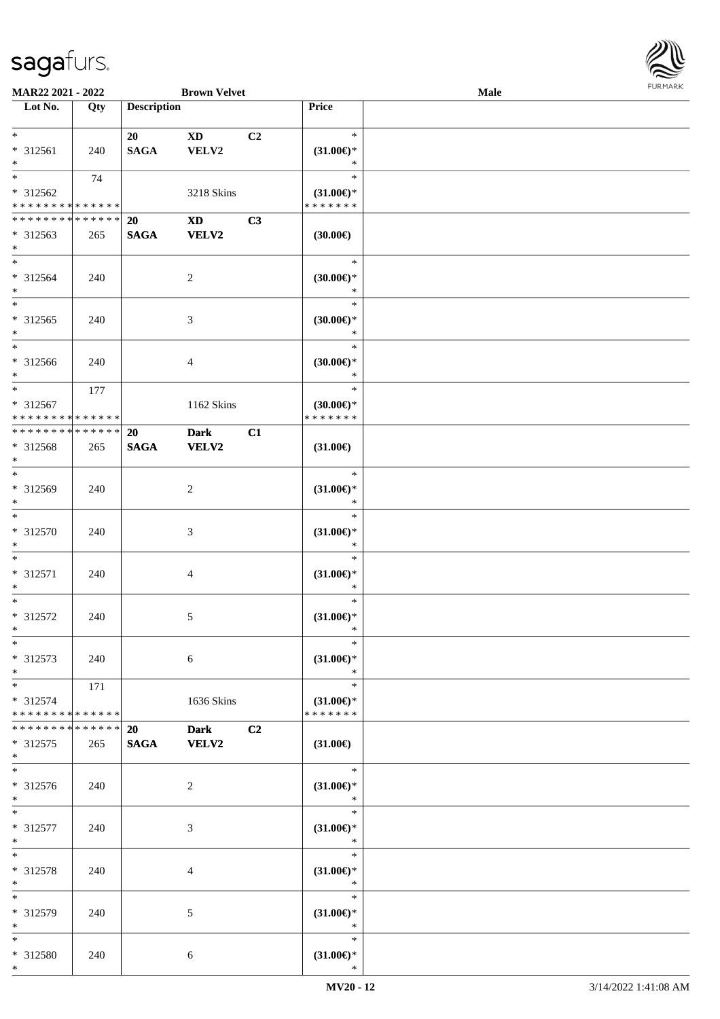

| MAR22 2021 - 2022                       |             |                    | <b>Brown Velvet</b>    |                |                                      | Male |  |
|-----------------------------------------|-------------|--------------------|------------------------|----------------|--------------------------------------|------|--|
| Lot No.                                 | Qty         | <b>Description</b> |                        |                | Price                                |      |  |
|                                         |             |                    |                        |                |                                      |      |  |
| $*$                                     |             | 20                 | <b>XD</b>              | C <sub>2</sub> | $\ast$                               |      |  |
| * 312561                                | 240         | <b>SAGA</b>        | VELV2                  |                | $(31.00\epsilon)$ *                  |      |  |
| $*$<br>$*$                              |             |                    |                        |                | $\ast$<br>$\ast$                     |      |  |
|                                         | 74          |                    |                        |                |                                      |      |  |
| * 312562<br>* * * * * * * * * * * * * * |             |                    | 3218 Skins             |                | $(31.00\epsilon)$ *<br>* * * * * * * |      |  |
| * * * * * * * * * * * * * *             |             | 20                 | $\mathbf{X}\mathbf{D}$ | C3             |                                      |      |  |
| * 312563                                | 265         | <b>SAGA</b>        | <b>VELV2</b>           |                | (30.00)                              |      |  |
| $*$                                     |             |                    |                        |                |                                      |      |  |
| $*$                                     |             |                    |                        |                | $\ast$                               |      |  |
| * 312564                                | 240         |                    | $\overline{c}$         |                | $(30.00\epsilon)$ *                  |      |  |
| $*$                                     |             |                    |                        |                | $\ast$                               |      |  |
| $*$                                     |             |                    |                        |                | $\ast$                               |      |  |
| $* 312565$                              | 240         |                    | $\mathfrak{Z}$         |                | $(30.00\epsilon)$ *                  |      |  |
| $*$                                     |             |                    |                        |                | $\ast$                               |      |  |
| $\overline{\phantom{0}}$                |             |                    |                        |                | $\ast$                               |      |  |
| $* 312566$                              | 240         |                    | $\overline{4}$         |                | $(30.00\epsilon)$ *                  |      |  |
| $*$                                     |             |                    |                        |                | $\ast$                               |      |  |
| $\ast$                                  | 177         |                    |                        |                | $\ast$                               |      |  |
| * 312567                                |             |                    | 1162 Skins             |                | $(30.00\epsilon)$ *                  |      |  |
| * * * * * * * * * * * * * *             |             |                    |                        |                | * * * * * * *                        |      |  |
| * * * * * * * * * * * * * *             |             | 20                 | <b>Dark</b>            | C1             |                                      |      |  |
| * 312568                                | 265         | <b>SAGA</b>        | <b>VELV2</b>           |                | $(31.00\epsilon)$                    |      |  |
| $*$                                     |             |                    |                        |                |                                      |      |  |
| $*$                                     |             |                    |                        |                | $\ast$                               |      |  |
| * 312569                                | 240         |                    | $\overline{c}$         |                | $(31.00\mathsf{E})^*$                |      |  |
| $*$<br>$*$                              |             |                    |                        |                | *<br>$\ast$                          |      |  |
|                                         |             |                    |                        |                |                                      |      |  |
| $* 312570$<br>$*$                       | 240         |                    | $\mathfrak{Z}$         |                | $(31.00\epsilon)$ *<br>$\ast$        |      |  |
| $*$                                     |             |                    |                        |                | $\ast$                               |      |  |
| $* 312571$                              | 240         |                    | $\overline{4}$         |                | $(31.00\epsilon)$ *                  |      |  |
| $*$                                     |             |                    |                        |                | $\ast$                               |      |  |
| $*$                                     |             |                    |                        |                | $\ast$                               |      |  |
| $* 312572$                              | 240         |                    | 5                      |                | $(31.00\epsilon)$ *                  |      |  |
| $*$                                     |             |                    |                        |                | $\ast$                               |      |  |
| $\ast$                                  |             |                    |                        |                | $\ast$                               |      |  |
| * 312573                                | 240         |                    | 6                      |                | $(31.00\epsilon)$ *                  |      |  |
| $*$                                     |             |                    |                        |                | $\ast$                               |      |  |
| $*$                                     | 171         |                    |                        |                | $\ast$                               |      |  |
| * 312574                                |             |                    | 1636 Skins             |                | $(31.00\epsilon)$ *                  |      |  |
| * * * * * * * * * * * * * *             |             |                    |                        |                | * * * * * * *                        |      |  |
| * * * * * * * *                         | * * * * * * | 20                 | <b>Dark</b>            | C2             |                                      |      |  |
| * 312575                                | 265         | <b>SAGA</b>        | <b>VELV2</b>           |                | $(31.00\epsilon)$                    |      |  |
| $*$                                     |             |                    |                        |                |                                      |      |  |
| $*$                                     |             |                    |                        |                | $\ast$                               |      |  |
| * 312576                                | 240         |                    | 2                      |                | $(31.00\epsilon)$ *                  |      |  |
| $*$<br>$*$                              |             |                    |                        |                | $\ast$<br>$\ast$                     |      |  |
|                                         |             |                    |                        |                |                                      |      |  |
| * 312577<br>$*$                         | 240         |                    | $\mathfrak{Z}$         |                | $(31.00\epsilon)$ *<br>$\ast$        |      |  |
| $*$                                     |             |                    |                        |                | $\ast$                               |      |  |
| * 312578                                | 240         |                    |                        |                | $(31.00\epsilon)$ *                  |      |  |
| $*$                                     |             |                    | 4                      |                | $\ast$                               |      |  |
| $*$                                     |             |                    |                        |                | $\ast$                               |      |  |
| * 312579                                | 240         |                    | 5                      |                | $(31.00\epsilon)$ *                  |      |  |
| $*$                                     |             |                    |                        |                | $\ast$                               |      |  |
| $*$                                     |             |                    |                        |                | $\ast$                               |      |  |
| * 312580                                | 240         |                    | 6                      |                | $(31.00\epsilon)$ *                  |      |  |
| $*$                                     |             |                    |                        |                | $\ast$                               |      |  |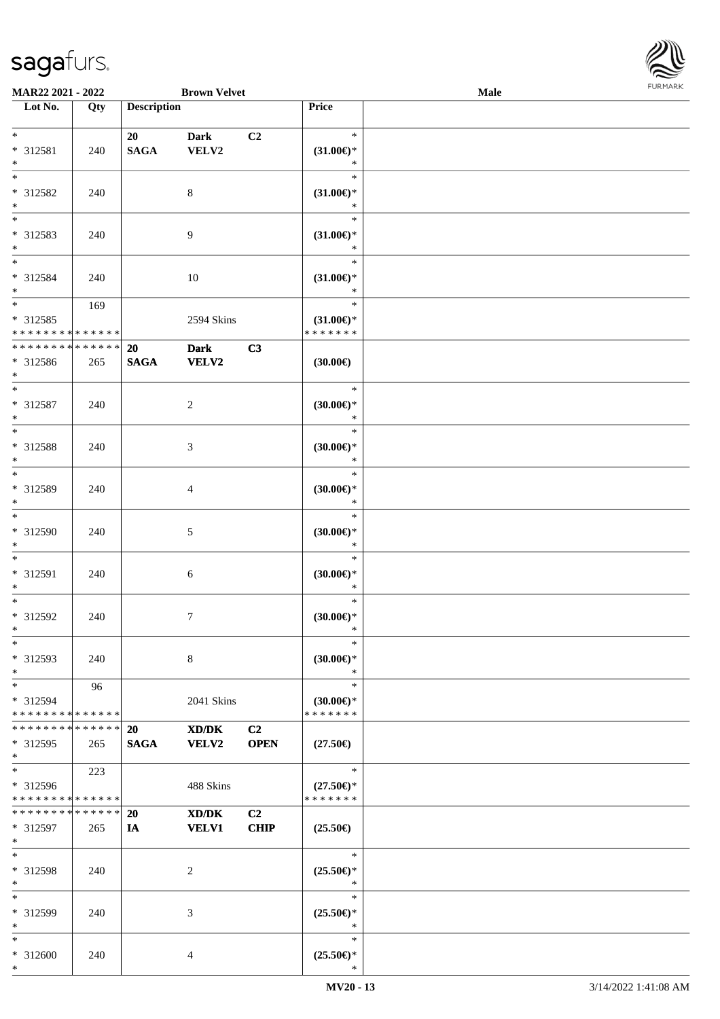

| MAR22 2021 - 2022             |     |                    | <b>Brown Velvet</b> |                |                     | Male |  |
|-------------------------------|-----|--------------------|---------------------|----------------|---------------------|------|--|
| Lot No.                       | Qty | <b>Description</b> |                     |                | Price               |      |  |
|                               |     |                    |                     |                |                     |      |  |
| $*$                           |     | 20                 | <b>Dark</b>         | C <sub>2</sub> | $\ast$              |      |  |
| * 312581                      | 240 | <b>SAGA</b>        | VELV2               |                | $(31.00\epsilon)$ * |      |  |
| $*$                           |     |                    |                     |                | $\ast$              |      |  |
| $*$                           |     |                    |                     |                | $\ast$              |      |  |
| * 312582                      | 240 |                    | 8                   |                | $(31.00\epsilon)$ * |      |  |
| $\ast$                        |     |                    |                     |                | $\ast$              |      |  |
| $\overline{\phantom{0}}$      |     |                    |                     |                | $\ast$              |      |  |
|                               |     |                    |                     |                |                     |      |  |
| * 312583                      | 240 |                    | 9                   |                | $(31.00\epsilon)$ * |      |  |
| $*$                           |     |                    |                     |                | $\ast$              |      |  |
| $*$                           |     |                    |                     |                | $\ast$              |      |  |
| * 312584                      | 240 |                    | 10                  |                | $(31.00\epsilon)$ * |      |  |
| $*$                           |     |                    |                     |                | $\ast$              |      |  |
| $*$                           | 169 |                    |                     |                | $\ast$              |      |  |
| $* 312585$                    |     |                    | 2594 Skins          |                | $(31.00\epsilon)$ * |      |  |
| * * * * * * * * * * * * * *   |     |                    |                     |                | * * * * * * *       |      |  |
| * * * * * * * * * * * * * *   |     | 20                 | <b>Dark</b>         | C3             |                     |      |  |
| * 312586                      | 265 | <b>SAGA</b>        | <b>VELV2</b>        |                | (30.00)             |      |  |
| $*$                           |     |                    |                     |                |                     |      |  |
| $*$                           |     |                    |                     |                | $\ast$              |      |  |
|                               |     |                    |                     |                |                     |      |  |
| $* 312587$                    | 240 |                    | $\overline{c}$      |                | $(30.00\epsilon)$ * |      |  |
| $*$                           |     |                    |                     |                | $\ast$              |      |  |
| $*$                           |     |                    |                     |                | $\ast$              |      |  |
| * 312588                      | 240 |                    | 3                   |                | $(30.00\epsilon)$ * |      |  |
| $*$                           |     |                    |                     |                | $\ast$              |      |  |
| $*$                           |     |                    |                     |                | $\ast$              |      |  |
| * 312589                      | 240 |                    | 4                   |                | $(30.00\epsilon)$ * |      |  |
| $*$                           |     |                    |                     |                | $\ast$              |      |  |
| $\overline{\ast}$             |     |                    |                     |                | $\ast$              |      |  |
| * 312590                      | 240 |                    | 5                   |                | $(30.00\epsilon)$ * |      |  |
| $*$                           |     |                    |                     |                | $\ast$              |      |  |
| $*$                           |     |                    |                     |                | $\ast$              |      |  |
|                               |     |                    |                     |                |                     |      |  |
| * 312591                      | 240 |                    | 6                   |                | $(30.00\epsilon)$ * |      |  |
| $*$                           |     |                    |                     |                | $\ast$              |      |  |
| $*$                           |     |                    |                     |                | $\ast$              |      |  |
| $* 312592$                    | 240 |                    | 7                   |                | (30.00)             |      |  |
| $*$                           |     |                    |                     |                | $\ast$              |      |  |
| $*$                           |     |                    |                     |                | $\ast$              |      |  |
| * 312593                      | 240 |                    | 8                   |                | $(30.00\epsilon)$ * |      |  |
| $*$                           |     |                    |                     |                | $\ast$              |      |  |
| $*$                           | 96  |                    |                     |                | $\ast$              |      |  |
| * 312594                      |     |                    | 2041 Skins          |                | $(30.00\epsilon)$ * |      |  |
| * * * * * * * * * * * * * *   |     |                    |                     |                | * * * * * * *       |      |  |
| * * * * * * * * * * * * * * * |     |                    |                     |                |                     |      |  |
|                               |     | <b>20</b>          | XD/DK               | C <sub>2</sub> |                     |      |  |
| * 312595                      | 265 | <b>SAGA</b>        | <b>VELV2</b>        | <b>OPEN</b>    | $(27.50\epsilon)$   |      |  |
| $*$                           |     |                    |                     |                |                     |      |  |
| $*$                           | 223 |                    |                     |                | $\ast$              |      |  |
| * 312596                      |     |                    | 488 Skins           |                | $(27.50\epsilon)$ * |      |  |
| * * * * * * * * * * * * * *   |     |                    |                     |                | * * * * * * *       |      |  |
| * * * * * * * * * * * * * *   |     | 20                 | XD/DK               | C2             |                     |      |  |
| * 312597                      | 265 | IA                 | <b>VELV1</b>        | <b>CHIP</b>    | $(25.50\epsilon)$   |      |  |
| $*$                           |     |                    |                     |                |                     |      |  |
| $*$                           |     |                    |                     |                | $\ast$              |      |  |
| * 312598                      | 240 |                    | 2                   |                | $(25.50\epsilon)$ * |      |  |
| $*$                           |     |                    |                     |                | $\ast$              |      |  |
|                               |     |                    |                     |                |                     |      |  |
| $*$                           |     |                    |                     |                | $\ast$              |      |  |
| * 312599                      | 240 |                    | 3                   |                | $(25.50\epsilon)$ * |      |  |
| $*$                           |     |                    |                     |                | $\ast$              |      |  |
| $*$                           |     |                    |                     |                | $\ast$              |      |  |
| * 312600                      | 240 |                    | 4                   |                | $(25.50\epsilon)$ * |      |  |
| $*$                           |     |                    |                     |                | $\ast$              |      |  |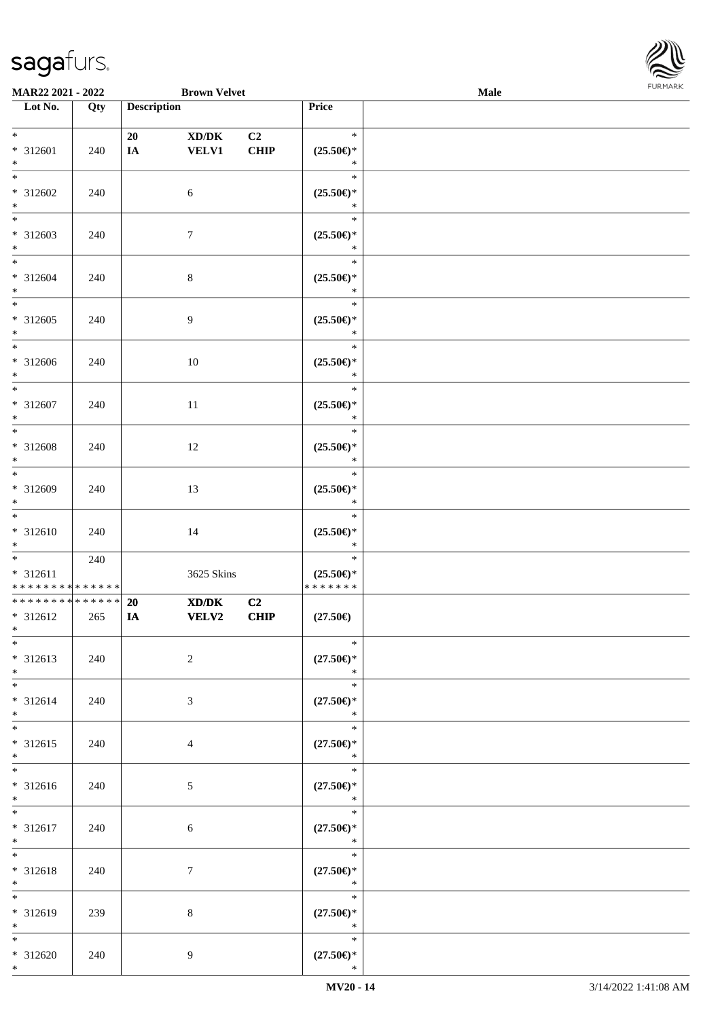\*



| <b>MAR22 2021 - 2022</b>                                 |     |                    | <b>Brown Velvet</b>   |                               |                                                 | Male |  |
|----------------------------------------------------------|-----|--------------------|-----------------------|-------------------------------|-------------------------------------------------|------|--|
| Lot No.                                                  | Qty | <b>Description</b> |                       |                               | Price                                           |      |  |
| $*$<br>* 312601<br>$*$                                   | 240 | 20<br>IA           | XD/DK<br><b>VELV1</b> | C <sub>2</sub><br><b>CHIP</b> | $\ast$<br>$(25.50\epsilon)$ *<br>$\ast$         |      |  |
| $*$<br>* 312602<br>$\ast$                                | 240 |                    | 6                     |                               | $\ast$<br>$(25.50\epsilon)$ *<br>$\ast$         |      |  |
| * 312603<br>$\ast$                                       | 240 |                    | $\tau$                |                               | $\ast$<br>$(25.50\epsilon)$ *<br>$\ast$         |      |  |
| $*$<br>* 312604<br>$*$                                   | 240 |                    | $\,8\,$               |                               | $\ast$<br>$(25.50\epsilon)$ *<br>$\ast$         |      |  |
| $*$<br>* 312605<br>$*$                                   | 240 |                    | $\overline{9}$        |                               | $\ast$<br>$(25.50\epsilon)$ *<br>$\ast$         |      |  |
| * 312606<br>$*$                                          | 240 |                    | 10                    |                               | $\ast$<br>$(25.50\epsilon)$ *<br>$\ast$         |      |  |
| $*$<br>* 312607<br>$*$                                   | 240 |                    | 11                    |                               | $\ast$<br>$(25.50\epsilon)$ *<br>$\ast$         |      |  |
| $\overline{\ast}$<br>* 312608<br>$\ast$                  | 240 |                    | 12                    |                               | $\ast$<br>$(25.50\epsilon)$ *<br>$\ast$         |      |  |
| $*$<br>* 312609<br>$\ast$                                | 240 |                    | 13                    |                               | $\ast$<br>$(25.50\epsilon)$ *<br>$\ast$         |      |  |
| $*$<br>* 312610<br>$*$                                   | 240 |                    | 14                    |                               | $\ast$<br>$(25.50\epsilon)$ *<br>$\ast$         |      |  |
| $* 312611$<br>* * * * * * * * <mark>* * * * * * *</mark> | 240 |                    | 3625 Skins            |                               | $\ast$<br>$(25.50\epsilon)$ *<br>* * * * * * *  |      |  |
| * * * * * * * * * * * * * * *<br>* 312612<br>$*$ $-$     | 265 | 20<br>IA           | XD/DK<br><b>VELV2</b> | C2<br>CHIP                    | $(27.50\epsilon)$                               |      |  |
| $\overline{\ast}$<br>* 312613<br>$*$                     | 240 |                    | $\overline{2}$        |                               | $\ast$<br>$(27.50\epsilon)$ *<br>$\ast$         |      |  |
| $\ast$<br>* 312614<br>$*$                                | 240 |                    | 3                     |                               | $\ast$<br>$(27.50\epsilon)$ *<br>$\ast$         |      |  |
| $\ddot{x}$<br>* 312615<br>$*$                            | 240 |                    | $\overline{4}$        |                               | $\ast$<br>$(27.50\epsilon)$ *<br>$\sim$ $\star$ |      |  |
| $\ddot{x}$<br>* 312616<br>$*$                            | 240 |                    | 5 <sup>5</sup>        |                               | $\ast$<br>$(27.50\epsilon)$ *<br>$\ast$         |      |  |
| $*$<br>* 312617<br>$*$                                   | 240 |                    | 6                     |                               | $\ast$<br>$(27.50\epsilon)$ *<br>$\ast$         |      |  |
| $\ddot{x}$<br>* 312618<br>$*$                            | 240 |                    | $\tau$                |                               | $\ast$<br>$(27.50\epsilon)$ *<br>$\ast$         |      |  |
| * 312619<br>$*$                                          | 239 |                    | 8                     |                               | $\ast$<br>$(27.50\epsilon)$ *<br>$\ast$         |      |  |
| $\ddot{x}$<br>* 312620                                   | 240 |                    | 9                     |                               | $\ast$<br>$(27.50\epsilon)$ *                   |      |  |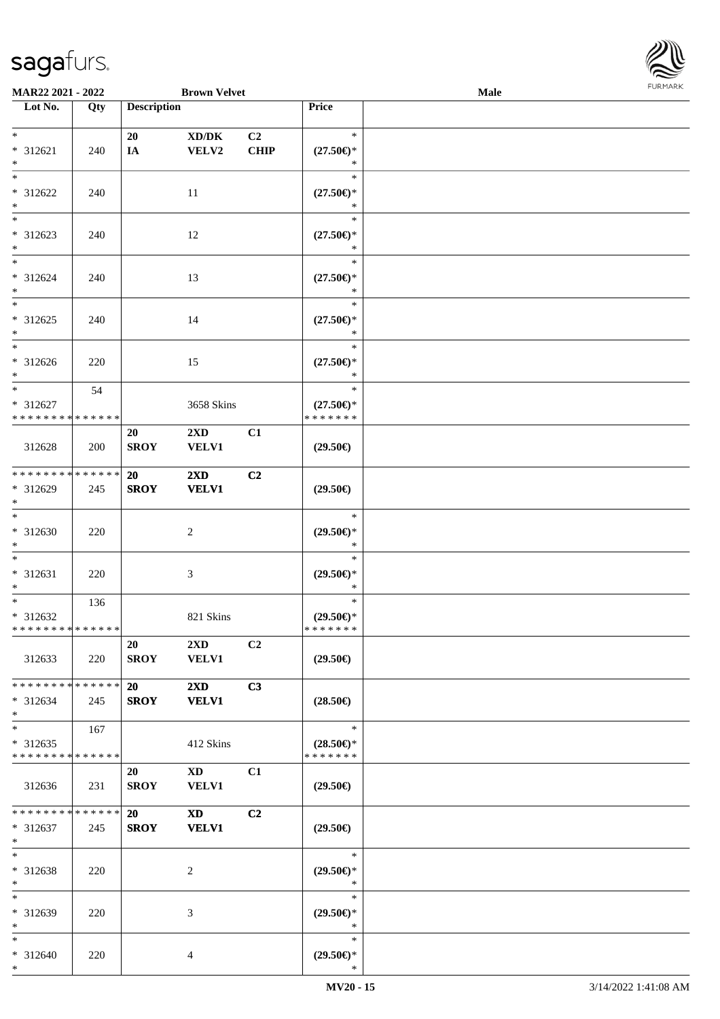

| <b>MAR22 2021 - 2022</b>                   |     |                    | <b>Brown Velvet</b>                                                                                                                                                                                                            |                |                               | Male |  |
|--------------------------------------------|-----|--------------------|--------------------------------------------------------------------------------------------------------------------------------------------------------------------------------------------------------------------------------|----------------|-------------------------------|------|--|
| Lot No.                                    | Qty | <b>Description</b> |                                                                                                                                                                                                                                |                | Price                         |      |  |
|                                            |     |                    |                                                                                                                                                                                                                                |                |                               |      |  |
| $*$                                        |     | 20                 | XD/DK                                                                                                                                                                                                                          | C <sub>2</sub> | $\ast$                        |      |  |
| * 312621                                   | 240 | IA                 | VELV2                                                                                                                                                                                                                          | <b>CHIP</b>    | $(27.50\epsilon)$ *           |      |  |
| $*$                                        |     |                    |                                                                                                                                                                                                                                |                | $\ast$                        |      |  |
| $*$                                        |     |                    |                                                                                                                                                                                                                                |                | $\ast$                        |      |  |
| * 312622                                   | 240 |                    | 11                                                                                                                                                                                                                             |                | $(27.50\epsilon)$ *           |      |  |
| $*$                                        |     |                    |                                                                                                                                                                                                                                |                | $\ast$                        |      |  |
|                                            |     |                    |                                                                                                                                                                                                                                |                | $\ast$                        |      |  |
| * 312623                                   | 240 |                    | 12                                                                                                                                                                                                                             |                | $(27.50\epsilon)$ *           |      |  |
| $*$                                        |     |                    |                                                                                                                                                                                                                                |                | $\ast$                        |      |  |
| $*$                                        |     |                    |                                                                                                                                                                                                                                |                | $\ast$                        |      |  |
| * 312624                                   | 240 |                    | 13                                                                                                                                                                                                                             |                | $(27.50\epsilon)$ *           |      |  |
| $*$                                        |     |                    |                                                                                                                                                                                                                                |                | $\ast$                        |      |  |
| $*$                                        |     |                    |                                                                                                                                                                                                                                |                | $\ast$                        |      |  |
| * 312625                                   | 240 |                    | 14                                                                                                                                                                                                                             |                | $(27.50\epsilon)$ *           |      |  |
| $*$                                        |     |                    |                                                                                                                                                                                                                                |                | $\ast$                        |      |  |
|                                            |     |                    |                                                                                                                                                                                                                                |                | $\ast$                        |      |  |
| $* 312626$                                 | 220 |                    | 15                                                                                                                                                                                                                             |                | $(27.50\epsilon)$ *           |      |  |
| $*$                                        |     |                    |                                                                                                                                                                                                                                |                | $\ast$                        |      |  |
| $*$                                        | 54  |                    |                                                                                                                                                                                                                                |                | $\ast$                        |      |  |
| * 312627                                   |     |                    | 3658 Skins                                                                                                                                                                                                                     |                | $(27.50\epsilon)$ *           |      |  |
| * * * * * * * * <mark>* * * * * *</mark>   |     |                    |                                                                                                                                                                                                                                |                | * * * * * * *                 |      |  |
|                                            |     | 20                 | $2\mathbf{X}\mathbf{D}$                                                                                                                                                                                                        | C1             |                               |      |  |
| 312628                                     | 200 | <b>SROY</b>        | <b>VELV1</b>                                                                                                                                                                                                                   |                | $(29.50\epsilon)$             |      |  |
|                                            |     |                    |                                                                                                                                                                                                                                |                |                               |      |  |
| * * * * * * * * <mark>* * * * * * *</mark> |     | <b>20</b>          | $2\mathbf{X}\mathbf{D}$                                                                                                                                                                                                        | C <sub>2</sub> |                               |      |  |
| * 312629                                   | 245 | <b>SROY</b>        | <b>VELV1</b>                                                                                                                                                                                                                   |                | $(29.50\epsilon)$             |      |  |
| $*$                                        |     |                    |                                                                                                                                                                                                                                |                |                               |      |  |
| $*$                                        |     |                    |                                                                                                                                                                                                                                |                | $\ast$                        |      |  |
| * 312630                                   | 220 |                    | 2                                                                                                                                                                                                                              |                | $(29.50\epsilon)$ *           |      |  |
| $*$<br>$*$                                 |     |                    |                                                                                                                                                                                                                                |                | $\ast$<br>$\ast$              |      |  |
|                                            |     |                    |                                                                                                                                                                                                                                |                |                               |      |  |
| * 312631<br>$\ast$                         | 220 |                    | $\mathfrak{Z}$                                                                                                                                                                                                                 |                | $(29.50\epsilon)$ *<br>$\ast$ |      |  |
| $*$ $-$                                    |     |                    |                                                                                                                                                                                                                                |                | $\ast$                        |      |  |
| * 312632                                   | 136 |                    | 821 Skins                                                                                                                                                                                                                      |                | $(29.50\epsilon)$ *           |      |  |
| * * * * * * * * <mark>* * * * * *</mark>   |     |                    |                                                                                                                                                                                                                                |                | *******                       |      |  |
|                                            |     | 20                 | $2\rm{XD}$                                                                                                                                                                                                                     | C <sub>2</sub> |                               |      |  |
| 312633                                     | 220 | <b>SROY</b>        | <b>VELV1</b>                                                                                                                                                                                                                   |                | $(29.50\epsilon)$             |      |  |
|                                            |     |                    |                                                                                                                                                                                                                                |                |                               |      |  |
| * * * * * * * * <mark>* * * * * *</mark>   |     | 20                 | $2\mathbf{X}\mathbf{D}$                                                                                                                                                                                                        | C3             |                               |      |  |
| $* 312634$                                 | 245 | <b>SROY</b>        | <b>VELV1</b>                                                                                                                                                                                                                   |                | $(28.50\epsilon)$             |      |  |
| $\ast$                                     |     |                    |                                                                                                                                                                                                                                |                |                               |      |  |
| $*$ $-$                                    | 167 |                    |                                                                                                                                                                                                                                |                | $\ast$                        |      |  |
| * 312635                                   |     |                    | 412 Skins                                                                                                                                                                                                                      |                | $(28.50\epsilon)$ *           |      |  |
| * * * * * * * * * * * * * *                |     |                    |                                                                                                                                                                                                                                |                | * * * * * * *                 |      |  |
|                                            |     | 20                 | XD and the set of the set of the set of the set of the set of the set of the set of the set of the set of the set of the set of the set of the set of the set of the set of the set of the set of the set of the set of the se | C1             |                               |      |  |
| 312636                                     | 231 | <b>SROY</b>        | <b>VELV1</b>                                                                                                                                                                                                                   |                | $(29.50\epsilon)$             |      |  |
|                                            |     |                    |                                                                                                                                                                                                                                |                |                               |      |  |
| * * * * * * * * <mark>* * * * * *</mark> * |     | 20                 | <b>XD</b>                                                                                                                                                                                                                      | C2             |                               |      |  |
| * 312637                                   | 245 | <b>SROY</b>        | <b>VELV1</b>                                                                                                                                                                                                                   |                | $(29.50\epsilon)$             |      |  |
| $*$                                        |     |                    |                                                                                                                                                                                                                                |                |                               |      |  |
| $*$                                        |     |                    |                                                                                                                                                                                                                                |                | $\ast$                        |      |  |
| * 312638                                   | 220 |                    | 2                                                                                                                                                                                                                              |                | $(29.50\epsilon)$ *           |      |  |
| $*$                                        |     |                    |                                                                                                                                                                                                                                |                | $\ast$                        |      |  |
| $\ast$                                     |     |                    |                                                                                                                                                                                                                                |                | $\ast$                        |      |  |
| * 312639                                   | 220 |                    | 3                                                                                                                                                                                                                              |                | $(29.50\epsilon)$ *           |      |  |
| $*$                                        |     |                    |                                                                                                                                                                                                                                |                | $\ast$                        |      |  |
| $*$                                        |     |                    |                                                                                                                                                                                                                                |                | $\ast$                        |      |  |
| * 312640                                   | 220 |                    | 4                                                                                                                                                                                                                              |                | $(29.50\epsilon)$ *           |      |  |
| $\ast$                                     |     |                    |                                                                                                                                                                                                                                |                | $\ast$                        |      |  |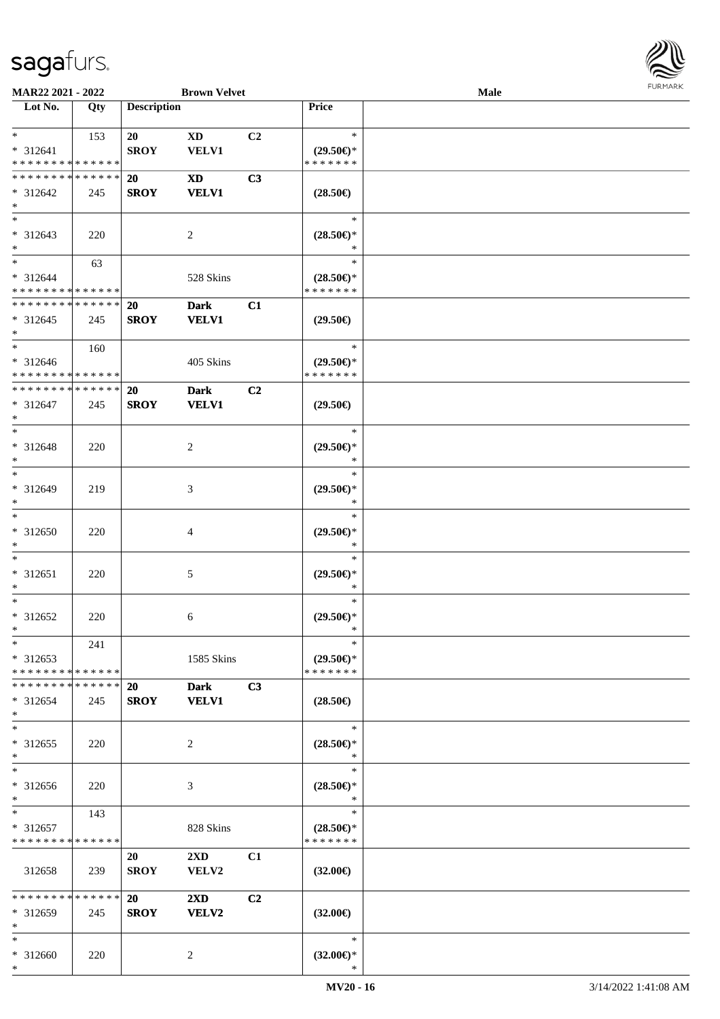

| MAR22 2021 - 2022                                     |     |                          | <b>Brown Velvet</b>                     |                |                                                | Male |  |
|-------------------------------------------------------|-----|--------------------------|-----------------------------------------|----------------|------------------------------------------------|------|--|
| Lot No.                                               | Qty | <b>Description</b>       |                                         |                | Price                                          |      |  |
| $\ast$<br>* 312641<br>* * * * * * * * * * * * * *     | 153 | 20<br><b>SROY</b>        | <b>XD</b><br><b>VELV1</b>               | C <sub>2</sub> | $\ast$<br>$(29.50\epsilon)$ *<br>* * * * * * * |      |  |
| * * * * * * * * * * * * * *<br>$* 312642$<br>$\ast$   | 245 | 20<br><b>SROY</b>        | <b>XD</b><br><b>VELV1</b>               | C3             | $(28.50\epsilon)$                              |      |  |
| $\overline{\phantom{0}}$<br>* 312643<br>$*$           | 220 |                          | $\overline{2}$                          |                | $\ast$<br>$(28.50\epsilon)$ *                  |      |  |
| $\ast$<br>* 312644<br>* * * * * * * * * * * * * *     | 63  |                          | 528 Skins                               |                | $\ast$<br>$(28.50\epsilon)$ *<br>* * * * * * * |      |  |
| ******** <mark>*****</mark> *<br>$* 312645$<br>$\ast$ | 245 | <b>20</b><br><b>SROY</b> | <b>Dark</b><br><b>VELV1</b>             | C1             | $(29.50\epsilon)$                              |      |  |
| $\ast$<br>* 312646<br>* * * * * * * * * * * * * *     | 160 |                          | 405 Skins                               |                | $\ast$<br>$(29.50\epsilon)$ *<br>* * * * * * * |      |  |
| * * * * * * * * * * * * * *<br>$* 312647$<br>$\ast$   | 245 | 20<br><b>SROY</b>        | <b>Dark</b><br><b>VELV1</b>             | C2             | $(29.50\epsilon)$                              |      |  |
| $*$<br>* 312648<br>$\ast$                             | 220 |                          | $\overline{c}$                          |                | $\ast$<br>$(29.50\epsilon)$ *<br>$\ast$        |      |  |
| $\ast$<br>* 312649<br>$\ast$                          | 219 |                          | 3                                       |                | $\ast$<br>$(29.50\epsilon)$ *<br>$\ast$        |      |  |
| $\ast$<br>* 312650<br>$\ast$                          | 220 |                          | 4                                       |                | $\ast$<br>$(29.50\epsilon)$ *<br>$\ast$        |      |  |
| $\ast$<br>$* 312651$<br>$\ast$                        | 220 |                          | $\mathfrak{S}$                          |                | $\ast$<br>$(29.50\epsilon)$ *<br>$\ast$        |      |  |
| $\ast$<br>* 312652<br>$*$                             | 220 |                          | 6                                       |                | $\ast$<br>$(29.50\epsilon)$ *<br>$\ast$        |      |  |
| $*$<br>$* 312653$<br>* * * * * * * * * * * * * *      | 241 |                          | 1585 Skins                              |                | $\ast$<br>$(29.50 \in )^*$<br>* * * * * * *    |      |  |
| * * * * * * * * * * * * * *<br>* 312654<br>$\ast$     | 245 | <b>20</b><br><b>SROY</b> | <b>Dark</b><br><b>VELV1</b>             | C3             | $(28.50\epsilon)$                              |      |  |
| $\ast$<br>* 312655<br>$*$                             | 220 |                          | 2                                       |                | $\ast$<br>$(28.50\epsilon)$ *<br>$\ast$        |      |  |
| $\ast$<br>* 312656<br>$*$                             | 220 |                          | 3                                       |                | $\ast$<br>$(28.50\epsilon)$ *<br>$\ast$        |      |  |
| $*$<br>$* 312657$<br>* * * * * * * * * * * * * *      | 143 |                          | 828 Skins                               |                | $\ast$<br>$(28.50\epsilon)$ *<br>* * * * * * * |      |  |
| 312658                                                | 239 | 20<br><b>SROY</b>        | $2\mathbf{X}\mathbf{D}$<br>VELV2        | C1             | $(32.00\epsilon)$                              |      |  |
| ******** <mark>******</mark><br>* 312659<br>$\ast$    | 245 | <b>20</b><br><b>SROY</b> | $2\mathbf{X}\mathbf{D}$<br><b>VELV2</b> | C2             | $(32.00\epsilon)$                              |      |  |
| $\ast$<br>* 312660<br>$*$                             | 220 |                          | 2                                       |                | $\ast$<br>$(32.00\epsilon)$ *<br>$\ast$        |      |  |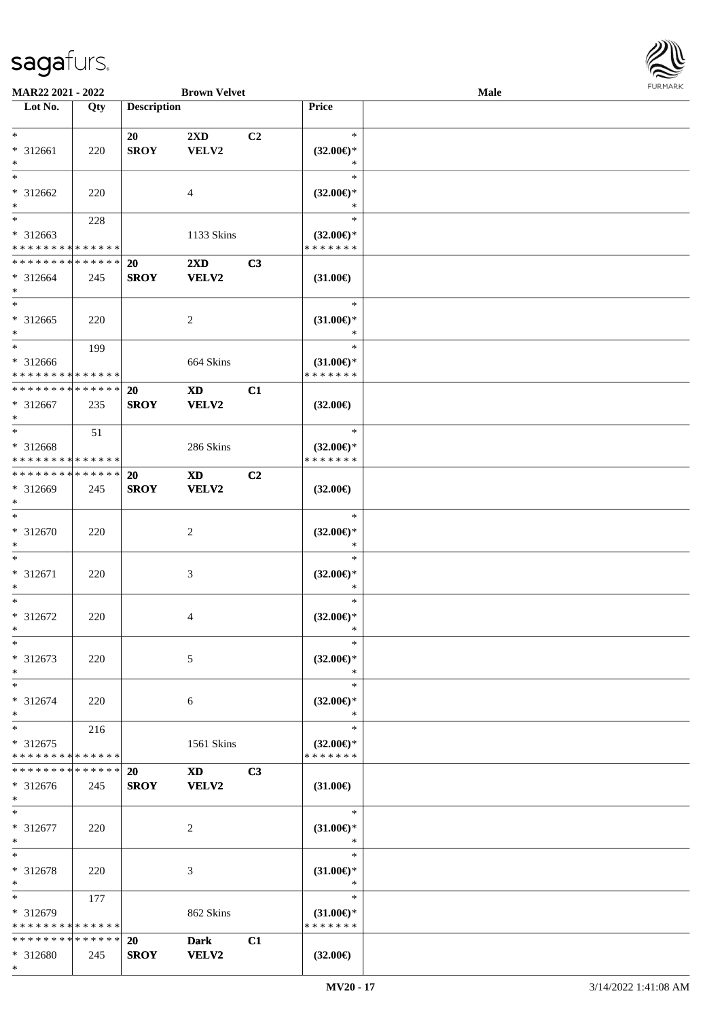

| MAR22 2021 - 2022           |     |                    | <b>Brown Velvet</b>                                                                                                                                                                                                            |    |                                      | <b>Male</b> |  |
|-----------------------------|-----|--------------------|--------------------------------------------------------------------------------------------------------------------------------------------------------------------------------------------------------------------------------|----|--------------------------------------|-------------|--|
| Lot No.                     | Qty | <b>Description</b> |                                                                                                                                                                                                                                |    | Price                                |             |  |
|                             |     |                    |                                                                                                                                                                                                                                |    |                                      |             |  |
| $*$                         |     | 20                 | 2XD                                                                                                                                                                                                                            | C2 | $\ast$                               |             |  |
| $* 312661$                  | 220 | <b>SROY</b>        | VELV2                                                                                                                                                                                                                          |    | $(32.00\epsilon)$ *                  |             |  |
| $\ast$                      |     |                    |                                                                                                                                                                                                                                |    | ∗                                    |             |  |
| $*$                         |     |                    |                                                                                                                                                                                                                                |    | $\ast$                               |             |  |
| * 312662                    | 220 |                    | 4                                                                                                                                                                                                                              |    | $(32.00\epsilon)$ *                  |             |  |
| $\ast$                      |     |                    |                                                                                                                                                                                                                                |    | *                                    |             |  |
| $\overline{\phantom{0}}$    | 228 |                    |                                                                                                                                                                                                                                |    | $\ast$                               |             |  |
| * 312663                    |     |                    | 1133 Skins                                                                                                                                                                                                                     |    | $(32.00\epsilon)$ *                  |             |  |
| * * * * * * * * * * * * * * |     |                    |                                                                                                                                                                                                                                |    | * * * * * * *                        |             |  |
| * * * * * * * * * * * * * * |     | 20                 | 2XD                                                                                                                                                                                                                            | C3 |                                      |             |  |
| $* 312664$                  | 245 | <b>SROY</b>        | <b>VELV2</b>                                                                                                                                                                                                                   |    | $(31.00\epsilon)$                    |             |  |
| $*$                         |     |                    |                                                                                                                                                                                                                                |    |                                      |             |  |
| $\ast$                      |     |                    |                                                                                                                                                                                                                                |    | $\ast$                               |             |  |
| $* 312665$                  | 220 |                    | $\overline{2}$                                                                                                                                                                                                                 |    | $(31.00\epsilon)$ *                  |             |  |
| $\ast$                      |     |                    |                                                                                                                                                                                                                                |    | *                                    |             |  |
| $\ast$                      | 199 |                    |                                                                                                                                                                                                                                |    | $\ast$                               |             |  |
| * 312666                    |     |                    | 664 Skins                                                                                                                                                                                                                      |    | $(31.00\epsilon)$ *                  |             |  |
| * * * * * * * * * * * * * * |     |                    |                                                                                                                                                                                                                                |    | * * * * * * *                        |             |  |
| * * * * * * * * * * * * * * |     | 20                 | <b>XD</b>                                                                                                                                                                                                                      | C1 |                                      |             |  |
| $* 312667$                  |     | <b>SROY</b>        | <b>VELV2</b>                                                                                                                                                                                                                   |    |                                      |             |  |
| $\ast$                      | 235 |                    |                                                                                                                                                                                                                                |    | $(32.00\epsilon)$                    |             |  |
| $*$                         |     |                    |                                                                                                                                                                                                                                |    | $\ast$                               |             |  |
|                             | 51  |                    |                                                                                                                                                                                                                                |    |                                      |             |  |
| * 312668                    |     |                    | 286 Skins                                                                                                                                                                                                                      |    | $(32.00\epsilon)$ *<br>* * * * * * * |             |  |
| * * * * * * * * * * * * * * |     |                    |                                                                                                                                                                                                                                |    |                                      |             |  |
| * * * * * * * * * * * * * * |     | 20                 | <b>XD</b>                                                                                                                                                                                                                      | C2 |                                      |             |  |
| * 312669                    | 245 | <b>SROY</b>        | VELV2                                                                                                                                                                                                                          |    | $(32.00\epsilon)$                    |             |  |
| $*$                         |     |                    |                                                                                                                                                                                                                                |    |                                      |             |  |
| $\ast$                      |     |                    |                                                                                                                                                                                                                                |    | $\ast$                               |             |  |
| $* 312670$                  | 220 |                    | $\sqrt{2}$                                                                                                                                                                                                                     |    | $(32.00\epsilon)$ *                  |             |  |
| $*$                         |     |                    |                                                                                                                                                                                                                                |    | $\ast$                               |             |  |
| $*$                         |     |                    |                                                                                                                                                                                                                                |    | $\ast$                               |             |  |
| $* 312671$                  | 220 |                    | $\mathfrak{Z}$                                                                                                                                                                                                                 |    | $(32.00\epsilon)$ *                  |             |  |
| $\ast$                      |     |                    |                                                                                                                                                                                                                                |    | $\ast$                               |             |  |
| $\ast$                      |     |                    |                                                                                                                                                                                                                                |    | $\ast$                               |             |  |
| $* 312672$                  | 220 |                    | 4                                                                                                                                                                                                                              |    | $(32.00\epsilon)$ *                  |             |  |
| $*$                         |     |                    |                                                                                                                                                                                                                                |    | $\ast$                               |             |  |
| $*$                         |     |                    |                                                                                                                                                                                                                                |    | $\ast$                               |             |  |
| * 312673                    | 220 |                    | 5                                                                                                                                                                                                                              |    | $(32.00\epsilon)$ *                  |             |  |
| $*$                         |     |                    |                                                                                                                                                                                                                                |    | ∗                                    |             |  |
| $*$                         |     |                    |                                                                                                                                                                                                                                |    | $\ast$                               |             |  |
| * 312674                    | 220 |                    | 6                                                                                                                                                                                                                              |    | $(32.00\epsilon)$ *                  |             |  |
| $*$                         |     |                    |                                                                                                                                                                                                                                |    | $\ast$                               |             |  |
| $\ast$                      | 216 |                    |                                                                                                                                                                                                                                |    | $\ast$                               |             |  |
| * 312675                    |     |                    | 1561 Skins                                                                                                                                                                                                                     |    | $(32.00\epsilon)$ *                  |             |  |
| * * * * * * * * * * * * * * |     |                    |                                                                                                                                                                                                                                |    | * * * * * * *                        |             |  |
| * * * * * * * * * * * * * * |     | <b>20</b>          | XD and the set of the set of the set of the set of the set of the set of the set of the set of the set of the set of the set of the set of the set of the set of the set of the set of the set of the set of the set of the se | C3 |                                      |             |  |
| * 312676                    | 245 | <b>SROY</b>        | VELV2                                                                                                                                                                                                                          |    | $(31.00\epsilon)$                    |             |  |
| $*$                         |     |                    |                                                                                                                                                                                                                                |    |                                      |             |  |
| $*$                         |     |                    |                                                                                                                                                                                                                                |    | $\ast$                               |             |  |
| $* 312677$                  |     |                    |                                                                                                                                                                                                                                |    | $(31.00\epsilon)$ *                  |             |  |
| $*$                         | 220 |                    | 2                                                                                                                                                                                                                              |    | $\ast$                               |             |  |
| $\ast$                      |     |                    |                                                                                                                                                                                                                                |    | $\ast$                               |             |  |
|                             |     |                    |                                                                                                                                                                                                                                |    |                                      |             |  |
| * 312678                    | 220 |                    | 3                                                                                                                                                                                                                              |    | $(31.00\epsilon)$ *<br>$\ast$        |             |  |
| $*$<br>$*$                  |     |                    |                                                                                                                                                                                                                                |    |                                      |             |  |
|                             | 177 |                    |                                                                                                                                                                                                                                |    | $\ast$                               |             |  |
| * 312679                    |     |                    | 862 Skins                                                                                                                                                                                                                      |    | $(31.00\epsilon)$ *                  |             |  |
| * * * * * * * * * * * * * * |     |                    |                                                                                                                                                                                                                                |    | * * * * * * *                        |             |  |
| * * * * * * * * * * * * * * |     | <b>20</b>          | Dark                                                                                                                                                                                                                           | C1 |                                      |             |  |
| * 312680                    | 245 | <b>SROY</b>        | <b>VELV2</b>                                                                                                                                                                                                                   |    | $(32.00\epsilon)$                    |             |  |
| $*$                         |     |                    |                                                                                                                                                                                                                                |    |                                      |             |  |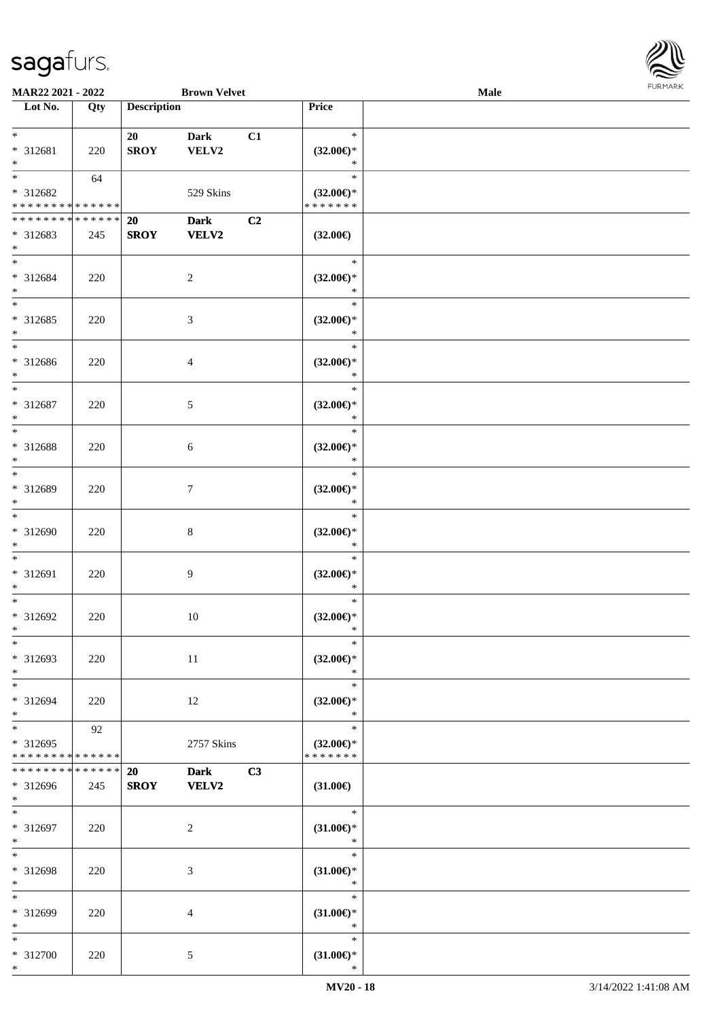

| <b>MAR22 2021 - 2022</b>                   |     |                    | <b>Brown Velvet</b> |    |                               | <b>Male</b> |  |
|--------------------------------------------|-----|--------------------|---------------------|----|-------------------------------|-------------|--|
| Lot No.                                    | Qty | <b>Description</b> |                     |    | Price                         |             |  |
|                                            |     |                    |                     |    |                               |             |  |
| $*$                                        |     | 20                 | <b>Dark</b>         | C1 | $\ast$                        |             |  |
| * 312681                                   | 220 | <b>SROY</b>        | VELV2               |    | $(32.00\epsilon)$ *           |             |  |
| $\ast$                                     |     |                    |                     |    | $\ast$                        |             |  |
|                                            | 64  |                    |                     |    | $\ast$                        |             |  |
| * 312682                                   |     |                    | 529 Skins           |    | $(32.00\epsilon)$ *           |             |  |
| * * * * * * * * <mark>* * * * * * *</mark> |     |                    |                     |    | * * * * * * *                 |             |  |
| * * * * * * * * * * * * * *                |     | 20                 | <b>Dark</b>         | C2 |                               |             |  |
| * 312683                                   | 245 | <b>SROY</b>        | <b>VELV2</b>        |    | $(32.00\epsilon)$             |             |  |
| $\ast$                                     |     |                    |                     |    |                               |             |  |
| $*$                                        |     |                    |                     |    | $\ast$                        |             |  |
| * 312684                                   | 220 |                    | $\overline{c}$      |    | $(32.00\epsilon)$ *           |             |  |
| $*$<br>$*$                                 |     |                    |                     |    | $\ast$<br>$\ast$              |             |  |
|                                            |     |                    |                     |    |                               |             |  |
| * 312685                                   | 220 |                    | 3                   |    | $(32.00\epsilon)$ *           |             |  |
| $*$<br>$*$                                 |     |                    |                     |    | $\ast$<br>$\ast$              |             |  |
|                                            |     |                    |                     |    |                               |             |  |
| * 312686<br>$*$                            | 220 |                    | 4                   |    | $(32.00\epsilon)$ *<br>$\ast$ |             |  |
| $\ast$                                     |     |                    |                     |    | $\ast$                        |             |  |
|                                            |     |                    |                     |    |                               |             |  |
| * 312687<br>$*$                            | 220 |                    | 5                   |    | $(32.00\epsilon)$ *<br>$\ast$ |             |  |
| $*$                                        |     |                    |                     |    | $\ast$                        |             |  |
| * 312688                                   |     |                    |                     |    | $(32.00\epsilon)$ *           |             |  |
| $\ast$                                     | 220 |                    | 6                   |    | $\ast$                        |             |  |
| $*$                                        |     |                    |                     |    | $\ast$                        |             |  |
| * 312689                                   | 220 |                    | $\tau$              |    | $(32.00\epsilon)$ *           |             |  |
| $*$                                        |     |                    |                     |    | $\ast$                        |             |  |
| $*$                                        |     |                    |                     |    | $\ast$                        |             |  |
| * 312690                                   | 220 |                    | 8                   |    | $(32.00\epsilon)$ *           |             |  |
| $*$                                        |     |                    |                     |    | $\ast$                        |             |  |
| $*$                                        |     |                    |                     |    | $\ast$                        |             |  |
| * 312691                                   | 220 |                    | 9                   |    | $(32.00\epsilon)$ *           |             |  |
| $*$                                        |     |                    |                     |    | $\ast$                        |             |  |
| $*$                                        |     |                    |                     |    | $\ast$                        |             |  |
| * 312692                                   | 220 |                    | $10\,$              |    | $(32.00\epsilon)$ *           |             |  |
| $*$                                        |     |                    |                     |    | $\ast$                        |             |  |
| $\ast$                                     |     |                    |                     |    | $\ast$                        |             |  |
| * 312693                                   | 220 |                    | 11                  |    | $(32.00\epsilon)$ *           |             |  |
| $*$                                        |     |                    |                     |    | $\ast$                        |             |  |
| $*$                                        |     |                    |                     |    | $\ast$                        |             |  |
| * 312694                                   | 220 |                    | 12                  |    | $(32.00\epsilon)$ *           |             |  |
| $*$                                        |     |                    |                     |    | $\ast$                        |             |  |
| $*$                                        | 92  |                    |                     |    | $\ast$                        |             |  |
| * 312695                                   |     |                    | 2757 Skins          |    | $(32.00\epsilon)$ *           |             |  |
| * * * * * * * * * * * * * *                |     |                    |                     |    | * * * * * * *                 |             |  |
| * * * * * * * * * * * * * * *              |     | <b>20</b>          | <b>Dark</b>         | C3 |                               |             |  |
| * 312696                                   | 245 | <b>SROY</b>        | <b>VELV2</b>        |    | $(31.00\epsilon)$             |             |  |
| $*$ $-$                                    |     |                    |                     |    |                               |             |  |
| $*$                                        |     |                    |                     |    | $\ast$                        |             |  |
| * 312697                                   | 220 |                    | 2                   |    | $(31.00\epsilon)$ *           |             |  |
| $*$                                        |     |                    |                     |    | $\ast$                        |             |  |
| $*$                                        |     |                    |                     |    | $\ast$                        |             |  |
| * 312698                                   | 220 |                    | 3                   |    | $(31.00\epsilon)$ *           |             |  |
| $*$                                        |     |                    |                     |    | $\ast$<br>$\ast$              |             |  |
| $*$                                        |     |                    |                     |    |                               |             |  |
| * 312699<br>$*$                            | 220 |                    | 4                   |    | $(31.00\epsilon)$ *           |             |  |
| $*$                                        |     |                    |                     |    | $\ast$<br>$\ast$              |             |  |
|                                            |     |                    |                     |    |                               |             |  |
| * 312700<br>$*$                            | 220 |                    | 5                   |    | $(31.00\epsilon)$ *<br>$\ast$ |             |  |
|                                            |     |                    |                     |    |                               |             |  |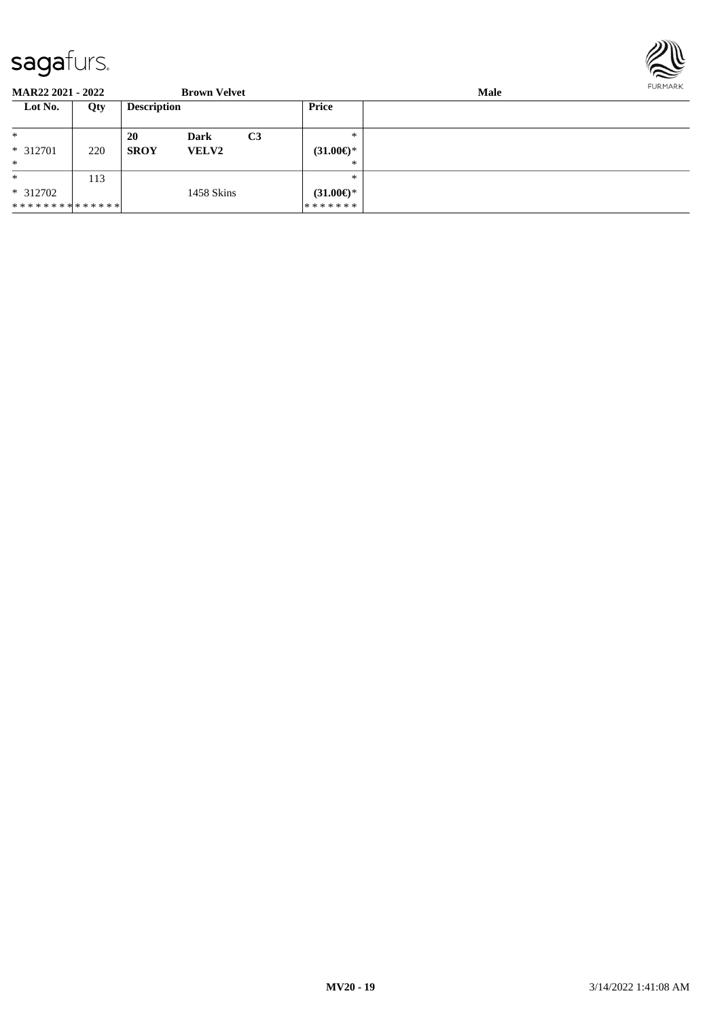

**MAR22 2021 - 2022 Brown Velvet Male**<br> **Description Price Male Lot No. Qty Description Price** \* \* 312701 220 \* **20 Dark C3 SROY VELV2** \* \* **(31.00€)** \* \* \* 312702 \* \* \* \* \* \* \* \* \* \* \* \* \* \* 113 1458 Skins \* \* **(31.00€)**\* \* \* \* \* \* \*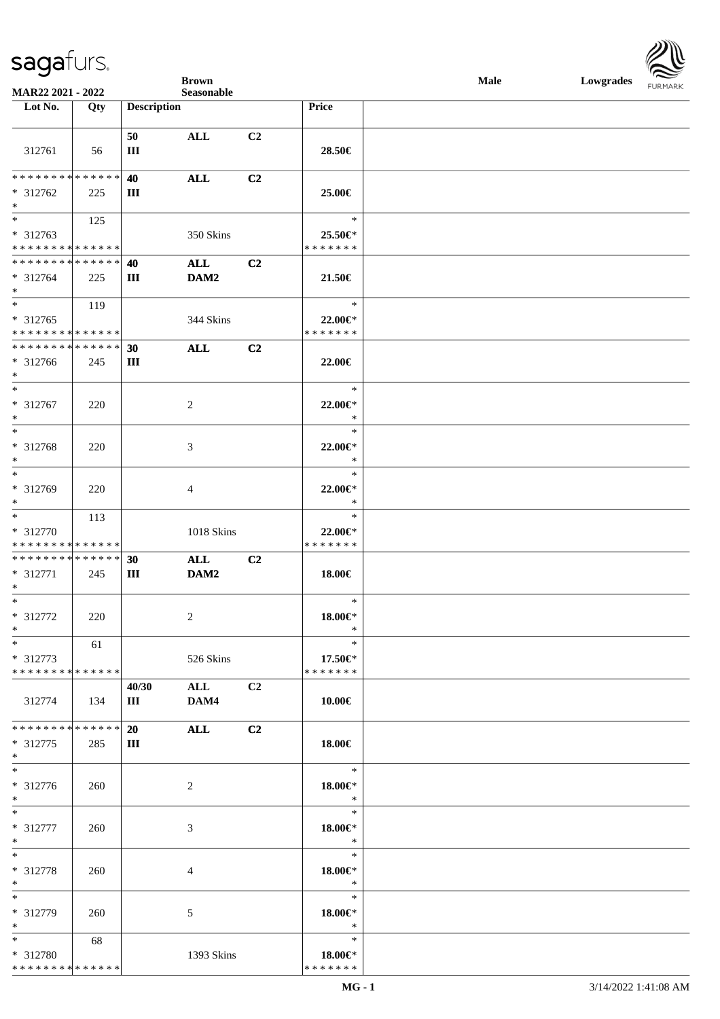

|                               |     |                    | <b>Brown</b>   |                |                   | <b>Male</b> | Lowgrades FURMARK |  |
|-------------------------------|-----|--------------------|----------------|----------------|-------------------|-------------|-------------------|--|
| MAR22 2021 - 2022<br>Lot No.  | Qty | <b>Description</b> | Seasonable     |                | Price             |             |                   |  |
|                               |     |                    |                |                |                   |             |                   |  |
|                               |     | 50                 | ALL            | C <sub>2</sub> |                   |             |                   |  |
| 312761                        | 56  | Ш                  |                |                | 28.50€            |             |                   |  |
|                               |     |                    |                |                |                   |             |                   |  |
| **************                |     | 40                 | $\mathbf{ALL}$ | C2             |                   |             |                   |  |
| $* 312762$                    | 225 | Ш                  |                |                | 25.00€            |             |                   |  |
| $*$                           |     |                    |                |                |                   |             |                   |  |
| $\overline{\phantom{a}^*}$    | 125 |                    |                |                | $\ast$            |             |                   |  |
| $* 312763$                    |     |                    | 350 Skins      |                | 25.50€*           |             |                   |  |
| **************                |     |                    |                |                | * * * * * * *     |             |                   |  |
| **************                |     | 40                 | ALL            | C2             |                   |             |                   |  |
| $* 312764$<br>$*$             | 225 | Ш                  | DAM2           |                | 21.50€            |             |                   |  |
| $\ast$                        | 119 |                    |                |                | $\ast$            |             |                   |  |
| $* 312765$                    |     |                    | 344 Skins      |                | 22.00€*           |             |                   |  |
| **************                |     |                    |                |                | * * * * * * *     |             |                   |  |
| **************                |     | 30                 | ALL            | C2             |                   |             |                   |  |
| * 312766                      | 245 | Ш                  |                |                | 22.00€            |             |                   |  |
| $\ast$                        |     |                    |                |                |                   |             |                   |  |
| $\ast$                        |     |                    |                |                | $\ast$            |             |                   |  |
| * 312767                      | 220 |                    | $\overline{c}$ |                | 22.00€*           |             |                   |  |
| $\ast$<br>$_{*}^{-}$          |     |                    |                |                | $\ast$            |             |                   |  |
|                               |     |                    |                |                | $\ast$            |             |                   |  |
| * 312768                      | 220 |                    | $\mathfrak{Z}$ |                | 22.00€*<br>$\ast$ |             |                   |  |
| $*$<br>$\ast$                 |     |                    |                |                | $\ast$            |             |                   |  |
| * 312769                      | 220 |                    | $\overline{4}$ |                | 22.00€*           |             |                   |  |
| $*$                           |     |                    |                |                | $\ast$            |             |                   |  |
| $\ast$                        | 113 |                    |                |                | $\ast$            |             |                   |  |
| * 312770                      |     |                    | 1018 Skins     |                | 22.00€*           |             |                   |  |
| **************                |     |                    |                |                | * * * * * * *     |             |                   |  |
| **************                |     | 30                 | ALL            | C <sub>2</sub> |                   |             |                   |  |
| * 312771                      | 245 | Ш                  | DAM2           |                | 18.00€            |             |                   |  |
| $*$                           |     |                    |                |                |                   |             |                   |  |
| $*$                           |     |                    |                |                | $\ast$            |             |                   |  |
| * 312772                      | 220 |                    | 2              |                | $18.00 \in$ *     |             |                   |  |
| $\ast$<br>$\ast$              |     |                    |                |                | $\ast$<br>$\ast$  |             |                   |  |
| $* 312773$                    | 61  |                    | 526 Skins      |                | $17.50 \in$       |             |                   |  |
| ******** <mark>*****</mark> * |     |                    |                |                | * * * * * * *     |             |                   |  |
|                               |     | 40/30              | $\mathbf{ALL}$ | C2             |                   |             |                   |  |
| 312774                        | 134 | Ш                  | DAM4           |                | 10.00€            |             |                   |  |
|                               |     |                    |                |                |                   |             |                   |  |
| **************                |     | 20                 | <b>ALL</b>     | C2             |                   |             |                   |  |
| $* 312775$                    | 285 | Ш                  |                |                | 18.00€            |             |                   |  |
| $\ast$                        |     |                    |                |                |                   |             |                   |  |
| $\ast$                        |     |                    |                |                | $\ast$            |             |                   |  |
| * 312776                      | 260 |                    | $\sqrt{2}$     |                | 18.00€*           |             |                   |  |
| $\ast$<br>$\ast$              |     |                    |                |                | $\ast$<br>$\ast$  |             |                   |  |
| * 312777                      |     |                    |                |                |                   |             |                   |  |
| $\ast$                        | 260 |                    | 3              |                | 18.00€*<br>$\ast$ |             |                   |  |
| $\ast$                        |     |                    |                |                | $\ast$            |             |                   |  |
| * 312778                      | 260 |                    | $\overline{4}$ |                | 18.00€*           |             |                   |  |
| $\ast$                        |     |                    |                |                | $\ast$            |             |                   |  |
| $\ast$                        |     |                    |                |                | $\ast$            |             |                   |  |
| * 312779                      | 260 |                    | 5              |                | 18.00€*           |             |                   |  |
| $\ast$                        |     |                    |                |                | $\ast$            |             |                   |  |
| $*$                           | 68  |                    |                |                | $\ast$            |             |                   |  |
| * 312780                      |     |                    | 1393 Skins     |                | 18.00€*           |             |                   |  |
| * * * * * * * * * * * * * *   |     |                    |                |                | * * * * * * *     |             |                   |  |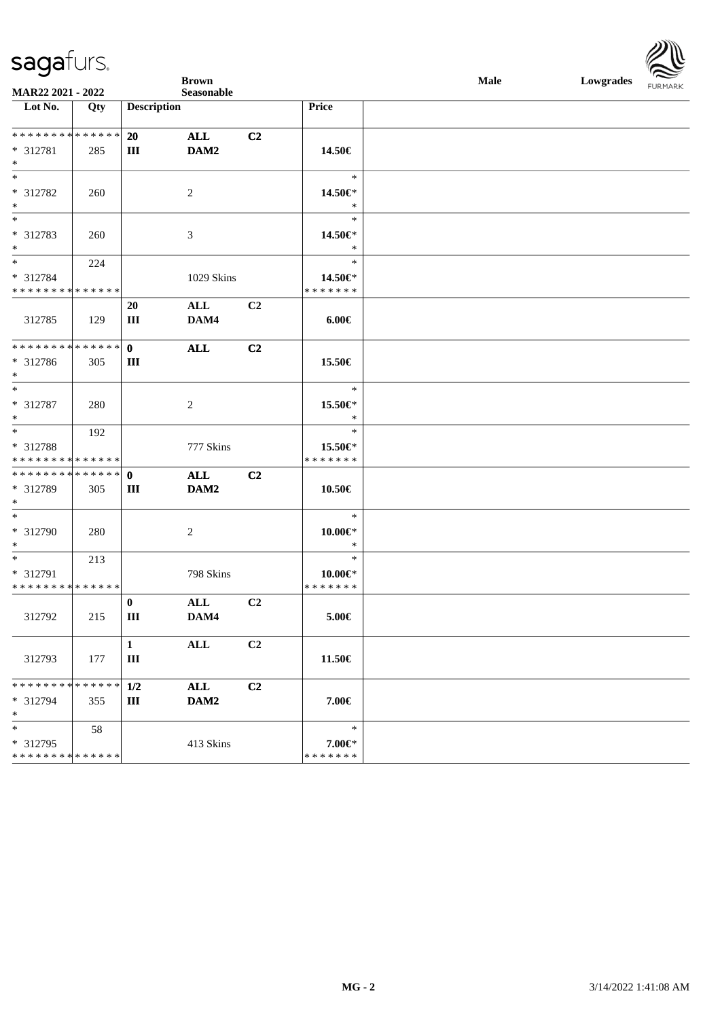

|                                            |             |                    | <b>Brown</b>   |                |                  | Male | Lowgrades FURMARK |  |
|--------------------------------------------|-------------|--------------------|----------------|----------------|------------------|------|-------------------|--|
| MAR22 2021 - 2022<br>Lot No.               | Qty         | <b>Description</b> | Seasonable     |                | Price            |      |                   |  |
|                                            |             |                    |                |                |                  |      |                   |  |
|                                            |             | 20                 | ALL            | C <sub>2</sub> |                  |      |                   |  |
| * 312781                                   | 285         | Ш                  | DAM2           |                | 14.50€           |      |                   |  |
| $*$                                        |             |                    |                |                |                  |      |                   |  |
|                                            |             |                    |                |                | $\ast$           |      |                   |  |
| * 312782                                   | 260         |                    | 2              |                | 14.50€*          |      |                   |  |
| $*$                                        |             |                    |                |                | $\ast$           |      |                   |  |
| $*$                                        |             |                    |                |                | $\ast$           |      |                   |  |
| * 312783                                   | 260         |                    | 3              |                | 14.50€*          |      |                   |  |
| $*$                                        |             |                    |                |                | $\ast$           |      |                   |  |
| $*$                                        | 224         |                    |                |                | $\ast$           |      |                   |  |
| * 312784                                   |             |                    | 1029 Skins     |                | 14.50€*          |      |                   |  |
| * * * * * * * * <mark>* * * * * * *</mark> |             |                    |                |                | * * * * * * *    |      |                   |  |
|                                            |             | 20                 | ALL            | C <sub>2</sub> |                  |      |                   |  |
| 312785                                     | 129         | Ш                  | DAM4           |                | $6.00 \in$       |      |                   |  |
| * * * * * * * * <mark>* * * * * * *</mark> |             | $\mathbf{0}$       |                |                |                  |      |                   |  |
| * 312786                                   | 305         | $\rm III$          | <b>ALL</b>     | C <sub>2</sub> | 15.50€           |      |                   |  |
| $*$                                        |             |                    |                |                |                  |      |                   |  |
| $*$                                        |             |                    |                |                | $\ast$           |      |                   |  |
| * 312787                                   | 280         |                    | 2              |                | 15.50€*          |      |                   |  |
| $*$                                        |             |                    |                |                | $\ast$           |      |                   |  |
|                                            | 192         |                    |                |                | $\ast$           |      |                   |  |
| * 312788                                   |             |                    | 777 Skins      |                | 15.50€*          |      |                   |  |
| * * * * * * * * <mark>* * * * * *</mark>   |             |                    |                |                | * * * * * * *    |      |                   |  |
|                                            |             |                    | ALL            | C <sub>2</sub> |                  |      |                   |  |
| * 312789                                   | 305         | Ш                  | DAM2           |                | 10.50€           |      |                   |  |
| $*$                                        |             |                    |                |                |                  |      |                   |  |
| $*$                                        |             |                    |                |                | $\ast$           |      |                   |  |
| * 312790                                   | 280         |                    | 2              |                | 10.00€*          |      |                   |  |
| $*$                                        |             |                    |                |                | $\ast$<br>$\ast$ |      |                   |  |
| $*$ $-$<br>* 312791                        | 213         |                    |                |                | $10.00 \in$ *    |      |                   |  |
| * * * * * * * * * * * * * * *              |             |                    | 798 Skins      |                | * * * * * * *    |      |                   |  |
|                                            |             | $\bf{0}$           | ALL            | C2             |                  |      |                   |  |
| 312792                                     | 215         | Ш                  | DAM4           |                | $5.00 \in$       |      |                   |  |
|                                            |             |                    |                |                |                  |      |                   |  |
|                                            |             | $\mathbf{1}$       | $\mathbf{ALL}$ | C <sub>2</sub> |                  |      |                   |  |
| 312793                                     | 177         | $\rm III$          |                |                | 11.50€           |      |                   |  |
|                                            |             |                    |                |                |                  |      |                   |  |
| * * * * * * * *                            | * * * * * * | 1/2                | ALL            | C <sub>2</sub> |                  |      |                   |  |
| * 312794                                   | 355         | Ш                  | DAM2           |                | 7.00€            |      |                   |  |
| $\ast$                                     |             |                    |                |                |                  |      |                   |  |
| $*$                                        | 58          |                    |                |                | $\ast$           |      |                   |  |
| * 312795                                   |             |                    | 413 Skins      |                | 7.00€*           |      |                   |  |
| * * * * * * * * * * * * * *                |             |                    |                |                | * * * * * * *    |      |                   |  |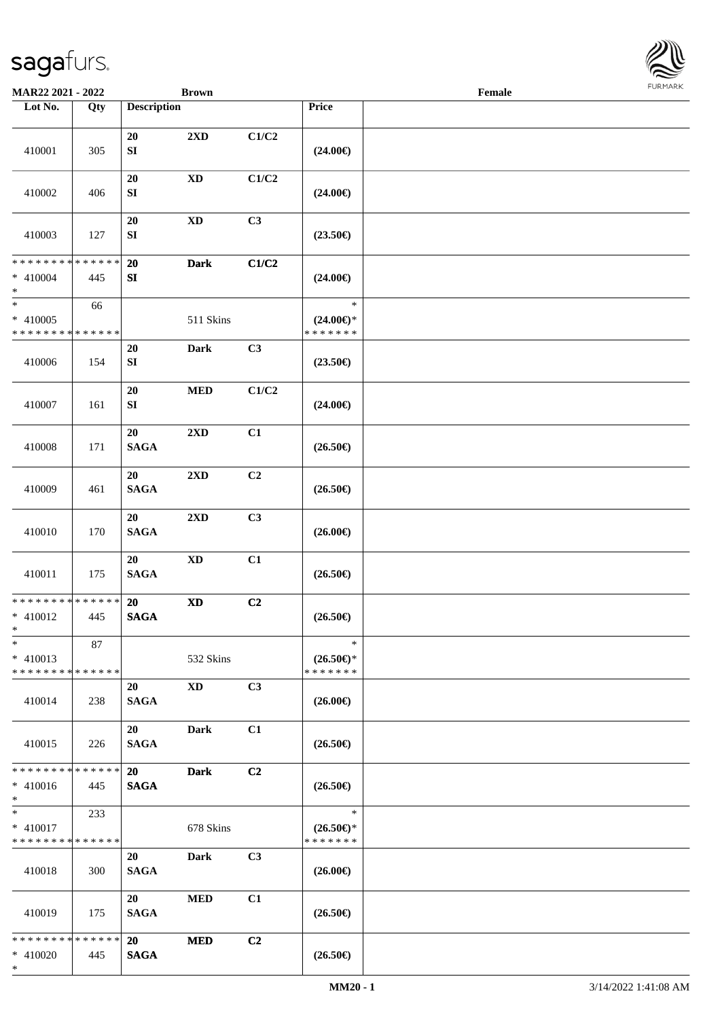

| MAR22 2021 - 2022                                   |     |                          | <b>Brown</b>               |                |                                                | Female |  |
|-----------------------------------------------------|-----|--------------------------|----------------------------|----------------|------------------------------------------------|--------|--|
| Lot No.                                             | Qty | <b>Description</b>       |                            |                | Price                                          |        |  |
| 410001                                              | 305 | 20<br>${\bf S}{\bf I}$   | $2\mathbf{X}\mathbf{D}$    | C1/C2          | $(24.00\epsilon)$                              |        |  |
| 410002                                              | 406 | 20<br>SI                 | $\mathbf{X}\mathbf{D}$     | C1/C2          | $(24.00\epsilon)$                              |        |  |
| 410003                                              | 127 | $20\,$<br>${\bf SI}$     | $\boldsymbol{\mathrm{XD}}$ | C3             | $(23.50\epsilon)$                              |        |  |
| * * * * * * * * * * * * * *<br>$* 410004$<br>$\ast$ | 445 | 20<br>${\bf SI}$         | <b>Dark</b>                | C1/C2          | $(24.00\epsilon)$                              |        |  |
| $\ast$<br>$* 410005$<br>* * * * * * * * * * * * * * | 66  |                          | 511 Skins                  |                | $\ast$<br>$(24.00\epsilon)$ *<br>* * * * * * * |        |  |
| 410006                                              | 154 | 20<br>SI                 | <b>Dark</b>                | C3             | $(23.50\epsilon)$                              |        |  |
| 410007                                              | 161 | 20<br>${\bf S}{\bf I}$   | $\bf MED$                  | C1/C2          | $(24.00\epsilon)$                              |        |  |
| 410008                                              | 171 | 20<br><b>SAGA</b>        | $2\mathbf{X}\mathbf{D}$    | C1             | $(26.50\epsilon)$                              |        |  |
| 410009                                              | 461 | 20<br><b>SAGA</b>        | $2{\bf X}{\bf D}$          | C <sub>2</sub> | $(26.50\epsilon)$                              |        |  |
| 410010                                              | 170 | 20<br>$\mathbf{SAGA}$    | $2\mathbf{X}\mathbf{D}$    | C3             | $(26.00\epsilon)$                              |        |  |
| 410011                                              | 175 | 20<br><b>SAGA</b>        | $\boldsymbol{\mathrm{XD}}$ | C1             | $(26.50\epsilon)$                              |        |  |
| * * * * * * * * * * * * * *<br>$* 410012$<br>$*$    | 445 | 20<br><b>SAGA</b>        | $\boldsymbol{\mathrm{XD}}$ | C <sub>2</sub> | $(26.50\epsilon)$                              |        |  |
| $\ast$<br>$* 410013$<br>* * * * * * * * * * * * * * | 87  |                          | 532 Skins                  |                | $\ast$<br>$(26.50\epsilon)$ *<br>* * * * * * * |        |  |
| 410014                                              | 238 | 20<br><b>SAGA</b>        | <b>XD</b>                  | C3             | $(26.00\epsilon)$                              |        |  |
| 410015                                              | 226 | 20<br><b>SAGA</b>        | <b>Dark</b>                | C1             | $(26.50\epsilon)$                              |        |  |
| * * * * * * * * * * * * * *<br>$* 410016$<br>$*$    | 445 | <b>20</b><br><b>SAGA</b> | <b>Dark</b>                | C <sub>2</sub> | $(26.50\epsilon)$                              |        |  |
| $*$<br>$* 410017$<br>* * * * * * * * * * * * * *    | 233 |                          | 678 Skins                  |                | $\ast$<br>$(26.50\epsilon)$ *<br>* * * * * * * |        |  |
| 410018                                              | 300 | 20<br><b>SAGA</b>        | Dark                       | C3             | $(26.00\epsilon)$                              |        |  |
| 410019                                              | 175 | 20<br><b>SAGA</b>        | <b>MED</b>                 | C1             | $(26.50\epsilon)$                              |        |  |
| * * * * * * * * * * * * * *<br>$* 410020$<br>$*$    | 445 | 20<br><b>SAGA</b>        | <b>MED</b>                 | C2             | $(26.50\epsilon)$                              |        |  |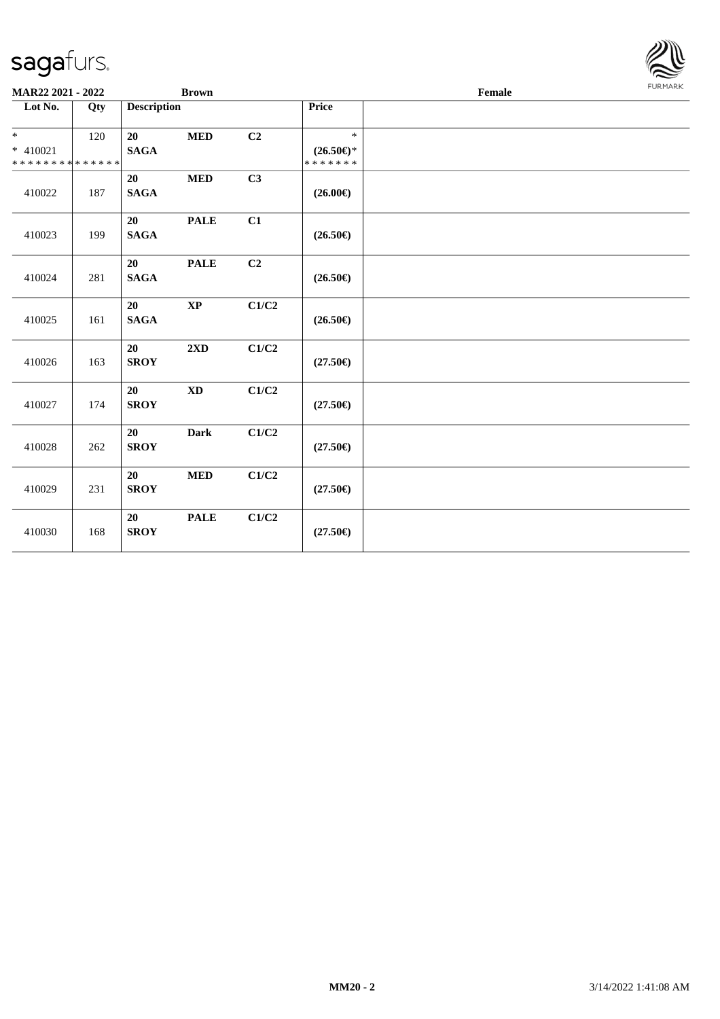

| MAR22 2021 - 2022                              |     |                    | <b>Brown</b>           |                           |                                                | Female | FURMARK |
|------------------------------------------------|-----|--------------------|------------------------|---------------------------|------------------------------------------------|--------|---------|
| Lot No.                                        | Qty | <b>Description</b> |                        |                           | Price                                          |        |         |
| $*$<br>* 410021<br>* * * * * * * * * * * * * * | 120 | 20<br><b>SAGA</b>  | $\bf MED$              | C2                        | $\ast$<br>$(26.50\epsilon)$ *<br>* * * * * * * |        |         |
| 410022                                         | 187 | 20<br><b>SAGA</b>  | $\bf MED$              | C3                        | $(26.00\epsilon)$                              |        |         |
| 410023                                         | 199 | 20<br><b>SAGA</b>  | <b>PALE</b>            | C1                        | $(26.50\epsilon)$                              |        |         |
| 410024                                         | 281 | 20<br><b>SAGA</b>  | <b>PALE</b>            | C2                        | $(26.50\epsilon)$                              |        |         |
| 410025                                         | 161 | 20<br><b>SAGA</b>  | $\bold{XP}$            | C1/C2                     | $(26.50\epsilon)$                              |        |         |
| 410026                                         | 163 | 20<br><b>SROY</b>  | $2{\bf X}{\bf D}$      | C1/C2                     | $(27.50\epsilon)$                              |        |         |
| 410027                                         | 174 | 20<br><b>SROY</b>  | $\mathbf{X}\mathbf{D}$ | C1/C2                     | $(27.50\epsilon)$                              |        |         |
| 410028                                         | 262 | 20<br><b>SROY</b>  | <b>Dark</b>            | $\mathbf{C1}/\mathbf{C2}$ | $(27.50\epsilon)$                              |        |         |
| 410029                                         | 231 | 20<br><b>SROY</b>  | <b>MED</b>             | C1/C2                     | $(27.50\epsilon)$                              |        |         |
| 410030                                         | 168 | 20<br><b>SROY</b>  | <b>PALE</b>            | C1/C2                     | $(27.50\epsilon)$                              |        |         |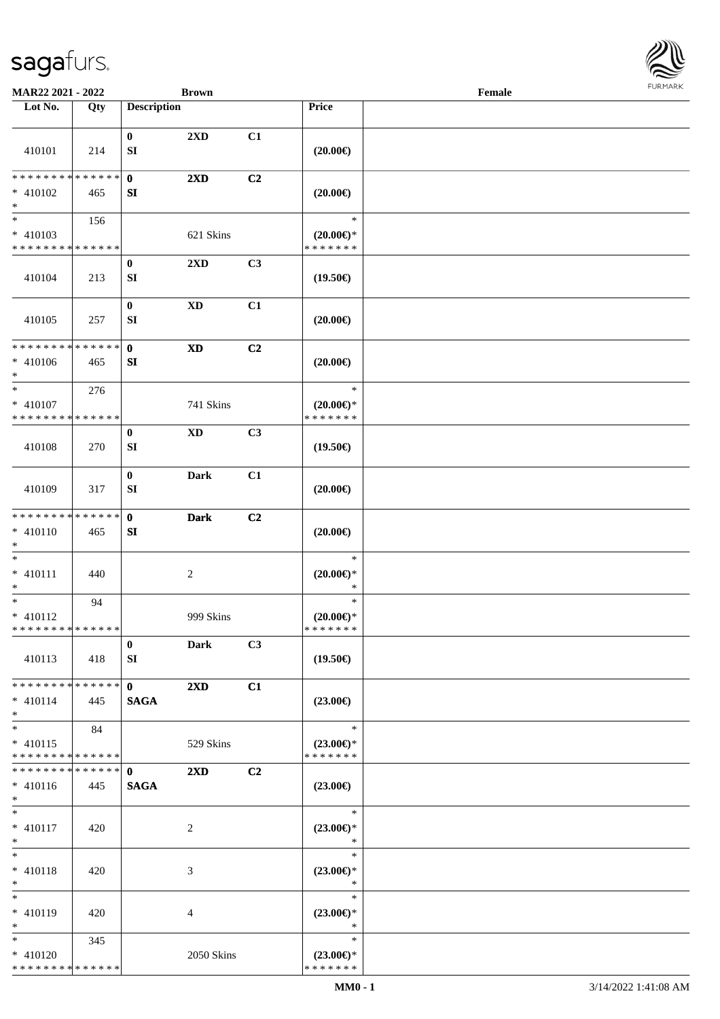

| MAR22 2021 - 2022             |     |                    | <b>Brown</b>               |                |                                         | Female |  |
|-------------------------------|-----|--------------------|----------------------------|----------------|-----------------------------------------|--------|--|
| Lot No.                       | Qty | <b>Description</b> |                            |                | Price                                   |        |  |
|                               |     |                    |                            |                |                                         |        |  |
|                               |     | $\bf{0}$           | 2XD                        | C1             |                                         |        |  |
| 410101                        | 214 | SI                 |                            |                | $(20.00\epsilon)$                       |        |  |
| * * * * * * * * * * * * * *   |     | $\mathbf{0}$       | $2\mathbf{X}\mathbf{D}$    | C2             |                                         |        |  |
| $* 410102$                    | 465 | SI                 |                            |                | $(20.00\epsilon)$                       |        |  |
| $\ast$                        |     |                    |                            |                |                                         |        |  |
| $\overline{\ast}$             | 156 |                    |                            |                | $\ast$                                  |        |  |
| $* 410103$                    |     |                    | 621 Skins                  |                | $(20.00\varepsilon)$ *                  |        |  |
| * * * * * * * * * * * * * *   |     |                    |                            |                | * * * * * * *                           |        |  |
|                               |     | $\bf{0}$           | $2\mathbf{X}\mathbf{D}$    | C3             |                                         |        |  |
| 410104                        | 213 | SI                 |                            |                | $(19.50\epsilon)$                       |        |  |
|                               |     | $\bf{0}$           | $\mathbf{X}\mathbf{D}$     | C1             |                                         |        |  |
| 410105                        | 257 | SI                 |                            |                | $(20.00\epsilon)$                       |        |  |
|                               |     |                    |                            |                |                                         |        |  |
| * * * * * * * * * * * * * *   |     | $\mathbf 0$        | $\boldsymbol{\mathrm{XD}}$ | C <sub>2</sub> |                                         |        |  |
| $* 410106$                    | 465 | SI                 |                            |                | $(20.00\in)$                            |        |  |
| $\ast$<br>$\ast$              |     |                    |                            |                | $\ast$                                  |        |  |
| $* 410107$                    | 276 |                    | 741 Skins                  |                |                                         |        |  |
| * * * * * * * * * * * * * *   |     |                    |                            |                | $(20.00\varepsilon)$ *<br>* * * * * * * |        |  |
|                               |     | $\bf{0}$           | XD                         | C3             |                                         |        |  |
| 410108                        | 270 | SI                 |                            |                | $(19.50\epsilon)$                       |        |  |
|                               |     |                    |                            |                |                                         |        |  |
|                               |     | $\pmb{0}$          | <b>Dark</b>                | C1             |                                         |        |  |
| 410109                        | 317 | SI                 |                            |                | $(20.00\epsilon)$                       |        |  |
| * * * * * * * * * * * * * *   |     | $\mathbf{0}$       | <b>Dark</b>                | C <sub>2</sub> |                                         |        |  |
| $* 410110$                    | 465 | SI                 |                            |                | $(20.00\epsilon)$                       |        |  |
| $*$                           |     |                    |                            |                |                                         |        |  |
| $\ast$                        |     |                    |                            |                | $\ast$                                  |        |  |
| * $410111$                    | 440 |                    | $\boldsymbol{2}$           |                | $(20.00\epsilon)$ *                     |        |  |
| $\ast$                        |     |                    |                            |                | $\ast$                                  |        |  |
| $\ast$<br>$* 410112$          | 94  |                    | 999 Skins                  |                | $\ast$<br>$(20.00\epsilon)$ *           |        |  |
| * * * * * * * * * * * * * *   |     |                    |                            |                | * * * * * * *                           |        |  |
|                               |     | $\mathbf{0}$       | <b>Dark</b>                | C3             |                                         |        |  |
| 410113                        | 418 | SI                 |                            |                | $(19.50\epsilon)$                       |        |  |
|                               |     |                    |                            |                |                                         |        |  |
| * * * * * * * * * * * * * * * |     | $\mathbf{0}$       | $2\mathbf{X}\mathbf{D}$    | C1             |                                         |        |  |
| $* 410114$<br>$*$             | 445 | <b>SAGA</b>        |                            |                | $(23.00\epsilon)$                       |        |  |
| $*$                           | 84  |                    |                            |                | $\ast$                                  |        |  |
| $* 410115$                    |     |                    | 529 Skins                  |                | $(23.00\epsilon)$ *                     |        |  |
| * * * * * * * * * * * * * *   |     |                    |                            |                | * * * * * * *                           |        |  |
| * * * * * * * * * * * * * * * |     | $\mathbf{0}$       | $2\mathbf{X}\mathbf{D}$    | C <sub>2</sub> |                                         |        |  |
| $* 410116$                    | 445 | <b>SAGA</b>        |                            |                | $(23.00\epsilon)$                       |        |  |
| $*$                           |     |                    |                            |                |                                         |        |  |
| $*$<br>$* 410117$             | 420 |                    |                            |                | $\ast$<br>$(23.00\epsilon)$ *           |        |  |
| $*$                           |     |                    | 2                          |                | $\ast$                                  |        |  |
| $*$                           |     |                    |                            |                | $\ast$                                  |        |  |
| $* 410118$                    | 420 |                    | 3                          |                | $(23.00\epsilon)$ *                     |        |  |
| $*$                           |     |                    |                            |                | $\ast$                                  |        |  |
| $*$                           |     |                    |                            |                | $\ast$                                  |        |  |
| * 410119                      | 420 |                    | $\overline{4}$             |                | $(23.00\epsilon)$ *                     |        |  |
| $*$<br>$*$                    |     |                    |                            |                | $\ast$<br>$\ast$                        |        |  |
| * 410120                      | 345 |                    | 2050 Skins                 |                | $(23.00\epsilon)$ *                     |        |  |
| * * * * * * * * * * * * * *   |     |                    |                            |                | * * * * * * *                           |        |  |
|                               |     |                    |                            |                |                                         |        |  |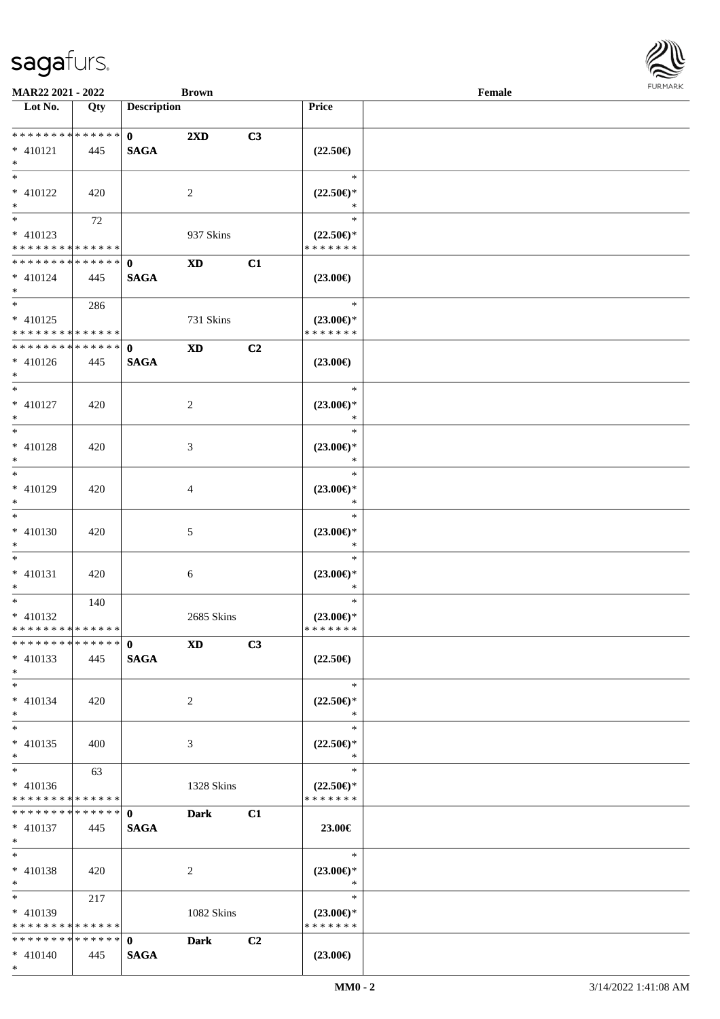

| MAR22 2021 - 2022                           |     |                    | <b>Brown</b>            |                |                                      | Female |  |
|---------------------------------------------|-----|--------------------|-------------------------|----------------|--------------------------------------|--------|--|
| Lot No.                                     | Qty | <b>Description</b> |                         |                | Price                                |        |  |
|                                             |     |                    |                         |                |                                      |        |  |
| ******** <mark>******</mark>                |     | $\mathbf{0}$       | $2\mathbf{X}\mathbf{D}$ | C3             |                                      |        |  |
| $* 410121$<br>$*$                           | 445 | <b>SAGA</b>        |                         |                | $(22.50\epsilon)$                    |        |  |
|                                             |     |                    |                         |                | $\ast$                               |        |  |
| $* 410122$                                  |     |                    |                         |                | $(22.50\epsilon)$ *                  |        |  |
| $*$                                         | 420 |                    | 2                       |                | *                                    |        |  |
|                                             | 72  |                    |                         |                | $\ast$                               |        |  |
| * 410123                                    |     |                    | 937 Skins               |                | $(22.50\epsilon)$ *                  |        |  |
| * * * * * * * * * * * * * *                 |     |                    |                         |                | * * * * * * *                        |        |  |
| ******** <mark>******</mark>                |     | $\mathbf{0}$       | $\mathbf{X}\mathbf{D}$  | C1             |                                      |        |  |
| * 410124                                    | 445 | <b>SAGA</b>        |                         |                | $(23.00\epsilon)$                    |        |  |
| $*$                                         |     |                    |                         |                |                                      |        |  |
| $*$                                         | 286 |                    |                         |                | $\ast$                               |        |  |
| $* 410125$                                  |     |                    | 731 Skins               |                | $(23.00\epsilon)$ *                  |        |  |
| * * * * * * * * * * * * * * *               |     |                    |                         |                | * * * * * * *                        |        |  |
| * * * * * * * * * * * * * * *               |     | $\mathbf{0}$       | <b>XD</b>               | C2             |                                      |        |  |
| $* 410126$                                  | 445 | <b>SAGA</b>        |                         |                | $(23.00\epsilon)$                    |        |  |
| $*$                                         |     |                    |                         |                |                                      |        |  |
| $*$                                         |     |                    |                         |                | $\ast$                               |        |  |
| $* 410127$                                  | 420 |                    | 2                       |                | $(23.00\epsilon)$ *                  |        |  |
| $*$                                         |     |                    |                         |                | $\ast$                               |        |  |
| $*$                                         |     |                    |                         |                | $\ast$                               |        |  |
| $* 410128$                                  | 420 |                    | 3                       |                | $(23.00\epsilon)$ *                  |        |  |
| $*$                                         |     |                    |                         |                | $\ast$                               |        |  |
| $*$                                         |     |                    |                         |                | $\ast$                               |        |  |
| * 410129                                    | 420 |                    | 4                       |                | $(23.00\epsilon)$ *                  |        |  |
| $*$                                         |     |                    |                         |                | $\ast$                               |        |  |
| $\overline{\ast}$                           |     |                    |                         |                | $\ast$                               |        |  |
| $* 410130$                                  | 420 |                    | 5                       |                | $(23.00\epsilon)$ *                  |        |  |
| $*$                                         |     |                    |                         |                | $\ast$                               |        |  |
| $*$                                         |     |                    |                         |                | $\ast$                               |        |  |
| $* 410131$                                  | 420 |                    | 6                       |                | $(23.00\epsilon)$ *                  |        |  |
| $*$<br>$*$                                  |     |                    |                         |                | $\ast$<br>$\ast$                     |        |  |
|                                             | 140 |                    |                         |                |                                      |        |  |
| $* 410132$<br>* * * * * * * * * * * * * * * |     |                    | 2685 Skins              |                | $(23.00\epsilon)$ *<br>* * * * * * * |        |  |
| * * * * * * * * * * * * * * *               |     | $\mathbf{0}$       | <b>XD</b>               | C3             |                                      |        |  |
| $* 410133$                                  | 445 | <b>SAGA</b>        |                         |                | $(22.50\epsilon)$                    |        |  |
| $*$                                         |     |                    |                         |                |                                      |        |  |
| $*$                                         |     |                    |                         |                | $\ast$                               |        |  |
| $* 410134$                                  | 420 |                    | 2                       |                | $(22.50\epsilon)$ *                  |        |  |
| $*$                                         |     |                    |                         |                | ∗                                    |        |  |
| $*$                                         |     |                    |                         |                | $\ast$                               |        |  |
| $* 410135$                                  | 400 |                    | 3                       |                | $(22.50 \in )^*$                     |        |  |
| $*$                                         |     |                    |                         |                | $\ast$                               |        |  |
| $*$                                         | 63  |                    |                         |                | $\ast$                               |        |  |
| $* 410136$                                  |     |                    | 1328 Skins              |                | $(22.50\epsilon)$ *                  |        |  |
| * * * * * * * * * * * * * *                 |     |                    |                         |                | * * * * * * *                        |        |  |
| * * * * * * * * * * * * * * *               |     | $\mathbf{0}$       | <b>Dark</b>             | C1             |                                      |        |  |
| * 410137                                    | 445 | <b>SAGA</b>        |                         |                | 23.00€                               |        |  |
| $*$ $*$                                     |     |                    |                         |                |                                      |        |  |
| $*$                                         |     |                    |                         |                | $\ast$                               |        |  |
| $* 410138$                                  | 420 |                    | 2                       |                | $(23.00\epsilon)$ *                  |        |  |
| $*$                                         |     |                    |                         |                | $\ast$                               |        |  |
| $*$ and $*$                                 | 217 |                    |                         |                | $\ast$                               |        |  |
| $* 410139$                                  |     |                    | 1082 Skins              |                | $(23.00\epsilon)$ *                  |        |  |
| * * * * * * * * * * * * * * *               |     |                    |                         |                | * * * * * * *                        |        |  |
| * * * * * * * * * * * * * * *               |     | $\mathbf{0}$       | <b>Dark</b>             | C <sub>2</sub> |                                      |        |  |
| $* 410140$<br>$*$                           | 445 | <b>SAGA</b>        |                         |                | $(23.00\epsilon)$                    |        |  |
|                                             |     |                    |                         |                |                                      |        |  |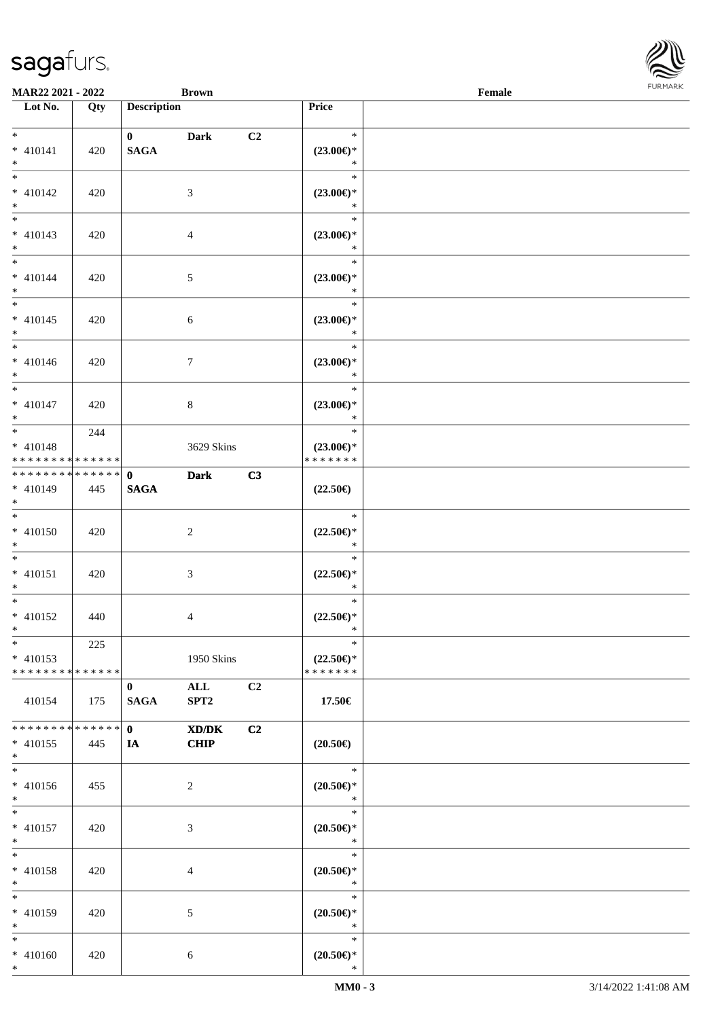

| <b>MAR22 2021 - 2022</b>                   |             |                             | <b>Brown</b>     |                |                                      | Female |  |
|--------------------------------------------|-------------|-----------------------------|------------------|----------------|--------------------------------------|--------|--|
| Lot No.                                    | Qty         | <b>Description</b>          |                  |                | Price                                |        |  |
| $*$                                        |             |                             |                  |                | $\ast$                               |        |  |
| $* 410141$                                 | 420         | $\mathbf{0}$<br><b>SAGA</b> | <b>Dark</b>      | C <sub>2</sub> | $(23.00\epsilon)$ *                  |        |  |
| $*$                                        |             |                             |                  |                | $\ast$                               |        |  |
|                                            |             |                             |                  |                | $\ast$                               |        |  |
| $* 410142$                                 | 420         |                             | 3                |                | $(23.00\epsilon)$ *                  |        |  |
| $*$                                        |             |                             |                  |                | $\ast$                               |        |  |
|                                            |             |                             |                  |                | $\ast$                               |        |  |
| $* 410143$                                 | 420         |                             | $\overline{4}$   |                | $(23.00\epsilon)$ *                  |        |  |
| $*$                                        |             |                             |                  |                | $\ast$                               |        |  |
| $\overline{\ast}$                          |             |                             |                  |                | $\ast$                               |        |  |
| * 410144                                   | 420         |                             | $\mathfrak{S}$   |                | $(23.00\epsilon)$ *                  |        |  |
| $*$                                        |             |                             |                  |                | $\ast$<br>$\ast$                     |        |  |
|                                            |             |                             |                  |                |                                      |        |  |
| $* 410145$<br>$*$                          | 420         |                             | 6                |                | $(23.00\epsilon)$ *<br>$\ast$        |        |  |
|                                            |             |                             |                  |                | $\ast$                               |        |  |
| $* 410146$                                 | 420         |                             | $\tau$           |                | $(23.00\epsilon)$ *                  |        |  |
| $*$                                        |             |                             |                  |                | $\ast$                               |        |  |
|                                            |             |                             |                  |                | $\ast$                               |        |  |
| $* 410147$                                 | 420         |                             | 8                |                | $(23.00\epsilon)$ *                  |        |  |
| $*$                                        |             |                             |                  |                | $\ast$                               |        |  |
|                                            | 244         |                             |                  |                | $\ast$                               |        |  |
| $* 410148$                                 |             |                             | 3629 Skins       |                | $(23.00\epsilon)$ *                  |        |  |
| * * * * * * * * * * * * * *                |             |                             |                  |                | * * * * * * *                        |        |  |
| * * * * * * * * * * * * * * <mark>*</mark> |             | $\mathbf{0}$                | <b>Dark</b>      | C3             |                                      |        |  |
| * 410149<br>$*$                            | 445         | <b>SAGA</b>                 |                  |                | $(22.50\epsilon)$                    |        |  |
| $*$                                        |             |                             |                  |                | $\ast$                               |        |  |
| * 410150                                   | 420         |                             | 2                |                | $(22.50\epsilon)$ *                  |        |  |
| $*$                                        |             |                             |                  |                | $\ast$                               |        |  |
| $*$ $-$                                    |             |                             |                  |                | $\ast$                               |        |  |
| * 410151                                   | 420         |                             | 3                |                | $(22.50\epsilon)$ *                  |        |  |
| $*$                                        |             |                             |                  |                | $\ast$                               |        |  |
| $*$ $-$                                    |             |                             |                  |                | $\ast$                               |        |  |
| * 410152                                   | 440         |                             | $\overline{4}$   |                | $(22.50\epsilon)$ *                  |        |  |
| $*$ $*$                                    |             |                             |                  |                | $\ast$                               |        |  |
| $*$                                        | 225         |                             |                  |                | $\ast$                               |        |  |
| $* 410153$<br>******** <mark>******</mark> |             |                             | 1950 Skins       |                | $(22.50\epsilon)$ *<br>* * * * * * * |        |  |
|                                            |             | $\mathbf{0}$                | $\mathbf{ALL}$   | C <sub>2</sub> |                                      |        |  |
| 410154                                     | 175         | <b>SAGA</b>                 | SPT <sub>2</sub> |                | 17.50€                               |        |  |
|                                            |             |                             |                  |                |                                      |        |  |
| * * * * * * * *                            | * * * * * * | $\mathbf{0}$                | XD/DK            | C <sub>2</sub> |                                      |        |  |
| * 410155                                   | 445         | <b>IA</b>                   | <b>CHIP</b>      |                | $(20.50\epsilon)$                    |        |  |
| $*$                                        |             |                             |                  |                |                                      |        |  |
| $\ast$                                     |             |                             |                  |                | $\ast$                               |        |  |
| * 410156                                   | 455         |                             | 2                |                | $(20.50\epsilon)$ *                  |        |  |
| $*$                                        |             |                             |                  |                | $\ast$                               |        |  |
| $*$ $-$                                    |             |                             |                  |                | $\ast$                               |        |  |
| * 410157<br>$*$                            | 420         |                             | 3                |                | $(20.50\epsilon)$ *<br>$\ast$        |        |  |
| $*$                                        |             |                             |                  |                | $\ast$                               |        |  |
| * 410158                                   | 420         |                             | $\overline{4}$   |                | $(20.50\epsilon)$ *                  |        |  |
| $*$                                        |             |                             |                  |                | $\ast$                               |        |  |
| $*$                                        |             |                             |                  |                | $\ast$                               |        |  |
| * 410159                                   | 420         |                             | 5                |                | $(20.50\epsilon)$ *                  |        |  |
| $*$                                        |             |                             |                  |                | $\ast$                               |        |  |
| $*$                                        |             |                             |                  |                | $\ast$                               |        |  |
| $* 410160$                                 | 420         |                             | 6                |                | $(20.50\epsilon)$ *                  |        |  |
| $*$                                        |             |                             |                  |                | $\ast$                               |        |  |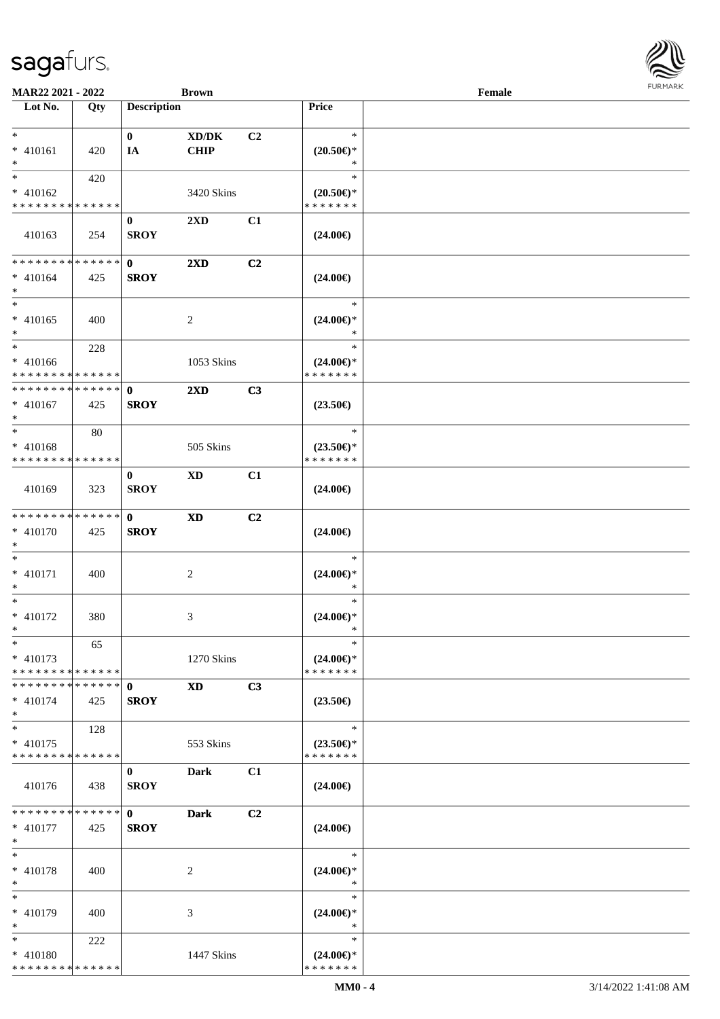| MAR22 2021 - 2022                                                     |     |                             | <b>Brown</b>                                       |    |                                                | Female | <b>FURMAR</b> |
|-----------------------------------------------------------------------|-----|-----------------------------|----------------------------------------------------|----|------------------------------------------------|--------|---------------|
| Lot No.                                                               | Qty | <b>Description</b>          |                                                    |    | <b>Price</b>                                   |        |               |
| $\ast$<br>$* 410161$<br>$\ast$                                        | 420 | $\bf{0}$<br>IA              | $\bold{X}\bold{D}/\bold{D}\bold{K}$<br><b>CHIP</b> | C2 | $\ast$<br>$(20.50\epsilon)$ *<br>$\ast$        |        |               |
| $\ast$<br>$* 410162$<br>* * * * * * * * * * * * * *                   | 420 |                             | 3420 Skins                                         |    | $\ast$<br>$(20.50\epsilon)$ *<br>* * * * * * * |        |               |
| 410163                                                                | 254 | $\bf{0}$<br><b>SROY</b>     | 2XD                                                | C1 | $(24.00\epsilon)$                              |        |               |
| **************<br>$* 410164$<br>$\ast$<br>$\ast$                      | 425 | $\mathbf{0}$<br><b>SROY</b> | $2\mathbf{X}\mathbf{D}$                            | C2 | $(24.00\epsilon)$<br>$\ast$                    |        |               |
| $* 410165$<br>$\ast$                                                  | 400 |                             | $\boldsymbol{2}$                                   |    | $(24.00\epsilon)$ *<br>$\ast$                  |        |               |
| $\ast$<br>$* 410166$<br>**************                                | 228 |                             | 1053 Skins                                         |    | $\ast$<br>$(24.00\epsilon)$ *<br>* * * * * * * |        |               |
| **************<br>$* 410167$<br>$\ast$                                | 425 | $\mathbf 0$<br><b>SROY</b>  | $2\mathbf{X}\mathbf{D}$                            | C3 | $(23.50\epsilon)$                              |        |               |
| $\overline{\phantom{1}}$<br>$* 410168$<br>* * * * * * * * * * * * * * | 80  |                             | 505 Skins                                          |    | $\ast$<br>$(23.50\epsilon)$ *<br>* * * * * * * |        |               |
| 410169                                                                | 323 | $\bf{0}$<br><b>SROY</b>     | <b>XD</b>                                          | C1 | $(24.00\epsilon)$                              |        |               |
| ******** <mark>******</mark><br>$* 410170$<br>*                       | 425 | $\mathbf{0}$<br><b>SROY</b> | $\mathbf{X}\mathbf{D}$                             | C2 | $(24.00\epsilon)$                              |        |               |
| $\ast$<br>$* 410171$<br>$\ast$                                        | 400 |                             | $\overline{c}$                                     |    | $\ast$<br>$(24.00\epsilon)$ *<br>$\ast$        |        |               |
| $\ast$<br>* 410172<br>$\ast$                                          | 380 |                             | 3                                                  |    | $\ast$<br>$(24.00\epsilon)$ *<br>$\ast$        |        |               |
| $\ast$<br>* 410173<br>******** <mark>*****</mark> *                   | 65  |                             | 1270 Skins                                         |    | $\ast$<br>$(24.00€)$ *<br>* * * * * * *        |        |               |
| **************<br>$* 410174$<br>$\ast$                                | 425 | $\mathbf 0$<br><b>SROY</b>  | $\mathbf{X}\mathbf{D}$                             | C3 | $(23.50\epsilon)$                              |        |               |
| $\ast$<br>$* 410175$<br>* * * * * * * * * * * * * *                   | 128 |                             | 553 Skins                                          |    | $\ast$<br>$(23.50\epsilon)$ *<br>* * * * * * * |        |               |
| 410176                                                                | 438 | $\bf{0}$<br><b>SROY</b>     | <b>Dark</b>                                        | C1 | $(24.00\epsilon)$                              |        |               |
| **************<br>$* 410177$<br>$\ast$                                | 425 | $\mathbf{0}$<br><b>SROY</b> | <b>Dark</b>                                        | C2 | $(24.00\epsilon)$                              |        |               |
| $\ast$<br>* 410178<br>$\ast$                                          | 400 |                             | $\overline{2}$                                     |    | $\ast$<br>$(24.00\epsilon)$ *<br>$\ast$        |        |               |
| $\ast$<br>* 410179<br>$\ast$                                          | 400 |                             | 3                                                  |    | $\ast$<br>$(24.00\epsilon)$ *<br>$\ast$        |        |               |
| $\ast$<br>$* 410180$<br>**************                                | 222 |                             | 1447 Skins                                         |    | $\ast$<br>$(24.00\epsilon)$ *<br>* * * * * * * |        |               |

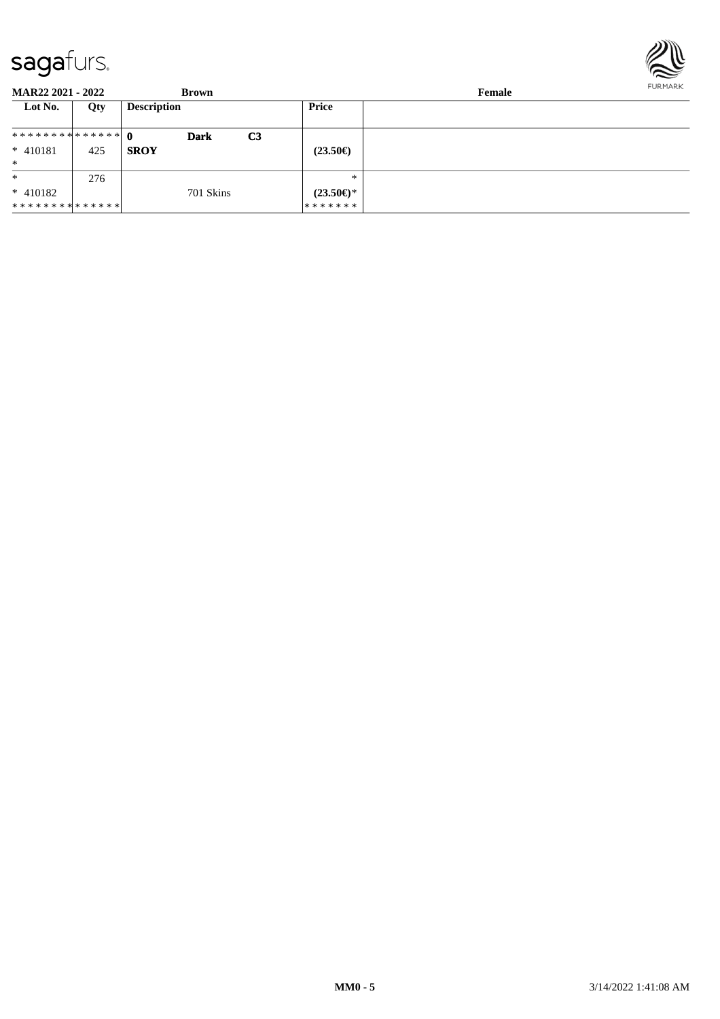

| <b>MAR22 2021 - 2022</b>      |     | <b>Brown</b>       |    |                           | Female | FURMARK |
|-------------------------------|-----|--------------------|----|---------------------------|--------|---------|
| Lot No.                       | Qty | <b>Description</b> |    | Price                     |        |         |
| ************** 0              |     | <b>Dark</b>        | C3 |                           |        |         |
| $* 410181$                    | 425 | <b>SROY</b>        |    | $(23.50\epsilon)$         |        |         |
| $\ast$                        |     |                    |    |                           |        |         |
| $\ast$                        | 276 |                    |    | $*$                       |        |         |
| $* 410182$                    |     | 701 Skins          |    | $(23.50 \in \mathcal{F})$ |        |         |
| * * * * * * * * * * * * * * * |     |                    |    | * * * * * * *             |        |         |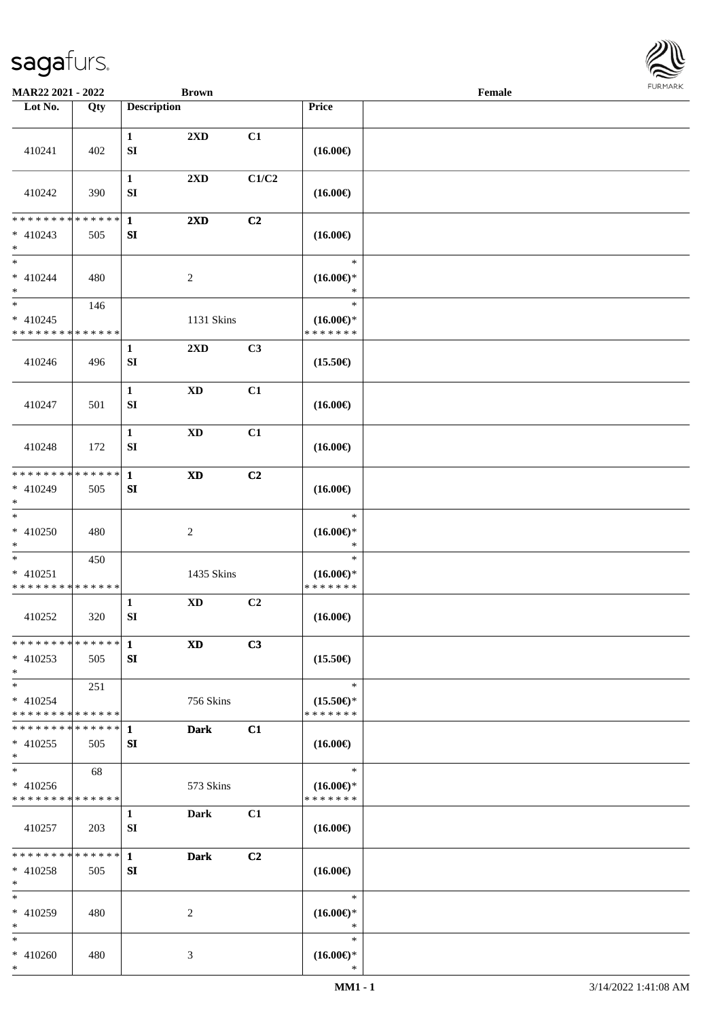

| MAR22 2021 - 2022                                   |     |                                  | <b>Brown</b>               |                |                                                | Female |  |
|-----------------------------------------------------|-----|----------------------------------|----------------------------|----------------|------------------------------------------------|--------|--|
| Lot No.                                             | Qty | <b>Description</b>               |                            |                | Price                                          |        |  |
| 410241                                              | 402 | $\mathbf{1}$<br>${\bf S}{\bf I}$ | 2XD                        | C1             | $(16.00\epsilon)$                              |        |  |
|                                                     |     | $\mathbf{1}$                     | 2XD                        | C1/C2          |                                                |        |  |
| 410242                                              | 390 | SI                               |                            |                | $(16.00\epsilon)$                              |        |  |
| * * * * * * * * * * * * * *<br>$* 410243$<br>$*$    | 505 | $\mathbf{1}$<br>${\bf SI}$       | $2\mathbf{X}\mathbf{D}$    | C2             | $(16.00\epsilon)$                              |        |  |
| $\ast$<br>$* 410244$<br>$\ast$                      | 480 | $\overline{c}$                   |                            |                | $\ast$<br>$(16.00\epsilon)$ *<br>$\ast$        |        |  |
| $\ast$<br>$* 410245$<br>* * * * * * * * * * * * * * | 146 |                                  | 1131 Skins                 |                | $\ast$<br>$(16.00\epsilon)$ *<br>* * * * * * * |        |  |
| 410246                                              | 496 | $\mathbf{1}$<br>SI               | 2XD                        | C3             | $(15.50\epsilon)$                              |        |  |
| 410247                                              | 501 | $\mathbf{1}$<br>${\bf S}{\bf I}$ | $\mathbf{X}\mathbf{D}$     | C1             | $(16.00\epsilon)$                              |        |  |
| 410248                                              | 172 | $\mathbf{1}$<br>SI               | $\mathbf{X}\mathbf{D}$     | C1             | $(16.00\epsilon)$                              |        |  |
| * * * * * * * * * * * * * *<br>* 410249<br>$*$      | 505 | $\mathbf{1}$<br>SI               | $\boldsymbol{\mathrm{XD}}$ | C <sub>2</sub> | $(16.00\epsilon)$                              |        |  |
| $\overline{\phantom{1}}$<br>$* 410250$<br>$*$       | 480 | $\boldsymbol{2}$                 |                            |                | $\ast$<br>$(16.00\epsilon)$ *<br>$\ast$        |        |  |
| $\ast$<br>$* 410251$<br>* * * * * * * * * * * * * * | 450 |                                  | 1435 Skins                 |                | $\ast$<br>$(16.00\epsilon)$ *<br>* * * * * * * |        |  |
| 410252                                              | 320 | $\mathbf{1}$<br>SI               | <b>XD</b>                  | C2             | $(16.00\epsilon)$                              |        |  |
| **************<br>$* 410253$<br>$*$                 | 505 | $\mathbf 1$<br>SI                | <b>XD</b>                  | C3             | $(15.50\epsilon)$                              |        |  |
| $*$<br>$* 410254$<br>* * * * * * * * * * * * * *    | 251 |                                  | 756 Skins                  |                | $\ast$<br>$(15.50\epsilon)$ *<br>* * * * * * * |        |  |
| * * * * * * * * * * * * * * *<br>$* 410255$<br>$*$  | 505 | 1<br>SI                          | <b>Dark</b>                | C1             | $(16.00\epsilon)$                              |        |  |
| $\ast$<br>$* 410256$<br>* * * * * * * * * * * * * * | 68  |                                  | 573 Skins                  |                | $\ast$<br>$(16.00\epsilon)$ *<br>* * * * * * * |        |  |
| 410257                                              | 203 | $\mathbf{1}$<br>SI               | Dark                       | C1             | $(16.00\epsilon)$                              |        |  |
| * * * * * * * * * * * * * *<br>$* 410258$<br>$*$    | 505 | $\mathbf{1}$<br>SI               | Dark                       | C <sub>2</sub> | $(16.00\epsilon)$                              |        |  |
| $\ast$<br>* 410259<br>$*$                           | 480 | 2                                |                            |                | $\ast$<br>$(16.00\epsilon)$ *<br>$\ast$        |        |  |
| $*$<br>$* 410260$<br>$*$                            | 480 | 3                                |                            |                | $\ast$<br>$(16.00\epsilon)$ *<br>$\ast$        |        |  |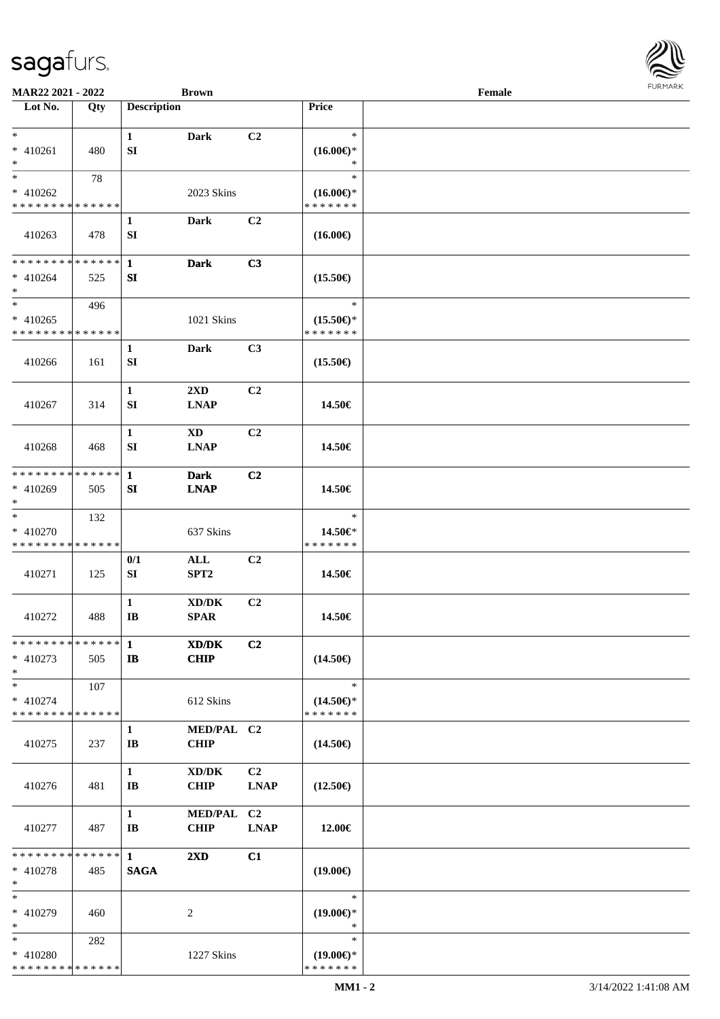| I           |
|-------------|
| URMARK<br>F |

| MAR22 2021 - 2022                                     |                      |                                        | <b>Brown</b>                                       |                   |                                                | Female | 1011111111 |
|-------------------------------------------------------|----------------------|----------------------------------------|----------------------------------------------------|-------------------|------------------------------------------------|--------|------------|
| Lot No.                                               | Qty                  | <b>Description</b>                     |                                                    |                   | Price                                          |        |            |
| $*$<br>$* 410261$<br>$*$                              | 480                  | $\mathbf{1}$<br>SI                     | <b>Dark</b>                                        | C2                | $\ast$<br>$(16.00\epsilon)$ *<br>*             |        |            |
| $\ast$<br>$* 410262$<br>* * * * * * * * * * * * * *   | 78                   |                                        | 2023 Skins                                         |                   | $\ast$<br>$(16.00\epsilon)$ *<br>* * * * * * * |        |            |
| 410263                                                | 478                  | $\mathbf{1}$<br>SI                     | Dark                                               | C2                | $(16.00\epsilon)$                              |        |            |
| * * * * * * * * * * * * * * *<br>$* 410264$<br>$*$    | 525                  | $\mathbf{1}$<br>SI                     | <b>Dark</b>                                        | C3                | $(15.50\epsilon)$                              |        |            |
| $*$<br>$* 410265$<br>* * * * * * * * * * * * * *      | 496                  |                                        | 1021 Skins                                         |                   | $\ast$<br>$(15.50\epsilon)$ *<br>* * * * * * * |        |            |
| 410266                                                | 161                  | $\mathbf{1}$<br>SI                     | <b>Dark</b>                                        | C3                | $(15.50\epsilon)$                              |        |            |
| 410267                                                | 314                  | $\mathbf{1}$<br>SI                     | 2XD<br><b>LNAP</b>                                 | C2                | 14.50€                                         |        |            |
| 410268                                                | 468                  | $\mathbf{1}$<br>SI                     | XD<br><b>LNAP</b>                                  | C2                | 14.50€                                         |        |            |
| * * * * * * * * * * * * * * *<br>$* 410269$<br>$*$    | 505                  | $\mathbf{1}$<br>SI                     | <b>Dark</b><br><b>LNAP</b>                         | C <sub>2</sub>    | 14.50€                                         |        |            |
| $*$<br>* 410270<br>* * * * * * * * * * * * * *        | 132                  |                                        | 637 Skins                                          |                   | $\ast$<br>14.50€*<br>* * * * * * *             |        |            |
| 410271                                                | 125                  | 0/1<br>SI                              | ALL<br>SPT <sub>2</sub>                            | C <sub>2</sub>    | 14.50€                                         |        |            |
| 410272                                                | 488                  | $\mathbf{1}$<br>$\mathbf{I}$ <b>B</b>  | $\bold{X}\bold{D}/\bold{D}\bold{K}$<br><b>SPAR</b> | C2                | 14.50€                                         |        |            |
| * * * * * * * * * * * * * * *<br>$* 410273$<br>$*$    | 505                  | $\mathbf{1}$<br>$\mathbf{I}$           | XD/DK<br><b>CHIP</b>                               | C2                | $(14.50\epsilon)$                              |        |            |
| $\ast$<br>$* 410274$<br>* * * * * * * * * * * * * * * | 107                  |                                        | 612 Skins                                          |                   | $\ast$<br>$(14.50\epsilon)$ *<br>* * * * * * * |        |            |
| 410275                                                | 237                  | $\mathbf{1}$<br>$\mathbf{I}\mathbf{B}$ | MED/PAL C2<br><b>CHIP</b>                          |                   | $(14.50\epsilon)$                              |        |            |
| 410276                                                | 481                  | $\mathbf{1}$<br>IB                     | XD/DK<br><b>CHIP</b>                               | C2<br><b>LNAP</b> | $(12.50\epsilon)$                              |        |            |
| 410277                                                | 487                  | $\mathbf{1}$<br>$\mathbf{I}$ <b>B</b>  | MED/PAL C2<br><b>CHIP</b>                          | <b>LNAP</b>       | 12.00€                                         |        |            |
| * * * * * * * *<br>* 410278<br>$*$                    | * * * * * *  <br>485 | $\mathbf{1}$<br><b>SAGA</b>            | $2\mathbf{X}\mathbf{D}$                            | C1                | $(19.00\epsilon)$                              |        |            |
| $*$<br>* 410279<br>$*$                                | 460                  |                                        | 2                                                  |                   | $\ast$<br>$(19.00\epsilon)$ *<br>$\ast$        |        |            |
| $*$<br>* 410280<br>* * * * * * * * * * * * * *        | 282                  |                                        | 1227 Skins                                         |                   | $\ast$<br>$(19.00\epsilon)$ *<br>* * * * * * * |        |            |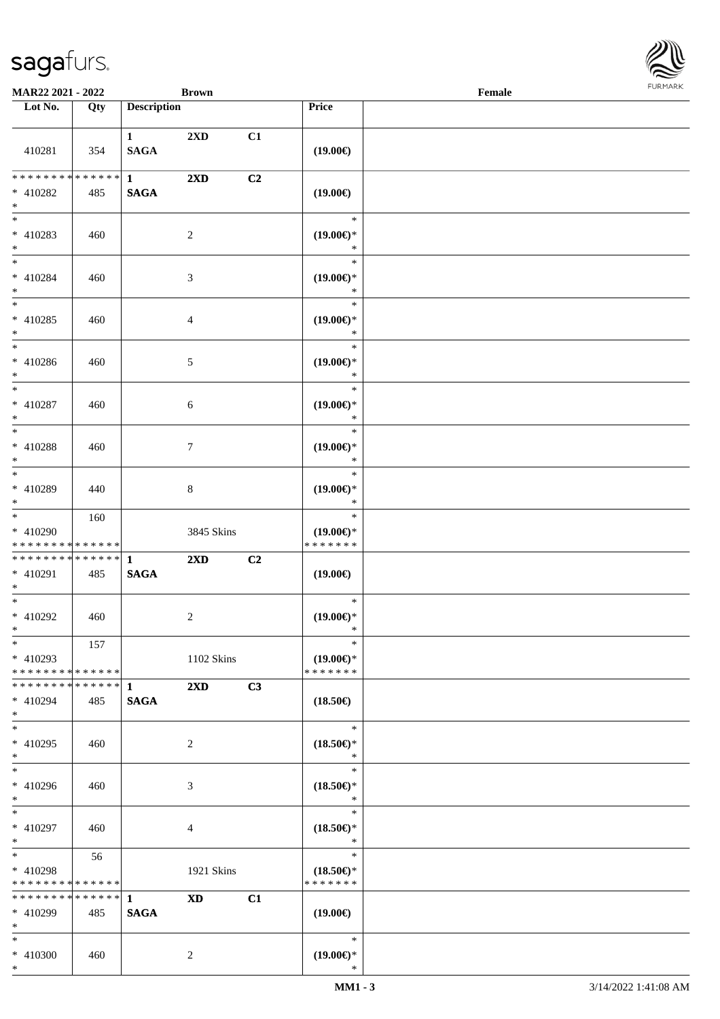

| <b>MAR22 2021 - 2022</b>                                        |     |                             | <b>Brown</b>            |    |                                                | Female |  |
|-----------------------------------------------------------------|-----|-----------------------------|-------------------------|----|------------------------------------------------|--------|--|
| Lot No.                                                         | Qty | <b>Description</b>          |                         |    | Price                                          |        |  |
|                                                                 |     |                             |                         |    |                                                |        |  |
| 410281                                                          | 354 | $\mathbf{1}$<br><b>SAGA</b> | 2XD                     | C1 | $(19.00\epsilon)$                              |        |  |
| ******** <mark>******</mark><br>* 410282<br>$*$                 | 485 | $\mathbf{1}$<br><b>SAGA</b> | $2\mathbf{X}\mathbf{D}$ | C2 | $(19.00\epsilon)$                              |        |  |
| * 410283<br>$*$                                                 | 460 |                             | 2                       |    | $\ast$<br>$(19.00\epsilon)$ *<br>$\ast$        |        |  |
| $*$<br>* 410284<br>$*$                                          | 460 |                             | 3                       |    | $\ast$<br>$(19.00\epsilon)$ *<br>$\ast$        |        |  |
| $*$<br>$* 410285$<br>$*$                                        | 460 |                             | $\overline{4}$          |    | $\ast$<br>$(19.00\epsilon)$ *<br>$\ast$        |        |  |
| $*$<br>$* 410286$<br>$*$                                        | 460 |                             | 5                       |    | $\ast$<br>$(19.00\epsilon)$ *<br>$\ast$        |        |  |
| $*$<br>* 410287<br>$\ast$                                       | 460 |                             | 6                       |    | $\ast$<br>$(19.00\epsilon)$ *<br>$\ast$        |        |  |
| $*$<br>* 410288<br>$*$                                          | 460 |                             | $\tau$                  |    | $\ast$<br>$(19.00\epsilon)$ *<br>$\ast$        |        |  |
| $\overline{\ast}$<br>* 410289<br>$*$                            | 440 |                             | 8                       |    | $\ast$<br>$(19.00\epsilon)$ *<br>$\ast$        |        |  |
| $*$<br>* 410290<br>* * * * * * * * * * * * * *                  | 160 |                             | 3845 Skins              |    | $\ast$<br>$(19.00\epsilon)$ *<br>* * * * * * * |        |  |
| * * * * * * * * * * * * * * *<br>* 410291<br>$*$                | 485 | $\mathbf{1}$<br><b>SAGA</b> | $2\mathbf{X}\mathbf{D}$ | C2 | $(19.00\epsilon)$                              |        |  |
| $*$<br>* 410292<br>$*$ $-$                                      | 460 |                             | $\overline{c}$          |    | $\ast$<br>$(19.00\epsilon)$ *<br>$\ast$        |        |  |
| $*$<br>$* 410293$<br>* * * * * * * * * * * * * * <mark>*</mark> | 157 |                             | 1102 Skins              |    | $\ast$<br>$(19.00\epsilon)$ *<br>* * * * * * * |        |  |
| * * * * * * * * * * * * * * <mark>*</mark><br>* 410294<br>$*$   | 485 | $\mathbf{1}$<br><b>SAGA</b> | $2\mathbf{X}\mathbf{D}$ | C3 | $(18.50\epsilon)$                              |        |  |
| $*$<br>$* 410295$<br>$*$                                        | 460 |                             | 2                       |    | $\ast$<br>$(18.50\epsilon)$ *<br>$\ast$        |        |  |
| $\overline{\ast}$<br>* 410296<br>$*$                            | 460 |                             | 3                       |    | $\ast$<br>$(18.50\epsilon)$ *<br>$\ast$        |        |  |
| $*$ $*$<br>* 410297<br>$*$ $-$                                  | 460 |                             | 4                       |    | $\ast$<br>$(18.50\epsilon)$ *<br>$\ast$        |        |  |
| $*$ $*$<br>* 410298<br>* * * * * * * * * * * * * *              | 56  |                             | 1921 Skins              |    | $\ast$<br>$(18.50\epsilon)$ *<br>* * * * * * * |        |  |
| ******** <mark>******</mark><br>$* 410299$<br>$*$               | 485 | $\mathbf{1}$<br><b>SAGA</b> | <b>XD</b>               | C1 | $(19.00\epsilon)$                              |        |  |
| $*$<br>* 410300<br>$*$                                          | 460 |                             | 2                       |    | $\ast$<br>$(19.00\epsilon)$ *<br>$\ast$        |        |  |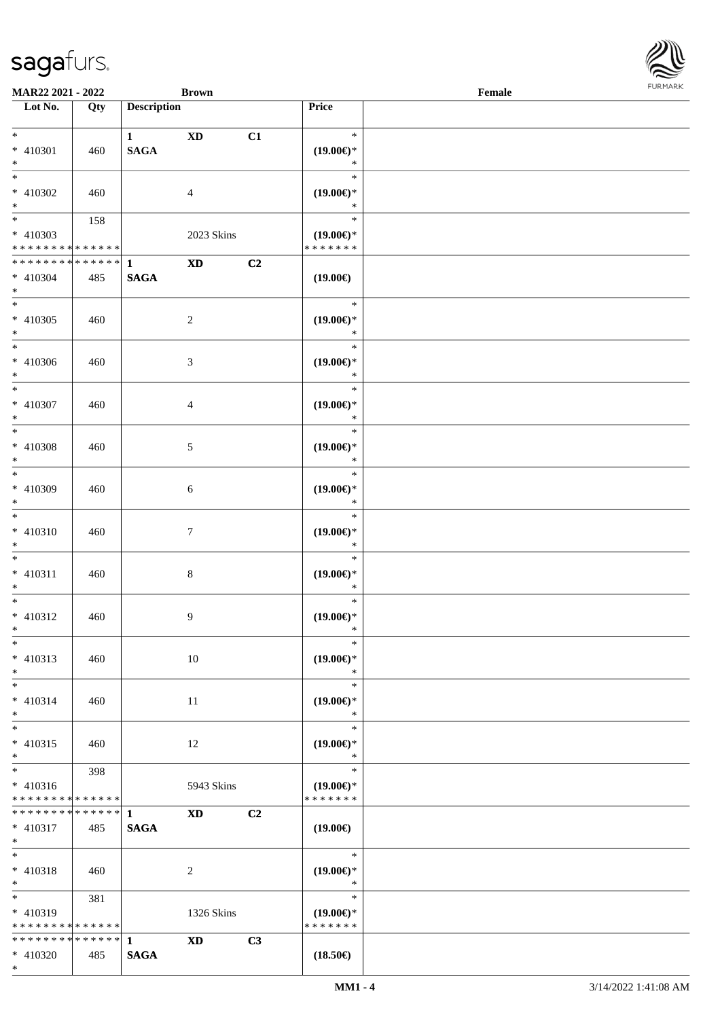\*

| Lot No.                                                       | Qty | <b>Description</b>                   |                            |    | Price                                                    |  |
|---------------------------------------------------------------|-----|--------------------------------------|----------------------------|----|----------------------------------------------------------|--|
| $*$<br>$* 410301$                                             | 460 | $1 \qquad \qquad$<br>$\mathbf{SAGA}$ | $\boldsymbol{\mathrm{XD}}$ | C1 | $\ast$<br>$(19.00\epsilon)$ *                            |  |
| $\ast$<br>$\overline{\phantom{0}}$<br>* 410302                | 460 |                                      | $\overline{4}$             |    | $\ast$<br>$\ast$<br>$(19.00\epsilon)$ *                  |  |
| $*$<br>$*$<br>* 410303<br>* * * * * * * * * * * * * *         | 158 |                                      | 2023 Skins                 |    | $\ast$<br>$\ast$<br>$(19.00\epsilon)$ *<br>* * * * * * * |  |
| ******** <mark>******</mark>                                  |     | $\mathbf{1}$                         |                            | C2 |                                                          |  |
| $* 410304$<br>$\ast$                                          | 485 | <b>SAGA</b>                          | $\boldsymbol{\mathrm{XD}}$ |    | $(19.00\epsilon)$                                        |  |
| $\overline{\phantom{a}^*}$<br>$* 410305$<br>$\ast$            | 460 |                                      | $\overline{c}$             |    | $\ast$<br>$(19.00\in)\!\!^*$<br>$\ast$                   |  |
| $\overline{\ast}$<br>$* 410306$<br>$\ast$                     | 460 |                                      | $\mathfrak{Z}$             |    | $\ast$<br>$(19.00\epsilon)$ *<br>$\ast$                  |  |
| $\overline{\phantom{1}}$<br>$* 410307$<br>$\ast$              | 460 |                                      | $\overline{4}$             |    | $\ast$<br>$(19.00\epsilon)$ *<br>$\ast$                  |  |
| $\overline{\phantom{1}}$<br>$* 410308$<br>$*$                 | 460 |                                      | 5                          |    | $\ast$<br>$(19.00\epsilon)$ *<br>$\ast$                  |  |
| $*$<br>* 410309<br>$\ast$                                     | 460 |                                      | $6\,$                      |    | $\ast$<br>$(19.00\epsilon)$ *<br>$\ast$                  |  |
| $\ast$<br>$* 410310$<br>$\ast$                                | 460 |                                      | $7\phantom{.0}$            |    | $\ast$<br>$(19.00\epsilon)$ *<br>$\ast$                  |  |
| $\overline{\phantom{0}}$<br>$* 410311$<br>$*$                 | 460 |                                      | $\,8\,$                    |    | $\ast$<br>$(19.00\in)\!\!^*$<br>$\ast$                   |  |
| $*$<br>$* 410312$<br>$*$                                      | 460 |                                      | 9                          |    | $\ast$<br>$(19.00\in)\!\!^*$<br>$\ast$                   |  |
| $*$<br>$* 410313$<br>$\ast$                                   | 460 |                                      | 10                         |    | $*$<br>$(19.00\epsilon)$ *<br>$\ast$                     |  |
| $\ast$<br>$* 410314$<br>$\ast$                                | 460 |                                      | 11                         |    | $\ast$<br>$(19.00\epsilon)$ *<br>$\ast$                  |  |
| $\ast$<br>$* 410315$<br>$*$                                   | 460 |                                      | 12                         |    | $\ast$<br>$(19.00\epsilon)$ *<br>$\ast$                  |  |
| $\ast$<br>$* 410316$<br>* * * * * * * * * * * * * *           | 398 |                                      | 5943 Skins                 |    | $\ast$<br>$(19.00\epsilon)$ *<br>* * * * * * *           |  |
| * * * * * * * * * * * * * * *<br>$* 410317$<br>$*$            | 485 | $\mathbf{1}$<br><b>SAGA</b>          | <b>XD</b>                  | C2 | $(19.00\epsilon)$                                        |  |
| $\ast$<br>$* 410318$<br>$*$                                   | 460 |                                      | 2                          |    | $\ast$<br>$(19.00\epsilon)$ *<br>$\ast$                  |  |
| $*$<br>* 410319<br>* * * * * * * * <mark>* * * * * * *</mark> | 381 |                                      | 1326 Skins                 |    | $\ast$<br>$(19.00\epsilon)$ *<br>* * * * * * *           |  |
| * * * * * * * * * * * * * * *                                 |     | $\mathbf{1}$                         | $\boldsymbol{\mathrm{XD}}$ | C3 |                                                          |  |
| $* 410320$                                                    | 485 | $\mathbf{SAGA}$                      |                            |    | $(18.50\epsilon)$                                        |  |

**MAR22 2021 - 2022 Brown Female**

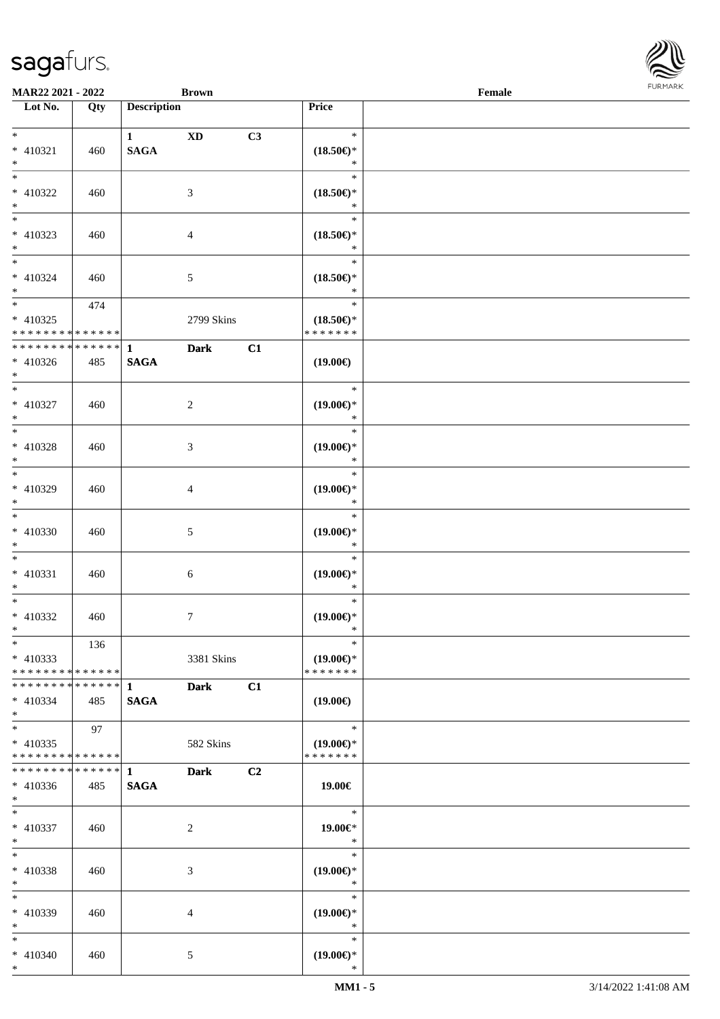

| <b>MAR22 2021 - 2022</b>                   |     |                    | <b>Brown</b>   |    |                               | Female |  |
|--------------------------------------------|-----|--------------------|----------------|----|-------------------------------|--------|--|
| Lot No.                                    | Qty | <b>Description</b> |                |    | Price                         |        |  |
|                                            |     |                    |                |    |                               |        |  |
| $*$                                        |     | $\mathbf{1}$       | <b>XD</b>      | C3 | $\ast$                        |        |  |
| * 410321                                   | 460 | <b>SAGA</b>        |                |    | $(18.50\epsilon)$ *           |        |  |
| $*$                                        |     |                    |                |    | $\ast$                        |        |  |
|                                            |     |                    |                |    | $\ast$                        |        |  |
| * 410322                                   | 460 |                    | 3              |    | $(18.50\epsilon)$ *           |        |  |
| $*$                                        |     |                    |                |    | $\ast$                        |        |  |
| $\overline{\phantom{0}}$                   |     |                    |                |    | $\ast$                        |        |  |
| * 410323                                   | 460 |                    | $\overline{4}$ |    | $(18.50\epsilon)$ *           |        |  |
| $*$                                        |     |                    |                |    | $\ast$                        |        |  |
| $*$                                        |     |                    |                |    | $\ast$                        |        |  |
| * 410324                                   | 460 |                    | 5              |    | $(18.50\epsilon)$ *           |        |  |
| $*$                                        |     |                    |                |    | $\ast$                        |        |  |
|                                            | 474 |                    |                |    | $\ast$                        |        |  |
| * 410325                                   |     |                    | 2799 Skins     |    | $(18.50\epsilon)$ *           |        |  |
| * * * * * * * * * * * * * * *              |     |                    |                |    | * * * * * * *                 |        |  |
| * * * * * * * * <mark>* * * * * * *</mark> |     | $\mathbf{1}$       | <b>Dark</b>    | C1 |                               |        |  |
| $* 410326$                                 | 485 | <b>SAGA</b>        |                |    | $(19.00\epsilon)$             |        |  |
| $*$                                        |     |                    |                |    |                               |        |  |
|                                            |     |                    |                |    | $\ast$                        |        |  |
| * 410327                                   | 460 |                    | 2              |    | $(19.00\epsilon)$ *           |        |  |
| $*$                                        |     |                    |                |    | $\ast$                        |        |  |
|                                            |     |                    |                |    | $\ast$                        |        |  |
| * 410328                                   | 460 |                    | 3              |    | $(19.00\epsilon)$ *           |        |  |
| $*$                                        |     |                    |                |    | $\ast$                        |        |  |
| $\overline{\ast}$                          |     |                    |                |    | $\ast$                        |        |  |
| * 410329                                   | 460 |                    | $\overline{4}$ |    | $(19.00\epsilon)$ *           |        |  |
| $*$                                        |     |                    |                |    | $\ast$                        |        |  |
| $*$                                        |     |                    |                |    | $\ast$                        |        |  |
| * 410330                                   |     |                    |                |    |                               |        |  |
| $*$                                        | 460 |                    | 5              |    | $(19.00\epsilon)$ *<br>$\ast$ |        |  |
| $*$                                        |     |                    |                |    | $\ast$                        |        |  |
|                                            |     |                    |                |    |                               |        |  |
| $* 410331$                                 | 460 |                    | 6              |    | $(19.00\epsilon)$ *<br>$\ast$ |        |  |
| $*$<br>$*$                                 |     |                    |                |    | $\ast$                        |        |  |
|                                            |     |                    |                |    |                               |        |  |
| * 410332                                   | 460 |                    | $\tau$         |    | $(19.00\epsilon)$ *           |        |  |
| $*$ $-$                                    |     |                    |                |    | $\ast$                        |        |  |
| $*$                                        | 136 |                    |                |    | $\ast$                        |        |  |
| $* 410333$                                 |     |                    | 3381 Skins     |    | $(19.00\epsilon)$ *           |        |  |
| * * * * * * * * * * * * * * <mark>*</mark> |     |                    |                |    | * * * * * * *                 |        |  |
| * * * * * * * * * * * * * * <mark>*</mark> |     | $\mathbf{1}$       | <b>Dark</b>    | C1 |                               |        |  |
| $* 410334$                                 | 485 | <b>SAGA</b>        |                |    | $(19.00\epsilon)$             |        |  |
| $*$                                        |     |                    |                |    |                               |        |  |
| $*$                                        | 97  |                    |                |    | $\ast$                        |        |  |
| $* 410335$                                 |     |                    | 582 Skins      |    | $(19.00\epsilon)$ *           |        |  |
| * * * * * * * * * * * * * * *              |     |                    |                |    | * * * * * * *                 |        |  |
|                                            |     |                    | <b>Dark</b>    | C2 |                               |        |  |
| $* 410336$                                 | 485 | <b>SAGA</b>        |                |    | 19.00€                        |        |  |
| $*$ and $*$                                |     |                    |                |    |                               |        |  |
| $*$ $-$                                    |     |                    |                |    | $\ast$                        |        |  |
| * 410337                                   | 460 |                    | 2              |    | 19.00€*                       |        |  |
| $*$ $-$                                    |     |                    |                |    | $\ast$                        |        |  |
| $*$ $-$                                    |     |                    |                |    | $\ast$                        |        |  |
| * 410338                                   | 460 |                    | 3              |    | $(19.00\epsilon)$ *           |        |  |
| $*$                                        |     |                    |                |    | $\ast$                        |        |  |
| $*$                                        |     |                    |                |    | $\ast$                        |        |  |
| * 410339                                   | 460 |                    | $\overline{4}$ |    | $(19.00\epsilon)$ *           |        |  |
| $*$ $\qquad$                               |     |                    |                |    | $\ast$                        |        |  |
| $*$                                        |     |                    |                |    | $\ast$                        |        |  |
| $* 410340$                                 | 460 |                    | 5              |    | $(19.00\epsilon)$ *           |        |  |
| $*$                                        |     |                    |                |    | $\ast$                        |        |  |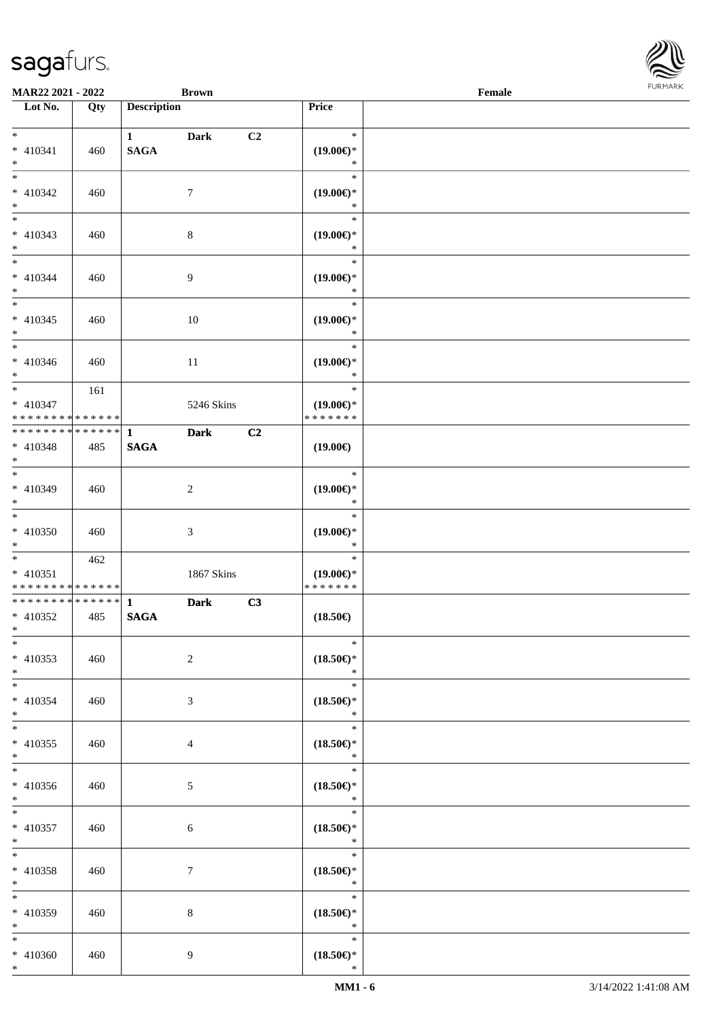

| <b>MAR22 2021 - 2022</b>                                                    |     |                    | <b>Brown</b>   |                |                                      | Female |  |
|-----------------------------------------------------------------------------|-----|--------------------|----------------|----------------|--------------------------------------|--------|--|
| Lot No.                                                                     | Qty | <b>Description</b> |                |                | Price                                |        |  |
|                                                                             |     |                    |                |                |                                      |        |  |
| $*$                                                                         |     | $1$ and $1$        | <b>Dark</b>    | C <sub>2</sub> | $\ast$                               |        |  |
| * 410341                                                                    | 460 | <b>SAGA</b>        |                |                | $(19.00\epsilon)$ *                  |        |  |
| $*$                                                                         |     |                    |                |                | $\ast$                               |        |  |
|                                                                             |     |                    |                |                | $\ast$                               |        |  |
| * 410342                                                                    | 460 |                    | $\tau$         |                | $(19.00\epsilon)$ *                  |        |  |
| $*$                                                                         |     |                    |                |                | $\ast$                               |        |  |
|                                                                             |     |                    |                |                | $\ast$                               |        |  |
| * 410343                                                                    | 460 |                    | $\,8\,$        |                | $(19.00\epsilon)$ *                  |        |  |
| $*$                                                                         |     |                    |                |                | $\ast$                               |        |  |
| $*$                                                                         |     |                    |                |                | $\ast$                               |        |  |
| * 410344                                                                    | 460 |                    | $\overline{9}$ |                | $(19.00\epsilon)$ *                  |        |  |
| $*$                                                                         |     |                    |                |                | $\ast$                               |        |  |
|                                                                             |     |                    |                |                | $\ast$                               |        |  |
| $* 410345$                                                                  | 460 |                    | 10             |                | $(19.00\epsilon)$ *                  |        |  |
| $*$                                                                         |     |                    |                |                | $\ast$                               |        |  |
|                                                                             |     |                    |                |                | $\ast$                               |        |  |
| $* 410346$                                                                  | 460 |                    | 11             |                | $(19.00\epsilon)$ *                  |        |  |
| $*$                                                                         |     |                    |                |                | $\ast$                               |        |  |
|                                                                             | 161 |                    |                |                | $\ast$                               |        |  |
| * 410347                                                                    |     |                    | 5246 Skins     |                | $(19.00\epsilon)$ *<br>* * * * * * * |        |  |
| * * * * * * * * <mark>* * * * * * *</mark><br>* * * * * * * * * * * * * * * |     |                    |                |                |                                      |        |  |
|                                                                             |     | $\mathbf{1}$       | <b>Dark</b>    | C <sub>2</sub> |                                      |        |  |
| * 410348<br>$*$                                                             | 485 | <b>SAGA</b>        |                |                | $(19.00\epsilon)$                    |        |  |
|                                                                             |     |                    |                |                | $\ast$                               |        |  |
| * 410349                                                                    | 460 |                    | $\sqrt{2}$     |                | $(19.00\epsilon)$ *                  |        |  |
| $*$                                                                         |     |                    |                |                | $\ast$                               |        |  |
| $*$                                                                         |     |                    |                |                | $\ast$                               |        |  |
| * 410350                                                                    | 460 |                    | 3              |                | $(19.00\epsilon)$ *                  |        |  |
| $*$                                                                         |     |                    |                |                | $\ast$                               |        |  |
| $*$                                                                         | 462 |                    |                |                | $\ast$                               |        |  |
| $* 410351$                                                                  |     |                    | 1867 Skins     |                | $(19.00\epsilon)$ *                  |        |  |
| * * * * * * * * <mark>* * * * * * *</mark>                                  |     |                    |                |                | * * * * * * *                        |        |  |
|                                                                             |     |                    | <b>Dark</b>    | C3             |                                      |        |  |
| $* 410352$                                                                  | 485 | <b>SAGA</b>        |                |                | $(18.50\epsilon)$                    |        |  |
| $*$ $*$                                                                     |     |                    |                |                |                                      |        |  |
| $*$                                                                         |     |                    |                |                | $\ast$                               |        |  |
| * 410353                                                                    | 460 |                    | $\overline{2}$ |                | $(18.50\epsilon)$ *                  |        |  |
| $*$                                                                         |     |                    |                |                | $\ast$                               |        |  |
| $*$ $-$                                                                     |     |                    |                |                | $\ast$                               |        |  |
| * 410354                                                                    | 460 |                    | 3              |                | $(18.50\epsilon)$ *                  |        |  |
| $*$                                                                         |     |                    |                |                | $\ast$                               |        |  |
| $*$                                                                         |     |                    |                |                | $\ast$                               |        |  |
| * 410355                                                                    | 460 |                    | $\overline{4}$ |                | $(18.50\epsilon)$ *                  |        |  |
| $*$                                                                         |     |                    |                |                | $\ast$                               |        |  |
|                                                                             |     |                    |                |                | $\ast$                               |        |  |
| * 410356                                                                    | 460 |                    | 5              |                | $(18.50\epsilon)$ *                  |        |  |
| $*$                                                                         |     |                    |                |                | $\ast$                               |        |  |
| $*$ $-$                                                                     |     |                    |                |                | $\ast$                               |        |  |
| * 410357                                                                    | 460 |                    | 6              |                | $(18.50\epsilon)$ *                  |        |  |
| $*$                                                                         |     |                    |                |                | $\ast$<br>$\ast$                     |        |  |
| $*$ $-$                                                                     |     |                    |                |                |                                      |        |  |
| * 410358                                                                    | 460 |                    | $\tau$         |                | $(18.50\epsilon)$ *<br>$\ast$        |        |  |
| $*$<br>$*$                                                                  |     |                    |                |                | $\ast$                               |        |  |
|                                                                             |     |                    |                |                |                                      |        |  |
| * 410359<br>$*$                                                             | 460 |                    | 8              |                | $(18.50\epsilon)$ *<br>$\ast$        |        |  |
| $*$                                                                         |     |                    |                |                | $\ast$                               |        |  |
| * 410360                                                                    | 460 |                    | 9              |                | $(18.50\epsilon)$ *                  |        |  |
| $*$                                                                         |     |                    |                |                | $\ast$                               |        |  |
|                                                                             |     |                    |                |                |                                      |        |  |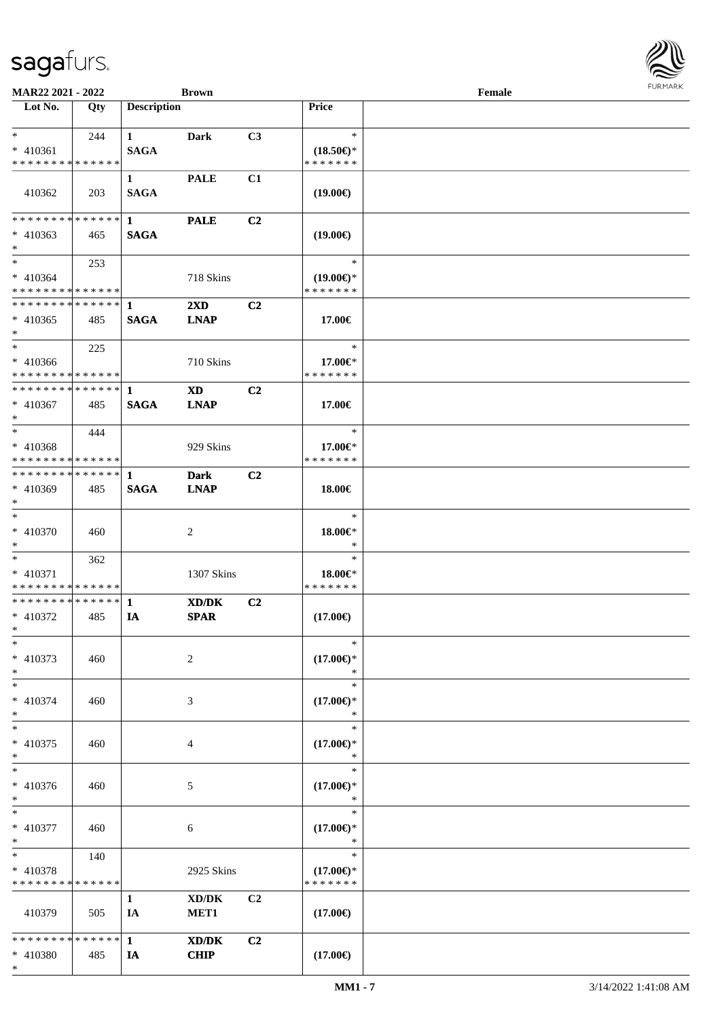\*

| <b>MAR22 2021 - 2022</b>                               |             |                                       | <b>Brown</b>                        |                |                               | Female |  |
|--------------------------------------------------------|-------------|---------------------------------------|-------------------------------------|----------------|-------------------------------|--------|--|
| Lot No.                                                | Qty         | <b>Description</b>                    |                                     |                | Price                         |        |  |
| $*$                                                    |             |                                       |                                     |                | $\ast$                        |        |  |
| * 410361                                               | 244         | $1 \quad \blacksquare$<br><b>SAGA</b> | Dark                                | C <sub>3</sub> | $(18.50\epsilon)$ *           |        |  |
| * * * * * * * * * * * * * *                            |             |                                       |                                     |                | * * * * * * *                 |        |  |
|                                                        |             | $\mathbf{1}$                          | <b>PALE</b>                         | C1             |                               |        |  |
| 410362                                                 | 203         | <b>SAGA</b>                           |                                     |                | $(19.00\epsilon)$             |        |  |
|                                                        |             |                                       |                                     |                |                               |        |  |
| * * * * * * * * * * * * * * <mark>*</mark>             |             | $\mathbf{1}$                          | <b>PALE</b>                         | C <sub>2</sub> |                               |        |  |
| $* 410363$                                             | 465         | <b>SAGA</b>                           |                                     |                | $(19.00\epsilon)$             |        |  |
| $*$                                                    |             |                                       |                                     |                |                               |        |  |
| $*$ $-$                                                | 253         |                                       |                                     |                | $\ast$                        |        |  |
| $* 410364$                                             |             |                                       | 718 Skins                           |                | $(19.00\epsilon)$ *           |        |  |
| * * * * * * * * <mark>* * * * * *</mark>               |             |                                       |                                     |                | * * * * * * *                 |        |  |
|                                                        |             |                                       | $2\mathbf{X}\mathbf{D}$             | C <sub>2</sub> |                               |        |  |
| $* 410365$                                             | 485         | <b>SAGA</b>                           | <b>LNAP</b>                         |                | 17.00€                        |        |  |
| $\ast$<br>$*$ $-$                                      |             |                                       |                                     |                | $\ast$                        |        |  |
|                                                        | 225         |                                       | 710 Skins                           |                |                               |        |  |
| $* 410366$<br>* * * * * * * * * * * * * * *            |             |                                       |                                     |                | 17.00€*<br>* * * * * * *      |        |  |
| * * * * * * * * * * * * * * <mark>*</mark>             |             | 1                                     | <b>XD</b>                           | C2             |                               |        |  |
| $* 410367$                                             | 485         | <b>SAGA</b>                           | <b>LNAP</b>                         |                | 17.00€                        |        |  |
| $*$                                                    |             |                                       |                                     |                |                               |        |  |
| $*$ $-$                                                | 444         |                                       |                                     |                | $\ast$                        |        |  |
| $* 410368$                                             |             |                                       | 929 Skins                           |                | 17.00€*                       |        |  |
| * * * * * * * * <mark>* * * * * * *</mark>             |             |                                       |                                     |                | * * * * * * *                 |        |  |
|                                                        |             |                                       | <b>Dark</b>                         | C <sub>2</sub> |                               |        |  |
| * 410369                                               | 485         | <b>SAGA</b>                           | <b>LNAP</b>                         |                | 18.00€                        |        |  |
| $*$                                                    |             |                                       |                                     |                |                               |        |  |
| $*$                                                    |             |                                       |                                     |                | $\ast$                        |        |  |
| * 410370                                               | 460         |                                       | 2                                   |                | 18.00€*                       |        |  |
| $*$                                                    |             |                                       |                                     |                | $\ast$<br>$\ast$              |        |  |
| $*$ $-$                                                | 362         |                                       |                                     |                | 18.00 $\in$ *                 |        |  |
| $* 410371$<br>* * * * * * * * <mark>* * * * * *</mark> |             |                                       | 1307 Skins                          |                | * * * * * * *                 |        |  |
| * * * * * * * * <mark>* * * * * * *</mark>             |             | $\mathbf{1}$                          | XD/DK                               | C <sub>2</sub> |                               |        |  |
| * 410372                                               | 485         | IA                                    | <b>SPAR</b>                         |                | $(17.00\epsilon)$             |        |  |
| $*$ $-$                                                |             |                                       |                                     |                |                               |        |  |
| $*$                                                    |             |                                       |                                     |                | $\ast$                        |        |  |
| * 410373                                               | 460         |                                       | 2                                   |                | $(17.00\epsilon)$ *           |        |  |
| $*$                                                    |             |                                       |                                     |                | $\ast$                        |        |  |
| $*$                                                    |             |                                       |                                     |                | $\ast$                        |        |  |
| $* 410374$                                             | 460         |                                       | 3                                   |                | $(17.00\epsilon)$ *           |        |  |
| $\ast$                                                 |             |                                       |                                     |                | $\ast$                        |        |  |
| $*$                                                    |             |                                       |                                     |                | $\ast$                        |        |  |
| * 410375<br>$\ast$                                     | 460         |                                       | 4                                   |                | $(17.00\epsilon)$ *<br>$\ast$ |        |  |
| $*$                                                    |             |                                       |                                     |                | $\ast$                        |        |  |
| * 410376                                               | 460         |                                       | 5                                   |                | $(17.00\epsilon)$ *           |        |  |
| $*$                                                    |             |                                       |                                     |                | $\ast$                        |        |  |
| $*$                                                    |             |                                       |                                     |                | $\ast$                        |        |  |
| * 410377                                               | 460         |                                       | 6                                   |                | $(17.00\epsilon)$ *           |        |  |
| $\ast$                                                 |             |                                       |                                     |                | $\ast$                        |        |  |
| $*$ $-$                                                | 140         |                                       |                                     |                | $\ast$                        |        |  |
| * 410378                                               |             |                                       | 2925 Skins                          |                | $(17.00\epsilon)$ *           |        |  |
| * * * * * * * *                                        | * * * * * * |                                       |                                     |                | * * * * * * *                 |        |  |
|                                                        |             | $\mathbf{1}$                          | $\bold{X}\bold{D}/\bold{D}\bold{K}$ | C2             |                               |        |  |
| 410379                                                 | 505         | IA                                    | MET <sub>1</sub>                    |                | $(17.00\epsilon)$             |        |  |
|                                                        |             |                                       |                                     |                |                               |        |  |
|                                                        |             |                                       | XD/DK<br><b>CHIP</b>                | C2             | $(17.00\epsilon)$             |        |  |
| * 410380                                               | 485         | IA                                    |                                     |                |                               |        |  |

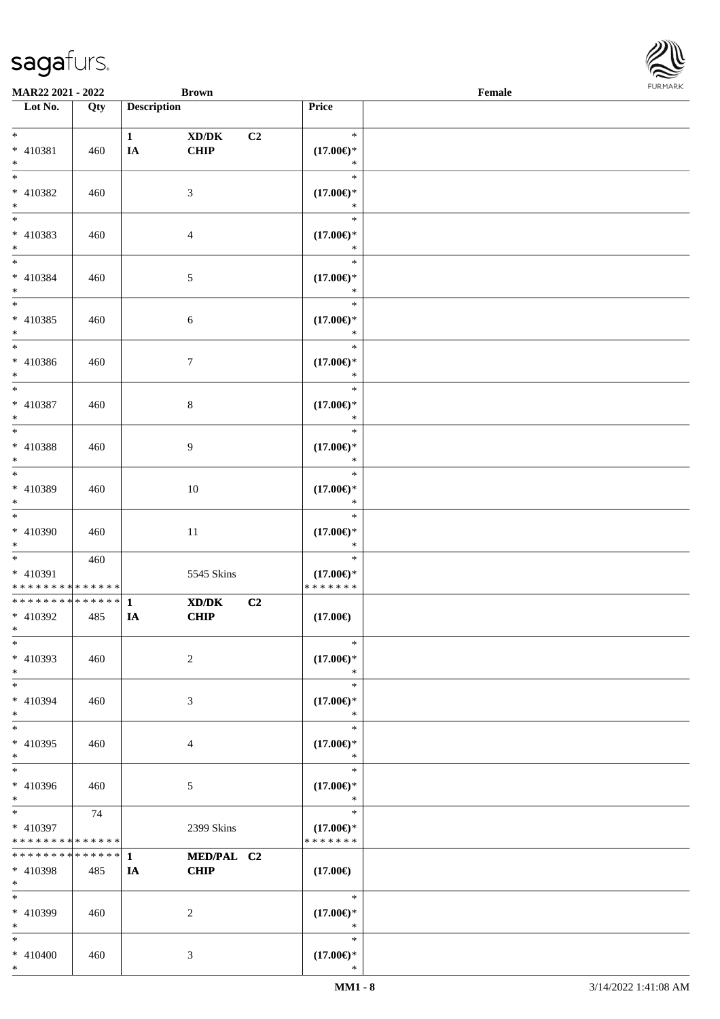

| MAR22 2021 - 2022                                            |     |                    | <b>Brown</b>                                                  | Female                               |  |  |  |  |  |
|--------------------------------------------------------------|-----|--------------------|---------------------------------------------------------------|--------------------------------------|--|--|--|--|--|
| Lot No.                                                      | Qty | <b>Description</b> |                                                               | Price                                |  |  |  |  |  |
|                                                              |     |                    |                                                               |                                      |  |  |  |  |  |
| $*$                                                          |     | $\mathbf{1}$       | $\boldsymbol{\text{XD} / \text{DK}}$<br>C2                    | $\ast$                               |  |  |  |  |  |
| * 410381                                                     | 460 | <b>IA</b>          | <b>CHIP</b>                                                   | $(17.00\epsilon)$ *                  |  |  |  |  |  |
| $*$                                                          |     |                    |                                                               | $\ast$                               |  |  |  |  |  |
| $*$                                                          |     |                    |                                                               | $\ast$                               |  |  |  |  |  |
| * 410382                                                     | 460 |                    | 3                                                             | $(17.00\epsilon)$ *                  |  |  |  |  |  |
| $*$                                                          |     |                    |                                                               | $\ast$                               |  |  |  |  |  |
| $\overline{\phantom{0}}$                                     |     |                    |                                                               | $\ast$                               |  |  |  |  |  |
| * 410383                                                     | 460 |                    | $\overline{4}$                                                | $(17.00\epsilon)$ *                  |  |  |  |  |  |
| $*$                                                          |     |                    |                                                               | $\ast$                               |  |  |  |  |  |
| $*$                                                          |     |                    |                                                               | $\ast$                               |  |  |  |  |  |
| $* 410384$                                                   | 460 |                    | 5                                                             | $(17.00\epsilon)$ *                  |  |  |  |  |  |
| $*$                                                          |     |                    |                                                               | $\ast$                               |  |  |  |  |  |
|                                                              |     |                    |                                                               | $\ast$                               |  |  |  |  |  |
| $* 410385$                                                   | 460 |                    | 6                                                             | $(17.00\epsilon)$ *                  |  |  |  |  |  |
| $*$                                                          |     |                    |                                                               | $\ast$                               |  |  |  |  |  |
| $*$                                                          |     |                    |                                                               | $\ast$                               |  |  |  |  |  |
| $* 410386$                                                   | 460 |                    | $\tau$                                                        | $(17.00\epsilon)$ *                  |  |  |  |  |  |
| $*$                                                          |     |                    |                                                               | $\ast$                               |  |  |  |  |  |
| $*$                                                          |     |                    |                                                               | $\ast$                               |  |  |  |  |  |
| $* 410387$                                                   | 460 |                    | 8                                                             | $(17.00\epsilon)$ *                  |  |  |  |  |  |
| $*$                                                          |     |                    |                                                               | $\ast$                               |  |  |  |  |  |
| $*$                                                          |     |                    |                                                               | $\ast$                               |  |  |  |  |  |
| * 410388                                                     |     |                    |                                                               | $(17.00\epsilon)$ *                  |  |  |  |  |  |
| $*$                                                          | 460 |                    | 9                                                             | $\ast$                               |  |  |  |  |  |
| $*$                                                          |     |                    |                                                               | $\ast$                               |  |  |  |  |  |
| * 410389                                                     |     |                    |                                                               |                                      |  |  |  |  |  |
| $*$                                                          | 460 |                    | $10\,$                                                        | $(17.00\epsilon)$ *<br>$\ast$        |  |  |  |  |  |
| $*$                                                          |     |                    |                                                               | $\ast$                               |  |  |  |  |  |
|                                                              |     |                    |                                                               |                                      |  |  |  |  |  |
| $* 410390$                                                   | 460 |                    | 11                                                            | $(17.00\epsilon)$ *<br>$\ast$        |  |  |  |  |  |
| $*$<br>$*$                                                   |     |                    |                                                               | $\ast$                               |  |  |  |  |  |
|                                                              | 460 |                    |                                                               |                                      |  |  |  |  |  |
| * 410391<br>* * * * * * * * * * * * * *                      |     |                    | 5545 Skins                                                    | $(17.00\epsilon)$ *<br>* * * * * * * |  |  |  |  |  |
| ******** <mark>******</mark>                                 |     |                    |                                                               |                                      |  |  |  |  |  |
|                                                              |     | $\mathbf{1}$       | $\mathbf{X}\mathbf{D}/\mathbf{D}\mathbf{K}$<br>C <sub>2</sub> |                                      |  |  |  |  |  |
| $* 410392$<br>$*$ $*$                                        | 485 | IA                 | <b>CHIP</b>                                                   | $(17.00\epsilon)$                    |  |  |  |  |  |
| $*$                                                          |     |                    |                                                               | $\ast$                               |  |  |  |  |  |
|                                                              |     |                    |                                                               |                                      |  |  |  |  |  |
| * 410393                                                     | 460 |                    | 2                                                             | $(17.00\in)^\ast$                    |  |  |  |  |  |
| $*$                                                          |     |                    |                                                               | $\ast$<br>$\ast$                     |  |  |  |  |  |
| $*$                                                          |     |                    |                                                               |                                      |  |  |  |  |  |
| * 410394                                                     | 460 |                    | 3                                                             | $(17.00\epsilon)$ *                  |  |  |  |  |  |
| $*$                                                          |     |                    |                                                               | $\ast$                               |  |  |  |  |  |
| $*$                                                          |     |                    |                                                               | $\ast$                               |  |  |  |  |  |
| $* 410395$                                                   | 460 |                    | 4                                                             | $(17.00\epsilon)$ *                  |  |  |  |  |  |
| $*$                                                          |     |                    |                                                               | $\ast$                               |  |  |  |  |  |
| $*$                                                          |     |                    |                                                               | $\ast$                               |  |  |  |  |  |
| * 410396                                                     | 460 |                    | 5                                                             | $(17.00\epsilon)$ *                  |  |  |  |  |  |
| $*$<br>$*$                                                   |     |                    |                                                               | $\ast$<br>$\ast$                     |  |  |  |  |  |
|                                                              | 74  |                    |                                                               |                                      |  |  |  |  |  |
| * 410397                                                     |     |                    | 2399 Skins                                                    | $(17.00\epsilon)$ *                  |  |  |  |  |  |
| * * * * * * * * * * * * * *<br>* * * * * * * * * * * * * * * |     |                    |                                                               | * * * * * * *                        |  |  |  |  |  |
|                                                              |     | $\mathbf{1}$       | MED/PAL C2                                                    |                                      |  |  |  |  |  |
| * 410398                                                     | 485 | IA                 | <b>CHIP</b>                                                   | $(17.00\epsilon)$                    |  |  |  |  |  |
| $*$                                                          |     |                    |                                                               | $\ast$                               |  |  |  |  |  |
| $*$                                                          |     |                    |                                                               |                                      |  |  |  |  |  |
| $* 410399$                                                   | 460 |                    | 2                                                             | $(17.00\epsilon)$ *                  |  |  |  |  |  |
| $*$                                                          |     |                    |                                                               | $\ast$                               |  |  |  |  |  |
| $*$                                                          |     |                    |                                                               | $\ast$                               |  |  |  |  |  |
| $* 410400$                                                   | 460 |                    | 3                                                             | $(17.00\epsilon)$ *                  |  |  |  |  |  |
| $*$                                                          |     |                    |                                                               | $\ast$                               |  |  |  |  |  |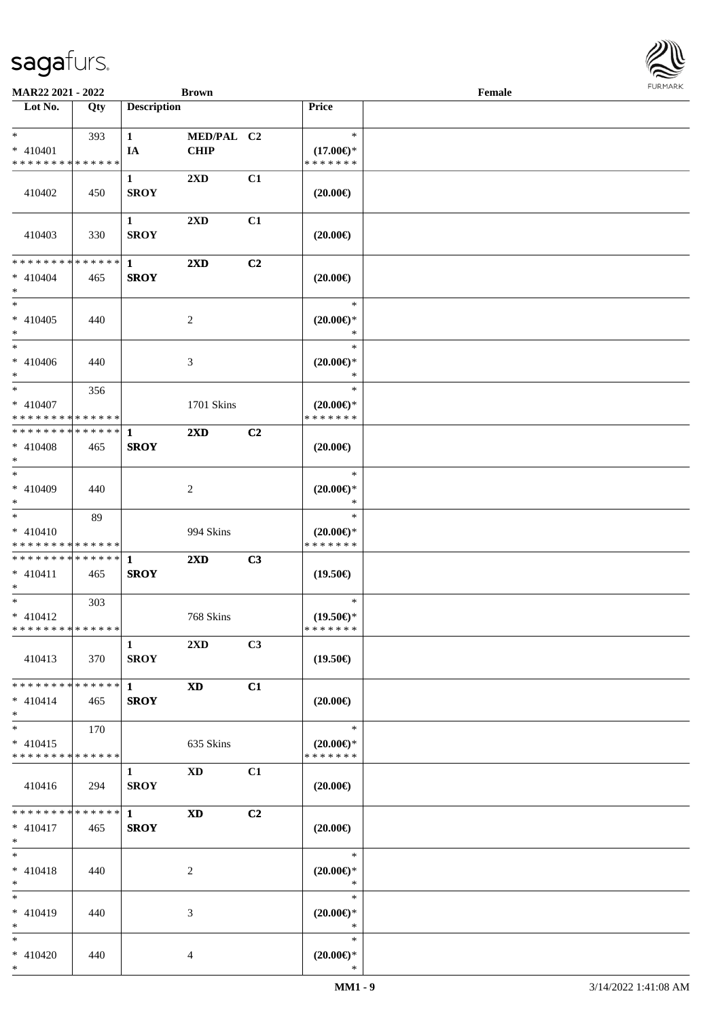

| MAR22 2021 - 2022                                      |     |                                       | <b>Brown</b>              |                |                                                | Female |  |
|--------------------------------------------------------|-----|---------------------------------------|---------------------------|----------------|------------------------------------------------|--------|--|
| Lot No.                                                | Qty | <b>Description</b>                    |                           |                | Price                                          |        |  |
| $*$ $*$<br>* 410401<br>* * * * * * * * * * * * * *     | 393 | $\mathbf{1}$<br>IA                    | MED/PAL C2<br><b>CHIP</b> |                | $\ast$<br>$(17.00\epsilon)$ *<br>* * * * * * * |        |  |
| 410402                                                 | 450 | $\mathbf{1}$<br><b>SROY</b>           | 2XD                       | C1             | $(20.00\epsilon)$                              |        |  |
| 410403                                                 | 330 | $\mathbf{1}$<br><b>SROY</b>           | $2\mathbf{X}\mathbf{D}$   | C1             | $(20.00\in)$                                   |        |  |
| * * * * * * * * * * * * * * *<br>$* 410404$<br>$*$     | 465 | $\mathbf{1}$<br><b>SROY</b>           | $2\mathbf{X}\mathbf{D}$   | C <sub>2</sub> | $(20.00\epsilon)$                              |        |  |
| $*$<br>$* 410405$<br>$*$                               | 440 |                                       | 2                         |                | $\ast$<br>$(20.00\epsilon)$ *<br>$\ast$        |        |  |
| $*$<br>$* 410406$<br>$*$                               | 440 |                                       | 3                         |                | $\ast$<br>$(20.00\epsilon)$ *<br>$\ast$        |        |  |
| $*$<br>* 410407<br>* * * * * * * * * * * * * * *       | 356 |                                       | 1701 Skins                |                | $\ast$<br>$(20.00\epsilon)$ *<br>* * * * * * * |        |  |
| ************** 1<br>$* 410408$<br>$*$                  | 465 | <b>SROY</b>                           | $2\mathbf{X}\mathbf{D}$   | C <sub>2</sub> | $(20.00\epsilon)$                              |        |  |
| $*$<br>$* 410409$<br>$*$                               | 440 |                                       | 2                         |                | $\ast$<br>$(20.00\epsilon)$ *<br>$\ast$        |        |  |
| $*$<br>$* 410410$<br>* * * * * * * * * * * * * *       | 89  |                                       | 994 Skins                 |                | $\ast$<br>$(20.00\epsilon)$ *<br>* * * * * * * |        |  |
| ******** <mark>******</mark> 1<br>$* 410411$<br>$*$    | 465 | <b>SROY</b>                           | $2\mathbf{X}\mathbf{D}$   | C3             | $(19.50\epsilon)$                              |        |  |
| $*$<br>$* 410412$<br>* * * * * * * * * * * * * * *     | 303 |                                       | 768 Skins                 |                | $\ast$<br>$(19.50\epsilon)$ *<br>*******       |        |  |
| 410413                                                 | 370 | $\mathbf{1}$<br><b>SROY</b>           | 2XD                       | C3             | $(19.50\epsilon)$                              |        |  |
| * * * * * * * * * * * * * * *<br>$* 410414$<br>$*$     | 465 | $1 \quad \blacksquare$<br><b>SROY</b> | <b>XD</b>                 | C1             | $(20.00\epsilon)$                              |        |  |
| $*$<br>$* 410415$<br>* * * * * * * * * * * * * *       | 170 |                                       | 635 Skins                 |                | $\ast$<br>$(20.00\epsilon)$ *<br>* * * * * * * |        |  |
| 410416                                                 | 294 | $\mathbf{1}$<br><b>SROY</b>           | XD                        | C1             | $(20.00\epsilon)$                              |        |  |
| * * * * * * * * * * * * * * *<br>$* 410417$<br>$*$ $*$ | 465 | $\mathbf{1}$<br><b>SROY</b>           | <b>XD</b>                 | C2             | $(20.00\epsilon)$                              |        |  |
| $*$<br>$* 410418$<br>$*$                               | 440 |                                       | 2                         |                | $\ast$<br>$(20.00\epsilon)$ *<br>$\ast$        |        |  |
| $*$<br>* 410419<br>$*$                                 | 440 |                                       | 3                         |                | $\ast$<br>$(20.00\epsilon)$ *<br>$\ast$        |        |  |
| $*$<br>$* 410420$<br>$*$                               | 440 |                                       | 4                         |                | $\ast$<br>$(20.00\varepsilon)$ *<br>$\ast$     |        |  |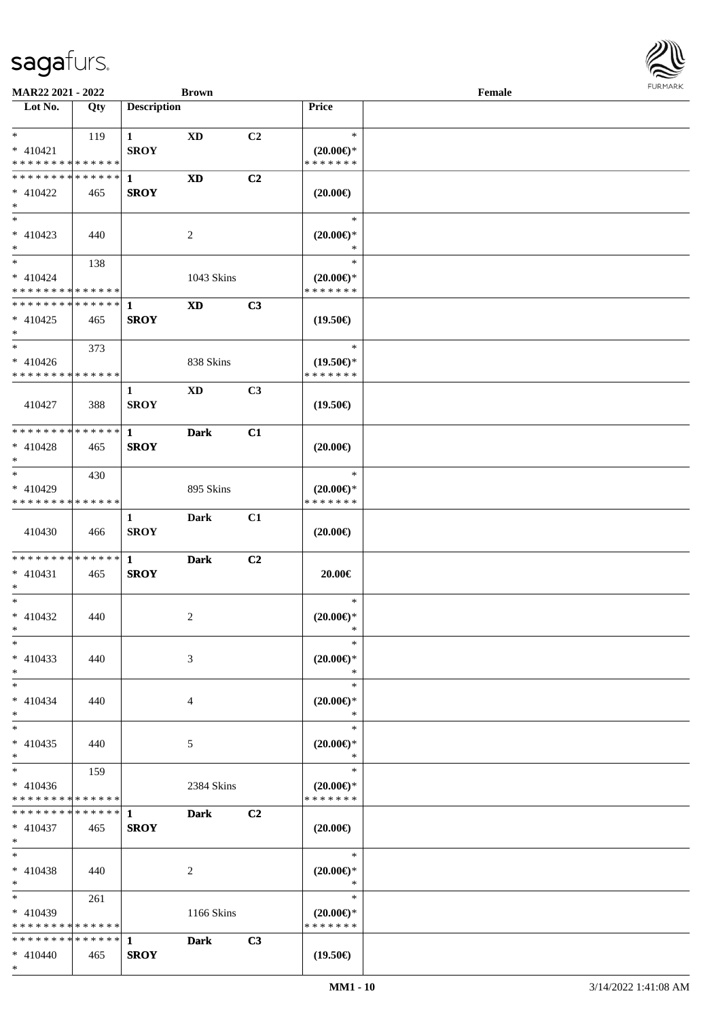

| MAR22 2021 - 2022             |     |                    | <b>Brown</b>           |                |                                      | Female |  |
|-------------------------------|-----|--------------------|------------------------|----------------|--------------------------------------|--------|--|
| Lot No.                       | Qty | <b>Description</b> |                        |                | Price                                |        |  |
|                               |     |                    |                        |                |                                      |        |  |
| $*$                           | 119 | $\mathbf{1}$       | XD                     | C <sub>2</sub> | $\ast$                               |        |  |
| $* 410421$                    |     | <b>SROY</b>        |                        |                | $(20.00\epsilon)$ *                  |        |  |
| * * * * * * * * * * * * * *   |     |                    |                        |                | * * * * * * *                        |        |  |
| * * * * * * * * * * * * * * * |     | 1                  | $\mathbf{X}\mathbf{D}$ | C2             |                                      |        |  |
|                               |     | <b>SROY</b>        |                        |                |                                      |        |  |
| $* 410422$                    | 465 |                    |                        |                | $(20.00\epsilon)$                    |        |  |
| $\ast$<br>$\overline{\ast}$   |     |                    |                        |                |                                      |        |  |
|                               |     |                    |                        |                | $\ast$                               |        |  |
| $* 410423$                    | 440 |                    | 2                      |                | $(20.00\epsilon)$ *                  |        |  |
| $*$                           |     |                    |                        |                | $\ast$                               |        |  |
| $*$                           | 138 |                    |                        |                | $\ast$                               |        |  |
| $* 410424$                    |     |                    | 1043 Skins             |                | $(20.00\epsilon)$ *                  |        |  |
| * * * * * * * * * * * * * *   |     |                    |                        |                | * * * * * * *                        |        |  |
| **************                |     | 1                  | <b>XD</b>              | C3             |                                      |        |  |
| $* 410425$                    | 465 | <b>SROY</b>        |                        |                | $(19.50\epsilon)$                    |        |  |
| $\ast$                        |     |                    |                        |                |                                      |        |  |
| $\ast$                        |     |                    |                        |                | $\ast$                               |        |  |
|                               | 373 |                    |                        |                |                                      |        |  |
| $* 410426$                    |     |                    | 838 Skins              |                | $(19.50\epsilon)$ *<br>* * * * * * * |        |  |
| * * * * * * * * * * * * * *   |     |                    |                        |                |                                      |        |  |
|                               |     | 1                  | <b>XD</b>              | C3             |                                      |        |  |
| 410427                        | 388 | <b>SROY</b>        |                        |                | $(19.50\epsilon)$                    |        |  |
|                               |     |                    |                        |                |                                      |        |  |
| **************                |     | $\mathbf{1}$       | <b>Dark</b>            | C1             |                                      |        |  |
| $* 410428$                    | 465 | <b>SROY</b>        |                        |                | $(20.00\epsilon)$                    |        |  |
| $*$                           |     |                    |                        |                |                                      |        |  |
| $\ast$                        | 430 |                    |                        |                | $\ast$                               |        |  |
| * 410429                      |     |                    | 895 Skins              |                | $(20.00\epsilon)$ *                  |        |  |
| * * * * * * * * * * * * * *   |     |                    |                        |                | * * * * * * *                        |        |  |
|                               |     |                    |                        |                |                                      |        |  |
|                               |     | $\mathbf{1}$       | <b>Dark</b>            | C1             |                                      |        |  |
| 410430                        | 466 | <b>SROY</b>        |                        |                | $(20.00\epsilon)$                    |        |  |
|                               |     |                    |                        |                |                                      |        |  |
| ******** <mark>******</mark>  |     | $\mathbf{1}$       | <b>Dark</b>            | C2             |                                      |        |  |
| $* 410431$                    | 465 | <b>SROY</b>        |                        |                | 20.00€                               |        |  |
| $\ast$                        |     |                    |                        |                |                                      |        |  |
| $\ast$                        |     |                    |                        |                | $\ast$                               |        |  |
| $* 410432$                    | 440 |                    | $\overline{c}$         |                | $(20.00\epsilon)$ *                  |        |  |
| $\ast$                        |     |                    |                        |                | $\ast$                               |        |  |
| $*$                           |     |                    |                        |                | $\ast$                               |        |  |
| $* 410433$                    | 440 |                    | 3                      |                | $(20.00\epsilon)$ *                  |        |  |
| $*$                           |     |                    |                        |                | $\ast$                               |        |  |
| $*$                           |     |                    |                        |                | $\ast$                               |        |  |
| $* 410434$                    | 440 |                    | 4                      |                | $(20.00\epsilon)$ *                  |        |  |
| $*$                           |     |                    |                        |                | $\ast$                               |        |  |
| $\ast$                        |     |                    |                        |                | $\ast$                               |        |  |
|                               |     |                    |                        |                |                                      |        |  |
| $* 410435$                    | 440 |                    | 5                      |                | $(20.00\epsilon)$ *                  |        |  |
| $*$                           |     |                    |                        |                | $\ast$                               |        |  |
| $\ast$                        | 159 |                    |                        |                | $\ast$                               |        |  |
| $* 410436$                    |     |                    | 2384 Skins             |                | $(20.00\epsilon)$ *                  |        |  |
| * * * * * * * * * * * * * *   |     |                    |                        |                | * * * * * * *                        |        |  |
| * * * * * * * * * * * * * * * |     | $\mathbf{1}$       | <b>Dark</b>            | C2             |                                      |        |  |
| $* 410437$                    | 465 | <b>SROY</b>        |                        |                | $(20.00\epsilon)$                    |        |  |
| $*$ $-$                       |     |                    |                        |                |                                      |        |  |
| $\ast$                        |     |                    |                        |                | $\ast$                               |        |  |
| $* 410438$                    | 440 |                    | 2                      |                | $(20.00\epsilon)$ *                  |        |  |
| $*$                           |     |                    |                        |                | $\ast$                               |        |  |
| $*$                           |     |                    |                        |                | $\ast$                               |        |  |
|                               | 261 |                    |                        |                |                                      |        |  |
| $* 410439$                    |     |                    | 1166 Skins             |                | $(20.00\epsilon)$ *                  |        |  |
| * * * * * * * * * * * * * *   |     |                    |                        |                | * * * * * * *                        |        |  |
| * * * * * * * * * * * * * * * |     | 1                  | <b>Dark</b>            | C3             |                                      |        |  |
| $* 410440$                    | 465 | <b>SROY</b>        |                        |                | $(19.50\epsilon)$                    |        |  |
| $*$                           |     |                    |                        |                |                                      |        |  |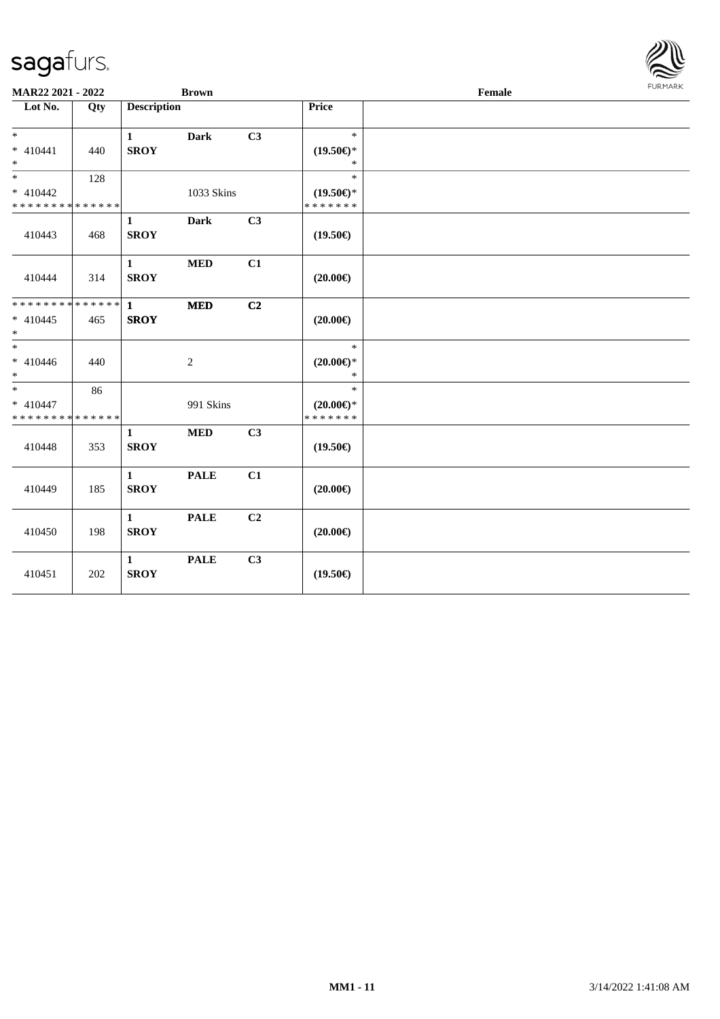

| <b>MAR22 2021 - 2022</b>                          |     |                             | <b>Brown</b> |                |                                                | Female |  |  |  |  |
|---------------------------------------------------|-----|-----------------------------|--------------|----------------|------------------------------------------------|--------|--|--|--|--|
| Lot No.                                           | Qty | <b>Description</b>          |              |                | Price                                          |        |  |  |  |  |
| $* 410441$<br>$*$                                 | 440 | $\mathbf{1}$<br><b>SROY</b> | <b>Dark</b>  | C3             | $\ast$<br>$(19.50\epsilon)$ *<br>$\ast$        |        |  |  |  |  |
| $*$<br>$* 410442$<br>* * * * * * * * * * * * * *  | 128 |                             | 1033 Skins   |                | $\ast$<br>$(19.50\epsilon)$ *<br>* * * * * * * |        |  |  |  |  |
| 410443                                            | 468 | $\mathbf{1}$<br><b>SROY</b> | <b>Dark</b>  | C3             | $(19.50\epsilon)$                              |        |  |  |  |  |
| 410444                                            | 314 | $\mathbf{1}$<br><b>SROY</b> | $\bf MED$    | C1             | $(20.00\epsilon)$                              |        |  |  |  |  |
| ******** <mark>******</mark><br>$* 410445$<br>$*$ | 465 | $\mathbf{1}$<br><b>SROY</b> | <b>MED</b>   | C2             | $(20.00\epsilon)$                              |        |  |  |  |  |
| $*$<br>$* 410446$<br>$*$                          | 440 |                             | 2            |                | $\ast$<br>$(20.00\epsilon)$ *<br>$*$           |        |  |  |  |  |
| $*$<br>$* 410447$<br>* * * * * * * * * * * * * *  | 86  |                             | 991 Skins    |                | $\ast$<br>$(20.00\epsilon)$ *<br>*******       |        |  |  |  |  |
| 410448                                            | 353 | $\mathbf{1}$<br><b>SROY</b> | <b>MED</b>   | C3             | $(19.50\epsilon)$                              |        |  |  |  |  |
| 410449                                            | 185 | $\mathbf{1}$<br><b>SROY</b> | <b>PALE</b>  | C1             | $(20.00\epsilon)$                              |        |  |  |  |  |
| 410450                                            | 198 | $\mathbf{1}$<br><b>SROY</b> | <b>PALE</b>  | C <sub>2</sub> | $(20.00\epsilon)$                              |        |  |  |  |  |
| 410451                                            | 202 | $\mathbf{1}$<br><b>SROY</b> | <b>PALE</b>  | C3             | $(19.50\epsilon)$                              |        |  |  |  |  |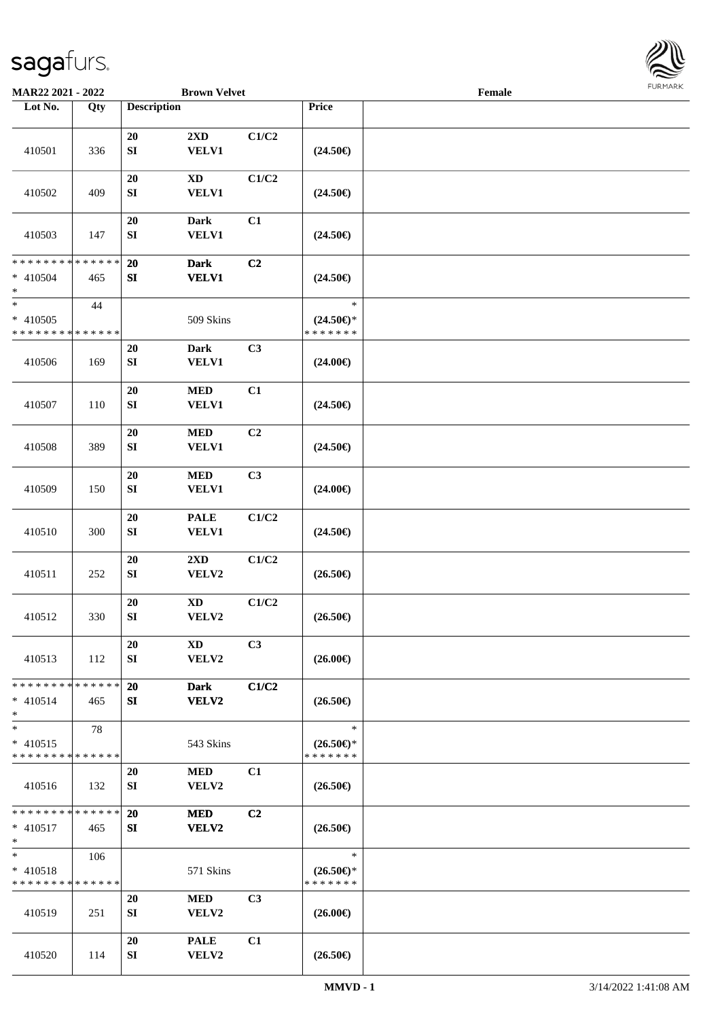

| <b>MAR22 2021 - 2022</b>                                       |     |                                | <b>Brown Velvet</b>             |                |                                                | Female |  |
|----------------------------------------------------------------|-----|--------------------------------|---------------------------------|----------------|------------------------------------------------|--------|--|
| Lot No.                                                        | Qty | <b>Description</b>             |                                 |                | Price                                          |        |  |
|                                                                |     |                                |                                 |                |                                                |        |  |
| 410501                                                         | 336 | $20\,$<br>${\bf S}{\bf I}$     | 2XD<br><b>VELV1</b>             | C1/C2          | $(24.50\epsilon)$                              |        |  |
| 410502                                                         | 409 | 20<br>SI                       | <b>XD</b><br>VELV1              | C1/C2          | $(24.50\epsilon)$                              |        |  |
| 410503                                                         | 147 | 20<br>SI                       | <b>Dark</b><br>VELV1            | C1             | $(24.50\epsilon)$                              |        |  |
| * * * * * * * * * * * * * *<br>$* 410504$<br>$\ast$            | 465 | 20<br>${\bf S}{\bf I}$         | <b>Dark</b><br><b>VELV1</b>     | C <sub>2</sub> | $(24.50\epsilon)$                              |        |  |
| $\overline{\ast}$<br>$* 410505$<br>* * * * * * * * * * * * * * | 44  |                                | 509 Skins                       |                | $\ast$<br>$(24.50\epsilon)$ *<br>* * * * * * * |        |  |
| 410506                                                         | 169 | 20<br>${\bf S}{\bf I}$         | <b>Dark</b><br><b>VELV1</b>     | C3             | $(24.00\epsilon)$                              |        |  |
| 410507                                                         | 110 | 20<br>${\bf S}{\bf I}$         | <b>MED</b><br><b>VELV1</b>      | C1             | $(24.50\epsilon)$                              |        |  |
| 410508                                                         | 389 | $20\,$<br>${\bf S}{\bf I}$     | <b>MED</b><br><b>VELV1</b>      | C <sub>2</sub> | $(24.50\epsilon)$                              |        |  |
| 410509                                                         | 150 | ${\bf 20}$<br>${\bf S}{\bf I}$ | <b>MED</b><br>VELV1             | C3             | $(24.00\epsilon)$                              |        |  |
| 410510                                                         | 300 | $20\,$<br>${\bf S}{\bf I}$     | <b>PALE</b><br>VELV1            | C1/C2          | $(24.50\epsilon)$                              |        |  |
| 410511                                                         | 252 | $20\,$<br>SI                   | 2XD<br>VELV2                    | C1/C2          | $(26.50\epsilon)$                              |        |  |
| 410512                                                         | 330 | $20\,$<br>${\bf S}{\bf I}$     | $\mathbf{X}\mathbf{D}$<br>VELV2 | C1/C2          | $(26.50\epsilon)$                              |        |  |
| 410513                                                         | 112 | 20<br>SI                       | XD<br>VELV2                     | C3             | $(26.00\epsilon)$                              |        |  |
| * * * * * * * * * * * * * * *<br>$* 410514$<br>$*$             | 465 | 20<br>SI                       | <b>Dark</b><br><b>VELV2</b>     | C1/C2          | $(26.50\epsilon)$                              |        |  |
| $*$<br>$* 410515$<br>* * * * * * * * * * * * * *               | 78  |                                | 543 Skins                       |                | $\ast$<br>$(26.50\epsilon)$ *<br>* * * * * * * |        |  |
| 410516                                                         | 132 | 20<br>SI                       | <b>MED</b><br>VELV2             | C1             | $(26.50\epsilon)$                              |        |  |
| * * * * * * * * * * * * * * *<br>$* 410517$<br>$*$             | 465 | 20<br>SI                       | <b>MED</b><br><b>VELV2</b>      | C2             | $(26.50\epsilon)$                              |        |  |
| $*$<br>$* 410518$<br>* * * * * * * * * * * * * *               | 106 |                                | 571 Skins                       |                | $\ast$<br>$(26.50\epsilon)$ *<br>* * * * * * * |        |  |
| 410519                                                         | 251 | 20<br>SI                       | MED<br><b>VELV2</b>             | C <sub>3</sub> | $(26.00\epsilon)$                              |        |  |
| 410520                                                         | 114 | 20<br>SI                       | <b>PALE</b><br>VELV2            | C1             | $(26.50\epsilon)$                              |        |  |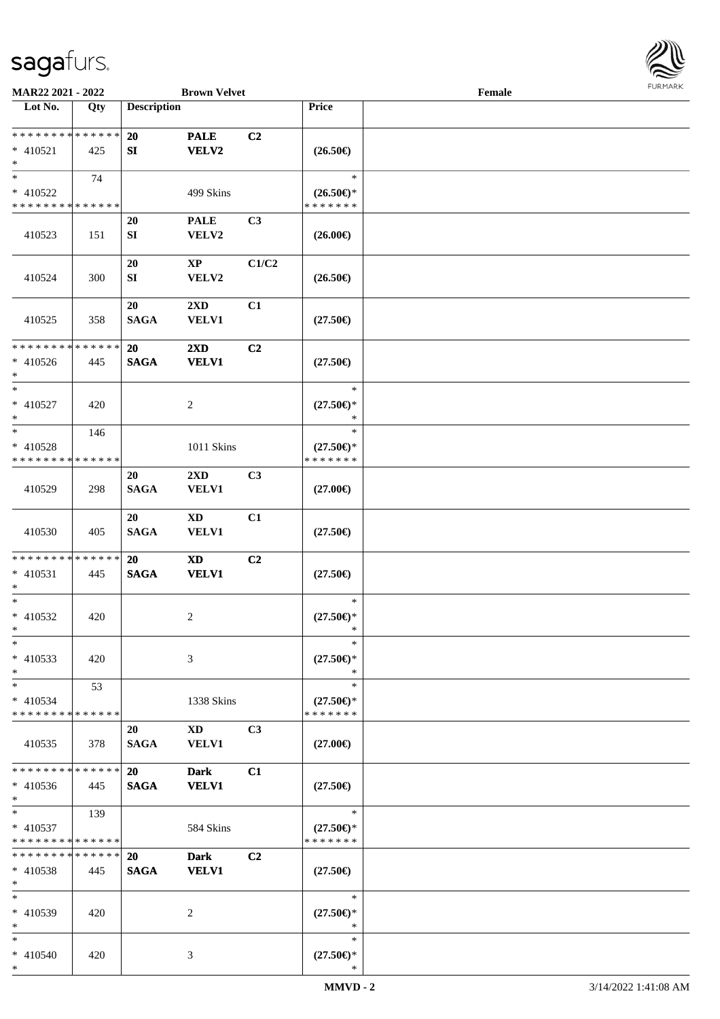

| MAR22 2021 - 2022                                   |     |                          | <b>Brown Velvet</b>                     |                |                                                | Female |  |
|-----------------------------------------------------|-----|--------------------------|-----------------------------------------|----------------|------------------------------------------------|--------|--|
| Lot No.                                             | Qty | <b>Description</b>       |                                         |                | Price                                          |        |  |
| **************<br>$* 410521$<br>$\ast$              | 425 | <b>20</b><br>SI          | <b>PALE</b><br><b>VELV2</b>             | C2             | $(26.50\epsilon)$                              |        |  |
| $*$<br>$* 410522$<br>* * * * * * * * * * * * * *    | 74  |                          | 499 Skins                               |                | $\ast$<br>$(26.50\epsilon)$ *<br>* * * * * * * |        |  |
| 410523                                              | 151 | 20<br>SI                 | <b>PALE</b><br>VELV2                    | C3             | $(26.00\epsilon)$                              |        |  |
| 410524                                              | 300 | 20<br>${\bf SI}$         | $\bold{X}\bold{P}$<br>VELV2             | C1/C2          | $(26.50\in)$                                   |        |  |
| 410525                                              | 358 | 20<br><b>SAGA</b>        | 2XD<br><b>VELV1</b>                     | C1             | $(27.50\epsilon)$                              |        |  |
| ******** <mark>******</mark><br>$* 410526$<br>$*$   | 445 | 20<br><b>SAGA</b>        | $2\mathbf{X}\mathbf{D}$<br><b>VELV1</b> | C2             | $(27.50\epsilon)$                              |        |  |
| $\ast$<br>$* 410527$<br>$\ast$                      | 420 |                          | 2                                       |                | $\ast$<br>$(27.50\epsilon)$ *<br>$\ast$        |        |  |
| $*$<br>$* 410528$<br>* * * * * * * * * * * * * *    | 146 |                          | 1011 Skins                              |                | $\ast$<br>$(27.50\epsilon)$ *<br>* * * * * * * |        |  |
| 410529                                              | 298 | <b>20</b><br><b>SAGA</b> | $2\mathbf{X}\mathbf{D}$<br><b>VELV1</b> | C <sub>3</sub> | $(27.00\epsilon)$                              |        |  |
| 410530                                              | 405 | 20<br><b>SAGA</b>        | <b>XD</b><br><b>VELV1</b>               | C1             | $(27.50\epsilon)$                              |        |  |
| * * * * * * * * * * * * * *<br>$* 410531$<br>$\ast$ | 445 | 20<br><b>SAGA</b>        | <b>XD</b><br><b>VELV1</b>               | C2             | $(27.50\epsilon)$                              |        |  |
| $*$<br>$* 410532$<br>$*$                            | 420 |                          | 2                                       |                | $\ast$<br>$(27.50\epsilon)$ *<br>$\ast$        |        |  |
| $\ast$<br>$* 410533$<br>$\ast$                      | 420 |                          | 3                                       |                | $\ast$<br>$(27.50\epsilon)$ *<br>∗             |        |  |
| $*$<br>$* 410534$<br>* * * * * * * * * * * * * *    | 53  |                          | 1338 Skins                              |                | $\ast$<br>$(27.50\epsilon)$ *<br>* * * * * * * |        |  |
| 410535                                              | 378 | 20<br><b>SAGA</b>        | <b>XD</b><br><b>VELV1</b>               | C <sub>3</sub> | $(27.00\epsilon)$                              |        |  |
| * * * * * * * * * * * * * *<br>$* 410536$<br>$*$    | 445 | <b>20</b><br><b>SAGA</b> | <b>Dark</b><br><b>VELV1</b>             | C1             | $(27.50\epsilon)$                              |        |  |
| $*$<br>$* 410537$<br>* * * * * * * * * * * * * *    | 139 |                          | 584 Skins                               |                | $\ast$<br>$(27.50\epsilon)$ *<br>* * * * * * * |        |  |
| * * * * * * * * * * * * * *<br>* 410538<br>$*$      | 445 | 20<br><b>SAGA</b>        | <b>Dark</b><br><b>VELV1</b>             | C2             | $(27.50\epsilon)$                              |        |  |
| $*$<br>* 410539<br>$*$                              | 420 |                          | 2                                       |                | $\ast$<br>$(27.50\epsilon)$ *<br>$\ast$        |        |  |
| $*$<br>* 410540<br>$*$                              | 420 |                          | 3                                       |                | $\ast$<br>$(27.50\epsilon)$ *<br>∗             |        |  |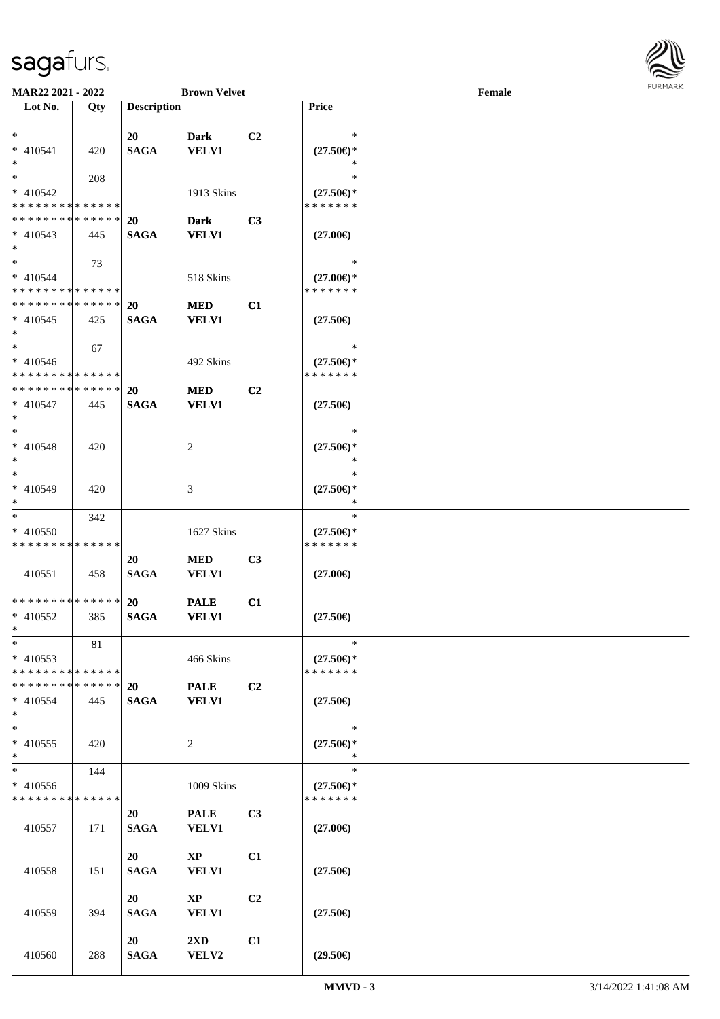

| <b>MAR22 2021 - 2022</b>                   |     |                    | <b>Brown Velvet</b>     |                |                               | Female |  |
|--------------------------------------------|-----|--------------------|-------------------------|----------------|-------------------------------|--------|--|
| Lot No.                                    | Qty | <b>Description</b> |                         |                | <b>Price</b>                  |        |  |
|                                            |     |                    |                         |                |                               |        |  |
| $\ast$                                     |     | 20                 | Dark                    | C <sub>2</sub> | $\ast$                        |        |  |
| $* 410541$                                 | 420 | <b>SAGA</b>        | <b>VELV1</b>            |                | $(27.50\epsilon)$ *           |        |  |
| $\ast$                                     |     |                    |                         |                | $\ast$                        |        |  |
| $\overline{\ast}$                          | 208 |                    |                         |                | $\ast$                        |        |  |
| $* 410542$                                 |     |                    | 1913 Skins              |                | $(27.50\epsilon)$ *           |        |  |
| * * * * * * * * <mark>* * * * * *</mark>   |     |                    |                         |                | * * * * * * *                 |        |  |
| * * * * * * * * <mark>* * * * * * *</mark> |     | <b>20</b>          | <b>Dark</b>             | C <sub>3</sub> |                               |        |  |
| $* 410543$                                 | 445 | <b>SAGA</b>        | <b>VELV1</b>            |                | $(27.00\epsilon)$             |        |  |
| $\ast$                                     |     |                    |                         |                |                               |        |  |
| $*$                                        | 73  |                    |                         |                | $\ast$                        |        |  |
| $* 410544$                                 |     |                    | 518 Skins               |                | $(27.00\epsilon)$ *           |        |  |
| * * * * * * * * <mark>* * * * * *</mark>   |     |                    |                         |                | * * * * * * *                 |        |  |
| * * * * * * * * * * * * * * *              |     | 20                 | <b>MED</b>              | C1             |                               |        |  |
| $* 410545$                                 | 425 | <b>SAGA</b>        | <b>VELV1</b>            |                | $(27.50\epsilon)$             |        |  |
| $\ast$                                     |     |                    |                         |                |                               |        |  |
| $\ast$                                     | 67  |                    |                         |                | $\ast$                        |        |  |
| $* 410546$                                 |     |                    | 492 Skins               |                | $(27.50\epsilon)$ *           |        |  |
| * * * * * * * * <mark>* * * * * *</mark>   |     |                    |                         |                | * * * * * * *                 |        |  |
| * * * * * * * * <mark>* * * * * * *</mark> |     | 20                 | <b>MED</b>              | C <sub>2</sub> |                               |        |  |
| $* 410547$                                 | 445 | <b>SAGA</b>        | <b>VELV1</b>            |                | $(27.50\epsilon)$             |        |  |
| $\ast$                                     |     |                    |                         |                |                               |        |  |
| $\ast$                                     |     |                    |                         |                | $\ast$                        |        |  |
| * 410548                                   | 420 |                    | 2                       |                | $(27.50\epsilon)$ *           |        |  |
| $\ast$                                     |     |                    |                         |                | ∗                             |        |  |
| $\ast$                                     |     |                    |                         |                | $\ast$                        |        |  |
| * 410549                                   |     |                    |                         |                |                               |        |  |
| $\ast$                                     | 420 |                    | 3                       |                | $(27.50\epsilon)$ *<br>$\ast$ |        |  |
| $\ast$                                     |     |                    |                         |                | $\ast$                        |        |  |
|                                            | 342 |                    |                         |                |                               |        |  |
| * 410550                                   |     |                    | 1627 Skins              |                | $(27.50\epsilon)$ *           |        |  |
| * * * * * * * * * * * * * *                |     |                    |                         |                | *******                       |        |  |
|                                            |     | 20                 | <b>MED</b>              | C <sub>3</sub> |                               |        |  |
| 410551                                     | 458 | <b>SAGA</b>        | <b>VELV1</b>            |                | $(27.00\epsilon)$             |        |  |
|                                            |     |                    |                         |                |                               |        |  |
| * * * * * * * * <mark>* * * * * * *</mark> |     | <b>20</b>          | <b>PALE</b>             | C1             |                               |        |  |
| * 410552                                   | 385 | <b>SAGA</b>        | <b>VELV1</b>            |                | $(27.50\epsilon)$             |        |  |
| $*$                                        |     |                    |                         |                |                               |        |  |
| $\ast$                                     | 81  |                    |                         |                | $\ast$                        |        |  |
| * 410553                                   |     |                    | 466 Skins               |                | $(27.50\epsilon)$ *           |        |  |
| * * * * * * * * <mark>* * * * * *</mark>   |     |                    |                         |                | * * * * * * *                 |        |  |
| * * * * * * * * * * * * * * *              |     | <b>20</b>          | <b>PALE</b>             | C <sub>2</sub> |                               |        |  |
| $* 410554$                                 | 445 | <b>SAGA</b>        | <b>VELV1</b>            |                | $(27.50\epsilon)$             |        |  |
| $\ast$                                     |     |                    |                         |                |                               |        |  |
| $\overline{\ast}$                          |     |                    |                         |                | $\ast$                        |        |  |
| * 410555                                   | 420 |                    | 2                       |                | $(27.50\epsilon)$ *           |        |  |
| $\ast$                                     |     |                    |                         |                | $\ast$                        |        |  |
| $\overline{\mathbf{r}}$                    | 144 |                    |                         |                | $\ast$                        |        |  |
| $* 410556$                                 |     |                    | 1009 Skins              |                | $(27.50\epsilon)$ *           |        |  |
| * * * * * * * * * * * * * *                |     |                    |                         |                | *******                       |        |  |
|                                            |     | 20                 | <b>PALE</b>             | C <sub>3</sub> |                               |        |  |
| 410557                                     | 171 | <b>SAGA</b>        | <b>VELV1</b>            |                | $(27.00\epsilon)$             |        |  |
|                                            |     |                    |                         |                |                               |        |  |
|                                            |     | 20                 | $\mathbf{X}\mathbf{P}$  | C <sub>1</sub> |                               |        |  |
| 410558                                     | 151 | <b>SAGA</b>        | <b>VELV1</b>            |                | $(27.50\epsilon)$             |        |  |
|                                            |     |                    |                         |                |                               |        |  |
|                                            |     | 20                 | $\bold{XP}$             | C2             |                               |        |  |
| 410559                                     | 394 | <b>SAGA</b>        | VELV1                   |                | $(27.50\epsilon)$             |        |  |
|                                            |     |                    |                         |                |                               |        |  |
|                                            |     | 20                 | $2\mathbf{X}\mathbf{D}$ | C1             |                               |        |  |
| 410560                                     | 288 | <b>SAGA</b>        | VELV2                   |                | $(29.50\epsilon)$             |        |  |
|                                            |     |                    |                         |                |                               |        |  |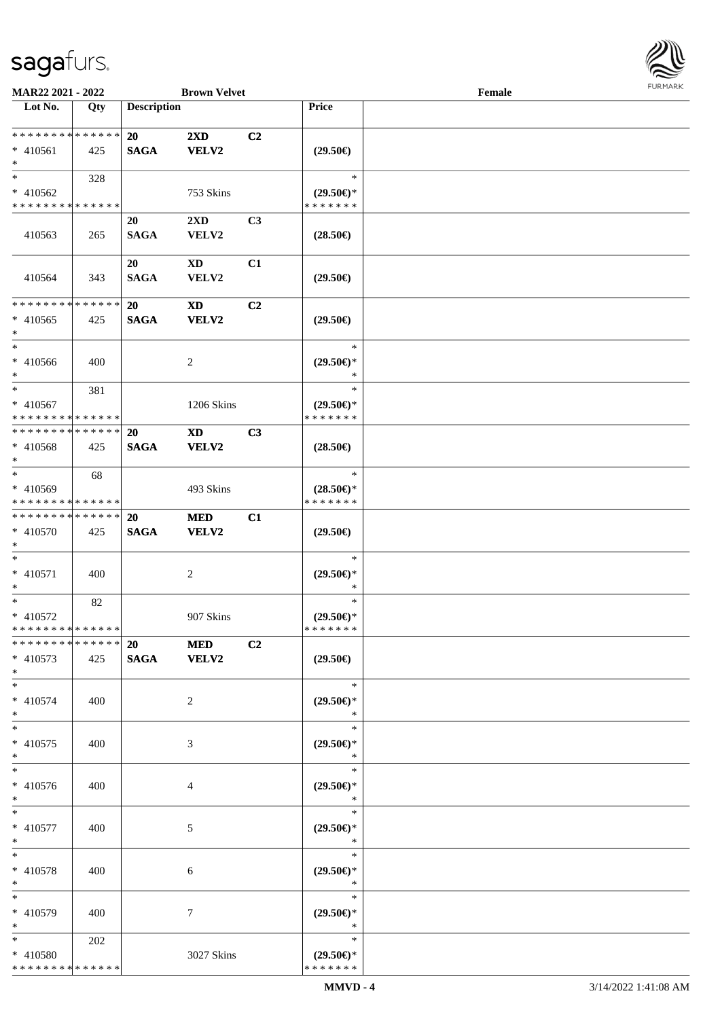

| MAR22 2021 - 2022           |     |                    | <b>Brown Velvet</b>     |                |                               | Female |  |
|-----------------------------|-----|--------------------|-------------------------|----------------|-------------------------------|--------|--|
| Lot No.                     | Qty | <b>Description</b> |                         |                | Price                         |        |  |
|                             |     |                    |                         |                |                               |        |  |
| * * * * * * * * * * * * * * |     | 20                 | $2\mathbf{X}\mathbf{D}$ | C2             |                               |        |  |
| $* 410561$                  | 425 | <b>SAGA</b>        | <b>VELV2</b>            |                | $(29.50\epsilon)$             |        |  |
| $\ast$                      |     |                    |                         |                |                               |        |  |
| $\ast$                      | 328 |                    |                         |                | $\ast$                        |        |  |
| * 410562                    |     |                    | 753 Skins               |                | $(29.50\epsilon)$ *           |        |  |
| * * * * * * * * * * * * * * |     |                    |                         |                | * * * * * * *                 |        |  |
|                             |     | 20                 | 2XD                     | C3             |                               |        |  |
| 410563                      | 265 | <b>SAGA</b>        | VELV2                   |                | $(28.50\epsilon)$             |        |  |
|                             |     |                    |                         |                |                               |        |  |
|                             |     | 20                 | <b>XD</b>               | C1             |                               |        |  |
| 410564                      | 343 | <b>SAGA</b>        | VELV2                   |                | $(29.50\epsilon)$             |        |  |
|                             |     |                    |                         |                |                               |        |  |
| * * * * * * * * * * * * * * |     | 20                 | <b>XD</b>               | C <sub>2</sub> |                               |        |  |
| $* 410565$                  | 425 | <b>SAGA</b>        | VELV2                   |                | $(29.50\epsilon)$             |        |  |
| $\ast$                      |     |                    |                         |                |                               |        |  |
| $\ast$                      |     |                    |                         |                | $\ast$                        |        |  |
| $* 410566$                  | 400 |                    | $\overline{2}$          |                | $(29.50 \in )$ *              |        |  |
| $\ast$                      |     |                    |                         |                | $\ast$                        |        |  |
| $\ast$                      | 381 |                    |                         |                | $\ast$                        |        |  |
| $* 410567$                  |     |                    | 1206 Skins              |                | $(29.50\epsilon)$ *           |        |  |
| * * * * * * * * * * * * * * |     |                    |                         |                | * * * * * * *                 |        |  |
| * * * * * * * * * * * * * * |     | <b>20</b>          | <b>XD</b>               | C3             |                               |        |  |
| $* 410568$                  | 425 | <b>SAGA</b>        | <b>VELV2</b>            |                | $(28.50\epsilon)$             |        |  |
| $\ast$                      |     |                    |                         |                |                               |        |  |
| $\ast$                      | 68  |                    |                         |                | $\ast$                        |        |  |
| * 410569                    |     |                    | 493 Skins               |                | $(28.50\epsilon)$ *           |        |  |
| * * * * * * * * * * * * * * |     |                    |                         |                | * * * * * * *                 |        |  |
| **************              |     | 20                 | <b>MED</b>              | C1             |                               |        |  |
| * 410570                    | 425 | <b>SAGA</b>        | <b>VELV2</b>            |                | $(29.50\epsilon)$             |        |  |
| $\ast$                      |     |                    |                         |                |                               |        |  |
| $\ast$                      |     |                    |                         |                | $\ast$                        |        |  |
| $* 410571$                  | 400 |                    | $\overline{2}$          |                | $(29.50\epsilon)$ *           |        |  |
| $\ast$                      |     |                    |                         |                | $\ast$                        |        |  |
| $\ast$                      | 82  |                    |                         |                | $\ast$                        |        |  |
| $* 410572$                  |     |                    | 907 Skins               |                | $(29.50\epsilon)$ *           |        |  |
| **************              |     |                    |                         |                | * * * * * * *                 |        |  |
| * * * * * * * * * * * * * * |     | <b>20</b>          | <b>MED</b>              | C2             |                               |        |  |
| $* 410573$                  | 425 |                    | SAGA VELV2              |                | $(29.50\epsilon)$             |        |  |
| $*$                         |     |                    |                         |                |                               |        |  |
| $*$                         |     |                    |                         |                | $\ast$                        |        |  |
| $* 410574$                  | 400 |                    | $\overline{2}$          |                | $(29.50\epsilon)$ *           |        |  |
| $*$<br>$\ast$               |     |                    |                         |                | ∗<br>$\ast$                   |        |  |
|                             |     |                    |                         |                |                               |        |  |
| $* 410575$<br>$*$           | 400 |                    | 3                       |                | $(29.50\epsilon)$ *<br>$\ast$ |        |  |
| $\ast$                      |     |                    |                         |                | $\ast$                        |        |  |
| * 410576                    | 400 |                    |                         |                | $(29.50\epsilon)$ *           |        |  |
| $*$                         |     |                    | 4                       |                | $\ast$                        |        |  |
| $*$                         |     |                    |                         |                | $\ast$                        |        |  |
| $* 410577$                  | 400 |                    | $\mathfrak{S}$          |                | $(29.50\epsilon)$ *           |        |  |
| $*$                         |     |                    |                         |                | $\ast$                        |        |  |
| $\ast$                      |     |                    |                         |                | $\ast$                        |        |  |
| $* 410578$                  | 400 |                    | 6                       |                | $(29.50\epsilon)$ *           |        |  |
| $*$                         |     |                    |                         |                | $\ast$                        |        |  |
| $\ast$                      |     |                    |                         |                | $\ast$                        |        |  |
| * 410579                    | 400 |                    | 7                       |                | $(29.50\epsilon)$ *           |        |  |
| $*$                         |     |                    |                         |                | $\ast$                        |        |  |
| $*$                         | 202 |                    |                         |                | $\ast$                        |        |  |
| * 410580                    |     |                    | 3027 Skins              |                | $(29.50\epsilon)$ *           |        |  |
| * * * * * * * * * * * * * * |     |                    |                         |                | * * * * * * *                 |        |  |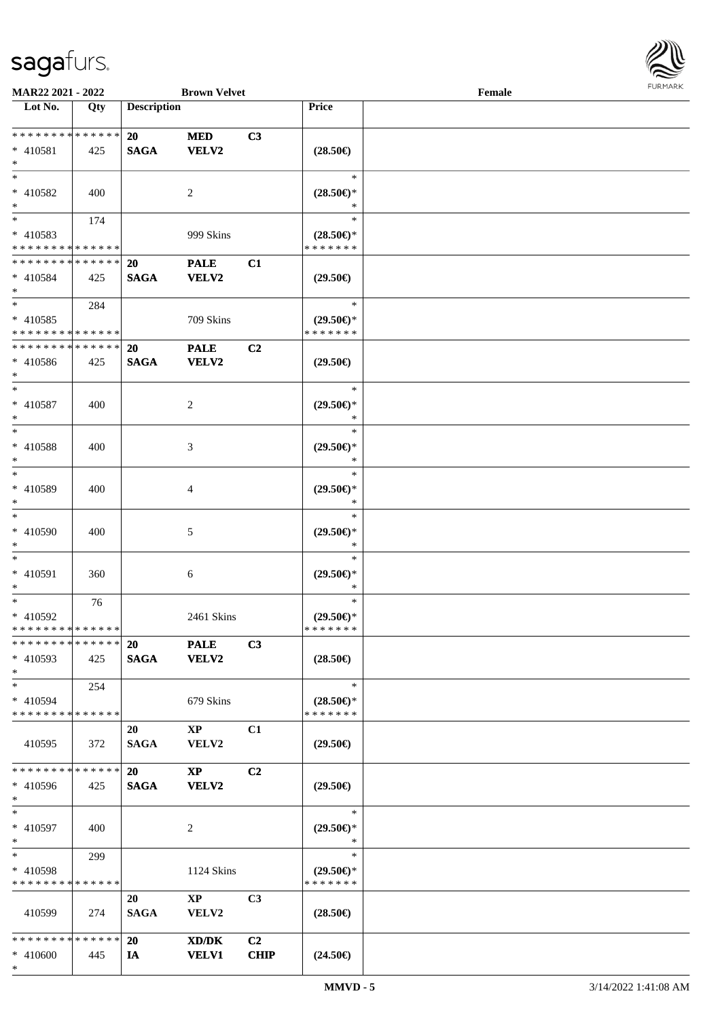

| MAR22 2021 - 2022             |     |                    | <b>Brown Velvet</b>    |                |                     | Female |  |
|-------------------------------|-----|--------------------|------------------------|----------------|---------------------|--------|--|
| Lot No.                       | Qty | <b>Description</b> |                        |                | Price               |        |  |
|                               |     |                    |                        |                |                     |        |  |
| ******** <mark>******</mark>  |     | 20                 | <b>MED</b>             | C3             |                     |        |  |
| $* 410581$                    | 425 | <b>SAGA</b>        | <b>VELV2</b>           |                | $(28.50\epsilon)$   |        |  |
| $\ast$                        |     |                    |                        |                |                     |        |  |
| $*$                           |     |                    |                        |                | $\ast$              |        |  |
| * 410582                      | 400 |                    | $\overline{2}$         |                | $(28.50\epsilon)$ * |        |  |
| $*$                           |     |                    |                        |                | *                   |        |  |
| $\ast$                        | 174 |                    |                        |                | $\ast$              |        |  |
| * 410583                      |     |                    | 999 Skins              |                | $(28.50\epsilon)$ * |        |  |
| * * * * * * * * * * * * * *   |     |                    |                        |                | * * * * * * *       |        |  |
| * * * * * * * * * * * * * *   |     | <b>20</b>          | <b>PALE</b>            | C1             |                     |        |  |
| * 410584                      | 425 | <b>SAGA</b>        | <b>VELV2</b>           |                | $(29.50\epsilon)$   |        |  |
| $*$                           |     |                    |                        |                |                     |        |  |
| $*$                           | 284 |                    |                        |                | $\ast$              |        |  |
| $* 410585$                    |     |                    | 709 Skins              |                | $(29.50\epsilon)$ * |        |  |
| * * * * * * * * * * * * * *   |     |                    |                        |                | * * * * * * *       |        |  |
| * * * * * * * * * * * * * *   |     | <b>20</b>          | <b>PALE</b>            | C2             |                     |        |  |
| $* 410586$                    | 425 | <b>SAGA</b>        | <b>VELV2</b>           |                | $(29.50\epsilon)$   |        |  |
| $*$                           |     |                    |                        |                |                     |        |  |
| $*$                           |     |                    |                        |                | $\ast$              |        |  |
| * 410587                      | 400 |                    | 2                      |                | $(29.50\epsilon)$ * |        |  |
| $\ast$                        |     |                    |                        |                | $\ast$              |        |  |
| $*$                           |     |                    |                        |                | $\ast$              |        |  |
| * 410588                      | 400 |                    | 3                      |                | $(29.50\epsilon)$ * |        |  |
| $\ast$                        |     |                    |                        |                | *                   |        |  |
| $\ast$                        |     |                    |                        |                | $\ast$              |        |  |
| $* 410589$                    | 400 |                    | 4                      |                | $(29.50\epsilon)$ * |        |  |
| $*$                           |     |                    |                        |                | *                   |        |  |
| $\ast$                        |     |                    |                        |                | $\ast$              |        |  |
| $* 410590$                    | 400 |                    | 5                      |                | $(29.50\epsilon)$ * |        |  |
| $\ast$                        |     |                    |                        |                | $\ast$              |        |  |
| $*$                           |     |                    |                        |                | $\ast$              |        |  |
| * 410591                      | 360 |                    | $6\phantom{.}6$        |                | $(29.50\epsilon)$ * |        |  |
| $\ast$                        |     |                    |                        |                | $\ast$              |        |  |
| $\ast$                        | 76  |                    |                        |                | $\ast$              |        |  |
| * 410592                      |     |                    | 2461 Skins             |                | $(29.50 \in )^*$    |        |  |
| * * * * * * * * * * * * * *   |     |                    |                        |                | * * * * * * *       |        |  |
| **************                |     | 20                 | <b>PALE</b>            | C3             |                     |        |  |
| * 410593                      | 425 | <b>SAGA</b>        | <b>VELV2</b>           |                | $(28.50\epsilon)$   |        |  |
| $*$                           |     |                    |                        |                |                     |        |  |
| $*$                           | 254 |                    |                        |                | $\ast$              |        |  |
| * 410594                      |     |                    | 679 Skins              |                | $(28.50\epsilon)$ * |        |  |
| * * * * * * * * * * * * * *   |     |                    |                        |                | * * * * * * *       |        |  |
|                               |     | 20                 | $\mathbf{X}\mathbf{P}$ | C1             |                     |        |  |
| 410595                        | 372 | <b>SAGA</b>        | VELV2                  |                | $(29.50\epsilon)$   |        |  |
|                               |     |                    |                        |                |                     |        |  |
| **************                |     | 20                 | $\mathbf{X}\mathbf{P}$ | C <sub>2</sub> |                     |        |  |
| * 410596                      | 425 | <b>SAGA</b>        | VELV2                  |                | $(29.50\epsilon)$   |        |  |
| $*$                           |     |                    |                        |                |                     |        |  |
| $*$                           |     |                    |                        |                | $\ast$              |        |  |
| * 410597                      | 400 |                    | 2                      |                | $(29.50\epsilon)$ * |        |  |
| $*$                           |     |                    |                        |                | $\ast$              |        |  |
| $*$                           | 299 |                    |                        |                | $\ast$              |        |  |
| * 410598                      |     |                    | 1124 Skins             |                | $(29.50\epsilon)$ * |        |  |
| * * * * * * * * * * * * * *   |     |                    |                        |                | * * * * * * *       |        |  |
|                               |     | 20                 | $\mathbf{XP}$          | C3             |                     |        |  |
| 410599                        | 274 | <b>SAGA</b>        | <b>VELV2</b>           |                | $(28.50\epsilon)$   |        |  |
|                               |     |                    |                        |                |                     |        |  |
| * * * * * * * * * * * * * * * |     | <b>20</b>          | XD/DK                  | C <sub>2</sub> |                     |        |  |
| * 410600                      | 445 | IA                 | <b>VELV1</b>           | <b>CHIP</b>    | $(24.50\epsilon)$   |        |  |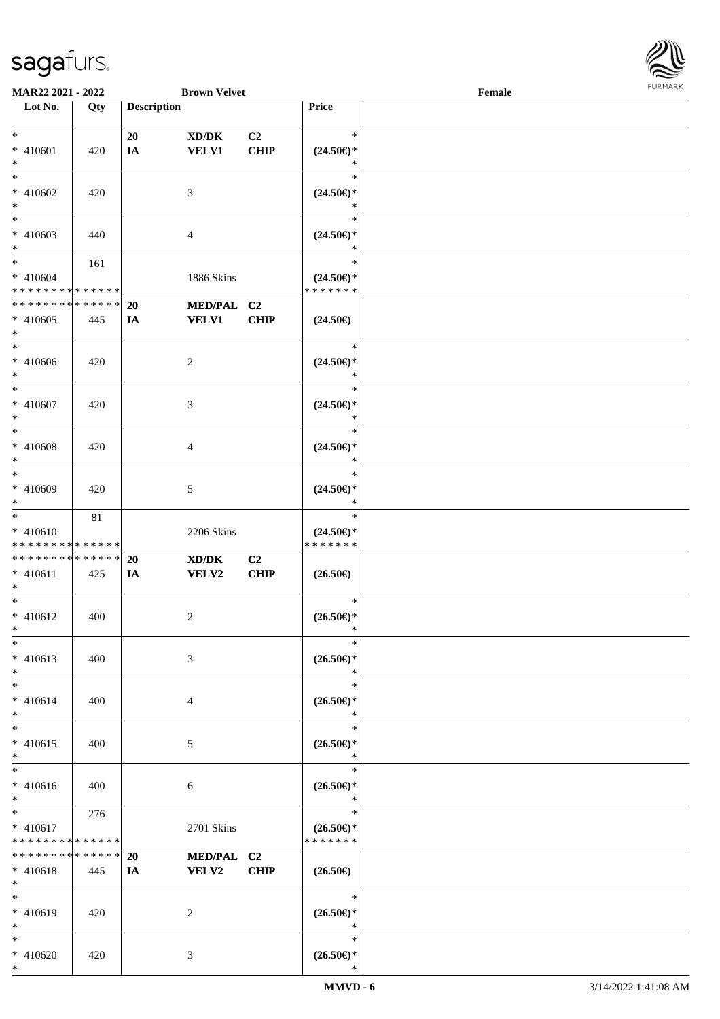

| <b>MAR22 2021 - 2022</b>                   |     |                    | <b>Brown Velvet</b>                 |                |                     | Female |  |
|--------------------------------------------|-----|--------------------|-------------------------------------|----------------|---------------------|--------|--|
| Lot No.                                    | Qty | <b>Description</b> |                                     |                | Price               |        |  |
|                                            |     |                    |                                     |                |                     |        |  |
| $*$                                        |     | 20                 | $\bold{X}\bold{D}/\bold{D}\bold{K}$ | C <sub>2</sub> | $\ast$              |        |  |
| * 410601                                   | 420 | IA                 | <b>VELV1</b>                        | <b>CHIP</b>    | $(24.50\epsilon)$ * |        |  |
| $*$                                        |     |                    |                                     |                | *                   |        |  |
| $\ast$                                     |     |                    |                                     |                | $\ast$              |        |  |
| * 410602                                   | 420 |                    | 3                                   |                | $(24.50\epsilon)$ * |        |  |
| $*$                                        |     |                    |                                     |                | *                   |        |  |
|                                            |     |                    |                                     |                | $\ast$              |        |  |
| * 410603                                   | 440 |                    | 4                                   |                | $(24.50\epsilon)$ * |        |  |
| $*$                                        |     |                    |                                     |                | *                   |        |  |
| $*$                                        | 161 |                    |                                     |                | $\ast$              |        |  |
| $* 410604$                                 |     |                    | 1886 Skins                          |                | $(24.50\epsilon)$ * |        |  |
| * * * * * * * * <mark>* * * * * * *</mark> |     |                    |                                     |                | * * * * * * *       |        |  |
| * * * * * * * * * * * * * *                |     | 20                 | MED/PAL C2                          |                |                     |        |  |
|                                            |     |                    |                                     |                |                     |        |  |
| * 410605                                   | 445 | IA                 | <b>VELV1</b>                        | <b>CHIP</b>    | $(24.50\epsilon)$   |        |  |
| $\ast$<br>$*$                              |     |                    |                                     |                |                     |        |  |
|                                            |     |                    |                                     |                | $\ast$              |        |  |
| * 410606                                   | 420 |                    | $\overline{c}$                      |                | $(24.50\epsilon)$ * |        |  |
| $*$                                        |     |                    |                                     |                | $\ast$              |        |  |
| $*$                                        |     |                    |                                     |                | $\ast$              |        |  |
| $* 410607$                                 | 420 |                    | 3                                   |                | $(24.50\epsilon)$ * |        |  |
| $\ast$                                     |     |                    |                                     |                | $\ast$              |        |  |
| $*$                                        |     |                    |                                     |                | $\ast$              |        |  |
| * 410608                                   | 420 |                    | 4                                   |                | $(24.50\epsilon)$ * |        |  |
| $*$                                        |     |                    |                                     |                | $\ast$              |        |  |
| $*$                                        |     |                    |                                     |                | $\ast$              |        |  |
| * 410609                                   | 420 |                    | 5                                   |                | $(24.50\epsilon)$ * |        |  |
| $*$                                        |     |                    |                                     |                | *                   |        |  |
| $*$                                        | 81  |                    |                                     |                | $\ast$              |        |  |
| * 410610                                   |     |                    | 2206 Skins                          |                | $(24.50\epsilon)$ * |        |  |
| * * * * * * * * <mark>* * * * * * *</mark> |     |                    |                                     |                | * * * * * * *       |        |  |
| * * * * * * * * <mark>* * * * * *</mark>   |     | 20                 | XD/DK                               | C2             |                     |        |  |
| $* 410611$                                 | 425 | IA                 | <b>VELV2</b>                        | <b>CHIP</b>    | $(26.50\epsilon)$   |        |  |
| $\ast$                                     |     |                    |                                     |                |                     |        |  |
| $*$                                        |     |                    |                                     |                | $\ast$              |        |  |
| $* 410612$                                 | 400 |                    | 2                                   |                | $(26.50\epsilon)$ * |        |  |
| $*$                                        |     |                    |                                     |                | *                   |        |  |
| $*$                                        |     |                    |                                     |                | $\ast$              |        |  |
|                                            |     |                    |                                     |                |                     |        |  |
| $* 410613$                                 | 400 |                    | 3                                   |                | $(26.50\epsilon)$ * |        |  |
| $*$                                        |     |                    |                                     |                | $\ast$              |        |  |
| $*$                                        |     |                    |                                     |                | $\ast$              |        |  |
| $* 410614$                                 | 400 |                    | 4                                   |                | $(26.50\epsilon)$ * |        |  |
| $*$                                        |     |                    |                                     |                | $\ast$              |        |  |
| $*$                                        |     |                    |                                     |                | $\ast$              |        |  |
| * 410615                                   | 400 |                    | 5                                   |                | $(26.50\epsilon)$ * |        |  |
| $*$                                        |     |                    |                                     |                | $\ast$              |        |  |
| $*$                                        |     |                    |                                     |                | $\ast$              |        |  |
| $* 410616$                                 | 400 |                    | 6                                   |                | $(26.50\epsilon)$ * |        |  |
| $*$                                        |     |                    |                                     |                | $\ast$              |        |  |
| $*$ $\qquad$                               | 276 |                    |                                     |                | $\ast$              |        |  |
| $* 410617$                                 |     |                    | 2701 Skins                          |                | $(26.50\epsilon)$ * |        |  |
| * * * * * * * * <mark>* * * * * * *</mark> |     |                    |                                     |                | * * * * * * *       |        |  |
| * * * * * * * * <mark>* * * * * *</mark>   |     | <b>20</b>          | MED/PAL C2                          |                |                     |        |  |
| $* 410618$                                 | 445 | IA                 | <b>VELV2</b>                        | <b>CHIP</b>    | $(26.50\epsilon)$   |        |  |
| $*$                                        |     |                    |                                     |                |                     |        |  |
| $*$                                        |     |                    |                                     |                | $\ast$              |        |  |
| * 410619                                   | 420 |                    | 2                                   |                | $(26.50\epsilon)$ * |        |  |
| $*$                                        |     |                    |                                     |                | $\ast$              |        |  |
| $*$                                        |     |                    |                                     |                | $\ast$              |        |  |
| * 410620                                   | 420 |                    |                                     |                | $(26.50\epsilon)$ * |        |  |
|                                            |     |                    | 3                                   |                |                     |        |  |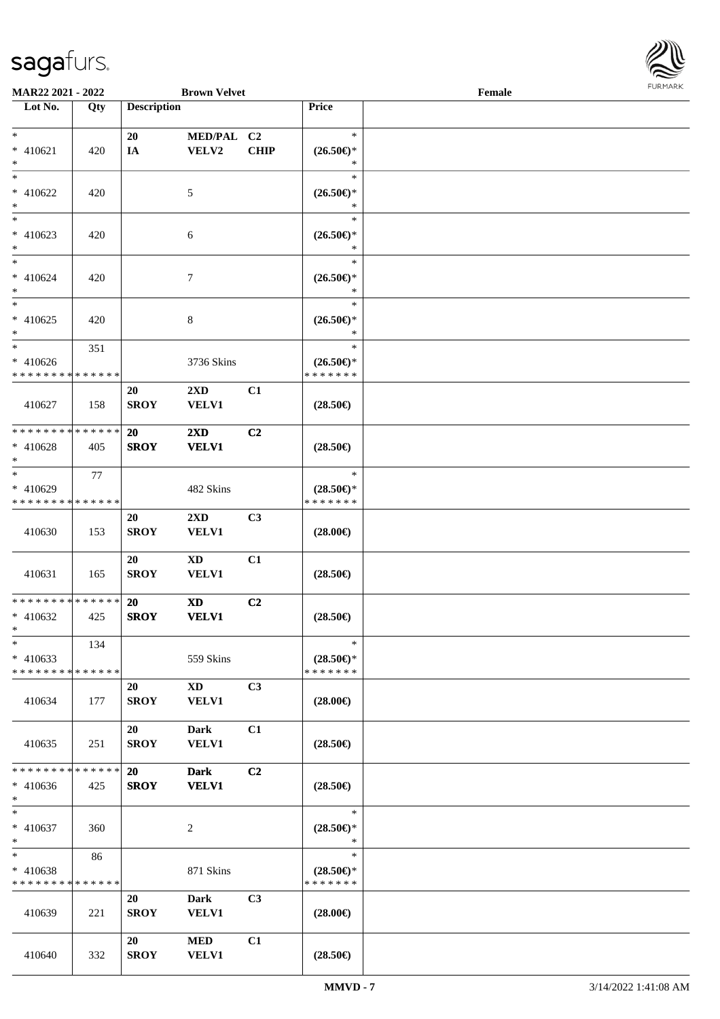

| <b>MAR22 2021 - 2022</b>                 |     |                    | <b>Brown Velvet</b>     |                |                                                              | Female |  |
|------------------------------------------|-----|--------------------|-------------------------|----------------|--------------------------------------------------------------|--------|--|
| Lot No.                                  | Qty | <b>Description</b> |                         |                | Price                                                        |        |  |
|                                          |     |                    |                         |                |                                                              |        |  |
| $*$                                      |     | 20                 | MED/PAL C2              |                | $\ast$                                                       |        |  |
| $* 410621$                               | 420 | IA                 | VELV2                   | <b>CHIP</b>    | $(26.50\epsilon)$ *                                          |        |  |
| $*$                                      |     |                    |                         |                | ∗                                                            |        |  |
| $*$                                      |     |                    |                         |                | $\ast$                                                       |        |  |
| $* 410622$                               | 420 |                    | 5                       |                | $(26.50\epsilon)$ *                                          |        |  |
| $*$                                      |     |                    |                         |                | $\ast$                                                       |        |  |
| $\overline{\phantom{0}}$                 |     |                    |                         |                | $\ast$                                                       |        |  |
| $* 410623$                               | 420 |                    | 6                       |                | $(26.50\epsilon)$ *                                          |        |  |
| $*$                                      |     |                    |                         |                | $\ast$                                                       |        |  |
| $\ast$                                   |     |                    |                         |                | $\ast$                                                       |        |  |
| * 410624                                 | 420 |                    | $\overline{7}$          |                | $(26.50\mathnormal{\in}\mathcal{)^{\! \! \times}}$<br>$\ast$ |        |  |
| $*$<br>$\ast$                            |     |                    |                         |                | $\ast$                                                       |        |  |
| $* 410625$                               | 420 |                    |                         |                | $(26.50\epsilon)$ *                                          |        |  |
| $\ast$                                   |     |                    | $8\,$                   |                | $\ast$                                                       |        |  |
| $\ast$                                   | 351 |                    |                         |                | $\ast$                                                       |        |  |
| $* 410626$                               |     |                    | 3736 Skins              |                | $(26.50\epsilon)$ *                                          |        |  |
| * * * * * * * * * * * * * *              |     |                    |                         |                | * * * * * * *                                                |        |  |
|                                          |     | 20                 | $2\mathbf{X}\mathbf{D}$ | C1             |                                                              |        |  |
| 410627                                   | 158 | <b>SROY</b>        | <b>VELV1</b>            |                | $(28.50\epsilon)$                                            |        |  |
|                                          |     |                    |                         |                |                                                              |        |  |
| * * * * * * * * * * * * * *              |     | <b>20</b>          | $2\mathbf{X}\mathbf{D}$ | C2             |                                                              |        |  |
| * 410628                                 | 405 | <b>SROY</b>        | <b>VELV1</b>            |                | $(28.50\epsilon)$                                            |        |  |
| $*$                                      |     |                    |                         |                |                                                              |        |  |
| $*$                                      | 77  |                    |                         |                | $\ast$                                                       |        |  |
| * 410629                                 |     |                    | 482 Skins               |                | $(28.50\epsilon)$ *                                          |        |  |
| * * * * * * * * * * * * * *              |     |                    |                         |                | * * * * * * *                                                |        |  |
|                                          |     | 20                 | $2\mathbf{X}\mathbf{D}$ | C <sub>3</sub> |                                                              |        |  |
| 410630                                   | 153 | <b>SROY</b>        | <b>VELV1</b>            |                | $(28.00\epsilon)$                                            |        |  |
|                                          |     |                    |                         |                |                                                              |        |  |
|                                          |     | 20                 | <b>XD</b>               | C1             |                                                              |        |  |
| 410631                                   | 165 | <b>SROY</b>        | <b>VELV1</b>            |                | $(28.50\epsilon)$                                            |        |  |
| * * * * * * * * * * * * * *              |     | 20                 | <b>XD</b>               | C2             |                                                              |        |  |
| $* 410632$                               | 425 | <b>SROY</b>        | <b>VELV1</b>            |                | $(28.50\epsilon)$                                            |        |  |
| $*$ $-$                                  |     |                    |                         |                |                                                              |        |  |
| $\ast$                                   | 134 |                    |                         |                | $\ast$                                                       |        |  |
| $* 410633$                               |     |                    | 559 Skins               |                | $(28.50\epsilon)$ *                                          |        |  |
| * * * * * * * * * * * * * *              |     |                    |                         |                | * * * * * * *                                                |        |  |
|                                          |     | 20                 | $\mathbf{X}\mathbf{D}$  | C3             |                                                              |        |  |
| 410634                                   | 177 | <b>SROY</b>        | <b>VELV1</b>            |                | $(28.00\epsilon)$                                            |        |  |
|                                          |     |                    |                         |                |                                                              |        |  |
|                                          |     | 20                 | Dark                    | C1             |                                                              |        |  |
| 410635                                   | 251 | <b>SROY</b>        | <b>VELV1</b>            |                | $(28.50\epsilon)$                                            |        |  |
|                                          |     |                    |                         |                |                                                              |        |  |
| * * * * * * * * <mark>* * * * * *</mark> |     | 20                 | <b>Dark</b>             | C2             |                                                              |        |  |
| $* 410636$                               | 425 | <b>SROY</b>        | <b>VELV1</b>            |                | $(28.50\epsilon)$                                            |        |  |
| $*$                                      |     |                    |                         |                |                                                              |        |  |
| $*$                                      |     |                    |                         |                | $\ast$                                                       |        |  |
| * 410637<br>$\ast$                       | 360 |                    | 2                       |                | $(28.50\epsilon)$ *<br>$\ast$                                |        |  |
| $*$ $-$                                  | 86  |                    |                         |                | $\ast$                                                       |        |  |
| * 410638                                 |     |                    | 871 Skins               |                | $(28.50\epsilon)$ *                                          |        |  |
| * * * * * * * * * * * * * *              |     |                    |                         |                | * * * * * * *                                                |        |  |
|                                          |     | 20                 | Dark                    | C3             |                                                              |        |  |
| 410639                                   | 221 | <b>SROY</b>        | <b>VELV1</b>            |                | $(28.00\epsilon)$                                            |        |  |
|                                          |     |                    |                         |                |                                                              |        |  |
|                                          |     | 20                 | <b>MED</b>              | C1             |                                                              |        |  |
| 410640                                   | 332 | <b>SROY</b>        | <b>VELV1</b>            |                | $(28.50\epsilon)$                                            |        |  |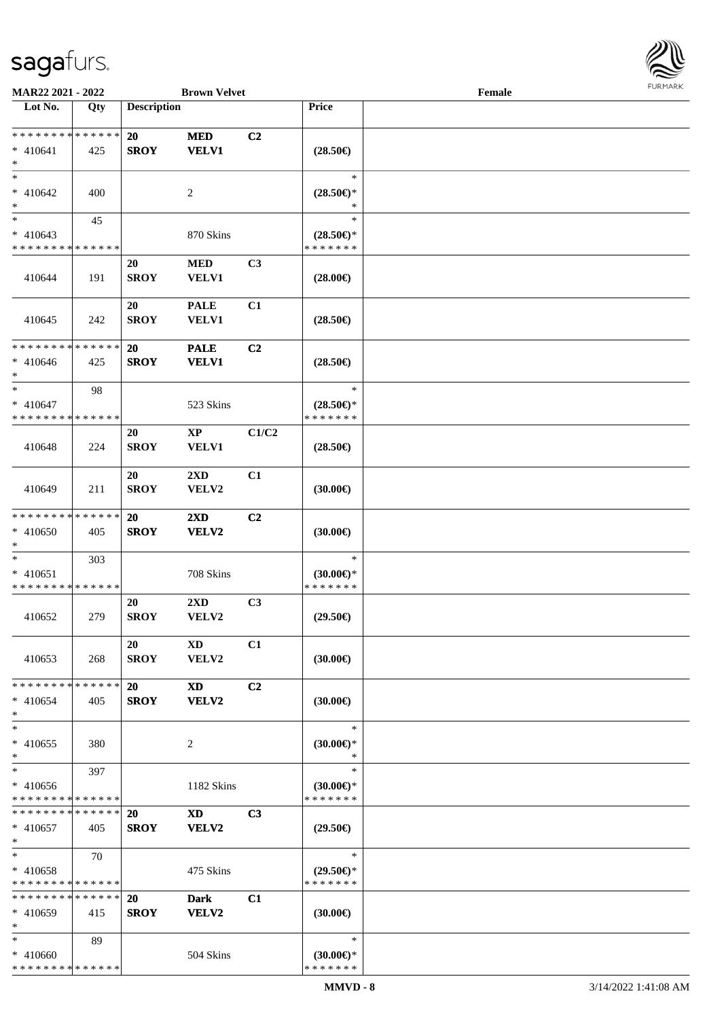

| MAR22 2021 - 2022                         |     |                    | <b>Brown Velvet</b>     |                |                                      | Female |  |
|-------------------------------------------|-----|--------------------|-------------------------|----------------|--------------------------------------|--------|--|
| Lot No.                                   | Qty | <b>Description</b> |                         |                | Price                                |        |  |
|                                           |     |                    |                         |                |                                      |        |  |
| ******** <mark>******</mark>              |     | 20                 | <b>MED</b>              | C2             |                                      |        |  |
| $* 410641$                                | 425 | <b>SROY</b>        | <b>VELV1</b>            |                | $(28.50\epsilon)$                    |        |  |
| $*$                                       |     |                    |                         |                |                                      |        |  |
| $*$                                       |     |                    |                         |                | $\ast$                               |        |  |
| $* 410642$                                | 400 |                    | 2                       |                | $(28.50\epsilon)$ *                  |        |  |
| $\ast$                                    |     |                    |                         |                | ∗                                    |        |  |
| $\ast$                                    |     |                    |                         |                | $\ast$                               |        |  |
|                                           | 45  |                    |                         |                |                                      |        |  |
| $* 410643$<br>* * * * * * * * * * * * * * |     |                    | 870 Skins               |                | $(28.50\epsilon)$ *<br>* * * * * * * |        |  |
|                                           |     |                    |                         |                |                                      |        |  |
|                                           |     | 20                 | $\bf MED$               | C <sub>3</sub> |                                      |        |  |
| 410644                                    | 191 | <b>SROY</b>        | VELV1                   |                | $(28.00\epsilon)$                    |        |  |
|                                           |     |                    |                         |                |                                      |        |  |
|                                           |     | 20                 | <b>PALE</b>             | C1             |                                      |        |  |
| 410645                                    | 242 | <b>SROY</b>        | <b>VELV1</b>            |                | $(28.50\epsilon)$                    |        |  |
|                                           |     |                    |                         |                |                                      |        |  |
| * * * * * * * * * * * * * *               |     | 20                 | <b>PALE</b>             | C2             |                                      |        |  |
| $* 410646$                                | 425 | <b>SROY</b>        | <b>VELV1</b>            |                | $(28.50\epsilon)$                    |        |  |
| $*$                                       |     |                    |                         |                |                                      |        |  |
| $*$                                       | 98  |                    |                         |                | $\ast$                               |        |  |
| $* 410647$                                |     |                    | 523 Skins               |                | $(28.50\epsilon)$ *                  |        |  |
| * * * * * * * * * * * * * *               |     |                    |                         |                | * * * * * * *                        |        |  |
|                                           |     |                    |                         | C1/C2          |                                      |        |  |
|                                           |     | 20                 | $\mathbf{X}\mathbf{P}$  |                |                                      |        |  |
| 410648                                    | 224 | <b>SROY</b>        | <b>VELV1</b>            |                | $(28.50\epsilon)$                    |        |  |
|                                           |     |                    |                         |                |                                      |        |  |
|                                           |     | 20                 | $2\mathbf{X}\mathbf{D}$ | C1             |                                      |        |  |
| 410649                                    | 211 | <b>SROY</b>        | VELV2                   |                | (30.00)                              |        |  |
|                                           |     |                    |                         |                |                                      |        |  |
| * * * * * * * * * * * * * *               |     | 20                 | 2XD                     | C2             |                                      |        |  |
| $* 410650$                                | 405 | <b>SROY</b>        | VELV2                   |                | (30.00)                              |        |  |
| $*$                                       |     |                    |                         |                |                                      |        |  |
| $*$                                       | 303 |                    |                         |                | $\ast$                               |        |  |
| * 410651                                  |     |                    | 708 Skins               |                | $(30.00€)$ *                         |        |  |
| * * * * * * * * * * * * * *               |     |                    |                         |                | * * * * * * *                        |        |  |
|                                           |     | 20                 | 2XD                     | C3             |                                      |        |  |
| 410652                                    | 279 | <b>SROY</b>        | VELV2                   |                | $(29.50\epsilon)$                    |        |  |
|                                           |     |                    |                         |                |                                      |        |  |
|                                           |     |                    |                         |                |                                      |        |  |
|                                           |     | 20                 | <b>XD</b>               | C1             |                                      |        |  |
| 410653                                    | 268 | <b>SROY</b>        | VELV2                   |                | $(30.00\epsilon)$                    |        |  |
|                                           |     |                    |                         |                |                                      |        |  |
| * * * * * * * * * * * * * *               |     | <b>20</b>          | <b>XD</b>               | C2             |                                      |        |  |
| $* 410654$                                | 405 | <b>SROY</b>        | VELV2                   |                | $(30.00\epsilon)$                    |        |  |
| $*$                                       |     |                    |                         |                |                                      |        |  |
| $*$                                       |     |                    |                         |                | $\ast$                               |        |  |
| $* 410655$                                | 380 |                    | 2                       |                | $(30.00\epsilon)$ *                  |        |  |
| $*$                                       |     |                    |                         |                | $\ast$                               |        |  |
| $*$                                       | 397 |                    |                         |                | $\ast$                               |        |  |
| $* 410656$                                |     |                    | 1182 Skins              |                | $(30.00€)$ *                         |        |  |
| * * * * * * * * * * * * * *               |     |                    |                         |                | * * * * * * *                        |        |  |
| * * * * * * * * * * * * * *               |     | 20                 | $\mathbf{X}\mathbf{D}$  | C <sub>3</sub> |                                      |        |  |
| $* 410657$                                | 405 | <b>SROY</b>        | VELV2                   |                | $(29.50\epsilon)$                    |        |  |
| $*$                                       |     |                    |                         |                |                                      |        |  |
| $*$                                       | 70  |                    |                         |                | $\ast$                               |        |  |
|                                           |     |                    |                         |                |                                      |        |  |
| * 410658                                  |     |                    | 475 Skins               |                | $(29.50 \in \mathcal{F})$            |        |  |
| * * * * * * * * * * * * * *               |     |                    |                         |                | * * * * * * *                        |        |  |
| * * * * * * * * * * * * * *               |     | 20                 | <b>Dark</b>             | C1             |                                      |        |  |
| $* 410659$                                | 415 | <b>SROY</b>        | <b>VELV2</b>            |                | $(30.00\epsilon)$                    |        |  |
| $*$                                       |     |                    |                         |                |                                      |        |  |
| $*$                                       | 89  |                    |                         |                | $\ast$                               |        |  |
| * 410660                                  |     |                    | 504 Skins               |                | $(30.00€)$ *                         |        |  |
| * * * * * * * * * * * * * *               |     |                    |                         |                | * * * * * * *                        |        |  |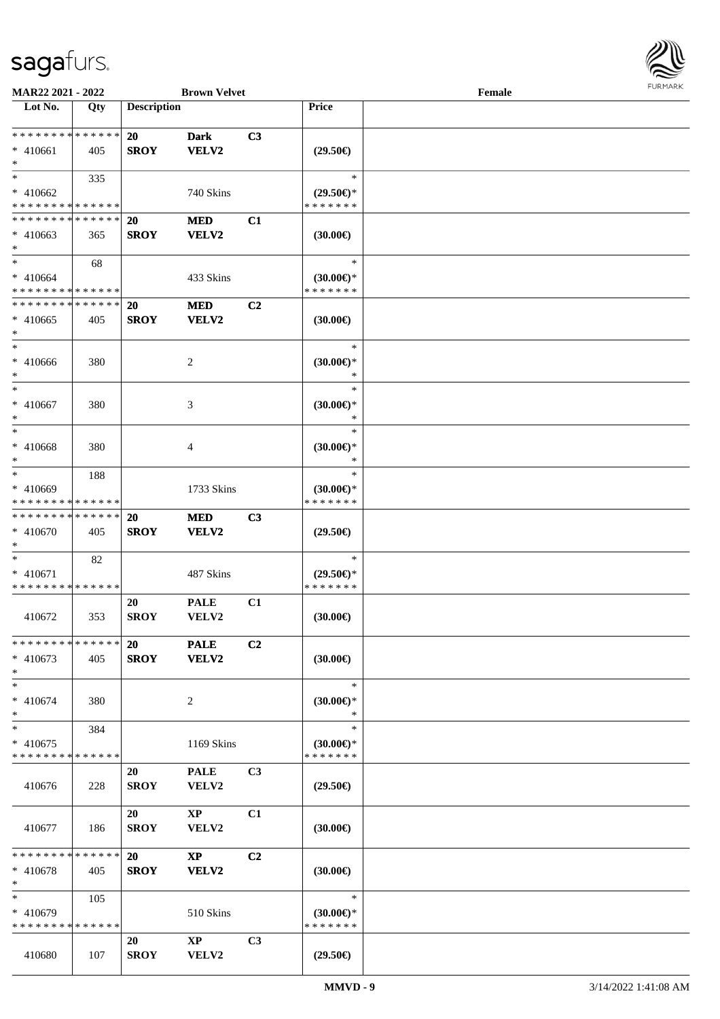

| MAR22 2021 - 2022                         |     |                    | <b>Brown Velvet</b>    |                |                          | Female |  |
|-------------------------------------------|-----|--------------------|------------------------|----------------|--------------------------|--------|--|
| Lot No.                                   | Qty | <b>Description</b> |                        |                | Price                    |        |  |
|                                           |     |                    |                        |                |                          |        |  |
| * * * * * * * * * * * * * *               |     | <b>20</b>          | <b>Dark</b>            | C3             |                          |        |  |
| $* 410661$                                | 405 | <b>SROY</b>        | VELV2                  |                | $(29.50\epsilon)$        |        |  |
| $*$                                       |     |                    |                        |                |                          |        |  |
| $*$                                       | 335 |                    |                        |                | $\ast$                   |        |  |
| * 410662                                  |     |                    | 740 Skins              |                | $(29.50\epsilon)$ *      |        |  |
| * * * * * * * * * * * * * *               |     |                    |                        |                | * * * * * * *            |        |  |
| * * * * * * * * * * * * * *               |     | <b>20</b>          | <b>MED</b>             | C1             |                          |        |  |
| $* 410663$                                | 365 | <b>SROY</b>        | VELV2                  |                | $(30.00\epsilon)$        |        |  |
| $*$                                       |     |                    |                        |                |                          |        |  |
| $*$                                       | 68  |                    |                        |                | $\ast$                   |        |  |
| $* 410664$                                |     |                    | 433 Skins              |                | $(30.00\epsilon)$ *      |        |  |
| * * * * * * * * * * * * * *               |     |                    |                        |                | * * * * * * *            |        |  |
| * * * * * * * * * * * * * *               |     | 20                 | <b>MED</b>             | C <sub>2</sub> |                          |        |  |
| $* 410665$                                | 405 | <b>SROY</b>        | VELV2                  |                | $(30.00\epsilon)$        |        |  |
| $\ast$                                    |     |                    |                        |                |                          |        |  |
| $*$                                       |     |                    |                        |                | $\ast$                   |        |  |
| $* 410666$                                | 380 |                    | 2                      |                | $(30.00\varepsilon)$ *   |        |  |
| $*$                                       |     |                    |                        |                | $\ast$                   |        |  |
| $*$                                       |     |                    |                        |                | ∗                        |        |  |
| $* 410667$                                | 380 |                    | 3                      |                | $(30.00\epsilon)$ *      |        |  |
| $*$                                       |     |                    |                        |                | $\ast$                   |        |  |
| $*$                                       |     |                    |                        |                | $\ast$                   |        |  |
| $* 410668$                                | 380 |                    | 4                      |                | $(30.00€)$ *             |        |  |
| $*$                                       |     |                    |                        |                | ∗                        |        |  |
| $*$                                       | 188 |                    |                        |                | $\ast$                   |        |  |
| * 410669                                  |     |                    | 1733 Skins             |                | $(30.00\epsilon)$ *      |        |  |
| * * * * * * * * * * * * * *               |     |                    |                        |                | * * * * * * *            |        |  |
| * * * * * * * * * * * * * *               |     | <b>20</b>          | <b>MED</b>             | C3             |                          |        |  |
| * 410670                                  | 405 | <b>SROY</b>        | VELV2                  |                | $(29.50\epsilon)$        |        |  |
| $*$                                       |     |                    |                        |                |                          |        |  |
| $*$                                       | 82  |                    |                        |                | $\ast$                   |        |  |
| * 410671                                  |     |                    | 487 Skins              |                | $(29.50\epsilon)$ *      |        |  |
| * * * * * * * * * * * * * *               |     |                    |                        |                | * * * * * * *            |        |  |
|                                           |     | 20                 | <b>PALE</b>            | C1             |                          |        |  |
| 410672                                    | 353 | <b>SROY</b>        | VELV2                  |                | (30.00)                  |        |  |
|                                           |     |                    |                        |                |                          |        |  |
| * * * * * * * * * * * * * *               |     | <b>20</b>          | <b>PALE</b>            | C <sub>2</sub> |                          |        |  |
| $* 410673$                                | 405 | <b>SROY</b>        | VELV2                  |                | $(30.00\epsilon)$        |        |  |
| $*$                                       |     |                    |                        |                |                          |        |  |
| $*$                                       |     |                    |                        |                | $\ast$                   |        |  |
| $* 410674$                                | 380 |                    | 2                      |                | $(30.00€)$ <sup>*</sup>  |        |  |
| $*$                                       |     |                    |                        |                | $\ast$<br>$\ast$         |        |  |
| $*$                                       | 384 |                    |                        |                |                          |        |  |
| $* 410675$<br>* * * * * * * * * * * * * * |     |                    | 1169 Skins             |                | (30.00)<br>* * * * * * * |        |  |
|                                           |     |                    |                        |                |                          |        |  |
|                                           |     | 20                 | <b>PALE</b>            | C <sub>3</sub> |                          |        |  |
| 410676                                    | 228 | <b>SROY</b>        | VELV2                  |                | $(29.50\epsilon)$        |        |  |
|                                           |     |                    |                        |                |                          |        |  |
|                                           |     | 20                 | $\mathbf{X}\mathbf{P}$ | C1             |                          |        |  |
| 410677                                    | 186 | <b>SROY</b>        | VELV2                  |                | $(30.00\epsilon)$        |        |  |
| * * * * * * * * * * * * * * *             |     | <b>20</b>          | $\mathbf{X}\mathbf{P}$ | C2             |                          |        |  |
|                                           |     |                    |                        |                |                          |        |  |
| * 410678<br>$*$                           | 405 | <b>SROY</b>        | VELV2                  |                | $(30.00\epsilon)$        |        |  |
| $*$                                       | 105 |                    |                        |                | $\ast$                   |        |  |
| $* 410679$                                |     |                    | 510 Skins              |                | $(30.00€)$ *             |        |  |
| * * * * * * * * * * * * * *               |     |                    |                        |                | * * * * * * *            |        |  |
|                                           |     | 20                 | $\mathbf{X}\mathbf{P}$ | C3             |                          |        |  |
| 410680                                    | 107 | <b>SROY</b>        | VELV2                  |                | $(29.50\epsilon)$        |        |  |
|                                           |     |                    |                        |                |                          |        |  |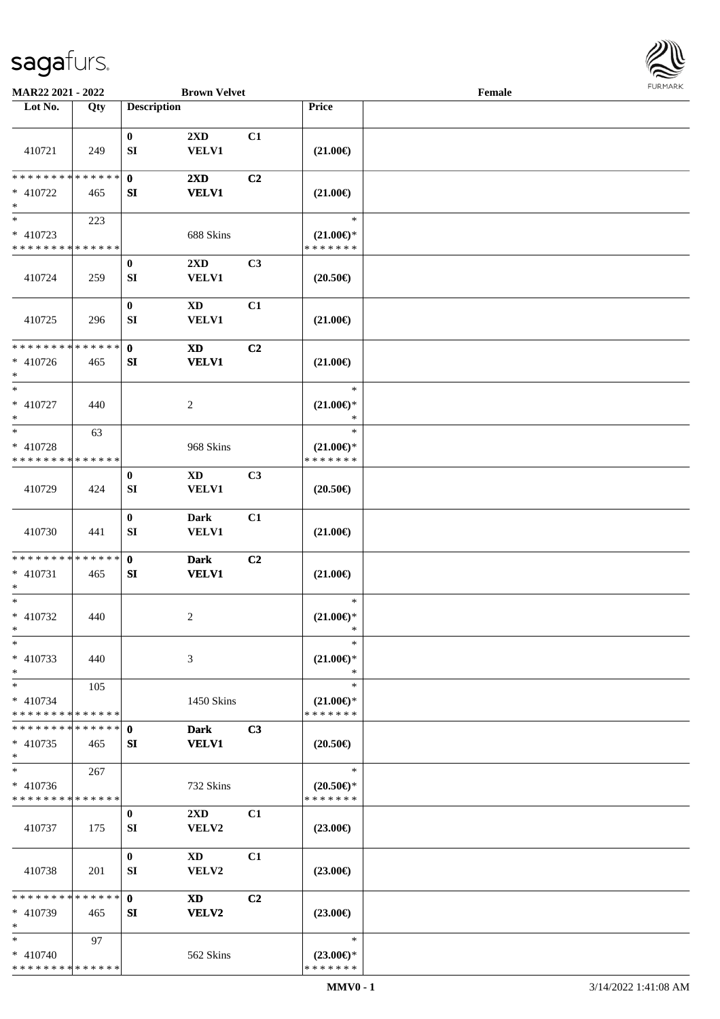

| MAR22 2021 - 2022                                                     |     |                    | <b>Brown Velvet</b>                     |                |                                                | Female |  |
|-----------------------------------------------------------------------|-----|--------------------|-----------------------------------------|----------------|------------------------------------------------|--------|--|
| Lot No.                                                               | Qty | <b>Description</b> |                                         |                | Price                                          |        |  |
| 410721                                                                | 249 | $\bf{0}$<br>SI     | $2\mathbf{X}\mathbf{D}$<br><b>VELV1</b> | C1             | $(21.00\epsilon)$                              |        |  |
| * * * * * * * * * * * * * *<br>$* 410722$<br>$\ast$                   | 465 | $\mathbf 0$<br>SI  | $2\mathbf{X}\mathbf{D}$<br><b>VELV1</b> | C <sub>2</sub> | $(21.00\epsilon)$                              |        |  |
| $\overline{\phantom{1}}$<br>$* 410723$<br>* * * * * * * * * * * * * * | 223 |                    | 688 Skins                               |                | $\ast$<br>$(21.00\epsilon)$ *<br>* * * * * * * |        |  |
| 410724                                                                | 259 | $\bf{0}$<br>SI     | 2XD<br><b>VELV1</b>                     | C3             | $(20.50\epsilon)$                              |        |  |
| 410725                                                                | 296 | $\bf{0}$<br>SI     | <b>XD</b><br><b>VELV1</b>               | C1             | $(21.00\epsilon)$                              |        |  |
| * * * * * * * * * * * * * *<br>$* 410726$<br>$\ast$                   | 465 | $\mathbf 0$<br>SI  | <b>XD</b><br><b>VELV1</b>               | C <sub>2</sub> | $(21.00\epsilon)$                              |        |  |
| $\ast$<br>$* 410727$<br>$\ast$                                        | 440 |                    | $\overline{c}$                          |                | $\ast$<br>$(21.00\epsilon)$ *<br>$\ast$        |        |  |
| $\ast$<br>* 410728<br>* * * * * * * * * * * * * *                     | 63  |                    | 968 Skins                               |                | $\ast$<br>$(21.00\epsilon)$ *<br>* * * * * * * |        |  |
| 410729                                                                | 424 | $\bf{0}$<br>SI     | <b>XD</b><br><b>VELV1</b>               | C <sub>3</sub> | $(20.50\epsilon)$                              |        |  |
| 410730                                                                | 441 | $\bf{0}$<br>SI     | <b>Dark</b><br><b>VELV1</b>             | C1             | $(21.00\epsilon)$                              |        |  |
| * * * * * * * * * * * * * *<br>$* 410731$<br>$\ast$                   | 465 | $\mathbf{0}$<br>SI | <b>Dark</b><br><b>VELV1</b>             | C2             | $(21.00\in)$                                   |        |  |
| $\ast$<br>$* 410732$<br>$*$                                           | 440 |                    | $\overline{c}$                          |                | $\ast$<br>$(21.00\mathbb{E})^*$<br>$\ast$      |        |  |
| $\ast$<br>$* 410733$<br>$\ast$                                        | 440 |                    | 3                                       |                | $\ast$<br>$(21.00\epsilon)$ *<br>$\ast$        |        |  |
| $\ast$<br>$* 410734$<br>* * * * * * * * * * * * * *                   | 105 |                    | 1450 Skins                              |                | $\ast$<br>$(21.00\epsilon)$ *<br>* * * * * * * |        |  |
| * * * * * * * * * * * * * *<br>$* 410735$<br>$\ast$                   | 465 | $\mathbf{0}$<br>SI | <b>Dark</b><br><b>VELV1</b>             | C3             | $(20.50\epsilon)$                              |        |  |
| $\ast$<br>* 410736<br>* * * * * * * * * * * * * *                     | 267 |                    | 732 Skins                               |                | $\ast$<br>$(20.50\epsilon)$ *<br>* * * * * * * |        |  |
| 410737                                                                | 175 | $\bf{0}$<br>SI     | $2\mathbf{X}\mathbf{D}$<br>VELV2        | C1             | $(23.00\epsilon)$                              |        |  |
| 410738                                                                | 201 | $\bf{0}$<br>SI     | XD<br>VELV2                             | C1             | $(23.00\epsilon)$                              |        |  |
| * * * * * * * * * * * * * *<br>$* 410739$<br>$\ast$                   | 465 | $\mathbf{0}$<br>SI | <b>XD</b><br><b>VELV2</b>               | C <sub>2</sub> | $(23.00\epsilon)$                              |        |  |
| $*$<br>$* 410740$<br>* * * * * * * * * * * * * *                      | 97  |                    | 562 Skins                               |                | $\ast$<br>$(23.00\epsilon)$ *<br>* * * * * * * |        |  |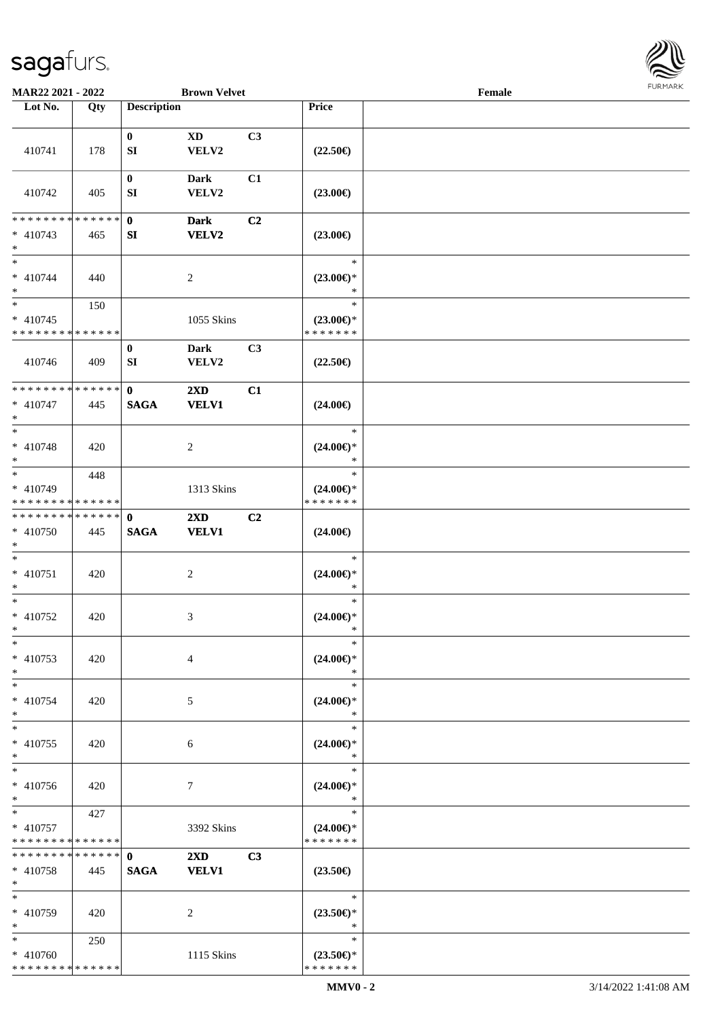

| MAR22 2021 - 2022                                                     |     |                                | <b>Brown Velvet</b>                     |                |                                                | Female |  |
|-----------------------------------------------------------------------|-----|--------------------------------|-----------------------------------------|----------------|------------------------------------------------|--------|--|
| Lot No.                                                               | Qty | <b>Description</b>             |                                         |                | Price                                          |        |  |
| 410741                                                                | 178 | $\bf{0}$<br>SI                 | <b>XD</b><br>VELV2                      | C3             | $(22.50\epsilon)$                              |        |  |
| 410742                                                                | 405 | $\bf{0}$<br>SI                 | <b>Dark</b><br>VELV2                    | C1             | $(23.00\epsilon)$                              |        |  |
| * * * * * * * * * * * * * *<br>$* 410743$<br>$\ast$                   | 465 | $\mathbf 0$<br>SI              | <b>Dark</b><br>VELV2                    | C <sub>2</sub> | $(23.00\epsilon)$                              |        |  |
| $\overline{\phantom{a}^*}$<br>$* 410744$<br>$\ast$                    | 440 |                                | $\sqrt{2}$                              |                | $\ast$<br>$(23.00\epsilon)$ *<br>$\ast$        |        |  |
| $\ast$<br>$* 410745$<br>* * * * * * * * * * * * * *                   | 150 |                                | 1055 Skins                              |                | $\ast$<br>$(23.00\epsilon)$ *<br>* * * * * * * |        |  |
| 410746                                                                | 409 | $\bf{0}$<br>SI                 | <b>Dark</b><br>VELV2                    | C3             | $(22.50\epsilon)$                              |        |  |
| **************<br>$* 410747$<br>$\ast$                                | 445 | $\mathbf{0}$<br><b>SAGA</b>    | 2XD<br><b>VELV1</b>                     | C1             | $(24.00\epsilon)$                              |        |  |
| $\ast$<br>$* 410748$<br>$\ast$                                        | 420 |                                | $\sqrt{2}$                              |                | $\ast$<br>$(24.00\epsilon)$ *<br>$\ast$        |        |  |
| $\overline{\phantom{a}^*}$<br>* 410749<br>* * * * * * * * * * * * * * | 448 |                                | 1313 Skins                              |                | $\ast$<br>$(24.00\epsilon)$ *<br>* * * * * * * |        |  |
| **************<br>* 410750<br>$\ast$                                  | 445 | $\mathbf 0$<br>$\mathbf{SAGA}$ | 2XD<br><b>VELV1</b>                     | C2             | $(24.00\epsilon)$                              |        |  |
| $\ast$<br>$* 410751$<br>$\ast$                                        | 420 |                                | $\sqrt{2}$                              |                | $\ast$<br>$(24.00\epsilon)$ *<br>$\ast$        |        |  |
| $\ast$<br>$* 410752$<br>$*$                                           | 420 |                                | 3                                       |                | $\ast$<br>$(24.00\mathsf{E})^*$<br>$\ast$      |        |  |
| $\ast$<br>$* 410753$<br>$*$                                           | 420 |                                | $\overline{4}$                          |                | $\ast$<br>$(24.00\epsilon)$ *<br>$\ast$        |        |  |
| $*$<br>$* 410754$<br>$\ast$                                           | 420 |                                | 5                                       |                | $\ast$<br>$(24.00\epsilon)$ *<br>$\ast$        |        |  |
| $\ast$<br>$* 410755$<br>$\ast$                                        | 420 |                                | 6                                       |                | $\ast$<br>$(24.00\epsilon)$ *<br>*             |        |  |
| $\ast$<br>$* 410756$<br>$*$                                           | 420 |                                | 7                                       |                | $\ast$<br>$(24.00\epsilon)$ *<br>$\ast$        |        |  |
| $*$<br>$* 410757$<br>* * * * * * * * * * * * * *                      | 427 |                                | 3392 Skins                              |                | $\ast$<br>$(24.00\epsilon)$ *<br>* * * * * * * |        |  |
| * * * * * * * * * * * * * *<br>$* 410758$<br>$*$                      | 445 | $\mathbf{0}$<br><b>SAGA</b>    | $2\mathbf{X}\mathbf{D}$<br><b>VELV1</b> | C <sub>3</sub> | $(23.50\epsilon)$                              |        |  |
| $\ast$<br>* 410759<br>$*$                                             | 420 |                                | 2                                       |                | $\ast$<br>$(23.50\epsilon)$ *<br>$\ast$        |        |  |
| $*$<br>$* 410760$<br>* * * * * * * * * * * * * *                      | 250 |                                | 1115 Skins                              |                | $\ast$<br>$(23.50\epsilon)$ *<br>* * * * * * * |        |  |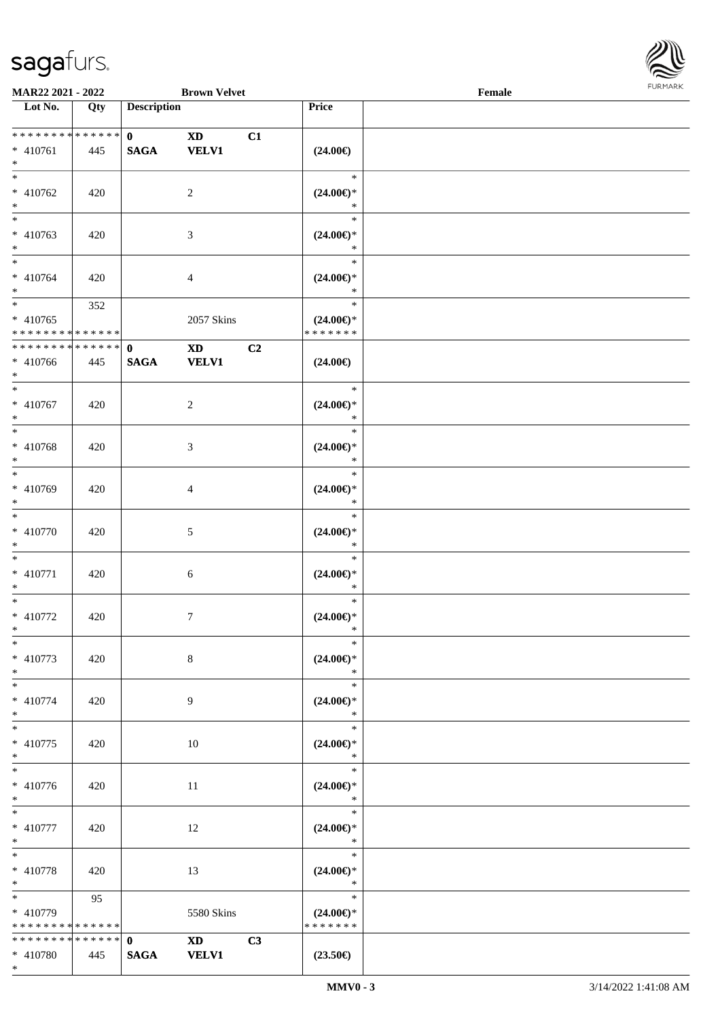

| MAR22 2021 - 2022                                 |                   |                             | <b>Brown Velvet</b>                                                                                                                                                                                                                            |    |                                                | Female |  |
|---------------------------------------------------|-------------------|-----------------------------|------------------------------------------------------------------------------------------------------------------------------------------------------------------------------------------------------------------------------------------------|----|------------------------------------------------|--------|--|
| Lot No.                                           | $\overline{Q}$ ty | <b>Description</b>          |                                                                                                                                                                                                                                                |    | Price                                          |        |  |
| ******** <mark>******</mark><br>* 410761<br>$*$   | 445               | $\mathbf{0}$<br><b>SAGA</b> | <b>XD</b><br><b>VELV1</b>                                                                                                                                                                                                                      | C1 | $(24.00\epsilon)$                              |        |  |
| $*$<br>$* 410762$<br>$\ast$                       | 420               |                             | $\overline{2}$                                                                                                                                                                                                                                 |    | $\ast$<br>$(24.00\epsilon)$ *<br>$\ast$        |        |  |
| $\overline{\phantom{0}}$<br>* 410763<br>$*$       | 420               |                             | $\mathfrak{Z}$                                                                                                                                                                                                                                 |    | $\ast$<br>$(24.00\epsilon)$ *<br>$\ast$        |        |  |
| $* 410764$<br>$*$                                 | 420               |                             | 4                                                                                                                                                                                                                                              |    | $\ast$<br>$(24.00\epsilon)$ *<br>$\ast$        |        |  |
| $*$<br>$* 410765$<br>* * * * * * * * * * * * * *  | 352               |                             | 2057 Skins                                                                                                                                                                                                                                     |    | $\ast$<br>$(24.00\epsilon)$ *<br>* * * * * * * |        |  |
| * * * * * * * * * * * * * *<br>$* 410766$<br>$*$  | 445               | $\mathbf 0$<br><b>SAGA</b>  | $\mathbf{X}\mathbf{D}$<br><b>VELV1</b>                                                                                                                                                                                                         | C2 | $(24.00\epsilon)$                              |        |  |
| $*$<br>$* 410767$<br>$*$                          | 420               |                             | $\overline{c}$                                                                                                                                                                                                                                 |    | $\ast$<br>$(24.00\epsilon)$ *<br>$\ast$        |        |  |
| $*$<br>* 410768<br>$*$                            | 420               |                             | $\mathfrak{Z}$                                                                                                                                                                                                                                 |    | $\ast$<br>$(24.00\epsilon)$ *<br>$\ast$        |        |  |
| $*$<br>* 410769<br>$*$                            | 420               |                             | 4                                                                                                                                                                                                                                              |    | $\ast$<br>$(24.00\epsilon)$ *<br>$\ast$        |        |  |
| $*$<br>$* 410770$<br>$*$                          | 420               |                             | $\mathfrak{S}$                                                                                                                                                                                                                                 |    | $\ast$<br>$(24.00\epsilon)$ *<br>$\ast$        |        |  |
| $*$<br>$* 410771$<br>$*$                          | 420               |                             | 6                                                                                                                                                                                                                                              |    | $\ast$<br>$(24.00\epsilon)$ *<br>$\ast$        |        |  |
| $*$<br>$* 410772$<br>$*$                          | 420               |                             | $\tau$                                                                                                                                                                                                                                         |    | $\ast$<br>$(24.00\epsilon)$ *<br>$\ast$        |        |  |
| $*$<br>$* 410773$<br>$*$                          | 420               |                             | 8                                                                                                                                                                                                                                              |    | $\ast$<br>$(24.00\epsilon)$ *<br>$\ast$        |        |  |
| $*$<br>$* 410774$<br>$*$                          | 420               |                             | 9                                                                                                                                                                                                                                              |    | $\ast$<br>$(24.00\epsilon)$ *<br>$\ast$        |        |  |
| $*$<br>$* 410775$<br>$*$                          | 420               |                             | 10                                                                                                                                                                                                                                             |    | $\ast$<br>$(24.00\epsilon)$ *<br>$\ast$        |        |  |
| $\overline{\phantom{0}}$<br>$* 410776$<br>$*$ $*$ | 420               |                             | 11                                                                                                                                                                                                                                             |    | $\ast$<br>$(24.00\epsilon)$ *<br>$\ast$        |        |  |
| $*$ and $*$<br>$* 410777$<br>$*$                  | 420               |                             | 12                                                                                                                                                                                                                                             |    | $\ast$<br>$(24.00\epsilon)$ *<br>$\ast$        |        |  |
| $*$<br>$* 410778$<br>$*$                          | 420               |                             | 13                                                                                                                                                                                                                                             |    | $\ast$<br>$(24.00\epsilon)$ *<br>$\ast$        |        |  |
| $*$ and $*$<br>* 410779<br>* * * * * * * *        | 95<br>* * * * * * |                             | 5580 Skins                                                                                                                                                                                                                                     |    | $\ast$<br>$(24.00\epsilon)$ *<br>* * * * * * * |        |  |
| * * * * * * * * * * * * * * *<br>* 410780         | 445               | $\mathbf 0$<br><b>SAGA</b>  | XD and the set of the set of the set of the set of the set of the set of the set of the set of the set of the set of the set of the set of the set of the set of the set of the set of the set of the set of the set of the se<br><b>VELV1</b> | C3 | $(23.50\epsilon)$                              |        |  |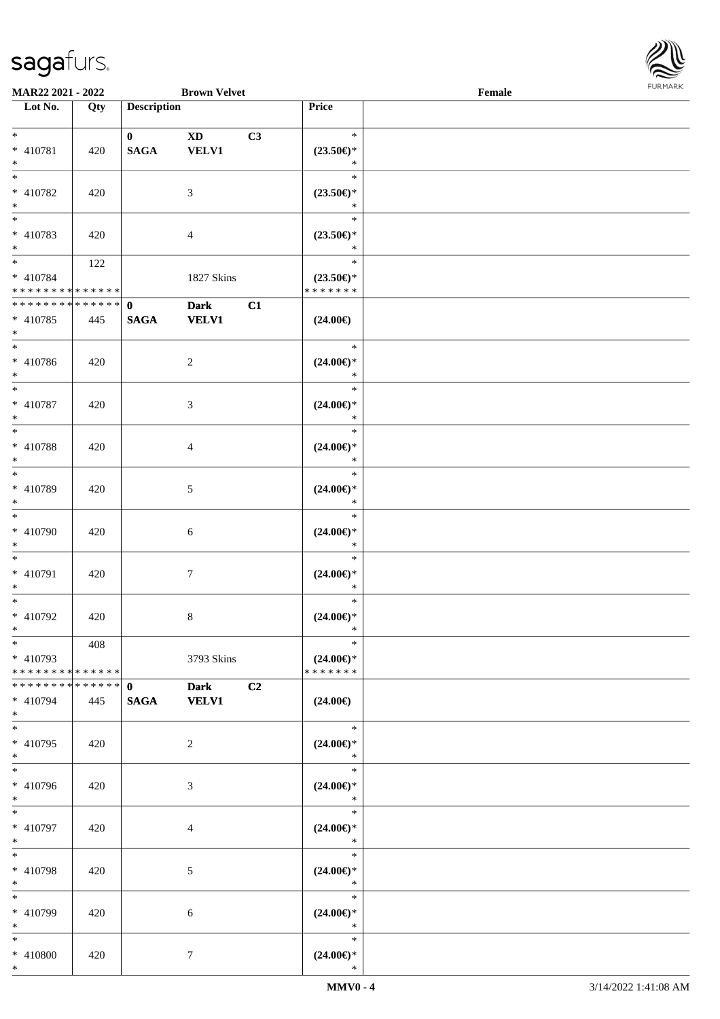

| <b>MAR22 2021 - 2022</b>                   |     |                    | <b>Brown Velvet</b> |    |                                      | Female |  |
|--------------------------------------------|-----|--------------------|---------------------|----|--------------------------------------|--------|--|
| Lot No.                                    | Qty | <b>Description</b> |                     |    | Price                                |        |  |
|                                            |     |                    |                     |    |                                      |        |  |
| $*$                                        |     | $\mathbf{0}$       | <b>XD</b>           | C3 | $\ast$                               |        |  |
| * 410781                                   | 420 | <b>SAGA</b>        | <b>VELV1</b>        |    | $(23.50\epsilon)$ *                  |        |  |
| $*$                                        |     |                    |                     |    | $\ast$                               |        |  |
|                                            |     |                    |                     |    | $\ast$                               |        |  |
| * 410782                                   | 420 |                    | 3                   |    | $(23.50\epsilon)$ *                  |        |  |
| $*$                                        |     |                    |                     |    | $\ast$                               |        |  |
|                                            |     |                    |                     |    | $\ast$                               |        |  |
| * 410783                                   | 420 |                    | $\overline{4}$      |    | $(23.50\epsilon)$ *                  |        |  |
| $*$                                        |     |                    |                     |    | $\ast$                               |        |  |
| $*$                                        | 122 |                    |                     |    | $\ast$                               |        |  |
| * 410784                                   |     |                    |                     |    |                                      |        |  |
| * * * * * * * * * * * * * *                |     |                    | 1827 Skins          |    | $(23.50\epsilon)$ *<br>* * * * * * * |        |  |
| * * * * * * * * <mark>* * * * * * *</mark> |     |                    |                     |    |                                      |        |  |
|                                            |     | $\mathbf 0$        | <b>Dark</b>         | C1 |                                      |        |  |
| * 410785                                   | 445 | <b>SAGA</b>        | <b>VELV1</b>        |    | $(24.00\epsilon)$                    |        |  |
| $*$                                        |     |                    |                     |    |                                      |        |  |
| $\overline{\ast}$                          |     |                    |                     |    | $\ast$                               |        |  |
| * 410786                                   | 420 |                    | $\overline{c}$      |    | $(24.00\epsilon)$ *                  |        |  |
| $*$                                        |     |                    |                     |    | $\ast$                               |        |  |
|                                            |     |                    |                     |    | $\ast$                               |        |  |
| * 410787                                   | 420 |                    | 3                   |    | $(24.00\epsilon)$ *                  |        |  |
| $*$                                        |     |                    |                     |    | $\ast$                               |        |  |
|                                            |     |                    |                     |    | $\ast$                               |        |  |
| * 410788                                   | 420 |                    | 4                   |    | $(24.00\epsilon)$ *                  |        |  |
| $*$                                        |     |                    |                     |    | $\ast$                               |        |  |
| $\overline{\ast}$                          |     |                    |                     |    | $\ast$                               |        |  |
| * 410789                                   | 420 |                    | 5                   |    | $(24.00\epsilon)$ *                  |        |  |
| $*$                                        |     |                    |                     |    | $\ast$                               |        |  |
| $*$                                        |     |                    |                     |    | $\ast$                               |        |  |
| * 410790                                   |     |                    |                     |    |                                      |        |  |
|                                            | 420 |                    | 6                   |    | $(24.00\epsilon)$ *<br>$\ast$        |        |  |
| $*$<br>$*$                                 |     |                    |                     |    | $\ast$                               |        |  |
|                                            |     |                    |                     |    |                                      |        |  |
| * 410791                                   | 420 |                    | $\boldsymbol{7}$    |    | $(24.00\epsilon)$ *                  |        |  |
| $*$                                        |     |                    |                     |    | $\ast$                               |        |  |
| $*$                                        |     |                    |                     |    | $\ast$                               |        |  |
| * 410792                                   | 420 |                    | $\,8\,$             |    | $(24.00\epsilon)$ *                  |        |  |
| $*$ $-$                                    |     |                    |                     |    | $\ast$                               |        |  |
| $*$                                        | 408 |                    |                     |    | $\ast$                               |        |  |
| * 410793                                   |     |                    | 3793 Skins          |    | $(24.00\epsilon)$ *                  |        |  |
| * * * * * * * * <mark>* * * * * *</mark>   |     |                    |                     |    | * * * * * * *                        |        |  |
| * * * * * * * * * * * * * * *              |     | $\mathbf{0}$       | <b>Dark</b>         | C2 |                                      |        |  |
| * 410794                                   | 445 | <b>SAGA</b>        | <b>VELV1</b>        |    | $(24.00\epsilon)$                    |        |  |
| $*$                                        |     |                    |                     |    |                                      |        |  |
| $*$                                        |     |                    |                     |    | $\ast$                               |        |  |
| * 410795                                   | 420 |                    | 2                   |    | $(24.00\epsilon)$ *                  |        |  |
| $*$                                        |     |                    |                     |    | $*$                                  |        |  |
|                                            |     |                    |                     |    | $\ast$                               |        |  |
| * 410796                                   | 420 |                    | 3                   |    | $(24.00\epsilon)$ *                  |        |  |
| $*$                                        |     |                    |                     |    | $\ast$                               |        |  |
| $*$ $-$                                    |     |                    |                     |    | $\ast$                               |        |  |
|                                            |     |                    |                     |    |                                      |        |  |
| * 410797                                   | 420 |                    | 4                   |    | $(24.00\epsilon)$ *<br>$\ast$        |        |  |
| $*$<br>$*$ $-$                             |     |                    |                     |    | $\ast$                               |        |  |
|                                            |     |                    |                     |    |                                      |        |  |
| * 410798                                   | 420 |                    | 5                   |    | $(24.00\epsilon)$ *                  |        |  |
| $*$                                        |     |                    |                     |    | $\ast$                               |        |  |
| $*$                                        |     |                    |                     |    | $\ast$                               |        |  |
| * 410799                                   | 420 |                    | 6                   |    | $(24.00\epsilon)$ *                  |        |  |
| $*$                                        |     |                    |                     |    | $\ast$                               |        |  |
| $*$                                        |     |                    |                     |    | $\ast$                               |        |  |
| * 410800                                   | 420 |                    | 7                   |    | $(24.00\epsilon)$ *                  |        |  |
| $*$                                        |     |                    |                     |    | ∗                                    |        |  |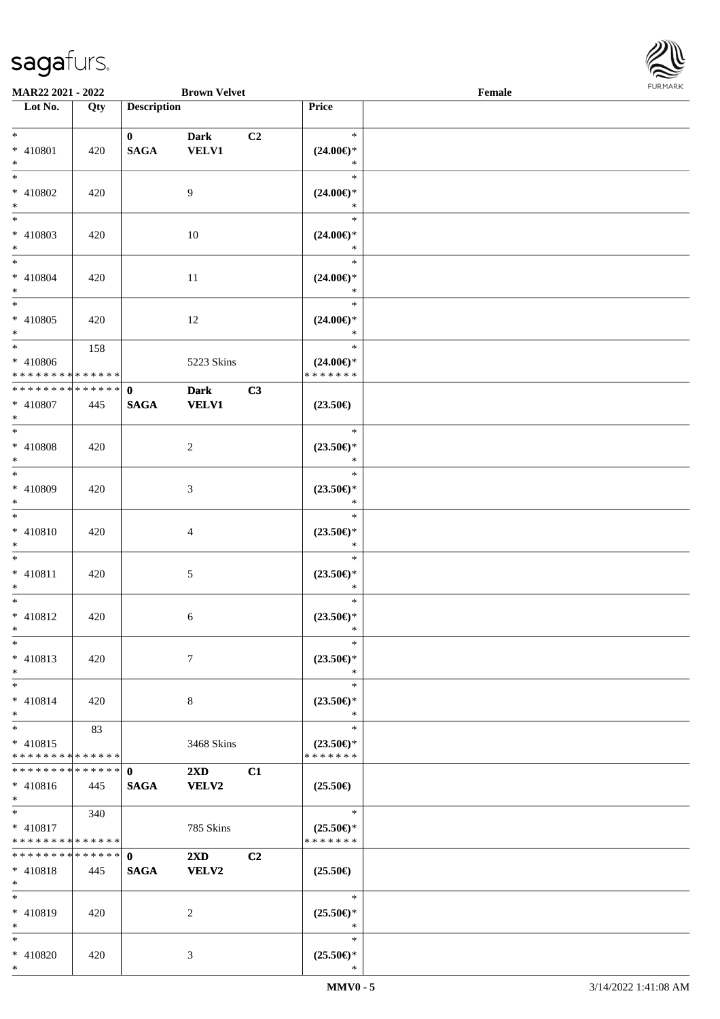

| <b>MAR22 2021 - 2022</b>                                                  |                    |                             | <b>Brown Velvet</b>                     |                |                                                   | Female |  |
|---------------------------------------------------------------------------|--------------------|-----------------------------|-----------------------------------------|----------------|---------------------------------------------------|--------|--|
| Lot No.                                                                   | Qty                | <b>Description</b>          |                                         |                | Price                                             |        |  |
| $*$<br>* 410801<br>$*$                                                    | 420                | $\mathbf{0}$<br><b>SAGA</b> | <b>Dark</b><br><b>VELV1</b>             | C <sub>2</sub> | $\ast$<br>$(24.00\epsilon)$ *<br>$\ast$           |        |  |
| $\overline{\ast}$<br>* 410802<br>$*$                                      | 420                |                             | 9                                       |                | $\ast$<br>$(24.00\epsilon)$ *<br>$\ast$           |        |  |
| * 410803<br>$\ast$                                                        | 420                |                             | 10                                      |                | $\ast$<br>$(24.00\epsilon)$ *<br>$\ast$           |        |  |
| $*$<br>* 410804<br>$*$<br>$\overline{\ast}$                               | 420                |                             | 11                                      |                | $\ast$<br>$(24.00\epsilon)$ *<br>$\ast$           |        |  |
| * 410805<br>$*$<br>$*$                                                    | 420                |                             | 12                                      |                | $\ast$<br>$(24.00\epsilon)$ *<br>$\ast$           |        |  |
| * 410806<br>* * * * * * * * <mark>* * * * * * *</mark>                    | 158                |                             | 5223 Skins                              |                | $\ast$<br>$(24.00\epsilon)$ *<br>* * * * * * *    |        |  |
| * * * * * * * * * * * * * * *<br>* 410807<br>$*$<br>$\overline{\ast}$     | 445                | $\mathbf{0}$<br><b>SAGA</b> | <b>Dark</b><br><b>VELV1</b>             | C3             | $(23.50\epsilon)$                                 |        |  |
| * 410808<br>$\ast$<br>$*$                                                 | 420                |                             | 2                                       |                | $\ast$<br>$(23.50\epsilon)$ *<br>$\ast$           |        |  |
| * 410809<br>$*$<br>$\ast$                                                 | 420                |                             | 3                                       |                | $\ast$<br>$(23.50\epsilon)$ *<br>$\ast$<br>$\ast$ |        |  |
| * 410810<br>$\ast$<br>$*$                                                 | 420                |                             | $\overline{4}$                          |                | $(23.50\epsilon)$ *<br>$\ast$<br>$\ast$           |        |  |
| * 410811<br>$\ast$<br>$\ast$                                              | 420                |                             | 5                                       |                | $(23.50\epsilon)$ *<br>$\ast$<br>$\ast$           |        |  |
| * 410812<br>$*$<br>$\ast$                                                 | 420                |                             | 6                                       |                | $(23.50\epsilon)$ *<br>$\ast$<br>$\ast$           |        |  |
| * 410813<br>$\ast$<br>$\ast$                                              | 420                |                             | $\tau$                                  |                | $(23.50\epsilon)$ *<br>$\ast$<br>$\ast$           |        |  |
| $* 410814$<br>$\ast$<br>$*$                                               | 420                |                             | 8                                       |                | $(23.50\epsilon)$ *<br>$\ast$<br>$\ast$           |        |  |
| $* 410815$<br>* * * * * * * * <mark>* * * * * *</mark><br>* * * * * * * * | 83                 |                             | 3468 Skins                              |                | $(23.50\epsilon)$ *<br>* * * * * * *              |        |  |
| $* 410816$<br>$*$<br>$\overline{\mathbf{r}}$                              | * * * * * *<br>445 | $\mathbf{0}$<br><b>SAGA</b> | $2\mathbf{X}\mathbf{D}$<br><b>VELV2</b> | C1             | $(25.50\epsilon)$                                 |        |  |
| $* 410817$<br>* * * * * * * * <mark>* * * * * *</mark>                    | 340                |                             | 785 Skins                               |                | $\ast$<br>$(25.50\epsilon)$ *<br>* * * * * * *    |        |  |
| * * * * * * * * <mark>* * * * * * *</mark><br>$* 410818$<br>$\ast$        | 445                | $\mathbf{0}$<br><b>SAGA</b> | $2\mathbf{X}\mathbf{D}$<br><b>VELV2</b> | C2             | $(25.50\epsilon)$                                 |        |  |
| $\ast$<br>* 410819<br>$\ast$                                              | 420                |                             | 2                                       |                | $\ast$<br>$(25.50\epsilon)$ *<br>$\ast$           |        |  |
| $\ast$<br>* 410820<br>$\ast$                                              | 420                |                             | 3                                       |                | $\ast$<br>$(25.50\epsilon)$ *<br>∗                |        |  |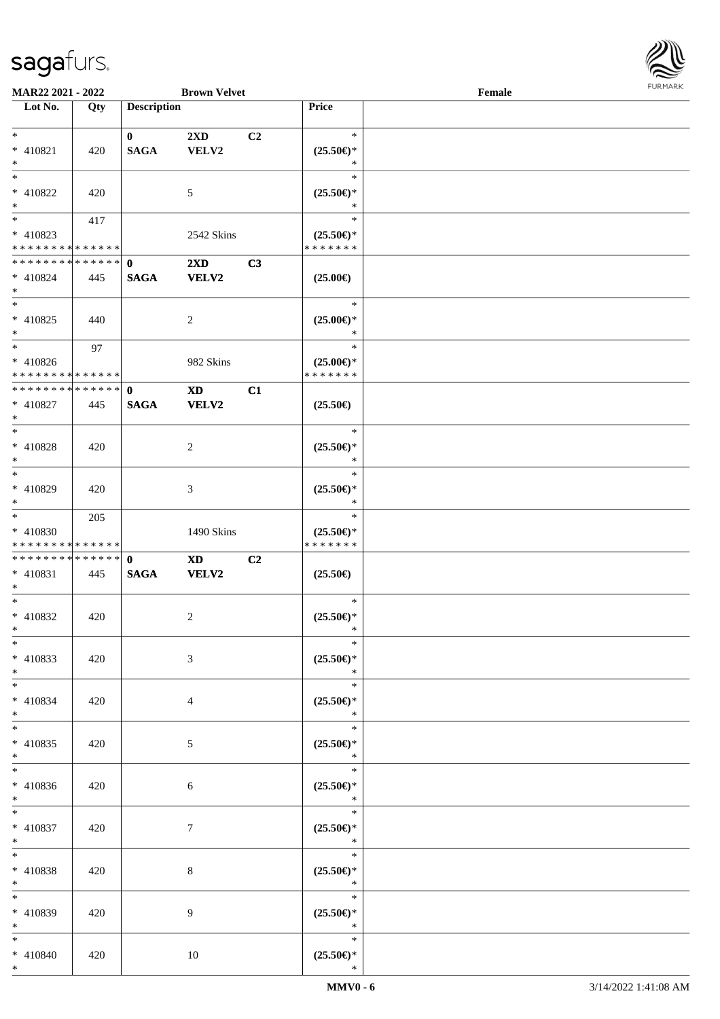

| <b>MAR22 2021 - 2022</b>                   |     |                    | <b>Brown Velvet</b>     |                |                     | Female |  |
|--------------------------------------------|-----|--------------------|-------------------------|----------------|---------------------|--------|--|
| Lot No.                                    | Qty | <b>Description</b> |                         |                | Price               |        |  |
|                                            |     |                    |                         |                |                     |        |  |
| $*$                                        |     | $\mathbf{0}$       | 2XD                     | C <sub>2</sub> | $\ast$              |        |  |
| * 410821                                   | 420 | <b>SAGA</b>        | VELV2                   |                | $(25.50\epsilon)$ * |        |  |
| $\ast$                                     |     |                    |                         |                | $\ast$              |        |  |
| $*$                                        |     |                    |                         |                |                     |        |  |
|                                            |     |                    |                         |                | $\ast$              |        |  |
| * 410822                                   | 420 |                    | 5                       |                | $(25.50\epsilon)$ * |        |  |
| $\ast$                                     |     |                    |                         |                | $\ast$              |        |  |
|                                            | 417 |                    |                         |                | $\ast$              |        |  |
| * 410823                                   |     |                    | 2542 Skins              |                | $(25.50\epsilon)$ * |        |  |
| * * * * * * * * * * * * * *                |     |                    |                         |                | * * * * * * *       |        |  |
| * * * * * * * * <mark>* * * * * * *</mark> |     | $\mathbf{0}$       |                         |                |                     |        |  |
|                                            |     |                    | $2\mathbf{X}\mathbf{D}$ | C3             |                     |        |  |
| * 410824                                   | 445 | <b>SAGA</b>        | <b>VELV2</b>            |                | $(25.00\epsilon)$   |        |  |
| $*$                                        |     |                    |                         |                |                     |        |  |
| $*$                                        |     |                    |                         |                | $\ast$              |        |  |
| $* 410825$                                 | 440 |                    | $\overline{c}$          |                | $(25.00\epsilon)$ * |        |  |
| $*$                                        |     |                    |                         |                | $\ast$              |        |  |
| $*$                                        | 97  |                    |                         |                | $\ast$              |        |  |
|                                            |     |                    |                         |                |                     |        |  |
| * 410826                                   |     |                    | 982 Skins               |                | $(25.00\epsilon)$ * |        |  |
| * * * * * * * * * * * * * * *              |     |                    |                         |                | * * * * * * *       |        |  |
| * * * * * * * * * * * * * * *              |     | $\mathbf{0}$       | <b>XD</b>               | C1             |                     |        |  |
| $* 410827$                                 | 445 | <b>SAGA</b>        | VELV2                   |                | $(25.50\epsilon)$   |        |  |
| $*$                                        |     |                    |                         |                |                     |        |  |
|                                            |     |                    |                         |                | $\ast$              |        |  |
|                                            |     |                    |                         |                |                     |        |  |
| * 410828                                   | 420 |                    | 2                       |                | $(25.50\epsilon)$ * |        |  |
| $\ast$                                     |     |                    |                         |                | $\ast$              |        |  |
| $*$                                        |     |                    |                         |                | $\ast$              |        |  |
| * 410829                                   | 420 |                    | 3                       |                | $(25.50\epsilon)$ * |        |  |
| $*$                                        |     |                    |                         |                | $\ast$              |        |  |
| $*$                                        | 205 |                    |                         |                | $\ast$              |        |  |
| $* 410830$                                 |     |                    |                         |                |                     |        |  |
|                                            |     |                    | 1490 Skins              |                | $(25.50\epsilon)$ * |        |  |
| * * * * * * * * * * * * * *                |     |                    |                         |                | * * * * * * *       |        |  |
| * * * * * * * * * * * * * * *              |     | $\mathbf{0}$       | XD                      | C2             |                     |        |  |
| * 410831                                   | 445 | <b>SAGA</b>        | VELV2                   |                | $(25.50\epsilon)$   |        |  |
| $*$                                        |     |                    |                         |                |                     |        |  |
| $*$                                        |     |                    |                         |                | $\ast$              |        |  |
| * 410832                                   | 420 |                    | 2                       |                | $(25.50\epsilon)$ * |        |  |
| $*$ $-$                                    |     |                    |                         |                | *                   |        |  |
|                                            |     |                    |                         |                |                     |        |  |
| $*$                                        |     |                    |                         |                | $\ast$              |        |  |
| * 410833                                   | 420 |                    | 3                       |                | $(25.50\epsilon)$ * |        |  |
| $*$                                        |     |                    |                         |                | $\ast$              |        |  |
| $*$                                        |     |                    |                         |                | $\ast$              |        |  |
| * 410834                                   | 420 |                    | 4                       |                | $(25.50\epsilon)$ * |        |  |
| $*$                                        |     |                    |                         |                | $\ast$              |        |  |
|                                            |     |                    |                         |                |                     |        |  |
| $*$                                        |     |                    |                         |                | $\ast$              |        |  |
| $* 410835$                                 | 420 |                    | 5                       |                | $(25.50\epsilon)$ * |        |  |
| $*$                                        |     |                    |                         |                | $\ast$              |        |  |
| $*$                                        |     |                    |                         |                | $\ast$              |        |  |
| * 410836                                   | 420 |                    | 6                       |                | $(25.50\epsilon)$ * |        |  |
| $*$                                        |     |                    |                         |                | $\ast$              |        |  |
|                                            |     |                    |                         |                |                     |        |  |
| $*$                                        |     |                    |                         |                | $\ast$              |        |  |
| * 410837                                   | 420 |                    | $\tau$                  |                | $(25.50\epsilon)$ * |        |  |
| $*$                                        |     |                    |                         |                | $\ast$              |        |  |
| $*$                                        |     |                    |                         |                | $\ast$              |        |  |
| * 410838                                   | 420 |                    | 8                       |                | $(25.50\epsilon)$ * |        |  |
| $*$                                        |     |                    |                         |                | $\ast$              |        |  |
|                                            |     |                    |                         |                |                     |        |  |
| $*$                                        |     |                    |                         |                | $\ast$              |        |  |
| * 410839                                   | 420 |                    | 9                       |                | $(25.50\epsilon)$ * |        |  |
| $*$                                        |     |                    |                         |                | $\ast$              |        |  |
| $*$                                        |     |                    |                         |                | $\ast$              |        |  |
| * 410840                                   | 420 |                    | 10                      |                | $(25.50\epsilon)$ * |        |  |
| $\ast$                                     |     |                    |                         |                | $\ast$              |        |  |
|                                            |     |                    |                         |                |                     |        |  |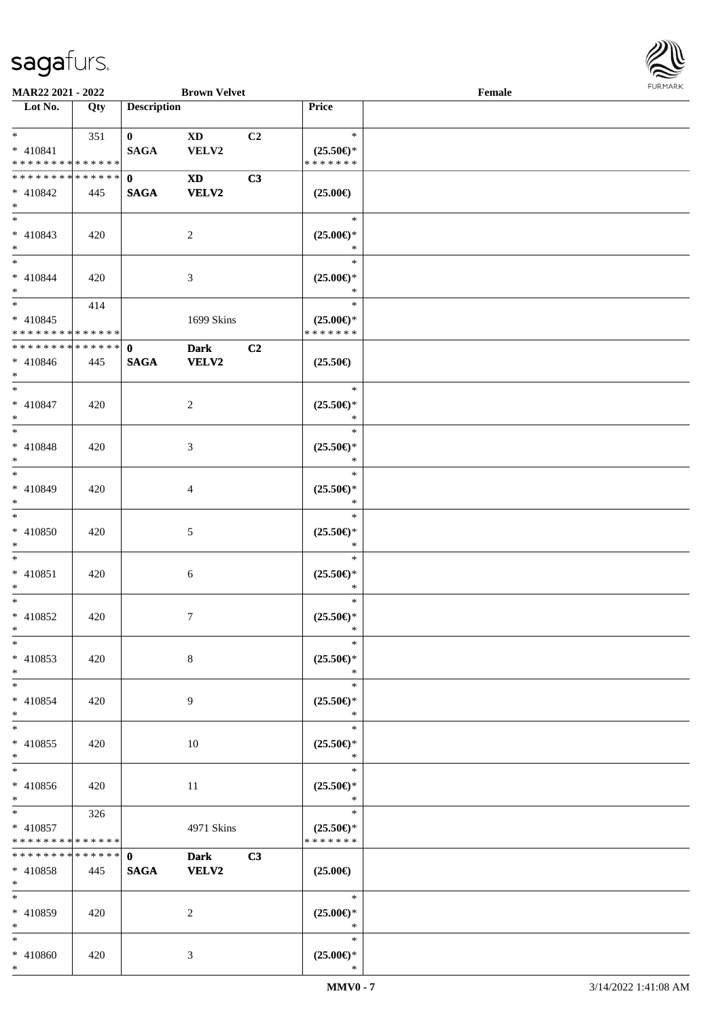

| MAR22 2021 - 2022                                      |     |                             | <b>Brown Velvet</b>             |    |                                                | Female |  |
|--------------------------------------------------------|-----|-----------------------------|---------------------------------|----|------------------------------------------------|--------|--|
| Lot No.                                                | Qty | <b>Description</b>          |                                 |    | Price                                          |        |  |
| $*$<br>* 410841<br>* * * * * * * * * * * * * *         | 351 | $\mathbf{0}$<br><b>SAGA</b> | $\mathbf{X}\mathbf{D}$<br>VELV2 | C2 | $\ast$<br>$(25.50\epsilon)$ *<br>* * * * * * * |        |  |
| * * * * * * * * * * * * * * *<br>* 410842<br>$*$       | 445 | $\mathbf{0}$<br><b>SAGA</b> | <b>XD</b><br><b>VELV2</b>       | C3 | $(25.00\epsilon)$                              |        |  |
| $* 410843$<br>$*$                                      | 420 |                             | $\overline{2}$                  |    | $\ast$<br>$(25.00\epsilon)$ *<br>$\ast$        |        |  |
| $*$<br>$* 410844$<br>$*$                               | 420 |                             | 3                               |    | $\ast$<br>$(25.00\epsilon)$ *<br>$\ast$        |        |  |
| $*$<br>$* 410845$<br>* * * * * * * * * * * * * *       | 414 |                             | 1699 Skins                      |    | $\ast$<br>$(25.00\epsilon)$ *<br>* * * * * * * |        |  |
| * * * * * * * * * * * * * * *<br>$* 410846$<br>$*$     | 445 | $\mathbf{0}$<br><b>SAGA</b> | <b>Dark</b><br><b>VELV2</b>     | C2 | $(25.50\epsilon)$                              |        |  |
| $*$<br>$* 410847$<br>$*$                               | 420 |                             | 2                               |    | $\ast$<br>$(25.50\epsilon)$ *<br>$\ast$        |        |  |
| $*$<br>$* 410848$<br>$*$                               | 420 |                             | 3                               |    | $\ast$<br>$(25.50\epsilon)$ *<br>$\ast$        |        |  |
| $*$<br>* 410849<br>$*$                                 | 420 |                             | 4                               |    | $\ast$<br>$(25.50\epsilon)$ *<br>$\ast$        |        |  |
| $*$<br>$* 410850$<br>$*$                               | 420 |                             | 5                               |    | $\ast$<br>$(25.50\epsilon)$ *<br>$\ast$        |        |  |
| $*$<br>$* 410851$<br>$*$                               | 420 |                             | 6                               |    | $\ast$<br>$(25.50\epsilon)$ *<br>$\ast$        |        |  |
| $*$<br>$* 410852$<br>$*$                               | 420 |                             | 7                               |    | $\ast$<br>$(25.50\epsilon)$ *<br>$\ast$        |        |  |
| $*$<br>* 410853<br>$*$                                 | 420 |                             | 8                               |    | $\ast$<br>$(25.50\epsilon)$ *<br>$\ast$        |        |  |
| $*$<br>* 410854<br>$*$                                 | 420 |                             | 9                               |    | $\ast$<br>$(25.50\epsilon)$ *<br>$\ast$        |        |  |
| $*$<br>$* 410855$<br>$*$                               | 420 |                             | 10                              |    | $\ast$<br>$(25.50\epsilon)$ *<br>$\ast$        |        |  |
| $*$<br>* 410856<br>$*$                                 | 420 |                             | 11                              |    | $\ast$<br>$(25.50\epsilon)$ *<br>$\ast$        |        |  |
| $*$ $*$<br>* 410857<br>* * * * * * * * * * * * * *     | 326 |                             | 4971 Skins                      |    | $\ast$<br>$(25.50\epsilon)$ *<br>* * * * * * * |        |  |
| * * * * * * * * * * * * * * *<br>$* 410858$<br>$*$ $*$ | 445 | $\mathbf{0}$<br><b>SAGA</b> | <b>Dark</b><br><b>VELV2</b>     | C3 | $(25.00\epsilon)$                              |        |  |
| $*$<br>* 410859<br>$*$                                 | 420 |                             | 2                               |    | $\ast$<br>$(25.00\epsilon)$ *<br>$\ast$        |        |  |
| $*$<br>* 410860                                        | 420 |                             | 3                               |    | $\ast$<br>$(25.00\epsilon)$ *                  |        |  |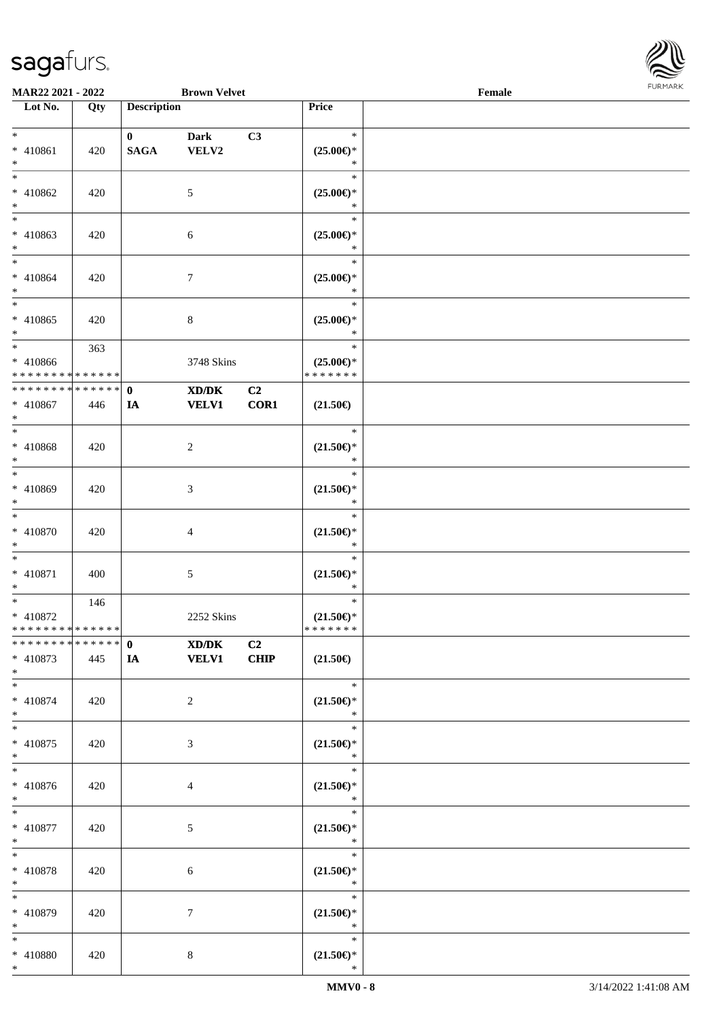

| <b>MAR22 2021 - 2022</b>                                         |     |                             | <b>Brown Velvet</b>   |                        |                                                | Female |  |
|------------------------------------------------------------------|-----|-----------------------------|-----------------------|------------------------|------------------------------------------------|--------|--|
| Lot No.                                                          | Qty | <b>Description</b>          |                       |                        | Price                                          |        |  |
| $*$<br>* 410861                                                  | 420 | $\mathbf{0}$<br><b>SAGA</b> | <b>Dark</b><br>VELV2  | C3                     | $\ast$<br>$(25.00\epsilon)$ *                  |        |  |
| $\ast$<br>$\overline{\ast}$<br>* 410862                          | 420 |                             | 5                     |                        | $\ast$<br>$\ast$<br>$(25.00\epsilon)$ *        |        |  |
| $*$<br>* 410863                                                  | 420 |                             | 6                     |                        | $\ast$<br>$\ast$<br>$(25.00\epsilon)$ *        |        |  |
| $\ast$<br>$\ddot{x}$<br>* 410864                                 | 420 |                             | $\overline{7}$        |                        | $\ast$<br>$\ast$<br>$(25.00\epsilon)$ *        |        |  |
| $*$<br>$\overline{\ast}$<br>$* 410865$                           | 420 |                             | $\,8\,$               |                        | $\ast$<br>$\ast$<br>$(25.00\epsilon)$ *        |        |  |
| $\ast$<br>$*$<br>$* 410866$                                      | 363 |                             | 3748 Skins            |                        | $\ast$<br>$\ast$<br>$(25.00\epsilon)$ *        |        |  |
| * * * * * * * * <mark>* * * * * * *</mark>                       |     |                             |                       |                        | * * * * * * *                                  |        |  |
| * * * * * * * * <mark>* * * * * * *</mark><br>* 410867<br>$\ast$ | 446 | $\mathbf{0}$<br>IA          | XD/DK<br><b>VELV1</b> | C <sub>2</sub><br>COR1 | $(21.50\epsilon)$                              |        |  |
| $\overline{\phantom{0}}$<br>* 410868<br>$\ast$                   | 420 |                             | 2                     |                        | $\ast$<br>$(21.50\epsilon)$ *<br>$\ast$        |        |  |
| $*$<br>* 410869<br>$\ast$                                        | 420 |                             | 3                     |                        | $\ast$<br>$(21.50\epsilon)$ *<br>$\ast$        |        |  |
| $\ddot{x}$<br>* 410870<br>$\ast$                                 | 420 |                             | $\overline{4}$        |                        | $\ast$<br>$(21.50\epsilon)$ *<br>$\ast$        |        |  |
| $\ddot{x}$<br>* 410871<br>$\ast$                                 | 400 |                             | $5\,$                 |                        | $\ast$<br>$(21.50\epsilon)$ *<br>$\ast$        |        |  |
| $*$<br>* 410872<br>* * * * * * * * <mark>* * * * * *</mark>      | 146 |                             | 2252 Skins            |                        | $\ast$<br>$(21.50\epsilon)$ *<br>* * * * * * * |        |  |
| * 410873<br>$*$                                                  | 445 | <b>IA</b>                   | XD/DK<br><b>VELV1</b> | C <sub>2</sub><br>CHIP | $(21.50\epsilon)$                              |        |  |
| $*$<br>$* 410874$<br>$*$                                         | 420 |                             | $\overline{2}$        |                        | $\ast$<br>$(21.50\epsilon)$ *<br>$\ast$        |        |  |
| $*$<br>* 410875<br>$*$                                           | 420 |                             | 3                     |                        | $\ast$<br>$(21.50\epsilon)$ *<br>$\ast$        |        |  |
| $*$<br>* 410876<br>$*$                                           | 420 |                             | $\overline{4}$        |                        | $\ast$<br>$(21.50\epsilon)$ *<br>$\ast$        |        |  |
| $\ast$<br>* 410877<br>$*$                                        | 420 |                             | $\mathfrak{S}$        |                        | $\ast$<br>$(21.50\epsilon)$ *<br>$\ast$        |        |  |
| $\ddot{x}$<br>* 410878<br>$*$                                    | 420 |                             | 6                     |                        | $\ast$<br>$(21.50\epsilon)$ *<br>$\ast$        |        |  |
| $\ast$<br>* 410879<br>$*$                                        | 420 |                             | $\tau$                |                        | $\ast$<br>$(21.50\epsilon)$ *<br>$\ast$        |        |  |
| $*$<br>* 410880<br>$\ast$                                        | 420 |                             | 8                     |                        | $\ast$<br>$(21.50\epsilon)$ *<br>$\ast$        |        |  |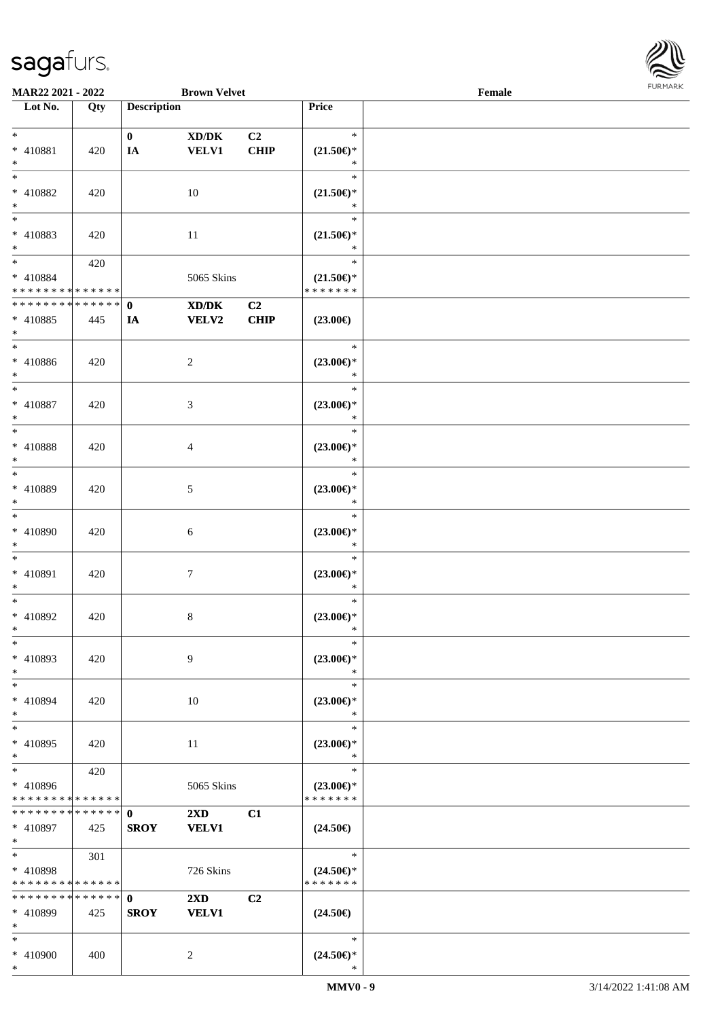

| <b>MAR22 2021 - 2022</b>      |     |                    | <b>Brown Velvet</b>     |                |                     | Female |  |
|-------------------------------|-----|--------------------|-------------------------|----------------|---------------------|--------|--|
| Lot No.                       | Qty | <b>Description</b> |                         |                | Price               |        |  |
|                               |     |                    |                         |                |                     |        |  |
| $*$                           |     | $\mathbf{0}$       | XD/DK                   | C <sub>2</sub> | $\ast$              |        |  |
| * 410881                      | 420 | IA                 | VELV1                   | <b>CHIP</b>    | $(21.50\epsilon)$ * |        |  |
| $*$                           |     |                    |                         |                | $\ast$              |        |  |
| $*$                           |     |                    |                         |                | $\ast$              |        |  |
| * 410882                      | 420 |                    | 10                      |                | $(21.50\epsilon)$ * |        |  |
| $*$                           |     |                    |                         |                | $\ast$              |        |  |
|                               |     |                    |                         |                | $\ast$              |        |  |
| * 410883                      | 420 |                    | $11\,$                  |                | $(21.50\epsilon)$ * |        |  |
| $*$                           |     |                    |                         |                | $\ast$              |        |  |
| $*$                           | 420 |                    |                         |                | $\ast$              |        |  |
| * 410884                      |     |                    | 5065 Skins              |                | $(21.50\epsilon)$ * |        |  |
| * * * * * * * * * * * * * *   |     |                    |                         |                | * * * * * * *       |        |  |
| * * * * * * * * * * * * * * * |     | $\mathbf{0}$       | XD/DK                   | C2             |                     |        |  |
| * 410885                      | 445 | IA                 | <b>VELV2</b>            | <b>CHIP</b>    | $(23.00\epsilon)$   |        |  |
| $*$                           |     |                    |                         |                |                     |        |  |
| $*$                           |     |                    |                         |                | $\ast$              |        |  |
| $* 410886$                    | 420 |                    |                         |                | $(23.00\epsilon)$ * |        |  |
| $*$                           |     |                    | $\overline{c}$          |                | $\ast$              |        |  |
| $*$                           |     |                    |                         |                | $\ast$              |        |  |
|                               |     |                    |                         |                |                     |        |  |
| $* 410887$                    | 420 |                    | 3                       |                | $(23.00\epsilon)$ * |        |  |
| $*$<br>$*$                    |     |                    |                         |                | $\ast$<br>$\ast$    |        |  |
|                               |     |                    |                         |                |                     |        |  |
| * 410888                      | 420 |                    | 4                       |                | $(23.00\epsilon)$ * |        |  |
| $\ast$                        |     |                    |                         |                | $\ast$              |        |  |
| $*$                           |     |                    |                         |                | $\ast$              |        |  |
| * 410889                      | 420 |                    | 5                       |                | $(23.00\epsilon)$ * |        |  |
| $*$                           |     |                    |                         |                | $\ast$              |        |  |
| $*$                           |     |                    |                         |                | $\ast$              |        |  |
| $* 410890$                    | 420 |                    | 6                       |                | $(23.00\epsilon)$ * |        |  |
| $*$                           |     |                    |                         |                | $\ast$              |        |  |
| $*$                           |     |                    |                         |                | $\ast$              |        |  |
| * 410891                      | 420 |                    | 7                       |                | $(23.00\epsilon)$ * |        |  |
| $*$                           |     |                    |                         |                | $\ast$              |        |  |
| $*$                           |     |                    |                         |                | $\ast$              |        |  |
| * 410892                      | 420 |                    | 8                       |                | $(23.00\epsilon)$ * |        |  |
| $*$                           |     |                    |                         |                | $\ast$              |        |  |
| $*$                           |     |                    |                         |                | $\ast$              |        |  |
| * 410893                      | 420 |                    | 9                       |                | $(23.00\epsilon)$ * |        |  |
| $*$                           |     |                    |                         |                | $\ast$              |        |  |
| $*$                           |     |                    |                         |                | $\ast$              |        |  |
| * 410894                      | 420 |                    | 10                      |                | $(23.00\epsilon)$ * |        |  |
| $*$                           |     |                    |                         |                | $\ast$              |        |  |
| $*$                           |     |                    |                         |                | $\ast$              |        |  |
| * 410895                      | 420 |                    | 11                      |                | $(23.00\epsilon)$ * |        |  |
| $*$                           |     |                    |                         |                | $\ast$              |        |  |
| $*$                           | 420 |                    |                         |                | $\ast$              |        |  |
| * 410896                      |     |                    | 5065 Skins              |                | $(23.00\epsilon)$ * |        |  |
| * * * * * * * * * * * * * *   |     |                    |                         |                | * * * * * * *       |        |  |
|                               |     |                    | $2\mathbf{X}\mathbf{D}$ | C1             |                     |        |  |
| * 410897                      | 425 | <b>SROY</b>        | <b>VELV1</b>            |                | $(24.50\epsilon)$   |        |  |
| $*$ $-$                       |     |                    |                         |                |                     |        |  |
| $*$ $-$                       | 301 |                    |                         |                | $\ast$              |        |  |
| * 410898                      |     |                    | 726 Skins               |                | $(24.50\epsilon)$ * |        |  |
| * * * * * * * * * * * * * *   |     |                    |                         |                | * * * * * * *       |        |  |
| * * * * * * * * * * * * * * * |     |                    |                         |                |                     |        |  |
|                               |     | $\mathbf{0}$       | $2\mathbf{X}\mathbf{D}$ | C2             |                     |        |  |
| * 410899                      | 425 | <b>SROY</b>        | <b>VELV1</b>            |                | $(24.50\epsilon)$   |        |  |
| $*$                           |     |                    |                         |                |                     |        |  |
| $*$                           |     |                    |                         |                | $\ast$              |        |  |
| * 410900                      | 400 |                    | 2                       |                | $(24.50\epsilon)$ * |        |  |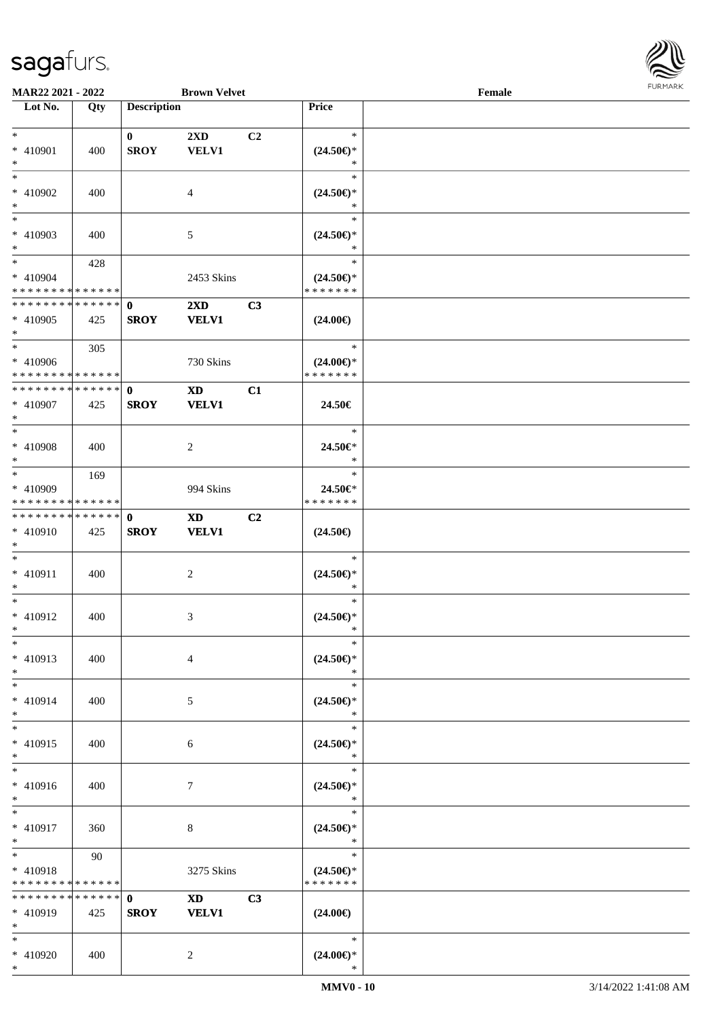

| <b>MAR22 2021 - 2022</b>                   |     |                    | <b>Brown Velvet</b>     |                |                          | Female |  |
|--------------------------------------------|-----|--------------------|-------------------------|----------------|--------------------------|--------|--|
| Lot No.                                    | Qty | <b>Description</b> |                         |                | Price                    |        |  |
|                                            |     |                    |                         |                |                          |        |  |
| $*$                                        |     | $\mathbf{0}$       | $2\mathbf{X}\mathbf{D}$ | C2             | $\ast$                   |        |  |
| * 410901                                   | 400 | <b>SROY</b>        | <b>VELV1</b>            |                | $(24.50\epsilon)$ *      |        |  |
| $*$                                        |     |                    |                         |                | *                        |        |  |
|                                            |     |                    |                         |                | $\ast$                   |        |  |
| * 410902                                   | 400 |                    | 4                       |                | $(24.50\epsilon)$ *      |        |  |
| $*$                                        |     |                    |                         |                | *                        |        |  |
|                                            |     |                    |                         |                | $\ast$                   |        |  |
| * 410903                                   | 400 |                    | 5                       |                | $(24.50\epsilon)$ *      |        |  |
| $*$                                        |     |                    |                         |                | *                        |        |  |
| $*$                                        | 428 |                    |                         |                | $\ast$                   |        |  |
| * 410904                                   |     |                    | 2453 Skins              |                | $(24.50\epsilon)$ *      |        |  |
| * * * * * * * * <mark>* * * * * *</mark>   |     |                    |                         |                | * * * * * * *            |        |  |
| * * * * * * * * * * * * * * *              |     | $\mathbf{0}$       | $2\mathbf{X}\mathbf{D}$ | C3             |                          |        |  |
| * 410905                                   | 425 | <b>SROY</b>        | <b>VELV1</b>            |                | $(24.00\epsilon)$        |        |  |
| $\ast$                                     |     |                    |                         |                |                          |        |  |
| $*$                                        | 305 |                    |                         |                | $\ast$                   |        |  |
| * 410906                                   |     |                    | 730 Skins               |                | $(24.00\epsilon)$ *      |        |  |
| * * * * * * * * <mark>* * * * * * *</mark> |     |                    |                         |                | * * * * * * *            |        |  |
| * * * * * * * * <mark>* * * * * * *</mark> |     | $\mathbf{0}$       | <b>XD</b>               | C1             |                          |        |  |
| * 410907                                   | 425 | <b>SROY</b>        | <b>VELV1</b>            |                | 24.50€                   |        |  |
| $*$                                        |     |                    |                         |                |                          |        |  |
| $*$                                        |     |                    |                         |                | $\ast$                   |        |  |
|                                            |     |                    |                         |                |                          |        |  |
| * 410908                                   | 400 |                    | $\overline{2}$          |                | 24.50€*<br>$\ast$        |        |  |
| $*$<br>$\overline{\ast}$                   |     |                    |                         |                | $\ast$                   |        |  |
|                                            | 169 |                    |                         |                |                          |        |  |
| * 410909                                   |     |                    | 994 Skins               |                | 24.50€*<br>* * * * * * * |        |  |
| * * * * * * * * <mark>* * * * * * *</mark> |     |                    |                         |                |                          |        |  |
| * * * * * * * * <mark>* * * * * * *</mark> |     | $\mathbf 0$        | $\mathbf{X}\mathbf{D}$  | C <sub>2</sub> |                          |        |  |
| * 410910                                   | 425 | <b>SROY</b>        | <b>VELV1</b>            |                | $(24.50\epsilon)$        |        |  |
| $*$                                        |     |                    |                         |                |                          |        |  |
| $*$                                        |     |                    |                         |                | $\ast$                   |        |  |
| * 410911                                   | 400 |                    | 2                       |                | $(24.50\epsilon)$ *      |        |  |
| $\ast$                                     |     |                    |                         |                | $\ast$                   |        |  |
| $*$                                        |     |                    |                         |                | $\ast$                   |        |  |
| * 410912                                   | 400 |                    | 3                       |                | $(24.50\epsilon)$ *      |        |  |
| $*$ $-$                                    |     |                    |                         |                | *                        |        |  |
| $*$                                        |     |                    |                         |                | $\ast$                   |        |  |
| * 410913                                   | 400 |                    | $\overline{4}$          |                | $(24.50\epsilon)$ *      |        |  |
| $*$                                        |     |                    |                         |                | $\ast$                   |        |  |
| $*$                                        |     |                    |                         |                | $\ast$                   |        |  |
| * 410914                                   | 400 |                    | 5                       |                | $(24.50\epsilon)$ *      |        |  |
| $*$                                        |     |                    |                         |                | ∗                        |        |  |
| $*$                                        |     |                    |                         |                | $\ast$                   |        |  |
| * 410915                                   | 400 |                    | 6                       |                | $(24.50\epsilon)$ *      |        |  |
| $*$                                        |     |                    |                         |                | $\ast$                   |        |  |
| $*$                                        |     |                    |                         |                | $\ast$                   |        |  |
| * 410916                                   | 400 |                    | 7                       |                | $(24.50\epsilon)$ *      |        |  |
| $*$                                        |     |                    |                         |                | $\ast$                   |        |  |
| $*$                                        |     |                    |                         |                | $\ast$                   |        |  |
| * 410917                                   | 360 |                    | 8                       |                | $(24.50\epsilon)$ *      |        |  |
| $*$                                        |     |                    |                         |                | $\ast$                   |        |  |
| $*$                                        | 90  |                    |                         |                | $\ast$                   |        |  |
| * 410918                                   |     |                    | 3275 Skins              |                | $(24.50\epsilon)$ *      |        |  |
| * * * * * * * * <mark>* * * * * * *</mark> |     |                    |                         |                | * * * * * * *            |        |  |
| * * * * * * * * <mark>* * * * * * *</mark> |     | $\mathbf{0}$       | XD <b>ND</b>            | C3             |                          |        |  |
| $* 410919$                                 | 425 | <b>SROY</b>        | <b>VELV1</b>            |                | $(24.00\epsilon)$        |        |  |
| $*$                                        |     |                    |                         |                |                          |        |  |
| $*$                                        |     |                    |                         |                | $\ast$                   |        |  |
| * 410920                                   | 400 |                    | 2                       |                | $(24.00\epsilon)$ *      |        |  |
|                                            |     |                    |                         |                |                          |        |  |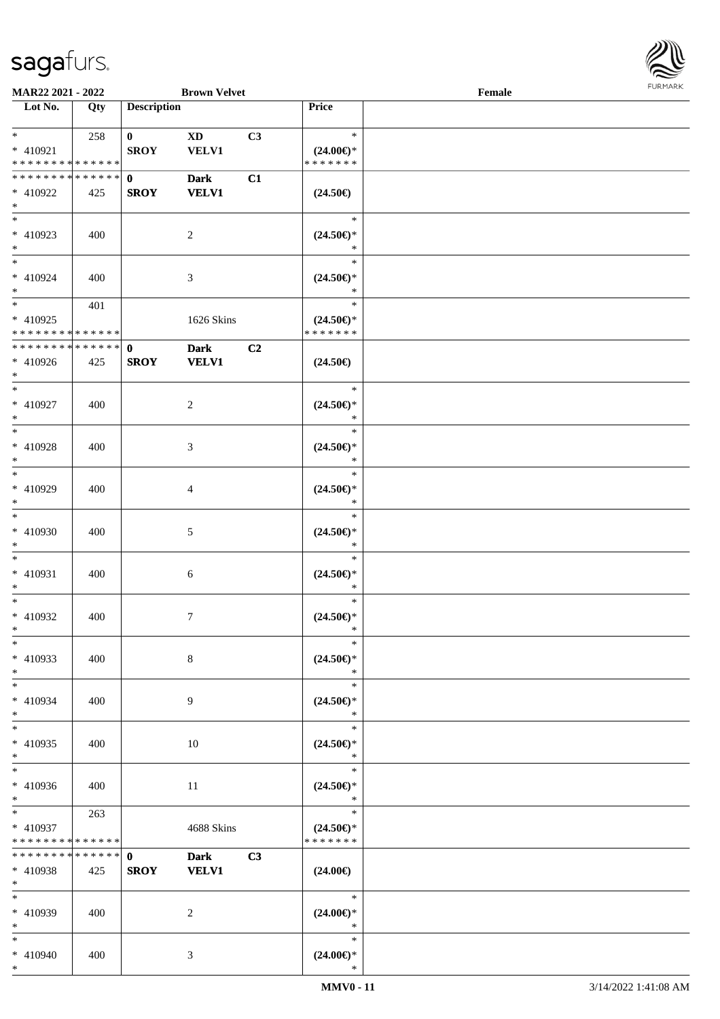

| MAR22 2021 - 2022                                      |                    |                             | <b>Brown Velvet</b>                    |    |                                                   | Female |  |
|--------------------------------------------------------|--------------------|-----------------------------|----------------------------------------|----|---------------------------------------------------|--------|--|
| Lot No.                                                | Qty                | <b>Description</b>          |                                        |    | Price                                             |        |  |
| $*$<br>* 410921                                        | 258                | $\mathbf{0}$<br><b>SROY</b> | $\mathbf{X}\mathbf{D}$<br><b>VELV1</b> | C3 | $\ast$<br>$(24.00\epsilon)$ *                     |        |  |
| * * * * * * * * * * * * * *                            |                    |                             |                                        |    | * * * * * * *                                     |        |  |
| * * * * * * * * * * * * * * *<br>* 410922<br>$*$       | 425                | $\mathbf{0}$<br><b>SROY</b> | <b>Dark</b><br><b>VELV1</b>            | C1 | $(24.50\epsilon)$                                 |        |  |
| $\overline{\phantom{0}}$<br>$* 410923$<br>$*$          | 400                |                             | $\overline{2}$                         |    | $\ast$<br>$(24.50\epsilon)$ *<br>$\ast$           |        |  |
| $*$<br>* 410924<br>$*$                                 | 400                |                             | $\mathfrak{Z}$                         |    | $\ast$<br>$(24.50\epsilon)$ *<br>$\ast$           |        |  |
| $*$<br>$* 410925$<br>* * * * * * * * * * * * * *       | 401                |                             | 1626 Skins                             |    | $\ast$<br>$(24.50\epsilon)$ *<br>* * * * * * *    |        |  |
| * * * * * * * * * * * * * *<br>$* 410926$<br>$*$       | 425                | $\mathbf 0$<br><b>SROY</b>  | <b>Dark</b><br><b>VELV1</b>            | C2 | $(24.50\epsilon)$                                 |        |  |
| $*$<br>$* 410927$<br>$*$                               | 400                |                             | $\overline{2}$                         |    | $\ast$<br>$(24.50\epsilon)$ *<br>$\ast$           |        |  |
| $\overline{\ }$<br>* 410928<br>$*$                     | 400                |                             | 3                                      |    | $\ast$<br>$(24.50\epsilon)$ *<br>$\ast$           |        |  |
| $*$<br>$* 410929$<br>$*$                               | 400                |                             | 4                                      |    | $\ast$<br>$(24.50\epsilon)$ *<br>$\ast$           |        |  |
| $*$<br>$* 410930$<br>$*$                               | 400                |                             | $\mathfrak{S}$                         |    | $\ast$<br>$(24.50\epsilon)$ *<br>$\ast$           |        |  |
| $*$<br>$* 410931$<br>$*$<br>$*$                        | 400                |                             | 6                                      |    | $\ast$<br>$(24.50\epsilon)$ *<br>$\ast$<br>$\ast$ |        |  |
| $* 410932$<br>$*$<br>$\ast$                            | 400                |                             | $\tau$                                 |    | $(24.50\epsilon)$ *<br>$\ast$<br>$\ast$           |        |  |
| $* 410933$<br>$*$                                      | 400                |                             | 8                                      |    | $(24.50\epsilon)$ *<br>$\ast$<br>$\ast$           |        |  |
| $*$<br>* 410934<br>$*$                                 | 400                |                             | 9                                      |    | $(24.50\epsilon)$ *<br>$\ast$                     |        |  |
| $*$<br>$* 410935$<br>$*$<br>$\overline{\ast}$          | 400                |                             | 10                                     |    | $\ast$<br>$(24.50\epsilon)$ *<br>$\ast$<br>$\ast$ |        |  |
| $* 410936$<br>$*$ $-$                                  | 400                |                             | 11                                     |    | $(24.50\epsilon)$ *<br>$\ast$                     |        |  |
| $*$ and $*$<br>* 410937<br>* * * * * * * * * * * * * * | 263                |                             | 4688 Skins                             |    | $\ast$<br>$(24.50\epsilon)$ *<br>* * * * * * *    |        |  |
| * * * * * * * *<br>* 410938<br>$*$                     | * * * * * *<br>425 | $\mathbf{0}$<br><b>SROY</b> | <b>Dark</b><br><b>VELV1</b>            | C3 | $(24.00\epsilon)$                                 |        |  |
| $*$<br>* 410939<br>$*$                                 | 400                |                             | 2                                      |    | $\ast$<br>$(24.00\epsilon)$ *<br>$\ast$           |        |  |
| $*$<br>* 410940<br>$*$                                 | 400                |                             | 3                                      |    | $\ast$<br>$(24.00\epsilon)$ *<br>$\ast$           |        |  |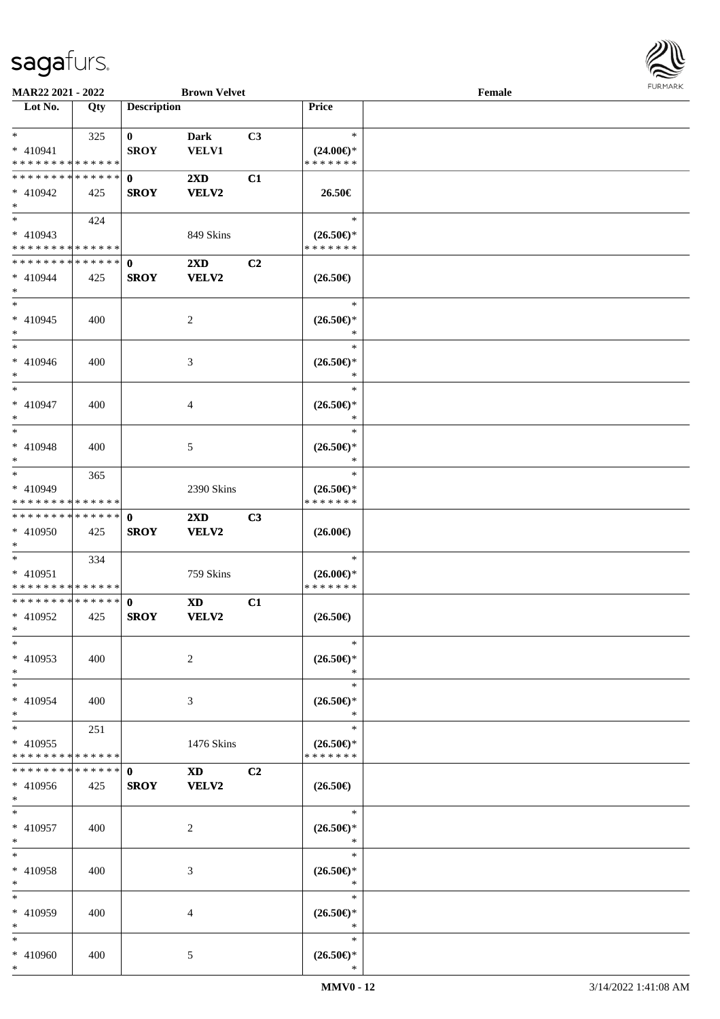

| MAR22 2021 - 2022             |             |                    | <b>Brown Velvet</b>                                                                                                                                                                                                            |                |                                                              | Female |  |
|-------------------------------|-------------|--------------------|--------------------------------------------------------------------------------------------------------------------------------------------------------------------------------------------------------------------------------|----------------|--------------------------------------------------------------|--------|--|
| Lot No.                       | Qty         | <b>Description</b> |                                                                                                                                                                                                                                |                | Price                                                        |        |  |
|                               |             |                    |                                                                                                                                                                                                                                |                |                                                              |        |  |
| $*$                           | 325         | $\mathbf{0}$       | <b>Dark</b>                                                                                                                                                                                                                    | C3             | $\ast$                                                       |        |  |
| * 410941                      |             | <b>SROY</b>        | <b>VELV1</b>                                                                                                                                                                                                                   |                | $(24.00\epsilon)$ *                                          |        |  |
| * * * * * * * * * * * * * *   |             |                    |                                                                                                                                                                                                                                |                | * * * * * * *                                                |        |  |
| * * * * * * * * * * * * * * * |             | $\mathbf{0}$       | 2XD                                                                                                                                                                                                                            | C1             |                                                              |        |  |
| * 410942                      | 425         | <b>SROY</b>        | VELV2                                                                                                                                                                                                                          |                | 26.50€                                                       |        |  |
| $*$                           |             |                    |                                                                                                                                                                                                                                |                |                                                              |        |  |
|                               | 424         |                    |                                                                                                                                                                                                                                |                | $\ast$                                                       |        |  |
| * 410943                      |             |                    | 849 Skins                                                                                                                                                                                                                      |                | $(26.50\epsilon)$ *                                          |        |  |
| * * * * * * * * * * * * * *   |             |                    |                                                                                                                                                                                                                                |                | * * * * * * *                                                |        |  |
| * * * * * * * * * * * * * * * |             | $\mathbf{0}$       | $2\mathbf{X}\mathbf{D}$                                                                                                                                                                                                        | C <sub>2</sub> |                                                              |        |  |
| * 410944                      | 425         | <b>SROY</b>        | <b>VELV2</b>                                                                                                                                                                                                                   |                | $(26.50\epsilon)$                                            |        |  |
| $*$                           |             |                    |                                                                                                                                                                                                                                |                |                                                              |        |  |
| $*$                           |             |                    |                                                                                                                                                                                                                                |                | $\ast$                                                       |        |  |
| $* 410945$                    | 400         |                    |                                                                                                                                                                                                                                |                | $(26.50\epsilon)$ *                                          |        |  |
| $*$                           |             |                    | $\overline{c}$                                                                                                                                                                                                                 |                | $\ast$                                                       |        |  |
| $*$                           |             |                    |                                                                                                                                                                                                                                |                | $\ast$                                                       |        |  |
|                               |             |                    |                                                                                                                                                                                                                                |                |                                                              |        |  |
| $* 410946$                    | 400         |                    | 3                                                                                                                                                                                                                              |                | $(26.50\mathnormal{\in}\mathcal{)^{\! \! \times}}$<br>$\ast$ |        |  |
| $*$<br>$*$                    |             |                    |                                                                                                                                                                                                                                |                | $\ast$                                                       |        |  |
|                               |             |                    |                                                                                                                                                                                                                                |                |                                                              |        |  |
| * 410947                      | 400         |                    | 4                                                                                                                                                                                                                              |                | $(26.50\epsilon)$ *                                          |        |  |
| $*$                           |             |                    |                                                                                                                                                                                                                                |                | $\ast$                                                       |        |  |
| $*$                           |             |                    |                                                                                                                                                                                                                                |                | $\ast$                                                       |        |  |
| $* 410948$                    | 400         |                    | 5                                                                                                                                                                                                                              |                | $(26.50\epsilon)$ *                                          |        |  |
| $*$                           |             |                    |                                                                                                                                                                                                                                |                | ∗                                                            |        |  |
| $*$                           | 365         |                    |                                                                                                                                                                                                                                |                | $\ast$                                                       |        |  |
| * 410949                      |             |                    | 2390 Skins                                                                                                                                                                                                                     |                | $(26.50\epsilon)$ *                                          |        |  |
| * * * * * * * * * * * * * *   |             |                    |                                                                                                                                                                                                                                |                | * * * * * * *                                                |        |  |
| * * * * * * * * * * * * * * * |             | $\mathbf 0$        | $2\mathbf{X}\mathbf{D}$                                                                                                                                                                                                        | C3             |                                                              |        |  |
| * 410950                      | 425         | <b>SROY</b>        | VELV2                                                                                                                                                                                                                          |                | $(26.00\epsilon)$                                            |        |  |
| $*$                           |             |                    |                                                                                                                                                                                                                                |                |                                                              |        |  |
| $*$                           | 334         |                    |                                                                                                                                                                                                                                |                | $\ast$                                                       |        |  |
| * 410951                      |             |                    | 759 Skins                                                                                                                                                                                                                      |                | $(26.00\epsilon)$ *                                          |        |  |
| * * * * * * * * * * * * * *   |             |                    |                                                                                                                                                                                                                                |                | * * * * * * *                                                |        |  |
| * * * * * * * * * * * * * * * |             | $\mathbf 0$        | <b>XD</b>                                                                                                                                                                                                                      | C1             |                                                              |        |  |
| $* 410952$                    | 425         | <b>SROY</b>        | VELV2                                                                                                                                                                                                                          |                | $(26.50\epsilon)$                                            |        |  |
| $*$                           |             |                    |                                                                                                                                                                                                                                |                |                                                              |        |  |
| $*$                           |             |                    |                                                                                                                                                                                                                                |                | $\ast$                                                       |        |  |
| * 410953                      | 400         |                    | 2                                                                                                                                                                                                                              |                | $(26.50\epsilon)$ *                                          |        |  |
| $*$                           |             |                    |                                                                                                                                                                                                                                |                | ∗                                                            |        |  |
| $*$                           |             |                    |                                                                                                                                                                                                                                |                | $\ast$                                                       |        |  |
| * 410954                      | 400         |                    | 3                                                                                                                                                                                                                              |                | $(26.50\epsilon)$ *                                          |        |  |
| $*$                           |             |                    |                                                                                                                                                                                                                                |                | $\ast$                                                       |        |  |
| $*$                           | 251         |                    |                                                                                                                                                                                                                                |                | $\ast$                                                       |        |  |
| * 410955                      |             |                    | 1476 Skins                                                                                                                                                                                                                     |                | $(26.50\epsilon)$ *                                          |        |  |
| * * * * * * * *               | * * * * * * |                    |                                                                                                                                                                                                                                |                | * * * * * * *                                                |        |  |
| * * * * * * * *               | ******      | $\mathbf{0}$       | XD and the set of the set of the set of the set of the set of the set of the set of the set of the set of the set of the set of the set of the set of the set of the set of the set of the set of the set of the set of the se | C <sub>2</sub> |                                                              |        |  |
| * 410956                      | 425         | <b>SROY</b>        | <b>VELV2</b>                                                                                                                                                                                                                   |                | $(26.50\epsilon)$                                            |        |  |
| $*$                           |             |                    |                                                                                                                                                                                                                                |                |                                                              |        |  |
| $*$                           |             |                    |                                                                                                                                                                                                                                |                | $\ast$                                                       |        |  |
| $* 410957$                    | 400         |                    | 2                                                                                                                                                                                                                              |                | $(26.50\epsilon)$ *                                          |        |  |
| $*$                           |             |                    |                                                                                                                                                                                                                                |                | $\ast$                                                       |        |  |
| $*$                           |             |                    |                                                                                                                                                                                                                                |                | $\ast$                                                       |        |  |
| $* 410958$                    | 400         |                    | 3                                                                                                                                                                                                                              |                | $(26.50\epsilon)$ *                                          |        |  |
| $*$                           |             |                    |                                                                                                                                                                                                                                |                | $\ast$                                                       |        |  |
| $*$                           |             |                    |                                                                                                                                                                                                                                |                | $\ast$                                                       |        |  |
|                               |             |                    |                                                                                                                                                                                                                                |                |                                                              |        |  |
| * 410959<br>$*$               | 400         |                    | 4                                                                                                                                                                                                                              |                | $(26.50\epsilon)$ *<br>$\ast$                                |        |  |
| $*$                           |             |                    |                                                                                                                                                                                                                                |                | $\ast$                                                       |        |  |
|                               |             |                    |                                                                                                                                                                                                                                |                |                                                              |        |  |
| * 410960                      | 400         |                    | 5                                                                                                                                                                                                                              |                | $(26.50\epsilon)$ *                                          |        |  |
| $*$                           |             |                    |                                                                                                                                                                                                                                |                | $\ast$                                                       |        |  |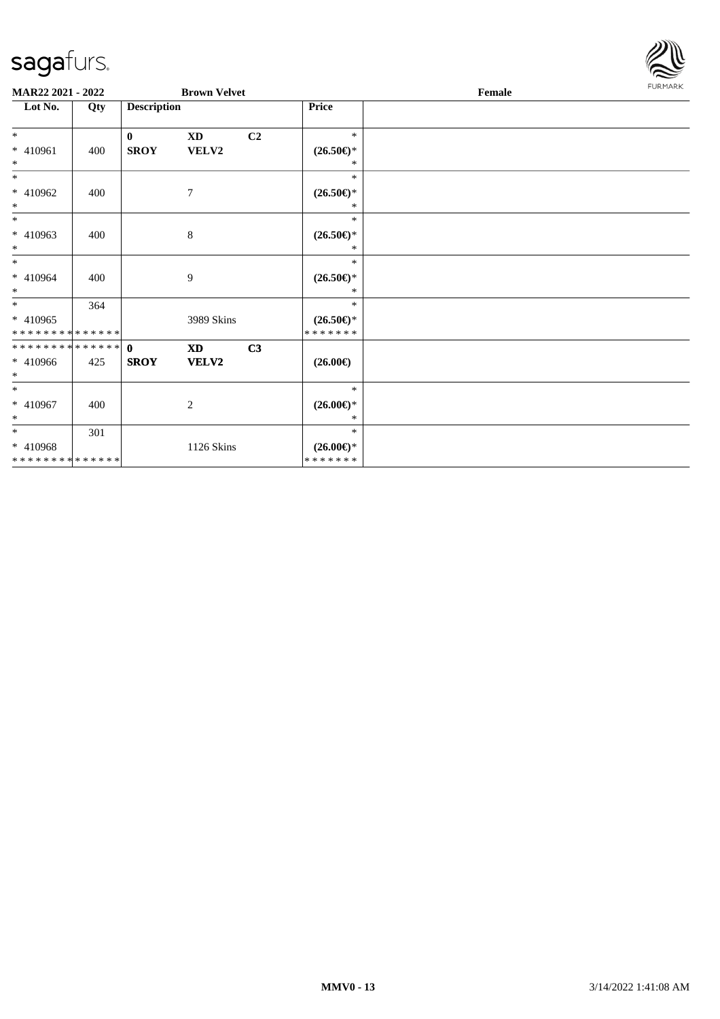

| MAR22 2021 - 2022          |     |                    | <b>Brown Velvet</b> |                |                                                              | Female | <b>FURMARK</b> |
|----------------------------|-----|--------------------|---------------------|----------------|--------------------------------------------------------------|--------|----------------|
| Lot No.                    | Qty | <b>Description</b> |                     |                | Price                                                        |        |                |
| $*$                        |     | $\mathbf{0}$       | <b>XD</b>           | C <sub>2</sub> | $\ast$                                                       |        |                |
| $* 410961$<br>$\ast$       | 400 | <b>SROY</b>        | VELV2               |                | $(26.50\mathnormal{\in}\mathcal{)^{\! \! \times}}$<br>$\ast$ |        |                |
| $*$                        |     |                    |                     |                | $\ast$                                                       |        |                |
| * 410962<br>$\ast$         | 400 |                    | $\tau$              |                | $(26.50\mathnormal{\in}\mathcal{)^{\! \! \times}}$<br>$\ast$ |        |                |
| $*$                        |     |                    |                     |                | $\ast$                                                       |        |                |
| $* 410963$<br>$*$          | 400 |                    | 8                   |                | $(26.50\epsilon)$ *<br>*                                     |        |                |
| $\ast$                     |     |                    |                     |                | $\ast$                                                       |        |                |
| $* 410964$<br>$\ast$       | 400 |                    | 9                   |                | $(26.50\epsilon)$ *<br>$\ast$                                |        |                |
| $\ast$                     | 364 |                    |                     |                | $\ast$                                                       |        |                |
| * 410965<br>************** |     |                    | 3989 Skins          |                | $(26.50\epsilon)$ *<br>* * * * * * *                         |        |                |
| **************             |     | $\mathbf{0}$       | <b>XD</b>           | C3             |                                                              |        |                |
| $* 410966$<br>$\ast$       | 425 | <b>SROY</b>        | VELV2               |                | $(26.00\epsilon)$                                            |        |                |
| $\ast$                     |     |                    |                     |                | $\ast$                                                       |        |                |
| $* 410967$<br>$\ast$       | 400 |                    | 2                   |                | $(26.00\epsilon)$ *<br>$*$                                   |        |                |
| $\ast$                     | 301 |                    |                     |                | $\ast$                                                       |        |                |
| * 410968<br>************** |     |                    | 1126 Skins          |                | $(26.00\epsilon)$ *<br>* * * * * * *                         |        |                |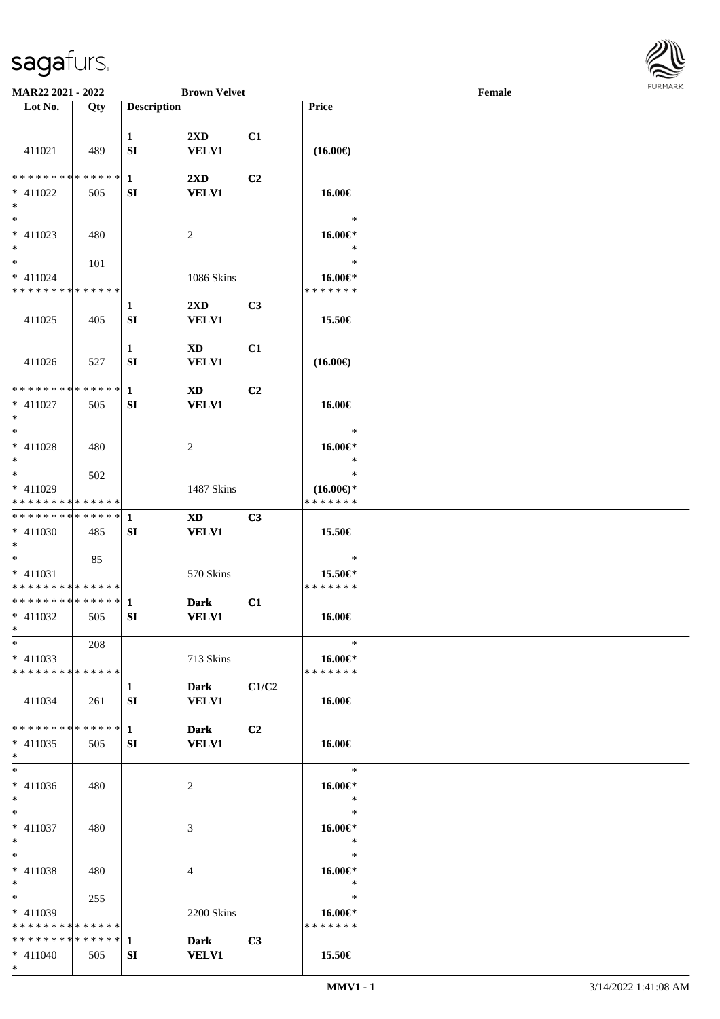

| MAR22 2021 - 2022                                    |               |                    | <b>Brown Velvet</b>              |                |                                                | Female |  |
|------------------------------------------------------|---------------|--------------------|----------------------------------|----------------|------------------------------------------------|--------|--|
| Lot No.                                              | Qty           | <b>Description</b> |                                  |                | Price                                          |        |  |
|                                                      |               |                    |                                  |                |                                                |        |  |
| 411021                                               | 489           | $\mathbf{1}$<br>SI | $2\mathbf{X}\mathbf{D}$<br>VELV1 | C1             | $(16.00\epsilon)$                              |        |  |
| * * * * * * * *<br>* 411022<br>$\ast$                | ******<br>505 | $\mathbf{1}$<br>SI | 2XD<br><b>VELV1</b>              | C2             | 16.00€                                         |        |  |
| $\overline{\phantom{0}}$<br>$* 411023$<br>$*$        | 480           |                    | 2                                |                | $\ast$<br>16.00€*<br>$\ast$                    |        |  |
| $*$<br>$* 411024$<br>* * * * * * * * * * * * * *     | 101           |                    | 1086 Skins                       |                | $\ast$<br>$16.00 \in$<br>* * * * * * *         |        |  |
| 411025                                               | 405           | $\mathbf 1$<br>SI  | $2\mathbf{X}\mathbf{D}$<br>VELV1 | C3             | 15.50€                                         |        |  |
| 411026                                               | 527           | $\mathbf{1}$<br>SI | XD<br>VELV1                      | C1             | $(16.00\epsilon)$                              |        |  |
| * * * * * * * * * * * * * *<br>$* 411027$<br>$*$     | 505           | $\mathbf{1}$<br>SI | <b>XD</b><br><b>VELV1</b>        | C <sub>2</sub> | 16.00€                                         |        |  |
| $*$<br>$* 411028$<br>$*$                             | 480           |                    | 2                                |                | $\ast$<br>16.00€*<br>$\ast$                    |        |  |
| $*$<br>$* 411029$<br>* * * * * * * * * * * * * *     | 502           |                    | 1487 Skins                       |                | $\ast$<br>$(16.00\epsilon)$ *<br>* * * * * * * |        |  |
| * * * * * * * * * * * * * * *<br>* 411030<br>$*$     | 485           | -1<br>SI           | <b>XD</b><br><b>VELV1</b>        | C3             | 15.50€                                         |        |  |
| $*$<br>* 411031<br>* * * * * * * * * * * * * *       | 85            |                    | 570 Skins                        |                | $\ast$<br>15.50€*<br>* * * * * * *             |        |  |
| * * * * * * * * * * * * * * *<br>$* 411032$<br>$*$   | 505           | $\mathbf{1}$<br>SI | <b>Dark</b><br><b>VELV1</b>      | C1             | 16.00€                                         |        |  |
| $*$<br>$* 411033$<br>* * * * * * * * * * * * * * *   | 208           |                    | 713 Skins                        |                | $\ast$<br>16.00€*<br>* * * * * * *             |        |  |
| 411034                                               | 261           | $\mathbf{1}$<br>SI | Dark<br><b>VELV1</b>             | C1/C2          | 16.00€                                         |        |  |
| * * * * * * * * * * * * * * *<br>$* 411035$<br>$*$   | 505           | $\mathbf{1}$<br>SI | <b>Dark</b><br><b>VELV1</b>      | C <sub>2</sub> | 16.00€                                         |        |  |
| $*$<br>$* 411036$<br>$*$                             | 480           |                    | 2                                |                | $\ast$<br>16.00€*<br>$\ast$                    |        |  |
| $*$<br>* 411037<br>$*$                               | 480           |                    | 3                                |                | $\ast$<br>$16.00 \in$<br>$\ast$                |        |  |
| $*$<br>$* 411038$<br>$*$                             | 480           |                    | 4                                |                | $\ast$<br>16.00€*<br>$\ast$                    |        |  |
| $*$ $*$<br>$* 411039$<br>* * * * * * * * * * * * * * | 255           |                    | 2200 Skins                       |                | $\ast$<br>16.00€*<br>* * * * * * *             |        |  |
| * * * * * * * * * * * * * * *<br>$* 411040$          | 505           | $\mathbf{1}$<br>SI | <b>Dark</b><br><b>VELV1</b>      | C3             | 15.50€                                         |        |  |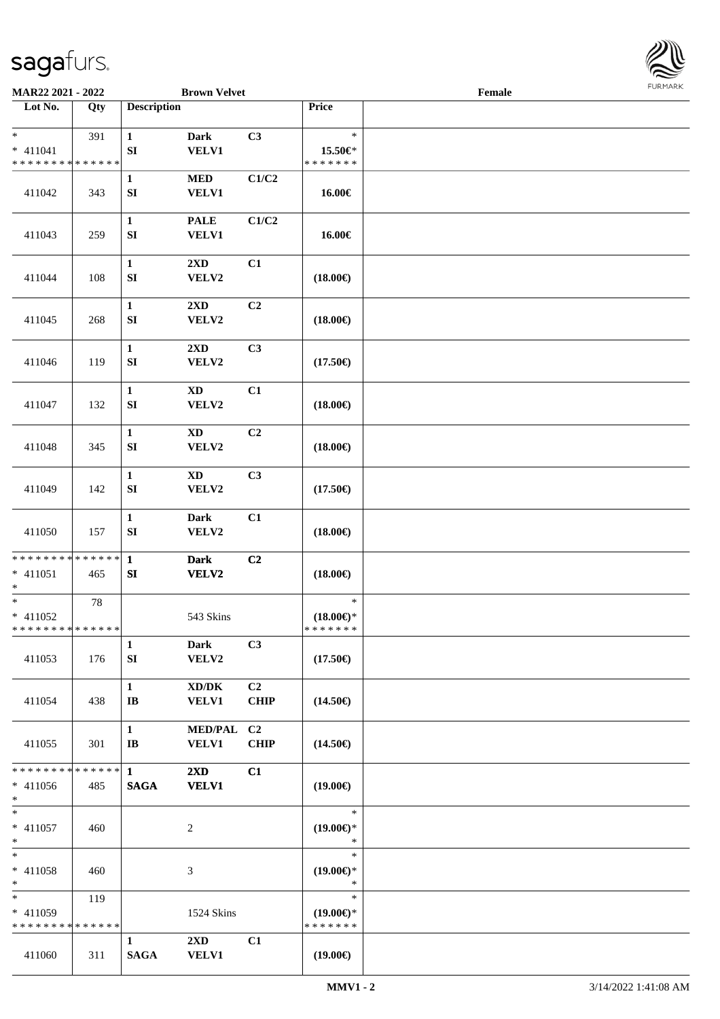

| MAR22 2021 - 2022                                   |                    |                                        | <b>Brown Velvet</b>                     |                               |                                                | Female |  |
|-----------------------------------------------------|--------------------|----------------------------------------|-----------------------------------------|-------------------------------|------------------------------------------------|--------|--|
| Lot No.                                             | Qty                | <b>Description</b>                     |                                         |                               | Price                                          |        |  |
| $\ast$<br>$* 411041$<br>* * * * * * * * * * * * * * | 391                | $\mathbf{1}$<br>${\bf SI}$             | <b>Dark</b><br><b>VELV1</b>             | C3                            | $\ast$<br>15.50€*<br>* * * * * * *             |        |  |
| 411042                                              | 343                | $\mathbf{1}$<br>SI                     | <b>MED</b><br><b>VELV1</b>              | C1/C2                         | 16.00€                                         |        |  |
| 411043                                              | 259                | $\mathbf{1}$<br>${\bf S}{\bf I}$       | <b>PALE</b><br>VELV1                    | C1/C2                         | 16.00€                                         |        |  |
| 411044                                              | 108                | $\mathbf{1}$<br>${\bf SI}$             | 2XD<br>VELV2                            | C1                            | $(18.00\epsilon)$                              |        |  |
| 411045                                              | 268                | $\mathbf 1$<br>SI                      | 2XD<br>VELV2                            | C2                            | $(18.00\epsilon)$                              |        |  |
| 411046                                              | 119                | $\mathbf 1$<br>${\bf SI}$              | 2XD<br>VELV2                            | C3                            | $(17.50\epsilon)$                              |        |  |
| 411047                                              | 132                | $\mathbf{1}$<br>${\bf S}{\bf I}$       | $\mathbf{X}\mathbf{D}$<br>VELV2         | C1                            | $(18.00\epsilon)$                              |        |  |
| 411048                                              | 345                | $\mathbf{1}$<br>SI                     | $\mathbf{X}\mathbf{D}$<br>VELV2         | C2                            | $(18.00\epsilon)$                              |        |  |
| 411049                                              | 142                | $\mathbf 1$<br>SI                      | <b>XD</b><br>VELV2                      | C3                            | $(17.50\epsilon)$                              |        |  |
| 411050                                              | 157                | $\mathbf{1}$<br>${\bf SI}$             | <b>Dark</b><br>VELV2                    | C1                            | $(18.00\epsilon)$                              |        |  |
| * * * * * * * * * * * * * * *<br>$* 411051$<br>$*$  | 465                | $\mathbf{1}$<br>SI                     | <b>Dark</b><br><b>VELV2</b>             | C2                            | $(18.00\epsilon)$                              |        |  |
| $*$<br>$* 411052$<br>* * * * * * * * * * * * * * *  | 78                 |                                        | 543 Skins                               |                               | $\ast$<br>$(18.00\epsilon)$ *<br>* * * * * * * |        |  |
| 411053                                              | 176                | $\mathbf{1}$<br>SI                     | <b>Dark</b><br>VELV2                    | C3                            | $(17.50\epsilon)$                              |        |  |
| 411054                                              | 438                | $\mathbf{1}$<br>$\mathbf{I}\mathbf{B}$ | XD/DK<br><b>VELV1</b>                   | C <sub>2</sub><br><b>CHIP</b> | $(14.50\epsilon)$                              |        |  |
| 411055                                              | 301                | $\mathbf{1}$<br>$\mathbf{I}$ <b>B</b>  | <b>MED/PAL</b><br>VELV1                 | C <sub>2</sub><br><b>CHIP</b> | $(14.50\epsilon)$                              |        |  |
| * * * * * * * *<br>$* 411056$<br>$*$                | ******<br>485      | $\mathbf{1}$<br><b>SAGA</b>            | 2XD<br><b>VELV1</b>                     | C1                            | $(19.00\epsilon)$                              |        |  |
| $*$<br>$* 411057$<br>$*$                            | 460                |                                        | $\overline{c}$                          |                               | $\ast$<br>$(19.00\epsilon)$ *<br>$\ast$        |        |  |
| $*$<br>$* 411058$<br>$*$                            | 460                |                                        | 3                                       |                               | $\ast$<br>$(19.00\epsilon)$ *<br>$\ast$        |        |  |
| $*$<br>* 411059<br>* * * * * * * *                  | 119<br>* * * * * * |                                        | 1524 Skins                              |                               | $\ast$<br>$(19.00\epsilon)$ *<br>* * * * * * * |        |  |
| 411060                                              | 311                | $\mathbf{1}$<br><b>SAGA</b>            | $2\mathbf{X}\mathbf{D}$<br><b>VELV1</b> | C1                            | $(19.00\epsilon)$                              |        |  |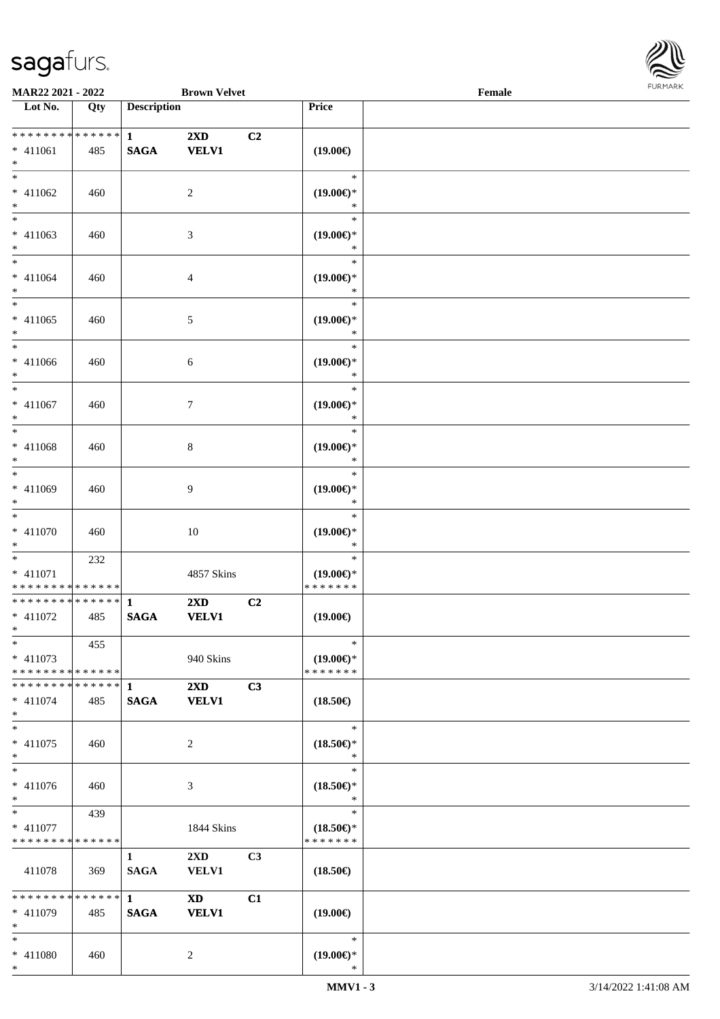

| MAR22 2021 - 2022                                     |     |                             | <b>Brown Velvet</b>                     |    |                                                | $\ensuremath{\textnormal{\textbf{Female}}}$ |  |  |
|-------------------------------------------------------|-----|-----------------------------|-----------------------------------------|----|------------------------------------------------|---------------------------------------------|--|--|
| Lot No.                                               | Qty | <b>Description</b>          |                                         |    | Price                                          |                                             |  |  |
| **************<br>$* 411061$<br>$*$                   | 485 | $\mathbf{1}$<br><b>SAGA</b> | $2\mathbf{X}\mathbf{D}$<br><b>VELV1</b> | C2 | $(19.00\epsilon)$                              |                                             |  |  |
| $\ast$<br>$* 411062$<br>$\ast$                        | 460 |                             | $\sqrt{2}$                              |    | $\ast$<br>$(19.00\epsilon)$ *<br>$\ast$        |                                             |  |  |
| $\overline{\phantom{a}^*}$<br>$* 411063$<br>$*$       | 460 |                             | $\mathfrak{Z}$                          |    | $\ast$<br>$(19.00\epsilon)$ *<br>$\ast$        |                                             |  |  |
| $*$<br>$* 411064$<br>$*$                              | 460 |                             | $\overline{4}$                          |    | $\ast$<br>$(19.00\epsilon)$ *<br>$\ast$        |                                             |  |  |
| $\ast$<br>$* 411065$<br>$\ast$                        | 460 |                             | $\sqrt{5}$                              |    | $\ast$<br>$(19.00\epsilon)$ *<br>$\ast$        |                                             |  |  |
| $\overline{\phantom{0}}$<br>$* 411066$<br>$\ast$      | 460 |                             | $\sqrt{6}$                              |    | $\ast$<br>$(19.00\epsilon)$ *<br>$\ast$        |                                             |  |  |
| $\overline{\phantom{a}^*}$<br>$* 411067$<br>$\ast$    | 460 |                             | $\tau$                                  |    | $\ast$<br>$(19.00\epsilon)$ *<br>$\ast$        |                                             |  |  |
| $\ast$<br>$* 411068$<br>$\ast$                        | 460 |                             | $\,8\,$                                 |    | $\ast$<br>$(19.00\epsilon)$ *<br>$\ast$        |                                             |  |  |
| $\overline{\phantom{0}}$<br>$* 411069$<br>$\ast$      | 460 |                             | $\overline{9}$                          |    | $\ast$<br>$(19.00\epsilon)$ *<br>$\ast$        |                                             |  |  |
| $\overline{\phantom{1}}$<br>$* 411070$<br>$\ast$      | 460 |                             | 10                                      |    | $\ast$<br>$(19.00\epsilon)$ *<br>$\ast$        |                                             |  |  |
| $*$<br>$* 411071$<br>* * * * * * * * * * * * * *      | 232 |                             | 4857 Skins                              |    | $\ast$<br>$(19.00\epsilon)$ *<br>*******       |                                             |  |  |
| * * * * * * * * * * * * * * *<br>$* 411072$<br>$\ast$ | 485 | $\mathbf{1}$<br><b>SAGA</b> | $2\mathbf{X}\mathbf{D}$<br><b>VELV1</b> | C2 | $(19.00\epsilon)$                              |                                             |  |  |
| $\ast$<br>$* 411073$<br>* * * * * * * * * * * * * *   | 455 |                             | 940 Skins                               |    | $\ast$<br>$(19.00\epsilon)$ *<br>* * * * * * * |                                             |  |  |
| * * * * * * * * * * * * * * *<br>$* 411074$<br>$\ast$ | 485 | 1<br><b>SAGA</b>            | $2\mathbf{X}\mathbf{D}$<br><b>VELV1</b> | C3 | $(18.50\epsilon)$                              |                                             |  |  |
| $\ast$<br>$* 411075$<br>$\ast$                        | 460 |                             | $\boldsymbol{2}$                        |    | $\ast$<br>$(18.50\epsilon)$ *<br>$\ast$        |                                             |  |  |
| $\ast$<br>$* 411076$<br>$\ast$                        | 460 |                             | $\mathfrak{Z}$                          |    | $\ast$<br>$(18.50\epsilon)$ *<br>$\ast$        |                                             |  |  |
| $\ast$<br>$* 411077$<br>* * * * * * * * * * * * * *   | 439 |                             | 1844 Skins                              |    | $\ast$<br>$(18.50\epsilon)$ *<br>* * * * * * * |                                             |  |  |
| 411078                                                | 369 | $\mathbf{1}$<br><b>SAGA</b> | 2XD<br><b>VELV1</b>                     | C3 | $(18.50\epsilon)$                              |                                             |  |  |
| * * * * * * * * * * * * * *<br>$* 411079$<br>$\ast$   | 485 | $\mathbf{1}$<br><b>SAGA</b> | <b>XD</b><br><b>VELV1</b>               | C1 | $(19.00\epsilon)$                              |                                             |  |  |
| $\ast$<br>$* 411080$                                  | 460 |                             | 2                                       |    | $\ast$<br>$(19.00\epsilon)$ *                  |                                             |  |  |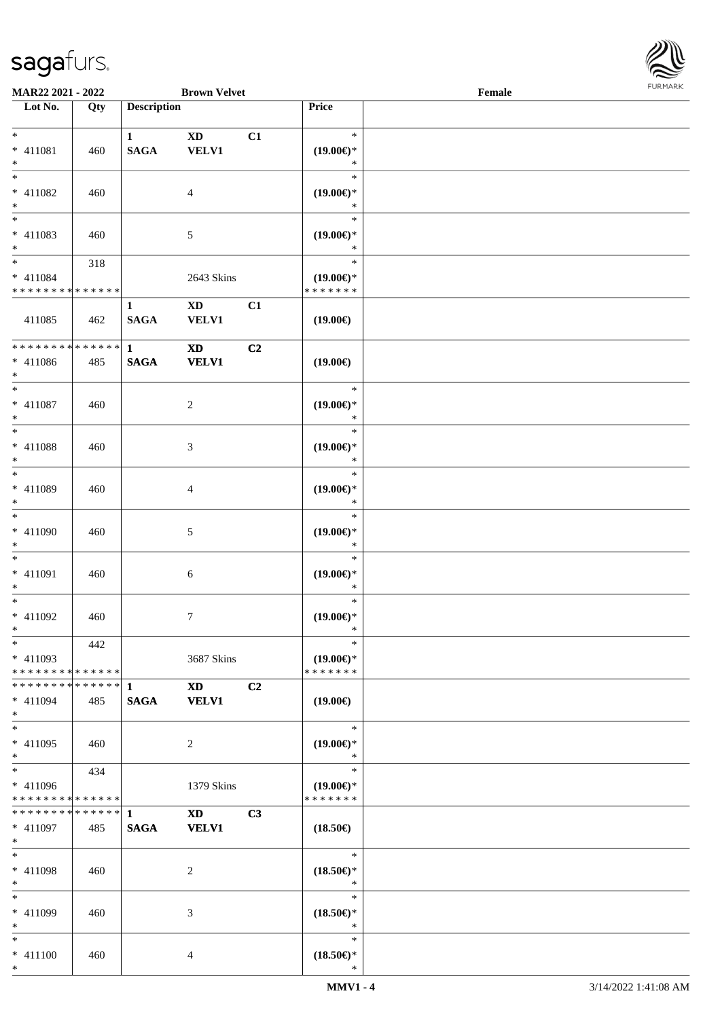

| MAR22 2021 - 2022                                              |               |                             | <b>Brown Velvet</b>                    |    |                                                | Female |  |
|----------------------------------------------------------------|---------------|-----------------------------|----------------------------------------|----|------------------------------------------------|--------|--|
| $\overline{\phantom{1}}$ Lot No.                               | Qty           | <b>Description</b>          |                                        |    | Price                                          |        |  |
| $*$<br>$* 411081$<br>$*$                                       | 460           | $\mathbf{1}$<br><b>SAGA</b> | $\mathbf{X}\mathbf{D}$<br>VELV1        | C1 | $\ast$<br>$(19.00\epsilon)$ *<br>*             |        |  |
| $\overline{\ast}$<br>$* 411082$<br>$\ast$                      | 460           |                             | $\overline{4}$                         |    | $\ast$<br>$(19.00\epsilon)$ *<br>$\ast$        |        |  |
| $*$<br>$* 411083$<br>$*$                                       | 460           |                             | 5                                      |    | $\ast$<br>$(19.00\epsilon)$ *<br>$\ast$        |        |  |
| $\overline{\ast}$<br>$* 411084$<br>* * * * * * * * * * * * * * | 318           |                             | 2643 Skins                             |    | $\ast$<br>$(19.00\epsilon)$ *<br>* * * * * * * |        |  |
| 411085                                                         | 462           | $\mathbf{1}$<br><b>SAGA</b> | $\mathbf{X}\mathbf{D}$<br><b>VELV1</b> | C1 | $(19.00\epsilon)$                              |        |  |
| * * * * * * * * * * * * * * *<br>$* 411086$<br>$*$             | 485           | $\mathbf{1}$<br><b>SAGA</b> | $\mathbf{X}\mathbf{D}$<br><b>VELV1</b> | C2 | $(19.00\epsilon)$                              |        |  |
| $* 411087$<br>$*$                                              | 460           |                             | $\overline{c}$                         |    | $\ast$<br>$(19.00\epsilon)$ *<br>$\ast$        |        |  |
| $\overline{\ast}$<br>$* 411088$<br>$*$                         | 460           |                             | $\mathfrak{Z}$                         |    | $\ast$<br>$(19.00\epsilon)$ *<br>$\ast$        |        |  |
| $*$<br>* 411089<br>$*$                                         | 460           |                             | 4                                      |    | $\ast$<br>$(19.00\epsilon)$ *<br>$\ast$        |        |  |
| $*$<br>$* 411090$<br>$*$                                       | 460           |                             | 5                                      |    | $\ast$<br>$(19.00\epsilon)$ *<br>$\ast$        |        |  |
| $\ast$<br>$* 411091$<br>$*$                                    | 460           |                             | $\sqrt{6}$                             |    | $\ast$<br>$(19.00\epsilon)$ *<br>$\ast$        |        |  |
| $*$<br>$* 411092$<br>$*$                                       | 460           |                             | $\overline{7}$                         |    | $\ast$<br>$(19.00\epsilon)$ *<br>$\ast$        |        |  |
| $*$<br>$* 411093$<br>* * * * * * * * * * * * * * *             | 442           |                             | 3687 Skins                             |    | $\ast$<br>$(19.00\epsilon)$ *<br>* * * * * * * |        |  |
| * * * * * * * *<br>* 411094<br>$*$                             | ******<br>485 | 1<br><b>SAGA</b>            | $\mathbf{X}\mathbf{D}$<br><b>VELV1</b> | C2 | $(19.00\epsilon)$                              |        |  |
| $*$<br>* 411095<br>$*$                                         | 460           |                             | 2                                      |    | $\ast$<br>$(19.00\epsilon)$ *<br>$\ast$        |        |  |
| $*$<br>* 411096<br>* * * * * * * * * * * * * *                 | 434           |                             | 1379 Skins                             |    | $\ast$<br>$(19.00\epsilon)$ *<br>* * * * * * * |        |  |
| * * * * * * * *<br>* 411097<br>$*$                             | ******<br>485 | $\mathbf{1}$<br><b>SAGA</b> | <b>XD</b><br><b>VELV1</b>              | C3 | $(18.50\epsilon)$                              |        |  |
| $*$<br>$* 411098$<br>$*$                                       | 460           |                             | 2                                      |    | $\ast$<br>$(18.50\epsilon)$ *<br>$\ast$        |        |  |
| $*$<br>$* 411099$<br>$*$                                       | 460           |                             | 3                                      |    | $\ast$<br>$(18.50\epsilon)$ *<br>$\ast$        |        |  |
| $*$<br>$* 411100$<br>$*$                                       | 460           |                             | 4                                      |    | $\ast$<br>$(18.50\epsilon)$ *<br>$\ast$        |        |  |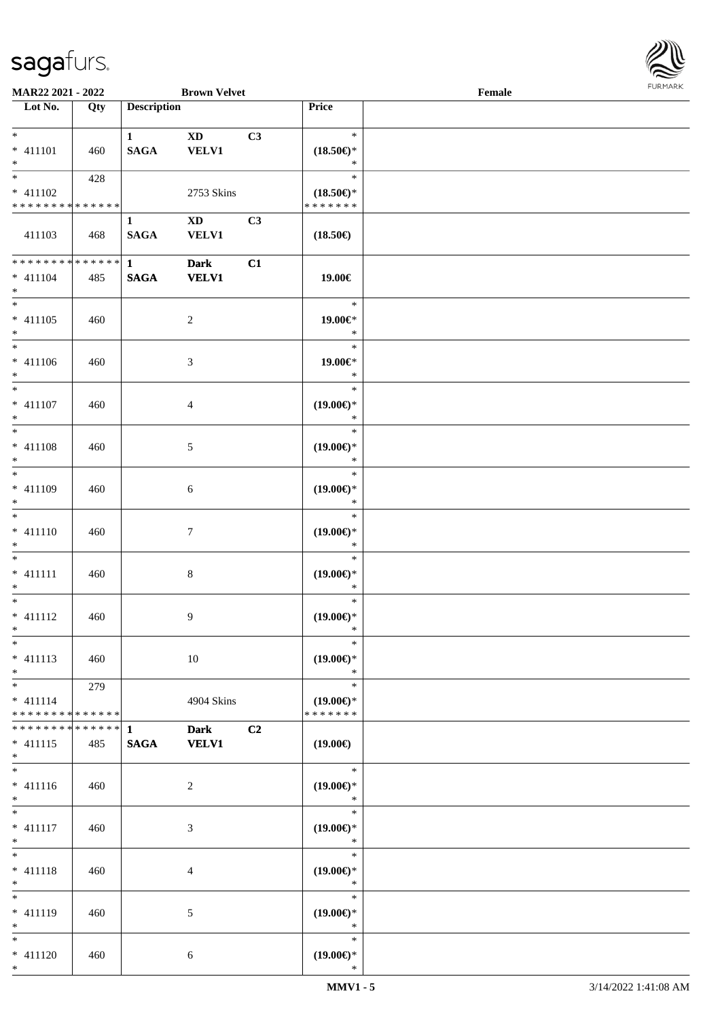

| <b>MAR22 2021 - 2022</b>                   |     |                        | <b>Brown Velvet</b>    |    |                               | Female |  |
|--------------------------------------------|-----|------------------------|------------------------|----|-------------------------------|--------|--|
| Lot No.                                    | Qty | <b>Description</b>     |                        |    | Price                         |        |  |
|                                            |     |                        |                        |    |                               |        |  |
| $*$                                        |     | $\mathbf{1}$           | $\mathbf{X}\mathbf{D}$ | C3 | $\ast$                        |        |  |
| $* 411101$                                 | 460 | <b>SAGA</b>            | <b>VELV1</b>           |    | $(18.50\epsilon)$ *           |        |  |
| $*$                                        |     |                        |                        |    | $\ast$                        |        |  |
| $\overline{\ast}$                          | 428 |                        |                        |    | $\ast$                        |        |  |
|                                            |     |                        |                        |    |                               |        |  |
| $* 411102$                                 |     |                        | 2753 Skins             |    | $(18.50\epsilon)$ *           |        |  |
| * * * * * * * * * * * * * *                |     |                        |                        |    | * * * * * * *                 |        |  |
|                                            |     | $\mathbf{1}$           | $\mathbf{X}\mathbf{D}$ | C3 |                               |        |  |
| 411103                                     | 468 | <b>SAGA</b>            | <b>VELV1</b>           |    | $(18.50\epsilon)$             |        |  |
|                                            |     |                        |                        |    |                               |        |  |
| **************                             |     | $1 \quad \blacksquare$ | <b>Dark</b>            | C1 |                               |        |  |
| $* 411104$                                 | 485 | <b>SAGA</b>            | <b>VELV1</b>           |    | 19.00€                        |        |  |
| $*$                                        |     |                        |                        |    |                               |        |  |
| $*$                                        |     |                        |                        |    | $\ast$                        |        |  |
| $* 411105$                                 | 460 |                        | $\overline{2}$         |    | 19.00€*                       |        |  |
| $*$                                        |     |                        |                        |    | $\ast$                        |        |  |
| $\overline{\phantom{0}}$                   |     |                        |                        |    | $\ast$                        |        |  |
|                                            |     |                        |                        |    |                               |        |  |
| $* 411106$                                 | 460 |                        | 3                      |    | 19.00€*                       |        |  |
| $*$                                        |     |                        |                        |    | $\ast$                        |        |  |
| $\overline{\ast}$                          |     |                        |                        |    | $\ast$                        |        |  |
| $* 411107$                                 | 460 |                        | 4                      |    | $(19.00\epsilon)$ *           |        |  |
| $*$                                        |     |                        |                        |    | $\ast$                        |        |  |
|                                            |     |                        |                        |    | $\ast$                        |        |  |
| $* 411108$                                 | 460 |                        | 5                      |    | $(19.00\epsilon)$ *           |        |  |
| $*$                                        |     |                        |                        |    | $\ast$                        |        |  |
|                                            |     |                        |                        |    | $\ast$                        |        |  |
|                                            |     |                        |                        |    |                               |        |  |
| * 411109                                   | 460 |                        | 6                      |    | $(19.00\epsilon)$ *           |        |  |
| $*$                                        |     |                        |                        |    | $\ast$                        |        |  |
| $\overline{\phantom{0}}$                   |     |                        |                        |    | $\ast$                        |        |  |
| $* 411110$                                 | 460 |                        | $\tau$                 |    | $(19.00\epsilon)$ *           |        |  |
| $*$                                        |     |                        |                        |    | $\ast$                        |        |  |
| $*$                                        |     |                        |                        |    | $\ast$                        |        |  |
| $* 411111$                                 | 460 |                        | $\,8\,$                |    | $(19.00\epsilon)$ *           |        |  |
| $*$                                        |     |                        |                        |    | $\ast$                        |        |  |
| $*$                                        |     |                        |                        |    | $\ast$                        |        |  |
| $* 411112$                                 |     |                        | 9                      |    | $(19.00\epsilon)$ *           |        |  |
| $*$                                        | 460 |                        |                        |    | $\ast$                        |        |  |
|                                            |     |                        |                        |    | $\ast$                        |        |  |
| $*$                                        |     |                        |                        |    |                               |        |  |
| $* 411113$                                 | 460 |                        | 10                     |    | $(19.00\epsilon)$ *           |        |  |
| $*$                                        |     |                        |                        |    | $\ast$                        |        |  |
| $*$ $*$                                    | 279 |                        |                        |    | $\ast$                        |        |  |
| $* 411114$                                 |     |                        | 4904 Skins             |    | $(19.00\epsilon)$ *           |        |  |
| * * * * * * * * * * * * * * *              |     |                        |                        |    | * * * * * * *                 |        |  |
| * * * * * * * * <mark>* * * * * * *</mark> |     | 1                      | <b>Dark</b>            | C2 |                               |        |  |
| $* 411115$                                 | 485 | <b>SAGA</b>            | <b>VELV1</b>           |    | $(19.00\epsilon)$             |        |  |
| $*$                                        |     |                        |                        |    |                               |        |  |
| $*$                                        |     |                        |                        |    | $\ast$                        |        |  |
| $* 411116$                                 |     |                        |                        |    |                               |        |  |
| $*$                                        | 460 |                        | 2                      |    | $(19.00\epsilon)$ *<br>$\ast$ |        |  |
|                                            |     |                        |                        |    |                               |        |  |
| $*$                                        |     |                        |                        |    | $\ast$                        |        |  |
| $* 411117$                                 | 460 |                        | 3                      |    | $(19.00\epsilon)$ *           |        |  |
| $*$                                        |     |                        |                        |    | $\ast$                        |        |  |
| $*$                                        |     |                        |                        |    | $\ast$                        |        |  |
| * 411118                                   | 460 |                        | 4                      |    | $(19.00\epsilon)$ *           |        |  |
| $*$                                        |     |                        |                        |    | $\ast$                        |        |  |
| $*$                                        |     |                        |                        |    | $\ast$                        |        |  |
| * 411119                                   | 460 |                        | 5                      |    | $(19.00\epsilon)$ *           |        |  |
| $*$                                        |     |                        |                        |    | $\ast$                        |        |  |
| $*$                                        |     |                        |                        |    | $\ast$                        |        |  |
|                                            |     |                        |                        |    |                               |        |  |
| $* 411120$                                 | 460 |                        | 6                      |    | $(19.00\epsilon)$ *           |        |  |
| $*$                                        |     |                        |                        |    | $\ast$                        |        |  |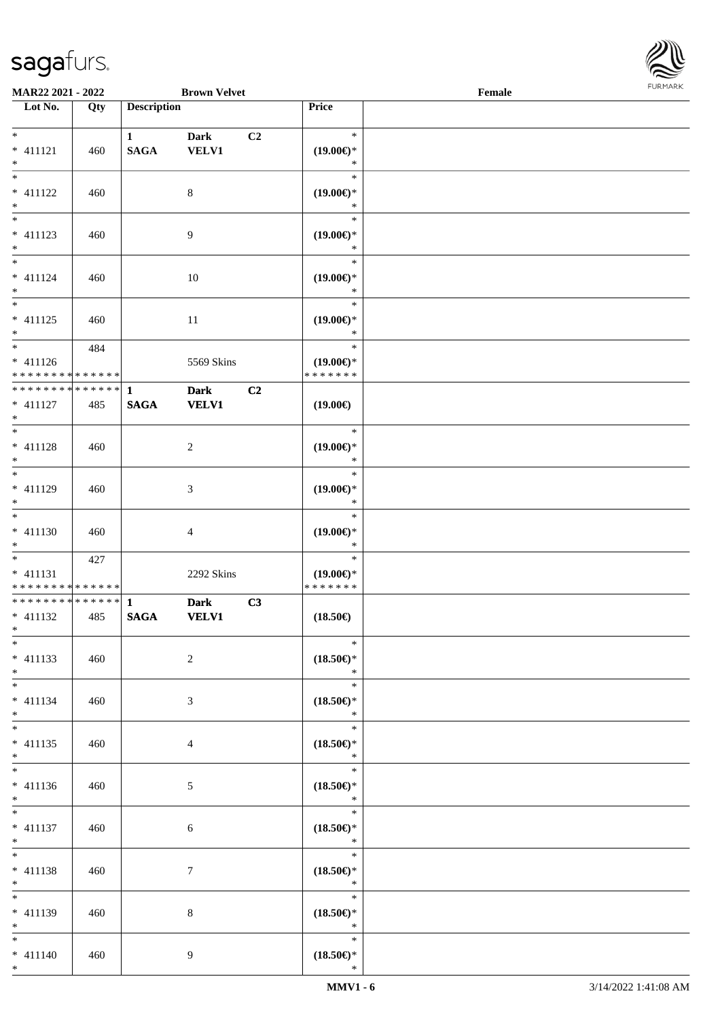

| <b>MAR22 2021 - 2022</b>                   |     |                    | <b>Brown Velvet</b> |                |                                                   | Female |  |
|--------------------------------------------|-----|--------------------|---------------------|----------------|---------------------------------------------------|--------|--|
| Lot No.                                    | Qty | <b>Description</b> |                     |                | Price                                             |        |  |
|                                            |     |                    |                     |                |                                                   |        |  |
| $*$                                        |     | $\mathbf{1}$       | <b>Dark</b>         | C <sub>2</sub> | $\ast$                                            |        |  |
| $* 411121$                                 | 460 | <b>SAGA</b>        | <b>VELV1</b>        |                | $(19.00\epsilon)$ *                               |        |  |
| $*$                                        |     |                    |                     |                | ∗                                                 |        |  |
|                                            |     |                    |                     |                | $\ast$                                            |        |  |
| $* 411122$                                 | 460 |                    | $\,8\,$             |                | $(19.00\epsilon)$ *                               |        |  |
| $*$                                        |     |                    |                     |                | $\ast$                                            |        |  |
| $\overline{\phantom{0}}$                   |     |                    |                     |                | $\ast$                                            |        |  |
| $* 411123$                                 | 460 |                    | $\overline{9}$      |                | $(19.00\epsilon)$ *                               |        |  |
| $*$                                        |     |                    |                     |                | *                                                 |        |  |
| $\overline{\ast}$                          |     |                    |                     |                | $\ast$                                            |        |  |
| * 411124                                   |     |                    |                     |                |                                                   |        |  |
| $*$                                        | 460 |                    | 10                  |                | $(19.00\epsilon)$ *<br>$\ast$                     |        |  |
|                                            |     |                    |                     |                | $\ast$                                            |        |  |
|                                            |     |                    |                     |                |                                                   |        |  |
| $* 411125$                                 | 460 |                    | $11\,$              |                | $(19.00\epsilon)$ *                               |        |  |
| $*$<br>$\overline{\ast}$                   |     |                    |                     |                | $\ast$                                            |        |  |
|                                            | 484 |                    |                     |                | $\ast$                                            |        |  |
| $* 411126$                                 |     |                    | 5569 Skins          |                | $(19.00\epsilon)$ *                               |        |  |
| * * * * * * * * <mark>* * * * * * *</mark> |     |                    |                     |                | * * * * * * *                                     |        |  |
| * * * * * * * * <mark>* * * * * * *</mark> |     | $\mathbf{1}$       | <b>Dark</b>         | C <sub>2</sub> |                                                   |        |  |
| $* 411127$                                 | 485 | <b>SAGA</b>        | <b>VELV1</b>        |                | $(19.00\epsilon)$                                 |        |  |
| $*$                                        |     |                    |                     |                |                                                   |        |  |
|                                            |     |                    |                     |                | $\ast$                                            |        |  |
| $* 411128$                                 | 460 |                    | 2                   |                | $(19.00\epsilon)$ *                               |        |  |
| $*$                                        |     |                    |                     |                | $\ast$                                            |        |  |
|                                            |     |                    |                     |                | $\ast$                                            |        |  |
| $* 411129$                                 | 460 |                    | 3                   |                | $(19.00\epsilon)$ *                               |        |  |
| $*$                                        |     |                    |                     |                | $\ast$                                            |        |  |
| $*$                                        |     |                    |                     |                | $\ast$                                            |        |  |
| $* 411130$                                 | 460 |                    | 4                   |                | $(19.00\epsilon)$ *                               |        |  |
| $*$                                        |     |                    |                     |                | $\ast$                                            |        |  |
| $*$                                        | 427 |                    |                     |                | $\ast$                                            |        |  |
| * 411131                                   |     |                    | 2292 Skins          |                | $(19.00\epsilon)$ *                               |        |  |
| * * * * * * * * <mark>* * * * * * *</mark> |     |                    |                     |                | * * * * * * *                                     |        |  |
| ************** 1                           |     |                    | <b>Dark</b>         | C3             |                                                   |        |  |
| $* 411132$                                 | 485 | <b>SAGA</b>        | <b>VELV1</b>        |                | $(18.50\epsilon)$                                 |        |  |
| $*$ $*$                                    |     |                    |                     |                |                                                   |        |  |
| $*$                                        |     |                    |                     |                | $\ast$                                            |        |  |
| * 411133                                   |     |                    |                     |                |                                                   |        |  |
|                                            | 460 |                    | $\overline{2}$      |                | $(18.50\epsilon)$ *                               |        |  |
| $*$                                        |     |                    |                     |                | $\ast$                                            |        |  |
| $*$ $*$                                    |     |                    |                     |                | $\ast$                                            |        |  |
| $* 411134$                                 | 460 |                    | 3                   |                | $(18.50\epsilon)$ *                               |        |  |
| $*$                                        |     |                    |                     |                | $\ast$                                            |        |  |
|                                            |     |                    |                     |                | $\ast$                                            |        |  |
| * 411135                                   | 460 |                    | 4                   |                | $(18.50\mathnormal{\in}\mathcal{)^{\! \! \circ}}$ |        |  |
| $*$                                        |     |                    |                     |                | $\ast$                                            |        |  |
|                                            |     |                    |                     |                | $\ast$                                            |        |  |
| $* 411136$                                 | 460 |                    | 5                   |                | $(18.50\epsilon)$ *                               |        |  |
| $*$                                        |     |                    |                     |                | $\ast$                                            |        |  |
| $*$                                        |     |                    |                     |                | $\ast$                                            |        |  |
| $* 411137$                                 | 460 |                    | 6                   |                | $(18.50\mathnormal{\infty})^*$                    |        |  |
| $*$                                        |     |                    |                     |                | $\ast$                                            |        |  |
| $*$                                        |     |                    |                     |                | $\ast$                                            |        |  |
| $* 411138$                                 | 460 |                    | $\boldsymbol{7}$    |                | $(18.50\epsilon)$ *                               |        |  |
| $*$                                        |     |                    |                     |                | $\ast$                                            |        |  |
| $*$                                        |     |                    |                     |                | $\ast$                                            |        |  |
| * 411139                                   | 460 |                    | 8                   |                | $(18.50\epsilon)$ *                               |        |  |
| $*$                                        |     |                    |                     |                | $\ast$                                            |        |  |
| $*$                                        |     |                    |                     |                | $\ast$                                            |        |  |
| $* 411140$                                 | 460 |                    | 9                   |                | $(18.50\epsilon)$ *                               |        |  |
| $*$                                        |     |                    |                     |                | $\ast$                                            |        |  |
|                                            |     |                    |                     |                |                                                   |        |  |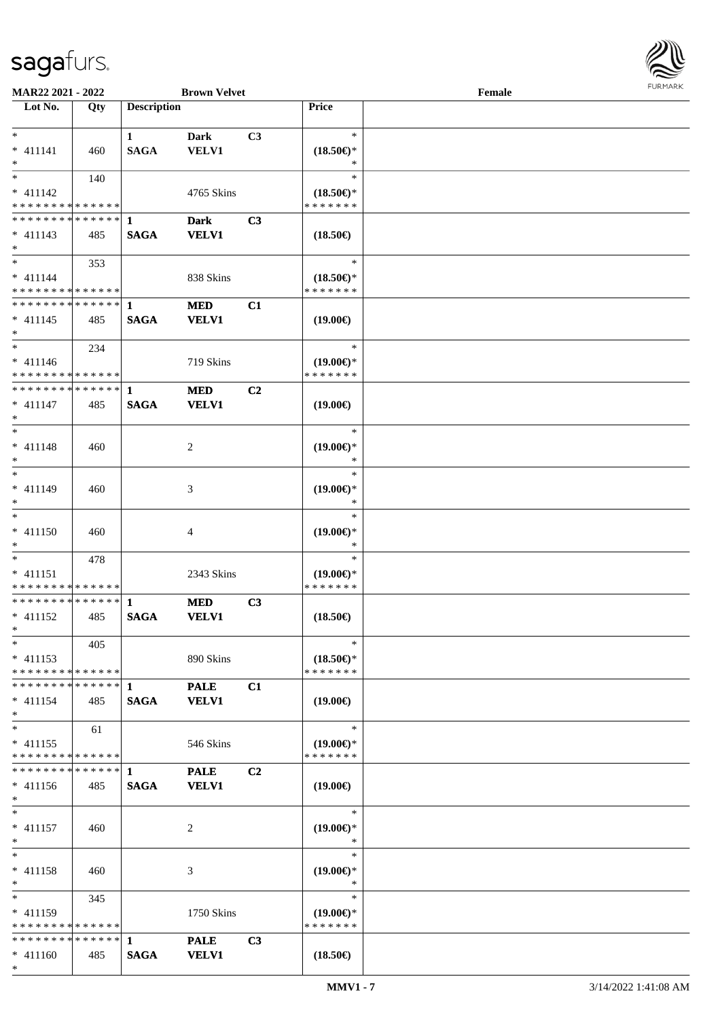

| <b>MAR22 2021 - 2022</b>                   |     |                    | <b>Brown Velvet</b> |                |                                      | Female |  |
|--------------------------------------------|-----|--------------------|---------------------|----------------|--------------------------------------|--------|--|
| Lot No.                                    | Qty | <b>Description</b> |                     |                | Price                                |        |  |
|                                            |     |                    |                     |                |                                      |        |  |
| $*$                                        |     | $\mathbf{1}$       | Dark                | C3             | $\ast$                               |        |  |
| $* 411141$                                 | 460 | <b>SAGA</b>        | VELV1               |                | $(18.50\epsilon)$ *                  |        |  |
| $*$                                        |     |                    |                     |                | $\ast$                               |        |  |
|                                            | 140 |                    |                     |                | $\ast$                               |        |  |
| $* 411142$                                 |     |                    | 4765 Skins          |                | $(18.50\epsilon)$ *                  |        |  |
| * * * * * * * * * * * * * *                |     |                    |                     |                | * * * * * * *                        |        |  |
| * * * * * * * * <mark>* * * * * * *</mark> |     | 1                  | <b>Dark</b>         | C <sub>3</sub> |                                      |        |  |
| $* 411143$                                 | 485 | <b>SAGA</b>        | <b>VELV1</b>        |                | $(18.50\epsilon)$                    |        |  |
| $*$                                        |     |                    |                     |                |                                      |        |  |
| $*$                                        | 353 |                    |                     |                | $\ast$                               |        |  |
| $* 411144$                                 |     |                    | 838 Skins           |                | $(18.50\epsilon)$ *                  |        |  |
| * * * * * * * * * * * * * *                |     |                    |                     |                | * * * * * * *                        |        |  |
| * * * * * * * * * * * * * * *              |     | $\mathbf{1}$       | <b>MED</b>          | C1             |                                      |        |  |
| $* 411145$                                 | 485 | <b>SAGA</b>        | <b>VELV1</b>        |                | $(19.00\epsilon)$                    |        |  |
| $\ast$                                     |     |                    |                     |                |                                      |        |  |
| $*$                                        |     |                    |                     |                | $\ast$                               |        |  |
|                                            | 234 |                    |                     |                |                                      |        |  |
| $* 411146$<br>* * * * * * * * * * * * * *  |     |                    | 719 Skins           |                | $(19.00\epsilon)$ *<br>* * * * * * * |        |  |
| * * * * * * * * * * * * * * *              |     |                    |                     |                |                                      |        |  |
|                                            |     | $\mathbf 1$        | <b>MED</b>          | C2             |                                      |        |  |
| $* 411147$                                 | 485 | <b>SAGA</b>        | <b>VELV1</b>        |                | $(19.00\epsilon)$                    |        |  |
| $*$                                        |     |                    |                     |                |                                      |        |  |
| $*$                                        |     |                    |                     |                | $\ast$                               |        |  |
| $* 411148$                                 | 460 |                    | 2                   |                | $(19.00\epsilon)$ *                  |        |  |
| $*$                                        |     |                    |                     |                | ∗                                    |        |  |
| $\overline{\phantom{0}}$                   |     |                    |                     |                | $\ast$                               |        |  |
| $* 411149$                                 | 460 |                    | 3                   |                | $(19.00\epsilon)$ *                  |        |  |
| $\ast$                                     |     |                    |                     |                | *                                    |        |  |
| $*$                                        |     |                    |                     |                | $\ast$                               |        |  |
| * 411150                                   | 460 |                    | 4                   |                | $(19.00\epsilon)$ *                  |        |  |
| $*$                                        |     |                    |                     |                | $\ast$                               |        |  |
| $*$ $-$                                    | 478 |                    |                     |                | $\ast$                               |        |  |
| $* 411151$                                 |     |                    | 2343 Skins          |                | $(19.00\epsilon)$ *                  |        |  |
| * * * * * * * * * * * * * *                |     |                    |                     |                | * * * * * * *                        |        |  |
| * * * * * * * * * * * * * * <mark>*</mark> |     | $\mathbf 1$        | <b>MED</b>          | C3             |                                      |        |  |
| $* 411152$                                 | 485 | <b>SAGA</b>        | <b>VELV1</b>        |                | $(18.50\epsilon)$                    |        |  |
| $*$ $-$                                    |     |                    |                     |                |                                      |        |  |
| $*$                                        | 405 |                    |                     |                | $\ast$                               |        |  |
| $* 411153$                                 |     |                    | 890 Skins           |                | $(18.50\epsilon)$ *                  |        |  |
| * * * * * * * * * * * * * *                |     |                    |                     |                | * * * * * * *                        |        |  |
| * * * * * * * * * * * * * * <mark>*</mark> |     | 1                  | <b>PALE</b>         | C1             |                                      |        |  |
| $* 411154$                                 | 485 | <b>SAGA</b>        | <b>VELV1</b>        |                | $(19.00\epsilon)$                    |        |  |
| $\ast$                                     |     |                    |                     |                |                                      |        |  |
| $*$ $-$                                    | 61  |                    |                     |                | $\ast$                               |        |  |
| $* 411155$                                 |     |                    | 546 Skins           |                | $(19.00\epsilon)$ *                  |        |  |
| * * * * * * * * * * * * * *                |     |                    |                     |                | * * * * * * *                        |        |  |
| * * * * * * * * * * * * * * <mark>*</mark> |     | $\mathbf{1}$       | <b>PALE</b>         | C <sub>2</sub> |                                      |        |  |
| * 411156                                   | 485 | <b>SAGA</b>        | <b>VELV1</b>        |                | $(19.00\epsilon)$                    |        |  |
| $*$ $-$                                    |     |                    |                     |                |                                      |        |  |
| $*$ $-$                                    |     |                    |                     |                | $\ast$                               |        |  |
| $* 411157$                                 | 460 |                    |                     |                | $(19.00\epsilon)$ *                  |        |  |
| $*$                                        |     |                    | 2                   |                | $\ast$                               |        |  |
| $*$                                        |     |                    |                     |                | $\ast$                               |        |  |
|                                            |     |                    |                     |                |                                      |        |  |
| * 411158<br>$*$                            | 460 |                    | 3                   |                | $(19.00\epsilon)$ *<br>$\ast$        |        |  |
| $*$                                        |     |                    |                     |                | $\ast$                               |        |  |
|                                            | 345 |                    |                     |                |                                      |        |  |
| $* 411159$                                 |     |                    | 1750 Skins          |                | $(19.00\epsilon)$ *                  |        |  |
| * * * * * * * * * * * * * *                |     |                    |                     |                | * * * * * * *                        |        |  |
| * * * * * * * * * * * * * * <mark>*</mark> |     | 1                  | <b>PALE</b>         | C3             |                                      |        |  |
| $* 411160$                                 | 485 | <b>SAGA</b>        | <b>VELV1</b>        |                | $(18.50\epsilon)$                    |        |  |
| $\ast$                                     |     |                    |                     |                |                                      |        |  |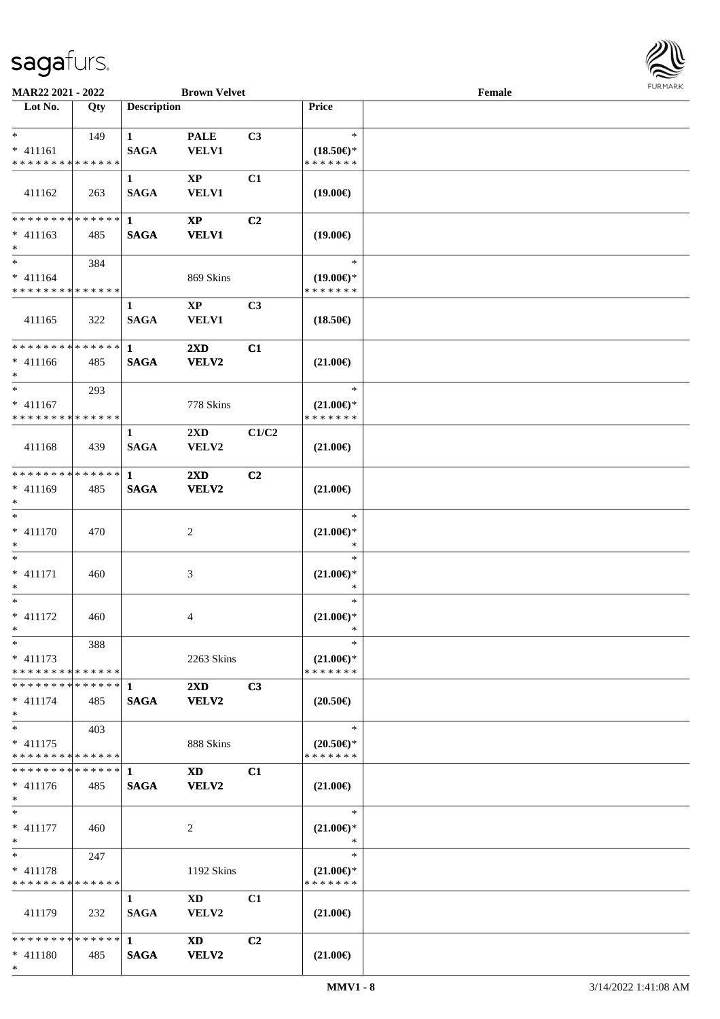

| MAR22 2021 - 2022                          |     |                    | <b>Brown Velvet</b>     |                |                                      | Female |  |
|--------------------------------------------|-----|--------------------|-------------------------|----------------|--------------------------------------|--------|--|
| Lot No.                                    | Qty | <b>Description</b> |                         |                | Price                                |        |  |
|                                            |     |                    |                         |                |                                      |        |  |
| $*$                                        | 149 | $\mathbf{1}$       | <b>PALE</b>             | C3             | $\ast$                               |        |  |
| $* 411161$                                 |     | <b>SAGA</b>        | <b>VELV1</b>            |                | $(18.50\epsilon)$ *                  |        |  |
| * * * * * * * * <mark>* * * * * * *</mark> |     |                    |                         |                | * * * * * * *                        |        |  |
|                                            |     | 1                  | $\mathbf{X}\mathbf{P}$  | C1             |                                      |        |  |
| 411162                                     | 263 | <b>SAGA</b>        | <b>VELV1</b>            |                | $(19.00\epsilon)$                    |        |  |
|                                            |     |                    |                         |                |                                      |        |  |
| * * * * * * * * * * * * * * *              |     | $\mathbf{1}$       | $\mathbf{X}\mathbf{P}$  | C <sub>2</sub> |                                      |        |  |
| $* 411163$                                 | 485 | <b>SAGA</b>        | <b>VELV1</b>            |                | $(19.00\epsilon)$                    |        |  |
| $*$                                        |     |                    |                         |                |                                      |        |  |
| $\ast$                                     | 384 |                    |                         |                | $\ast$                               |        |  |
| $* 411164$                                 |     |                    | 869 Skins               |                | $(19.00\epsilon)$ *                  |        |  |
| * * * * * * * * * * * * * *                |     |                    |                         |                | * * * * * * *                        |        |  |
|                                            |     | $\mathbf{1}$       | $\mathbf{X}\mathbf{P}$  | C3             |                                      |        |  |
| 411165                                     | 322 | <b>SAGA</b>        | <b>VELV1</b>            |                | $(18.50\epsilon)$                    |        |  |
|                                            |     |                    |                         |                |                                      |        |  |
| **************                             |     | $\mathbf{1}$       | 2XD                     | C1             |                                      |        |  |
| $* 411166$                                 | 485 | <b>SAGA</b>        | <b>VELV2</b>            |                | $(21.00\epsilon)$                    |        |  |
| $*$                                        |     |                    |                         |                |                                      |        |  |
| $*$                                        | 293 |                    |                         |                | $\ast$                               |        |  |
| $* 411167$                                 |     |                    | 778 Skins               |                | $(21.00\epsilon)$ *                  |        |  |
| * * * * * * * * * * * * * *                |     |                    |                         |                | * * * * * * *                        |        |  |
|                                            |     | 1                  | $2\mathbf{X}\mathbf{D}$ | C1/C2          |                                      |        |  |
| 411168                                     | 439 | <b>SAGA</b>        | VELV2                   |                | $(21.00\epsilon)$                    |        |  |
|                                            |     |                    |                         |                |                                      |        |  |
| * * * * * * * * * * * * * *                |     | 1                  | 2XD                     | C <sub>2</sub> |                                      |        |  |
| $* 411169$                                 | 485 | <b>SAGA</b>        | <b>VELV2</b>            |                | $(21.00\epsilon)$                    |        |  |
| $*$                                        |     |                    |                         |                |                                      |        |  |
| $\ast$                                     |     |                    |                         |                | $\ast$                               |        |  |
| $* 411170$                                 | 470 |                    | $\overline{c}$          |                | $(21.00\epsilon)$ *                  |        |  |
| $\ast$                                     |     |                    |                         |                | $\ast$                               |        |  |
| $*$                                        |     |                    |                         |                | $\ast$                               |        |  |
| $* 411171$                                 | 460 |                    | 3                       |                | $(21.00\epsilon)$ *                  |        |  |
| $\ast$                                     |     |                    |                         |                | $\ast$                               |        |  |
| $\ast$                                     |     |                    |                         |                | $\ast$                               |        |  |
| $* 411172$                                 |     |                    |                         |                |                                      |        |  |
| $*$                                        | 460 |                    | 4                       |                | $(21.00\epsilon)$ *<br>$\ast$        |        |  |
| $*$                                        |     |                    |                         |                | $\ast$                               |        |  |
| $* 411173$                                 | 388 |                    |                         |                |                                      |        |  |
| * * * * * * * * * * * * * *                |     |                    | 2263 Skins              |                | $(21.00\epsilon)$ *<br>* * * * * * * |        |  |
|                                            |     |                    |                         |                |                                      |        |  |
|                                            |     |                    | $2\mathbf{X}\mathbf{D}$ | C3             |                                      |        |  |
| $* 411174$                                 | 485 | <b>SAGA</b>        | <b>VELV2</b>            |                | $(20.50\epsilon)$                    |        |  |
| $*$<br>$\ast$                              |     |                    |                         |                | $\ast$                               |        |  |
|                                            | 403 |                    |                         |                |                                      |        |  |
| $* 411175$<br>* * * * * * * * * * * * * *  |     |                    | 888 Skins               |                | $(20.50 \in )^*$<br>* * * * * * *    |        |  |
| **************                             |     |                    |                         |                |                                      |        |  |
|                                            |     | $\mathbf 1$        | <b>XD</b>               | C1             |                                      |        |  |
| $* 411176$                                 | 485 | <b>SAGA</b>        | <b>VELV2</b>            |                | $(21.00\epsilon)$                    |        |  |
| $*$                                        |     |                    |                         |                |                                      |        |  |
| $*$                                        |     |                    |                         |                | $\ast$                               |        |  |
| $* 411177$                                 | 460 |                    | 2                       |                | $(21.00\epsilon)$ *                  |        |  |
| $*$                                        |     |                    |                         |                | $\ast$                               |        |  |
| $\ast$                                     | 247 |                    |                         |                | $\ast$                               |        |  |
| $* 411178$                                 |     |                    | 1192 Skins              |                | $(21.00\epsilon)$ *                  |        |  |
| * * * * * * * * * * * * * *                |     |                    |                         |                | * * * * * * *                        |        |  |
|                                            |     | $\mathbf{1}$       | XD                      | C1             |                                      |        |  |
| 411179                                     | 232 | <b>SAGA</b>        | <b>VELV2</b>            |                | $(21.00\epsilon)$                    |        |  |
|                                            |     |                    |                         |                |                                      |        |  |
| * * * * * * * * * * * * * * *              |     | $\mathbf{1}$       | <b>XD</b>               | C <sub>2</sub> |                                      |        |  |
| $* 411180$                                 | 485 | <b>SAGA</b>        | <b>VELV2</b>            |                | $(21.00\epsilon)$                    |        |  |
| $*$                                        |     |                    |                         |                |                                      |        |  |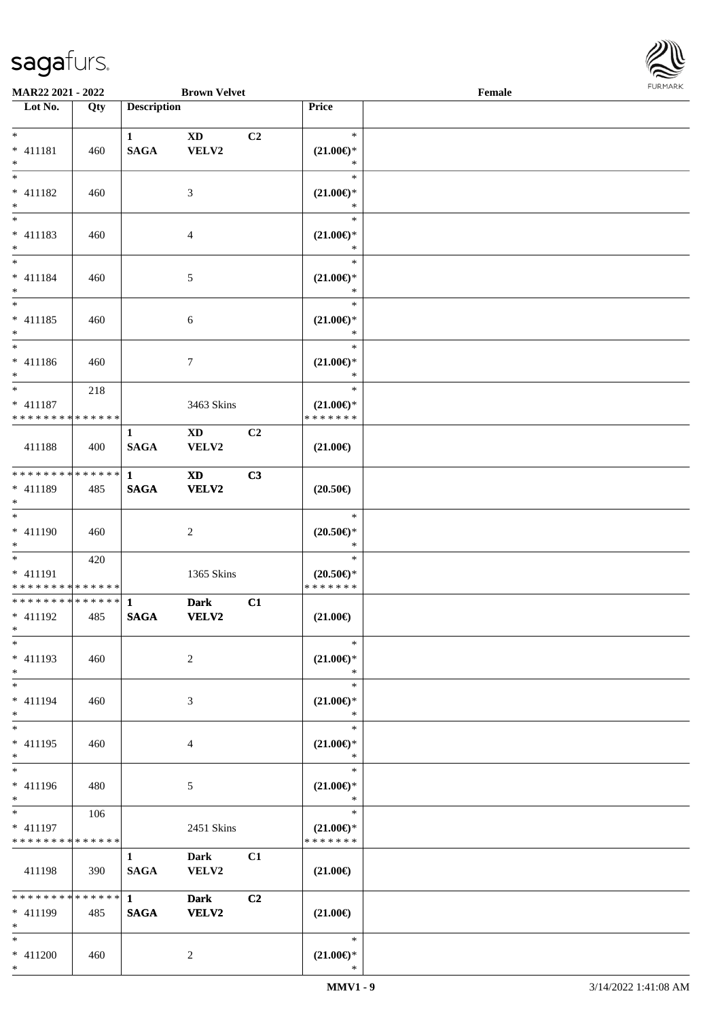

| <b>MAR22 2021 - 2022</b>                   |     |                    | <b>Brown Velvet</b> |                |                       | Female |  |
|--------------------------------------------|-----|--------------------|---------------------|----------------|-----------------------|--------|--|
| Lot No.                                    | Qty | <b>Description</b> |                     |                | Price                 |        |  |
|                                            |     |                    |                     |                |                       |        |  |
| $*$                                        |     | $\mathbf{1}$       | <b>XD</b>           | C <sub>2</sub> | $\ast$                |        |  |
| * 411181                                   | 460 | <b>SAGA</b>        | VELV2               |                | $(21.00\epsilon)$ *   |        |  |
| $*$                                        |     |                    |                     |                | $\ast$                |        |  |
|                                            |     |                    |                     |                | $\ast$                |        |  |
| $* 411182$                                 | 460 |                    | 3                   |                | $(21.00\epsilon)$ *   |        |  |
| $*$                                        |     |                    |                     |                | $\ast$                |        |  |
|                                            |     |                    |                     |                | $\ast$                |        |  |
| $* 411183$                                 | 460 |                    | $\overline{4}$      |                | $(21.00\epsilon)$ *   |        |  |
| $\ast$                                     |     |                    |                     |                | $\ast$                |        |  |
| $\ddot{x}$                                 |     |                    |                     |                | $\ast$                |        |  |
| $* 411184$                                 | 460 |                    | $\mathfrak{S}$      |                | $(21.00\epsilon)$ *   |        |  |
| $*$                                        |     |                    |                     |                | $\ast$                |        |  |
| $\overline{\ast}$                          |     |                    |                     |                | $\ast$                |        |  |
| $* 411185$                                 | 460 |                    | $\sqrt{6}$          |                | $(21.00\epsilon)$ *   |        |  |
| $\ast$                                     |     |                    |                     |                | $\ast$                |        |  |
|                                            |     |                    |                     |                | $\ast$                |        |  |
| * 411186                                   | 460 |                    | $\tau$              |                | $(21.00\epsilon)$ *   |        |  |
| $\ast$                                     |     |                    |                     |                | $\ast$                |        |  |
| $\overline{\ast}$                          | 218 |                    |                     |                | $\ast$                |        |  |
| * 411187                                   |     |                    | 3463 Skins          |                | $(21.00\epsilon)$ *   |        |  |
| * * * * * * * * <mark>* * * * * *</mark>   |     |                    |                     |                | * * * * * * *         |        |  |
|                                            |     | 1                  | <b>XD</b>           | C2             |                       |        |  |
| 411188                                     | 400 | <b>SAGA</b>        | VELV2               |                | $(21.00\epsilon)$     |        |  |
|                                            |     |                    |                     |                |                       |        |  |
| * * * * * * * * <mark>* * * * * * *</mark> |     | $\mathbf{1}$       | <b>XD</b>           | C3             |                       |        |  |
| * 411189                                   | 485 | <b>SAGA</b>        | <b>VELV2</b>        |                | $(20.50\epsilon)$     |        |  |
| $*$                                        |     |                    |                     |                |                       |        |  |
| $\ast$                                     |     |                    |                     |                | $\ast$                |        |  |
| * 411190                                   | 460 |                    | 2                   |                | $(20.50\epsilon)$ *   |        |  |
| $*$                                        |     |                    |                     |                | $\ast$                |        |  |
|                                            | 420 |                    |                     |                | $\ast$                |        |  |
| * 411191                                   |     |                    | 1365 Skins          |                | $(20.50\epsilon)$ *   |        |  |
| * * * * * * * * <mark>* * * * * * *</mark> |     |                    |                     |                | * * * * * * *         |        |  |
|                                            |     |                    | <b>Dark</b>         | C1             |                       |        |  |
| * 411192                                   | 485 | <b>SAGA</b>        | <b>VELV2</b>        |                | $(21.00\epsilon)$     |        |  |
| $*$ $-$                                    |     |                    |                     |                |                       |        |  |
| $\ast$                                     |     |                    |                     |                | $\ast$                |        |  |
| $* 411193$                                 | 460 |                    | 2                   |                | $(21.00\epsilon)$ *   |        |  |
| $*$                                        |     |                    |                     |                | $\ast$                |        |  |
| $*$ $-$                                    |     |                    |                     |                | $\ast$                |        |  |
| * 411194                                   | 460 |                    | 3                   |                | $(21.00\epsilon)$ *   |        |  |
| $*$                                        |     |                    |                     |                | $\ast$                |        |  |
| $*$                                        |     |                    |                     |                | $\ast$                |        |  |
| $* 411195$                                 | 460 |                    | $\overline{4}$      |                | $(21.00\mathsf{E})^*$ |        |  |
| $*$                                        |     |                    |                     |                | $\ast$                |        |  |
| $\ast$                                     |     |                    |                     |                | $\ast$                |        |  |
| * 411196                                   | 480 |                    | 5                   |                | $(21.00\epsilon)$ *   |        |  |
| $*$                                        |     |                    |                     |                | $\ast$                |        |  |
|                                            | 106 |                    |                     |                | $\ast$                |        |  |
| $* 411197$                                 |     |                    | 2451 Skins          |                | $(21.00\epsilon)$ *   |        |  |
| * * * * * * * * * * * * * *                |     |                    |                     |                | * * * * * * *         |        |  |
|                                            |     | $\mathbf{1}$       | Dark                | C1             |                       |        |  |
| 411198                                     | 390 | <b>SAGA</b>        | VELV2               |                | $(21.00\epsilon)$     |        |  |
|                                            |     |                    |                     |                |                       |        |  |
|                                            |     | $1 \quad \cdots$   | <b>Dark</b>         | C <sub>2</sub> |                       |        |  |
| * 411199                                   | 485 | <b>SAGA</b>        | <b>VELV2</b>        |                | $(21.00\epsilon)$     |        |  |
| $*$                                        |     |                    |                     |                |                       |        |  |
| $*$                                        |     |                    |                     |                | $\ast$                |        |  |
| $* 411200$                                 | 460 |                    | 2                   |                | $(21.00\epsilon)$ *   |        |  |
|                                            |     |                    |                     |                |                       |        |  |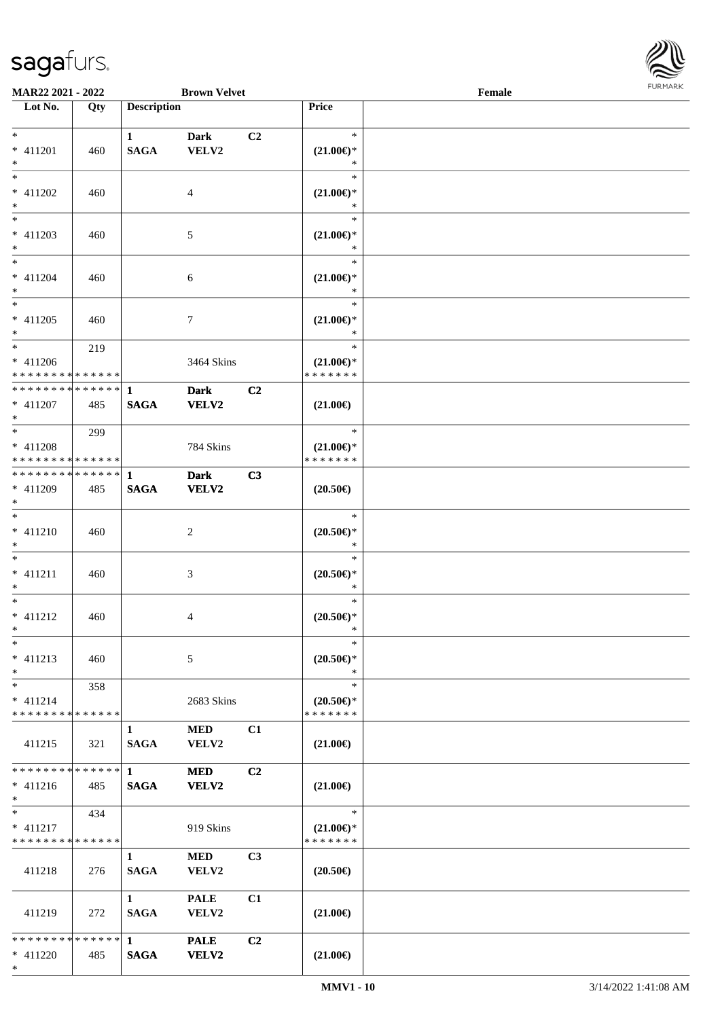

| <b>MAR22 2021 - 2022</b>                 |     |                    | <b>Brown Velvet</b> |                |                     | Female |  |
|------------------------------------------|-----|--------------------|---------------------|----------------|---------------------|--------|--|
| Lot No.                                  | Qty | <b>Description</b> |                     |                | Price               |        |  |
|                                          |     |                    |                     |                |                     |        |  |
| $*$                                      |     | $\mathbf{1}$       | <b>Dark</b>         | C <sub>2</sub> | $\ast$              |        |  |
| * 411201                                 | 460 | <b>SAGA</b>        | VELV2               |                | $(21.00\epsilon)$ * |        |  |
| $*$                                      |     |                    |                     |                | *                   |        |  |
| $*$                                      |     |                    |                     |                | $\ast$              |        |  |
| * 411202                                 | 460 |                    | 4                   |                | $(21.00\epsilon)$ * |        |  |
| $*$                                      |     |                    |                     |                | *                   |        |  |
|                                          |     |                    |                     |                | $\ast$              |        |  |
| * 411203                                 | 460 |                    | 5                   |                | $(21.00\epsilon)$ * |        |  |
| $*$                                      |     |                    |                     |                | *                   |        |  |
| $*$                                      |     |                    |                     |                | $\ast$              |        |  |
| * 411204                                 | 460 |                    | 6                   |                | $(21.00\epsilon)$ * |        |  |
| $*$                                      |     |                    |                     |                | *                   |        |  |
| $*$                                      |     |                    |                     |                | $\ast$              |        |  |
| $* 411205$                               | 460 |                    | 7                   |                | $(21.00\epsilon)$ * |        |  |
| $\ast$                                   |     |                    |                     |                | $\ast$              |        |  |
| $\overline{\ast}$                        | 219 |                    |                     |                | $\ast$              |        |  |
| $* 411206$                               |     |                    | 3464 Skins          |                | $(21.00\epsilon)$ * |        |  |
| * * * * * * * * * * * * * *              |     |                    |                     |                | * * * * * * *       |        |  |
| ******** <mark>******</mark>             |     | $\mathbf{1}$       | <b>Dark</b>         | C <sub>2</sub> |                     |        |  |
| $* 411207$                               | 485 | <b>SAGA</b>        | <b>VELV2</b>        |                | $(21.00\epsilon)$   |        |  |
| $*$                                      |     |                    |                     |                |                     |        |  |
| $*$                                      | 299 |                    |                     |                | $\ast$              |        |  |
| * 411208                                 |     |                    | 784 Skins           |                | $(21.00\epsilon)$ * |        |  |
| * * * * * * * * * * * * * *              |     |                    |                     |                | * * * * * * *       |        |  |
|                                          |     |                    | <b>Dark</b>         | C3             |                     |        |  |
| * 411209                                 | 485 | <b>SAGA</b>        | <b>VELV2</b>        |                | $(20.50\epsilon)$   |        |  |
| $*$                                      |     |                    |                     |                |                     |        |  |
| $*$                                      |     |                    |                     |                | $\ast$              |        |  |
| $* 411210$                               | 460 |                    | 2                   |                | $(20.50\epsilon)$ * |        |  |
| $*$                                      |     |                    |                     |                | $\ast$              |        |  |
| $*$                                      |     |                    |                     |                | $\ast$              |        |  |
| $* 411211$                               | 460 |                    | 3                   |                | $(20.50\epsilon)$ * |        |  |
| $\ast$                                   |     |                    |                     |                | $\ast$              |        |  |
| $*$                                      |     |                    |                     |                | $\ast$              |        |  |
| $* 411212$                               | 460 |                    | 4                   |                | $(20.50\epsilon)$ * |        |  |
| $*$ $-$                                  |     |                    |                     |                | *                   |        |  |
| $\ast$                                   |     |                    |                     |                | $\ast$              |        |  |
| $* 411213$                               | 460 |                    | 5                   |                | $(20.50\epsilon)$ * |        |  |
| $*$                                      |     |                    |                     |                | $\ast$              |        |  |
| $*$                                      | 358 |                    |                     |                | $\ast$              |        |  |
| $* 411214$                               |     |                    | 2683 Skins          |                | $(20.50\epsilon)$ * |        |  |
| * * * * * * * * <mark>* * * * * *</mark> |     |                    |                     |                | * * * * * * *       |        |  |
|                                          |     | 1                  | <b>MED</b>          | C1             |                     |        |  |
| 411215                                   | 321 | <b>SAGA</b>        | VELV2               |                | $(21.00\epsilon)$   |        |  |
|                                          |     |                    |                     |                |                     |        |  |
| * * * * * * * * * * * * * * *            |     | $\mathbf{1}$       | <b>MED</b>          | C <sub>2</sub> |                     |        |  |
| $* 411216$                               | 485 | <b>SAGA</b>        | VELV2               |                | $(21.00\epsilon)$   |        |  |
| $*$                                      |     |                    |                     |                |                     |        |  |
| $*$                                      | 434 |                    |                     |                | $\ast$              |        |  |
| $* 411217$                               |     |                    | 919 Skins           |                | $(21.00\epsilon)$ * |        |  |
| * * * * * * * * * * * * * *              |     |                    |                     |                | * * * * * * *       |        |  |
|                                          |     | $\mathbf{1}$       | <b>MED</b>          | C <sub>3</sub> |                     |        |  |
| 411218                                   | 276 | <b>SAGA</b>        | VELV2               |                | $(20.50\epsilon)$   |        |  |
|                                          |     |                    |                     |                |                     |        |  |
|                                          |     | $\mathbf{1}$       | <b>PALE</b>         | C1             |                     |        |  |
| 411219                                   | 272 | <b>SAGA</b>        | VELV2               |                | $(21.00\epsilon)$   |        |  |
|                                          |     |                    |                     |                |                     |        |  |
| * * * * * * * * * * * * * * *            |     | $\mathbf{1}$       | <b>PALE</b>         | C <sub>2</sub> |                     |        |  |
|                                          |     |                    |                     |                |                     |        |  |
| $* 411220$                               | 485 | <b>SAGA</b>        | <b>VELV2</b>        |                | $(21.00\epsilon)$   |        |  |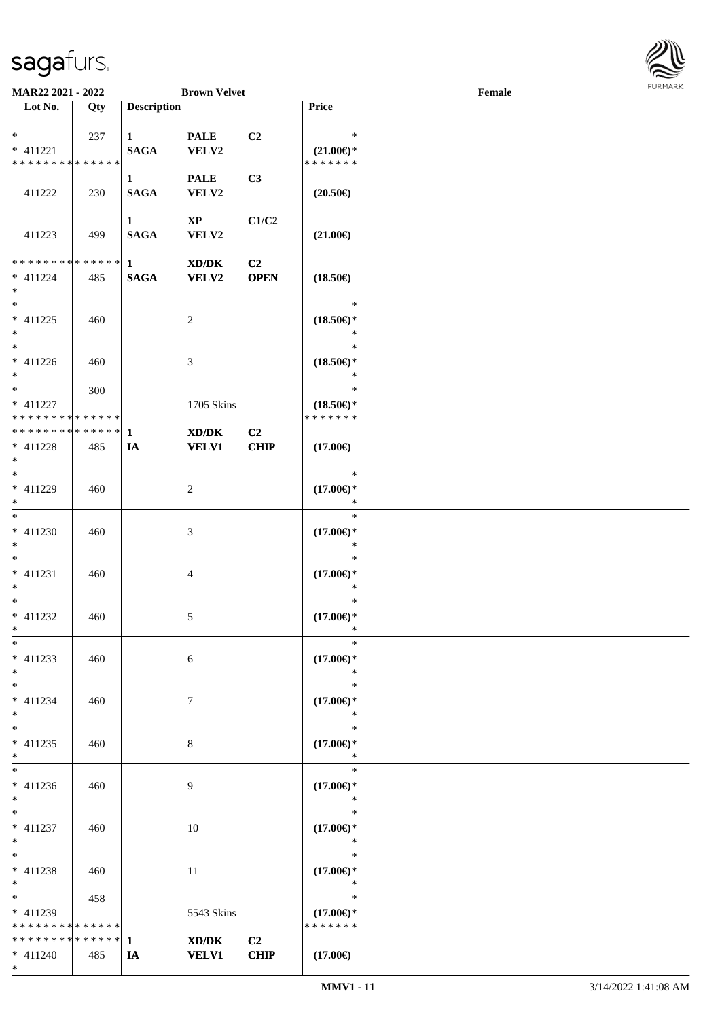

| MAR22 2021 - 2022<br><b>Brown Velvet</b>                   |     |                                 |                                                             |                               |                                                | Female | <b>FURMARK</b> |
|------------------------------------------------------------|-----|---------------------------------|-------------------------------------------------------------|-------------------------------|------------------------------------------------|--------|----------------|
| $\overline{\phantom{1}}$ Lot No.                           | Qty | <b>Description</b>              |                                                             |                               | Price                                          |        |                |
| $*$<br>$* 411221$<br>******** <mark>******</mark>          | 237 | $\mathbf{1}$<br><b>SAGA</b>     | <b>PALE</b><br>VELV2                                        | C2                            | $\ast$<br>$(21.00\epsilon)$ *<br>* * * * * * * |        |                |
| 411222                                                     | 230 | $\mathbf{1}$<br><b>SAGA</b>     | <b>PALE</b><br>VELV2                                        | C3                            | $(20.50\epsilon)$                              |        |                |
| 411223                                                     | 499 | $\mathbf{1}$<br>$\mathbf{SAGA}$ | $\mathbf{X}\mathbf{P}$<br>VELV2                             | C1/C2                         | $(21.00\epsilon)$                              |        |                |
| * * * * * * * * * * * * * * *<br>$* 411224$<br>$*$         | 485 | $\mathbf{1}$<br>$\mathbf{SAGA}$ | $\mathbf{X}\mathbf{D}/\mathbf{D}\mathbf{K}$<br><b>VELV2</b> | C2<br><b>OPEN</b>             | $(18.50\epsilon)$                              |        |                |
| $\ast$<br>$* 411225$<br>$\ast$<br>$\overline{\phantom{0}}$ | 460 |                                 | $\overline{c}$                                              |                               | $\ast$<br>$(18.50\epsilon)$ *<br>$\ast$        |        |                |
| $* 411226$<br>$*$                                          | 460 |                                 | 3                                                           |                               | $\ast$<br>$(18.50\epsilon)$ *<br>$\ast$        |        |                |
| $*$<br>$* 411227$<br>* * * * * * * * * * * * * *           | 300 |                                 | 1705 Skins                                                  |                               | $\ast$<br>$(18.50\epsilon)$ *<br>* * * * * * * |        |                |
| * * * * * * * * * * * * * * *<br>$* 411228$<br>$\ast$      | 485 | 1<br>IA                         | XD/DK<br><b>VELV1</b>                                       | C <sub>2</sub><br><b>CHIP</b> | $(17.00\epsilon)$                              |        |                |
| $\overline{\phantom{0}}$<br>$* 411229$<br>$\ast$           | 460 |                                 | $\boldsymbol{2}$                                            |                               | $\ast$<br>$(17.00\epsilon)$ *<br>$\ast$        |        |                |
| $\ast$<br>$* 411230$<br>$\ast$                             | 460 |                                 | $\mathfrak{Z}$                                              |                               | $\ast$<br>$(17.00\epsilon)$ *<br>$\ast$        |        |                |
| $\ast$<br>$* 411231$<br>$\ast$                             | 460 |                                 | $\overline{4}$                                              |                               | $\ast$<br>$(17.00\epsilon)$ *<br>$\ast$        |        |                |
| $\overline{\phantom{0}}$<br>$* 411232$<br>$\ast$           | 460 |                                 | 5                                                           |                               | $\ast$<br>$(17.00\epsilon)$ *<br>$\ast$        |        |                |
| $\ast$<br>$* 411233$<br>$\ast$                             | 460 |                                 | $\sqrt{6}$                                                  |                               | $\ast$<br>$(17.00\epsilon)$ *<br>$\ast$        |        |                |
| $\ast$<br>$* 411234$<br>$\ast$                             | 460 |                                 | $\tau$                                                      |                               | $\ast$<br>$(17.00\epsilon)$ *<br>$\ast$        |        |                |
| $_{\ast}^{-}$<br>$* 411235$<br>$\ast$                      | 460 |                                 | $\,8\,$                                                     |                               | $\ast$<br>$(17.00\epsilon)$ *<br>$\ast$        |        |                |
| $_{\ast}^{-}$<br>$* 411236$<br>$\ast$                      | 460 |                                 | 9                                                           |                               | $\ast$<br>$(17.00\mathbb{E})^*$<br>$\ast$      |        |                |
| $\ast$<br>$* 411237$<br>$\ast$                             | 460 |                                 | 10                                                          |                               | $\ast$<br>$(17.00\epsilon)$ *<br>$\ast$        |        |                |
| $\ast$<br>$* 411238$<br>$\ast$                             | 460 |                                 | 11                                                          |                               | $\ast$<br>$(17.00\epsilon)$ *<br>$\ast$        |        |                |
| $\ast$<br>$* 411239$<br>* * * * * * * * * * * * * *        | 458 |                                 | 5543 Skins                                                  |                               | $\ast$<br>$(17.00\epsilon)$ *<br>* * * * * * * |        |                |
| * * * * * * * * * * * * * * *<br>$* 411240$<br>$*$         | 485 | 1<br>IA                         | XD/DK<br><b>VELV1</b>                                       | C <sub>2</sub><br><b>CHIP</b> | $(17.00\epsilon)$                              |        |                |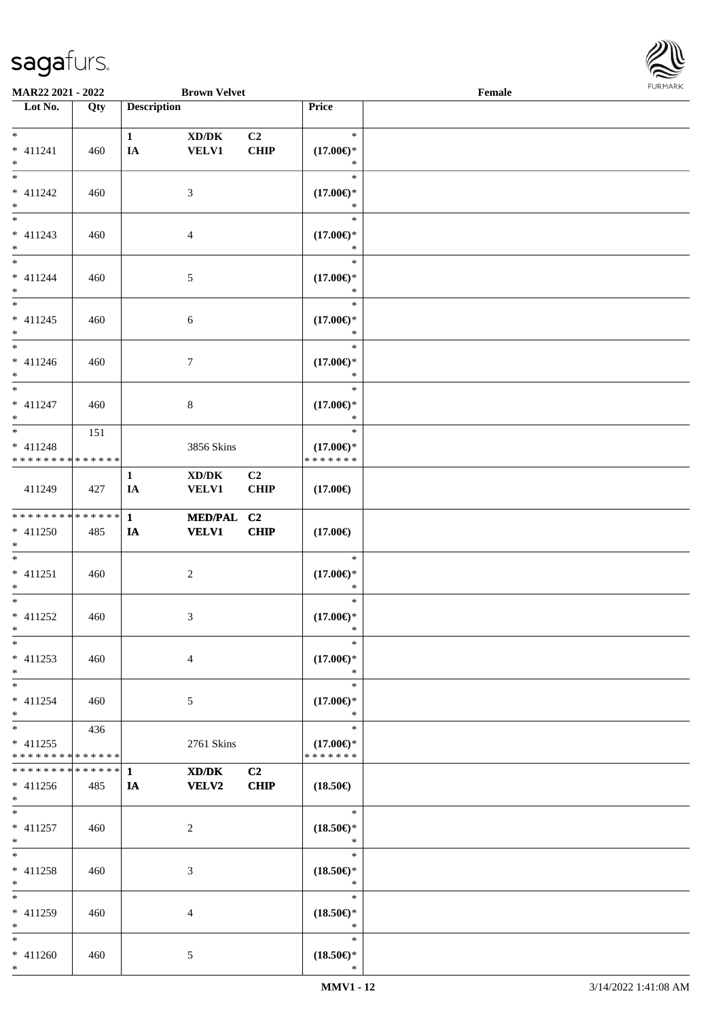

| <b>MAR22 2021 - 2022</b>                  |     |                    | <b>Brown Velvet</b> |                |                                      | Female |  |
|-------------------------------------------|-----|--------------------|---------------------|----------------|--------------------------------------|--------|--|
| Lot No.                                   | Qty | <b>Description</b> |                     |                | Price                                |        |  |
|                                           |     |                    |                     |                |                                      |        |  |
| $*$                                       |     | $\mathbf{1}$       | XD/DK               | C <sub>2</sub> | $\ast$                               |        |  |
| $* 411241$                                | 460 | IA                 | <b>VELV1</b>        | <b>CHIP</b>    | $(17.00\epsilon)$ *                  |        |  |
| $*$                                       |     |                    |                     |                | ∗                                    |        |  |
| $*$                                       |     |                    |                     |                | $\ast$                               |        |  |
| $* 411242$                                | 460 |                    | 3                   |                | $(17.00\epsilon)$ *                  |        |  |
| $*$                                       |     |                    |                     |                | $\ast$                               |        |  |
|                                           |     |                    |                     |                | $\ast$                               |        |  |
| $* 411243$                                | 460 |                    | 4                   |                | $(17.00\epsilon)$ *                  |        |  |
| $\ast$                                    |     |                    |                     |                | *                                    |        |  |
| $*$                                       |     |                    |                     |                | $\ast$                               |        |  |
| $* 411244$                                | 460 |                    | 5                   |                | $(17.00\epsilon)$ *                  |        |  |
| $*$                                       |     |                    |                     |                | $\ast$                               |        |  |
| $*$                                       |     |                    |                     |                | $\ast$                               |        |  |
| $* 411245$                                | 460 |                    | $\sqrt{6}$          |                | $(17.00\epsilon)$ *                  |        |  |
| $*$                                       |     |                    |                     |                | $\ast$                               |        |  |
| $*$                                       |     |                    |                     |                | $\ast$                               |        |  |
| $* 411246$                                | 460 |                    | $\tau$              |                | $(17.00\epsilon)$ *                  |        |  |
| $*$                                       |     |                    |                     |                | $\ast$                               |        |  |
| $*$                                       |     |                    |                     |                | $\ast$                               |        |  |
| $* 411247$                                | 460 |                    | 8                   |                | $(17.00\epsilon)$ *                  |        |  |
| $*$                                       |     |                    |                     |                | $\ast$<br>$\ast$                     |        |  |
|                                           | 151 |                    |                     |                |                                      |        |  |
| $* 411248$<br>* * * * * * * * * * * * * * |     |                    | 3856 Skins          |                | $(17.00\epsilon)$ *<br>* * * * * * * |        |  |
|                                           |     |                    |                     |                |                                      |        |  |
|                                           |     | $\mathbf{1}$       | XD/DK               | C <sub>2</sub> |                                      |        |  |
| 411249                                    | 427 | IA                 | <b>VELV1</b>        | <b>CHIP</b>    | $(17.00\in)$                         |        |  |
| * * * * * * * * * * * * * * *             |     | $\mathbf{1}$       | MED/PAL C2          |                |                                      |        |  |
| $* 411250$                                | 485 | <b>IA</b>          | <b>VELV1</b>        | <b>CHIP</b>    | $(17.00\epsilon)$                    |        |  |
| $*$                                       |     |                    |                     |                |                                      |        |  |
| $*$                                       |     |                    |                     |                | $\ast$                               |        |  |
| $* 411251$                                | 460 |                    | $\overline{c}$      |                | $(17.00\epsilon)$ *                  |        |  |
| $*$                                       |     |                    |                     |                | $\ast$                               |        |  |
| $*$                                       |     |                    |                     |                | $\ast$                               |        |  |
| $* 411252$                                | 460 |                    | 3                   |                | $(17.00\epsilon)$ *                  |        |  |
| $*$                                       |     |                    |                     |                | $\ast$                               |        |  |
| $*$                                       |     |                    |                     |                | $\ast$                               |        |  |
| $* 411253$                                | 460 |                    | $\overline{4}$      |                | $(17.00\epsilon)$ *                  |        |  |
| $*$                                       |     |                    |                     |                | $\ast$                               |        |  |
| $*$                                       |     |                    |                     |                | $\ast$                               |        |  |
| $* 411254$                                | 460 |                    | 5                   |                | $(17.00\epsilon)$ *                  |        |  |
| $*$                                       |     |                    |                     |                | $\ast$                               |        |  |
| $*$                                       | 436 |                    |                     |                | $\ast$                               |        |  |
| $* 411255$                                |     |                    | 2761 Skins          |                | $(17.00\epsilon)$ *                  |        |  |
| * * * * * * * * * * * * * *               |     |                    |                     |                | * * * * * * *                        |        |  |
| * * * * * * * * * * * * * * *             |     | $\mathbf{1}$       | XD/DK               | C2             |                                      |        |  |
| * 411256                                  | 485 | IA                 | <b>VELV2</b>        | <b>CHIP</b>    | $(18.50\epsilon)$                    |        |  |
| $*$ $*$                                   |     |                    |                     |                |                                      |        |  |
| $*$                                       |     |                    |                     |                | $\ast$                               |        |  |
| $* 411257$                                | 460 |                    | 2                   |                | $(18.50\epsilon)$ *                  |        |  |
| $*$                                       |     |                    |                     |                | $\ast$                               |        |  |
| $*$                                       |     |                    |                     |                | $\ast$                               |        |  |
| * 411258                                  | 460 |                    | 3                   |                | $(18.50\epsilon)$ *                  |        |  |
| $\ast$                                    |     |                    |                     |                | $\ast$                               |        |  |
| $*$                                       |     |                    |                     |                | $\ast$                               |        |  |
| * 411259                                  | 460 |                    | 4                   |                | $(18.50\epsilon)$ *                  |        |  |
| $*$                                       |     |                    |                     |                | $\ast$                               |        |  |
| $*$                                       |     |                    |                     |                | $\ast$                               |        |  |
| $* 411260$<br>$\ast$                      | 460 |                    | 5                   |                | $(18.50\epsilon)$ *<br>$\ast$        |        |  |
|                                           |     |                    |                     |                |                                      |        |  |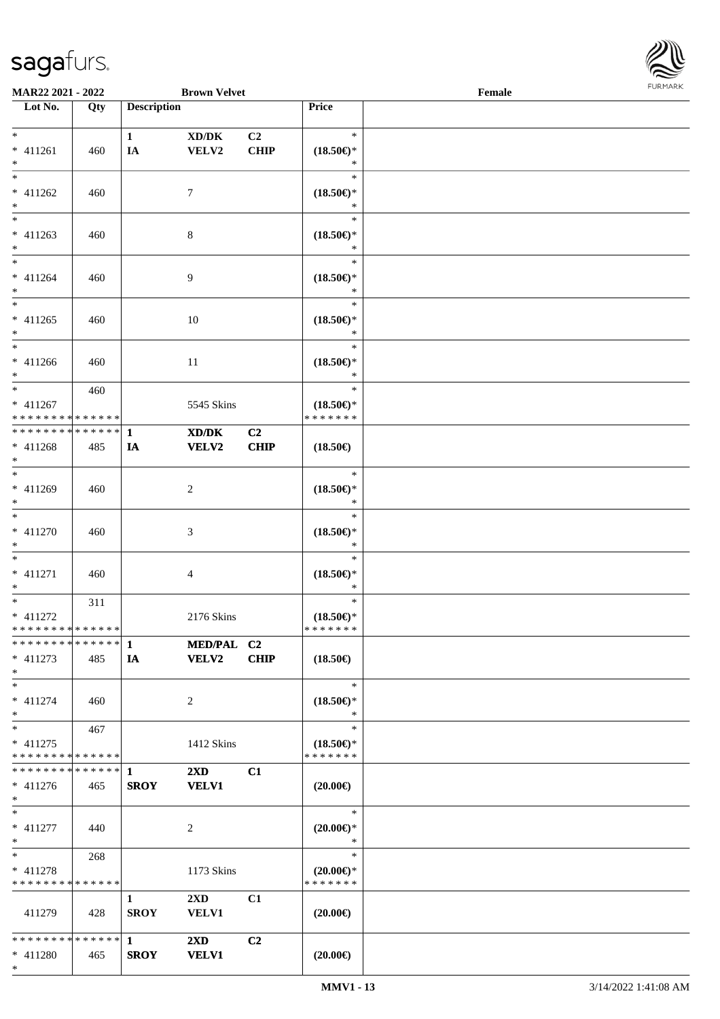

| <b>MAR22 2021 - 2022</b>                    |     |                    | <b>Brown Velvet</b>     |                |                                      | Female |  |
|---------------------------------------------|-----|--------------------|-------------------------|----------------|--------------------------------------|--------|--|
| Lot No.                                     | Qty | <b>Description</b> |                         |                | Price                                |        |  |
|                                             |     |                    |                         |                |                                      |        |  |
| $*$                                         |     | $\mathbf{1}$       | XD/DK                   | C <sub>2</sub> | $\ast$                               |        |  |
| * 411261                                    | 460 | IA                 | VELV2                   | <b>CHIP</b>    | $(18.50\epsilon)$ *                  |        |  |
| $\ast$                                      |     |                    |                         |                | $\ast$                               |        |  |
| $*$                                         |     |                    |                         |                | $\ast$                               |        |  |
| $* 411262$                                  | 460 |                    | 7                       |                | $(18.50\epsilon)$ *                  |        |  |
| $*$                                         |     |                    |                         |                | $\ast$                               |        |  |
|                                             |     |                    |                         |                | $\ast$                               |        |  |
| $* 411263$                                  | 460 |                    | 8                       |                | $(18.50\epsilon)$ *                  |        |  |
| $\ast$                                      |     |                    |                         |                | $\ast$                               |        |  |
| $*$                                         |     |                    |                         |                | $\ast$                               |        |  |
| $* 411264$                                  | 460 |                    | 9                       |                | $(18.50\epsilon)$ *                  |        |  |
| $*$                                         |     |                    |                         |                | $\ast$                               |        |  |
| $*$                                         |     |                    |                         |                | $\ast$                               |        |  |
| $* 411265$                                  | 460 |                    | 10                      |                | $(18.50\epsilon)$ *                  |        |  |
| $*$                                         |     |                    |                         |                | $\ast$                               |        |  |
| $\ast$                                      |     |                    |                         |                | $\ast$                               |        |  |
| $* 411266$                                  | 460 |                    | 11                      |                | $(18.50\epsilon)$ *                  |        |  |
| $*$                                         |     |                    |                         |                | $\ast$                               |        |  |
| $*$                                         |     |                    |                         |                | $\ast$                               |        |  |
|                                             | 460 |                    |                         |                |                                      |        |  |
| $* 411267$<br>* * * * * * * * * * * * * * * |     |                    | 5545 Skins              |                | $(18.50\epsilon)$ *<br>* * * * * * * |        |  |
| ************** 1                            |     |                    |                         |                |                                      |        |  |
|                                             |     |                    | XD/DK                   | C <sub>2</sub> |                                      |        |  |
| $* 411268$<br>$*$                           | 485 | IA                 | <b>VELV2</b>            | <b>CHIP</b>    | $(18.50\epsilon)$                    |        |  |
| $*$                                         |     |                    |                         |                | $\ast$                               |        |  |
|                                             |     |                    |                         |                |                                      |        |  |
| * 411269                                    | 460 |                    | 2                       |                | $(18.50\epsilon)$ *<br>$\ast$        |        |  |
| $*$<br>$*$                                  |     |                    |                         |                | $\ast$                               |        |  |
|                                             |     |                    |                         |                |                                      |        |  |
| $* 411270$                                  | 460 |                    | 3                       |                | $(18.50\epsilon)$ *                  |        |  |
| $*$                                         |     |                    |                         |                | $\ast$                               |        |  |
| $*$                                         |     |                    |                         |                | $\ast$                               |        |  |
| * 411271                                    | 460 |                    | 4                       |                | $(18.50\epsilon)$ *                  |        |  |
| $*$                                         |     |                    |                         |                | $\ast$                               |        |  |
| $*$                                         | 311 |                    |                         |                | $\ast$                               |        |  |
| $* 411272$                                  |     |                    | 2176 Skins              |                | $(18.50\epsilon)$ *                  |        |  |
| * * * * * * * * * * * * * * *               |     |                    |                         |                | * * * * * * *                        |        |  |
|                                             |     |                    | MED/PAL C2              |                |                                      |        |  |
| $* 411273$                                  | 485 | IA                 | <b>VELV2</b>            | <b>CHIP</b>    | $(18.50\epsilon)$                    |        |  |
| $*$                                         |     |                    |                         |                |                                      |        |  |
| $*$                                         |     |                    |                         |                | $\ast$                               |        |  |
| $* 411274$                                  | 460 |                    | 2                       |                | $(18.50\epsilon)$ *                  |        |  |
| $*$                                         |     |                    |                         |                | $\ast$                               |        |  |
| $*$                                         | 467 |                    |                         |                | $\ast$                               |        |  |
| $* 411275$                                  |     |                    | 1412 Skins              |                | $(18.50\epsilon)$ *                  |        |  |
| * * * * * * * * * * * * * *                 |     |                    |                         |                | * * * * * * *                        |        |  |
|                                             |     |                    | $2\mathbf{X}\mathbf{D}$ | C1             |                                      |        |  |
| $* 411276$                                  | 465 | <b>SROY</b>        | <b>VELV1</b>            |                | $(20.00\epsilon)$                    |        |  |
| $*$                                         |     |                    |                         |                |                                      |        |  |
| $*$                                         |     |                    |                         |                | $\ast$                               |        |  |
| $* 411277$                                  | 440 |                    | 2                       |                | $(20.00\epsilon)$ *                  |        |  |
| $*$                                         |     |                    |                         |                | $\ast$                               |        |  |
| $*$ and $*$                                 | 268 |                    |                         |                | $\ast$                               |        |  |
| * 411278                                    |     |                    | 1173 Skins              |                | $(20.00\epsilon)$ *                  |        |  |
| * * * * * * * * * * * * * *                 |     |                    |                         |                | * * * * * * *                        |        |  |
|                                             |     | $\mathbf{1}$       | $2\mathbf{X}\mathbf{D}$ | C1             |                                      |        |  |
| 411279                                      | 428 | <b>SROY</b>        | <b>VELV1</b>            |                | $(20.00\epsilon)$                    |        |  |
|                                             |     |                    |                         |                |                                      |        |  |
|                                             |     |                    | $2\mathbf{X}\mathbf{D}$ | C <sub>2</sub> |                                      |        |  |
| * 411280                                    | 465 | <b>SROY</b>        | <b>VELV1</b>            |                | $(20.00\epsilon)$                    |        |  |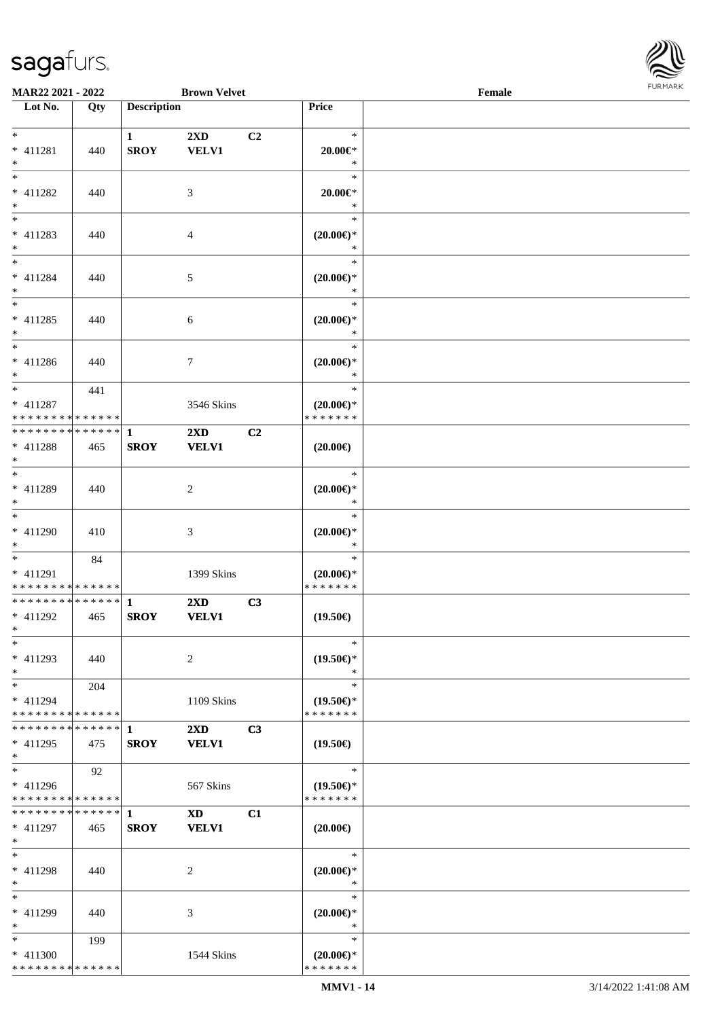

| MAR22 2021 - 2022                    |     |                    | <b>Brown Velvet</b>                                                                                                                                                                                                            |    |                               | Female |  |
|--------------------------------------|-----|--------------------|--------------------------------------------------------------------------------------------------------------------------------------------------------------------------------------------------------------------------------|----|-------------------------------|--------|--|
| Lot No.                              | Qty | <b>Description</b> |                                                                                                                                                                                                                                |    | <b>Price</b>                  |        |  |
|                                      |     |                    |                                                                                                                                                                                                                                |    |                               |        |  |
| $*$                                  |     | $\mathbf{1}$       | 2XD                                                                                                                                                                                                                            | C2 | $\ast$                        |        |  |
| $* 411281$                           | 440 | <b>SROY</b>        | <b>VELV1</b>                                                                                                                                                                                                                   |    | $20.00 \in$ *                 |        |  |
| $\ast$                               |     |                    |                                                                                                                                                                                                                                |    | $\ast$                        |        |  |
| $\overline{\ast}$                    |     |                    |                                                                                                                                                                                                                                |    | $\ast$                        |        |  |
|                                      |     |                    |                                                                                                                                                                                                                                |    |                               |        |  |
| $* 411282$                           | 440 |                    | 3                                                                                                                                                                                                                              |    | $20.00 \in$ *                 |        |  |
| $\ast$<br>$\overline{\phantom{a}^*}$ |     |                    |                                                                                                                                                                                                                                |    | $\ast$                        |        |  |
|                                      |     |                    |                                                                                                                                                                                                                                |    | $\ast$                        |        |  |
| $* 411283$                           | 440 |                    | $\overline{4}$                                                                                                                                                                                                                 |    | $(20.00\epsilon)$ *           |        |  |
| $*$                                  |     |                    |                                                                                                                                                                                                                                |    | $\ast$                        |        |  |
| $\overline{\phantom{0}}$             |     |                    |                                                                                                                                                                                                                                |    | $\ast$                        |        |  |
| $* 411284$                           | 440 |                    | 5                                                                                                                                                                                                                              |    | $(20.00\epsilon)$ *           |        |  |
| $*$                                  |     |                    |                                                                                                                                                                                                                                |    | $\ast$                        |        |  |
| $\overline{\phantom{0}}$             |     |                    |                                                                                                                                                                                                                                |    | $\ast$                        |        |  |
| $* 411285$                           | 440 |                    | 6                                                                                                                                                                                                                              |    | $(20.00\epsilon)$ *           |        |  |
| $*$                                  |     |                    |                                                                                                                                                                                                                                |    | $\ast$                        |        |  |
| $\overline{\phantom{a}^*}$           |     |                    |                                                                                                                                                                                                                                |    | $\ast$                        |        |  |
|                                      |     |                    |                                                                                                                                                                                                                                |    |                               |        |  |
| $* 411286$                           | 440 |                    | $\boldsymbol{7}$                                                                                                                                                                                                               |    | $(20.00\epsilon)$ *           |        |  |
| $*$                                  |     |                    |                                                                                                                                                                                                                                |    | $\ast$                        |        |  |
| $\ast$                               | 441 |                    |                                                                                                                                                                                                                                |    | $\ast$                        |        |  |
| $* 411287$                           |     |                    | 3546 Skins                                                                                                                                                                                                                     |    | $(20.00\epsilon)$ *           |        |  |
| * * * * * * * * * * * * * *          |     |                    |                                                                                                                                                                                                                                |    | * * * * * * *                 |        |  |
| **************                       |     | $\mathbf{1}$       | $2\mathbf{X}\mathbf{D}$                                                                                                                                                                                                        | C2 |                               |        |  |
| $* 411288$                           | 465 | <b>SROY</b>        | <b>VELV1</b>                                                                                                                                                                                                                   |    | $(20.00\epsilon)$             |        |  |
| $\ast$                               |     |                    |                                                                                                                                                                                                                                |    |                               |        |  |
| $\overline{\phantom{0}}$             |     |                    |                                                                                                                                                                                                                                |    | $\ast$                        |        |  |
| $* 411289$                           | 440 |                    | $\boldsymbol{2}$                                                                                                                                                                                                               |    | $(20.00\epsilon)$ *           |        |  |
| $*$                                  |     |                    |                                                                                                                                                                                                                                |    | $\ast$                        |        |  |
| $\overline{\phantom{0}}$             |     |                    |                                                                                                                                                                                                                                |    | $\ast$                        |        |  |
|                                      |     |                    |                                                                                                                                                                                                                                |    |                               |        |  |
| $* 411290$                           | 410 |                    | $\mathfrak{Z}$                                                                                                                                                                                                                 |    | $(20.00\epsilon)$ *           |        |  |
| $*$                                  |     |                    |                                                                                                                                                                                                                                |    | $\ast$                        |        |  |
| $*$                                  | 84  |                    |                                                                                                                                                                                                                                |    | $\ast$                        |        |  |
| $* 411291$                           |     |                    | 1399 Skins                                                                                                                                                                                                                     |    | $(20.00\epsilon)$ *           |        |  |
| **************                       |     |                    |                                                                                                                                                                                                                                |    | * * * * * * *                 |        |  |
| * * * * * * * * * * * * * *          |     | $\mathbf{1}$       | 2XD                                                                                                                                                                                                                            | C3 |                               |        |  |
| $* 411292$                           | 465 | <b>SROY</b>        | <b>VELV1</b>                                                                                                                                                                                                                   |    | $(19.50\epsilon)$             |        |  |
| $*$                                  |     |                    |                                                                                                                                                                                                                                |    |                               |        |  |
| $*$                                  |     |                    |                                                                                                                                                                                                                                |    | $\ast$                        |        |  |
| $* 411293$                           | 440 |                    | 2                                                                                                                                                                                                                              |    | $(19.50\epsilon)$ *           |        |  |
| $\ast$                               |     |                    |                                                                                                                                                                                                                                |    | $\ast$                        |        |  |
| $*$                                  | 204 |                    |                                                                                                                                                                                                                                |    | $\ast$                        |        |  |
|                                      |     |                    |                                                                                                                                                                                                                                |    | $(19.50\epsilon)$ *           |        |  |
| $* 411294$                           |     |                    | 1109 Skins                                                                                                                                                                                                                     |    |                               |        |  |
| * * * * * * * * * * * * * *          |     |                    |                                                                                                                                                                                                                                |    | * * * * * * *                 |        |  |
| * * * * * * * * * * * * * * *        |     | 1                  | $2\mathbf{X}\mathbf{D}$                                                                                                                                                                                                        | C3 |                               |        |  |
| $* 411295$                           | 475 | <b>SROY</b>        | <b>VELV1</b>                                                                                                                                                                                                                   |    | $(19.50\epsilon)$             |        |  |
| $*$                                  |     |                    |                                                                                                                                                                                                                                |    |                               |        |  |
| $\ast$                               | 92  |                    |                                                                                                                                                                                                                                |    | $\ast$                        |        |  |
| $* 411296$                           |     |                    | 567 Skins                                                                                                                                                                                                                      |    | $(19.50\epsilon)$ *           |        |  |
| * * * * * * * * * * * * * *          |     |                    |                                                                                                                                                                                                                                |    | * * * * * * *                 |        |  |
| * * * * * * * * * * * * * * *        |     | $\mathbf{1}$       | XD and the set of the set of the set of the set of the set of the set of the set of the set of the set of the set of the set of the set of the set of the set of the set of the set of the set of the set of the set of the se | C1 |                               |        |  |
| $* 411297$                           | 465 | <b>SROY</b>        | <b>VELV1</b>                                                                                                                                                                                                                   |    | $(20.00\epsilon)$             |        |  |
| $*$                                  |     |                    |                                                                                                                                                                                                                                |    |                               |        |  |
| $\ast$                               |     |                    |                                                                                                                                                                                                                                |    | $\ast$                        |        |  |
| * 411298                             |     |                    |                                                                                                                                                                                                                                |    |                               |        |  |
|                                      | 440 |                    | 2                                                                                                                                                                                                                              |    | $(20.00\epsilon)$ *<br>$\ast$ |        |  |
| $*$                                  |     |                    |                                                                                                                                                                                                                                |    |                               |        |  |
| $\ast$                               |     |                    |                                                                                                                                                                                                                                |    | $\ast$                        |        |  |
| * 411299                             | 440 |                    | 3                                                                                                                                                                                                                              |    | $(20.00\epsilon)$ *           |        |  |
| $*$                                  |     |                    |                                                                                                                                                                                                                                |    | $\ast$                        |        |  |
| $*$                                  | 199 |                    |                                                                                                                                                                                                                                |    | $\ast$                        |        |  |
| $* 411300$                           |     |                    | 1544 Skins                                                                                                                                                                                                                     |    | $(20.00\epsilon)$ *           |        |  |
| * * * * * * * * * * * * * *          |     |                    |                                                                                                                                                                                                                                |    | * * * * * * *                 |        |  |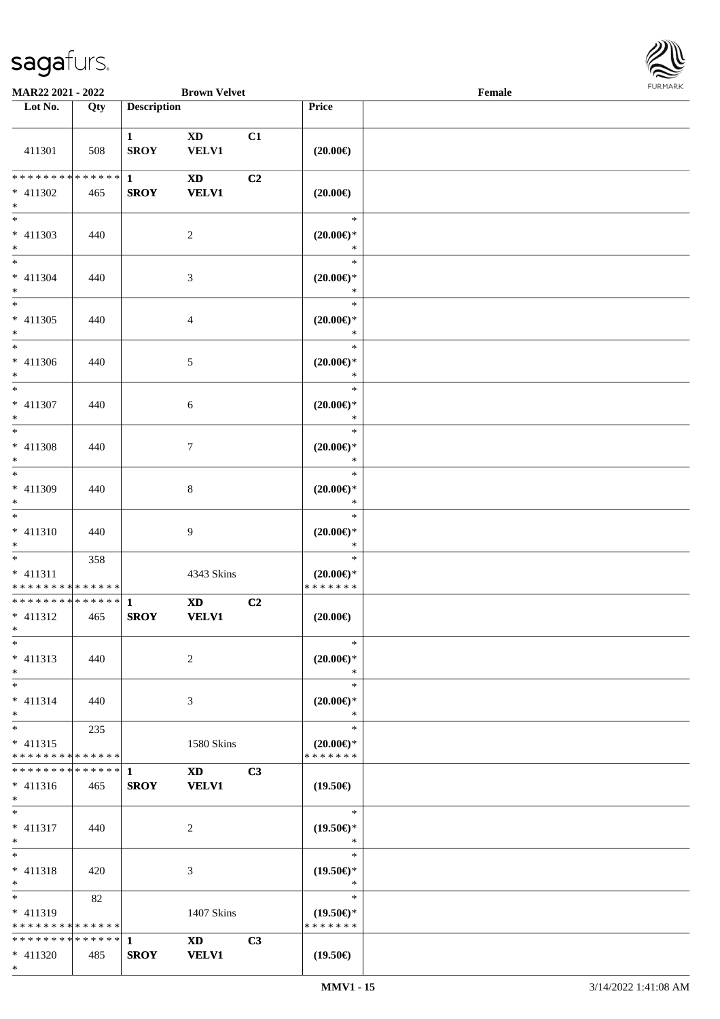

| MAR22 2021 - 2022                                                   |     |                             | <b>Brown Velvet</b>                    |    |                                                   | Female |  |
|---------------------------------------------------------------------|-----|-----------------------------|----------------------------------------|----|---------------------------------------------------|--------|--|
| Lot No.                                                             | Qty | <b>Description</b>          |                                        |    | Price                                             |        |  |
| 411301                                                              | 508 | $\mathbf{1}$<br><b>SROY</b> | <b>XD</b><br><b>VELV1</b>              | C1 | $(20.00\epsilon)$                                 |        |  |
| * * * * * * * * * * * * * * *<br>* 411302                           | 465 | $\mathbf{1}$<br><b>SROY</b> | <b>XD</b><br><b>VELV1</b>              | C2 | $(20.00\epsilon)$                                 |        |  |
| $*$<br>$\overline{\ast}$<br>$* 411303$                              | 440 |                             | $\overline{c}$                         |    | $\ast$<br>$(20.00\in)\!\!^*$                      |        |  |
| $*$<br>$\overline{\phantom{0}}$<br>$* 411304$                       | 440 |                             | $\mathfrak{Z}$                         |    | $\ast$<br>$\ast$<br>$(20.00\epsilon)$ *           |        |  |
| $*$<br>$\ast$<br>$* 411305$                                         | 440 |                             | $\overline{4}$                         |    | $\ast$<br>$\ast$<br>$(20.00\epsilon)$ *           |        |  |
| $*$<br>$*$<br>$* 411306$                                            | 440 |                             | 5                                      |    | $\ast$<br>$\ast$<br>$(20.00\epsilon)$ *           |        |  |
| $*$<br>$*$<br>$* 411307$                                            | 440 |                             | $6\phantom{.}6$                        |    | $\ast$<br>$\ast$<br>$(20.00\epsilon)$ *           |        |  |
| $*$<br>$*$<br>$* 411308$                                            | 440 |                             | $\tau$                                 |    | $\ast$<br>$\ast$<br>$(20.00\epsilon)$ *           |        |  |
| $*$<br>$*$<br>* 411309                                              | 440 |                             | $\,8\,$                                |    | $\ast$<br>$\ast$<br>$(20.00\epsilon)$ *<br>$\ast$ |        |  |
| $*$<br>$*$<br>$* 411310$<br>$*$                                     | 440 |                             | $\overline{9}$                         |    | $\ast$<br>$(20.00\epsilon)$ *<br>$\ast$           |        |  |
| $*$<br>$* 411311$<br>* * * * * * * * * * * * * *                    | 358 |                             | 4343 Skins                             |    | $\ast$<br>$(20.00\epsilon)$ *<br>* * * * * * *    |        |  |
| * * * * * * * * * * * * * * *<br>* 411312<br>$*$ $-$                | 465 | $\mathbf{1}$<br><b>SROY</b> | $\mathbf{X}\mathbf{D}$<br><b>VELV1</b> | C2 | $(20.00\epsilon)$                                 |        |  |
| $\ast$<br>$* 411313$<br>$*$                                         | 440 |                             | $\overline{c}$                         |    | $\ast$<br>$(20.00\epsilon)$ *<br>$\ast$           |        |  |
| $*$<br>$* 411314$<br>$*$                                            | 440 |                             | 3                                      |    | $\ast$<br>$(20.00\epsilon)$ *<br>$\ast$           |        |  |
| $*$<br>$* 411315$<br>* * * * * * * * * * * * * *                    | 235 |                             | 1580 Skins                             |    | $\ast$<br>$(20.00\epsilon)$ *<br>* * * * * * *    |        |  |
| **************<br>$* 411316$<br>$*$                                 | 465 | $\mathbf{1}$<br><b>SROY</b> | $\mathbf{X}\mathbf{D}$<br><b>VELV1</b> | C3 | $(19.50\epsilon)$                                 |        |  |
| $*$<br>* 411317<br>$*$                                              | 440 |                             | 2                                      |    | $\ast$<br>$(19.50\epsilon)$ *<br>$\ast$           |        |  |
| $*$<br>$* 411318$<br>$*$                                            | 420 |                             | 3                                      |    | $\ast$<br>$(19.50\epsilon)$ *<br>$\ast$           |        |  |
| $\overline{\phantom{0}}$<br>* 411319<br>* * * * * * * * * * * * * * | 82  |                             | 1407 Skins                             |    | $\ast$<br>$(19.50\epsilon)$ *<br>* * * * * * *    |        |  |
| ************** 1<br>* 411320                                        | 485 | <b>SROY</b>                 | XD 1<br><b>VELV1</b>                   | C3 | $(19.50\epsilon)$                                 |        |  |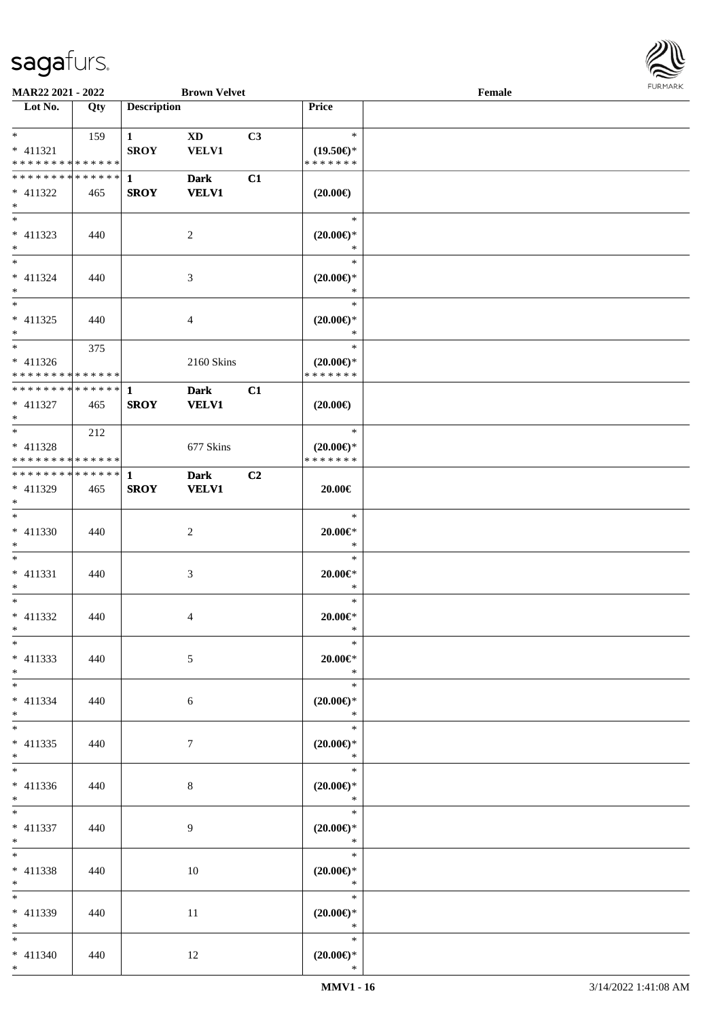

| <b>MAR22 2021 - 2022</b>                   |     |                        | <b>Brown Velvet</b> |                |                               | Female |  |
|--------------------------------------------|-----|------------------------|---------------------|----------------|-------------------------------|--------|--|
| Lot No.                                    | Qty | <b>Description</b>     |                     |                | Price                         |        |  |
|                                            |     |                        |                     |                |                               |        |  |
| $*$ $*$                                    | 159 | $1 \quad \blacksquare$ | XD                  | C3             | $\ast$                        |        |  |
| * 411321                                   |     | <b>SROY</b>            | <b>VELV1</b>        |                | $(19.50\epsilon)$ *           |        |  |
| * * * * * * * * * * * * * *                |     |                        |                     |                | * * * * * * *                 |        |  |
| * * * * * * * * * * * * * * *              |     | $\mathbf{1}$           | <b>Dark</b>         | C1             |                               |        |  |
| * 411322                                   | 465 | <b>SROY</b>            | <b>VELV1</b>        |                | $(20.00\epsilon)$             |        |  |
| $*$                                        |     |                        |                     |                |                               |        |  |
|                                            |     |                        |                     |                | $\ast$                        |        |  |
| $* 411323$                                 | 440 |                        | 2                   |                | $(20.00\epsilon)$ *           |        |  |
| $*$                                        |     |                        |                     |                | $\ast$                        |        |  |
| $*$                                        |     |                        |                     |                | $\ast$                        |        |  |
| $* 411324$                                 | 440 |                        | 3                   |                | $(20.00\epsilon)$ *           |        |  |
| $*$                                        |     |                        |                     |                | $\ast$                        |        |  |
| $*$                                        |     |                        |                     |                | $\ast$                        |        |  |
| $* 411325$                                 | 440 |                        | 4                   |                | $(20.00\epsilon)$ *           |        |  |
| $*$                                        |     |                        |                     |                | $\ast$                        |        |  |
| $*$                                        | 375 |                        |                     |                | $\ast$                        |        |  |
| $* 411326$                                 |     |                        | 2160 Skins          |                | $(20.00\epsilon)$ *           |        |  |
| * * * * * * * * * * * * * * *              |     |                        |                     |                | * * * * * * *                 |        |  |
| * * * * * * * * <mark>* * * * * * *</mark> |     | 1                      | <b>Dark</b>         | C1             |                               |        |  |
| $* 411327$                                 | 465 | <b>SROY</b>            | <b>VELV1</b>        |                | $(20.00\epsilon)$             |        |  |
| $*$                                        |     |                        |                     |                |                               |        |  |
|                                            | 212 |                        |                     |                | $\ast$                        |        |  |
| $* 411328$                                 |     |                        | 677 Skins           |                | $(20.00\epsilon)$ *           |        |  |
| * * * * * * * * * * * * * * *              |     |                        |                     |                | * * * * * * *                 |        |  |
| * * * * * * * * * * * * * * *              |     | -1                     | <b>Dark</b>         | C <sub>2</sub> |                               |        |  |
| * 411329                                   | 465 | <b>SROY</b>            | <b>VELV1</b>        |                | 20.00€                        |        |  |
| $*$                                        |     |                        |                     |                |                               |        |  |
| $*$                                        |     |                        |                     |                | $\ast$                        |        |  |
| * 411330                                   | 440 |                        | 2                   |                | $20.00 \in$ *                 |        |  |
| $*$                                        |     |                        |                     |                | $\ast$                        |        |  |
| $*$                                        |     |                        |                     |                | $\ast$                        |        |  |
| $* 411331$                                 | 440 |                        | 3                   |                | $20.00 \in$ *                 |        |  |
| $*$                                        |     |                        |                     |                | $\ast$                        |        |  |
| $*$                                        |     |                        |                     |                | $\ast$                        |        |  |
| * 411332                                   | 440 |                        | 4                   |                | $20.00 \in$ *                 |        |  |
| $*$ $-$                                    |     |                        |                     |                | $\ast$                        |        |  |
| $*$                                        |     |                        |                     |                | $\ast$                        |        |  |
| $* 411333$                                 | 440 |                        | 5                   |                | $20.00 \in$ *                 |        |  |
| $*$                                        |     |                        |                     |                | $\ast$                        |        |  |
| $*$                                        |     |                        |                     |                | $\ast$                        |        |  |
| $* 411334$                                 | 440 |                        | 6                   |                | $(20.00\epsilon)$ *           |        |  |
| $*$                                        |     |                        |                     |                | $\ast$                        |        |  |
| $*$                                        |     |                        |                     |                | $\ast$                        |        |  |
| $* 411335$                                 | 440 |                        | $\tau$              |                | $(20.00\epsilon)$ *           |        |  |
| $*$                                        |     |                        |                     |                | $\ast$                        |        |  |
| $*$                                        |     |                        |                     |                | $\ast$                        |        |  |
| $* 411336$                                 | 440 |                        | 8                   |                | $(20.00\epsilon)$ *           |        |  |
| $*$                                        |     |                        |                     |                | $\ast$                        |        |  |
| $*$                                        |     |                        |                     |                | $\ast$                        |        |  |
| $* 411337$                                 | 440 |                        | 9                   |                | $(20.00\epsilon)$ *           |        |  |
| $*$ $-$                                    |     |                        |                     |                | $\ast$                        |        |  |
| $*$                                        |     |                        |                     |                | $\ast$                        |        |  |
| * 411338                                   |     |                        |                     |                |                               |        |  |
| $*$                                        | 440 |                        | 10                  |                | $(20.00\epsilon)$ *<br>$\ast$ |        |  |
| $*$                                        |     |                        |                     |                | $\ast$                        |        |  |
|                                            |     |                        |                     |                |                               |        |  |
| * 411339<br>$*$                            | 440 |                        | 11                  |                | $(20.00\epsilon)$ *<br>$\ast$ |        |  |
| $*$                                        |     |                        |                     |                | $\ast$                        |        |  |
|                                            |     |                        |                     |                |                               |        |  |
| $* 411340$                                 | 440 |                        | 12                  |                | $(20.00\epsilon)$ *           |        |  |
| $*$                                        |     |                        |                     |                | $\ast$                        |        |  |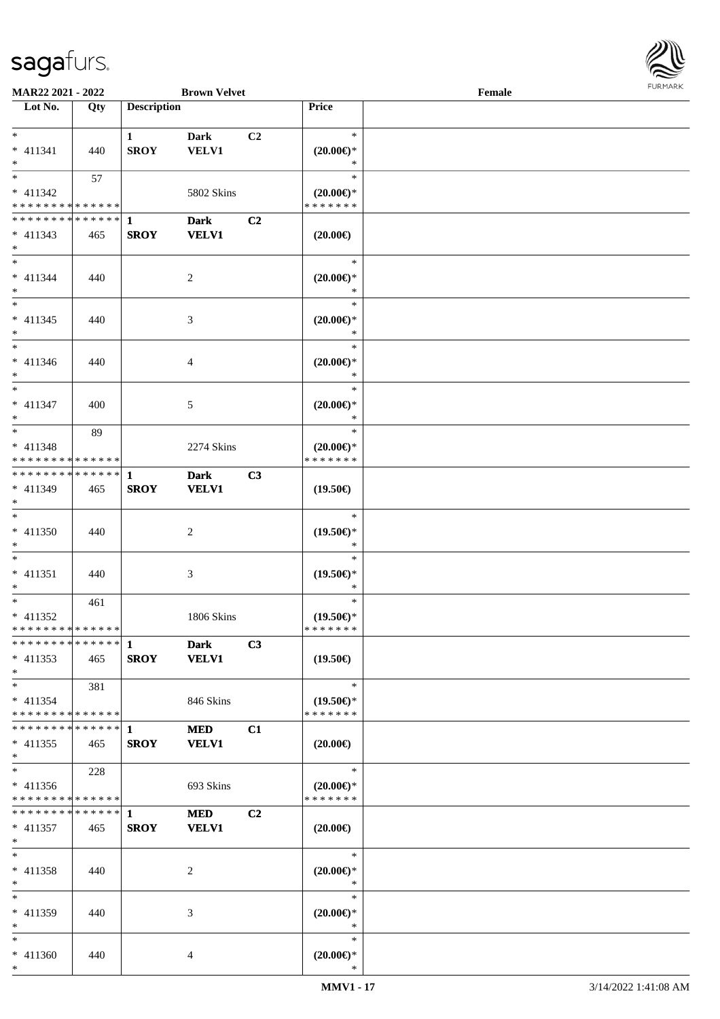

| <b>MAR22 2021 - 2022</b>                   |     |                    | <b>Brown Velvet</b>         |                |                                      | Female |  |
|--------------------------------------------|-----|--------------------|-----------------------------|----------------|--------------------------------------|--------|--|
| Lot No.                                    | Qty | <b>Description</b> |                             |                | Price                                |        |  |
|                                            |     |                    |                             |                |                                      |        |  |
| $*$                                        |     | $\mathbf{1}$       | <b>Dark</b>                 | C <sub>2</sub> | $\ast$                               |        |  |
| $* 411341$                                 | 440 | <b>SROY</b>        | <b>VELV1</b>                |                | $(20.00\epsilon)$ *                  |        |  |
| $*$<br>$*$                                 |     |                    |                             |                | $\ast$<br>$\ast$                     |        |  |
|                                            | 57  |                    |                             |                |                                      |        |  |
| $* 411342$                                 |     |                    | 5802 Skins                  |                | $(20.00\epsilon)$ *<br>* * * * * * * |        |  |
| * * * * * * * * <mark>* * * * * * *</mark> |     |                    |                             |                |                                      |        |  |
|                                            |     |                    | <b>Dark</b>                 | C2             |                                      |        |  |
| $* 411343$<br>$*$                          | 465 | <b>SROY</b>        | <b>VELV1</b>                |                | $(20.00\epsilon)$                    |        |  |
| $\ddot{x}$                                 |     |                    |                             |                | $\ast$                               |        |  |
| $* 411344$                                 | 440 |                    | 2                           |                | $(20.00\epsilon)$ *                  |        |  |
| $*$                                        |     |                    |                             |                | $\ast$                               |        |  |
| $*$                                        |     |                    |                             |                | $\ast$                               |        |  |
| $* 411345$                                 | 440 |                    | 3                           |                | $(20.00\epsilon)$ *                  |        |  |
| $\ast$                                     |     |                    |                             |                | $\ast$                               |        |  |
| $\ast$                                     |     |                    |                             |                | $\ast$                               |        |  |
| * 411346                                   | 440 |                    | $\overline{4}$              |                | $(20.00\epsilon)$ *                  |        |  |
| $\ast$                                     |     |                    |                             |                | $\ast$                               |        |  |
|                                            |     |                    |                             |                | $\ast$                               |        |  |
| * 411347                                   | 400 |                    | 5                           |                | $(20.00\epsilon)$ *                  |        |  |
| $*$                                        |     |                    |                             |                | $\ast$                               |        |  |
|                                            | 89  |                    |                             |                | $\ast$                               |        |  |
| $* 411348$                                 |     |                    | 2274 Skins                  |                | $(20.00\epsilon)$ *                  |        |  |
| * * * * * * * * <mark>* * * * * *</mark>   |     |                    |                             |                | * * * * * * *                        |        |  |
|                                            |     |                    | <b>Dark</b><br><b>VELV1</b> | C <sub>3</sub> |                                      |        |  |
| * 411349<br>$\ast$                         | 465 | <b>SROY</b>        |                             |                | $(19.50\epsilon)$                    |        |  |
| $*$                                        |     |                    |                             |                | $\ast$                               |        |  |
| * 411350                                   | 440 |                    | 2                           |                | $(19.50\epsilon)$ *                  |        |  |
| $\ast$                                     |     |                    |                             |                | $\ast$                               |        |  |
| $\ddot{x}$                                 |     |                    |                             |                | $\ast$                               |        |  |
| $* 411351$                                 | 440 |                    | 3                           |                | $(19.50\epsilon)$ *                  |        |  |
| $\ddot{\ast}$                              |     |                    |                             |                | $\ast$                               |        |  |
| $\ast$                                     | 461 |                    |                             |                | $\ast$                               |        |  |
| * 411352                                   |     |                    | <b>1806 Skins</b>           |                | $(19.50\epsilon)$ *                  |        |  |
| * * * * * * * * <mark>* * * * * *</mark>   |     |                    |                             |                | * * * * * * *                        |        |  |
|                                            |     |                    | <b>Dark</b>                 | C3             |                                      |        |  |
| $* 411353$<br>$\ast$                       | 465 | <b>SROY</b>        | <b>VELV1</b>                |                | $(19.50\epsilon)$                    |        |  |
| $*$ $-$                                    | 381 |                    |                             |                | $\ast$                               |        |  |
| $* 411354$                                 |     |                    | 846 Skins                   |                | $(19.50\epsilon)$ *                  |        |  |
| * * * * * * * * <mark>* * * * * * *</mark> |     |                    |                             |                | * * * * * * *                        |        |  |
|                                            |     |                    | <b>MED</b>                  | C1             |                                      |        |  |
| $* 411355$                                 | 465 | <b>SROY</b>        | <b>VELV1</b>                |                | $(20.00\epsilon)$                    |        |  |
| $*$                                        |     |                    |                             |                |                                      |        |  |
| $\ddot{x}$                                 | 228 |                    |                             |                | $\ast$                               |        |  |
| $* 411356$                                 |     |                    | 693 Skins                   |                | $(20.00\epsilon)$ *                  |        |  |
| * * * * * * * * <mark>* * * * * *</mark> * |     |                    |                             |                | * * * * * * *                        |        |  |
| * * * * * * * * * * * * * <mark>1</mark>   |     |                    | <b>MED</b>                  | C <sub>2</sub> |                                      |        |  |
| * 411357                                   | 465 | <b>SROY</b>        | <b>VELV1</b>                |                | $(20.00\epsilon)$                    |        |  |
| $*$<br>$\ddot{x}$                          |     |                    |                             |                | $\ast$                               |        |  |
| $* 411358$                                 |     |                    | 2                           |                |                                      |        |  |
| $*$                                        | 440 |                    |                             |                | $(20.00\epsilon)$ *<br>$\ast$        |        |  |
| $\ast$                                     |     |                    |                             |                | $\ast$                               |        |  |
| $* 411359$                                 | 440 |                    | 3                           |                | $(20.00\varepsilon)$ *               |        |  |
| $\ast$                                     |     |                    |                             |                | $\ast$                               |        |  |
| $\ddot{x}$                                 |     |                    |                             |                | $\ast$                               |        |  |
| $* 411360$                                 | 440 |                    | 4                           |                | $(20.00\epsilon)$ *                  |        |  |
| $\ast$                                     |     |                    |                             |                | $\ast$                               |        |  |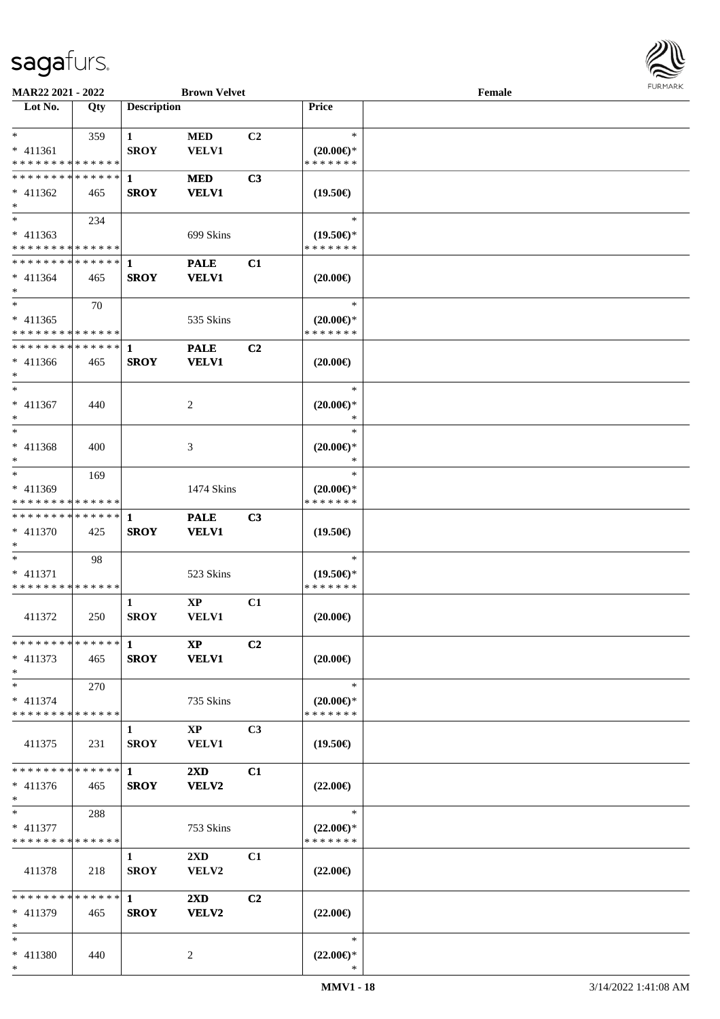

| MAR22 2021 - 2022                                                                 |     |                             | <b>Brown Velvet</b>                    |                |                                                   | Female |  |
|-----------------------------------------------------------------------------------|-----|-----------------------------|----------------------------------------|----------------|---------------------------------------------------|--------|--|
| Lot No.                                                                           | Qty | <b>Description</b>          |                                        |                | Price                                             |        |  |
| $*$<br>* 411361                                                                   | 359 | $\mathbf{1}$<br><b>SROY</b> | <b>MED</b><br>VELV1                    | C2             | $\ast$<br>$(20.00\varepsilon)$ *<br>* * * * * * * |        |  |
| * * * * * * * * * * * * * *<br>* * * * * * * * * * * * * * *<br>$* 411362$<br>$*$ | 465 | 1<br><b>SROY</b>            | <b>MED</b><br><b>VELV1</b>             | C3             | $(19.50\epsilon)$                                 |        |  |
| $\overline{\ast}$<br>$* 411363$<br>* * * * * * * * * * * * * *                    | 234 |                             | 699 Skins                              |                | $\ast$<br>$(19.50\epsilon)$ *<br>* * * * * * *    |        |  |
| * * * * * * * * * * * * * *<br>$* 411364$<br>$*$                                  | 465 | 1<br><b>SROY</b>            | <b>PALE</b><br><b>VELV1</b>            | C1             | $(20.00\epsilon)$                                 |        |  |
| $*$<br>$* 411365$<br>* * * * * * * * * * * * * *                                  | 70  |                             | 535 Skins                              |                | $\ast$<br>$(20.00\varepsilon)$ *<br>* * * * * * * |        |  |
| * * * * * * * * * * * * * * *<br>$* 411366$<br>$*$                                | 465 | $\mathbf{1}$<br><b>SROY</b> | <b>PALE</b><br><b>VELV1</b>            | C2             | $(20.00\epsilon)$                                 |        |  |
| $*$<br>$* 411367$<br>$\ast$                                                       | 440 |                             | 2                                      |                | $\ast$<br>$(20.00\varepsilon)$ *<br>∗             |        |  |
| $*$<br>* 411368<br>$*$                                                            | 400 |                             | 3                                      |                | $\ast$<br>$(20.00\epsilon)$ *<br>∗                |        |  |
| $*$<br>* 411369<br>* * * * * * * * * * * * * *                                    | 169 |                             | 1474 Skins                             |                | $\ast$<br>$(20.00\epsilon)$ *<br>* * * * * * *    |        |  |
| * * * * * * * * * * * * * * *<br>* 411370<br>$*$                                  | 425 | 1<br><b>SROY</b>            | <b>PALE</b><br><b>VELV1</b>            | C3             | $(19.50\epsilon)$                                 |        |  |
| $*$<br>* 411371<br>* * * * * * * * * * * * * *                                    | 98  |                             | 523 Skins                              |                | $\ast$<br>$(19.50\epsilon)$ *<br>* * * * * * *    |        |  |
| 411372                                                                            | 250 | 1<br><b>SROY</b>            | $\mathbf{XP}$<br>VELV1                 | C1             | $(20.00\epsilon)$                                 |        |  |
| ************* 1<br>$* 411373$<br>$*$                                              | 465 | <b>SROY</b>                 | <b>XP</b><br><b>VELV1</b>              | C2             | $(20.00\epsilon)$                                 |        |  |
| $*$<br>$* 411374$<br>* * * * * * * * * * * * * *                                  | 270 |                             | 735 Skins                              |                | $\ast$<br>$(20.00\epsilon)$ *<br>* * * * * * *    |        |  |
| 411375                                                                            | 231 | 1<br><b>SROY</b>            | $\mathbf{X}\mathbf{P}$<br><b>VELV1</b> | C <sub>3</sub> | $(19.50\epsilon)$                                 |        |  |
| * * * * * * * * * * * * * * *<br>$* 411376$<br>$*$                                | 465 | $\mathbf 1$<br><b>SROY</b>  | $2\mathbf{X}\mathbf{D}$<br>VELV2       | C1             | $(22.00\epsilon)$                                 |        |  |
| $*$<br>$* 411377$<br>* * * * * * * * * * * * * *                                  | 288 |                             | 753 Skins                              |                | $\ast$<br>$(22.00\epsilon)$ *<br>* * * * * * *    |        |  |
| 411378                                                                            | 218 | $\mathbf{1}$<br><b>SROY</b> | $2\mathbf{X}\mathbf{D}$<br>VELV2       | C1             | $(22.00\epsilon)$                                 |        |  |
| * * * * * * * * * * * * * * *<br>$* 411379$<br>$*$                                | 465 | $\mathbf{1}$<br><b>SROY</b> | 2XD<br>VELV2                           | C2             | $(22.00\epsilon)$                                 |        |  |
| $*$<br>* 411380<br>$*$                                                            | 440 |                             | 2                                      |                | $\ast$<br>$(22.00\epsilon)$ *<br>*                |        |  |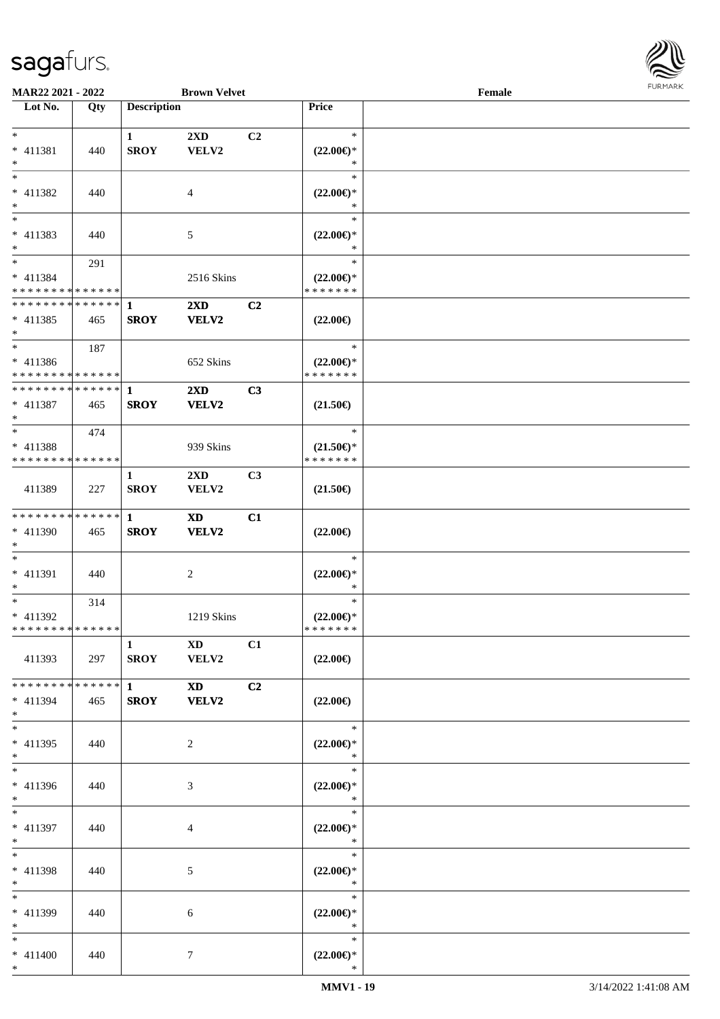

| <b>MAR22 2021 - 2022</b>                   |     |                    | <b>Brown Velvet</b>     |                |                                      | Female |  |
|--------------------------------------------|-----|--------------------|-------------------------|----------------|--------------------------------------|--------|--|
| Lot No.                                    | Qty | <b>Description</b> |                         |                | Price                                |        |  |
|                                            |     |                    |                         |                |                                      |        |  |
| $*$                                        |     | $\mathbf{1}$       | 2XD                     | C <sub>2</sub> | $\ast$                               |        |  |
| * 411381                                   | 440 | <b>SROY</b>        | VELV2                   |                | $(22.00\epsilon)$ *                  |        |  |
| $*$                                        |     |                    |                         |                | ∗                                    |        |  |
|                                            |     |                    |                         |                | $\ast$                               |        |  |
| * 411382                                   | 440 |                    | 4                       |                | $(22.00\epsilon)$ *                  |        |  |
| $*$                                        |     |                    |                         |                | $\ast$                               |        |  |
|                                            |     |                    |                         |                | $\ast$                               |        |  |
| $* 411383$                                 | 440 |                    | 5                       |                | $(22.00\epsilon)$ *                  |        |  |
| $*$                                        |     |                    |                         |                | $\ast$                               |        |  |
| $*$                                        | 291 |                    |                         |                | $\ast$                               |        |  |
|                                            |     |                    |                         |                |                                      |        |  |
| * 411384                                   |     |                    | 2516 Skins              |                | $(22.00\epsilon)$ *<br>* * * * * * * |        |  |
| * * * * * * * * * * * * * *                |     |                    |                         |                |                                      |        |  |
| * * * * * * * * <mark>* * * * * * *</mark> |     | $\mathbf{1}$       | $2\mathbf{X}\mathbf{D}$ | C2             |                                      |        |  |
| $* 411385$                                 | 465 | <b>SROY</b>        | VELV2                   |                | $(22.00\epsilon)$                    |        |  |
| $\ast$                                     |     |                    |                         |                |                                      |        |  |
| $\overline{\ast}$                          | 187 |                    |                         |                | $\ast$                               |        |  |
| $* 411386$                                 |     |                    | 652 Skins               |                | $(22.00\epsilon)$ *                  |        |  |
| * * * * * * * * * * * * * * *              |     |                    |                         |                | * * * * * * *                        |        |  |
| ******** <mark>******</mark>               |     | $\mathbf{1}$       | 2XD                     | C3             |                                      |        |  |
| * 411387                                   | 465 | <b>SROY</b>        | <b>VELV2</b>            |                | $(21.50\epsilon)$                    |        |  |
| $*$                                        |     |                    |                         |                |                                      |        |  |
| $*$ $-$                                    | 474 |                    |                         |                | $\ast$                               |        |  |
| $* 411388$                                 |     |                    | 939 Skins               |                | $(21.50\epsilon)$ *                  |        |  |
| * * * * * * * * * * * * * *                |     |                    |                         |                | * * * * * * *                        |        |  |
|                                            |     | $\mathbf{1}$       | $2\mathbf{X}\mathbf{D}$ | C <sub>3</sub> |                                      |        |  |
| 411389                                     | 227 | <b>SROY</b>        | VELV2                   |                | $(21.50\epsilon)$                    |        |  |
|                                            |     |                    |                         |                |                                      |        |  |
| * * * * * * * * <mark>* * * * * * *</mark> |     | $\mathbf{1}$       | <b>XD</b>               | C1             |                                      |        |  |
| * 411390                                   |     |                    |                         |                |                                      |        |  |
|                                            | 465 | <b>SROY</b>        | VELV2                   |                | $(22.00\epsilon)$                    |        |  |
| $*$<br>$*$                                 |     |                    |                         |                | $\ast$                               |        |  |
|                                            |     |                    |                         |                |                                      |        |  |
| * 411391                                   | 440 |                    | 2                       |                | $(22.00\epsilon)$ *                  |        |  |
| $\ast$                                     |     |                    |                         |                | $\ast$                               |        |  |
| $*$                                        | 314 |                    |                         |                | $\ast$                               |        |  |
| * 411392                                   |     |                    | 1219 Skins              |                | $(22.00\epsilon)$ *                  |        |  |
| * * * * * * * * * * * * * *                |     |                    |                         |                | *******                              |        |  |
|                                            |     | $\mathbf{1}$       | XD                      | C1             |                                      |        |  |
| 411393                                     | 297 | <b>SROY</b>        | <b>VELV2</b>            |                | $(22.00\epsilon)$                    |        |  |
|                                            |     |                    |                         |                |                                      |        |  |
| * * * * * * * * * * * * * * <mark>*</mark> |     | $1 \qquad \qquad$  | <b>XD</b>               | C2             |                                      |        |  |
| $* 411394$                                 | 465 | <b>SROY</b>        | <b>VELV2</b>            |                | $(22.00\epsilon)$                    |        |  |
| $*$                                        |     |                    |                         |                |                                      |        |  |
| $*$ $-$                                    |     |                    |                         |                | $\ast$                               |        |  |
| $* 411395$                                 | 440 |                    | 2                       |                | $(22.00\epsilon)$ *                  |        |  |
| $*$                                        |     |                    |                         |                | $\ast$                               |        |  |
| $*$                                        |     |                    |                         |                | $\ast$                               |        |  |
| * 411396                                   | 440 |                    | 3                       |                | $(22.00\epsilon)$ *                  |        |  |
| $*$                                        |     |                    |                         |                | $\ast$                               |        |  |
| $*$ $-$                                    |     |                    |                         |                | $\ast$                               |        |  |
| * 411397                                   | 440 |                    | 4                       |                | $(22.00\epsilon)$ *                  |        |  |
| $*$                                        |     |                    |                         |                | $\ast$                               |        |  |
| $*$ $-$                                    |     |                    |                         |                | $\ast$                               |        |  |
|                                            |     |                    |                         |                |                                      |        |  |
| * 411398                                   | 440 |                    | 5                       |                | $(22.00\epsilon)$ *                  |        |  |
| $*$                                        |     |                    |                         |                | $\ast$                               |        |  |
| $*$                                        |     |                    |                         |                | $\ast$                               |        |  |
| * 411399                                   | 440 |                    | 6                       |                | $(22.00\epsilon)$ *                  |        |  |
| $*$                                        |     |                    |                         |                | $\ast$                               |        |  |
| $*$                                        |     |                    |                         |                | $\ast$                               |        |  |
| $* 411400$                                 | 440 |                    | $\tau$                  |                | $(22.00\epsilon)$ *                  |        |  |
| $*$                                        |     |                    |                         |                | $\ast$                               |        |  |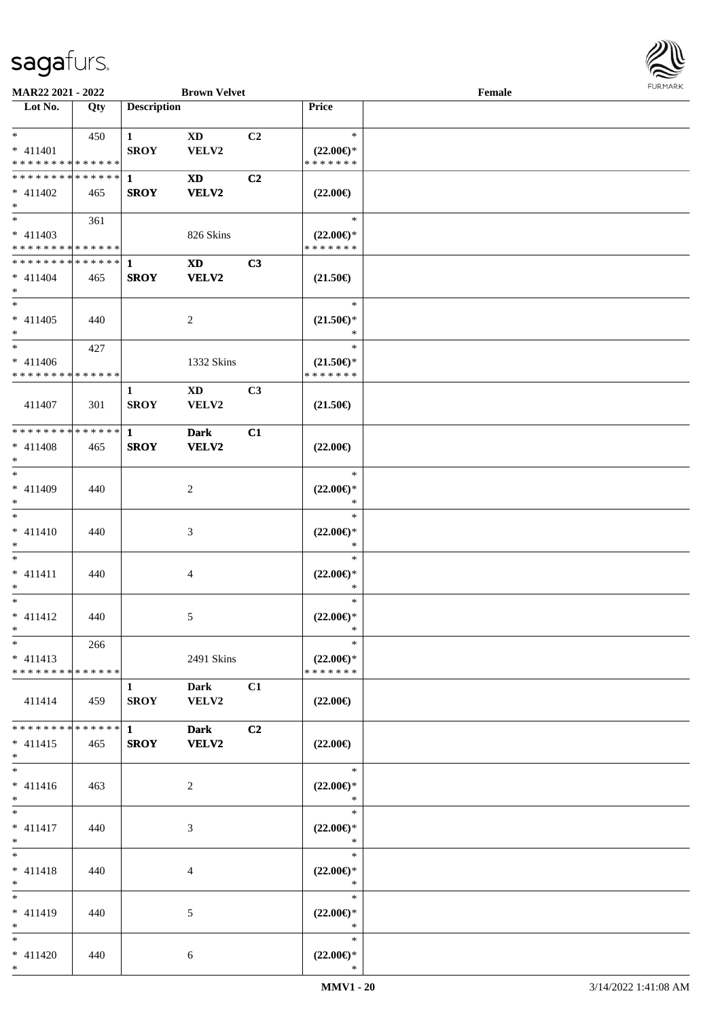

| <b>MAR22 2021 - 2022</b>      |     |                        | <b>Brown Velvet</b> |                |                     | Female |  |
|-------------------------------|-----|------------------------|---------------------|----------------|---------------------|--------|--|
| Lot No.                       | Qty | <b>Description</b>     |                     |                | Price               |        |  |
|                               |     |                        |                     |                |                     |        |  |
| $*$                           | 450 | $\mathbf{1}$           | XD                  | C2             | $\ast$              |        |  |
| * 411401                      |     | <b>SROY</b>            | VELV2               |                | $(22.00\epsilon)$ * |        |  |
| * * * * * * * * * * * * * *   |     |                        |                     |                | * * * * * * *       |        |  |
| * * * * * * * * * * * * * * * |     | 1                      | <b>XD</b>           | C <sub>2</sub> |                     |        |  |
| $* 411402$                    | 465 | <b>SROY</b>            | <b>VELV2</b>        |                | $(22.00\epsilon)$   |        |  |
| $*$                           |     |                        |                     |                |                     |        |  |
| $\overline{\ast}$             | 361 |                        |                     |                | $\ast$              |        |  |
| $* 411403$                    |     |                        | 826 Skins           |                | $(22.00\epsilon)$ * |        |  |
| * * * * * * * * * * * * * *   |     |                        |                     |                | * * * * * * *       |        |  |
| ******** <mark>******</mark>  |     | 1                      | <b>XD</b>           | C3             |                     |        |  |
| $* 411404$                    | 465 | <b>SROY</b>            | <b>VELV2</b>        |                | $(21.50\epsilon)$   |        |  |
| $*$                           |     |                        |                     |                |                     |        |  |
| $*$                           |     |                        |                     |                | $\ast$              |        |  |
| $* 411405$                    | 440 |                        | 2                   |                | $(21.50\epsilon)$ * |        |  |
| $*$                           |     |                        |                     |                | $\ast$              |        |  |
| $*$                           | 427 |                        |                     |                | $\ast$              |        |  |
| $* 411406$                    |     |                        | 1332 Skins          |                | $(21.50\epsilon)$ * |        |  |
| * * * * * * * * * * * * * *   |     |                        |                     |                | * * * * * * *       |        |  |
|                               |     | 1                      | XD                  | C3             |                     |        |  |
| 411407                        | 301 | <b>SROY</b>            | VELV2               |                | $(21.50\epsilon)$   |        |  |
|                               |     |                        |                     |                |                     |        |  |
| * * * * * * * * * * * * * * * |     | $\mathbf{1}$           | <b>Dark</b>         | C1             |                     |        |  |
| $* 411408$                    | 465 | <b>SROY</b>            | <b>VELV2</b>        |                | $(22.00\epsilon)$   |        |  |
| $\ast$                        |     |                        |                     |                |                     |        |  |
| $*$                           |     |                        |                     |                | $\ast$              |        |  |
| * 411409                      | 440 |                        | 2                   |                | $(22.00\epsilon)$ * |        |  |
| $*$                           |     |                        |                     |                | $\ast$              |        |  |
| $*$                           |     |                        |                     |                | $\ast$              |        |  |
| $* 411410$                    | 440 |                        | 3                   |                | $(22.00\epsilon)$ * |        |  |
| $*$                           |     |                        |                     |                | $\ast$              |        |  |
| $*$                           |     |                        |                     |                | $\ast$              |        |  |
| $* 411411$                    | 440 |                        | 4                   |                | $(22.00\epsilon)$ * |        |  |
| $*$                           |     |                        |                     |                | $\ast$              |        |  |
| $*$                           |     |                        |                     |                | $\ast$              |        |  |
| $* 411412$                    | 440 |                        | 5                   |                | $(22.00\epsilon)$ * |        |  |
| $*$ $-$                       |     |                        |                     |                | $\ast$              |        |  |
| $*$                           | 266 |                        |                     |                | $\ast$              |        |  |
| $* 411413$                    |     |                        | 2491 Skins          |                | $(22.00\epsilon)$ * |        |  |
| * * * * * * * * * * * * * * * |     |                        |                     |                | * * * * * * *       |        |  |
|                               |     | $\mathbf{1}$           | <b>Dark</b>         | C1             |                     |        |  |
| 411414                        | 459 | <b>SROY</b>            | <b>VELV2</b>        |                | $(22.00\epsilon)$   |        |  |
|                               |     |                        |                     |                |                     |        |  |
| * * * * * * * * * * * * * * * |     | $1 \quad \blacksquare$ | <b>Dark</b>         | C <sub>2</sub> |                     |        |  |
| $* 411415$                    | 465 | <b>SROY</b>            | <b>VELV2</b>        |                | $(22.00\epsilon)$   |        |  |
| $*$                           |     |                        |                     |                |                     |        |  |
| $*$                           |     |                        |                     |                | $\ast$              |        |  |
| $* 411416$                    | 463 |                        | 2                   |                | $(22.00\epsilon)$ * |        |  |
| $*$                           |     |                        |                     |                | $*$                 |        |  |
| $*$ $*$                       |     |                        |                     |                | $\ast$              |        |  |
| $* 411417$                    | 440 |                        | 3                   |                | $(22.00\epsilon)$ * |        |  |
| $*$                           |     |                        |                     |                | $\ast$              |        |  |
| $*$                           |     |                        |                     |                | $\ast$              |        |  |
| $* 411418$                    | 440 |                        | 4                   |                | $(22.00\epsilon)$ * |        |  |
| $*$                           |     |                        |                     |                | $\ast$              |        |  |
| $*$                           |     |                        |                     |                | $\ast$              |        |  |
| * 411419                      | 440 |                        | 5                   |                | $(22.00\epsilon)$ * |        |  |
| $*$                           |     |                        |                     |                | $\ast$              |        |  |
| $*$                           |     |                        |                     |                | $\ast$              |        |  |
| $* 411420$                    | 440 |                        | 6                   |                | $(22.00\epsilon)$ * |        |  |
| $*$                           |     |                        |                     |                | $\ast$              |        |  |
|                               |     |                        |                     |                |                     |        |  |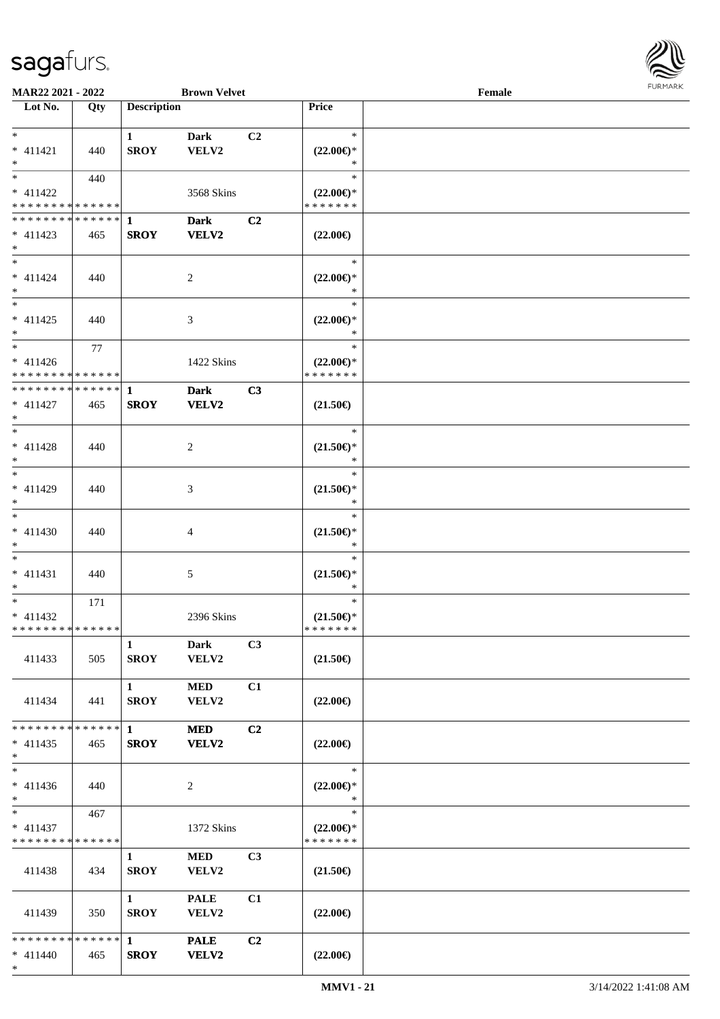

| <b>MAR22 2021 - 2022</b>                   |     |                    | <b>Brown Velvet</b> |                |                     | Female |  |
|--------------------------------------------|-----|--------------------|---------------------|----------------|---------------------|--------|--|
| Lot No.                                    | Qty | <b>Description</b> |                     |                | Price               |        |  |
|                                            |     |                    |                     |                |                     |        |  |
| $*$                                        |     | $\mathbf{1}$       | Dark                | C <sub>2</sub> | $\ast$              |        |  |
| $* 411421$                                 | 440 | <b>SROY</b>        | VELV2               |                | $(22.00\epsilon)$ * |        |  |
| $*$                                        |     |                    |                     |                | $\ast$              |        |  |
| $\overline{\ast}$                          | 440 |                    |                     |                | $\ast$              |        |  |
| * 411422                                   |     |                    | 3568 Skins          |                | $(22.00\epsilon)$ * |        |  |
| * * * * * * * * * * * * * *                |     |                    |                     |                | * * * * * * *       |        |  |
| * * * * * * * * * * * * * * <mark>*</mark> |     | 1                  | <b>Dark</b>         | C <sub>2</sub> |                     |        |  |
| $* 411423$                                 | 465 | <b>SROY</b>        | VELV2               |                | $(22.00\epsilon)$   |        |  |
| $*$                                        |     |                    |                     |                |                     |        |  |
| $*$                                        |     |                    |                     |                | $\ast$              |        |  |
| $* 411424$                                 | 440 |                    | 2                   |                | $(22.00\epsilon)$ * |        |  |
| $*$                                        |     |                    |                     |                | $\ast$              |        |  |
|                                            |     |                    |                     |                | $\ast$              |        |  |
| $* 411425$                                 | 440 |                    | 3                   |                | $(22.00\epsilon)$ * |        |  |
| $\ast$                                     |     |                    |                     |                | $\ast$              |        |  |
|                                            | 77  |                    |                     |                | $\ast$              |        |  |
| $* 411426$                                 |     |                    | 1422 Skins          |                | $(22.00\epsilon)$ * |        |  |
| * * * * * * * * * * * * * *                |     |                    |                     |                | * * * * * * *       |        |  |
| * * * * * * * * <mark>* * * * * * *</mark> |     | $\mathbf{1}$       | <b>Dark</b>         | C3             |                     |        |  |
| $* 411427$                                 | 465 | <b>SROY</b>        | VELV2               |                | $(21.50\epsilon)$   |        |  |
| $*$                                        |     |                    |                     |                |                     |        |  |
| $*$                                        |     |                    |                     |                | $\ast$              |        |  |
| $* 411428$                                 | 440 |                    | 2                   |                | $(21.50\epsilon)$ * |        |  |
| $*$                                        |     |                    |                     |                | ∗                   |        |  |
| $*$                                        |     |                    |                     |                | $\ast$              |        |  |
| * 411429                                   | 440 |                    | 3                   |                | $(21.50\epsilon)$ * |        |  |
| $*$                                        |     |                    |                     |                | $\ast$              |        |  |
| $*$                                        |     |                    |                     |                | $\ast$              |        |  |
| $* 411430$                                 | 440 |                    | 4                   |                | $(21.50\epsilon)$ * |        |  |
| $*$                                        |     |                    |                     |                | $\ast$              |        |  |
| $*$                                        |     |                    |                     |                | $\ast$              |        |  |
| $* 411431$                                 | 440 |                    |                     |                | $(21.50\epsilon)$ * |        |  |
| $*$                                        |     |                    | 5                   |                | $\ast$              |        |  |
| $*$                                        | 171 |                    |                     |                | $\ast$              |        |  |
| $* 411432$                                 |     |                    | 2396 Skins          |                | $(21.50\epsilon)$ * |        |  |
| * * * * * * * * * * * * * *                |     |                    |                     |                | *******             |        |  |
|                                            |     | $\mathbf{1}$       | <b>Dark</b>         | C3             |                     |        |  |
|                                            |     |                    | VELV2               |                |                     |        |  |
| 411433                                     | 505 | <b>SROY</b>        |                     |                | $(21.50\epsilon)$   |        |  |
|                                            |     |                    | <b>MED</b>          |                |                     |        |  |
|                                            |     | $\mathbf{1}$       |                     | C1             |                     |        |  |
| 411434                                     | 441 | <b>SROY</b>        | VELV2               |                | $(22.00\epsilon)$   |        |  |
|                                            |     |                    |                     |                |                     |        |  |
| * * * * * * * * <mark>* * * * * *</mark> * |     | $\mathbf{1}$       | <b>MED</b>          | C2             |                     |        |  |
| $* 411435$                                 | 465 | <b>SROY</b>        | VELV2               |                | $(22.00\epsilon)$   |        |  |
| $*$                                        |     |                    |                     |                |                     |        |  |
| $\ast$                                     |     |                    |                     |                | $\ast$              |        |  |
| $* 411436$                                 | 440 |                    | 2                   |                | $(22.00\epsilon)$ * |        |  |
| $*$                                        |     |                    |                     |                | $\ast$              |        |  |
| $*$ $-$                                    | 467 |                    |                     |                | $\ast$              |        |  |
| $* 411437$                                 |     |                    | 1372 Skins          |                | $(22.00\epsilon)$ * |        |  |
| * * * * * * * * * * * * * *                |     |                    |                     |                | * * * * * * *       |        |  |
|                                            |     | $\mathbf{1}$       | <b>MED</b>          | C <sub>3</sub> |                     |        |  |
| 411438                                     | 434 | <b>SROY</b>        | VELV2               |                | $(21.50\epsilon)$   |        |  |
|                                            |     |                    |                     |                |                     |        |  |
|                                            |     | $\mathbf{1}$       | <b>PALE</b>         | C1             |                     |        |  |
| 411439                                     | 350 | <b>SROY</b>        | VELV2               |                | $(22.00\epsilon)$   |        |  |
|                                            |     |                    |                     |                |                     |        |  |
| * * * * * * * * * * * * * * <mark>*</mark> |     | $\mathbf{1}$       | <b>PALE</b>         | C2             |                     |        |  |
| $* 411440$                                 | 465 | <b>SROY</b>        | VELV2               |                | $(22.00\epsilon)$   |        |  |
| $\ast$                                     |     |                    |                     |                |                     |        |  |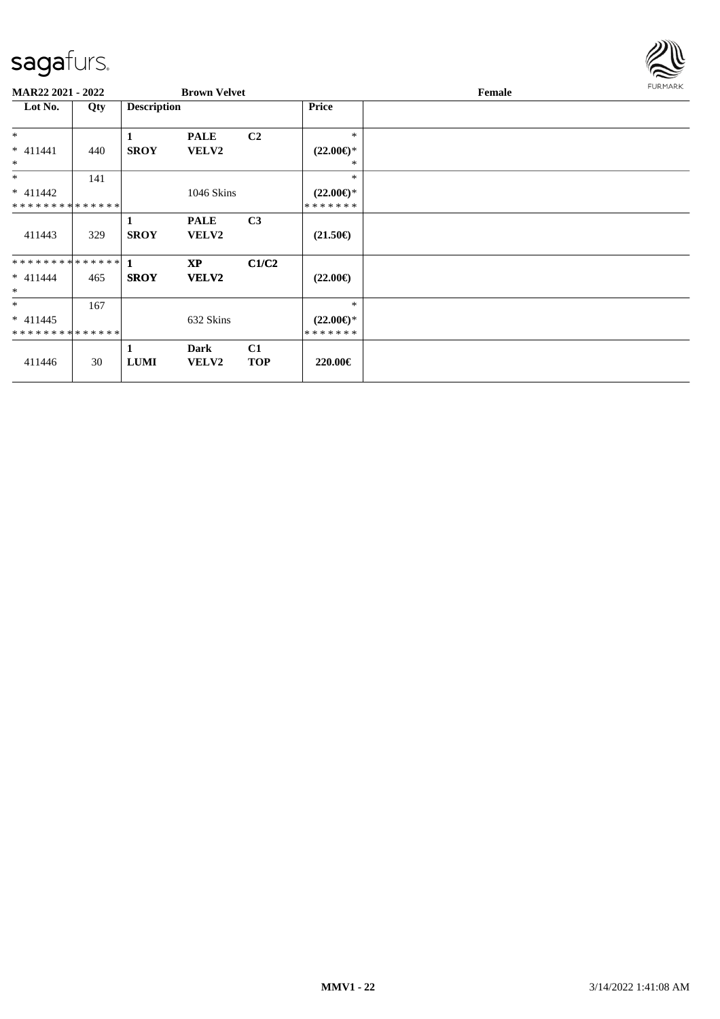

| MAR22 2021 - 2022                                  |     |                    | <b>Brown Velvet</b>         |                  |                                             | Female | <b>FURMARK</b> |
|----------------------------------------------------|-----|--------------------|-----------------------------|------------------|---------------------------------------------|--------|----------------|
| Lot No.                                            | Qty | <b>Description</b> |                             |                  | Price                                       |        |                |
| $*$                                                |     | 1                  | <b>PALE</b>                 | C <sub>2</sub>   | $\ast$                                      |        |                |
| $* 411441$<br>$*$                                  | 440 | <b>SROY</b>        | <b>VELV2</b>                |                  | $(22.00\epsilon)$ *<br>*                    |        |                |
| $*$                                                | 141 |                    |                             |                  | $\ast$                                      |        |                |
| $* 411442$<br>* * * * * * * * * * * * * *          |     |                    | 1046 Skins                  |                  | $(22.00\epsilon)$ *<br>* * * * * * *        |        |                |
| 411443                                             | 329 | 1<br><b>SROY</b>   | <b>PALE</b><br><b>VELV2</b> | C <sub>3</sub>   | $(21.50\epsilon)$                           |        |                |
| $* 411444$<br>$*$                                  | 465 | <b>SROY</b>        | <b>XP</b><br>VELV2          | C1/C2            | $(22.00\epsilon)$                           |        |                |
| $*$<br>$* 411445$<br>* * * * * * * * * * * * * * * | 167 |                    | 632 Skins                   |                  | $*$<br>$(22.00\epsilon)$ *<br>* * * * * * * |        |                |
| 411446                                             | 30  | 1<br><b>LUMI</b>   | Dark<br><b>VELV2</b>        | C1<br><b>TOP</b> | 220.00€                                     |        |                |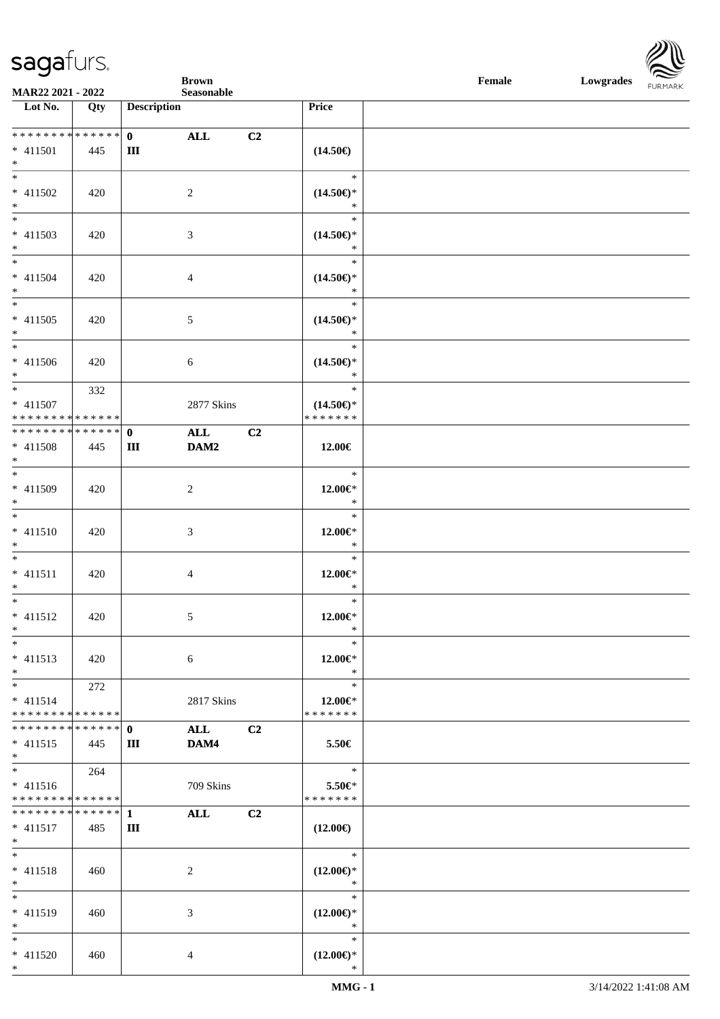**Brown Female Lowgrades** 

| <b>MAR22 2021 - 2022</b>                   |     |                    | Seasonable     |                |                         |  |
|--------------------------------------------|-----|--------------------|----------------|----------------|-------------------------|--|
| Lot $No.$                                  | Qty | <b>Description</b> |                |                | Price                   |  |
|                                            |     |                    |                |                |                         |  |
| ___<br>******** <mark>******</mark>        |     | $\mathbf{0}$       | ALL            | C2             |                         |  |
| $* 411501$                                 | 445 | Ш                  |                |                | $(14.50\epsilon)$       |  |
| $*$                                        |     |                    |                |                |                         |  |
| $*$                                        |     |                    |                |                | $\ast$                  |  |
| $* 411502$                                 | 420 |                    | 2              |                | $(14.50\epsilon)$ *     |  |
| $*$                                        |     |                    |                |                | $\ast$                  |  |
|                                            |     |                    |                |                | $\ast$                  |  |
|                                            |     |                    |                |                |                         |  |
| $* 411503$                                 | 420 |                    | 3              |                | $(14.50\epsilon)$ *     |  |
| $*$<br>$*$                                 |     |                    |                |                | $\ast$                  |  |
|                                            |     |                    |                |                | $\ast$                  |  |
| $* 411504$                                 | 420 |                    | $\overline{4}$ |                | $(14.50\epsilon)$ *     |  |
| $*$                                        |     |                    |                |                | $\ast$                  |  |
| $\overline{\ }$                            |     |                    |                |                | $\ast$                  |  |
| $* 411505$                                 | 420 |                    | 5              |                | $(14.50\epsilon)$ *     |  |
| $*$                                        |     |                    |                |                | $\ast$                  |  |
| $\ast$                                     |     |                    |                |                | $\ast$                  |  |
| $* 411506$                                 | 420 |                    | 6              |                | $(14.50\epsilon)$ *     |  |
| $*$                                        |     |                    |                |                | $\ast$                  |  |
| $*$                                        | 332 |                    |                |                | $\ast$                  |  |
| $* 411507$                                 |     |                    | 2877 Skins     |                | $(14.50\epsilon)$ *     |  |
| * * * * * * * * * * * * * * *              |     |                    |                |                | * * * * * * *           |  |
|                                            |     |                    | <b>ALL</b>     | C <sub>2</sub> |                         |  |
| * 411508                                   | 445 | Ш                  | DAM2           |                | 12.00€                  |  |
| $*$                                        |     |                    |                |                |                         |  |
| $\overline{\phantom{0}}$                   |     |                    |                |                | $\ast$                  |  |
| * 411509                                   | 420 |                    | 2              |                | $12.00 \in$ *           |  |
| $\ast$                                     |     |                    |                |                | $\ast$                  |  |
| $\overline{\ast}$                          |     |                    |                |                | $\ast$                  |  |
| * 411510                                   |     |                    |                |                |                         |  |
| $*$                                        | 420 |                    | 3              |                | $12.00 \in$ *<br>$\ast$ |  |
|                                            |     |                    |                |                | $\ast$                  |  |
| $*$                                        |     |                    |                |                |                         |  |
| $* 411511$                                 | 420 |                    | $\overline{4}$ |                | $12.00 \in$ *           |  |
| $*$                                        |     |                    |                |                | $\ast$                  |  |
| $\ast$                                     |     |                    |                |                | $\ast$                  |  |
| $* 411512$                                 | 420 |                    | 5              |                | $12.00 \in$ *           |  |
| $\ast$                                     |     |                    |                |                | $\ast$                  |  |
| $\ast$                                     |     |                    |                |                | $\ast$                  |  |
| $* 411513$                                 | 420 |                    | 6              |                | $12.00 \in$ *           |  |
| $\ast$                                     |     |                    |                |                | $*$                     |  |
| $*$                                        | 272 |                    |                |                | $\ast$                  |  |
| $* 411514$                                 |     |                    | 2817 Skins     |                | 12.00 $\in$ *           |  |
| * * * * * * * * * * * * * * <mark>*</mark> |     |                    |                |                | * * * * * * *           |  |
|                                            |     |                    | <b>ALL</b>     | C <sub>2</sub> |                         |  |
| $* 411515$                                 | 445 | Ш                  | DAM4           |                | 5.50€                   |  |
| $\ast$                                     |     |                    |                |                |                         |  |
| $\ddot{x}$                                 | 264 |                    |                |                | $\ast$                  |  |
| $* 411516$                                 |     |                    | 709 Skins      |                | $5.50 \in$              |  |
| * * * * * * * * <mark>* * * * * * *</mark> |     |                    |                |                | * * * * * * *           |  |
|                                            |     |                    | <b>ALL</b>     | C <sub>2</sub> |                         |  |
|                                            | 485 | Ш                  |                |                |                         |  |
| $* 411517$<br>$*$ and $*$                  |     |                    |                |                | $(12.00\epsilon)$       |  |
| $*$ $-$                                    |     |                    |                |                | $*$                     |  |
|                                            |     |                    |                |                |                         |  |
| $* 411518$                                 | 460 |                    | 2              |                | $(12.00\epsilon)$ *     |  |
| $\ast$                                     |     |                    |                |                | $\ast$                  |  |
| $*$                                        |     |                    |                |                | $\ast$                  |  |
| * 411519                                   | 460 |                    | 3              |                | $(12.00\epsilon)$ *     |  |
| $*$                                        |     |                    |                |                | $\ast$                  |  |
| $\ast$                                     |     |                    |                |                | $\ast$                  |  |
| $* 411520$                                 | 460 |                    | $\overline{4}$ |                | $(12.00\epsilon)$ *     |  |
| $\ast$                                     |     |                    |                |                | $\ast$                  |  |

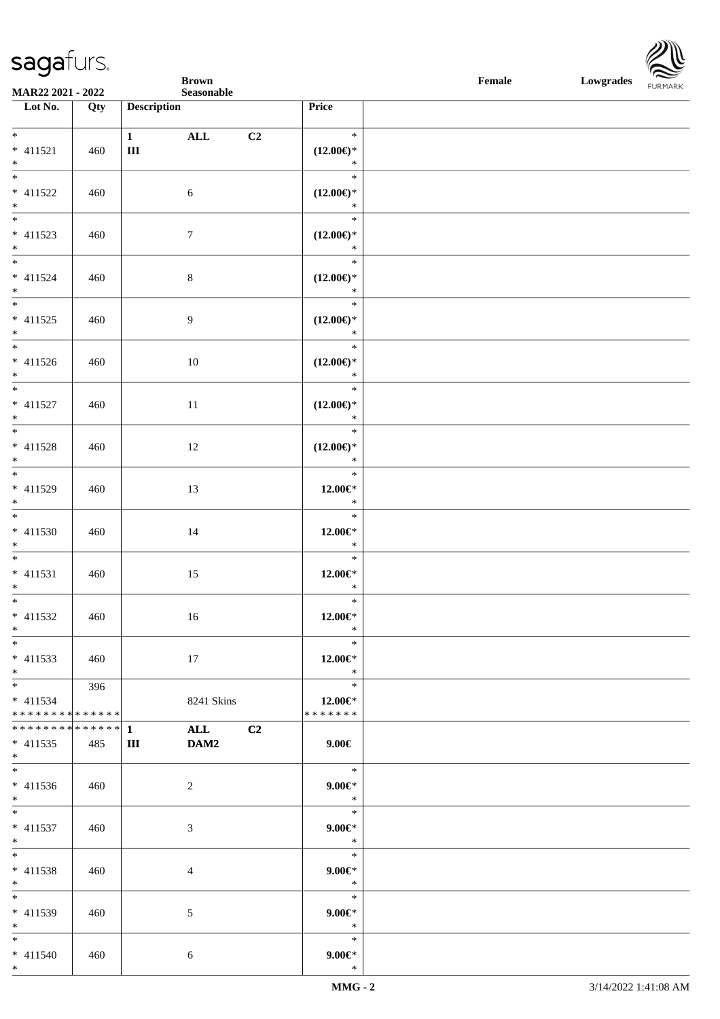**Brown Female Lowgrades** 

| MAR22 2021 - 2022                 |     | Seasonable                                   |                               | FURMARK |
|-----------------------------------|-----|----------------------------------------------|-------------------------------|---------|
| Lot No.                           | Qty | <b>Description</b>                           | Price                         |         |
|                                   |     |                                              |                               |         |
|                                   |     | $1 \qquad \qquad$<br>ALL<br>C2               | $\ast$                        |         |
| $* 411521$                        | 460 | $\rm III$                                    | $(12.00\epsilon)$ *           |         |
| $\ast$                            |     |                                              | $\ast$                        |         |
| $\overline{\phantom{a}^*}$        |     |                                              | $\ast$                        |         |
| $* 411522$                        | 460 | $\sqrt{6}$                                   | $(12.00\epsilon)$ *           |         |
| $*$<br>$\overline{\phantom{a}^*}$ |     |                                              | $\ast$                        |         |
|                                   |     |                                              | $\ast$                        |         |
| $* 411523$                        | 460 | $\tau$                                       | $(12.00\epsilon)$ *           |         |
| $*$<br>$\overline{\ast}$          |     |                                              | $\ast$                        |         |
|                                   |     |                                              | $\ast$                        |         |
| $* 411524$                        | 460 | $8\,$                                        | $(12.00\epsilon)$ *           |         |
| $\ast$<br>$\frac{1}{*}$           |     |                                              | $\ast$<br>$\ast$              |         |
|                                   |     |                                              |                               |         |
| $* 411525$<br>$*$                 | 460 | 9                                            | $(12.00\epsilon)$ *<br>$\ast$ |         |
|                                   |     |                                              | $\ast$                        |         |
| * 411526                          |     |                                              |                               |         |
| $*$                               | 460 | 10                                           | $(12.00\epsilon)$ *<br>$\ast$ |         |
| $\overline{\phantom{a}^*}$        |     |                                              | $\ast$                        |         |
| $* 411527$                        | 460 | $11\,$                                       | $(12.00\epsilon)$ *           |         |
| $\ast$                            |     |                                              | $\ast$                        |         |
| $\overline{\phantom{0}}$          |     |                                              | $\ast$                        |         |
| $* 411528$                        | 460 | 12                                           | $(12.00\epsilon)$ *           |         |
| $*$                               |     |                                              | $\ast$                        |         |
| $\overline{\phantom{1}}$          |     |                                              | $\ast$                        |         |
| $* 411529$                        | 460 | 13                                           | $12.00 \in$ *                 |         |
| $*$                               |     |                                              | $\ast$                        |         |
| $\overline{\ast}$                 |     |                                              | $\ast$                        |         |
| $* 411530$                        | 460 | 14                                           | $12.00 \in$ *                 |         |
| $\ast$                            |     |                                              | $\ast$                        |         |
| $\overline{\phantom{a}^*}$        |     |                                              | $\ast$                        |         |
| $* 411531$                        | 460 | 15                                           | $12.00 \in$ *                 |         |
| $\ast$                            |     |                                              | $\ast$                        |         |
| $\overline{\phantom{a}^*}$        |     |                                              | $\ast$                        |         |
| $* 411532$                        | 460 | 16                                           | $12.00 \in$ *                 |         |
|                                   |     |                                              | and the state of the state    |         |
| $\ast$                            |     |                                              | $\ast$                        |         |
| $* 411533$                        | 460 | 17                                           | $12.00 \in$ *                 |         |
| $\ast$                            |     |                                              | $\ast$                        |         |
| $\ast$                            | 396 |                                              | $\ast$                        |         |
| $* 411534$                        |     | 8241 Skins                                   | 12.00€*                       |         |
| * * * * * * * * * * * * * * *     |     |                                              | * * * * * * *                 |         |
| * * * * * * * * * * * * * * *     |     | $\mathbf{1}$<br><b>ALL</b><br>C <sub>2</sub> |                               |         |
| $*$ 411535                        | 485 | DAM2<br>Ш                                    | $9.00 \in$                    |         |
| $*$                               |     |                                              |                               |         |
| $\ast$                            |     |                                              | $\ast$                        |         |
| $* 411536$                        | 460 | $\overline{2}$                               | $9.00 \in$                    |         |
| $\ast$                            |     |                                              | $\ast$                        |         |
| $\ast$                            |     |                                              | $\ast$                        |         |
| $* 411537$                        | 460 | 3                                            | $9.00 \in$                    |         |
| $\ast$                            |     |                                              | $\ast$                        |         |
| $\ast$                            |     |                                              | $\ast$                        |         |
| * 411538<br>$\ast$                | 460 | $\overline{4}$                               | $9.00 \in$<br>$*$             |         |
| $\ast$                            |     |                                              | $\ast$                        |         |
|                                   |     |                                              |                               |         |
| * 411539<br>$\ast$                | 460 | $\mathfrak{S}$                               | $9.00 \in$<br>$\ast$          |         |
| $\ast$                            |     |                                              | $\ast$                        |         |
| $* 411540$                        | 460 | $\sqrt{6}$                                   | $9.00 \in$                    |         |
| $*$                               |     |                                              | $\ast$                        |         |
|                                   |     |                                              |                               |         |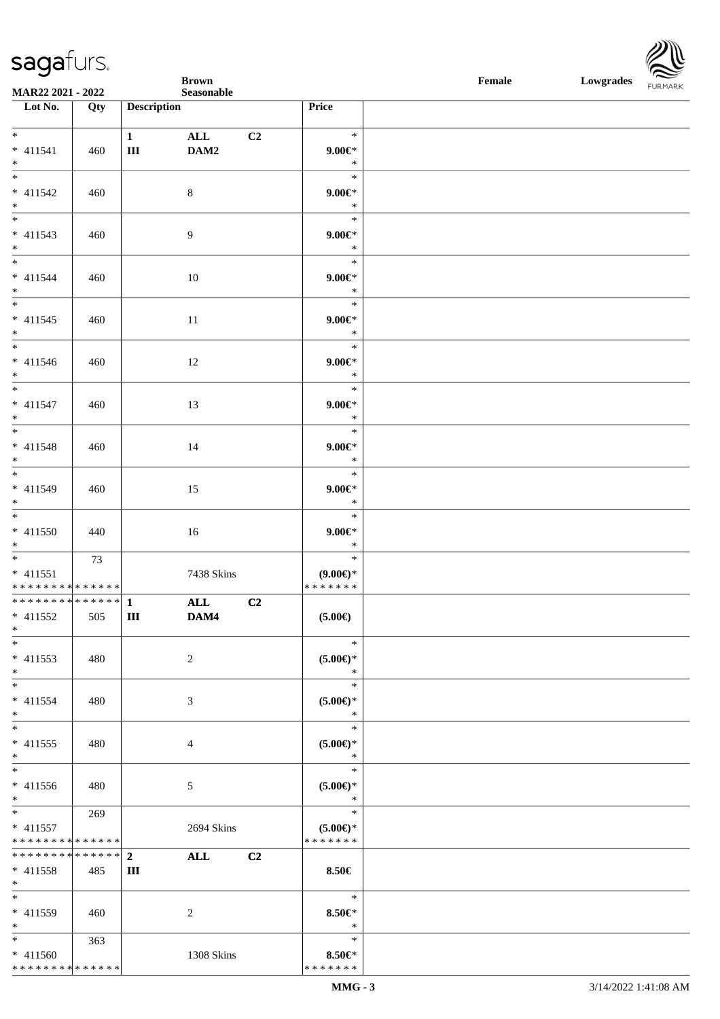

|                                                                                      |     |                     | <b>Brown</b>   |    |                                               | Female | Lowgrades FURMARK |  |
|--------------------------------------------------------------------------------------|-----|---------------------|----------------|----|-----------------------------------------------|--------|-------------------|--|
| MAR22 2021 - 2022<br>Lot No.                                                         |     | <b>Description</b>  | Seasonable     |    | Price                                         |        |                   |  |
|                                                                                      | Qty |                     |                |    |                                               |        |                   |  |
| $*$<br>$* 411541$<br>$*$                                                             | 460 | $\mathbf{1}$<br>III | ALL<br>DAM2    | C2 | $\ast$<br>$9.00 \in$<br>$\ast$                |        |                   |  |
| $\overline{\phantom{a}^*}$<br>$* 411542$<br>$*$                                      | 460 |                     | $8\,$          |    | $\ast$<br>$9.00 \in$<br>$\ast$                |        |                   |  |
| $\overline{\phantom{0}}$<br>$* 411543$<br>$*$                                        | 460 |                     | 9              |    | $\ast$<br>$9.00 \in$<br>$\ast$                |        |                   |  |
| $\overline{\phantom{a}^*}$<br>$* 411544$<br>$*$                                      | 460 |                     | 10             |    | $\ast$<br>$9.00 \in$<br>$\ast$                |        |                   |  |
| $\overline{\phantom{0}}$<br>$* 411545$<br>$*$                                        | 460 |                     | 11             |    | $\ast$<br>$9.00 \in$<br>$\ast$                |        |                   |  |
| $* 411546$<br>$*$                                                                    | 460 |                     | 12             |    | $\ast$<br>$9.00 \in$<br>$\ast$                |        |                   |  |
| $\overline{\phantom{0}}$<br>$* 411547$<br>$*$                                        | 460 |                     | 13             |    | $\ast$<br>$9.00 \in$ *<br>$\ast$              |        |                   |  |
| $\overline{\phantom{0}}$<br>$* 411548$<br>$*$                                        | 460 |                     | 14             |    | $\ast$<br>$9.00 \in$ *<br>$\ast$              |        |                   |  |
| $\begin{array}{c c}\n\ast \\ \ast \\ \end{array}$<br>$* 411549$<br>$*$               | 460 |                     | 15             |    | $\ast$<br>$9.00 \in$<br>$\ast$                |        |                   |  |
| $*$<br>$* 411550$<br>$*$                                                             | 440 |                     | 16             |    | $\ast$<br>$9.00 \in$<br>$\ast$                |        |                   |  |
| $* 411551$<br>******** <mark>******</mark>                                           | 73  |                     | 7438 Skins     |    | $\ast$<br>$(9.00\epsilon)$ *<br>* * * * * * * |        |                   |  |
| ************** 1                                                                     |     |                     | ALL            | C2 |                                               |        |                   |  |
| $*$ 411552<br>$\ast$<br>$\ast$                                                       | 505 | Ш                   | DAM4           |    | $(5.00\epsilon)$<br>$\ast$                    |        |                   |  |
| $* 411553$<br>$\ast$                                                                 | 480 |                     | $\overline{c}$ |    | $(5.00\epsilon)$ *<br>$\ast$                  |        |                   |  |
| $\frac{1}{1}$<br>$* 411554$<br>$*$                                                   | 480 |                     | 3              |    | $\ast$<br>$(5.00\epsilon)$ *<br>$\ast$        |        |                   |  |
| $*$<br>$* 411555$<br>$*$                                                             | 480 |                     | 4              |    | $\ast$<br>$(5.00 \in )^*$<br>$\ast$           |        |                   |  |
| $\ast$<br>* 411556<br>$*$                                                            | 480 |                     | 5              |    | $\ast$<br>$(5.00\epsilon)$ *<br>$\ast$        |        |                   |  |
| $\overline{\phantom{0}}$<br>$* 411557$<br>* * * * * * * * <mark>* * * * * * *</mark> | 269 |                     | 2694 Skins     |    | $\ast$<br>$(5.00\epsilon)$ *<br>* * * * * * * |        |                   |  |
| * * * * * * * * * * * * * * *<br>$* 411558$<br>$\ast$                                | 485 | $\overline{2}$<br>Ш | <b>ALL</b>     | C2 | 8.50€                                         |        |                   |  |
| $\ast$<br>* 411559<br>$\ast$                                                         | 460 |                     | 2              |    | $\ast$<br>$8.50 \in$<br>$\ast$                |        |                   |  |
| $\overline{\phantom{0}}$<br>$* 411560$<br>* * * * * * * * * * * * * *                | 363 |                     | 1308 Skins     |    | $\ast$<br>$8.50 \in$<br>* * * * * * *         |        |                   |  |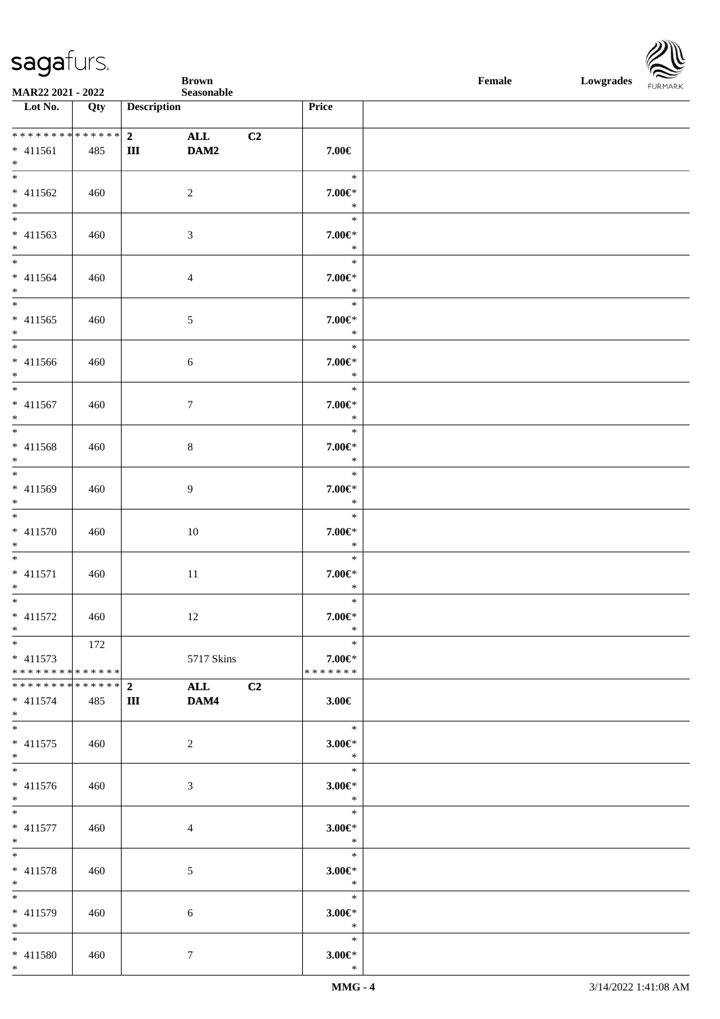|                                           |     |                         | <b>Brown</b>     |                |                             | Female | Lowgrades FURMARK |  |
|-------------------------------------------|-----|-------------------------|------------------|----------------|-----------------------------|--------|-------------------|--|
| MAR22 2021 - 2022<br>Lot No.              | Qty | <b>Description</b>      | Seasonable       | Price          |                             |        |                   |  |
|                                           |     |                         |                  |                |                             |        |                   |  |
| ******** <mark>******</mark>              |     | $\overline{\mathbf{2}}$ | ALL              | C2             |                             |        |                   |  |
| $* 411561$                                | 485 | Ш                       | DAM2             |                | 7.00€                       |        |                   |  |
| $*$<br>$\overline{\phantom{0}}$           |     |                         |                  |                | $\ast$                      |        |                   |  |
| $* 411562$                                | 460 |                         | $\overline{2}$   |                | $7.00 \in$                  |        |                   |  |
| $*$                                       |     |                         |                  |                | $\ast$                      |        |                   |  |
| $\overline{\phantom{0}}$                  |     |                         |                  |                | $\ast$                      |        |                   |  |
| $* 411563$                                | 460 |                         | $\mathfrak{Z}$   |                | $7.00 \in$                  |        |                   |  |
| $*$<br>$\overline{\phantom{0}}$           |     |                         |                  |                | $\ast$<br>$\ast$            |        |                   |  |
| $* 411564$                                | 460 |                         | $\overline{4}$   |                | $7.00 \in$                  |        |                   |  |
| $*$                                       |     |                         |                  |                | $\ast$                      |        |                   |  |
| $\overline{\phantom{1}}$                  |     |                         |                  |                | $\ast$                      |        |                   |  |
| $* 411565$                                | 460 |                         | $\mathfrak{S}$   |                | $7.00 \in$                  |        |                   |  |
| $*$<br>$\overline{\phantom{a}^*}$         |     |                         |                  |                | $\ast$<br>$\ast$            |        |                   |  |
| $* 411566$                                | 460 |                         | $6\phantom{.}6$  |                | $7.00 \in$                  |        |                   |  |
| $\ast$                                    |     |                         |                  |                | $\ast$                      |        |                   |  |
| $\overline{\phantom{0}}$                  |     |                         |                  |                | $\ast$                      |        |                   |  |
| * 411567                                  | 460 |                         | $7\phantom{.0}$  |                | $7.00 \in$                  |        |                   |  |
| $*$<br>$\overline{\phantom{0}}$           |     |                         |                  |                | $\ast$<br>$\ast$            |        |                   |  |
| * 411568                                  | 460 |                         | $8\,$            |                | $7.00 \in$ *                |        |                   |  |
| $*$                                       |     |                         |                  |                | $\ast$                      |        |                   |  |
| $*$                                       |     |                         |                  |                | $\ast$                      |        |                   |  |
| $* 411569$                                | 460 |                         | 9                |                | $7.00 \in$ *                |        |                   |  |
| $*$<br>$*$                                |     |                         |                  |                | $\ast$<br>$\ast$            |        |                   |  |
| $* 411570$                                | 460 |                         | 10               |                | $7.00 \in$                  |        |                   |  |
| $*$                                       |     |                         |                  |                | $\ast$                      |        |                   |  |
| $\overline{\ast}$                         |     |                         |                  |                | $\ast$                      |        |                   |  |
| $* 411571$<br>$*$                         | 460 |                         | $11\,$           |                | $7.00 \in$ *<br>$\ast$      |        |                   |  |
| $*$                                       |     |                         |                  |                | $\ast$                      |        |                   |  |
| $* 411572$                                | 460 |                         | 12               |                | 7.00€*                      |        |                   |  |
| $\ast$                                    |     |                         |                  |                | $\ast$                      |        |                   |  |
| $\ast$                                    | 172 |                         |                  |                | $\ast$                      |        |                   |  |
| $* 411573$<br>* * * * * * * * * * * * * * |     |                         | 5717 Skins       |                | $7.00 \in$<br>* * * * * * * |        |                   |  |
| * * * * * * * * * * * * * * *             |     | $\mathbf{2}$            | <b>ALL</b>       | C <sub>2</sub> |                             |        |                   |  |
| $* 411574$                                | 485 | Ш                       | DAM4             |                | $3.00 \in$                  |        |                   |  |
| $*$                                       |     |                         |                  |                |                             |        |                   |  |
| $*$                                       |     |                         |                  |                | $\ast$                      |        |                   |  |
| $* 411575$<br>$*$                         | 460 |                         | $\boldsymbol{2}$ |                | $3.00 \in$ *<br>$\ast$      |        |                   |  |
| $*$                                       |     |                         |                  |                | $\ast$                      |        |                   |  |
| $* 411576$                                | 460 |                         | 3                |                | $3.00 \in$ *                |        |                   |  |
| $*$                                       |     |                         |                  |                | $\ast$                      |        |                   |  |
| $\overline{\phantom{0}}$                  |     |                         |                  |                | $\ast$                      |        |                   |  |
| * 411577<br>$*$                           | 460 |                         | $\overline{4}$   |                | $3.00 \in$ *<br>$\ast$      |        |                   |  |
| $*$                                       |     |                         |                  |                | $\ast$                      |        |                   |  |
| * 411578                                  | 460 |                         | 5                |                | $3.00 \in$ *                |        |                   |  |
| $*$                                       |     |                         |                  |                | $\ast$                      |        |                   |  |
| $*$                                       |     |                         |                  |                | $\ast$                      |        |                   |  |
| * 411579<br>$\ast$                        | 460 |                         | 6                |                | $3.00 \in$ *<br>$\ast$      |        |                   |  |
| $\overline{\ast}$                         |     |                         |                  |                | $\ast$                      |        |                   |  |
| * 411580                                  | 460 |                         | 7                |                | $3.00 \in$ *                |        |                   |  |
| $*$                                       |     |                         |                  |                | $\ast$                      |        |                   |  |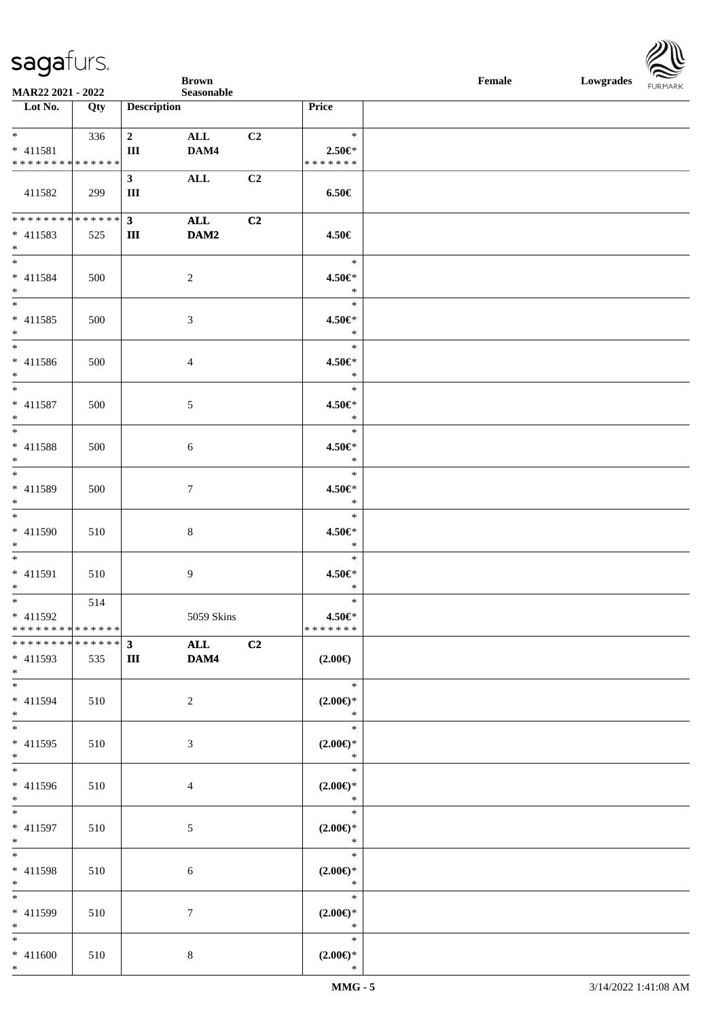

|                                                |                            |                               | <b>Brown</b>   |    |                              | Female | Lowgrades FURMARK |  |
|------------------------------------------------|----------------------------|-------------------------------|----------------|----|------------------------------|--------|-------------------|--|
| MAR22 2021 - 2022<br>Lot No.                   | Qty                        | <b>Description</b>            | Seasonable     |    | Price                        |        |                   |  |
|                                                |                            |                               |                |    |                              |        |                   |  |
| $\frac{1}{*}$                                  | 336                        | $\overline{\mathbf{2}}$       | $\mathbf{ALL}$ | C2 | $\ast$                       |        |                   |  |
| $* 411581$<br>******** <mark>******</mark>     |                            | Ш                             | DAM4           |    | $2.50 \in$<br>* * * * * * *  |        |                   |  |
|                                                |                            | $3^{\circ}$                   | $\mathbf{ALL}$ | C2 |                              |        |                   |  |
| 411582                                         | 299                        | Ш                             |                |    | $6.50 \in$                   |        |                   |  |
| ******** <mark>******</mark>                   |                            |                               |                |    |                              |        |                   |  |
| $* 411583$                                     | 525                        | $3^{\circ}$<br>$\mathbf{III}$ | ALL<br>DAM2    | C2 | 4.50€                        |        |                   |  |
| $\ast$                                         |                            |                               |                |    |                              |        |                   |  |
| $\ast$                                         |                            |                               |                |    | $\ast$                       |        |                   |  |
| $* 411584$<br>$*$                              | 500                        |                               | $\overline{c}$ |    | 4.50€*<br>$\ast$             |        |                   |  |
| $\overline{\phantom{1}}$                       |                            |                               |                |    | $\ast$                       |        |                   |  |
| $* 411585$                                     | 500                        |                               | $\mathfrak{Z}$ |    | 4.50€*                       |        |                   |  |
| $*$<br>$\overline{\phantom{0}}$                |                            |                               |                |    | $\ast$                       |        |                   |  |
| $* 411586$                                     | 500                        |                               | 4              |    | $\ast$<br>4.50€*             |        |                   |  |
| $*$                                            |                            |                               |                |    | $\ast$                       |        |                   |  |
| $\overline{\phantom{a}^*}$                     |                            |                               |                |    | $\ast$                       |        |                   |  |
| $* 411587$<br>$*$                              | 500                        |                               | 5              |    | 4.50€*<br>$\ast$             |        |                   |  |
| $\overline{\phantom{1}}$                       |                            |                               |                |    | $\ast$                       |        |                   |  |
| $* 411588$                                     | 500                        |                               | 6              |    | 4.50€*                       |        |                   |  |
| $*$                                            |                            |                               |                |    | $\ast$                       |        |                   |  |
| * 411589                                       | 500                        |                               | $\tau$         |    | $\ast$<br>4.50€*             |        |                   |  |
| $*$                                            |                            |                               |                |    | $\ast$                       |        |                   |  |
| $\ast$                                         |                            |                               |                |    | $\ast$                       |        |                   |  |
| * 411590                                       | 510                        |                               | 8              |    | 4.50€*<br>$\rightarrow$      |        |                   |  |
| $*$<br>$\overline{\phantom{a}^*}$              |                            |                               |                |    | $\ast$                       |        |                   |  |
| $* 411591$                                     | 510                        |                               | 9              |    | 4.50€*                       |        |                   |  |
| $*$<br>$\begin{array}{c}\n\ast \\ \end{array}$ |                            |                               |                |    | $\ast$                       |        |                   |  |
| * 411592                                       | 514                        |                               | 5059 Skins     |    | $\ast$<br>4.50€*             |        |                   |  |
| * * * * * * * * * * * * * *                    |                            |                               |                |    | * * * * * * *                |        |                   |  |
| * * *<br>* * * *                               | * * * * * * <mark>*</mark> | 3 <sup>1</sup>                | ALL            | C2 |                              |        |                   |  |
| $* 411593$<br>$*$                              | 535                        | $\rm III$                     | DAM4           |    | $(2.00\epsilon)$             |        |                   |  |
| $\frac{1}{1}$                                  |                            |                               |                |    | $\ast$                       |        |                   |  |
| $* 411594$                                     | 510                        |                               | $\overline{c}$ |    | $(2.00\epsilon)$ *           |        |                   |  |
| $*$<br>$\overline{\ast}$                       |                            |                               |                |    | $\ast$                       |        |                   |  |
| $* 411595$                                     | 510                        |                               | 3              |    | $\ast$<br>$(2.00\in)\!\!^*$  |        |                   |  |
| $\ast$                                         |                            |                               |                |    | $\ast$                       |        |                   |  |
| $\ast$                                         |                            |                               |                |    | $\ast$                       |        |                   |  |
| * 411596<br>$*$                                | 510                        |                               | $\overline{4}$ |    | $(2.00\epsilon)$ *<br>$\ast$ |        |                   |  |
| $\overline{\phantom{a}}$                       |                            |                               |                |    | $\ast$                       |        |                   |  |
| $* 411597$                                     | 510                        |                               | 5              |    | $(2.00\epsilon)$ *           |        |                   |  |
| $*$                                            |                            |                               |                |    | $\ast$                       |        |                   |  |
| $\ast$<br>* 411598                             | 510                        |                               | $\sqrt{6}$     |    | $\ast$<br>$(2.00\epsilon)$ * |        |                   |  |
| $*$                                            |                            |                               |                |    | $\ast$                       |        |                   |  |
| $\overline{\phantom{0}}$                       |                            |                               |                |    | $\ast$                       |        |                   |  |
| * 411599<br>$\ast$                             | 510                        |                               | $\tau$         |    | $(2.00\epsilon)$ *<br>$\ast$ |        |                   |  |
| $\overline{\phantom{0}}$                       |                            |                               |                |    | $\ast$                       |        |                   |  |
| $* 411600$                                     | 510                        |                               | $\,8\,$        |    | $(2.00\epsilon)$ *           |        |                   |  |
| $*$                                            |                            |                               |                |    | $\ast$                       |        |                   |  |